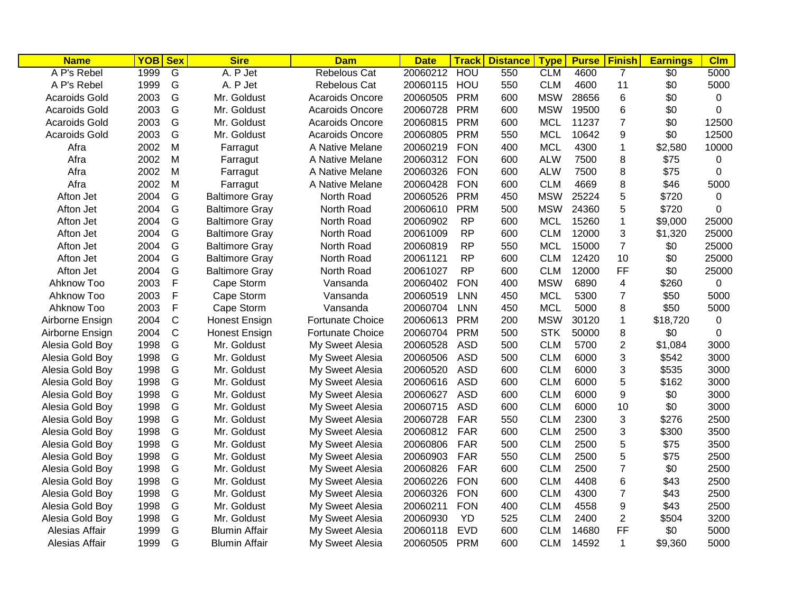| <b>Name</b>          | YOB Sex |                | <b>Sire</b>           | <b>Dam</b>              | <b>Date</b> | <b>Track</b> | <b>Distance</b> | <b>Type</b> | <b>Purse</b> | Finish                  | <b>Earnings</b> | CIm         |
|----------------------|---------|----------------|-----------------------|-------------------------|-------------|--------------|-----------------|-------------|--------------|-------------------------|-----------------|-------------|
| A P's Rebel          | 1999    | $\overline{G}$ | A. P Jet              | Rebelous Cat            | 20060212    | HOU          | 550             | <b>CLM</b>  | 4600         | 7                       | \$0             | 5000        |
| A P's Rebel          | 1999    | G              | A. P Jet              | Rebelous Cat            | 20060115    | HOU          | 550             | <b>CLM</b>  | 4600         | 11                      | \$0             | 5000        |
| <b>Acaroids Gold</b> | 2003    | G              | Mr. Goldust           | <b>Acaroids Oncore</b>  | 20060505    | <b>PRM</b>   | 600             | <b>MSW</b>  | 28656        | 6                       | \$0             | 0           |
| <b>Acaroids Gold</b> | 2003    | G              | Mr. Goldust           | <b>Acaroids Oncore</b>  | 20060728    | <b>PRM</b>   | 600             | <b>MSW</b>  | 19500        | 6                       | \$0             | 0           |
| <b>Acaroids Gold</b> | 2003    | G              | Mr. Goldust           | <b>Acaroids Oncore</b>  | 20060815    | <b>PRM</b>   | 600             | <b>MCL</b>  | 11237        | $\overline{7}$          | \$0             | 12500       |
| <b>Acaroids Gold</b> | 2003    | G              | Mr. Goldust           | <b>Acaroids Oncore</b>  | 20060805    | <b>PRM</b>   | 550             | <b>MCL</b>  | 10642        | 9                       | \$0             | 12500       |
| Afra                 | 2002    | M              | Farragut              | A Native Melane         | 20060219    | <b>FON</b>   | 400             | <b>MCL</b>  | 4300         | $\mathbf{1}$            | \$2,580         | 10000       |
| Afra                 | 2002    | M              | Farragut              | A Native Melane         | 20060312    | <b>FON</b>   | 600             | <b>ALW</b>  | 7500         | 8                       | \$75            | 0           |
| Afra                 | 2002    | M              | Farragut              | A Native Melane         | 20060326    | <b>FON</b>   | 600             | <b>ALW</b>  | 7500         | 8                       | \$75            | 0           |
| Afra                 | 2002    | M              | Farragut              | A Native Melane         | 20060428    | <b>FON</b>   | 600             | <b>CLM</b>  | 4669         | 8                       | \$46            | 5000        |
| Afton Jet            | 2004    | G              | <b>Baltimore Gray</b> | North Road              | 20060526    | <b>PRM</b>   | 450             | <b>MSW</b>  | 25224        | 5                       | \$720           | 0           |
| Afton Jet            | 2004    | G              | <b>Baltimore Gray</b> | North Road              | 20060610    | <b>PRM</b>   | 500             | <b>MSW</b>  | 24360        | 5                       | \$720           | 0           |
| Afton Jet            | 2004    | G              | <b>Baltimore Gray</b> | North Road              | 20060902    | <b>RP</b>    | 600             | <b>MCL</b>  | 15260        | $\mathbf{1}$            | \$9,000         | 25000       |
| Afton Jet            | 2004    | G              | <b>Baltimore Gray</b> | North Road              | 20061009    | RP.          | 600             | <b>CLM</b>  | 12000        | 3                       | \$1,320         | 25000       |
| Afton Jet            | 2004    | G              | <b>Baltimore Gray</b> | North Road              | 20060819    | <b>RP</b>    | 550             | <b>MCL</b>  | 15000        | $\overline{7}$          | \$0             | 25000       |
| Afton Jet            | 2004    | G              | <b>Baltimore Gray</b> | North Road              | 20061121    | <b>RP</b>    | 600             | <b>CLM</b>  | 12420        | 10                      | \$0             | 25000       |
| Afton Jet            | 2004    | G              | <b>Baltimore Gray</b> | North Road              | 20061027    | <b>RP</b>    | 600             | <b>CLM</b>  | 12000        | <b>FF</b>               | \$0             | 25000       |
| Ahknow Too           | 2003    | $\mathsf F$    | Cape Storm            | Vansanda                | 20060402    | <b>FON</b>   | 400             | <b>MSW</b>  | 6890         | $\overline{\mathbf{4}}$ | \$260           | $\mathbf 0$ |
| Ahknow Too           | 2003    | $\mathsf F$    | Cape Storm            | Vansanda                | 20060519    | <b>LNN</b>   | 450             | <b>MCL</b>  | 5300         | $\overline{7}$          | \$50            | 5000        |
| Ahknow Too           | 2003    | F              | Cape Storm            | Vansanda                | 20060704    | <b>LNN</b>   | 450             | <b>MCL</b>  | 5000         | 8                       | \$50            | 5000        |
| Airborne Ensign      | 2004    | $\mathsf{C}$   | Honest Ensign         | <b>Fortunate Choice</b> | 20060613    | <b>PRM</b>   | 200             | <b>MSW</b>  | 30120        | $\mathbf{1}$            | \$18,720        | $\mathbf 0$ |
| Airborne Ensign      | 2004    | $\mathsf{C}$   | Honest Ensign         | <b>Fortunate Choice</b> | 20060704    | <b>PRM</b>   | 500             | <b>STK</b>  | 50000        | 8                       | \$0             | $\Omega$    |
| Alesia Gold Boy      | 1998    | G              | Mr. Goldust           | My Sweet Alesia         | 20060528    | <b>ASD</b>   | 500             | <b>CLM</b>  | 5700         | $\overline{2}$          | \$1,084         | 3000        |
| Alesia Gold Boy      | 1998    | G              | Mr. Goldust           | My Sweet Alesia         | 20060506    | <b>ASD</b>   | 500             | <b>CLM</b>  | 6000         | 3                       | \$542           | 3000        |
| Alesia Gold Boy      | 1998    | G              | Mr. Goldust           | My Sweet Alesia         | 20060520    | <b>ASD</b>   | 600             | <b>CLM</b>  | 6000         | 3                       | \$535           | 3000        |
| Alesia Gold Boy      | 1998    | G              | Mr. Goldust           | My Sweet Alesia         | 20060616    | <b>ASD</b>   | 600             | <b>CLM</b>  | 6000         | 5                       | \$162           | 3000        |
| Alesia Gold Boy      | 1998    | G              | Mr. Goldust           | My Sweet Alesia         | 20060627    | <b>ASD</b>   | 600             | <b>CLM</b>  | 6000         | 9                       | \$0             | 3000        |
| Alesia Gold Boy      | 1998    | G              | Mr. Goldust           | My Sweet Alesia         | 20060715    | <b>ASD</b>   | 600             | <b>CLM</b>  | 6000         | 10                      | \$0             | 3000        |
| Alesia Gold Boy      | 1998    | G              | Mr. Goldust           | My Sweet Alesia         | 20060728    | <b>FAR</b>   | 550             | <b>CLM</b>  | 2300         | 3                       | \$276           | 2500        |
| Alesia Gold Boy      | 1998    | G              | Mr. Goldust           | My Sweet Alesia         | 20060812    | <b>FAR</b>   | 600             | <b>CLM</b>  | 2500         | 3                       | \$300           | 3500        |
| Alesia Gold Boy      | 1998    | G              | Mr. Goldust           | My Sweet Alesia         | 20060806    | <b>FAR</b>   | 500             | <b>CLM</b>  | 2500         | 5                       | \$75            | 3500        |
| Alesia Gold Boy      | 1998    | G              | Mr. Goldust           | My Sweet Alesia         | 20060903    | <b>FAR</b>   | 550             | <b>CLM</b>  | 2500         | 5                       | \$75            | 2500        |
| Alesia Gold Boy      | 1998    | G              | Mr. Goldust           | My Sweet Alesia         | 20060826    | <b>FAR</b>   | 600             | <b>CLM</b>  | 2500         | $\overline{7}$          | \$0             | 2500        |
| Alesia Gold Boy      | 1998    | G              | Mr. Goldust           | My Sweet Alesia         | 20060226    | <b>FON</b>   | 600             | <b>CLM</b>  | 4408         | 6                       | \$43            | 2500        |
| Alesia Gold Boy      | 1998    | G              | Mr. Goldust           | My Sweet Alesia         | 20060326    | <b>FON</b>   | 600             | <b>CLM</b>  | 4300         | $\overline{7}$          | \$43            | 2500        |
| Alesia Gold Boy      | 1998    | G              | Mr. Goldust           | My Sweet Alesia         | 20060211    | <b>FON</b>   | 400             | <b>CLM</b>  | 4558         | 9                       | \$43            | 2500        |
| Alesia Gold Boy      | 1998    | G              | Mr. Goldust           | My Sweet Alesia         | 20060930    | <b>YD</b>    | 525             | <b>CLM</b>  | 2400         | $\overline{2}$          | \$504           | 3200        |
| Alesias Affair       | 1999    | G              | <b>Blumin Affair</b>  | My Sweet Alesia         | 20060118    | <b>EVD</b>   | 600             | <b>CLM</b>  | 14680        | FF                      | \$0             | 5000        |
| Alesias Affair       | 1999    | G              | <b>Blumin Affair</b>  | My Sweet Alesia         | 20060505    | <b>PRM</b>   | 600             | <b>CLM</b>  | 14592        | 1                       | \$9,360         | 5000        |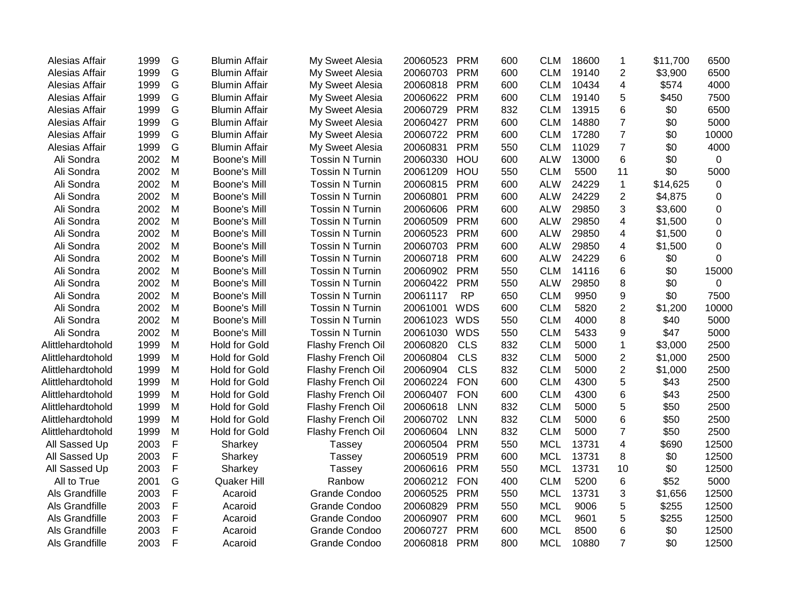| Alesias Affair    | 1999 | G             | <b>Blumin Affair</b> | My Sweet Alesia        | 20060523 | <b>PRM</b> | 600 | <b>CLM</b> | 18600 | $\mathbf 1$             | \$11,700 | 6500        |
|-------------------|------|---------------|----------------------|------------------------|----------|------------|-----|------------|-------|-------------------------|----------|-------------|
| Alesias Affair    | 1999 | G             | <b>Blumin Affair</b> | My Sweet Alesia        | 20060703 | <b>PRM</b> | 600 | <b>CLM</b> | 19140 | $\overline{2}$          | \$3,900  | 6500        |
| Alesias Affair    | 1999 | G             | <b>Blumin Affair</b> | My Sweet Alesia        | 20060818 | <b>PRM</b> | 600 | <b>CLM</b> | 10434 | 4                       | \$574    | 4000        |
| Alesias Affair    | 1999 | G             | <b>Blumin Affair</b> | My Sweet Alesia        | 20060622 | <b>PRM</b> | 600 | <b>CLM</b> | 19140 | 5                       | \$450    | 7500        |
| Alesias Affair    | 1999 | G             | <b>Blumin Affair</b> | My Sweet Alesia        | 20060729 | <b>PRM</b> | 832 | <b>CLM</b> | 13915 | 6                       | \$0      | 6500        |
| Alesias Affair    | 1999 | G             | <b>Blumin Affair</b> | My Sweet Alesia        | 20060427 | <b>PRM</b> | 600 | <b>CLM</b> | 14880 | $\overline{7}$          | \$0      | 5000        |
| Alesias Affair    | 1999 | ${\mathsf G}$ | <b>Blumin Affair</b> | My Sweet Alesia        | 20060722 | <b>PRM</b> | 600 | <b>CLM</b> | 17280 | $\overline{7}$          | \$0      | 10000       |
| Alesias Affair    | 1999 | G             | <b>Blumin Affair</b> | My Sweet Alesia        | 20060831 | <b>PRM</b> | 550 | <b>CLM</b> | 11029 | $\overline{7}$          | \$0      | 4000        |
| Ali Sondra        | 2002 | M             | Boone's Mill         | <b>Tossin N Turnin</b> | 20060330 | HOU        | 600 | <b>ALW</b> | 13000 | 6                       | \$0      | $\mathbf 0$ |
| Ali Sondra        | 2002 | M             | Boone's Mill         | <b>Tossin N Turnin</b> | 20061209 | HOU        | 550 | <b>CLM</b> | 5500  | 11                      | \$0      | 5000        |
| Ali Sondra        | 2002 | M             | Boone's Mill         | <b>Tossin N Turnin</b> | 20060815 | <b>PRM</b> | 600 | <b>ALW</b> | 24229 | $\mathbf{1}$            | \$14,625 | $\mathbf 0$ |
| Ali Sondra        | 2002 | M             | Boone's Mill         | <b>Tossin N Turnin</b> | 20060801 | <b>PRM</b> | 600 | <b>ALW</b> | 24229 | $\overline{2}$          | \$4,875  | 0           |
| Ali Sondra        | 2002 | M             | Boone's Mill         | <b>Tossin N Turnin</b> | 20060606 | <b>PRM</b> | 600 | <b>ALW</b> | 29850 | 3                       | \$3,600  | 0           |
| Ali Sondra        | 2002 | M             | Boone's Mill         | <b>Tossin N Turnin</b> | 20060509 | <b>PRM</b> | 600 | <b>ALW</b> | 29850 | 4                       | \$1,500  | 0           |
| Ali Sondra        | 2002 | M             | Boone's Mill         | <b>Tossin N Turnin</b> | 20060523 | <b>PRM</b> | 600 | <b>ALW</b> | 29850 | 4                       | \$1,500  | 0           |
| Ali Sondra        | 2002 | M             | Boone's Mill         | <b>Tossin N Turnin</b> | 20060703 | PRM        | 600 | <b>ALW</b> | 29850 | $\overline{\mathbf{4}}$ | \$1,500  | 0           |
| Ali Sondra        | 2002 | M             | Boone's Mill         | <b>Tossin N Turnin</b> | 20060718 | <b>PRM</b> | 600 | <b>ALW</b> | 24229 | 6                       | \$0      | 0           |
| Ali Sondra        | 2002 | M             | Boone's Mill         | <b>Tossin N Turnin</b> | 20060902 | <b>PRM</b> | 550 | <b>CLM</b> | 14116 | 6                       | \$0      | 15000       |
| Ali Sondra        | 2002 | M             | Boone's Mill         | <b>Tossin N Turnin</b> | 20060422 | <b>PRM</b> | 550 | <b>ALW</b> | 29850 | 8                       | \$0      | $\mathbf 0$ |
| Ali Sondra        | 2002 | M             | Boone's Mill         | <b>Tossin N Turnin</b> | 20061117 | <b>RP</b>  | 650 | <b>CLM</b> | 9950  | 9                       | \$0      | 7500        |
| Ali Sondra        | 2002 | M             | Boone's Mill         | <b>Tossin N Turnin</b> | 20061001 | <b>WDS</b> | 600 | <b>CLM</b> | 5820  | $\boldsymbol{2}$        | \$1,200  | 10000       |
| Ali Sondra        | 2002 | M             | Boone's Mill         | <b>Tossin N Turnin</b> | 20061023 | <b>WDS</b> | 550 | <b>CLM</b> | 4000  | 8                       | \$40     | 5000        |
| Ali Sondra        | 2002 | M             | Boone's Mill         | <b>Tossin N Turnin</b> | 20061030 | <b>WDS</b> | 550 | <b>CLM</b> | 5433  | 9                       | \$47     | 5000        |
| Alittlehardtohold | 1999 | M             | <b>Hold for Gold</b> | Flashy French Oil      | 20060820 | <b>CLS</b> | 832 | <b>CLM</b> | 5000  | $\mathbf 1$             | \$3,000  | 2500        |
| Alittlehardtohold | 1999 | M             | <b>Hold for Gold</b> | Flashy French Oil      | 20060804 | <b>CLS</b> | 832 | <b>CLM</b> | 5000  | $\overline{c}$          | \$1,000  | 2500        |
| Alittlehardtohold | 1999 | M             | <b>Hold for Gold</b> | Flashy French Oil      | 20060904 | <b>CLS</b> | 832 | <b>CLM</b> | 5000  | $\overline{2}$          | \$1,000  | 2500        |
| Alittlehardtohold | 1999 | M             | <b>Hold for Gold</b> | Flashy French Oil      | 20060224 | <b>FON</b> | 600 | <b>CLM</b> | 4300  | 5                       | \$43     | 2500        |
| Alittlehardtohold | 1999 | M             | <b>Hold for Gold</b> | Flashy French Oil      | 20060407 | <b>FON</b> | 600 | <b>CLM</b> | 4300  | 6                       | \$43     | 2500        |
| Alittlehardtohold | 1999 | M             | <b>Hold for Gold</b> | Flashy French Oil      | 20060618 | <b>LNN</b> | 832 | <b>CLM</b> | 5000  | 5                       | \$50     | 2500        |
| Alittlehardtohold | 1999 | M             | <b>Hold for Gold</b> | Flashy French Oil      | 20060702 | <b>LNN</b> | 832 | <b>CLM</b> | 5000  | 6                       | \$50     | 2500        |
| Alittlehardtohold | 1999 | M             | <b>Hold for Gold</b> | Flashy French Oil      | 20060604 | <b>LNN</b> | 832 | <b>CLM</b> | 5000  | $\overline{7}$          | \$50     | 2500        |
| All Sassed Up     | 2003 | $\mathsf{F}$  | Sharkey              | <b>Tassey</b>          | 20060504 | <b>PRM</b> | 550 | <b>MCL</b> | 13731 | $\overline{4}$          | \$690    | 12500       |
| All Sassed Up     | 2003 | $\mathsf{F}$  | Sharkey              | Tassey                 | 20060519 | <b>PRM</b> | 600 | <b>MCL</b> | 13731 | 8                       | \$0      | 12500       |
| All Sassed Up     | 2003 | $\mathsf{F}$  | Sharkey              | Tassey                 | 20060616 | <b>PRM</b> | 550 | <b>MCL</b> | 13731 | 10                      | \$0      | 12500       |
| All to True       | 2001 | G             | Quaker Hill          | Ranbow                 | 20060212 | <b>FON</b> | 400 | <b>CLM</b> | 5200  | 6                       | \$52     | 5000        |
| Als Grandfille    | 2003 | F             | Acaroid              | <b>Grande Condoo</b>   | 20060525 | <b>PRM</b> | 550 | <b>MCL</b> | 13731 | 3                       | \$1,656  | 12500       |
| Als Grandfille    | 2003 | F             | Acaroid              | Grande Condoo          | 20060829 | <b>PRM</b> | 550 | <b>MCL</b> | 9006  | 5                       | \$255    | 12500       |
| Als Grandfille    | 2003 | F             | Acaroid              | Grande Condoo          | 20060907 | <b>PRM</b> | 600 | <b>MCL</b> | 9601  | 5                       | \$255    | 12500       |
| Als Grandfille    | 2003 | $\mathsf{F}$  | Acaroid              | Grande Condoo          | 20060727 | <b>PRM</b> | 600 | <b>MCL</b> | 8500  | 6                       | \$0      | 12500       |
| Als Grandfille    | 2003 | F             | Acaroid              | Grande Condoo          | 20060818 | <b>PRM</b> | 800 | <b>MCL</b> | 10880 | $\overline{7}$          | \$0      | 12500       |
|                   |      |               |                      |                        |          |            |     |            |       |                         |          |             |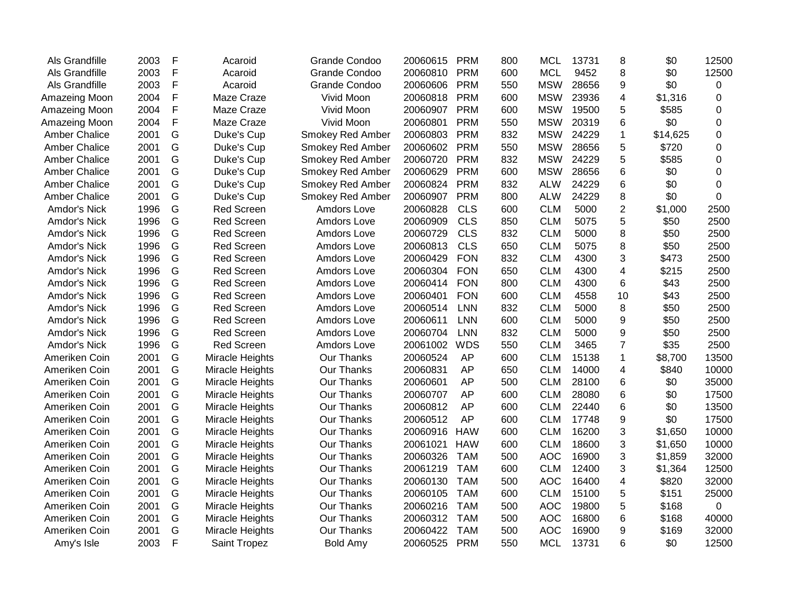| Als Grandfille       | 2003 | F | Acaroid           | <b>Grande Condoo</b>    | 20060615 | <b>PRM</b> | 800 | <b>MCL</b> | 13731 | 8              | \$0      | 12500    |
|----------------------|------|---|-------------------|-------------------------|----------|------------|-----|------------|-------|----------------|----------|----------|
| Als Grandfille       | 2003 | F | Acaroid           | <b>Grande Condoo</b>    | 20060810 | <b>PRM</b> | 600 | <b>MCL</b> | 9452  | 8              | \$0      | 12500    |
| Als Grandfille       | 2003 | F | Acaroid           | <b>Grande Condoo</b>    | 20060606 | <b>PRM</b> | 550 | <b>MSW</b> | 28656 | 9              | \$0      | 0        |
| Amazeing Moon        | 2004 | F | Maze Craze        | Vivid Moon              | 20060818 | <b>PRM</b> | 600 | <b>MSW</b> | 23936 | 4              | \$1,316  | 0        |
| Amazeing Moon        | 2004 | F | Maze Craze        | Vivid Moon              | 20060907 | <b>PRM</b> | 600 | <b>MSW</b> | 19500 | 5              | \$585    | $\Omega$ |
| Amazeing Moon        | 2004 | F | Maze Craze        | Vivid Moon              | 20060801 | <b>PRM</b> | 550 | <b>MSW</b> | 20319 | 6              | \$0      | 0        |
| <b>Amber Chalice</b> | 2001 | G | Duke's Cup        | <b>Smokey Red Amber</b> | 20060803 | <b>PRM</b> | 832 | <b>MSW</b> | 24229 | $\mathbf 1$    | \$14,625 | 0        |
| <b>Amber Chalice</b> | 2001 | G | Duke's Cup        | <b>Smokey Red Amber</b> | 20060602 | <b>PRM</b> | 550 | <b>MSW</b> | 28656 | 5              | \$720    | 0        |
| <b>Amber Chalice</b> | 2001 | G | Duke's Cup        | <b>Smokey Red Amber</b> | 20060720 | <b>PRM</b> | 832 | <b>MSW</b> | 24229 | 5              | \$585    | 0        |
| <b>Amber Chalice</b> | 2001 | G | Duke's Cup        | <b>Smokey Red Amber</b> | 20060629 | <b>PRM</b> | 600 | <b>MSW</b> | 28656 | 6              | \$0      | 0        |
| <b>Amber Chalice</b> | 2001 | G | Duke's Cup        | <b>Smokey Red Amber</b> | 20060824 | <b>PRM</b> | 832 | <b>ALW</b> | 24229 | 6              | \$0      | 0        |
| <b>Amber Chalice</b> | 2001 | G | Duke's Cup        | <b>Smokey Red Amber</b> | 20060907 | <b>PRM</b> | 800 | <b>ALW</b> | 24229 | 8              | \$0      | 0        |
| Amdor's Nick         | 1996 | G | <b>Red Screen</b> | Amdors Love             | 20060828 | <b>CLS</b> | 600 | <b>CLM</b> | 5000  | $\overline{2}$ | \$1,000  | 2500     |
| Amdor's Nick         | 1996 | G | <b>Red Screen</b> | Amdors Love             | 20060909 | <b>CLS</b> | 850 | <b>CLM</b> | 5075  | 5              | \$50     | 2500     |
| Amdor's Nick         | 1996 | G | Red Screen        | Amdors Love             | 20060729 | <b>CLS</b> | 832 | <b>CLM</b> | 5000  | 8              | \$50     | 2500     |
| Amdor's Nick         | 1996 | G | <b>Red Screen</b> | Amdors Love             | 20060813 | <b>CLS</b> | 650 | <b>CLM</b> | 5075  | 8              | \$50     | 2500     |
| Amdor's Nick         | 1996 | G | <b>Red Screen</b> | Amdors Love             | 20060429 | <b>FON</b> | 832 | <b>CLM</b> | 4300  | 3              | \$473    | 2500     |
| Amdor's Nick         | 1996 | G | <b>Red Screen</b> | Amdors Love             | 20060304 | <b>FON</b> | 650 | <b>CLM</b> | 4300  | 4              | \$215    | 2500     |
| Amdor's Nick         | 1996 | G | Red Screen        | Amdors Love             | 20060414 | <b>FON</b> | 800 | <b>CLM</b> | 4300  | 6              | \$43     | 2500     |
| Amdor's Nick         | 1996 | G | <b>Red Screen</b> | Amdors Love             | 20060401 | <b>FON</b> | 600 | <b>CLM</b> | 4558  | 10             | \$43     | 2500     |
| Amdor's Nick         | 1996 | G | Red Screen        | Amdors Love             | 20060514 | <b>LNN</b> | 832 | <b>CLM</b> | 5000  | 8              | \$50     | 2500     |
| Amdor's Nick         | 1996 | G | <b>Red Screen</b> | Amdors Love             | 20060611 | <b>LNN</b> | 600 | <b>CLM</b> | 5000  | 9              | \$50     | 2500     |
| Amdor's Nick         | 1996 | G | Red Screen        | Amdors Love             | 20060704 | <b>LNN</b> | 832 | <b>CLM</b> | 5000  | 9              | \$50     | 2500     |
| Amdor's Nick         | 1996 | G | <b>Red Screen</b> | Amdors Love             | 20061002 | <b>WDS</b> | 550 | <b>CLM</b> | 3465  | $\overline{7}$ | \$35     | 2500     |
| Ameriken Coin        | 2001 | G | Miracle Heights   | Our Thanks              | 20060524 | AP         | 600 | <b>CLM</b> | 15138 | $\mathbf 1$    | \$8,700  | 13500    |
| Ameriken Coin        | 2001 | G | Miracle Heights   | Our Thanks              | 20060831 | AP         | 650 | <b>CLM</b> | 14000 | 4              | \$840    | 10000    |
| Ameriken Coin        | 2001 | G | Miracle Heights   | Our Thanks              | 20060601 | <b>AP</b>  | 500 | <b>CLM</b> | 28100 | 6              | \$0      | 35000    |
| Ameriken Coin        | 2001 | G | Miracle Heights   | Our Thanks              | 20060707 | AP         | 600 | <b>CLM</b> | 28080 | 6              | \$0      | 17500    |
| Ameriken Coin        | 2001 | G | Miracle Heights   | Our Thanks              | 20060812 | AP         | 600 | <b>CLM</b> | 22440 | 6              | \$0      | 13500    |
| Ameriken Coin        | 2001 | G | Miracle Heights   | Our Thanks              | 20060512 | AP         | 600 | <b>CLM</b> | 17748 | 9              | \$0      | 17500    |
| Ameriken Coin        | 2001 | G | Miracle Heights   | Our Thanks              | 20060916 | <b>HAW</b> | 600 | <b>CLM</b> | 16200 | 3              | \$1,650  | 10000    |
| Ameriken Coin        | 2001 | G | Miracle Heights   | Our Thanks              | 20061021 | <b>HAW</b> | 600 | <b>CLM</b> | 18600 | 3              | \$1,650  | 10000    |
| Ameriken Coin        | 2001 | G | Miracle Heights   | Our Thanks              | 20060326 | <b>TAM</b> | 500 | <b>AOC</b> | 16900 | 3              | \$1,859  | 32000    |
| Ameriken Coin        | 2001 | G | Miracle Heights   | Our Thanks              | 20061219 | <b>TAM</b> | 600 | <b>CLM</b> | 12400 | 3              | \$1,364  | 12500    |
| Ameriken Coin        | 2001 | G | Miracle Heights   | Our Thanks              | 20060130 | <b>TAM</b> | 500 | <b>AOC</b> | 16400 | 4              | \$820    | 32000    |
| Ameriken Coin        | 2001 | G | Miracle Heights   | Our Thanks              | 20060105 | <b>TAM</b> | 600 | <b>CLM</b> | 15100 | 5              | \$151    | 25000    |
| Ameriken Coin        | 2001 | G | Miracle Heights   | Our Thanks              | 20060216 | <b>TAM</b> | 500 | <b>AOC</b> | 19800 | 5              | \$168    | 0        |
| Ameriken Coin        | 2001 | G | Miracle Heights   | Our Thanks              | 20060312 | <b>TAM</b> | 500 | <b>AOC</b> | 16800 | 6              | \$168    | 40000    |
| Ameriken Coin        | 2001 | G | Miracle Heights   | <b>Our Thanks</b>       | 20060422 | <b>TAM</b> | 500 | <b>AOC</b> | 16900 | 9              | \$169    | 32000    |
| Amy's Isle           | 2003 | F | Saint Tropez      | <b>Bold Amy</b>         | 20060525 | PRM        | 550 | <b>MCL</b> | 13731 | 6              | \$0      | 12500    |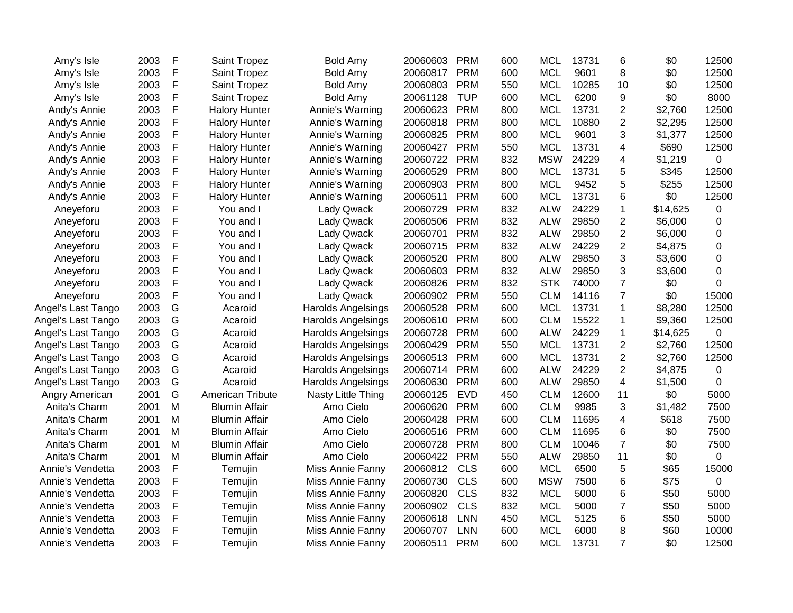| Amy's Isle         | 2003 | F | Saint Tropez         | <b>Bold Amy</b>           | 20060603 | <b>PRM</b> | 600 | <b>MCL</b> | 13731 | 6                       | \$0      | 12500          |
|--------------------|------|---|----------------------|---------------------------|----------|------------|-----|------------|-------|-------------------------|----------|----------------|
| Amy's Isle         | 2003 | F | Saint Tropez         | Bold Amy                  | 20060817 | <b>PRM</b> | 600 | <b>MCL</b> | 9601  | 8                       | \$0      | 12500          |
| Amy's Isle         | 2003 | F | Saint Tropez         | Bold Amy                  | 20060803 | <b>PRM</b> | 550 | <b>MCL</b> | 10285 | 10                      | \$0      | 12500          |
| Amy's Isle         | 2003 | F | Saint Tropez         | <b>Bold Amy</b>           | 20061128 | <b>TUP</b> | 600 | <b>MCL</b> | 6200  | 9                       | \$0      | 8000           |
| Andy's Annie       | 2003 | F | <b>Halory Hunter</b> | Annie's Warning           | 20060623 | <b>PRM</b> | 800 | <b>MCL</b> | 13731 | $\overline{2}$          | \$2,760  | 12500          |
| Andy's Annie       | 2003 | F | <b>Halory Hunter</b> | Annie's Warning           | 20060818 | <b>PRM</b> | 800 | <b>MCL</b> | 10880 | 2                       | \$2,295  | 12500          |
| Andy's Annie       | 2003 | F | <b>Halory Hunter</b> | Annie's Warning           | 20060825 | <b>PRM</b> | 800 | <b>MCL</b> | 9601  | 3                       | \$1,377  | 12500          |
| Andy's Annie       | 2003 | F | <b>Halory Hunter</b> | Annie's Warning           | 20060427 | <b>PRM</b> | 550 | <b>MCL</b> | 13731 | $\overline{\mathbf{4}}$ | \$690    | 12500          |
| Andy's Annie       | 2003 | F | <b>Halory Hunter</b> | Annie's Warning           | 20060722 | <b>PRM</b> | 832 | <b>MSW</b> | 24229 | 4                       | \$1,219  | 0              |
| Andy's Annie       | 2003 | F | <b>Halory Hunter</b> | Annie's Warning           | 20060529 | <b>PRM</b> | 800 | <b>MCL</b> | 13731 | 5                       | \$345    | 12500          |
| Andy's Annie       | 2003 | F | <b>Halory Hunter</b> | Annie's Warning           | 20060903 | <b>PRM</b> | 800 | <b>MCL</b> | 9452  | 5                       | \$255    | 12500          |
| Andy's Annie       | 2003 | F | <b>Halory Hunter</b> | Annie's Warning           | 20060511 | <b>PRM</b> | 600 | <b>MCL</b> | 13731 | 6                       | \$0      | 12500          |
| Aneyeforu          | 2003 | F | You and I            | <b>Lady Qwack</b>         | 20060729 | <b>PRM</b> | 832 | <b>ALW</b> | 24229 | 1                       | \$14,625 | 0              |
| Aneyeforu          | 2003 | F | You and I            | Lady Qwack                | 20060506 | <b>PRM</b> | 832 | <b>ALW</b> | 29850 | 2                       | \$6,000  | 0              |
| Aneyeforu          | 2003 | F | You and I            | <b>Lady Qwack</b>         | 20060701 | <b>PRM</b> | 832 | <b>ALW</b> | 29850 | $\overline{c}$          | \$6,000  | 0              |
| Aneyeforu          | 2003 | F | You and I            | Lady Qwack                | 20060715 | <b>PRM</b> | 832 | <b>ALW</b> | 24229 | $\overline{c}$          | \$4,875  | 0              |
| Aneyeforu          | 2003 | F | You and I            | <b>Lady Qwack</b>         | 20060520 | <b>PRM</b> | 800 | <b>ALW</b> | 29850 | 3                       | \$3,600  | 0              |
| Aneyeforu          | 2003 | F | You and I            | <b>Lady Qwack</b>         | 20060603 | <b>PRM</b> | 832 | <b>ALW</b> | 29850 | 3                       | \$3,600  | 0              |
| Aneyeforu          | 2003 | F | You and I            | <b>Lady Qwack</b>         | 20060826 | <b>PRM</b> | 832 | <b>STK</b> | 74000 | $\overline{7}$          | \$0      | 0              |
| Aneyeforu          | 2003 | F | You and I            | <b>Lady Qwack</b>         | 20060902 | <b>PRM</b> | 550 | <b>CLM</b> | 14116 | $\overline{7}$          | \$0      | 15000          |
| Angel's Last Tango | 2003 | G | Acaroid              | Harolds Angelsings        | 20060528 | <b>PRM</b> | 600 | <b>MCL</b> | 13731 | 1                       | \$8,280  | 12500          |
| Angel's Last Tango | 2003 | G | Acaroid              | Harolds Angelsings        | 20060610 | <b>PRM</b> | 600 | <b>CLM</b> | 15522 | 1                       | \$9,360  | 12500          |
| Angel's Last Tango | 2003 | G | Acaroid              | Harolds Angelsings        | 20060728 | <b>PRM</b> | 600 | <b>ALW</b> | 24229 | 1                       | \$14,625 | 0              |
| Angel's Last Tango | 2003 | G | Acaroid              | <b>Harolds Angelsings</b> | 20060429 | <b>PRM</b> | 550 | <b>MCL</b> | 13731 | $\overline{c}$          | \$2,760  | 12500          |
| Angel's Last Tango | 2003 | G | Acaroid              | <b>Harolds Angelsings</b> | 20060513 | <b>PRM</b> | 600 | <b>MCL</b> | 13731 | 2                       | \$2,760  | 12500          |
| Angel's Last Tango | 2003 | G | Acaroid              | Harolds Angelsings        | 20060714 | <b>PRM</b> | 600 | <b>ALW</b> | 24229 | $\overline{2}$          | \$4,875  | 0              |
| Angel's Last Tango | 2003 | G | Acaroid              | Harolds Angelsings        | 20060630 | <b>PRM</b> | 600 | <b>ALW</b> | 29850 | 4                       | \$1,500  | 0              |
| Angry American     | 2001 | G | American Tribute     | <b>Nasty Little Thing</b> | 20060125 | <b>EVD</b> | 450 | <b>CLM</b> | 12600 | 11                      | \$0      | 5000           |
| Anita's Charm      | 2001 | M | <b>Blumin Affair</b> | Amo Cielo                 | 20060620 | <b>PRM</b> | 600 | <b>CLM</b> | 9985  | 3                       | \$1,482  | 7500           |
| Anita's Charm      | 2001 | M | <b>Blumin Affair</b> | Amo Cielo                 | 20060428 | <b>PRM</b> | 600 | <b>CLM</b> | 11695 | 4                       | \$618    | 7500           |
| Anita's Charm      | 2001 | M | <b>Blumin Affair</b> | Amo Cielo                 | 20060516 | <b>PRM</b> | 600 | <b>CLM</b> | 11695 | 6                       | \$0      | 7500           |
| Anita's Charm      | 2001 | M | <b>Blumin Affair</b> | Amo Cielo                 | 20060728 | <b>PRM</b> | 800 | <b>CLM</b> | 10046 | $\overline{7}$          | \$0      | 7500           |
| Anita's Charm      | 2001 | M | <b>Blumin Affair</b> | Amo Cielo                 | 20060422 | <b>PRM</b> | 550 | <b>ALW</b> | 29850 | 11                      | \$0      | $\overline{0}$ |
| Annie's Vendetta   | 2003 | F | Temujin              | Miss Annie Fanny          | 20060812 | <b>CLS</b> | 600 | <b>MCL</b> | 6500  | 5                       | \$65     | 15000          |
| Annie's Vendetta   | 2003 | F | Temujin              | Miss Annie Fanny          | 20060730 | CLS        | 600 | <b>MSW</b> | 7500  | 6                       | \$75     | 0              |
| Annie's Vendetta   | 2003 | F | Temujin              | Miss Annie Fanny          | 20060820 | <b>CLS</b> | 832 | <b>MCL</b> | 5000  | 6                       | \$50     | 5000           |
| Annie's Vendetta   | 2003 | F | Temujin              | Miss Annie Fanny          | 20060902 | <b>CLS</b> | 832 | <b>MCL</b> | 5000  | 7                       | \$50     | 5000           |
| Annie's Vendetta   | 2003 | F | Temujin              | Miss Annie Fanny          | 20060618 | <b>LNN</b> | 450 | <b>MCL</b> | 5125  | 6                       | \$50     | 5000           |
| Annie's Vendetta   | 2003 | F | Temujin              | Miss Annie Fanny          | 20060707 | <b>LNN</b> | 600 | <b>MCL</b> | 6000  | 8                       | \$60     | 10000          |
| Annie's Vendetta   | 2003 | F | Temujin              | Miss Annie Fanny          | 20060511 | <b>PRM</b> | 600 | <b>MCL</b> | 13731 | $\overline{7}$          | \$0      | 12500          |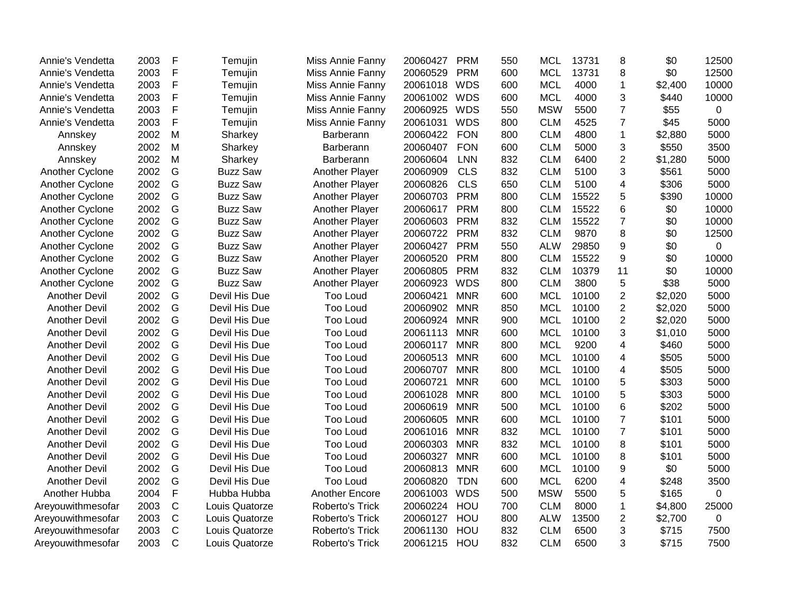| Annie's Vendetta     | 2003 | F            | Temujin         | Miss Annie Fanny      | 20060427     | <b>PRM</b> | 550 | <b>MCL</b> | 13731 | 8                       | \$0     | 12500          |
|----------------------|------|--------------|-----------------|-----------------------|--------------|------------|-----|------------|-------|-------------------------|---------|----------------|
| Annie's Vendetta     | 2003 | $\mathsf F$  | Temujin         | Miss Annie Fanny      | 20060529     | <b>PRM</b> | 600 | <b>MCL</b> | 13731 | 8                       | \$0     | 12500          |
| Annie's Vendetta     | 2003 | $\mathsf F$  | Temujin         | Miss Annie Fanny      | 20061018     | <b>WDS</b> | 600 | <b>MCL</b> | 4000  | 1                       | \$2,400 | 10000          |
| Annie's Vendetta     | 2003 | $\mathsf F$  | Temujin         | Miss Annie Fanny      | 20061002 WDS |            | 600 | <b>MCL</b> | 4000  | 3                       | \$440   | 10000          |
| Annie's Vendetta     | 2003 | $\mathsf F$  | Temujin         | Miss Annie Fanny      | 20060925     | <b>WDS</b> | 550 | <b>MSW</b> | 5500  | $\overline{7}$          | \$55    | 0              |
| Annie's Vendetta     | 2003 | $\mathsf F$  | Temujin         | Miss Annie Fanny      | 20061031     | <b>WDS</b> | 800 | <b>CLM</b> | 4525  | $\overline{7}$          | \$45    | 5000           |
| Annskey              | 2002 | ${\sf M}$    | Sharkey         | Barberann             | 20060422     | <b>FON</b> | 800 | <b>CLM</b> | 4800  | $\mathbf{1}$            | \$2,880 | 5000           |
| Annskey              | 2002 | M            | Sharkey         | Barberann             | 20060407     | <b>FON</b> | 600 | <b>CLM</b> | 5000  | 3                       | \$550   | 3500           |
| Annskey              | 2002 | M            | Sharkey         | Barberann             | 20060604     | <b>LNN</b> | 832 | <b>CLM</b> | 6400  | $\overline{c}$          | \$1,280 | 5000           |
| Another Cyclone      | 2002 | G            | <b>Buzz Saw</b> | Another Player        | 20060909     | <b>CLS</b> | 832 | <b>CLM</b> | 5100  | 3                       | \$561   | 5000           |
| Another Cyclone      | 2002 | G            | <b>Buzz Saw</b> | Another Player        | 20060826     | <b>CLS</b> | 650 | <b>CLM</b> | 5100  | 4                       | \$306   | 5000           |
| Another Cyclone      | 2002 | G            | <b>Buzz Saw</b> | Another Player        | 20060703     | <b>PRM</b> | 800 | <b>CLM</b> | 15522 | 5                       | \$390   | 10000          |
| Another Cyclone      | 2002 | G            | <b>Buzz Saw</b> | Another Player        | 20060617     | <b>PRM</b> | 800 | <b>CLM</b> | 15522 | 6                       | \$0     | 10000          |
| Another Cyclone      | 2002 | G            | <b>Buzz Saw</b> | Another Player        | 20060603     | <b>PRM</b> | 832 | <b>CLM</b> | 15522 | $\overline{7}$          | \$0     | 10000          |
| Another Cyclone      | 2002 | G            | <b>Buzz Saw</b> | Another Player        | 20060722     | <b>PRM</b> | 832 | <b>CLM</b> | 9870  | 8                       | \$0     | 12500          |
| Another Cyclone      | 2002 | G            | <b>Buzz Saw</b> | Another Player        | 20060427     | <b>PRM</b> | 550 | <b>ALW</b> | 29850 | 9                       | \$0     | $\overline{0}$ |
| Another Cyclone      | 2002 | G            | <b>Buzz Saw</b> | Another Player        | 20060520     | <b>PRM</b> | 800 | <b>CLM</b> | 15522 | 9                       | \$0     | 10000          |
| Another Cyclone      | 2002 | G            | <b>Buzz Saw</b> | Another Player        | 20060805     | <b>PRM</b> | 832 | <b>CLM</b> | 10379 | 11                      | \$0     | 10000          |
| Another Cyclone      | 2002 | G            | <b>Buzz Saw</b> | Another Player        | 20060923     | <b>WDS</b> | 800 | <b>CLM</b> | 3800  | 5                       | \$38    | 5000           |
| Another Devil        | 2002 | G            | Devil His Due   | <b>Too Loud</b>       | 20060421     | <b>MNR</b> | 600 | <b>MCL</b> | 10100 | $\overline{2}$          | \$2,020 | 5000           |
| <b>Another Devil</b> | 2002 | G            | Devil His Due   | <b>Too Loud</b>       | 20060902     | <b>MNR</b> | 850 | <b>MCL</b> | 10100 | $\overline{2}$          | \$2,020 | 5000           |
| Another Devil        | 2002 | G            | Devil His Due   | Too Loud              | 20060924     | <b>MNR</b> | 900 | <b>MCL</b> | 10100 | $\overline{2}$          | \$2,020 | 5000           |
| <b>Another Devil</b> | 2002 | G            | Devil His Due   | <b>Too Loud</b>       | 20061113     | <b>MNR</b> | 600 | <b>MCL</b> | 10100 | 3                       | \$1,010 | 5000           |
| <b>Another Devil</b> | 2002 | G            | Devil His Due   | <b>Too Loud</b>       | 20060117     | <b>MNR</b> | 800 | <b>MCL</b> | 9200  | 4                       | \$460   | 5000           |
| <b>Another Devil</b> | 2002 | G            | Devil His Due   | <b>Too Loud</b>       | 20060513     | <b>MNR</b> | 600 | <b>MCL</b> | 10100 | 4                       | \$505   | 5000           |
| <b>Another Devil</b> | 2002 | G            | Devil His Due   | Too Loud              | 20060707     | <b>MNR</b> | 800 | <b>MCL</b> | 10100 | 4                       | \$505   | 5000           |
| <b>Another Devil</b> | 2002 | G            | Devil His Due   | <b>Too Loud</b>       | 20060721     | <b>MNR</b> | 600 | <b>MCL</b> | 10100 | 5                       | \$303   | 5000           |
| <b>Another Devil</b> | 2002 | G            | Devil His Due   | <b>Too Loud</b>       | 20061028     | <b>MNR</b> | 800 | <b>MCL</b> | 10100 | 5                       | \$303   | 5000           |
| <b>Another Devil</b> | 2002 | G            | Devil His Due   | <b>Too Loud</b>       | 20060619     | <b>MNR</b> | 500 | <b>MCL</b> | 10100 | 6                       | \$202   | 5000           |
| <b>Another Devil</b> | 2002 | G            | Devil His Due   | Too Loud              | 20060605     | <b>MNR</b> | 600 | <b>MCL</b> | 10100 | $\overline{7}$          | \$101   | 5000           |
| <b>Another Devil</b> | 2002 | G            | Devil His Due   | <b>Too Loud</b>       | 20061016     | <b>MNR</b> | 832 | <b>MCL</b> | 10100 | $\overline{7}$          | \$101   | 5000           |
| <b>Another Devil</b> | 2002 | G            | Devil His Due   | <b>Too Loud</b>       | 20060303     | <b>MNR</b> | 832 | <b>MCL</b> | 10100 | 8                       | \$101   | 5000           |
| <b>Another Devil</b> | 2002 | G            | Devil His Due   | <b>Too Loud</b>       | 20060327     | <b>MNR</b> | 600 | <b>MCL</b> | 10100 | 8                       | \$101   | 5000           |
| Another Devil        | 2002 | G            | Devil His Due   | <b>Too Loud</b>       | 20060813     | <b>MNR</b> | 600 | <b>MCL</b> | 10100 | 9                       | \$0     | 5000           |
| <b>Another Devil</b> | 2002 | G            | Devil His Due   | <b>Too Loud</b>       | 20060820     | <b>TDN</b> | 600 | <b>MCL</b> | 6200  | $\overline{\mathbf{4}}$ | \$248   | 3500           |
| Another Hubba        | 2004 | F            | Hubba Hubba     | <b>Another Encore</b> | 20061003     | <b>WDS</b> | 500 | <b>MSW</b> | 5500  | 5                       | \$165   | 0              |
| Areyouwithmesofar    | 2003 | $\mathsf{C}$ | Louis Quatorze  | Roberto's Trick       | 20060224     | HOU        | 700 | <b>CLM</b> | 8000  | 1                       | \$4,800 | 25000          |
| Areyouwithmesofar    | 2003 | $\mathsf C$  | Louis Quatorze  | Roberto's Trick       | 20060127     | HOU        | 800 | <b>ALW</b> | 13500 | $\boldsymbol{2}$        | \$2,700 | 0              |
| Areyouwithmesofar    | 2003 | $\mathsf C$  | Louis Quatorze  | Roberto's Trick       | 20061130     | HOU        | 832 | <b>CLM</b> | 6500  | 3                       | \$715   | 7500           |
| Areyouwithmesofar    | 2003 | $\mathsf{C}$ | Louis Quatorze  | Roberto's Trick       | 20061215     | HOU        | 832 | <b>CLM</b> | 6500  | 3                       | \$715   | 7500           |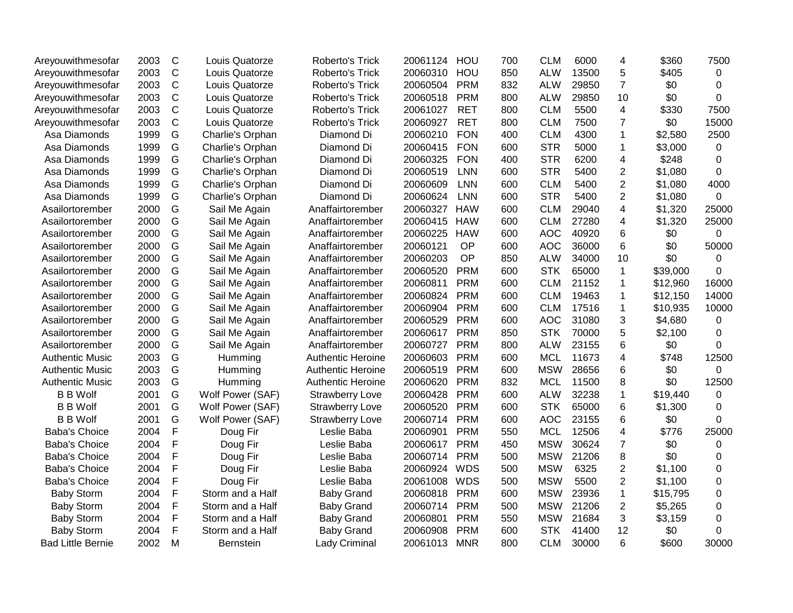| Areyouwithmesofar        | 2003 | $\mathsf{C}$ | Louis Quatorze   | Roberto's Trick          | 20061124     | HOU        | 700 | <b>CLM</b> | 6000  | 4                       | \$360    | 7500           |
|--------------------------|------|--------------|------------------|--------------------------|--------------|------------|-----|------------|-------|-------------------------|----------|----------------|
| Areyouwithmesofar        | 2003 | $\mathsf C$  | Louis Quatorze   | Roberto's Trick          | 20060310     | HOU        | 850 | <b>ALW</b> | 13500 | 5                       | \$405    | 0              |
| Areyouwithmesofar        | 2003 | $\mathsf{C}$ | Louis Quatorze   | Roberto's Trick          | 20060504     | <b>PRM</b> | 832 | <b>ALW</b> | 29850 | $\overline{7}$          | \$0      | 0              |
| Areyouwithmesofar        | 2003 | $\mathsf C$  | Louis Quatorze   | Roberto's Trick          | 20060518     | <b>PRM</b> | 800 | <b>ALW</b> | 29850 | 10                      | \$0      | $\Omega$       |
| Areyouwithmesofar        | 2003 | C            | Louis Quatorze   | Roberto's Trick          | 20061027     | <b>RET</b> | 800 | <b>CLM</b> | 5500  | 4                       | \$330    | 7500           |
| Areyouwithmesofar        | 2003 | С            | Louis Quatorze   | Roberto's Trick          | 20060927     | <b>RET</b> | 800 | <b>CLM</b> | 7500  | 7                       | \$0      | 15000          |
| Asa Diamonds             | 1999 | G            | Charlie's Orphan | Diamond Di               | 20060210     | <b>FON</b> | 400 | <b>CLM</b> | 4300  | $\mathbf 1$             | \$2,580  | 2500           |
| Asa Diamonds             | 1999 | G            | Charlie's Orphan | Diamond Di               | 20060415     | <b>FON</b> | 600 | <b>STR</b> | 5000  | 1                       | \$3,000  | 0              |
| Asa Diamonds             | 1999 | G            | Charlie's Orphan | Diamond Di               | 20060325     | <b>FON</b> | 400 | <b>STR</b> | 6200  | $\overline{\mathbf{4}}$ | \$248    | $\mathbf 0$    |
| Asa Diamonds             | 1999 | G            | Charlie's Orphan | Diamond Di               | 20060519     | <b>LNN</b> | 600 | <b>STR</b> | 5400  | $\overline{2}$          | \$1,080  | $\Omega$       |
| Asa Diamonds             | 1999 | G            | Charlie's Orphan | Diamond Di               | 20060609     | <b>LNN</b> | 600 | <b>CLM</b> | 5400  | $\overline{2}$          | \$1,080  | 4000           |
| Asa Diamonds             | 1999 | G            | Charlie's Orphan | Diamond Di               | 20060624     | LNN        | 600 | <b>STR</b> | 5400  | $\overline{2}$          | \$1,080  | $\mathbf 0$    |
| Asailortorember          | 2000 | G            | Sail Me Again    | Anaffairtorember         | 20060327 HAW |            | 600 | <b>CLM</b> | 29040 | 4                       | \$1,320  | 25000          |
| Asailortorember          | 2000 | G            | Sail Me Again    | Anaffairtorember         | 20060415     | <b>HAW</b> | 600 | <b>CLM</b> | 27280 | 4                       | \$1,320  | 25000          |
| Asailortorember          | 2000 | G            | Sail Me Again    | Anaffairtorember         | 20060225     | <b>HAW</b> | 600 | <b>AOC</b> | 40920 | 6                       | \$0      | 0              |
| Asailortorember          | 2000 | G            | Sail Me Again    | Anaffairtorember         | 20060121     | <b>OP</b>  | 600 | <b>AOC</b> | 36000 | 6                       | \$0      | 50000          |
| Asailortorember          | 2000 | G            | Sail Me Again    | Anaffairtorember         | 20060203     | OP         | 850 | <b>ALW</b> | 34000 | 10                      | \$0      | 0              |
| Asailortorember          | 2000 | G            | Sail Me Again    | Anaffairtorember         | 20060520     | <b>PRM</b> | 600 | <b>STK</b> | 65000 | $\mathbf{1}$            | \$39,000 | $\Omega$       |
| Asailortorember          | 2000 | G            | Sail Me Again    | Anaffairtorember         | 20060811     | <b>PRM</b> | 600 | <b>CLM</b> | 21152 | 1                       | \$12,960 | 16000          |
| Asailortorember          | 2000 | G            | Sail Me Again    | Anaffairtorember         | 20060824     | <b>PRM</b> | 600 | <b>CLM</b> | 19463 | 1                       | \$12,150 | 14000          |
| Asailortorember          | 2000 | G            | Sail Me Again    | Anaffairtorember         | 20060904     | <b>PRM</b> | 600 | <b>CLM</b> | 17516 | 1                       | \$10,935 | 10000          |
| Asailortorember          | 2000 | G            | Sail Me Again    | Anaffairtorember         | 20060529     | <b>PRM</b> | 600 | <b>AOC</b> | 31080 | 3                       | \$4,680  | 0              |
| Asailortorember          | 2000 | G            | Sail Me Again    | Anaffairtorember         | 20060617     | <b>PRM</b> | 850 | <b>STK</b> | 70000 | 5                       | \$2,100  | $\Omega$       |
| Asailortorember          | 2000 | G            | Sail Me Again    | Anaffairtorember         | 20060727     | <b>PRM</b> | 800 | <b>ALW</b> | 23155 | 6                       | \$0      | $\Omega$       |
| <b>Authentic Music</b>   | 2003 | G            | Humming          | <b>Authentic Heroine</b> | 20060603     | <b>PRM</b> | 600 | <b>MCL</b> | 11673 | 4                       | \$748    | 12500          |
| <b>Authentic Music</b>   | 2003 | G            | Humming          | <b>Authentic Heroine</b> | 20060519     | <b>PRM</b> | 600 | <b>MSW</b> | 28656 | 6                       | \$0      | $\Omega$       |
| <b>Authentic Music</b>   | 2003 | G            | Humming          | <b>Authentic Heroine</b> | 20060620     | <b>PRM</b> | 832 | <b>MCL</b> | 11500 | 8                       | \$0      | 12500          |
| <b>B B Wolf</b>          | 2001 | G            | Wolf Power (SAF) | <b>Strawberry Love</b>   | 20060428     | <b>PRM</b> | 600 | <b>ALW</b> | 32238 | 1                       | \$19,440 | 0              |
| <b>B</b> B Wolf          | 2001 | G            | Wolf Power (SAF) | <b>Strawberry Love</b>   | 20060520     | <b>PRM</b> | 600 | <b>STK</b> | 65000 | 6                       | \$1,300  | $\Omega$       |
| <b>B B Wolf</b>          | 2001 | G            | Wolf Power (SAF) | <b>Strawberry Love</b>   | 20060714     | <b>PRM</b> | 600 | <b>AOC</b> | 23155 | 6                       | \$0      | 0              |
| <b>Baba's Choice</b>     | 2004 | F            | Doug Fir         | Leslie Baba              | 20060901     | <b>PRM</b> | 550 | <b>MCL</b> | 12506 | $\overline{\mathbf{4}}$ | \$776    | 25000          |
| <b>Baba's Choice</b>     | 2004 | F            | Doug Fir         | Leslie Baba              | 20060617     | <b>PRM</b> | 450 | <b>MSW</b> | 30624 | $\overline{7}$          | \$0      | 0              |
| <b>Baba's Choice</b>     | 2004 | F            | Doug Fir         | Leslie Baba              | 20060714     | <b>PRM</b> | 500 | <b>MSW</b> | 21206 | 8                       | \$0      | $\Omega$       |
| <b>Baba's Choice</b>     | 2004 | F            | Doug Fir         | Leslie Baba              | 20060924     | WDS        | 500 | <b>MSW</b> | 6325  | $\overline{2}$          | \$1,100  | $\Omega$       |
| Baba's Choice            | 2004 | F            | Doug Fir         | Leslie Baba              | 20061008     | <b>WDS</b> | 500 | <b>MSW</b> | 5500  | $\overline{2}$          | \$1,100  | $\mathbf 0$    |
| <b>Baby Storm</b>        | 2004 | F            | Storm and a Half | <b>Baby Grand</b>        | 20060818     | <b>PRM</b> | 600 | <b>MSW</b> | 23936 | 1                       | \$15,795 | $\overline{0}$ |
| <b>Baby Storm</b>        | 2004 | F            | Storm and a Half | <b>Baby Grand</b>        | 20060714     | <b>PRM</b> | 500 | <b>MSW</b> | 21206 | $\overline{2}$          | \$5,265  | 0              |
| <b>Baby Storm</b>        | 2004 | F            | Storm and a Half | <b>Baby Grand</b>        | 20060801     | <b>PRM</b> | 550 | <b>MSW</b> | 21684 | 3                       | \$3,159  | 0              |
| <b>Baby Storm</b>        | 2004 | F            | Storm and a Half | <b>Baby Grand</b>        | 20060908     | <b>PRM</b> | 600 | <b>STK</b> | 41400 | 12                      | \$0      | 0              |
| <b>Bad Little Bernie</b> | 2002 | M            | <b>Bernstein</b> | Lady Criminal            | 20061013     | <b>MNR</b> | 800 | <b>CLM</b> | 30000 | 6                       | \$600    | 30000          |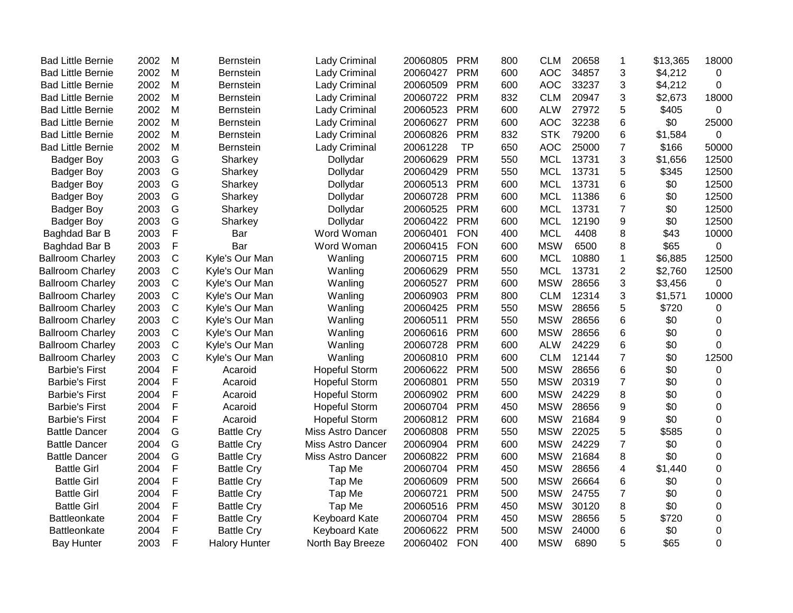| <b>Bad Little Bernie</b> | 2002 | M            | Bernstein            | <b>Lady Criminal</b>     | 20060805 | <b>PRM</b> | 800 | <b>CLM</b> | 20658 | 1              | \$13,365 | 18000       |
|--------------------------|------|--------------|----------------------|--------------------------|----------|------------|-----|------------|-------|----------------|----------|-------------|
| <b>Bad Little Bernie</b> | 2002 | M            | <b>Bernstein</b>     | Lady Criminal            | 20060427 | <b>PRM</b> | 600 | <b>AOC</b> | 34857 | 3              | \$4,212  | 0           |
| <b>Bad Little Bernie</b> | 2002 | M            | <b>Bernstein</b>     | Lady Criminal            | 20060509 | <b>PRM</b> | 600 | <b>AOC</b> | 33237 | 3              | \$4,212  | 0           |
| <b>Bad Little Bernie</b> | 2002 | M            | <b>Bernstein</b>     | Lady Criminal            | 20060722 | <b>PRM</b> | 832 | <b>CLM</b> | 20947 | 3              | \$2,673  | 18000       |
| <b>Bad Little Bernie</b> | 2002 | M            | <b>Bernstein</b>     | Lady Criminal            | 20060523 | <b>PRM</b> | 600 | <b>ALW</b> | 27972 | 5              | \$405    | 0           |
| <b>Bad Little Bernie</b> | 2002 | M            | <b>Bernstein</b>     | Lady Criminal            | 20060627 | <b>PRM</b> | 600 | <b>AOC</b> | 32238 | 6              | \$0      | 25000       |
| <b>Bad Little Bernie</b> | 2002 | M            | <b>Bernstein</b>     | Lady Criminal            | 20060826 | <b>PRM</b> | 832 | <b>STK</b> | 79200 | 6              | \$1,584  | 0           |
| <b>Bad Little Bernie</b> | 2002 | M            | <b>Bernstein</b>     | Lady Criminal            | 20061228 | <b>TP</b>  | 650 | <b>AOC</b> | 25000 | $\overline{7}$ | \$166    | 50000       |
| <b>Badger Boy</b>        | 2003 | G            | Sharkey              | Dollydar                 | 20060629 | <b>PRM</b> | 550 | <b>MCL</b> | 13731 | 3              | \$1,656  | 12500       |
| <b>Badger Boy</b>        | 2003 | G            | Sharkey              | Dollydar                 | 20060429 | <b>PRM</b> | 550 | <b>MCL</b> | 13731 | 5              | \$345    | 12500       |
| <b>Badger Boy</b>        | 2003 | G            | Sharkey              | Dollydar                 | 20060513 | <b>PRM</b> | 600 | <b>MCL</b> | 13731 | 6              | \$0      | 12500       |
| <b>Badger Boy</b>        | 2003 | G            | Sharkey              | Dollydar                 | 20060728 | <b>PRM</b> | 600 | <b>MCL</b> | 11386 | 6              | \$0      | 12500       |
| <b>Badger Boy</b>        | 2003 | G            | Sharkey              | Dollydar                 | 20060525 | <b>PRM</b> | 600 | <b>MCL</b> | 13731 | $\overline{7}$ | \$0      | 12500       |
| <b>Badger Boy</b>        | 2003 | G            | Sharkey              | Dollydar                 | 20060422 | <b>PRM</b> | 600 | <b>MCL</b> | 12190 | 9              | \$0      | 12500       |
| Baghdad Bar B            | 2003 | F            | Bar                  | Word Woman               | 20060401 | <b>FON</b> | 400 | <b>MCL</b> | 4408  | 8              | \$43     | 10000       |
| Baghdad Bar B            | 2003 | F            | Bar                  | Word Woman               | 20060415 | <b>FON</b> | 600 | <b>MSW</b> | 6500  | 8              | \$65     | $\mathbf 0$ |
| <b>Ballroom Charley</b>  | 2003 | $\mathsf C$  | Kyle's Our Man       | Wanling                  | 20060715 | <b>PRM</b> | 600 | <b>MCL</b> | 10880 | $\mathbf{1}$   | \$6,885  | 12500       |
| <b>Ballroom Charley</b>  | 2003 | $\mathsf{C}$ | Kyle's Our Man       | Wanling                  | 20060629 | <b>PRM</b> | 550 | <b>MCL</b> | 13731 | $\overline{2}$ | \$2,760  | 12500       |
| <b>Ballroom Charley</b>  | 2003 | $\mathsf{C}$ | Kyle's Our Man       | Wanling                  | 20060527 | <b>PRM</b> | 600 | <b>MSW</b> | 28656 | 3              | \$3,456  | 0           |
| <b>Ballroom Charley</b>  | 2003 | $\mathsf{C}$ | Kyle's Our Man       | Wanling                  | 20060903 | <b>PRM</b> | 800 | <b>CLM</b> | 12314 | 3              | \$1,571  | 10000       |
| <b>Ballroom Charley</b>  | 2003 | $\mathsf C$  | Kyle's Our Man       | Wanling                  | 20060425 | <b>PRM</b> | 550 | <b>MSW</b> | 28656 | 5              | \$720    | 0           |
| <b>Ballroom Charley</b>  | 2003 | $\mathsf C$  | Kyle's Our Man       | Wanling                  | 20060511 | <b>PRM</b> | 550 | <b>MSW</b> | 28656 | 6              | \$0      | 0           |
| <b>Ballroom Charley</b>  | 2003 | $\mathsf C$  | Kyle's Our Man       | Wanling                  | 20060616 | <b>PRM</b> | 600 | <b>MSW</b> | 28656 | 6              | \$0      | 0           |
| <b>Ballroom Charley</b>  | 2003 | $\mathsf C$  | Kyle's Our Man       | Wanling                  | 20060728 | <b>PRM</b> | 600 | <b>ALW</b> | 24229 | 6              | \$0      | $\Omega$    |
| <b>Ballroom Charley</b>  | 2003 | $\mathsf C$  | Kyle's Our Man       | Wanling                  | 20060810 | <b>PRM</b> | 600 | <b>CLM</b> | 12144 | $\overline{7}$ | \$0      | 12500       |
| <b>Barbie's First</b>    | 2004 | F            | Acaroid              | <b>Hopeful Storm</b>     | 20060622 | <b>PRM</b> | 500 | <b>MSW</b> | 28656 | 6              | \$0      | 0           |
| <b>Barbie's First</b>    | 2004 | F            | Acaroid              | <b>Hopeful Storm</b>     | 20060801 | <b>PRM</b> | 550 | <b>MSW</b> | 20319 | $\overline{7}$ | \$0      | 0           |
| <b>Barbie's First</b>    | 2004 | F            | Acaroid              | <b>Hopeful Storm</b>     | 20060902 | <b>PRM</b> | 600 | <b>MSW</b> | 24229 | 8              | \$0      | 0           |
| <b>Barbie's First</b>    | 2004 | F            | Acaroid              | <b>Hopeful Storm</b>     | 20060704 | <b>PRM</b> | 450 | <b>MSW</b> | 28656 | 9              | \$0      | 0           |
| <b>Barbie's First</b>    | 2004 | $\mathsf{F}$ | Acaroid              | <b>Hopeful Storm</b>     | 20060812 | <b>PRM</b> | 600 | <b>MSW</b> | 21684 | 9              | \$0      | 0           |
| <b>Battle Dancer</b>     | 2004 | G            | <b>Battle Cry</b>    | <b>Miss Astro Dancer</b> | 20060808 | <b>PRM</b> | 550 | <b>MSW</b> | 22025 | 5              | \$585    | 0           |
| <b>Battle Dancer</b>     | 2004 | G            | <b>Battle Cry</b>    | <b>Miss Astro Dancer</b> | 20060904 | <b>PRM</b> | 600 | <b>MSW</b> | 24229 | $\overline{7}$ | \$0      | 0           |
| <b>Battle Dancer</b>     | 2004 | G            | <b>Battle Cry</b>    | Miss Astro Dancer        | 20060822 | <b>PRM</b> | 600 | <b>MSW</b> | 21684 | 8              | \$0      | 0           |
| <b>Battle Girl</b>       | 2004 | F            | <b>Battle Cry</b>    | Tap Me                   | 20060704 | <b>PRM</b> | 450 | <b>MSW</b> | 28656 | 4              | \$1,440  | 0           |
| <b>Battle Girl</b>       | 2004 | F            | <b>Battle Cry</b>    | Tap Me                   | 20060609 | <b>PRM</b> | 500 | <b>MSW</b> | 26664 | 6              | \$0      | $\Omega$    |
| <b>Battle Girl</b>       | 2004 | F            | <b>Battle Cry</b>    | Tap Me                   | 20060721 | <b>PRM</b> | 500 | <b>MSW</b> | 24755 | $\overline{7}$ | \$0      | 0           |
| <b>Battle Girl</b>       | 2004 | F            | <b>Battle Cry</b>    | Tap Me                   | 20060516 | <b>PRM</b> | 450 | <b>MSW</b> | 30120 | 8              | \$0      | 0           |
| Battleonkate             | 2004 | F            | <b>Battle Cry</b>    | Keyboard Kate            | 20060704 | <b>PRM</b> | 450 | <b>MSW</b> | 28656 | 5              | \$720    | 0           |
| Battleonkate             | 2004 | F            | <b>Battle Cry</b>    | <b>Keyboard Kate</b>     | 20060622 | <b>PRM</b> | 500 | <b>MSW</b> | 24000 | 6              | \$0      | 0           |
| <b>Bay Hunter</b>        | 2003 | F            | <b>Halory Hunter</b> | North Bay Breeze         | 20060402 | <b>FON</b> | 400 | <b>MSW</b> | 6890  | 5              | \$65     | 0           |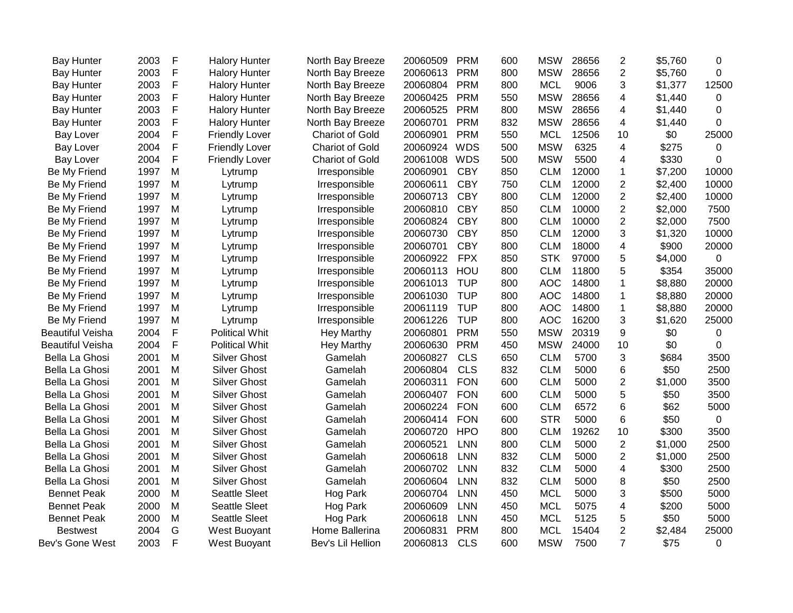| <b>Bay Hunter</b>       | 2003 | F            | <b>Halory Hunter</b>  | North Bay Breeze       | 20060509 | <b>PRM</b> | 600 | <b>MSW</b> | 28656 | $\overline{2}$          | \$5,760 | 0           |
|-------------------------|------|--------------|-----------------------|------------------------|----------|------------|-----|------------|-------|-------------------------|---------|-------------|
| <b>Bay Hunter</b>       | 2003 | $\mathsf{F}$ | <b>Halory Hunter</b>  | North Bay Breeze       | 20060613 | <b>PRM</b> | 800 | <b>MSW</b> | 28656 | $\overline{2}$          | \$5,760 | 0           |
| <b>Bay Hunter</b>       | 2003 | F            | <b>Halory Hunter</b>  | North Bay Breeze       | 20060804 | <b>PRM</b> | 800 | <b>MCL</b> | 9006  | 3                       | \$1,377 | 12500       |
| <b>Bay Hunter</b>       | 2003 | F            | <b>Halory Hunter</b>  | North Bay Breeze       | 20060425 | <b>PRM</b> | 550 | <b>MSW</b> | 28656 | 4                       | \$1,440 | $\mathbf 0$ |
| <b>Bay Hunter</b>       | 2003 | F            | <b>Halory Hunter</b>  | North Bay Breeze       | 20060525 | <b>PRM</b> | 800 | <b>MSW</b> | 28656 | 4                       | \$1,440 | 0           |
| <b>Bay Hunter</b>       | 2003 | F            | <b>Halory Hunter</b>  | North Bay Breeze       | 20060701 | <b>PRM</b> | 832 | <b>MSW</b> | 28656 | 4                       | \$1,440 | 0           |
| Bay Lover               | 2004 | $\mathsf{F}$ | <b>Friendly Lover</b> | <b>Chariot of Gold</b> | 20060901 | <b>PRM</b> | 550 | <b>MCL</b> | 12506 | 10                      | \$0     | 25000       |
| <b>Bay Lover</b>        | 2004 | F            | <b>Friendly Lover</b> | <b>Chariot of Gold</b> | 20060924 | <b>WDS</b> | 500 | <b>MSW</b> | 6325  | $\overline{4}$          | \$275   | 0           |
| <b>Bay Lover</b>        | 2004 | $\mathsf{F}$ | <b>Friendly Lover</b> | <b>Chariot of Gold</b> | 20061008 | <b>WDS</b> | 500 | <b>MSW</b> | 5500  | 4                       | \$330   | 0           |
| Be My Friend            | 1997 | M            | Lytrump               | Irresponsible          | 20060901 | <b>CBY</b> | 850 | <b>CLM</b> | 12000 | $\mathbf{1}$            | \$7,200 | 10000       |
| Be My Friend            | 1997 | M            | Lytrump               | Irresponsible          | 20060611 | <b>CBY</b> | 750 | <b>CLM</b> | 12000 | $\overline{2}$          | \$2,400 | 10000       |
| Be My Friend            | 1997 | M            | Lytrump               | Irresponsible          | 20060713 | <b>CBY</b> | 800 | <b>CLM</b> | 12000 | $\overline{2}$          | \$2,400 | 10000       |
| Be My Friend            | 1997 | M            | Lytrump               | Irresponsible          | 20060810 | <b>CBY</b> | 850 | <b>CLM</b> | 10000 | $\overline{2}$          | \$2,000 | 7500        |
| Be My Friend            | 1997 | M            | Lytrump               | Irresponsible          | 20060824 | <b>CBY</b> | 800 | <b>CLM</b> | 10000 | $\overline{2}$          | \$2,000 | 7500        |
| Be My Friend            | 1997 | M            | Lytrump               | Irresponsible          | 20060730 | <b>CBY</b> | 850 | <b>CLM</b> | 12000 | 3                       | \$1,320 | 10000       |
| Be My Friend            | 1997 | M            | Lytrump               | Irresponsible          | 20060701 | <b>CBY</b> | 800 | <b>CLM</b> | 18000 | $\overline{\mathbf{4}}$ | \$900   | 20000       |
| Be My Friend            | 1997 | M            | Lytrump               | Irresponsible          | 20060922 | <b>FPX</b> | 850 | <b>STK</b> | 97000 | 5                       | \$4,000 | $\mathbf 0$ |
| Be My Friend            | 1997 | M            | Lytrump               | Irresponsible          | 20060113 | HOU        | 800 | <b>CLM</b> | 11800 | 5                       | \$354   | 35000       |
| Be My Friend            | 1997 | M            | Lytrump               | Irresponsible          | 20061013 | <b>TUP</b> | 800 | <b>AOC</b> | 14800 | $\mathbf 1$             | \$8,880 | 20000       |
| Be My Friend            | 1997 | M            | Lytrump               | Irresponsible          | 20061030 | <b>TUP</b> | 800 | <b>AOC</b> | 14800 | $\mathbf 1$             | \$8,880 | 20000       |
| Be My Friend            | 1997 | M            | Lytrump               | Irresponsible          | 20061119 | <b>TUP</b> | 800 | <b>AOC</b> | 14800 | $\mathbf{1}$            | \$8,880 | 20000       |
| Be My Friend            | 1997 | M            | Lytrump               | Irresponsible          | 20061226 | <b>TUP</b> | 800 | <b>AOC</b> | 16200 | 3                       | \$1,620 | 25000       |
| <b>Beautiful Veisha</b> | 2004 | $\mathsf F$  | <b>Political Whit</b> | <b>Hey Marthy</b>      | 20060801 | <b>PRM</b> | 550 | <b>MSW</b> | 20319 | 9                       | \$0     | 0           |
| <b>Beautiful Veisha</b> | 2004 | $\mathsf{F}$ | <b>Political Whit</b> | <b>Hey Marthy</b>      | 20060630 | <b>PRM</b> | 450 | <b>MSW</b> | 24000 | 10                      | \$0     | 0           |
| Bella La Ghosi          | 2001 | M            | <b>Silver Ghost</b>   | Gamelah                | 20060827 | <b>CLS</b> | 650 | <b>CLM</b> | 5700  | 3                       | \$684   | 3500        |
| Bella La Ghosi          | 2001 | M            | <b>Silver Ghost</b>   | Gamelah                | 20060804 | <b>CLS</b> | 832 | <b>CLM</b> | 5000  | 6                       | \$50    | 2500        |
| Bella La Ghosi          | 2001 | M            | <b>Silver Ghost</b>   | Gamelah                | 20060311 | <b>FON</b> | 600 | <b>CLM</b> | 5000  | $\overline{2}$          | \$1,000 | 3500        |
| Bella La Ghosi          | 2001 | M            | <b>Silver Ghost</b>   | Gamelah                | 20060407 | <b>FON</b> | 600 | <b>CLM</b> | 5000  | 5                       | \$50    | 3500        |
| Bella La Ghosi          | 2001 | M            | <b>Silver Ghost</b>   | Gamelah                | 20060224 | <b>FON</b> | 600 | <b>CLM</b> | 6572  | 6                       | \$62    | 5000        |
| Bella La Ghosi          | 2001 | M            | <b>Silver Ghost</b>   | Gamelah                | 20060414 | <b>FON</b> | 600 | <b>STR</b> | 5000  | 6                       | \$50    | 0           |
| Bella La Ghosi          | 2001 | M            | <b>Silver Ghost</b>   | Gamelah                | 20060720 | <b>HPO</b> | 800 | <b>CLM</b> | 19262 | 10                      | \$300   | 3500        |
| Bella La Ghosi          | 2001 | M            | <b>Silver Ghost</b>   | Gamelah                | 20060521 | <b>LNN</b> | 800 | <b>CLM</b> | 5000  | $\overline{2}$          | \$1,000 | 2500        |
| Bella La Ghosi          | 2001 | M            | <b>Silver Ghost</b>   | Gamelah                | 20060618 | LNN        | 832 | <b>CLM</b> | 5000  | $\overline{c}$          | \$1,000 | 2500        |
| Bella La Ghosi          | 2001 | M            | <b>Silver Ghost</b>   | Gamelah                | 20060702 | <b>LNN</b> | 832 | <b>CLM</b> | 5000  | $\overline{4}$          | \$300   | 2500        |
| Bella La Ghosi          | 2001 | M            | <b>Silver Ghost</b>   | Gamelah                | 20060604 | <b>LNN</b> | 832 | <b>CLM</b> | 5000  | 8                       | \$50    | 2500        |
| <b>Bennet Peak</b>      | 2000 | M            | Seattle Sleet         | Hog Park               | 20060704 | <b>LNN</b> | 450 | <b>MCL</b> | 5000  | 3                       | \$500   | 5000        |
| <b>Bennet Peak</b>      | 2000 | M            | Seattle Sleet         | Hog Park               | 20060609 | <b>LNN</b> | 450 | <b>MCL</b> | 5075  | 4                       | \$200   | 5000        |
| <b>Bennet Peak</b>      | 2000 | M            | <b>Seattle Sleet</b>  | Hog Park               | 20060618 | <b>LNN</b> | 450 | <b>MCL</b> | 5125  | 5                       | \$50    | 5000        |
| <b>Bestwest</b>         | 2004 | G            | West Buoyant          | Home Ballerina         | 20060831 | <b>PRM</b> | 800 | <b>MCL</b> | 15404 | $\overline{2}$          | \$2,484 | 25000       |
| Bev's Gone West         | 2003 | F            | West Buoyant          | Bev's Lil Hellion      | 20060813 | <b>CLS</b> | 600 | <b>MSW</b> | 7500  | $\overline{7}$          | \$75    | 0           |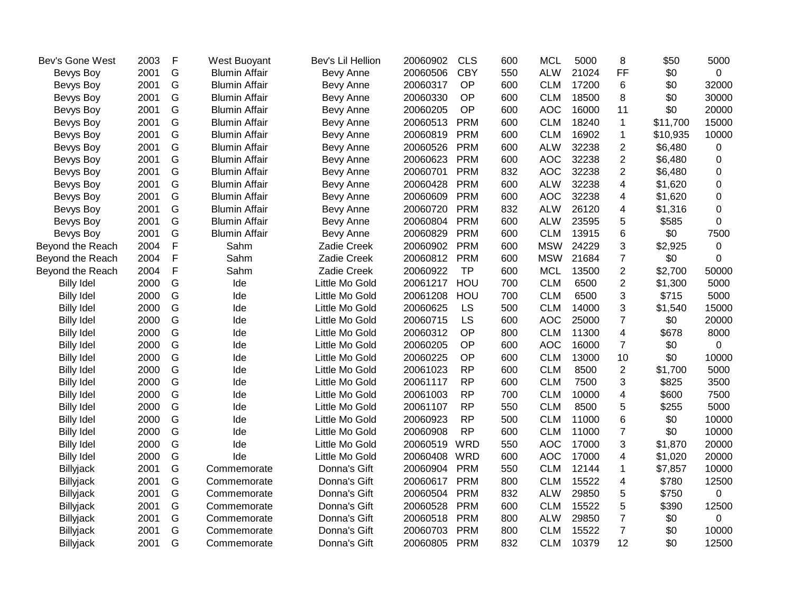| Bev's Gone West   | 2003 | F             | West Buoyant         | Bev's Lil Hellion | 20060902 | <b>CLS</b> | 600 | <b>MCL</b> | 5000  | 8                       | \$50     | 5000           |
|-------------------|------|---------------|----------------------|-------------------|----------|------------|-----|------------|-------|-------------------------|----------|----------------|
| Bevys Boy         | 2001 | G             | <b>Blumin Affair</b> | Bevy Anne         | 20060506 | <b>CBY</b> | 550 | <b>ALW</b> | 21024 | FF                      | \$0      | $\mathbf 0$    |
| Bevys Boy         | 2001 | G             | <b>Blumin Affair</b> | Bevy Anne         | 20060317 | OP         | 600 | <b>CLM</b> | 17200 | 6                       | \$0      | 32000          |
| Bevys Boy         | 2001 | G             | <b>Blumin Affair</b> | Bevy Anne         | 20060330 | OP         | 600 | <b>CLM</b> | 18500 | 8                       | \$0      | 30000          |
| Bevys Boy         | 2001 | G             | <b>Blumin Affair</b> | Bevy Anne         | 20060205 | <b>OP</b>  | 600 | <b>AOC</b> | 16000 | 11                      | \$0      | 20000          |
| Bevys Boy         | 2001 | G             | <b>Blumin Affair</b> | Bevy Anne         | 20060513 | <b>PRM</b> | 600 | <b>CLM</b> | 18240 | $\mathbf{1}$            | \$11,700 | 15000          |
| Bevys Boy         | 2001 | G             | <b>Blumin Affair</b> | Bevy Anne         | 20060819 | <b>PRM</b> | 600 | <b>CLM</b> | 16902 | 1                       | \$10,935 | 10000          |
| Bevys Boy         | 2001 | G             | <b>Blumin Affair</b> | Bevy Anne         | 20060526 | <b>PRM</b> | 600 | <b>ALW</b> | 32238 | $\overline{2}$          | \$6,480  | 0              |
| Bevys Boy         | 2001 | G             | <b>Blumin Affair</b> | Bevy Anne         | 20060623 | <b>PRM</b> | 600 | <b>AOC</b> | 32238 | $\overline{2}$          | \$6,480  | $\Omega$       |
| Bevys Boy         | 2001 | G             | <b>Blumin Affair</b> | Bevy Anne         | 20060701 | <b>PRM</b> | 832 | <b>AOC</b> | 32238 | $\overline{2}$          | \$6,480  | 0              |
| Bevys Boy         | 2001 | G             | <b>Blumin Affair</b> | Bevy Anne         | 20060428 | <b>PRM</b> | 600 | <b>ALW</b> | 32238 | 4                       | \$1,620  | 0              |
| Bevys Boy         | 2001 | ${\mathsf G}$ | <b>Blumin Affair</b> | Bevy Anne         | 20060609 | <b>PRM</b> | 600 | <b>AOC</b> | 32238 | 4                       | \$1,620  | 0              |
| Bevys Boy         | 2001 | G             | <b>Blumin Affair</b> | Bevy Anne         | 20060720 | <b>PRM</b> | 832 | <b>ALW</b> | 26120 | 4                       | \$1,316  | 0              |
| Bevys Boy         | 2001 | G             | <b>Blumin Affair</b> | Bevy Anne         | 20060804 | <b>PRM</b> | 600 | <b>ALW</b> | 23595 | 5                       | \$585    | $\Omega$       |
| Bevys Boy         | 2001 | G             | <b>Blumin Affair</b> | Bevy Anne         | 20060829 | <b>PRM</b> | 600 | <b>CLM</b> | 13915 | 6                       | \$0      | 7500           |
| Beyond the Reach  | 2004 | F             | Sahm                 | Zadie Creek       | 20060902 | <b>PRM</b> | 600 | <b>MSW</b> | 24229 | 3                       | \$2,925  | 0              |
| Beyond the Reach  | 2004 | $\mathsf F$   | Sahm                 | Zadie Creek       | 20060812 | <b>PRM</b> | 600 | <b>MSW</b> | 21684 | $\overline{7}$          | \$0      | $\Omega$       |
| Beyond the Reach  | 2004 | F             | Sahm                 | Zadie Creek       | 20060922 | <b>TP</b>  | 600 | <b>MCL</b> | 13500 | $\overline{2}$          | \$2,700  | 50000          |
| <b>Billy Idel</b> | 2000 | G             | Ide                  | Little Mo Gold    | 20061217 | HOU        | 700 | <b>CLM</b> | 6500  | $\overline{2}$          | \$1,300  | 5000           |
| <b>Billy Idel</b> | 2000 | G             | Ide                  | Little Mo Gold    | 20061208 | HOU        | 700 | <b>CLM</b> | 6500  | 3                       | \$715    | 5000           |
| <b>Billy Idel</b> | 2000 | G             | Ide                  | Little Mo Gold    | 20060625 | LS         | 500 | <b>CLM</b> | 14000 | 3                       | \$1,540  | 15000          |
| <b>Billy Idel</b> | 2000 | G             | Ide                  | Little Mo Gold    | 20060715 | LS         | 600 | <b>AOC</b> | 25000 | $\overline{7}$          | \$0      | 20000          |
| <b>Billy Idel</b> | 2000 | G             | Ide                  | Little Mo Gold    | 20060312 | OP         | 800 | <b>CLM</b> | 11300 | $\overline{\mathbf{4}}$ | \$678    | 8000           |
| <b>Billy Idel</b> | 2000 | G             | Ide                  | Little Mo Gold    | 20060205 | OP         | 600 | <b>AOC</b> | 16000 | $\overline{7}$          | \$0      | $\Omega$       |
| <b>Billy Idel</b> | 2000 | G             | Ide                  | Little Mo Gold    | 20060225 | OP         | 600 | <b>CLM</b> | 13000 | 10                      | \$0      | 10000          |
| <b>Billy Idel</b> | 2000 | G             | Ide                  | Little Mo Gold    | 20061023 | <b>RP</b>  | 600 | <b>CLM</b> | 8500  | $\overline{2}$          | \$1,700  | 5000           |
| <b>Billy Idel</b> | 2000 | G             | Ide                  | Little Mo Gold    | 20061117 | <b>RP</b>  | 600 | <b>CLM</b> | 7500  | 3                       | \$825    | 3500           |
| <b>Billy Idel</b> | 2000 | G             | Ide                  | Little Mo Gold    | 20061003 | <b>RP</b>  | 700 | <b>CLM</b> | 10000 | 4                       | \$600    | 7500           |
| <b>Billy Idel</b> | 2000 | G             | Ide                  | Little Mo Gold    | 20061107 | <b>RP</b>  | 550 | <b>CLM</b> | 8500  | 5                       | \$255    | 5000           |
| <b>Billy Idel</b> | 2000 | G             | Ide                  | Little Mo Gold    | 20060923 | <b>RP</b>  | 500 | <b>CLM</b> | 11000 | 6                       | \$0      | 10000          |
| <b>Billy Idel</b> | 2000 | G             | Ide                  | Little Mo Gold    | 20060908 | <b>RP</b>  | 600 | <b>CLM</b> | 11000 | $\overline{7}$          | \$0      | 10000          |
| <b>Billy Idel</b> | 2000 | G             | Ide                  | Little Mo Gold    | 20060519 | <b>WRD</b> | 550 | <b>AOC</b> | 17000 | 3                       | \$1,870  | 20000          |
| <b>Billy Idel</b> | 2000 | G             | Ide                  | Little Mo Gold    | 20060408 | <b>WRD</b> | 600 | <b>AOC</b> | 17000 | 4                       | \$1,020  | 20000          |
| Billyjack         | 2001 | G             | Commemorate          | Donna's Gift      | 20060904 | <b>PRM</b> | 550 | <b>CLM</b> | 12144 | 1                       | \$7,857  | 10000          |
| Billyjack         | 2001 | G             | Commemorate          | Donna's Gift      | 20060617 | <b>PRM</b> | 800 | <b>CLM</b> | 15522 | 4                       | \$780    | 12500          |
| Billyjack         | 2001 | G             | Commemorate          | Donna's Gift      | 20060504 | <b>PRM</b> | 832 | <b>ALW</b> | 29850 | 5                       | \$750    | 0              |
| Billyjack         | 2001 | G             | Commemorate          | Donna's Gift      | 20060528 | <b>PRM</b> | 600 | <b>CLM</b> | 15522 | 5                       | \$390    | 12500          |
| Billyjack         | 2001 | G             | Commemorate          | Donna's Gift      | 20060518 | <b>PRM</b> | 800 | <b>ALW</b> | 29850 | $\overline{7}$          | \$0      | $\overline{0}$ |
| Billyjack         | 2001 | G             | Commemorate          | Donna's Gift      | 20060703 | <b>PRM</b> | 800 | <b>CLM</b> | 15522 | $\overline{7}$          | \$0      | 10000          |
| <b>Billyjack</b>  | 2001 | G             | Commemorate          | Donna's Gift      | 20060805 | <b>PRM</b> | 832 | <b>CLM</b> | 10379 | 12                      | \$0      | 12500          |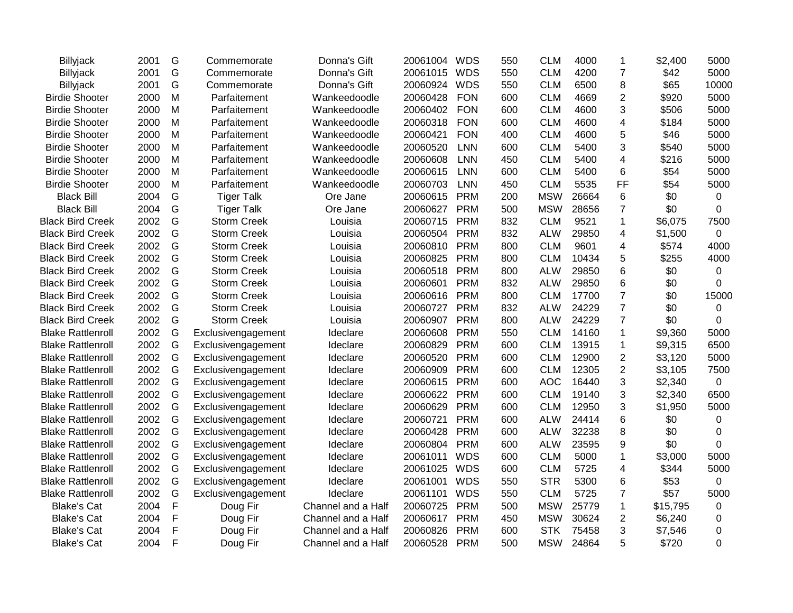| <b>Billyjack</b>         | 2001 | G             | Commemorate        | Donna's Gift       | 20061004 WDS |            | 550 | <b>CLM</b> | 4000  | 1              | \$2,400  | 5000         |
|--------------------------|------|---------------|--------------------|--------------------|--------------|------------|-----|------------|-------|----------------|----------|--------------|
| Billyjack                | 2001 | G             | Commemorate        | Donna's Gift       | 20061015     | <b>WDS</b> | 550 | <b>CLM</b> | 4200  | $\overline{7}$ | \$42     | 5000         |
| Billyjack                | 2001 | G             | Commemorate        | Donna's Gift       | 20060924     | <b>WDS</b> | 550 | <b>CLM</b> | 6500  | 8              | \$65     | 10000        |
| <b>Birdie Shooter</b>    | 2000 | M             | Parfaitement       | Wankeedoodle       | 20060428     | <b>FON</b> | 600 | <b>CLM</b> | 4669  | $\overline{2}$ | \$920    | 5000         |
| <b>Birdie Shooter</b>    | 2000 | Μ             | Parfaitement       | Wankeedoodle       | 20060402     | <b>FON</b> | 600 | <b>CLM</b> | 4600  | 3              | \$506    | 5000         |
| <b>Birdie Shooter</b>    | 2000 | M             | Parfaitement       | Wankeedoodle       | 20060318     | <b>FON</b> | 600 | <b>CLM</b> | 4600  | $\overline{4}$ | \$184    | 5000         |
| <b>Birdie Shooter</b>    | 2000 | M             | Parfaitement       | Wankeedoodle       | 20060421     | <b>FON</b> | 400 | <b>CLM</b> | 4600  | 5              | \$46     | 5000         |
| <b>Birdie Shooter</b>    | 2000 | M             | Parfaitement       | Wankeedoodle       | 20060520     | <b>LNN</b> | 600 | <b>CLM</b> | 5400  | 3              | \$540    | 5000         |
| <b>Birdie Shooter</b>    | 2000 | M             | Parfaitement       | Wankeedoodle       | 20060608     | <b>LNN</b> | 450 | <b>CLM</b> | 5400  | 4              | \$216    | 5000         |
| <b>Birdie Shooter</b>    | 2000 | M             | Parfaitement       | Wankeedoodle       | 20060615     | <b>LNN</b> | 600 | <b>CLM</b> | 5400  | 6              | \$54     | 5000         |
| <b>Birdie Shooter</b>    | 2000 | M             | Parfaitement       | Wankeedoodle       | 20060703     | <b>LNN</b> | 450 | <b>CLM</b> | 5535  | FF             | \$54     | 5000         |
| <b>Black Bill</b>        | 2004 | G             | <b>Tiger Talk</b>  | Ore Jane           | 20060615     | <b>PRM</b> | 200 | <b>MSW</b> | 26664 | 6              | \$0      | 0            |
| <b>Black Bill</b>        | 2004 | G             | <b>Tiger Talk</b>  | Ore Jane           | 20060627     | <b>PRM</b> | 500 | <b>MSW</b> | 28656 | 7              | \$0      | 0            |
| <b>Black Bird Creek</b>  | 2002 | G             | <b>Storm Creek</b> | Louisia            | 20060715     | <b>PRM</b> | 832 | <b>CLM</b> | 9521  | 1              | \$6,075  | 7500         |
| <b>Black Bird Creek</b>  | 2002 | G             | <b>Storm Creek</b> | Louisia            | 20060504     | <b>PRM</b> | 832 | <b>ALW</b> | 29850 | 4              | \$1,500  | 0            |
| <b>Black Bird Creek</b>  | 2002 | G             | <b>Storm Creek</b> | Louisia            | 20060810     | <b>PRM</b> | 800 | <b>CLM</b> | 9601  | 4              | \$574    | 4000         |
| <b>Black Bird Creek</b>  | 2002 | G             | <b>Storm Creek</b> | Louisia            | 20060825     | <b>PRM</b> | 800 | <b>CLM</b> | 10434 | 5              | \$255    | 4000         |
| <b>Black Bird Creek</b>  | 2002 | G             | <b>Storm Creek</b> | Louisia            | 20060518     | <b>PRM</b> | 800 | <b>ALW</b> | 29850 | 6              | \$0      | 0            |
| <b>Black Bird Creek</b>  | 2002 | G             | <b>Storm Creek</b> | Louisia            | 20060601     | <b>PRM</b> | 832 | <b>ALW</b> | 29850 | 6              | \$0      | 0            |
| <b>Black Bird Creek</b>  | 2002 | G             | <b>Storm Creek</b> | Louisia            | 20060616     | <b>PRM</b> | 800 | <b>CLM</b> | 17700 | $\overline{7}$ | \$0      | 15000        |
| <b>Black Bird Creek</b>  | 2002 | G             | <b>Storm Creek</b> | Louisia            | 20060727     | <b>PRM</b> | 832 | <b>ALW</b> | 24229 | $\overline{7}$ | \$0      | 0            |
| <b>Black Bird Creek</b>  | 2002 | G             | <b>Storm Creek</b> | Louisia            | 20060907     | <b>PRM</b> | 800 | <b>ALW</b> | 24229 | $\overline{7}$ | \$0      | 0            |
| <b>Blake Rattlenroll</b> | 2002 | G             | Exclusivengagement | Ideclare           | 20060608     | <b>PRM</b> | 550 | <b>CLM</b> | 14160 | $\mathbf{1}$   | \$9,360  | 5000         |
| <b>Blake Rattlenroll</b> | 2002 | G             | Exclusivengagement | Ideclare           | 20060829     | <b>PRM</b> | 600 | <b>CLM</b> | 13915 | $\mathbf 1$    | \$9,315  | 6500         |
| <b>Blake Rattlenroll</b> | 2002 | G             | Exclusivengagement | Ideclare           | 20060520     | <b>PRM</b> | 600 | <b>CLM</b> | 12900 | $\overline{2}$ | \$3,120  | 5000         |
| <b>Blake Rattlenroll</b> | 2002 | G             | Exclusivengagement | Ideclare           | 20060909     | <b>PRM</b> | 600 | <b>CLM</b> | 12305 | $\overline{2}$ | \$3,105  | 7500         |
| <b>Blake Rattlenroll</b> | 2002 | G             | Exclusivengagement | Ideclare           | 20060615     | <b>PRM</b> | 600 | <b>AOC</b> | 16440 | 3              | \$2,340  | $\mathbf 0$  |
| <b>Blake Rattlenroll</b> | 2002 | G             | Exclusivengagement | Ideclare           | 20060622     | <b>PRM</b> | 600 | <b>CLM</b> | 19140 | 3              | \$2,340  | 6500         |
| <b>Blake Rattlenroll</b> | 2002 | G             | Exclusivengagement | Ideclare           | 20060629     | <b>PRM</b> | 600 | <b>CLM</b> | 12950 | 3              | \$1,950  | 5000         |
| <b>Blake Rattlenroll</b> | 2002 | G             | Exclusivengagement | Ideclare           | 20060721     | <b>PRM</b> | 600 | <b>ALW</b> | 24414 | 6              | \$0      | 0            |
| <b>Blake Rattlenroll</b> | 2002 | G             | Exclusivengagement | Ideclare           | 20060428     | <b>PRM</b> | 600 | <b>ALW</b> | 32238 | 8              | \$0      | 0            |
| <b>Blake Rattlenroll</b> | 2002 | G             | Exclusivengagement | Ideclare           | 20060804     | <b>PRM</b> | 600 | <b>ALW</b> | 23595 | 9              | \$0      | $\Omega$     |
| <b>Blake Rattlenroll</b> | 2002 | ${\mathsf G}$ | Exclusivengagement | Ideclare           | 20061011     | <b>WDS</b> | 600 | <b>CLM</b> | 5000  | $\mathbf{1}$   | \$3,000  | 5000         |
| <b>Blake Rattlenroll</b> | 2002 | G             | Exclusivengagement | Ideclare           | 20061025     | <b>WDS</b> | 600 | <b>CLM</b> | 5725  | 4              | \$344    | 5000         |
| <b>Blake Rattlenroll</b> | 2002 | G             | Exclusivengagement | Ideclare           | 20061001     | <b>WDS</b> | 550 | <b>STR</b> | 5300  | 6              | \$53     | $\mathbf{0}$ |
| <b>Blake Rattlenroll</b> | 2002 | G             | Exclusivengagement | Ideclare           | 20061101     | <b>WDS</b> | 550 | <b>CLM</b> | 5725  | $\overline{7}$ | \$57     | 5000         |
| <b>Blake's Cat</b>       | 2004 | F             | Doug Fir           | Channel and a Half | 20060725     | <b>PRM</b> | 500 | <b>MSW</b> | 25779 | 1              | \$15,795 | 0            |
| <b>Blake's Cat</b>       | 2004 | F             | Doug Fir           | Channel and a Half | 20060617     | <b>PRM</b> | 450 | <b>MSW</b> | 30624 | 2              | \$6,240  | 0            |
| <b>Blake's Cat</b>       | 2004 | F             | Doug Fir           | Channel and a Half | 20060826     | <b>PRM</b> | 600 | <b>STK</b> | 75458 | 3              | \$7,546  | 0            |
| <b>Blake's Cat</b>       | 2004 | F             | Doug Fir           | Channel and a Half | 20060528     | <b>PRM</b> | 500 | <b>MSW</b> | 24864 | 5              | \$720    | 0            |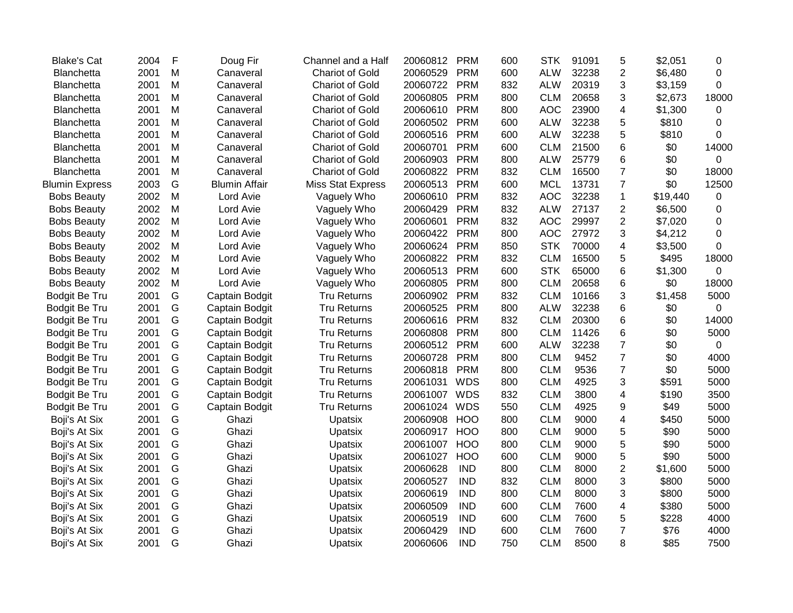| <b>Blake's Cat</b>    | 2004 | F | Doug Fir             | Channel and a Half       | 20060812 | <b>PRM</b> | 600 | <b>STK</b> | 91091 | 5                        | \$2,051  | 0        |
|-----------------------|------|---|----------------------|--------------------------|----------|------------|-----|------------|-------|--------------------------|----------|----------|
| Blanchetta            | 2001 | M | Canaveral            | <b>Chariot of Gold</b>   | 20060529 | <b>PRM</b> | 600 | <b>ALW</b> | 32238 | $\overline{2}$           | \$6,480  | 0        |
| Blanchetta            | 2001 | M | Canaveral            | <b>Chariot of Gold</b>   | 20060722 | <b>PRM</b> | 832 | <b>ALW</b> | 20319 | 3                        | \$3,159  | $\Omega$ |
| Blanchetta            | 2001 | M | Canaveral            | <b>Chariot of Gold</b>   | 20060805 | <b>PRM</b> | 800 | <b>CLM</b> | 20658 | 3                        | \$2,673  | 18000    |
| Blanchetta            | 2001 | Μ | Canaveral            | <b>Chariot of Gold</b>   | 20060610 | <b>PRM</b> | 800 | <b>AOC</b> | 23900 | 4                        | \$1,300  | 0        |
| Blanchetta            | 2001 | М | Canaveral            | <b>Chariot of Gold</b>   | 20060502 | <b>PRM</b> | 600 | <b>ALW</b> | 32238 | 5                        | \$810    | 0        |
| Blanchetta            | 2001 | M | Canaveral            | <b>Chariot of Gold</b>   | 20060516 | <b>PRM</b> | 600 | <b>ALW</b> | 32238 | 5                        | \$810    | 0        |
| <b>Blanchetta</b>     | 2001 | M | Canaveral            | <b>Chariot of Gold</b>   | 20060701 | <b>PRM</b> | 600 | <b>CLM</b> | 21500 | 6                        | \$0      | 14000    |
| Blanchetta            | 2001 | M | Canaveral            | <b>Chariot of Gold</b>   | 20060903 | <b>PRM</b> | 800 | <b>ALW</b> | 25779 | 6                        | \$0      | 0        |
| Blanchetta            | 2001 | M | Canaveral            | <b>Chariot of Gold</b>   | 20060822 | <b>PRM</b> | 832 | <b>CLM</b> | 16500 | $\overline{7}$           | \$0      | 18000    |
| <b>Blumin Express</b> | 2003 | G | <b>Blumin Affair</b> | <b>Miss Stat Express</b> | 20060513 | <b>PRM</b> | 600 | <b>MCL</b> | 13731 | $\overline{7}$           | \$0      | 12500    |
| <b>Bobs Beauty</b>    | 2002 | M | Lord Avie            | Vaguely Who              | 20060610 | <b>PRM</b> | 832 | <b>AOC</b> | 32238 | $\mathbf{1}$             | \$19,440 | 0        |
| <b>Bobs Beauty</b>    | 2002 | M | Lord Avie            | Vaguely Who              | 20060429 | <b>PRM</b> | 832 | <b>ALW</b> | 27137 | $\overline{c}$           | \$6,500  | 0        |
| <b>Bobs Beauty</b>    | 2002 | M | Lord Avie            | Vaguely Who              | 20060601 | <b>PRM</b> | 832 | <b>AOC</b> | 29997 | $\overline{2}$           | \$7,020  | 0        |
| <b>Bobs Beauty</b>    | 2002 | M | Lord Avie            | Vaguely Who              | 20060422 | <b>PRM</b> | 800 | <b>AOC</b> | 27972 | 3                        | \$4,212  | 0        |
| <b>Bobs Beauty</b>    | 2002 | M | Lord Avie            | Vaguely Who              | 20060624 | <b>PRM</b> | 850 | <b>STK</b> | 70000 | 4                        | \$3,500  | 0        |
| <b>Bobs Beauty</b>    | 2002 | M | Lord Avie            | Vaguely Who              | 20060822 | <b>PRM</b> | 832 | <b>CLM</b> | 16500 | 5                        | \$495    | 18000    |
| <b>Bobs Beauty</b>    | 2002 | M | Lord Avie            | Vaguely Who              | 20060513 | <b>PRM</b> | 600 | <b>STK</b> | 65000 | 6                        | \$1,300  | 0        |
| <b>Bobs Beauty</b>    | 2002 | M | Lord Avie            | Vaguely Who              | 20060805 | <b>PRM</b> | 800 | <b>CLM</b> | 20658 | 6                        | \$0      | 18000    |
| Bodgit Be Tru         | 2001 | G | Captain Bodgit       | <b>Tru Returns</b>       | 20060902 | <b>PRM</b> | 832 | <b>CLM</b> | 10166 | 3                        | \$1,458  | 5000     |
| Bodgit Be Tru         | 2001 | G | Captain Bodgit       | <b>Tru Returns</b>       | 20060525 | <b>PRM</b> | 800 | <b>ALW</b> | 32238 | 6                        | \$0      | 0        |
| Bodgit Be Tru         | 2001 | G | Captain Bodgit       | <b>Tru Returns</b>       | 20060616 | <b>PRM</b> | 832 | <b>CLM</b> | 20300 | 6                        | \$0      | 14000    |
| Bodgit Be Tru         | 2001 | G | Captain Bodgit       | <b>Tru Returns</b>       | 20060808 | <b>PRM</b> | 800 | <b>CLM</b> | 11426 | 6                        | \$0      | 5000     |
| Bodgit Be Tru         | 2001 | G | Captain Bodgit       | <b>Tru Returns</b>       | 20060512 | <b>PRM</b> | 600 | <b>ALW</b> | 32238 | $\overline{7}$           | \$0      | 0        |
| Bodgit Be Tru         | 2001 | G | Captain Bodgit       | <b>Tru Returns</b>       | 20060728 | <b>PRM</b> | 800 | <b>CLM</b> | 9452  | $\overline{7}$           | \$0      | 4000     |
| Bodgit Be Tru         | 2001 | G | Captain Bodgit       | <b>Tru Returns</b>       | 20060818 | <b>PRM</b> | 800 | <b>CLM</b> | 9536  | $\overline{7}$           | \$0      | 5000     |
| Bodgit Be Tru         | 2001 | G | Captain Bodgit       | <b>Tru Returns</b>       | 20061031 | <b>WDS</b> | 800 | <b>CLM</b> | 4925  | 3                        | \$591    | 5000     |
| Bodgit Be Tru         | 2001 | G | Captain Bodgit       | <b>Tru Returns</b>       | 20061007 | <b>WDS</b> | 832 | <b>CLM</b> | 3800  | 4                        | \$190    | 3500     |
| Bodgit Be Tru         | 2001 | G | Captain Bodgit       | <b>Tru Returns</b>       | 20061024 | <b>WDS</b> | 550 | <b>CLM</b> | 4925  | 9                        | \$49     | 5000     |
| Boji's At Six         | 2001 | G | Ghazi                | Upatsix                  | 20060908 | <b>HOO</b> | 800 | <b>CLM</b> | 9000  | 4                        | \$450    | 5000     |
| Boji's At Six         | 2001 | G | Ghazi                | Upatsix                  | 20060917 | <b>HOO</b> | 800 | <b>CLM</b> | 9000  | 5                        | \$90     | 5000     |
| Boji's At Six         | 2001 | G | Ghazi                | Upatsix                  | 20061007 | <b>HOO</b> | 800 | <b>CLM</b> | 9000  | 5                        | \$90     | 5000     |
| Boji's At Six         | 2001 | G | Ghazi                | Upatsix                  | 20061027 | <b>HOO</b> | 600 | <b>CLM</b> | 9000  | 5                        | \$90     | 5000     |
| Boji's At Six         | 2001 | G | Ghazi                | Upatsix                  | 20060628 | <b>IND</b> | 800 | <b>CLM</b> | 8000  | $\overline{2}$           | \$1,600  | 5000     |
| Boji's At Six         | 2001 | G | Ghazi                | Upatsix                  | 20060527 | <b>IND</b> | 832 | <b>CLM</b> | 8000  | 3                        | \$800    | 5000     |
| Boji's At Six         | 2001 | G | Ghazi                | Upatsix                  | 20060619 | <b>IND</b> | 800 | <b>CLM</b> | 8000  | 3                        | \$800    | 5000     |
| Boji's At Six         | 2001 | G | Ghazi                | <b>Upatsix</b>           | 20060509 | <b>IND</b> | 600 | <b>CLM</b> | 7600  | 4                        | \$380    | 5000     |
| Boji's At Six         | 2001 | G | Ghazi                | Upatsix                  | 20060519 | <b>IND</b> | 600 | <b>CLM</b> | 7600  | 5                        | \$228    | 4000     |
| Boji's At Six         | 2001 | G | Ghazi                | Upatsix                  | 20060429 | <b>IND</b> | 600 | <b>CLM</b> | 7600  | $\overline{\mathcal{I}}$ | \$76     | 4000     |
| Boji's At Six         | 2001 | G | Ghazi                | Upatsix                  | 20060606 | <b>IND</b> | 750 | <b>CLM</b> | 8500  | 8                        | \$85     | 7500     |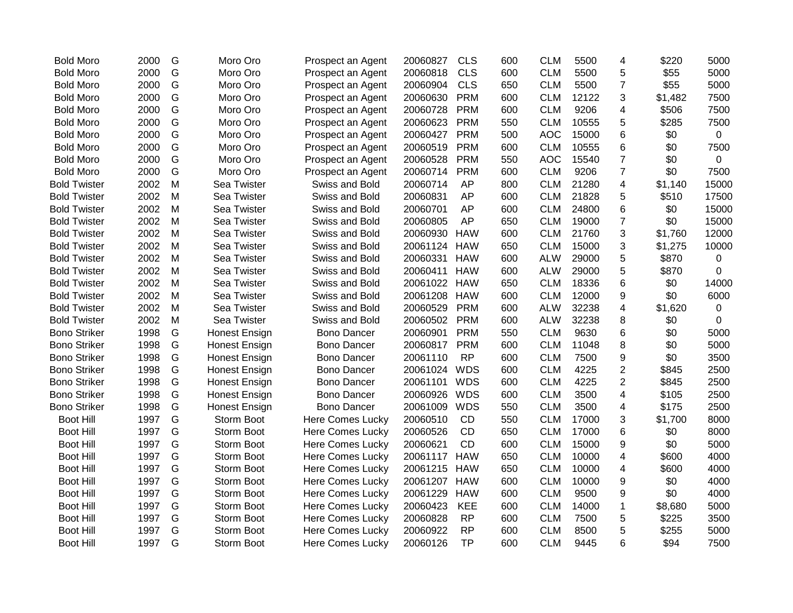| <b>Bold Moro</b>    | 2000 | G             | Moro Oro             | Prospect an Agent       | 20060827 | <b>CLS</b> | 600 | <b>CLM</b> | 5500  | 4                       | \$220   | 5000        |
|---------------------|------|---------------|----------------------|-------------------------|----------|------------|-----|------------|-------|-------------------------|---------|-------------|
| <b>Bold Moro</b>    | 2000 | G             | Moro Oro             | Prospect an Agent       | 20060818 | <b>CLS</b> | 600 | <b>CLM</b> | 5500  | 5                       | \$55    | 5000        |
| <b>Bold Moro</b>    | 2000 | G             | Moro Oro             | Prospect an Agent       | 20060904 | <b>CLS</b> | 650 | <b>CLM</b> | 5500  | $\overline{7}$          | \$55    | 5000        |
| <b>Bold Moro</b>    | 2000 | G             | Moro Oro             | Prospect an Agent       | 20060630 | <b>PRM</b> | 600 | <b>CLM</b> | 12122 | 3                       | \$1,482 | 7500        |
| <b>Bold Moro</b>    | 2000 | G             | Moro Oro             | Prospect an Agent       | 20060728 | <b>PRM</b> | 600 | <b>CLM</b> | 9206  | 4                       | \$506   | 7500        |
| <b>Bold Moro</b>    | 2000 | G             | Moro Oro             | Prospect an Agent       | 20060623 | <b>PRM</b> | 550 | <b>CLM</b> | 10555 | 5                       | \$285   | 7500        |
| <b>Bold Moro</b>    | 2000 | ${\mathsf G}$ | Moro Oro             | Prospect an Agent       | 20060427 | <b>PRM</b> | 500 | <b>AOC</b> | 15000 | $6\phantom{1}6$         | \$0     | $\mathbf 0$ |
| <b>Bold Moro</b>    | 2000 | G             | Moro Oro             | Prospect an Agent       | 20060519 | <b>PRM</b> | 600 | <b>CLM</b> | 10555 | $\,6$                   | \$0     | 7500        |
| <b>Bold Moro</b>    | 2000 | G             | Moro Oro             | Prospect an Agent       | 20060528 | <b>PRM</b> | 550 | <b>AOC</b> | 15540 | $\overline{7}$          | \$0     | $\mathbf 0$ |
| <b>Bold Moro</b>    | 2000 | G             | Moro Oro             | Prospect an Agent       | 20060714 | <b>PRM</b> | 600 | <b>CLM</b> | 9206  | $\overline{7}$          | \$0     | 7500        |
| <b>Bold Twister</b> | 2002 | M             | Sea Twister          | Swiss and Bold          | 20060714 | AP         | 800 | <b>CLM</b> | 21280 | $\overline{4}$          | \$1,140 | 15000       |
| <b>Bold Twister</b> | 2002 | M             | Sea Twister          | Swiss and Bold          | 20060831 | <b>AP</b>  | 600 | <b>CLM</b> | 21828 | 5                       | \$510   | 17500       |
| <b>Bold Twister</b> | 2002 | M             | Sea Twister          | Swiss and Bold          | 20060701 | <b>AP</b>  | 600 | <b>CLM</b> | 24800 | $\,6$                   | \$0     | 15000       |
| <b>Bold Twister</b> | 2002 | M             | Sea Twister          | Swiss and Bold          | 20060805 | <b>AP</b>  | 650 | <b>CLM</b> | 19000 | $\overline{7}$          | \$0     | 15000       |
| <b>Bold Twister</b> | 2002 | M             | Sea Twister          | Swiss and Bold          | 20060930 | <b>HAW</b> | 600 | <b>CLM</b> | 21760 | 3                       | \$1,760 | 12000       |
| <b>Bold Twister</b> | 2002 | M             | Sea Twister          | Swiss and Bold          | 20061124 | <b>HAW</b> | 650 | <b>CLM</b> | 15000 | 3                       | \$1,275 | 10000       |
| <b>Bold Twister</b> | 2002 | M             | Sea Twister          | Swiss and Bold          | 20060331 | <b>HAW</b> | 600 | <b>ALW</b> | 29000 | 5                       | \$870   | $\mathbf 0$ |
| <b>Bold Twister</b> | 2002 | M             | Sea Twister          | Swiss and Bold          | 20060411 | <b>HAW</b> | 600 | <b>ALW</b> | 29000 | 5                       | \$870   | 0           |
| <b>Bold Twister</b> | 2002 | M             | Sea Twister          | Swiss and Bold          | 20061022 | <b>HAW</b> | 650 | <b>CLM</b> | 18336 | 6                       | \$0     | 14000       |
| <b>Bold Twister</b> | 2002 | M             | Sea Twister          | Swiss and Bold          | 20061208 | <b>HAW</b> | 600 | <b>CLM</b> | 12000 | $\boldsymbol{9}$        | \$0     | 6000        |
| <b>Bold Twister</b> | 2002 | M             | Sea Twister          | Swiss and Bold          | 20060529 | <b>PRM</b> | 600 | <b>ALW</b> | 32238 | $\overline{4}$          | \$1,620 | $\mathbf 0$ |
| <b>Bold Twister</b> | 2002 | M             | Sea Twister          | Swiss and Bold          | 20060502 | <b>PRM</b> | 600 | <b>ALW</b> | 32238 | 8                       | \$0     | 0           |
| <b>Bono Striker</b> | 1998 | G             | Honest Ensign        | <b>Bono Dancer</b>      | 20060901 | <b>PRM</b> | 550 | <b>CLM</b> | 9630  | $\,6$                   | \$0     | 5000        |
| <b>Bono Striker</b> | 1998 | G             | Honest Ensign        | <b>Bono Dancer</b>      | 20060817 | <b>PRM</b> | 600 | <b>CLM</b> | 11048 | 8                       | \$0     | 5000        |
| <b>Bono Striker</b> | 1998 | G             | Honest Ensign        | <b>Bono Dancer</b>      | 20061110 | <b>RP</b>  | 600 | <b>CLM</b> | 7500  | $\boldsymbol{9}$        | \$0     | 3500        |
| <b>Bono Striker</b> | 1998 | G             | <b>Honest Ensign</b> | <b>Bono Dancer</b>      | 20061024 | <b>WDS</b> | 600 | <b>CLM</b> | 4225  | $\overline{2}$          | \$845   | 2500        |
| <b>Bono Striker</b> | 1998 | G             | <b>Honest Ensign</b> | <b>Bono Dancer</b>      | 20061101 | <b>WDS</b> | 600 | <b>CLM</b> | 4225  | $\overline{2}$          | \$845   | 2500        |
| <b>Bono Striker</b> | 1998 | G             | <b>Honest Ensign</b> | <b>Bono Dancer</b>      | 20060926 | <b>WDS</b> | 600 | <b>CLM</b> | 3500  | $\overline{\mathbf{4}}$ | \$105   | 2500        |
| <b>Bono Striker</b> | 1998 | G             | <b>Honest Ensign</b> | <b>Bono Dancer</b>      | 20061009 | <b>WDS</b> | 550 | <b>CLM</b> | 3500  | 4                       | \$175   | 2500        |
| <b>Boot Hill</b>    | 1997 | G             | Storm Boot           | <b>Here Comes Lucky</b> | 20060510 | <b>CD</b>  | 550 | <b>CLM</b> | 17000 | 3                       | \$1,700 | 8000        |
| <b>Boot Hill</b>    | 1997 | G             | Storm Boot           | <b>Here Comes Lucky</b> | 20060526 | <b>CD</b>  | 650 | <b>CLM</b> | 17000 | $\,6$                   | \$0     | 8000        |
| <b>Boot Hill</b>    | 1997 | G             | Storm Boot           | Here Comes Lucky        | 20060621 | <b>CD</b>  | 600 | <b>CLM</b> | 15000 | $\boldsymbol{9}$        | \$0     | 5000        |
| <b>Boot Hill</b>    | 1997 | G             | Storm Boot           | Here Comes Lucky        | 20061117 | <b>HAW</b> | 650 | <b>CLM</b> | 10000 | $\overline{4}$          | \$600   | 4000        |
| <b>Boot Hill</b>    | 1997 | G             | Storm Boot           | Here Comes Lucky        | 20061215 | <b>HAW</b> | 650 | <b>CLM</b> | 10000 | $\overline{\mathbf{4}}$ | \$600   | 4000        |
| <b>Boot Hill</b>    | 1997 | G             | Storm Boot           | <b>Here Comes Lucky</b> | 20061207 | <b>HAW</b> | 600 | <b>CLM</b> | 10000 | 9                       | \$0     | 4000        |
| <b>Boot Hill</b>    | 1997 | G             | Storm Boot           | <b>Here Comes Lucky</b> | 20061229 | <b>HAW</b> | 600 | <b>CLM</b> | 9500  | 9                       | \$0     | 4000        |
| <b>Boot Hill</b>    | 1997 | G             | Storm Boot           | Here Comes Lucky        | 20060423 | <b>KEE</b> | 600 | <b>CLM</b> | 14000 | $\mathbf{1}$            | \$8,680 | 5000        |
| <b>Boot Hill</b>    | 1997 | G             | Storm Boot           | <b>Here Comes Lucky</b> | 20060828 | <b>RP</b>  | 600 | <b>CLM</b> | 7500  | 5                       | \$225   | 3500        |
| <b>Boot Hill</b>    | 1997 | G             | Storm Boot           | <b>Here Comes Lucky</b> | 20060922 | <b>RP</b>  | 600 | <b>CLM</b> | 8500  | 5                       | \$255   | 5000        |
| <b>Boot Hill</b>    | 1997 | G             | Storm Boot           | <b>Here Comes Lucky</b> | 20060126 | <b>TP</b>  | 600 | <b>CLM</b> | 9445  | 6                       | \$94    | 7500        |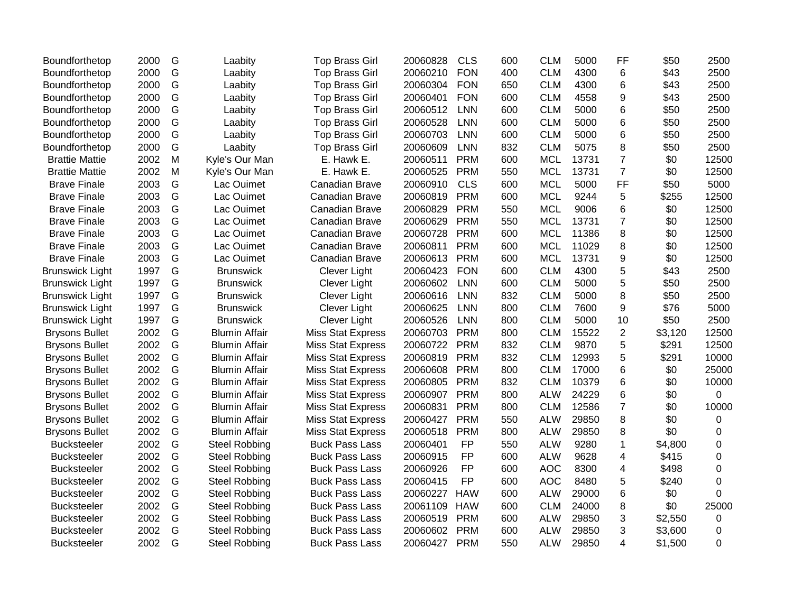| 2000 | G | Laabity              | <b>Top Brass Girl</b>    | 20060828 | <b>CLS</b> | 600 | <b>CLM</b> | 5000  | FF             | \$50    | 2500  |
|------|---|----------------------|--------------------------|----------|------------|-----|------------|-------|----------------|---------|-------|
| 2000 | G | Laabity              | <b>Top Brass Girl</b>    | 20060210 | <b>FON</b> | 400 | <b>CLM</b> | 4300  | 6              | \$43    | 2500  |
| 2000 | G | Laabity              | <b>Top Brass Girl</b>    | 20060304 | <b>FON</b> | 650 | <b>CLM</b> | 4300  | 6              | \$43    | 2500  |
| 2000 | G | Laabity              | <b>Top Brass Girl</b>    | 20060401 | <b>FON</b> | 600 | <b>CLM</b> | 4558  | 9              | \$43    | 2500  |
| 2000 | G | Laabity              | <b>Top Brass Girl</b>    | 20060512 | <b>LNN</b> | 600 | <b>CLM</b> | 5000  | 6              | \$50    | 2500  |
| 2000 | G | Laabity              | <b>Top Brass Girl</b>    | 20060528 | <b>LNN</b> | 600 | <b>CLM</b> | 5000  | 6              | \$50    | 2500  |
| 2000 | G | Laabity              | <b>Top Brass Girl</b>    | 20060703 | <b>LNN</b> | 600 | <b>CLM</b> | 5000  | 6              | \$50    | 2500  |
| 2000 | G | Laabity              | <b>Top Brass Girl</b>    | 20060609 | <b>LNN</b> | 832 | <b>CLM</b> | 5075  | 8              | \$50    | 2500  |
| 2002 | M | Kyle's Our Man       | E. Hawk E.               | 20060511 | <b>PRM</b> | 600 | <b>MCL</b> | 13731 | $\overline{7}$ | \$0     | 12500 |
| 2002 | M | Kyle's Our Man       | E. Hawk E.               | 20060525 | <b>PRM</b> | 550 | <b>MCL</b> | 13731 | $\overline{7}$ | \$0     | 12500 |
| 2003 | G | Lac Ouimet           | Canadian Brave           | 20060910 | <b>CLS</b> | 600 | <b>MCL</b> | 5000  | FF             | \$50    | 5000  |
| 2003 | G | Lac Ouimet           | Canadian Brave           | 20060819 | <b>PRM</b> | 600 | <b>MCL</b> | 9244  | 5              | \$255   | 12500 |
| 2003 | G | Lac Ouimet           | Canadian Brave           | 20060829 | <b>PRM</b> | 550 | <b>MCL</b> | 9006  | 6              | \$0     | 12500 |
| 2003 | G | Lac Ouimet           | Canadian Brave           | 20060629 | <b>PRM</b> | 550 | <b>MCL</b> | 13731 | $\overline{7}$ | \$0     | 12500 |
| 2003 | G | Lac Ouimet           | Canadian Brave           | 20060728 | <b>PRM</b> | 600 | <b>MCL</b> | 11386 | 8              | \$0     | 12500 |
| 2003 | G | Lac Ouimet           | Canadian Brave           | 20060811 | <b>PRM</b> | 600 | <b>MCL</b> | 11029 | 8              | \$0     | 12500 |
| 2003 | G | Lac Ouimet           | Canadian Brave           | 20060613 | <b>PRM</b> | 600 | <b>MCL</b> | 13731 | 9              | \$0     | 12500 |
| 1997 | G | <b>Brunswick</b>     | Clever Light             | 20060423 | <b>FON</b> | 600 | <b>CLM</b> | 4300  | 5              | \$43    | 2500  |
| 1997 | G | <b>Brunswick</b>     | Clever Light             | 20060602 | <b>LNN</b> | 600 | <b>CLM</b> | 5000  | 5              | \$50    | 2500  |
| 1997 | G | <b>Brunswick</b>     | <b>Clever Light</b>      | 20060616 | <b>LNN</b> | 832 | <b>CLM</b> | 5000  | 8              | \$50    | 2500  |
| 1997 | G | <b>Brunswick</b>     | Clever Light             | 20060625 | <b>LNN</b> | 800 | <b>CLM</b> | 7600  | 9              | \$76    | 5000  |
| 1997 | G | <b>Brunswick</b>     | Clever Light             | 20060526 | <b>LNN</b> | 800 | <b>CLM</b> | 5000  | 10             | \$50    | 2500  |
| 2002 | G | <b>Blumin Affair</b> | <b>Miss Stat Express</b> | 20060703 | <b>PRM</b> | 800 | <b>CLM</b> | 15522 | $\overline{2}$ | \$3,120 | 12500 |
| 2002 | G | <b>Blumin Affair</b> | <b>Miss Stat Express</b> | 20060722 | <b>PRM</b> | 832 | <b>CLM</b> | 9870  | 5              | \$291   | 12500 |
| 2002 | G | <b>Blumin Affair</b> | <b>Miss Stat Express</b> | 20060819 | <b>PRM</b> | 832 | <b>CLM</b> | 12993 | 5              | \$291   | 10000 |
| 2002 | G | <b>Blumin Affair</b> | <b>Miss Stat Express</b> | 20060608 | <b>PRM</b> | 800 | <b>CLM</b> | 17000 | 6              | \$0     | 25000 |
| 2002 | G | <b>Blumin Affair</b> | <b>Miss Stat Express</b> | 20060805 | <b>PRM</b> | 832 | <b>CLM</b> | 10379 | 6              | \$0     | 10000 |
| 2002 | G | <b>Blumin Affair</b> | <b>Miss Stat Express</b> | 20060907 | <b>PRM</b> | 800 | <b>ALW</b> | 24229 | 6              | \$0     | 0     |
| 2002 | G | <b>Blumin Affair</b> | <b>Miss Stat Express</b> | 20060831 | <b>PRM</b> | 800 | <b>CLM</b> | 12586 | $\overline{7}$ | \$0     | 10000 |
| 2002 | G | <b>Blumin Affair</b> | <b>Miss Stat Express</b> | 20060427 | <b>PRM</b> | 550 | <b>ALW</b> | 29850 | 8              | \$0     | 0     |
| 2002 | G | <b>Blumin Affair</b> | <b>Miss Stat Express</b> | 20060518 | <b>PRM</b> | 800 | <b>ALW</b> | 29850 | 8              | \$0     | 0     |
| 2002 | G | <b>Steel Robbing</b> | <b>Buck Pass Lass</b>    | 20060401 | <b>FP</b>  | 550 | <b>ALW</b> | 9280  | $\mathbf{1}$   | \$4,800 | 0     |
| 2002 | G | <b>Steel Robbing</b> | <b>Buck Pass Lass</b>    | 20060915 | <b>FP</b>  | 600 | <b>ALW</b> | 9628  | 4              | \$415   | 0     |
| 2002 | G | <b>Steel Robbing</b> | <b>Buck Pass Lass</b>    | 20060926 | <b>FP</b>  | 600 | <b>AOC</b> | 8300  | 4              | \$498   | 0     |
| 2002 | G | <b>Steel Robbing</b> | <b>Buck Pass Lass</b>    | 20060415 | <b>FP</b>  | 600 | <b>AOC</b> | 8480  | 5              | \$240   | 0     |
| 2002 | G | <b>Steel Robbing</b> | <b>Buck Pass Lass</b>    | 20060227 | <b>HAW</b> | 600 | <b>ALW</b> | 29000 | 6              | \$0     | 0     |
| 2002 | G | <b>Steel Robbing</b> | <b>Buck Pass Lass</b>    | 20061109 | <b>HAW</b> | 600 | <b>CLM</b> | 24000 | 8              | \$0     | 25000 |
| 2002 | G | <b>Steel Robbing</b> | <b>Buck Pass Lass</b>    | 20060519 | <b>PRM</b> | 600 | <b>ALW</b> | 29850 | 3              | \$2,550 | 0     |
| 2002 | G | <b>Steel Robbing</b> | <b>Buck Pass Lass</b>    | 20060602 | <b>PRM</b> | 600 | <b>ALW</b> | 29850 | 3              | \$3,600 | 0     |
| 2002 | G | <b>Steel Robbing</b> | <b>Buck Pass Lass</b>    | 20060427 | <b>PRM</b> | 550 | <b>ALW</b> | 29850 | 4              | \$1,500 | 0     |
|      |   |                      |                          |          |            |     |            |       |                |         |       |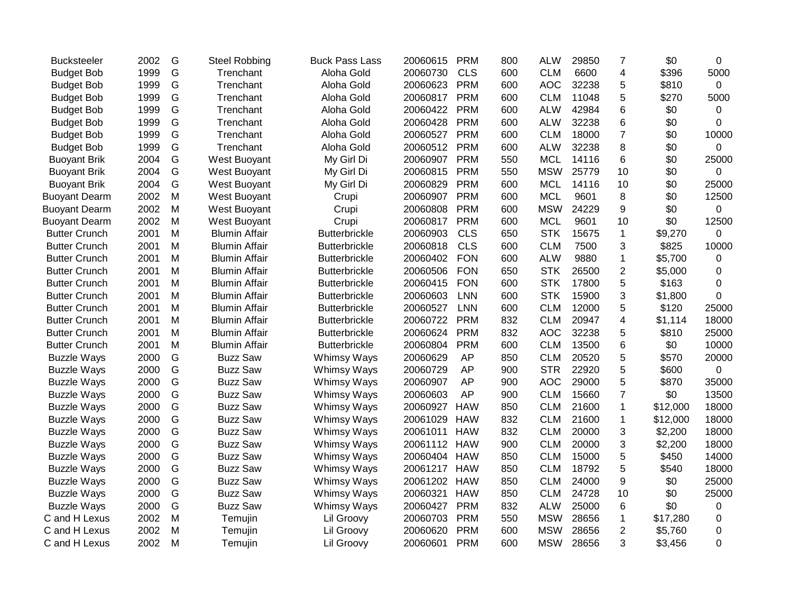| <b>Bucksteeler</b>   | 2002 | G | <b>Steel Robbing</b> | <b>Buck Pass Lass</b> | 20060615 | <b>PRM</b> | 800 | <b>ALW</b> | 29850 | $\overline{7}$ | \$0      | 0     |
|----------------------|------|---|----------------------|-----------------------|----------|------------|-----|------------|-------|----------------|----------|-------|
| <b>Budget Bob</b>    | 1999 | G | Trenchant            | Aloha Gold            | 20060730 | <b>CLS</b> | 600 | <b>CLM</b> | 6600  | 4              | \$396    | 5000  |
| <b>Budget Bob</b>    | 1999 | G | Trenchant            | Aloha Gold            | 20060623 | <b>PRM</b> | 600 | <b>AOC</b> | 32238 | 5              | \$810    | 0     |
| <b>Budget Bob</b>    | 1999 | G | Trenchant            | Aloha Gold            | 20060817 | <b>PRM</b> | 600 | <b>CLM</b> | 11048 | 5              | \$270    | 5000  |
| <b>Budget Bob</b>    | 1999 | G | Trenchant            | Aloha Gold            | 20060422 | <b>PRM</b> | 600 | <b>ALW</b> | 42984 | 6              | \$0      | 0     |
| <b>Budget Bob</b>    | 1999 | G | Trenchant            | Aloha Gold            | 20060428 | <b>PRM</b> | 600 | <b>ALW</b> | 32238 | 6              | \$0      | 0     |
| <b>Budget Bob</b>    | 1999 | G | Trenchant            | Aloha Gold            | 20060527 | <b>PRM</b> | 600 | <b>CLM</b> | 18000 | $\overline{7}$ | \$0      | 10000 |
| <b>Budget Bob</b>    | 1999 | G | Trenchant            | Aloha Gold            | 20060512 | <b>PRM</b> | 600 | <b>ALW</b> | 32238 | 8              | \$0      | 0     |
| <b>Buoyant Brik</b>  | 2004 | G | West Buoyant         | My Girl Di            | 20060907 | <b>PRM</b> | 550 | <b>MCL</b> | 14116 | 6              | \$0      | 25000 |
| <b>Buoyant Brik</b>  | 2004 | G | West Buoyant         | My Girl Di            | 20060815 | <b>PRM</b> | 550 | <b>MSW</b> | 25779 | 10             | \$0      | 0     |
| <b>Buoyant Brik</b>  | 2004 | G | West Buoyant         | My Girl Di            | 20060829 | <b>PRM</b> | 600 | <b>MCL</b> | 14116 | 10             | \$0      | 25000 |
| <b>Buoyant Dearm</b> | 2002 | M | West Buoyant         | Crupi                 | 20060907 | <b>PRM</b> | 600 | <b>MCL</b> | 9601  | 8              | \$0      | 12500 |
| <b>Buoyant Dearm</b> | 2002 | M | West Buoyant         | Crupi                 | 20060808 | <b>PRM</b> | 600 | <b>MSW</b> | 24229 | 9              | \$0      | 0     |
| <b>Buoyant Dearm</b> | 2002 | M | West Buoyant         | Crupi                 | 20060817 | <b>PRM</b> | 600 | <b>MCL</b> | 9601  | 10             | \$0      | 12500 |
| <b>Butter Crunch</b> | 2001 | M | <b>Blumin Affair</b> | <b>Butterbrickle</b>  | 20060903 | <b>CLS</b> | 650 | <b>STK</b> | 15675 | $\mathbf{1}$   | \$9,270  | 0     |
| <b>Butter Crunch</b> | 2001 | M | <b>Blumin Affair</b> | <b>Butterbrickle</b>  | 20060818 | <b>CLS</b> | 600 | <b>CLM</b> | 7500  | 3              | \$825    | 10000 |
| <b>Butter Crunch</b> | 2001 | M | <b>Blumin Affair</b> | <b>Butterbrickle</b>  | 20060402 | <b>FON</b> | 600 | <b>ALW</b> | 9880  | $\mathbf 1$    | \$5,700  | 0     |
| <b>Butter Crunch</b> | 2001 | M | <b>Blumin Affair</b> | <b>Butterbrickle</b>  | 20060506 | <b>FON</b> | 650 | <b>STK</b> | 26500 | $\overline{2}$ | \$5,000  | 0     |
| <b>Butter Crunch</b> | 2001 | M | <b>Blumin Affair</b> | <b>Butterbrickle</b>  | 20060415 | <b>FON</b> | 600 | <b>STK</b> | 17800 | 5              | \$163    | 0     |
| <b>Butter Crunch</b> | 2001 | M | <b>Blumin Affair</b> | <b>Butterbrickle</b>  | 20060603 | <b>LNN</b> | 600 | <b>STK</b> | 15900 | 3              | \$1,800  | 0     |
| <b>Butter Crunch</b> | 2001 | M | <b>Blumin Affair</b> | <b>Butterbrickle</b>  | 20060527 | <b>LNN</b> | 600 | <b>CLM</b> | 12000 | 5              | \$120    | 25000 |
| <b>Butter Crunch</b> | 2001 | M | <b>Blumin Affair</b> | <b>Butterbrickle</b>  | 20060722 | <b>PRM</b> | 832 | <b>CLM</b> | 20947 | 4              | \$1,114  | 18000 |
| <b>Butter Crunch</b> | 2001 | M | <b>Blumin Affair</b> | <b>Butterbrickle</b>  | 20060624 | <b>PRM</b> | 832 | <b>AOC</b> | 32238 | 5              | \$810    | 25000 |
| <b>Butter Crunch</b> | 2001 | M | <b>Blumin Affair</b> | <b>Butterbrickle</b>  | 20060804 | <b>PRM</b> | 600 | <b>CLM</b> | 13500 | 6              | \$0      | 10000 |
| <b>Buzzle Ways</b>   | 2000 | G | <b>Buzz Saw</b>      | Whimsy Ways           | 20060629 | <b>AP</b>  | 850 | <b>CLM</b> | 20520 | 5              | \$570    | 20000 |
| <b>Buzzle Ways</b>   | 2000 | G | <b>Buzz Saw</b>      | Whimsy Ways           | 20060729 | AP         | 900 | <b>STR</b> | 22920 | 5              | \$600    | 0     |
| <b>Buzzle Ways</b>   | 2000 | G | <b>Buzz Saw</b>      | Whimsy Ways           | 20060907 | <b>AP</b>  | 900 | <b>AOC</b> | 29000 | 5              | \$870    | 35000 |
| <b>Buzzle Ways</b>   | 2000 | G | <b>Buzz Saw</b>      | Whimsy Ways           | 20060603 | AP         | 900 | <b>CLM</b> | 15660 | $\overline{7}$ | \$0      | 13500 |
| <b>Buzzle Ways</b>   | 2000 | G | <b>Buzz Saw</b>      | Whimsy Ways           | 20060927 | <b>HAW</b> | 850 | <b>CLM</b> | 21600 | $\mathbf 1$    | \$12,000 | 18000 |
| <b>Buzzle Ways</b>   | 2000 | G | <b>Buzz Saw</b>      | Whimsy Ways           | 20061029 | <b>HAW</b> | 832 | <b>CLM</b> | 21600 | $\mathbf 1$    | \$12,000 | 18000 |
| <b>Buzzle Ways</b>   | 2000 | G | <b>Buzz Saw</b>      | Whimsy Ways           | 20061011 | <b>HAW</b> | 832 | <b>CLM</b> | 20000 | 3              | \$2,200  | 18000 |
| <b>Buzzle Ways</b>   | 2000 | G | <b>Buzz Saw</b>      | Whimsy Ways           | 20061112 | <b>HAW</b> | 900 | <b>CLM</b> | 20000 | 3              | \$2,200  | 18000 |
| <b>Buzzle Ways</b>   | 2000 | G | <b>Buzz Saw</b>      | Whimsy Ways           | 20060404 | <b>HAW</b> | 850 | <b>CLM</b> | 15000 | 5              | \$450    | 14000 |
| <b>Buzzle Ways</b>   | 2000 | G | <b>Buzz Saw</b>      | Whimsy Ways           | 20061217 | <b>HAW</b> | 850 | <b>CLM</b> | 18792 | 5              | \$540    | 18000 |
| <b>Buzzle Ways</b>   | 2000 | G | <b>Buzz Saw</b>      | Whimsy Ways           | 20061202 | <b>HAW</b> | 850 | <b>CLM</b> | 24000 | 9              | \$0      | 25000 |
| <b>Buzzle Ways</b>   | 2000 | G | <b>Buzz Saw</b>      | Whimsy Ways           | 20060321 | <b>HAW</b> | 850 | <b>CLM</b> | 24728 | 10             | \$0      | 25000 |
| <b>Buzzle Ways</b>   | 2000 | G | <b>Buzz Saw</b>      | Whimsy Ways           | 20060427 | <b>PRM</b> | 832 | <b>ALW</b> | 25000 | 6              | \$0      | 0     |
| C and H Lexus        | 2002 | M | Temujin              | Lil Groovy            | 20060703 | <b>PRM</b> | 550 | <b>MSW</b> | 28656 | $\mathbf 1$    | \$17,280 | 0     |
| C and H Lexus        | 2002 | M | Temujin              | Lil Groovy            | 20060620 | <b>PRM</b> | 600 | <b>MSW</b> | 28656 | $\overline{2}$ | \$5,760  | 0     |
| C and H Lexus        | 2002 | M | Temujin              | Lil Groovy            | 20060601 | <b>PRM</b> | 600 | <b>MSW</b> | 28656 | 3              | \$3,456  | 0     |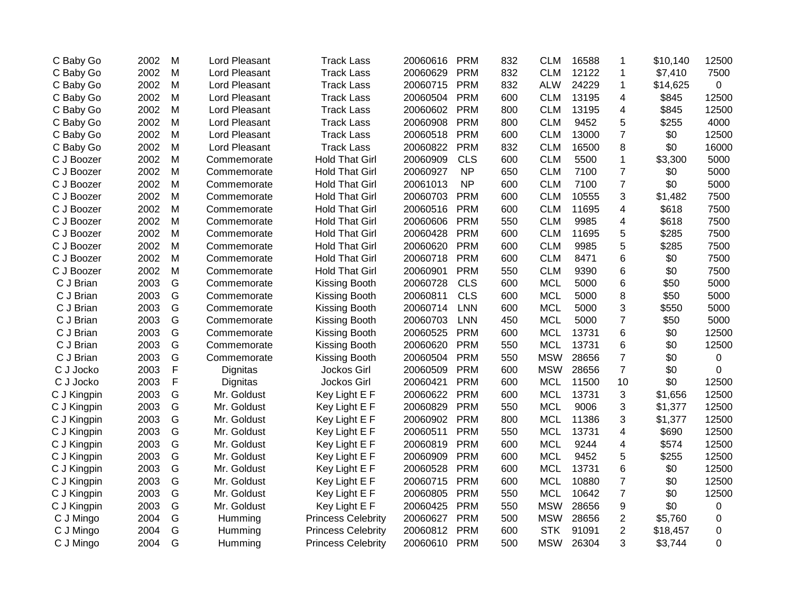| C Baby Go   | 2002 | M | Lord Pleasant | <b>Track Lass</b>         | 20060616 | <b>PRM</b> | 832 | <b>CLM</b> | 16588 | 1                       | \$10,140 | 12500 |
|-------------|------|---|---------------|---------------------------|----------|------------|-----|------------|-------|-------------------------|----------|-------|
| C Baby Go   | 2002 | M | Lord Pleasant | <b>Track Lass</b>         | 20060629 | <b>PRM</b> | 832 | <b>CLM</b> | 12122 | 1                       | \$7,410  | 7500  |
| C Baby Go   | 2002 | M | Lord Pleasant | <b>Track Lass</b>         | 20060715 | <b>PRM</b> | 832 | <b>ALW</b> | 24229 | 1                       | \$14,625 | 0     |
| C Baby Go   | 2002 | M | Lord Pleasant | <b>Track Lass</b>         | 20060504 | <b>PRM</b> | 600 | <b>CLM</b> | 13195 | 4                       | \$845    | 12500 |
| C Baby Go   | 2002 | M | Lord Pleasant | <b>Track Lass</b>         | 20060602 | <b>PRM</b> | 800 | <b>CLM</b> | 13195 | 4                       | \$845    | 12500 |
| C Baby Go   | 2002 | M | Lord Pleasant | <b>Track Lass</b>         | 20060908 | <b>PRM</b> | 800 | <b>CLM</b> | 9452  | 5                       | \$255    | 4000  |
| C Baby Go   | 2002 | M | Lord Pleasant | <b>Track Lass</b>         | 20060518 | <b>PRM</b> | 600 | <b>CLM</b> | 13000 | $\overline{7}$          | \$0      | 12500 |
| C Baby Go   | 2002 | M | Lord Pleasant | <b>Track Lass</b>         | 20060822 | <b>PRM</b> | 832 | <b>CLM</b> | 16500 | 8                       | \$0      | 16000 |
| C J Boozer  | 2002 | M | Commemorate   | <b>Hold That Girl</b>     | 20060909 | <b>CLS</b> | 600 | <b>CLM</b> | 5500  | $\mathbf{1}$            | \$3,300  | 5000  |
| C J Boozer  | 2002 | M | Commemorate   | <b>Hold That Girl</b>     | 20060927 | <b>NP</b>  | 650 | <b>CLM</b> | 7100  | $\overline{7}$          | \$0      | 5000  |
| C J Boozer  | 2002 | M | Commemorate   | <b>Hold That Girl</b>     | 20061013 | <b>NP</b>  | 600 | <b>CLM</b> | 7100  | $\overline{7}$          | \$0      | 5000  |
| C J Boozer  | 2002 | M | Commemorate   | <b>Hold That Girl</b>     | 20060703 | <b>PRM</b> | 600 | <b>CLM</b> | 10555 | 3                       | \$1,482  | 7500  |
| C J Boozer  | 2002 | M | Commemorate   | <b>Hold That Girl</b>     | 20060516 | <b>PRM</b> | 600 | <b>CLM</b> | 11695 | 4                       | \$618    | 7500  |
| C J Boozer  | 2002 | M | Commemorate   | <b>Hold That Girl</b>     | 20060606 | <b>PRM</b> | 550 | <b>CLM</b> | 9985  | 4                       | \$618    | 7500  |
| C J Boozer  | 2002 | M | Commemorate   | <b>Hold That Girl</b>     | 20060428 | <b>PRM</b> | 600 | <b>CLM</b> | 11695 | 5                       | \$285    | 7500  |
| C J Boozer  | 2002 | M | Commemorate   | <b>Hold That Girl</b>     | 20060620 | <b>PRM</b> | 600 | <b>CLM</b> | 9985  | 5                       | \$285    | 7500  |
| C J Boozer  | 2002 | M | Commemorate   | <b>Hold That Girl</b>     | 20060718 | <b>PRM</b> | 600 | <b>CLM</b> | 8471  | 6                       | \$0      | 7500  |
| C J Boozer  | 2002 | M | Commemorate   | <b>Hold That Girl</b>     | 20060901 | <b>PRM</b> | 550 | <b>CLM</b> | 9390  | 6                       | \$0      | 7500  |
| C J Brian   | 2003 | G | Commemorate   | Kissing Booth             | 20060728 | <b>CLS</b> | 600 | <b>MCL</b> | 5000  | 6                       | \$50     | 5000  |
| C J Brian   | 2003 | G | Commemorate   | Kissing Booth             | 20060811 | <b>CLS</b> | 600 | <b>MCL</b> | 5000  | 8                       | \$50     | 5000  |
| C J Brian   | 2003 | G | Commemorate   | Kissing Booth             | 20060714 | <b>LNN</b> | 600 | <b>MCL</b> | 5000  | 3                       | \$550    | 5000  |
| C J Brian   | 2003 | G | Commemorate   | Kissing Booth             | 20060703 | <b>LNN</b> | 450 | <b>MCL</b> | 5000  | $\overline{7}$          | \$50     | 5000  |
| C J Brian   | 2003 | G | Commemorate   | Kissing Booth             | 20060525 | <b>PRM</b> | 600 | <b>MCL</b> | 13731 | 6                       | \$0      | 12500 |
| C J Brian   | 2003 | G | Commemorate   | Kissing Booth             | 20060620 | <b>PRM</b> | 550 | <b>MCL</b> | 13731 | 6                       | \$0      | 12500 |
| C J Brian   | 2003 | G | Commemorate   | Kissing Booth             | 20060504 | <b>PRM</b> | 550 | <b>MSW</b> | 28656 | $\overline{7}$          | \$0      | 0     |
| C J Jocko   | 2003 | F | Dignitas      | Jockos Girl               | 20060509 | <b>PRM</b> | 600 | <b>MSW</b> | 28656 | $\overline{7}$          | \$0      | 0     |
| C J Jocko   | 2003 | F | Dignitas      | Jockos Girl               | 20060421 | <b>PRM</b> | 600 | <b>MCL</b> | 11500 | 10                      | \$0      | 12500 |
| C J Kingpin | 2003 | G | Mr. Goldust   | Key Light E F             | 20060622 | <b>PRM</b> | 600 | <b>MCL</b> | 13731 | 3                       | \$1,656  | 12500 |
| C J Kingpin | 2003 | G | Mr. Goldust   | Key Light E F             | 20060829 | <b>PRM</b> | 550 | <b>MCL</b> | 9006  | 3                       | \$1,377  | 12500 |
| C J Kingpin | 2003 | G | Mr. Goldust   | Key Light E F             | 20060902 | <b>PRM</b> | 800 | <b>MCL</b> | 11386 | 3                       | \$1,377  | 12500 |
| C J Kingpin | 2003 | G | Mr. Goldust   | Key Light E F             | 20060511 | <b>PRM</b> | 550 | <b>MCL</b> | 13731 | 4                       | \$690    | 12500 |
| C J Kingpin | 2003 | G | Mr. Goldust   | Key Light E F             | 20060819 | <b>PRM</b> | 600 | <b>MCL</b> | 9244  | 4                       | \$574    | 12500 |
| C J Kingpin | 2003 | G | Mr. Goldust   | Key Light E F             | 20060909 | <b>PRM</b> | 600 | <b>MCL</b> | 9452  | 5                       | \$255    | 12500 |
| C J Kingpin | 2003 | G | Mr. Goldust   | Key Light E F             | 20060528 | <b>PRM</b> | 600 | <b>MCL</b> | 13731 | 6                       | \$0      | 12500 |
| C J Kingpin | 2003 | G | Mr. Goldust   | Key Light E F             | 20060715 | <b>PRM</b> | 600 | <b>MCL</b> | 10880 | $\overline{7}$          | \$0      | 12500 |
| C J Kingpin | 2003 | G | Mr. Goldust   | Key Light E F             | 20060805 | <b>PRM</b> | 550 | <b>MCL</b> | 10642 | $\overline{7}$          | \$0      | 12500 |
| C J Kingpin | 2003 | G | Mr. Goldust   | Key Light E F             | 20060425 | <b>PRM</b> | 550 | <b>MSW</b> | 28656 | 9                       | \$0      | 0     |
| C J Mingo   | 2004 | G | Humming       | <b>Princess Celebrity</b> | 20060627 | <b>PRM</b> | 500 | <b>MSW</b> | 28656 | 2                       | \$5,760  | 0     |
| C J Mingo   | 2004 | G | Humming       | <b>Princess Celebrity</b> | 20060812 | <b>PRM</b> | 600 | <b>STK</b> | 91091 | $\overline{\mathbf{c}}$ | \$18,457 | 0     |
| C J Mingo   | 2004 | G | Humming       | <b>Princess Celebrity</b> | 20060610 | <b>PRM</b> | 500 | <b>MSW</b> | 26304 | 3                       | \$3,744  | 0     |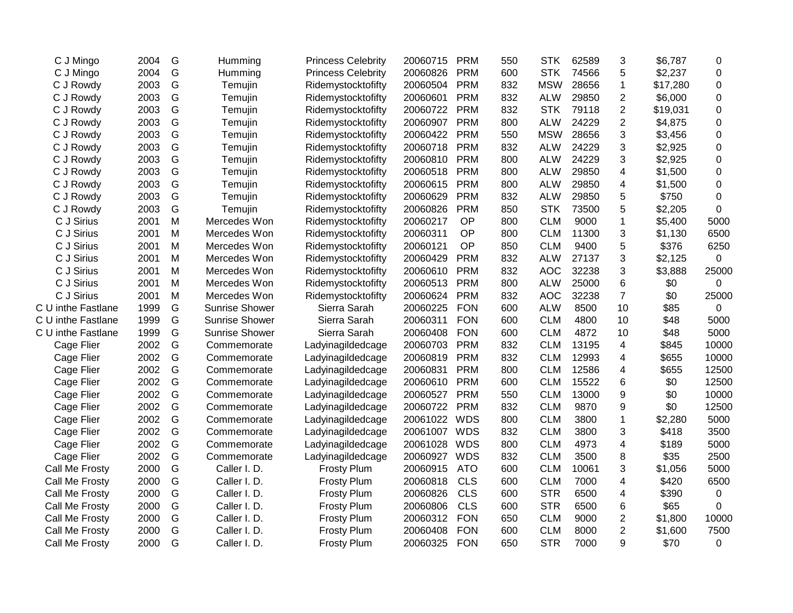| C J Mingo          | 2004 | G             | Humming               | <b>Princess Celebrity</b> | 20060715 | <b>PRM</b> | 550 | <b>STK</b> | 62589 | 3                       | \$6,787  | 0              |
|--------------------|------|---------------|-----------------------|---------------------------|----------|------------|-----|------------|-------|-------------------------|----------|----------------|
| C J Mingo          | 2004 | G             | Humming               | <b>Princess Celebrity</b> | 20060826 | <b>PRM</b> | 600 | <b>STK</b> | 74566 | 5                       | \$2,237  | 0              |
| C J Rowdy          | 2003 | G             | Temujin               | Ridemystocktofifty        | 20060504 | <b>PRM</b> | 832 | <b>MSW</b> | 28656 | $\mathbf{1}$            | \$17,280 | 0              |
| C J Rowdy          | 2003 | G             | Temujin               | Ridemystocktofifty        | 20060601 | <b>PRM</b> | 832 | <b>ALW</b> | 29850 | $\overline{2}$          | \$6,000  | 0              |
| C J Rowdy          | 2003 | G             | Temujin               | Ridemystocktofifty        | 20060722 | <b>PRM</b> | 832 | <b>STK</b> | 79118 | $\overline{2}$          | \$19,031 | 0              |
| C J Rowdy          | 2003 | G             | Temujin               | Ridemystocktofifty        | 20060907 | <b>PRM</b> | 800 | <b>ALW</b> | 24229 | $\overline{c}$          | \$4,875  | 0              |
| C J Rowdy          | 2003 | ${\mathsf G}$ | Temujin               | Ridemystocktofifty        | 20060422 | <b>PRM</b> | 550 | <b>MSW</b> | 28656 | 3                       | \$3,456  | 0              |
| C J Rowdy          | 2003 | G             | Temujin               | Ridemystocktofifty        | 20060718 | <b>PRM</b> | 832 | <b>ALW</b> | 24229 | 3                       | \$2,925  | $\mathbf 0$    |
| C J Rowdy          | 2003 | G             | Temujin               | Ridemystocktofifty        | 20060810 | <b>PRM</b> | 800 | <b>ALW</b> | 24229 | 3                       | \$2,925  | 0              |
| C J Rowdy          | 2003 | G             | Temujin               | Ridemystocktofifty        | 20060518 | <b>PRM</b> | 800 | <b>ALW</b> | 29850 | 4                       | \$1,500  | 0              |
| C J Rowdy          | 2003 | G             | Temujin               | Ridemystocktofifty        | 20060615 | <b>PRM</b> | 800 | <b>ALW</b> | 29850 | 4                       | \$1,500  | 0              |
| C J Rowdy          | 2003 | G             | Temujin               | Ridemystocktofifty        | 20060629 | <b>PRM</b> | 832 | <b>ALW</b> | 29850 | 5                       | \$750    | $\mathbf 0$    |
| C J Rowdy          | 2003 | G             | Temujin               | Ridemystocktofifty        | 20060826 | <b>PRM</b> | 850 | <b>STK</b> | 73500 | 5                       | \$2,205  | $\mathbf 0$    |
| C J Sirius         | 2001 | M             | Mercedes Won          | Ridemystocktofifty        | 20060217 | <b>OP</b>  | 800 | <b>CLM</b> | 9000  | $\mathbf{1}$            | \$5,400  | 5000           |
| C J Sirius         | 2001 | M             | Mercedes Won          | Ridemystocktofifty        | 20060311 | OP         | 800 | <b>CLM</b> | 11300 | 3                       | \$1,130  | 6500           |
| C J Sirius         | 2001 | M             | Mercedes Won          | Ridemystocktofifty        | 20060121 | OP         | 850 | <b>CLM</b> | 9400  | 5                       | \$376    | 6250           |
| C J Sirius         | 2001 | M             | Mercedes Won          | Ridemystocktofifty        | 20060429 | <b>PRM</b> | 832 | <b>ALW</b> | 27137 | 3                       | \$2,125  | $\overline{0}$ |
| C J Sirius         | 2001 | M             | Mercedes Won          | Ridemystocktofifty        | 20060610 | <b>PRM</b> | 832 | <b>AOC</b> | 32238 | 3                       | \$3,888  | 25000          |
| C J Sirius         | 2001 | M             | Mercedes Won          | Ridemystocktofifty        | 20060513 | <b>PRM</b> | 800 | <b>ALW</b> | 25000 | 6                       | \$0      | 0              |
| C J Sirius         | 2001 | M             | Mercedes Won          | Ridemystocktofifty        | 20060624 | <b>PRM</b> | 832 | <b>AOC</b> | 32238 | $\overline{7}$          | \$0      | 25000          |
| C U inthe Fastlane | 1999 | G             | <b>Sunrise Shower</b> | Sierra Sarah              | 20060225 | <b>FON</b> | 600 | <b>ALW</b> | 8500  | 10                      | \$85     | 0              |
| C U inthe Fastlane | 1999 | G             | <b>Sunrise Shower</b> | Sierra Sarah              | 20060311 | <b>FON</b> | 600 | <b>CLM</b> | 4800  | 10                      | \$48     | 5000           |
| C U inthe Fastlane | 1999 | G             | <b>Sunrise Shower</b> | Sierra Sarah              | 20060408 | <b>FON</b> | 600 | <b>CLM</b> | 4872  | 10                      | \$48     | 5000           |
| Cage Flier         | 2002 | G             | Commemorate           | Ladyinagildedcage         | 20060703 | <b>PRM</b> | 832 | <b>CLM</b> | 13195 | $\overline{\mathbf{4}}$ | \$845    | 10000          |
| Cage Flier         | 2002 | G             | Commemorate           | Ladyinagildedcage         | 20060819 | <b>PRM</b> | 832 | <b>CLM</b> | 12993 | 4                       | \$655    | 10000          |
| Cage Flier         | 2002 | G             | Commemorate           | Ladyinagildedcage         | 20060831 | <b>PRM</b> | 800 | <b>CLM</b> | 12586 | 4                       | \$655    | 12500          |
| Cage Flier         | 2002 | G             | Commemorate           | Ladyinagildedcage         | 20060610 | <b>PRM</b> | 600 | <b>CLM</b> | 15522 | 6                       | \$0      | 12500          |
| Cage Flier         | 2002 | G             | Commemorate           | Ladyinagildedcage         | 20060527 | <b>PRM</b> | 550 | <b>CLM</b> | 13000 | 9                       | \$0      | 10000          |
| Cage Flier         | 2002 | G             | Commemorate           | Ladyinagildedcage         | 20060722 | <b>PRM</b> | 832 | <b>CLM</b> | 9870  | 9                       | \$0      | 12500          |
| Cage Flier         | 2002 | G             | Commemorate           | Ladyinagildedcage         | 20061022 | <b>WDS</b> | 800 | <b>CLM</b> | 3800  | $\mathbf{1}$            | \$2,280  | 5000           |
| Cage Flier         | 2002 | G             | Commemorate           | Ladyinagildedcage         | 20061007 | <b>WDS</b> | 832 | <b>CLM</b> | 3800  | 3                       | \$418    | 3500           |
| Cage Flier         | 2002 | G             | Commemorate           | Ladyinagildedcage         | 20061028 | <b>WDS</b> | 800 | <b>CLM</b> | 4973  | $\overline{4}$          | \$189    | 5000           |
| Cage Flier         | 2002 | G             | Commemorate           | Ladyinagildedcage         | 20060927 | <b>WDS</b> | 832 | <b>CLM</b> | 3500  | 8                       | \$35     | 2500           |
| Call Me Frosty     | 2000 | G             | Caller I. D.          | <b>Frosty Plum</b>        | 20060915 | <b>ATO</b> | 600 | <b>CLM</b> | 10061 | 3                       | \$1,056  | 5000           |
| Call Me Frosty     | 2000 | G             | Caller I. D.          | <b>Frosty Plum</b>        | 20060818 | <b>CLS</b> | 600 | <b>CLM</b> | 7000  | 4                       | \$420    | 6500           |
| Call Me Frosty     | 2000 | G             | Caller I. D.          | <b>Frosty Plum</b>        | 20060826 | <b>CLS</b> | 600 | <b>STR</b> | 6500  | 4                       | \$390    | 0              |
| Call Me Frosty     | 2000 | G             | Caller I. D.          | <b>Frosty Plum</b>        | 20060806 | <b>CLS</b> | 600 | <b>STR</b> | 6500  | 6                       | \$65     | $\Omega$       |
| Call Me Frosty     | 2000 | G             | Caller I. D.          | <b>Frosty Plum</b>        | 20060312 | <b>FON</b> | 650 | <b>CLM</b> | 9000  | $\overline{c}$          | \$1,800  | 10000          |
| Call Me Frosty     | 2000 | G             | Caller I. D.          | <b>Frosty Plum</b>        | 20060408 | <b>FON</b> | 600 | <b>CLM</b> | 8000  | $\overline{2}$          | \$1,600  | 7500           |
| Call Me Frosty     | 2000 | G             | Caller I. D.          | <b>Frosty Plum</b>        | 20060325 | <b>FON</b> | 650 | <b>STR</b> | 7000  | 9                       | \$70     | 0              |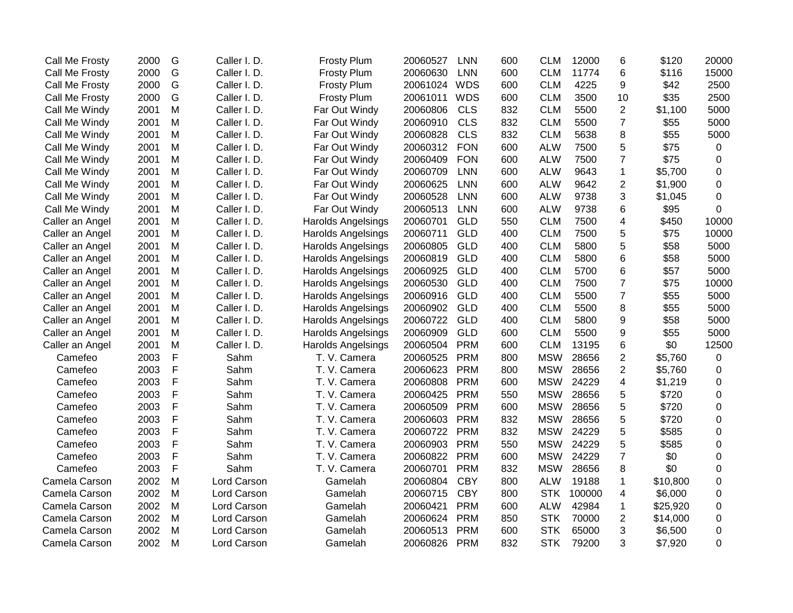| Call Me Frosty  | 2000 | G           | Caller I.D.  | <b>Frosty Plum</b>        | 20060527 | <b>LNN</b> | 600 | <b>CLM</b> | 12000  | 6                | \$120    | 20000          |
|-----------------|------|-------------|--------------|---------------------------|----------|------------|-----|------------|--------|------------------|----------|----------------|
| Call Me Frosty  | 2000 | G           | Caller I. D. | <b>Frosty Plum</b>        | 20060630 | <b>LNN</b> | 600 | <b>CLM</b> | 11774  | 6                | \$116    | 15000          |
| Call Me Frosty  | 2000 | G           | Caller I. D. | <b>Frosty Plum</b>        | 20061024 | <b>WDS</b> | 600 | <b>CLM</b> | 4225   | 9                | \$42     | 2500           |
| Call Me Frosty  | 2000 | G           | Caller I. D. | <b>Frosty Plum</b>        | 20061011 | <b>WDS</b> | 600 | <b>CLM</b> | 3500   | 10               | \$35     | 2500           |
| Call Me Windy   | 2001 | M           | Caller I. D. | Far Out Windy             | 20060806 | <b>CLS</b> | 832 | <b>CLM</b> | 5500   | $\overline{2}$   | \$1,100  | 5000           |
| Call Me Windy   | 2001 | M           | Caller I. D. | Far Out Windy             | 20060910 | <b>CLS</b> | 832 | <b>CLM</b> | 5500   | $\overline{7}$   | \$55     | 5000           |
| Call Me Windy   | 2001 | M           | Caller I. D. | Far Out Windy             | 20060828 | <b>CLS</b> | 832 | <b>CLM</b> | 5638   | 8                | \$55     | 5000           |
| Call Me Windy   | 2001 | M           | Caller I. D. | Far Out Windy             | 20060312 | <b>FON</b> | 600 | <b>ALW</b> | 7500   | 5                | \$75     | $\mathbf 0$    |
| Call Me Windy   | 2001 | M           | Caller I. D. | Far Out Windy             | 20060409 | <b>FON</b> | 600 | <b>ALW</b> | 7500   | $\overline{7}$   | \$75     | 0              |
| Call Me Windy   | 2001 | M           | Caller I. D. | Far Out Windy             | 20060709 | <b>LNN</b> | 600 | <b>ALW</b> | 9643   | 1                | \$5,700  | 0              |
| Call Me Windy   | 2001 | M           | Caller I. D. | Far Out Windy             | 20060625 | <b>LNN</b> | 600 | <b>ALW</b> | 9642   | 2                | \$1,900  | 0              |
| Call Me Windy   | 2001 | M           | Caller I.D.  | Far Out Windy             | 20060528 | <b>LNN</b> | 600 | <b>ALW</b> | 9738   | 3                | \$1,045  | $\mathbf 0$    |
| Call Me Windy   | 2001 | M           | Caller I.D.  | Far Out Windy             | 20060513 | <b>LNN</b> | 600 | <b>ALW</b> | 9738   | 6                | \$95     | $\mathbf 0$    |
| Caller an Angel | 2001 | M           | Caller I. D. | <b>Harolds Angelsings</b> | 20060701 | GLD        | 550 | <b>CLM</b> | 7500   | 4                | \$450    | 10000          |
| Caller an Angel | 2001 | M           | Caller I. D. | <b>Harolds Angelsings</b> | 20060711 | GLD        | 400 | <b>CLM</b> | 7500   | 5                | \$75     | 10000          |
| Caller an Angel | 2001 | M           | Caller I. D. | <b>Harolds Angelsings</b> | 20060805 | GLD        | 400 | <b>CLM</b> | 5800   | 5                | \$58     | 5000           |
| Caller an Angel | 2001 | M           | Caller I. D. | <b>Harolds Angelsings</b> | 20060819 | GLD        | 400 | <b>CLM</b> | 5800   | 6                | \$58     | 5000           |
| Caller an Angel | 2001 | M           | Caller I. D. | <b>Harolds Angelsings</b> | 20060925 | <b>GLD</b> | 400 | <b>CLM</b> | 5700   | 6                | \$57     | 5000           |
| Caller an Angel | 2001 | M           | Caller I. D. | <b>Harolds Angelsings</b> | 20060530 | <b>GLD</b> | 400 | <b>CLM</b> | 7500   | $\overline{7}$   | \$75     | 10000          |
| Caller an Angel | 2001 | M           | Caller I. D. | <b>Harolds Angelsings</b> | 20060916 | <b>GLD</b> | 400 | <b>CLM</b> | 5500   | $\overline{7}$   | \$55     | 5000           |
| Caller an Angel | 2001 | M           | Caller I. D. | Harolds Angelsings        | 20060902 | GLD        | 400 | <b>CLM</b> | 5500   | 8                | \$55     | 5000           |
| Caller an Angel | 2001 | M           | Caller I. D. | Harolds Angelsings        | 20060722 | <b>GLD</b> | 400 | <b>CLM</b> | 5800   | $\boldsymbol{9}$ | \$58     | 5000           |
| Caller an Angel | 2001 | M           | Caller I. D. | Harolds Angelsings        | 20060909 | <b>GLD</b> | 600 | <b>CLM</b> | 5500   | 9                | \$55     | 5000           |
| Caller an Angel | 2001 | M           | Caller I. D. | Harolds Angelsings        | 20060504 | <b>PRM</b> | 600 | <b>CLM</b> | 13195  | 6                | \$0      | 12500          |
| Camefeo         | 2003 | $\mathsf F$ | Sahm         | T. V. Camera              | 20060525 | <b>PRM</b> | 800 | <b>MSW</b> | 28656  | $\overline{c}$   | \$5,760  | 0              |
| Camefeo         | 2003 | F           | Sahm         | T. V. Camera              | 20060623 | <b>PRM</b> | 800 | <b>MSW</b> | 28656  | $\overline{2}$   | \$5,760  | 0              |
| Camefeo         | 2003 | F           | Sahm         | T. V. Camera              | 20060808 | <b>PRM</b> | 600 | <b>MSW</b> | 24229  | 4                | \$1,219  | 0              |
| Camefeo         | 2003 | F           | Sahm         | T. V. Camera              | 20060425 | <b>PRM</b> | 550 | <b>MSW</b> | 28656  | 5                | \$720    | 0              |
| Camefeo         | 2003 | F           | Sahm         | T. V. Camera              | 20060509 | <b>PRM</b> | 600 | <b>MSW</b> | 28656  | 5                | \$720    | 0              |
| Camefeo         | 2003 | F           | Sahm         | T. V. Camera              | 20060603 | <b>PRM</b> | 832 | <b>MSW</b> | 28656  | 5                | \$720    | 0              |
| Camefeo         | 2003 | F           | Sahm         | T. V. Camera              | 20060722 | <b>PRM</b> | 832 | <b>MSW</b> | 24229  | 5                | \$585    | 0              |
| Camefeo         | 2003 | F           | Sahm         | T. V. Camera              | 20060903 | <b>PRM</b> | 550 | <b>MSW</b> | 24229  | 5                | \$585    | $\mathbf 0$    |
| Camefeo         | 2003 | F           | Sahm         | T. V. Camera              | 20060822 | <b>PRM</b> | 600 | <b>MSW</b> | 24229  | $\overline{7}$   | \$0      | $\mathbf 0$    |
| Camefeo         | 2003 | F           | Sahm         | T. V. Camera              | 20060701 | <b>PRM</b> | 832 | <b>MSW</b> | 28656  | 8                | \$0      | $\overline{0}$ |
| Camela Carson   | 2002 | M           | Lord Carson  | Gamelah                   | 20060804 | <b>CBY</b> | 800 | <b>ALW</b> | 19188  | 1                | \$10,800 | $\mathbf 0$    |
| Camela Carson   | 2002 | M           | Lord Carson  | Gamelah                   | 20060715 | <b>CBY</b> | 800 | <b>STK</b> | 100000 | 4                | \$6,000  | $\mathbf 0$    |
| Camela Carson   | 2002 | M           | Lord Carson  | Gamelah                   | 20060421 | <b>PRM</b> | 600 | <b>ALW</b> | 42984  | $\mathbf 1$      | \$25,920 | 0              |
| Camela Carson   | 2002 | M           | Lord Carson  | Gamelah                   | 20060624 | <b>PRM</b> | 850 | <b>STK</b> | 70000  | 2                | \$14,000 | 0              |
| Camela Carson   | 2002 | M           | Lord Carson  | Gamelah                   | 20060513 | <b>PRM</b> | 600 | <b>STK</b> | 65000  | 3                | \$6,500  | 0              |
| Camela Carson   | 2002 | M           | Lord Carson  | Gamelah                   | 20060826 | <b>PRM</b> | 832 | <b>STK</b> | 79200  | 3                | \$7,920  | $\mathbf 0$    |
|                 |      |             |              |                           |          |            |     |            |        |                  |          |                |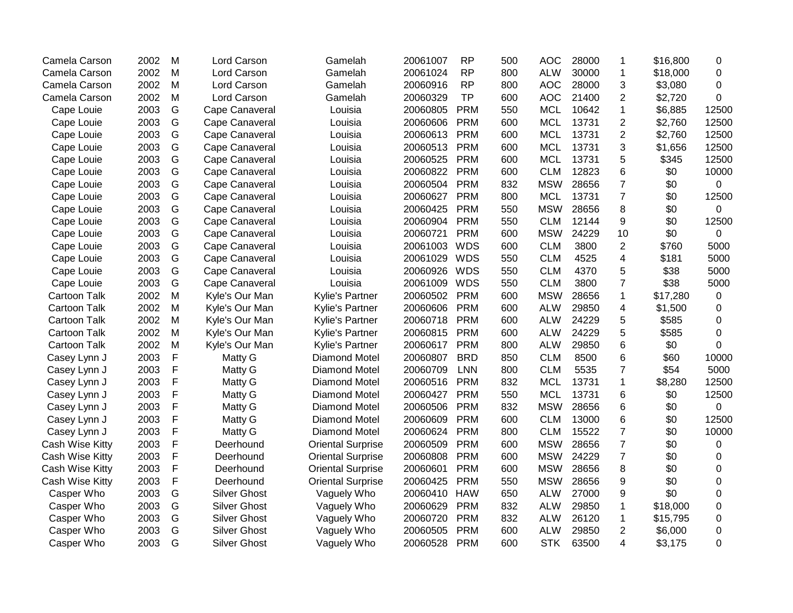| Camela Carson       | 2002 | M            | Lord Carson         | Gamelah                  | 20061007 | <b>RP</b>  | 500 | <b>AOC</b> | 28000 | 1              | \$16,800 | 0           |
|---------------------|------|--------------|---------------------|--------------------------|----------|------------|-----|------------|-------|----------------|----------|-------------|
| Camela Carson       | 2002 | M            | Lord Carson         | Gamelah                  | 20061024 | <b>RP</b>  | 800 | <b>ALW</b> | 30000 | 1              | \$18,000 | 0           |
| Camela Carson       | 2002 | M            | Lord Carson         | Gamelah                  | 20060916 | <b>RP</b>  | 800 | <b>AOC</b> | 28000 | 3              | \$3,080  | $\Omega$    |
| Camela Carson       | 2002 | M            | Lord Carson         | Gamelah                  | 20060329 | <b>TP</b>  | 600 | <b>AOC</b> | 21400 | $\overline{2}$ | \$2,720  | 0           |
| Cape Louie          | 2003 | G            | Cape Canaveral      | Louisia                  | 20060805 | <b>PRM</b> | 550 | <b>MCL</b> | 10642 | 1              | \$6,885  | 12500       |
| Cape Louie          | 2003 | G            | Cape Canaveral      | Louisia                  | 20060606 | <b>PRM</b> | 600 | <b>MCL</b> | 13731 | $\overline{2}$ | \$2,760  | 12500       |
| Cape Louie          | 2003 | G            | Cape Canaveral      | Louisia                  | 20060613 | <b>PRM</b> | 600 | <b>MCL</b> | 13731 | $\overline{2}$ | \$2,760  | 12500       |
| Cape Louie          | 2003 | G            | Cape Canaveral      | Louisia                  | 20060513 | <b>PRM</b> | 600 | <b>MCL</b> | 13731 | 3              | \$1,656  | 12500       |
| Cape Louie          | 2003 | G            | Cape Canaveral      | Louisia                  | 20060525 | <b>PRM</b> | 600 | <b>MCL</b> | 13731 | 5              | \$345    | 12500       |
| Cape Louie          | 2003 | G            | Cape Canaveral      | Louisia                  | 20060822 | <b>PRM</b> | 600 | <b>CLM</b> | 12823 | 6              | \$0      | 10000       |
| Cape Louie          | 2003 | G            | Cape Canaveral      | Louisia                  | 20060504 | <b>PRM</b> | 832 | <b>MSW</b> | 28656 | $\overline{7}$ | \$0      | 0           |
| Cape Louie          | 2003 | G            | Cape Canaveral      | Louisia                  | 20060627 | <b>PRM</b> | 800 | <b>MCL</b> | 13731 | $\overline{7}$ | \$0      | 12500       |
| Cape Louie          | 2003 | G            | Cape Canaveral      | Louisia                  | 20060425 | <b>PRM</b> | 550 | <b>MSW</b> | 28656 | 8              | \$0      | 0           |
| Cape Louie          | 2003 | G            | Cape Canaveral      | Louisia                  | 20060904 | <b>PRM</b> | 550 | <b>CLM</b> | 12144 | 9              | \$0      | 12500       |
| Cape Louie          | 2003 | G            | Cape Canaveral      | Louisia                  | 20060721 | <b>PRM</b> | 600 | <b>MSW</b> | 24229 | 10             | \$0      | $\mathbf 0$ |
| Cape Louie          | 2003 | G            | Cape Canaveral      | Louisia                  | 20061003 | <b>WDS</b> | 600 | <b>CLM</b> | 3800  | $\overline{2}$ | \$760    | 5000        |
| Cape Louie          | 2003 | G            | Cape Canaveral      | Louisia                  | 20061029 | <b>WDS</b> | 550 | <b>CLM</b> | 4525  | 4              | \$181    | 5000        |
| Cape Louie          | 2003 | G            | Cape Canaveral      | Louisia                  | 20060926 | <b>WDS</b> | 550 | <b>CLM</b> | 4370  | 5              | \$38     | 5000        |
| Cape Louie          | 2003 | G            | Cape Canaveral      | Louisia                  | 20061009 | <b>WDS</b> | 550 | <b>CLM</b> | 3800  | $\overline{7}$ | \$38     | 5000        |
| <b>Cartoon Talk</b> | 2002 | M            | Kyle's Our Man      | <b>Kylie's Partner</b>   | 20060502 | <b>PRM</b> | 600 | <b>MSW</b> | 28656 | 1              | \$17,280 | $\mathbf 0$ |
| <b>Cartoon Talk</b> | 2002 | M            | Kyle's Our Man      | Kylie's Partner          | 20060606 | <b>PRM</b> | 600 | <b>ALW</b> | 29850 | 4              | \$1,500  | 0           |
| <b>Cartoon Talk</b> | 2002 | M            | Kyle's Our Man      | Kylie's Partner          | 20060718 | <b>PRM</b> | 600 | <b>ALW</b> | 24229 | 5              | \$585    | 0           |
| <b>Cartoon Talk</b> | 2002 | M            | Kyle's Our Man      | Kylie's Partner          | 20060815 | <b>PRM</b> | 600 | <b>ALW</b> | 24229 | 5              | \$585    | 0           |
| <b>Cartoon Talk</b> | 2002 | M            | Kyle's Our Man      | Kylie's Partner          | 20060617 | <b>PRM</b> | 800 | <b>ALW</b> | 29850 | 6              | \$0      | $\Omega$    |
| Casey Lynn J        | 2003 | $\mathsf F$  | Matty G             | Diamond Motel            | 20060807 | <b>BRD</b> | 850 | <b>CLM</b> | 8500  | 6              | \$60     | 10000       |
| Casey Lynn J        | 2003 | $\mathsf F$  | Matty G             | <b>Diamond Motel</b>     | 20060709 | <b>LNN</b> | 800 | <b>CLM</b> | 5535  | $\overline{7}$ | \$54     | 5000        |
| Casey Lynn J        | 2003 | $\mathsf F$  | Matty G             | <b>Diamond Motel</b>     | 20060516 | <b>PRM</b> | 832 | <b>MCL</b> | 13731 | 1              | \$8,280  | 12500       |
| Casey Lynn J        | 2003 | $\mathsf F$  | Matty G             | <b>Diamond Motel</b>     | 20060427 | <b>PRM</b> | 550 | <b>MCL</b> | 13731 | 6              | \$0      | 12500       |
| Casey Lynn J        | 2003 | $\mathsf{F}$ | Matty G             | <b>Diamond Motel</b>     | 20060506 | <b>PRM</b> | 832 | <b>MSW</b> | 28656 | 6              | \$0      | 0           |
| Casey Lynn J        | 2003 | $\mathsf{F}$ | Matty G             | <b>Diamond Motel</b>     | 20060609 | <b>PRM</b> | 600 | <b>CLM</b> | 13000 | 6              | \$0      | 12500       |
| Casey Lynn J        | 2003 | $\mathsf F$  | Matty G             | Diamond Motel            | 20060624 | <b>PRM</b> | 800 | <b>CLM</b> | 15522 | $\overline{7}$ | \$0      | 10000       |
| Cash Wise Kitty     | 2003 | $\mathsf F$  | Deerhound           | <b>Oriental Surprise</b> | 20060509 | <b>PRM</b> | 600 | <b>MSW</b> | 28656 | $\overline{7}$ | \$0      | 0           |
| Cash Wise Kitty     | 2003 | F            | Deerhound           | <b>Oriental Surprise</b> | 20060808 | <b>PRM</b> | 600 | <b>MSW</b> | 24229 | $\overline{7}$ | \$0      | 0           |
| Cash Wise Kitty     | 2003 | F            | Deerhound           | <b>Oriental Surprise</b> | 20060601 | <b>PRM</b> | 600 | <b>MSW</b> | 28656 | 8              | \$0      | 0           |
| Cash Wise Kitty     | 2003 | F            | Deerhound           | <b>Oriental Surprise</b> | 20060425 | <b>PRM</b> | 550 | <b>MSW</b> | 28656 | 9              | \$0      | 0           |
| Casper Who          | 2003 | G            | <b>Silver Ghost</b> | Vaguely Who              | 20060410 | <b>HAW</b> | 650 | <b>ALW</b> | 27000 | 9              | \$0      | 0           |
| Casper Who          | 2003 | G            | <b>Silver Ghost</b> | Vaguely Who              | 20060629 | <b>PRM</b> | 832 | <b>ALW</b> | 29850 | 1              | \$18,000 | 0           |
| Casper Who          | 2003 | G            | <b>Silver Ghost</b> | Vaguely Who              | 20060720 | <b>PRM</b> | 832 | <b>ALW</b> | 26120 | 1              | \$15,795 | 0           |
| Casper Who          | 2003 | G            | <b>Silver Ghost</b> | Vaguely Who              | 20060505 | <b>PRM</b> | 600 | <b>ALW</b> | 29850 | $\overline{2}$ | \$6,000  | 0           |
| Casper Who          | 2003 | G            | <b>Silver Ghost</b> | Vaguely Who              | 20060528 | <b>PRM</b> | 600 | <b>STK</b> | 63500 | 4              | \$3,175  | 0           |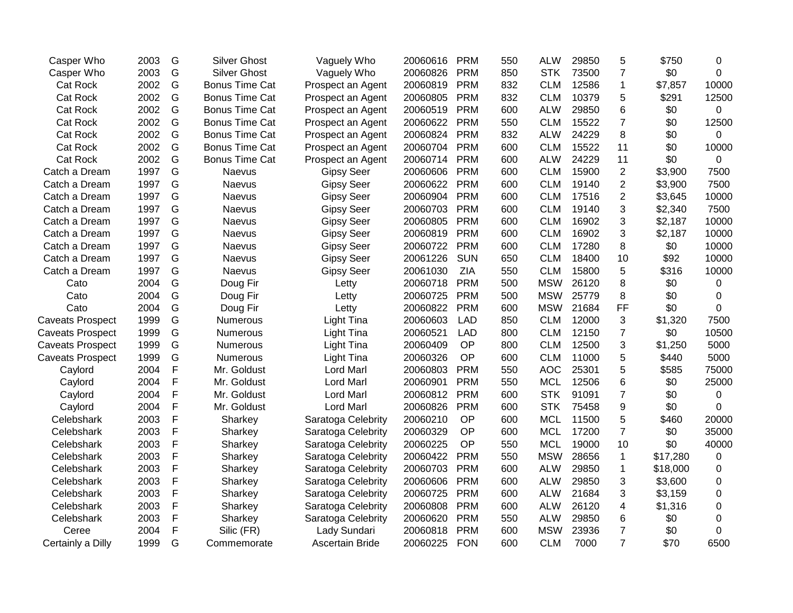| Casper Who              | 2003 | G | <b>Silver Ghost</b>   | Vaguely Who            | 20060616 | <b>PRM</b> | 550 | <b>ALW</b> | 29850 | 5              | \$750    | 0        |
|-------------------------|------|---|-----------------------|------------------------|----------|------------|-----|------------|-------|----------------|----------|----------|
| Casper Who              | 2003 | G | <b>Silver Ghost</b>   | Vaguely Who            | 20060826 | <b>PRM</b> | 850 | <b>STK</b> | 73500 | 7              | \$0      | $\Omega$ |
| <b>Cat Rock</b>         | 2002 | G | <b>Bonus Time Cat</b> | Prospect an Agent      | 20060819 | <b>PRM</b> | 832 | <b>CLM</b> | 12586 | $\mathbf 1$    | \$7,857  | 10000    |
| <b>Cat Rock</b>         | 2002 | G | <b>Bonus Time Cat</b> | Prospect an Agent      | 20060805 | <b>PRM</b> | 832 | <b>CLM</b> | 10379 | 5              | \$291    | 12500    |
| <b>Cat Rock</b>         | 2002 | G | <b>Bonus Time Cat</b> | Prospect an Agent      | 20060519 | <b>PRM</b> | 600 | <b>ALW</b> | 29850 | 6              | \$0      | 0        |
| <b>Cat Rock</b>         | 2002 | G | <b>Bonus Time Cat</b> | Prospect an Agent      | 20060622 | <b>PRM</b> | 550 | <b>CLM</b> | 15522 | $\overline{7}$ | \$0      | 12500    |
| <b>Cat Rock</b>         | 2002 | G | <b>Bonus Time Cat</b> | Prospect an Agent      | 20060824 | <b>PRM</b> | 832 | <b>ALW</b> | 24229 | 8              | \$0      | 0        |
| <b>Cat Rock</b>         | 2002 | G | <b>Bonus Time Cat</b> | Prospect an Agent      | 20060704 | <b>PRM</b> | 600 | <b>CLM</b> | 15522 | 11             | \$0      | 10000    |
| <b>Cat Rock</b>         | 2002 | G | <b>Bonus Time Cat</b> | Prospect an Agent      | 20060714 | <b>PRM</b> | 600 | <b>ALW</b> | 24229 | 11             | \$0      | 0        |
| Catch a Dream           | 1997 | G | Naevus                | <b>Gipsy Seer</b>      | 20060606 | <b>PRM</b> | 600 | <b>CLM</b> | 15900 | $\overline{2}$ | \$3,900  | 7500     |
| Catch a Dream           | 1997 | G | Naevus                | <b>Gipsy Seer</b>      | 20060622 | <b>PRM</b> | 600 | <b>CLM</b> | 19140 | $\overline{2}$ | \$3,900  | 7500     |
| Catch a Dream           | 1997 | G | Naevus                | <b>Gipsy Seer</b>      | 20060904 | <b>PRM</b> | 600 | <b>CLM</b> | 17516 | $\overline{2}$ | \$3,645  | 10000    |
| Catch a Dream           | 1997 | G | Naevus                | <b>Gipsy Seer</b>      | 20060703 | <b>PRM</b> | 600 | <b>CLM</b> | 19140 | 3              | \$2,340  | 7500     |
| Catch a Dream           | 1997 | G | Naevus                | <b>Gipsy Seer</b>      | 20060805 | <b>PRM</b> | 600 | <b>CLM</b> | 16902 | 3              | \$2,187  | 10000    |
| Catch a Dream           | 1997 | G | Naevus                | <b>Gipsy Seer</b>      | 20060819 | <b>PRM</b> | 600 | <b>CLM</b> | 16902 | 3              | \$2,187  | 10000    |
| Catch a Dream           | 1997 | G | Naevus                | <b>Gipsy Seer</b>      | 20060722 | <b>PRM</b> | 600 | <b>CLM</b> | 17280 | 8              | \$0      | 10000    |
| Catch a Dream           | 1997 | G | Naevus                | <b>Gipsy Seer</b>      | 20061226 | <b>SUN</b> | 650 | <b>CLM</b> | 18400 | 10             | \$92     | 10000    |
| Catch a Dream           | 1997 | G | Naevus                | <b>Gipsy Seer</b>      | 20061030 | ZIA        | 550 | <b>CLM</b> | 15800 | 5              | \$316    | 10000    |
| Cato                    | 2004 | G | Doug Fir              | Letty                  | 20060718 | <b>PRM</b> | 500 | <b>MSW</b> | 26120 | 8              | \$0      | 0        |
| Cato                    | 2004 | G | Doug Fir              | Letty                  | 20060725 | <b>PRM</b> | 500 | <b>MSW</b> | 25779 | 8              | \$0      | 0        |
| Cato                    | 2004 | G | Doug Fir              | Letty                  | 20060822 | <b>PRM</b> | 600 | <b>MSW</b> | 21684 | FF             | \$0      | 0        |
| <b>Caveats Prospect</b> | 1999 | G | Numerous              | Light Tina             | 20060603 | <b>LAD</b> | 850 | <b>CLM</b> | 12000 | 3              | \$1,320  | 7500     |
| <b>Caveats Prospect</b> | 1999 | G | <b>Numerous</b>       | <b>Light Tina</b>      | 20060521 | <b>LAD</b> | 800 | <b>CLM</b> | 12150 | $\overline{7}$ | \$0      | 10500    |
| <b>Caveats Prospect</b> | 1999 | G | <b>Numerous</b>       | <b>Light Tina</b>      | 20060409 | OP         | 800 | <b>CLM</b> | 12500 | 3              | \$1,250  | 5000     |
| <b>Caveats Prospect</b> | 1999 | G | Numerous              | <b>Light Tina</b>      | 20060326 | <b>OP</b>  | 600 | <b>CLM</b> | 11000 | 5              | \$440    | 5000     |
| Caylord                 | 2004 | F | Mr. Goldust           | <b>Lord Marl</b>       | 20060803 | <b>PRM</b> | 550 | <b>AOC</b> | 25301 | 5              | \$585    | 75000    |
| Caylord                 | 2004 | F | Mr. Goldust           | <b>Lord Marl</b>       | 20060901 | <b>PRM</b> | 550 | <b>MCL</b> | 12506 | 6              | \$0      | 25000    |
| Caylord                 | 2004 | F | Mr. Goldust           | <b>Lord Marl</b>       | 20060812 | <b>PRM</b> | 600 | <b>STK</b> | 91091 | $\overline{7}$ | \$0      | 0        |
| Caylord                 | 2004 | F | Mr. Goldust           | Lord Marl              | 20060826 | <b>PRM</b> | 600 | <b>STK</b> | 75458 | 9              | \$0      | 0        |
| Celebshark              | 2003 | F | Sharkey               | Saratoga Celebrity     | 20060210 | OP         | 600 | <b>MCL</b> | 11500 | 5              | \$460    | 20000    |
| Celebshark              | 2003 | F | Sharkey               | Saratoga Celebrity     | 20060329 | OP         | 600 | <b>MCL</b> | 17200 | $\overline{7}$ | \$0      | 35000    |
| Celebshark              | 2003 | F | Sharkey               | Saratoga Celebrity     | 20060225 | OP         | 550 | <b>MCL</b> | 19000 | 10             | \$0      | 40000    |
| Celebshark              | 2003 | F | Sharkey               | Saratoga Celebrity     | 20060422 | <b>PRM</b> | 550 | <b>MSW</b> | 28656 | $\mathbf{1}$   | \$17,280 | 0        |
| Celebshark              | 2003 | F | Sharkey               | Saratoga Celebrity     | 20060703 | <b>PRM</b> | 600 | <b>ALW</b> | 29850 | $\mathbf{1}$   | \$18,000 | 0        |
| Celebshark              | 2003 | F | Sharkey               | Saratoga Celebrity     | 20060606 | <b>PRM</b> | 600 | <b>ALW</b> | 29850 | 3              | \$3,600  | 0        |
| Celebshark              | 2003 | F | Sharkey               | Saratoga Celebrity     | 20060725 | <b>PRM</b> | 600 | <b>ALW</b> | 21684 | 3              | \$3,159  | 0        |
| Celebshark              | 2003 | F | Sharkey               | Saratoga Celebrity     | 20060808 | <b>PRM</b> | 600 | <b>ALW</b> | 26120 | 4              | \$1,316  | 0        |
| Celebshark              | 2003 | F | Sharkey               | Saratoga Celebrity     | 20060620 | <b>PRM</b> | 550 | <b>ALW</b> | 29850 | 6              | \$0      | 0        |
| Ceree                   | 2004 | F | Silic (FR)            | Lady Sundari           | 20060818 | <b>PRM</b> | 600 | <b>MSW</b> | 23936 | $\overline{7}$ | \$0      | 0        |
| Certainly a Dilly       | 1999 | G | Commemorate           | <b>Ascertain Bride</b> | 20060225 | <b>FON</b> | 600 | <b>CLM</b> | 7000  | $\overline{7}$ | \$70     | 6500     |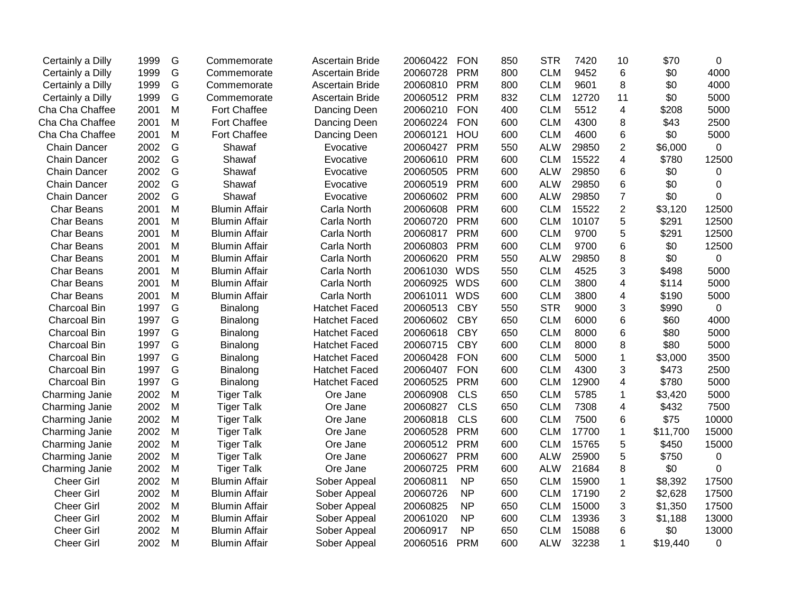| Certainly a Dilly   | 1999 | G | Commemorate          | <b>Ascertain Bride</b> | 20060422 | <b>FON</b> | 850 | <b>STR</b> | 7420  | 10                      | \$70     | 0           |
|---------------------|------|---|----------------------|------------------------|----------|------------|-----|------------|-------|-------------------------|----------|-------------|
| Certainly a Dilly   | 1999 | G | Commemorate          | <b>Ascertain Bride</b> | 20060728 | <b>PRM</b> | 800 | <b>CLM</b> | 9452  | 6                       | \$0      | 4000        |
| Certainly a Dilly   | 1999 | G | Commemorate          | <b>Ascertain Bride</b> | 20060810 | <b>PRM</b> | 800 | <b>CLM</b> | 9601  | 8                       | \$0      | 4000        |
| Certainly a Dilly   | 1999 | G | Commemorate          | <b>Ascertain Bride</b> | 20060512 | <b>PRM</b> | 832 | <b>CLM</b> | 12720 | 11                      | \$0      | 5000        |
| Cha Cha Chaffee     | 2001 | M | Fort Chaffee         | Dancing Deen           | 20060210 | <b>FON</b> | 400 | <b>CLM</b> | 5512  | 4                       | \$208    | 5000        |
| Cha Cha Chaffee     | 2001 | M | Fort Chaffee         | Dancing Deen           | 20060224 | <b>FON</b> | 600 | <b>CLM</b> | 4300  | 8                       | \$43     | 2500        |
| Cha Cha Chaffee     | 2001 | M | Fort Chaffee         | Dancing Deen           | 20060121 | HOU        | 600 | <b>CLM</b> | 4600  | 6                       | \$0      | 5000        |
| <b>Chain Dancer</b> | 2002 | G | Shawaf               | Evocative              | 20060427 | <b>PRM</b> | 550 | <b>ALW</b> | 29850 | $\overline{c}$          | \$6,000  | 0           |
| <b>Chain Dancer</b> | 2002 | G | Shawaf               | Evocative              | 20060610 | <b>PRM</b> | 600 | <b>CLM</b> | 15522 | $\overline{\mathbf{4}}$ | \$780    | 12500       |
| <b>Chain Dancer</b> | 2002 | G | Shawaf               | Evocative              | 20060505 | <b>PRM</b> | 600 | <b>ALW</b> | 29850 | $6\phantom{1}6$         | \$0      | 0           |
| <b>Chain Dancer</b> | 2002 | G | Shawaf               | Evocative              | 20060519 | <b>PRM</b> | 600 | <b>ALW</b> | 29850 | 6                       | \$0      | 0           |
| Chain Dancer        | 2002 | G | Shawaf               | Evocative              | 20060602 | <b>PRM</b> | 600 | <b>ALW</b> | 29850 | $\overline{7}$          | \$0      | 0           |
| <b>Char Beans</b>   | 2001 | M | <b>Blumin Affair</b> | Carla North            | 20060608 | <b>PRM</b> | 600 | <b>CLM</b> | 15522 | $\overline{2}$          | \$3,120  | 12500       |
| <b>Char Beans</b>   | 2001 | M | <b>Blumin Affair</b> | Carla North            | 20060720 | <b>PRM</b> | 600 | <b>CLM</b> | 10107 | 5                       | \$291    | 12500       |
| <b>Char Beans</b>   | 2001 | M | <b>Blumin Affair</b> | Carla North            | 20060817 | <b>PRM</b> | 600 | <b>CLM</b> | 9700  | 5                       | \$291    | 12500       |
| <b>Char Beans</b>   | 2001 | M | <b>Blumin Affair</b> | Carla North            | 20060803 | <b>PRM</b> | 600 | <b>CLM</b> | 9700  | $\,6$                   | \$0      | 12500       |
| Char Beans          | 2001 | M | <b>Blumin Affair</b> | Carla North            | 20060620 | <b>PRM</b> | 550 | <b>ALW</b> | 29850 | 8                       | \$0      | $\mathbf 0$ |
| <b>Char Beans</b>   | 2001 | M | <b>Blumin Affair</b> | Carla North            | 20061030 | <b>WDS</b> | 550 | <b>CLM</b> | 4525  | 3                       | \$498    | 5000        |
| <b>Char Beans</b>   | 2001 | M | <b>Blumin Affair</b> | Carla North            | 20060925 | <b>WDS</b> | 600 | <b>CLM</b> | 3800  | 4                       | \$114    | 5000        |
| <b>Char Beans</b>   | 2001 | M | <b>Blumin Affair</b> | Carla North            | 20061011 | <b>WDS</b> | 600 | <b>CLM</b> | 3800  | 4                       | \$190    | 5000        |
| Charcoal Bin        | 1997 | G | Binalong             | <b>Hatchet Faced</b>   | 20060513 | <b>CBY</b> | 550 | <b>STR</b> | 9000  | 3                       | \$990    | 0           |
| Charcoal Bin        | 1997 | G | Binalong             | <b>Hatchet Faced</b>   | 20060602 | <b>CBY</b> | 650 | <b>CLM</b> | 6000  | 6                       | \$60     | 4000        |
| Charcoal Bin        | 1997 | G | Binalong             | <b>Hatchet Faced</b>   | 20060618 | <b>CBY</b> | 650 | <b>CLM</b> | 8000  | $6\phantom{1}6$         | \$80     | 5000        |
| Charcoal Bin        | 1997 | G | Binalong             | <b>Hatchet Faced</b>   | 20060715 | <b>CBY</b> | 600 | <b>CLM</b> | 8000  | 8                       | \$80     | 5000        |
| Charcoal Bin        | 1997 | G | Binalong             | <b>Hatchet Faced</b>   | 20060428 | <b>FON</b> | 600 | <b>CLM</b> | 5000  | $\mathbf 1$             | \$3,000  | 3500        |
| Charcoal Bin        | 1997 | G | Binalong             | <b>Hatchet Faced</b>   | 20060407 | <b>FON</b> | 600 | <b>CLM</b> | 4300  | 3                       | \$473    | 2500        |
| Charcoal Bin        | 1997 | G | Binalong             | <b>Hatchet Faced</b>   | 20060525 | <b>PRM</b> | 600 | <b>CLM</b> | 12900 | 4                       | \$780    | 5000        |
| Charming Janie      | 2002 | M | <b>Tiger Talk</b>    | Ore Jane               | 20060908 | <b>CLS</b> | 650 | <b>CLM</b> | 5785  | 1                       | \$3,420  | 5000        |
| Charming Janie      | 2002 | M | <b>Tiger Talk</b>    | Ore Jane               | 20060827 | <b>CLS</b> | 650 | <b>CLM</b> | 7308  | 4                       | \$432    | 7500        |
| Charming Janie      | 2002 | M | <b>Tiger Talk</b>    | Ore Jane               | 20060818 | <b>CLS</b> | 600 | <b>CLM</b> | 7500  | 6                       | \$75     | 10000       |
| Charming Janie      | 2002 | M | <b>Tiger Talk</b>    | Ore Jane               | 20060528 | <b>PRM</b> | 600 | <b>CLM</b> | 17700 | $\mathbf{1}$            | \$11,700 | 15000       |
| Charming Janie      | 2002 | M | <b>Tiger Talk</b>    | Ore Jane               | 20060512 | <b>PRM</b> | 600 | <b>CLM</b> | 15765 | 5                       | \$450    | 15000       |
| Charming Janie      | 2002 | M | <b>Tiger Talk</b>    | Ore Jane               | 20060627 | <b>PRM</b> | 600 | <b>ALW</b> | 25900 | 5                       | \$750    | 0           |
| Charming Janie      | 2002 | M | <b>Tiger Talk</b>    | Ore Jane               | 20060725 | <b>PRM</b> | 600 | <b>ALW</b> | 21684 | 8                       | \$0      | 0           |
| <b>Cheer Girl</b>   | 2002 | M | <b>Blumin Affair</b> | Sober Appeal           | 20060811 | <b>NP</b>  | 650 | <b>CLM</b> | 15900 | 1                       | \$8,392  | 17500       |
| <b>Cheer Girl</b>   | 2002 | M | <b>Blumin Affair</b> | Sober Appeal           | 20060726 | <b>NP</b>  | 600 | <b>CLM</b> | 17190 | $\overline{2}$          | \$2,628  | 17500       |
| <b>Cheer Girl</b>   | 2002 | M | <b>Blumin Affair</b> | Sober Appeal           | 20060825 | <b>NP</b>  | 650 | <b>CLM</b> | 15000 | 3                       | \$1,350  | 17500       |
| <b>Cheer Girl</b>   | 2002 | M | <b>Blumin Affair</b> | Sober Appeal           | 20061020 | <b>NP</b>  | 600 | <b>CLM</b> | 13936 | 3                       | \$1,188  | 13000       |
| <b>Cheer Girl</b>   | 2002 | M | <b>Blumin Affair</b> | Sober Appeal           | 20060917 | <b>NP</b>  | 650 | <b>CLM</b> | 15088 | 6                       | \$0      | 13000       |
| <b>Cheer Girl</b>   | 2002 | M | <b>Blumin Affair</b> | Sober Appeal           | 20060516 | <b>PRM</b> | 600 | <b>ALW</b> | 32238 | $\mathbf{1}$            | \$19,440 | 0           |
|                     |      |   |                      |                        |          |            |     |            |       |                         |          |             |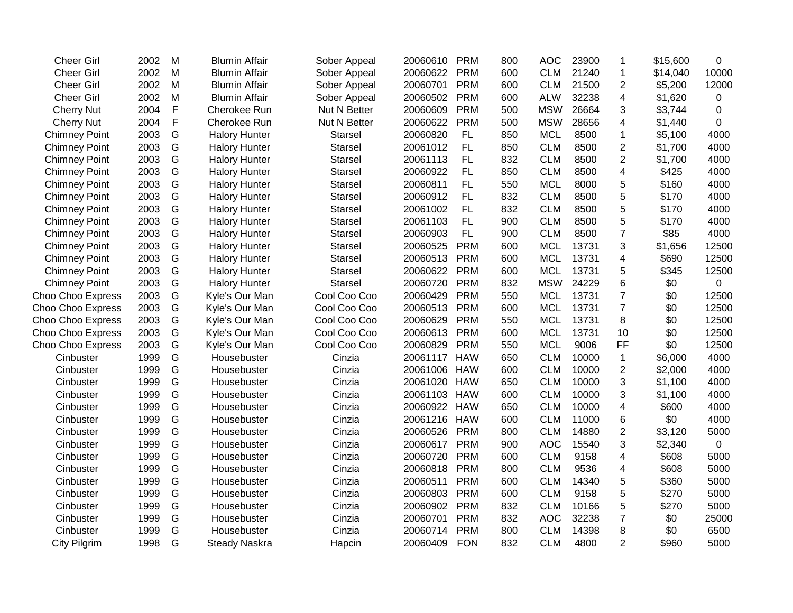| <b>Cheer Girl</b>        | 2002 | M             | <b>Blumin Affair</b> | Sober Appeal   | 20060610     | <b>PRM</b> | 800 | <b>AOC</b> | 23900 | 1              | \$15,600 | 0           |
|--------------------------|------|---------------|----------------------|----------------|--------------|------------|-----|------------|-------|----------------|----------|-------------|
| <b>Cheer Girl</b>        | 2002 | M             | <b>Blumin Affair</b> | Sober Appeal   | 20060622     | <b>PRM</b> | 600 | <b>CLM</b> | 21240 | $\mathbf{1}$   | \$14,040 | 10000       |
| <b>Cheer Girl</b>        | 2002 | M             | <b>Blumin Affair</b> | Sober Appeal   | 20060701     | <b>PRM</b> | 600 | <b>CLM</b> | 21500 | $\overline{2}$ | \$5,200  | 12000       |
| <b>Cheer Girl</b>        | 2002 | M             | <b>Blumin Affair</b> | Sober Appeal   | 20060502     | <b>PRM</b> | 600 | <b>ALW</b> | 32238 | 4              | \$1,620  | 0           |
| <b>Cherry Nut</b>        | 2004 | F             | Cherokee Run         | Nut N Better   | 20060609     | <b>PRM</b> | 500 | <b>MSW</b> | 26664 | 3              | \$3,744  | $\mathbf 0$ |
| <b>Cherry Nut</b>        | 2004 | F             | Cherokee Run         | Nut N Better   | 20060622     | <b>PRM</b> | 500 | <b>MSW</b> | 28656 | $\overline{4}$ | \$1,440  | 0           |
| <b>Chimney Point</b>     | 2003 | ${\mathsf G}$ | <b>Halory Hunter</b> | Starsel        | 20060820     | <b>FL</b>  | 850 | <b>MCL</b> | 8500  | 1              | \$5,100  | 4000        |
| <b>Chimney Point</b>     | 2003 | ${\mathsf G}$ | <b>Halory Hunter</b> | <b>Starsel</b> | 20061012     | FL         | 850 | <b>CLM</b> | 8500  | $\overline{c}$ | \$1,700  | 4000        |
| <b>Chimney Point</b>     | 2003 | ${\mathsf G}$ | <b>Halory Hunter</b> | Starsel        | 20061113     | FL         | 832 | <b>CLM</b> | 8500  | $\overline{c}$ | \$1,700  | 4000        |
| <b>Chimney Point</b>     | 2003 | ${\mathsf G}$ | <b>Halory Hunter</b> | <b>Starsel</b> | 20060922     | FL         | 850 | <b>CLM</b> | 8500  | 4              | \$425    | 4000        |
| <b>Chimney Point</b>     | 2003 | G             | <b>Halory Hunter</b> | <b>Starsel</b> | 20060811     | <b>FL</b>  | 550 | <b>MCL</b> | 8000  | 5              | \$160    | 4000        |
| <b>Chimney Point</b>     | 2003 | G             | <b>Halory Hunter</b> | <b>Starsel</b> | 20060912     | <b>FL</b>  | 832 | <b>CLM</b> | 8500  | 5              | \$170    | 4000        |
| <b>Chimney Point</b>     | 2003 | G             | <b>Halory Hunter</b> | <b>Starsel</b> | 20061002     | FL         | 832 | <b>CLM</b> | 8500  | 5              | \$170    | 4000        |
| <b>Chimney Point</b>     | 2003 | G             | <b>Halory Hunter</b> | <b>Starsel</b> | 20061103     | FL         | 900 | <b>CLM</b> | 8500  | 5              | \$170    | 4000        |
| <b>Chimney Point</b>     | 2003 | G             | <b>Halory Hunter</b> | <b>Starsel</b> | 20060903     | FL         | 900 | <b>CLM</b> | 8500  | $\overline{7}$ | \$85     | 4000        |
| <b>Chimney Point</b>     | 2003 | G             | <b>Halory Hunter</b> | <b>Starsel</b> | 20060525     | <b>PRM</b> | 600 | <b>MCL</b> | 13731 | 3              | \$1,656  | 12500       |
| <b>Chimney Point</b>     | 2003 | ${\mathsf G}$ | <b>Halory Hunter</b> | <b>Starsel</b> | 20060513     | <b>PRM</b> | 600 | <b>MCL</b> | 13731 | 4              | \$690    | 12500       |
| <b>Chimney Point</b>     | 2003 | G             | <b>Halory Hunter</b> | <b>Starsel</b> | 20060622     | <b>PRM</b> | 600 | <b>MCL</b> | 13731 | 5              | \$345    | 12500       |
| <b>Chimney Point</b>     | 2003 | G             | <b>Halory Hunter</b> | <b>Starsel</b> | 20060720     | <b>PRM</b> | 832 | <b>MSW</b> | 24229 | 6              | \$0      | $\mathbf 0$ |
| Choo Choo Express        | 2003 | G             | Kyle's Our Man       | Cool Coo Coo   | 20060429     | <b>PRM</b> | 550 | <b>MCL</b> | 13731 | $\overline{7}$ | \$0      | 12500       |
| Choo Choo Express        | 2003 | G             | Kyle's Our Man       | Cool Coo Coo   | 20060513     | <b>PRM</b> | 600 | <b>MCL</b> | 13731 | $\overline{7}$ | \$0      | 12500       |
| Choo Choo Express        | 2003 | G             | Kyle's Our Man       | Cool Coo Coo   | 20060629     | <b>PRM</b> | 550 | <b>MCL</b> | 13731 | 8              | \$0      | 12500       |
| Choo Choo Express        | 2003 | G             | Kyle's Our Man       | Cool Coo Coo   | 20060613     | <b>PRM</b> | 600 | <b>MCL</b> | 13731 | 10             | \$0      | 12500       |
| <b>Choo Choo Express</b> | 2003 | G             | Kyle's Our Man       | Cool Coo Coo   | 20060829     | <b>PRM</b> | 550 | <b>MCL</b> | 9006  | FF             | \$0      | 12500       |
| Cinbuster                | 1999 | G             | Housebuster          | Cinzia         | 20061117     | <b>HAW</b> | 650 | <b>CLM</b> | 10000 | $\mathbf{1}$   | \$6,000  | 4000        |
| Cinbuster                | 1999 | G             | Housebuster          | Cinzia         | 20061006     | <b>HAW</b> | 600 | <b>CLM</b> | 10000 | $\overline{2}$ | \$2,000  | 4000        |
| Cinbuster                | 1999 | G             | Housebuster          | Cinzia         | 20061020     | <b>HAW</b> | 650 | <b>CLM</b> | 10000 | 3              | \$1,100  | 4000        |
| Cinbuster                | 1999 | G             | Housebuster          | Cinzia         | 20061103 HAW |            | 600 | <b>CLM</b> | 10000 | 3              | \$1,100  | 4000        |
| Cinbuster                | 1999 | G             | Housebuster          | Cinzia         | 20060922 HAW |            | 650 | <b>CLM</b> | 10000 | $\overline{4}$ | \$600    | 4000        |
| Cinbuster                | 1999 | G             | Housebuster          | Cinzia         | 20061216     | <b>HAW</b> | 600 | <b>CLM</b> | 11000 | 6              | \$0      | 4000        |
| Cinbuster                | 1999 | G             | Housebuster          | Cinzia         | 20060526     | <b>PRM</b> | 800 | <b>CLM</b> | 14880 | $\overline{2}$ | \$3,120  | 5000        |
| Cinbuster                | 1999 | G             | Housebuster          | Cinzia         | 20060617     | <b>PRM</b> | 900 | <b>AOC</b> | 15540 | 3              | \$2,340  | $\mathbf 0$ |
| Cinbuster                | 1999 | G             | Housebuster          | Cinzia         | 20060720     | <b>PRM</b> | 600 | <b>CLM</b> | 9158  | 4              | \$608    | 5000        |
| Cinbuster                | 1999 | G             | Housebuster          | Cinzia         | 20060818     | <b>PRM</b> | 800 | <b>CLM</b> | 9536  | 4              | \$608    | 5000        |
| Cinbuster                | 1999 | G             | Housebuster          | Cinzia         | 20060511     | <b>PRM</b> | 600 | <b>CLM</b> | 14340 | 5              | \$360    | 5000        |
| Cinbuster                | 1999 | G             | Housebuster          | Cinzia         | 20060803     | <b>PRM</b> | 600 | <b>CLM</b> | 9158  | 5              | \$270    | 5000        |
| Cinbuster                | 1999 | G             | Housebuster          | Cinzia         | 20060902     | <b>PRM</b> | 832 | <b>CLM</b> | 10166 | 5              | \$270    | 5000        |
| Cinbuster                | 1999 | ${\mathsf G}$ | Housebuster          | Cinzia         | 20060701     | <b>PRM</b> | 832 | <b>AOC</b> | 32238 | $\overline{7}$ | \$0      | 25000       |
| Cinbuster                | 1999 | G             | Housebuster          | Cinzia         | 20060714     | <b>PRM</b> | 800 | <b>CLM</b> | 14398 | 8              | \$0      | 6500        |
| City Pilgrim             | 1998 | G             | <b>Steady Naskra</b> | Hapcin         | 20060409     | <b>FON</b> | 832 | <b>CLM</b> | 4800  | $\overline{2}$ | \$960    | 5000        |
|                          |      |               |                      |                |              |            |     |            |       |                |          |             |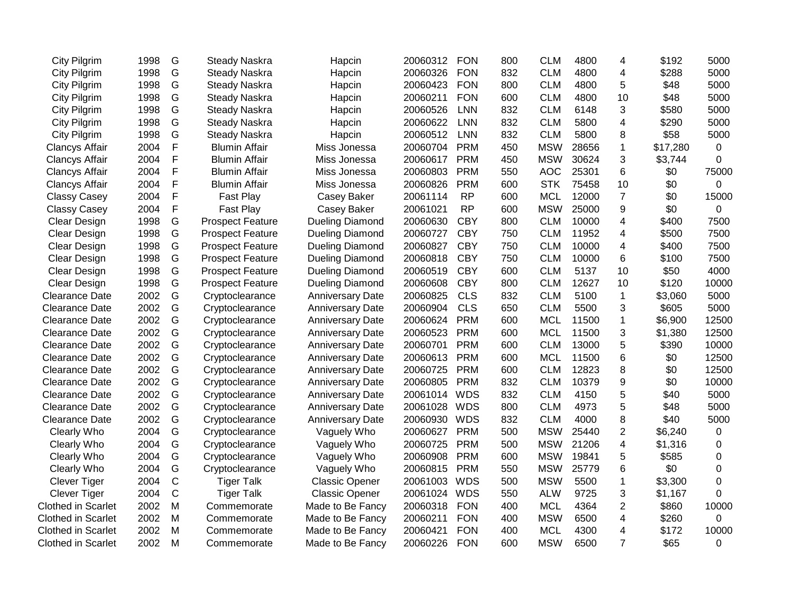| City Pilgrim              | 1998 | G           | <b>Steady Naskra</b>    | Hapcin                  | 20060312 | <b>FON</b> | 800 | <b>CLM</b> | 4800  | 4                       | \$192    | 5000  |
|---------------------------|------|-------------|-------------------------|-------------------------|----------|------------|-----|------------|-------|-------------------------|----------|-------|
| <b>City Pilgrim</b>       | 1998 | G           | <b>Steady Naskra</b>    | Hapcin                  | 20060326 | <b>FON</b> | 832 | <b>CLM</b> | 4800  | 4                       | \$288    | 5000  |
| City Pilgrim              | 1998 | G           | Steady Naskra           | Hapcin                  | 20060423 | <b>FON</b> | 800 | <b>CLM</b> | 4800  | 5                       | \$48     | 5000  |
| City Pilgrim              | 1998 | G           | <b>Steady Naskra</b>    | Hapcin                  | 20060211 | <b>FON</b> | 600 | <b>CLM</b> | 4800  | 10                      | \$48     | 5000  |
| City Pilgrim              | 1998 | G           | <b>Steady Naskra</b>    | Hapcin                  | 20060526 | LNN        | 832 | <b>CLM</b> | 6148  | 3                       | \$580    | 5000  |
| City Pilgrim              | 1998 | G           | <b>Steady Naskra</b>    | Hapcin                  | 20060622 | <b>LNN</b> | 832 | <b>CLM</b> | 5800  | 4                       | \$290    | 5000  |
| City Pilgrim              | 1998 | G           | <b>Steady Naskra</b>    | Hapcin                  | 20060512 | <b>LNN</b> | 832 | <b>CLM</b> | 5800  | 8                       | \$58     | 5000  |
| Clancys Affair            | 2004 | F           | <b>Blumin Affair</b>    | Miss Jonessa            | 20060704 | <b>PRM</b> | 450 | <b>MSW</b> | 28656 | $\mathbf{1}$            | \$17,280 | 0     |
| <b>Clancys Affair</b>     | 2004 | F           | <b>Blumin Affair</b>    | Miss Jonessa            | 20060617 | <b>PRM</b> | 450 | <b>MSW</b> | 30624 | 3                       | \$3,744  | 0     |
| <b>Clancys Affair</b>     | 2004 | F           | <b>Blumin Affair</b>    | Miss Jonessa            | 20060803 | <b>PRM</b> | 550 | <b>AOC</b> | 25301 | 6                       | \$0      | 75000 |
| <b>Clancys Affair</b>     | 2004 | F           | <b>Blumin Affair</b>    | Miss Jonessa            | 20060826 | <b>PRM</b> | 600 | <b>STK</b> | 75458 | 10                      | \$0      | 0     |
| <b>Classy Casey</b>       | 2004 | F           | Fast Play               | Casey Baker             | 20061114 | <b>RP</b>  | 600 | <b>MCL</b> | 12000 | $\overline{7}$          | \$0      | 15000 |
| <b>Classy Casey</b>       | 2004 | F           | Fast Play               | Casey Baker             | 20061021 | <b>RP</b>  | 600 | <b>MSW</b> | 25000 | 9                       | \$0      | 0     |
| Clear Design              | 1998 | G           | <b>Prospect Feature</b> | <b>Dueling Diamond</b>  | 20060630 | <b>CBY</b> | 800 | <b>CLM</b> | 10000 | 4                       | \$400    | 7500  |
| Clear Design              | 1998 | G           | <b>Prospect Feature</b> | <b>Dueling Diamond</b>  | 20060727 | <b>CBY</b> | 750 | <b>CLM</b> | 11952 | 4                       | \$500    | 7500  |
| Clear Design              | 1998 | G           | <b>Prospect Feature</b> | <b>Dueling Diamond</b>  | 20060827 | <b>CBY</b> | 750 | <b>CLM</b> | 10000 | $\overline{\mathbf{4}}$ | \$400    | 7500  |
| <b>Clear Design</b>       | 1998 | G           | <b>Prospect Feature</b> | <b>Dueling Diamond</b>  | 20060818 | <b>CBY</b> | 750 | <b>CLM</b> | 10000 | 6                       | \$100    | 7500  |
| Clear Design              | 1998 | G           | <b>Prospect Feature</b> | <b>Dueling Diamond</b>  | 20060519 | <b>CBY</b> | 600 | <b>CLM</b> | 5137  | 10                      | \$50     | 4000  |
| Clear Design              | 1998 | G           | <b>Prospect Feature</b> | <b>Dueling Diamond</b>  | 20060608 | <b>CBY</b> | 800 | <b>CLM</b> | 12627 | 10                      | \$120    | 10000 |
| <b>Clearance Date</b>     | 2002 | G           | Cryptoclearance         | <b>Anniversary Date</b> | 20060825 | <b>CLS</b> | 832 | <b>CLM</b> | 5100  | $\mathbf{1}$            | \$3,060  | 5000  |
| <b>Clearance Date</b>     | 2002 | G           | Cryptoclearance         | <b>Anniversary Date</b> | 20060904 | <b>CLS</b> | 650 | <b>CLM</b> | 5500  | 3                       | \$605    | 5000  |
| <b>Clearance Date</b>     | 2002 | G           | Cryptoclearance         | <b>Anniversary Date</b> | 20060624 | <b>PRM</b> | 600 | <b>MCL</b> | 11500 | 1                       | \$6,900  | 12500 |
| <b>Clearance Date</b>     | 2002 | G           | Cryptoclearance         | <b>Anniversary Date</b> | 20060523 | <b>PRM</b> | 600 | <b>MCL</b> | 11500 | 3                       | \$1,380  | 12500 |
| <b>Clearance Date</b>     | 2002 | G           | Cryptoclearance         | <b>Anniversary Date</b> | 20060701 | <b>PRM</b> | 600 | <b>CLM</b> | 13000 | 5                       | \$390    | 10000 |
| <b>Clearance Date</b>     | 2002 | G           | Cryptoclearance         | <b>Anniversary Date</b> | 20060613 | <b>PRM</b> | 600 | <b>MCL</b> | 11500 | 6                       | \$0      | 12500 |
| <b>Clearance Date</b>     | 2002 | G           | Cryptoclearance         | <b>Anniversary Date</b> | 20060725 | <b>PRM</b> | 600 | <b>CLM</b> | 12823 | 8                       | \$0      | 12500 |
| <b>Clearance Date</b>     | 2002 | G           | Cryptoclearance         | <b>Anniversary Date</b> | 20060805 | <b>PRM</b> | 832 | <b>CLM</b> | 10379 | 9                       | \$0      | 10000 |
| <b>Clearance Date</b>     | 2002 | G           | Cryptoclearance         | <b>Anniversary Date</b> | 20061014 | <b>WDS</b> | 832 | <b>CLM</b> | 4150  | 5                       | \$40     | 5000  |
| <b>Clearance Date</b>     | 2002 | G           | Cryptoclearance         | <b>Anniversary Date</b> | 20061028 | <b>WDS</b> | 800 | <b>CLM</b> | 4973  | 5                       | \$48     | 5000  |
| <b>Clearance Date</b>     | 2002 | G           | Cryptoclearance         | <b>Anniversary Date</b> | 20060930 | <b>WDS</b> | 832 | <b>CLM</b> | 4000  | 8                       | \$40     | 5000  |
| Clearly Who               | 2004 | G           | Cryptoclearance         | Vaguely Who             | 20060627 | <b>PRM</b> | 500 | <b>MSW</b> | 25440 | $\overline{2}$          | \$6,240  | 0     |
| Clearly Who               | 2004 | G           | Cryptoclearance         | Vaguely Who             | 20060725 | <b>PRM</b> | 500 | <b>MSW</b> | 21206 | 4                       | \$1,316  | 0     |
| Clearly Who               | 2004 | G           | Cryptoclearance         | Vaguely Who             | 20060908 | <b>PRM</b> | 600 | <b>MSW</b> | 19841 | 5                       | \$585    | 0     |
| Clearly Who               | 2004 | G           | Cryptoclearance         | Vaguely Who             | 20060815 | <b>PRM</b> | 550 | <b>MSW</b> | 25779 | 6                       | \$0      | 0     |
| <b>Clever Tiger</b>       | 2004 | $\mathbf C$ | <b>Tiger Talk</b>       | <b>Classic Opener</b>   | 20061003 | <b>WDS</b> | 500 | <b>MSW</b> | 5500  | 1                       | \$3,300  | 0     |
| Clever Tiger              | 2004 | $\mathbf C$ | <b>Tiger Talk</b>       | <b>Classic Opener</b>   | 20061024 | <b>WDS</b> | 550 | <b>ALW</b> | 9725  | 3                       | \$1,167  | 0     |
| <b>Clothed in Scarlet</b> | 2002 | M           | Commemorate             | Made to Be Fancy        | 20060318 | <b>FON</b> | 400 | <b>MCL</b> | 4364  | 2                       | \$860    | 10000 |
| <b>Clothed in Scarlet</b> | 2002 | M           | Commemorate             | Made to Be Fancy        | 20060211 | <b>FON</b> | 400 | <b>MSW</b> | 6500  | 4                       | \$260    | 0     |
| <b>Clothed in Scarlet</b> | 2002 | M           | Commemorate             | Made to Be Fancy        | 20060421 | <b>FON</b> | 400 | <b>MCL</b> | 4300  | 4                       | \$172    | 10000 |
| <b>Clothed in Scarlet</b> | 2002 | M           | Commemorate             | Made to Be Fancy        | 20060226 | <b>FON</b> | 600 | <b>MSW</b> | 6500  | $\overline{7}$          | \$65     | 0     |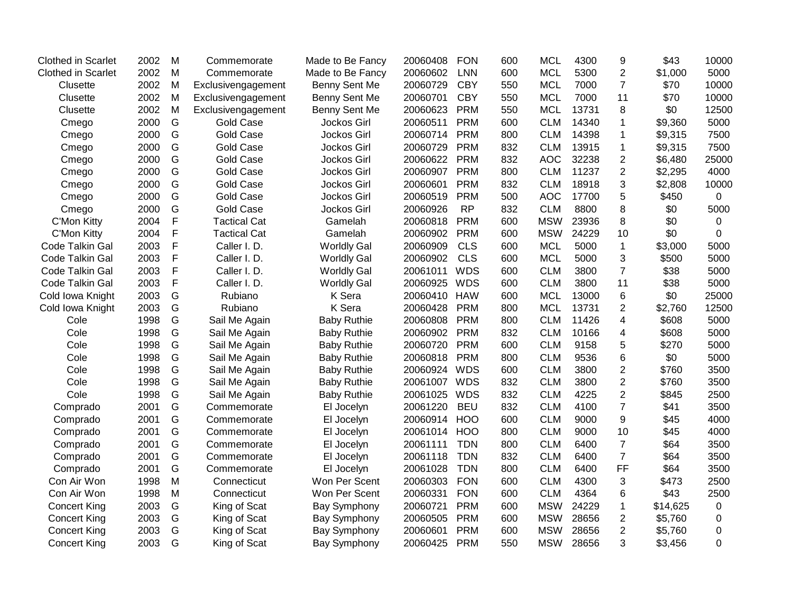| <b>Clothed in Scarlet</b> | 2002 | M           | Commemorate         | Made to Be Fancy    | 20060408     | <b>FON</b> | 600 | <b>MCL</b> | 4300  | 9              | \$43     | 10000          |
|---------------------------|------|-------------|---------------------|---------------------|--------------|------------|-----|------------|-------|----------------|----------|----------------|
| <b>Clothed in Scarlet</b> | 2002 | M           | Commemorate         | Made to Be Fancy    | 20060602     | <b>LNN</b> | 600 | <b>MCL</b> | 5300  | $\overline{2}$ | \$1,000  | 5000           |
| Clusette                  | 2002 | M           | Exclusivengagement  | Benny Sent Me       | 20060729     | <b>CBY</b> | 550 | <b>MCL</b> | 7000  | $\overline{7}$ | \$70     | 10000          |
| Clusette                  | 2002 | M           | Exclusivengagement  | Benny Sent Me       | 20060701     | <b>CBY</b> | 550 | <b>MCL</b> | 7000  | 11             | \$70     | 10000          |
| Clusette                  | 2002 | M           | Exclusivengagement  | Benny Sent Me       | 20060623     | <b>PRM</b> | 550 | <b>MCL</b> | 13731 | 8              | \$0      | 12500          |
| Cmego                     | 2000 | G           | Gold Case           | <b>Jockos Girl</b>  | 20060511     | <b>PRM</b> | 600 | <b>CLM</b> | 14340 | 1              | \$9,360  | 5000           |
| Cmego                     | 2000 | G           | <b>Gold Case</b>    | Jockos Girl         | 20060714     | <b>PRM</b> | 800 | <b>CLM</b> | 14398 | 1              | \$9,315  | 7500           |
| Cmego                     | 2000 | G           | <b>Gold Case</b>    | Jockos Girl         | 20060729     | <b>PRM</b> | 832 | <b>CLM</b> | 13915 | 1              | \$9,315  | 7500           |
| Cmego                     | 2000 | G           | <b>Gold Case</b>    | Jockos Girl         | 20060622     | <b>PRM</b> | 832 | <b>AOC</b> | 32238 | $\overline{c}$ | \$6,480  | 25000          |
| Cmego                     | 2000 | G           | <b>Gold Case</b>    | Jockos Girl         | 20060907     | <b>PRM</b> | 800 | <b>CLM</b> | 11237 | $\overline{2}$ | \$2,295  | 4000           |
| Cmego                     | 2000 | G           | <b>Gold Case</b>    | Jockos Girl         | 20060601     | <b>PRM</b> | 832 | <b>CLM</b> | 18918 | 3              | \$2,808  | 10000          |
| Cmego                     | 2000 | G           | <b>Gold Case</b>    | Jockos Girl         | 20060519     | <b>PRM</b> | 500 | <b>AOC</b> | 17700 | 5              | \$450    | 0              |
| Cmego                     | 2000 | G           | <b>Gold Case</b>    | Jockos Girl         | 20060926     | <b>RP</b>  | 832 | <b>CLM</b> | 8800  | 8              | \$0      | 5000           |
| C'Mon Kitty               | 2004 | F           | <b>Tactical Cat</b> | Gamelah             | 20060818     | <b>PRM</b> | 600 | <b>MSW</b> | 23936 | 8              | \$0      | 0              |
| C'Mon Kitty               | 2004 | $\mathsf F$ | <b>Tactical Cat</b> | Gamelah             | 20060902     | <b>PRM</b> | 600 | <b>MSW</b> | 24229 | 10             | \$0      | $\overline{0}$ |
| Code Talkin Gal           | 2003 | F           | Caller I.D.         | <b>Worldly Gal</b>  | 20060909     | <b>CLS</b> | 600 | <b>MCL</b> | 5000  | $\mathbf{1}$   | \$3,000  | 5000           |
| Code Talkin Gal           | 2003 | $\mathsf F$ | Caller I. D.        | <b>Worldly Gal</b>  | 20060902     | <b>CLS</b> | 600 | <b>MCL</b> | 5000  | 3              | \$500    | 5000           |
| Code Talkin Gal           | 2003 | F           | Caller I. D.        | <b>Worldly Gal</b>  | 20061011     | <b>WDS</b> | 600 | <b>CLM</b> | 3800  | $\overline{7}$ | \$38     | 5000           |
| Code Talkin Gal           | 2003 | F           | Caller I.D.         | <b>Worldly Gal</b>  | 20060925     | <b>WDS</b> | 600 | <b>CLM</b> | 3800  | 11             | \$38     | 5000           |
| Cold Iowa Knight          | 2003 | G           | Rubiano             | K Sera              | 20060410     | <b>HAW</b> | 600 | <b>MCL</b> | 13000 | 6              | \$0      | 25000          |
| Cold Iowa Knight          | 2003 | G           | Rubiano             | <b>K</b> Sera       | 20060428     | <b>PRM</b> | 800 | <b>MCL</b> | 13731 | $\overline{2}$ | \$2,760  | 12500          |
| Cole                      | 1998 | G           | Sail Me Again       | <b>Baby Ruthie</b>  | 20060808     | <b>PRM</b> | 800 | <b>CLM</b> | 11426 | $\overline{4}$ | \$608    | 5000           |
| Cole                      | 1998 | G           | Sail Me Again       | <b>Baby Ruthie</b>  | 20060902     | <b>PRM</b> | 832 | <b>CLM</b> | 10166 | 4              | \$608    | 5000           |
| Cole                      | 1998 | G           | Sail Me Again       | <b>Baby Ruthie</b>  | 20060720     | <b>PRM</b> | 600 | <b>CLM</b> | 9158  | 5              | \$270    | 5000           |
| Cole                      | 1998 | G           | Sail Me Again       | <b>Baby Ruthie</b>  | 20060818     | <b>PRM</b> | 800 | <b>CLM</b> | 9536  | 6              | \$0      | 5000           |
| Cole                      | 1998 | G           | Sail Me Again       | <b>Baby Ruthie</b>  | 20060924 WDS |            | 600 | <b>CLM</b> | 3800  | $\overline{2}$ | \$760    | 3500           |
| Cole                      | 1998 | G           | Sail Me Again       | <b>Baby Ruthie</b>  | 20061007 WDS |            | 832 | <b>CLM</b> | 3800  | $\overline{2}$ | \$760    | 3500           |
| Cole                      | 1998 | G           | Sail Me Again       | <b>Baby Ruthie</b>  | 20061025     | WDS        | 832 | <b>CLM</b> | 4225  | $\overline{2}$ | \$845    | 2500           |
| Comprado                  | 2001 | G           | Commemorate         | El Jocelyn          | 20061220     | <b>BEU</b> | 832 | <b>CLM</b> | 4100  | $\overline{7}$ | \$41     | 3500           |
| Comprado                  | 2001 | G           | Commemorate         | El Jocelyn          | 20060914     | <b>HOO</b> | 600 | <b>CLM</b> | 9000  | 9              | \$45     | 4000           |
| Comprado                  | 2001 | G           | Commemorate         | El Jocelyn          | 20061014     | <b>HOO</b> | 800 | <b>CLM</b> | 9000  | 10             | \$45     | 4000           |
| Comprado                  | 2001 | G           | Commemorate         | El Jocelyn          | 20061111     | <b>TDN</b> | 800 | <b>CLM</b> | 6400  | $\overline{7}$ | \$64     | 3500           |
| Comprado                  | 2001 | G           | Commemorate         | El Jocelyn          | 20061118     | <b>TDN</b> | 832 | <b>CLM</b> | 6400  | $\overline{7}$ | \$64     | 3500           |
| Comprado                  | 2001 | G           | Commemorate         | El Jocelyn          | 20061028     | <b>TDN</b> | 800 | <b>CLM</b> | 6400  | FF             | \$64     | 3500           |
| Con Air Won               | 1998 | M           | Connecticut         | Won Per Scent       | 20060303     | <b>FON</b> | 600 | <b>CLM</b> | 4300  | 3              | \$473    | 2500           |
| Con Air Won               | 1998 | M           | Connecticut         | Won Per Scent       | 20060331     | <b>FON</b> | 600 | <b>CLM</b> | 4364  | 6              | \$43     | 2500           |
| <b>Concert King</b>       | 2003 | G           | King of Scat        | <b>Bay Symphony</b> | 20060721     | <b>PRM</b> | 600 | <b>MSW</b> | 24229 | $\mathbf 1$    | \$14,625 | $\mathbf 0$    |
| <b>Concert King</b>       | 2003 | G           | King of Scat        | <b>Bay Symphony</b> | 20060505     | <b>PRM</b> | 600 | <b>MSW</b> | 28656 | $\overline{2}$ | \$5,760  | 0              |
| <b>Concert King</b>       | 2003 | G           | King of Scat        | <b>Bay Symphony</b> | 20060601     | <b>PRM</b> | 600 | <b>MSW</b> | 28656 | $\overline{2}$ | \$5,760  | 0              |
| <b>Concert King</b>       | 2003 | G           | King of Scat        | <b>Bay Symphony</b> | 20060425     | <b>PRM</b> | 550 | <b>MSW</b> | 28656 | 3              | \$3,456  | $\Omega$       |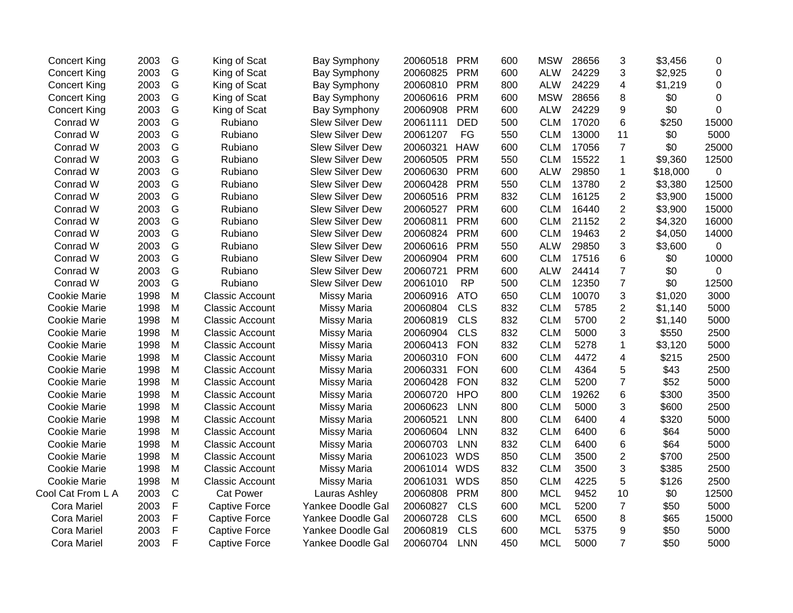| <b>Concert King</b> | 2003 | G            | King of Scat           | <b>Bay Symphony</b>    | 20060518 | <b>PRM</b> | 600 | <b>MSW</b> | 28656 | 3              | \$3,456  | 0           |
|---------------------|------|--------------|------------------------|------------------------|----------|------------|-----|------------|-------|----------------|----------|-------------|
| <b>Concert King</b> | 2003 | G            | King of Scat           | <b>Bay Symphony</b>    | 20060825 | <b>PRM</b> | 600 | <b>ALW</b> | 24229 | 3              | \$2,925  | 0           |
| <b>Concert King</b> | 2003 | G            | King of Scat           | <b>Bay Symphony</b>    | 20060810 | <b>PRM</b> | 800 | <b>ALW</b> | 24229 | 4              | \$1,219  | 0           |
| <b>Concert King</b> | 2003 | G            | King of Scat           | <b>Bay Symphony</b>    | 20060616 | <b>PRM</b> | 600 | <b>MSW</b> | 28656 | 8              | \$0      | 0           |
| <b>Concert King</b> | 2003 | G            | King of Scat           | <b>Bay Symphony</b>    | 20060908 | <b>PRM</b> | 600 | <b>ALW</b> | 24229 | 9              | \$0      | 0           |
| Conrad W            | 2003 | G            | Rubiano                | Slew Silver Dew        | 20061111 | <b>DED</b> | 500 | <b>CLM</b> | 17020 | 6              | \$250    | 15000       |
| Conrad W            | 2003 | G            | Rubiano                | <b>Slew Silver Dew</b> | 20061207 | FG         | 550 | <b>CLM</b> | 13000 | 11             | \$0      | 5000        |
| Conrad W            | 2003 | G            | Rubiano                | <b>Slew Silver Dew</b> | 20060321 | <b>HAW</b> | 600 | <b>CLM</b> | 17056 | $\overline{7}$ | \$0      | 25000       |
| Conrad W            | 2003 | G            | Rubiano                | <b>Slew Silver Dew</b> | 20060505 | <b>PRM</b> | 550 | <b>CLM</b> | 15522 | $\mathbf{1}$   | \$9,360  | 12500       |
| Conrad W            | 2003 | G            | Rubiano                | <b>Slew Silver Dew</b> | 20060630 | <b>PRM</b> | 600 | <b>ALW</b> | 29850 | $\mathbf{1}$   | \$18,000 | $\mathbf 0$ |
| Conrad W            | 2003 | G            | Rubiano                | <b>Slew Silver Dew</b> | 20060428 | <b>PRM</b> | 550 | <b>CLM</b> | 13780 | $\overline{c}$ | \$3,380  | 12500       |
| Conrad W            | 2003 | G            | Rubiano                | <b>Slew Silver Dew</b> | 20060516 | <b>PRM</b> | 832 | <b>CLM</b> | 16125 | 2              | \$3,900  | 15000       |
| Conrad W            | 2003 | G            | Rubiano                | Slew Silver Dew        | 20060527 | <b>PRM</b> | 600 | <b>CLM</b> | 16440 | $\overline{2}$ | \$3,900  | 15000       |
| Conrad W            | 2003 | G            | Rubiano                | <b>Slew Silver Dew</b> | 20060811 | <b>PRM</b> | 600 | <b>CLM</b> | 21152 | $\overline{2}$ | \$4,320  | 16000       |
| Conrad W            | 2003 | G            | Rubiano                | <b>Slew Silver Dew</b> | 20060824 | <b>PRM</b> | 600 | <b>CLM</b> | 19463 | $\overline{c}$ | \$4,050  | 14000       |
| Conrad W            | 2003 | G            | Rubiano                | <b>Slew Silver Dew</b> | 20060616 | <b>PRM</b> | 550 | <b>ALW</b> | 29850 | 3              | \$3,600  | 0           |
| Conrad W            | 2003 | G            | Rubiano                | Slew Silver Dew        | 20060904 | <b>PRM</b> | 600 | <b>CLM</b> | 17516 | 6              | \$0      | 10000       |
| Conrad W            | 2003 | G            | Rubiano                | <b>Slew Silver Dew</b> | 20060721 | <b>PRM</b> | 600 | <b>ALW</b> | 24414 | $\overline{7}$ | \$0      | 0           |
| Conrad W            | 2003 | G            | Rubiano                | <b>Slew Silver Dew</b> | 20061010 | <b>RP</b>  | 500 | <b>CLM</b> | 12350 | $\overline{7}$ | \$0      | 12500       |
| <b>Cookie Marie</b> | 1998 | M            | <b>Classic Account</b> | Missy Maria            | 20060916 | <b>ATO</b> | 650 | <b>CLM</b> | 10070 | 3              | \$1,020  | 3000        |
| <b>Cookie Marie</b> | 1998 | M            | <b>Classic Account</b> | Missy Maria            | 20060804 | <b>CLS</b> | 832 | <b>CLM</b> | 5785  | $\overline{2}$ | \$1,140  | 5000        |
| <b>Cookie Marie</b> | 1998 | M            | <b>Classic Account</b> | Missy Maria            | 20060819 | <b>CLS</b> | 832 | <b>CLM</b> | 5700  | $\overline{2}$ | \$1,140  | 5000        |
| <b>Cookie Marie</b> | 1998 | M            | <b>Classic Account</b> | Missy Maria            | 20060904 | <b>CLS</b> | 832 | <b>CLM</b> | 5000  | 3              | \$550    | 2500        |
| <b>Cookie Marie</b> | 1998 | M            | <b>Classic Account</b> | Missy Maria            | 20060413 | <b>FON</b> | 832 | <b>CLM</b> | 5278  | 1              | \$3,120  | 5000        |
| <b>Cookie Marie</b> | 1998 | M            | <b>Classic Account</b> | Missy Maria            | 20060310 | <b>FON</b> | 600 | <b>CLM</b> | 4472  | 4              | \$215    | 2500        |
| Cookie Marie        | 1998 | M            | <b>Classic Account</b> | Missy Maria            | 20060331 | <b>FON</b> | 600 | <b>CLM</b> | 4364  | 5              | \$43     | 2500        |
| <b>Cookie Marie</b> | 1998 | M            | <b>Classic Account</b> | Missy Maria            | 20060428 | <b>FON</b> | 832 | <b>CLM</b> | 5200  | $\overline{7}$ | \$52     | 5000        |
| <b>Cookie Marie</b> | 1998 | M            | <b>Classic Account</b> | Missy Maria            | 20060720 | <b>HPO</b> | 800 | <b>CLM</b> | 19262 | 6              | \$300    | 3500        |
| <b>Cookie Marie</b> | 1998 | M            | <b>Classic Account</b> | Missy Maria            | 20060623 | <b>LNN</b> | 800 | <b>CLM</b> | 5000  | 3              | \$600    | 2500        |
| <b>Cookie Marie</b> | 1998 | M            | <b>Classic Account</b> | Missy Maria            | 20060521 | <b>LNN</b> | 800 | <b>CLM</b> | 6400  | 4              | \$320    | 5000        |
| <b>Cookie Marie</b> | 1998 | M            | <b>Classic Account</b> | Missy Maria            | 20060604 | <b>LNN</b> | 832 | <b>CLM</b> | 6400  | 6              | \$64     | 5000        |
| <b>Cookie Marie</b> | 1998 | M            | <b>Classic Account</b> | Missy Maria            | 20060703 | <b>LNN</b> | 832 | <b>CLM</b> | 6400  | 6              | \$64     | 5000        |
| <b>Cookie Marie</b> | 1998 | M            | <b>Classic Account</b> | Missy Maria            | 20061023 | <b>WDS</b> | 850 | <b>CLM</b> | 3500  | $\overline{c}$ | \$700    | 2500        |
| <b>Cookie Marie</b> | 1998 | M            | <b>Classic Account</b> | Missy Maria            | 20061014 | <b>WDS</b> | 832 | <b>CLM</b> | 3500  | 3              | \$385    | 2500        |
| <b>Cookie Marie</b> | 1998 | M            | <b>Classic Account</b> | Missy Maria            | 20061031 | <b>WDS</b> | 850 | <b>CLM</b> | 4225  | 5              | \$126    | 2500        |
| Cool Cat From L A   | 2003 | $\mathsf C$  | <b>Cat Power</b>       | Lauras Ashley          | 20060808 | <b>PRM</b> | 800 | <b>MCL</b> | 9452  | 10             | \$0      | 12500       |
| <b>Cora Mariel</b>  | 2003 | $\mathsf F$  | <b>Captive Force</b>   | Yankee Doodle Gal      | 20060827 | <b>CLS</b> | 600 | <b>MCL</b> | 5200  | $\overline{7}$ | \$50     | 5000        |
| <b>Cora Mariel</b>  | 2003 | F            | <b>Captive Force</b>   | Yankee Doodle Gal      | 20060728 | <b>CLS</b> | 600 | <b>MCL</b> | 6500  | 8              | \$65     | 15000       |
| Cora Mariel         | 2003 | $\mathsf F$  | <b>Captive Force</b>   | Yankee Doodle Gal      | 20060819 | <b>CLS</b> | 600 | <b>MCL</b> | 5375  | 9              | \$50     | 5000        |
| Cora Mariel         | 2003 | $\mathsf{F}$ | <b>Captive Force</b>   | Yankee Doodle Gal      | 20060704 | <b>LNN</b> | 450 | <b>MCL</b> | 5000  | $\overline{7}$ | \$50     | 5000        |
|                     |      |              |                        |                        |          |            |     |            |       |                |          |             |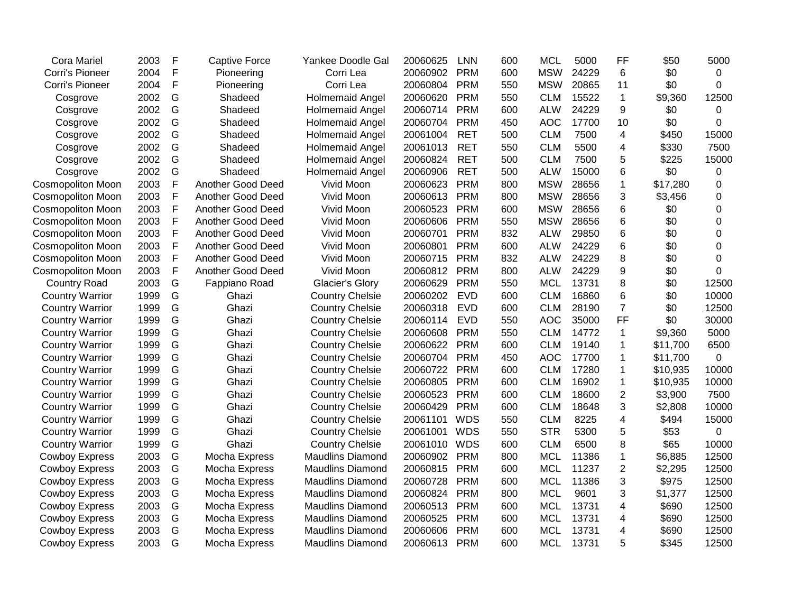| <b>Cora Mariel</b>       | 2003 | F             | <b>Captive Force</b> | Yankee Doodle Gal       | 20060625 | <b>LNN</b> | 600 | MCL        | 5000  | FF                      | \$50     | 5000           |
|--------------------------|------|---------------|----------------------|-------------------------|----------|------------|-----|------------|-------|-------------------------|----------|----------------|
| Corri's Pioneer          | 2004 | $\mathsf F$   | Pioneering           | Corri Lea               | 20060902 | <b>PRM</b> | 600 | <b>MSW</b> | 24229 | 6                       | \$0      | 0              |
| Corri's Pioneer          | 2004 | F             | Pioneering           | Corri Lea               | 20060804 | <b>PRM</b> | 550 | <b>MSW</b> | 20865 | 11                      | \$0      | $\Omega$       |
| Cosgrove                 | 2002 | G             | Shadeed              | Holmemaid Angel         | 20060620 | <b>PRM</b> | 550 | <b>CLM</b> | 15522 | 1                       | \$9,360  | 12500          |
| Cosgrove                 | 2002 | G             | Shadeed              | Holmemaid Angel         | 20060714 | <b>PRM</b> | 600 | <b>ALW</b> | 24229 | 9                       | \$0      | 0              |
| Cosgrove                 | 2002 | G             | Shadeed              | Holmemaid Angel         | 20060704 | <b>PRM</b> | 450 | <b>AOC</b> | 17700 | 10                      | \$0      | 0              |
| Cosgrove                 | 2002 | G             | Shadeed              | Holmemaid Angel         | 20061004 | <b>RET</b> | 500 | <b>CLM</b> | 7500  | 4                       | \$450    | 15000          |
| Cosgrove                 | 2002 | G             | Shadeed              | Holmemaid Angel         | 20061013 | <b>RET</b> | 550 | <b>CLM</b> | 5500  | 4                       | \$330    | 7500           |
| Cosgrove                 | 2002 | G             | Shadeed              | <b>Holmemaid Angel</b>  | 20060824 | <b>RET</b> | 500 | <b>CLM</b> | 7500  | 5                       | \$225    | 15000          |
| Cosgrove                 | 2002 | G             | Shadeed              | <b>Holmemaid Angel</b>  | 20060906 | <b>RET</b> | 500 | <b>ALW</b> | 15000 | 6                       | \$0      | 0              |
| Cosmopoliton Moon        | 2003 | $\mathsf F$   | Another Good Deed    | Vivid Moon              | 20060623 | <b>PRM</b> | 800 | <b>MSW</b> | 28656 | 1                       | \$17,280 | 0              |
| Cosmopoliton Moon        | 2003 | $\mathsf F$   | Another Good Deed    | Vivid Moon              | 20060613 | <b>PRM</b> | 800 | <b>MSW</b> | 28656 | 3                       | \$3,456  | $\mathbf 0$    |
| <b>Cosmopoliton Moon</b> | 2003 | F             | Another Good Deed    | Vivid Moon              | 20060523 | <b>PRM</b> | 600 | <b>MSW</b> | 28656 | 6                       | \$0      | $\Omega$       |
| <b>Cosmopoliton Moon</b> | 2003 | F             | Another Good Deed    | Vivid Moon              | 20060606 | <b>PRM</b> | 550 | <b>MSW</b> | 28656 | 6                       | \$0      | 0              |
| <b>Cosmopoliton Moon</b> | 2003 | F             | Another Good Deed    | Vivid Moon              | 20060701 | <b>PRM</b> | 832 | <b>ALW</b> | 29850 | 6                       | \$0      | 0              |
| Cosmopoliton Moon        | 2003 | $\mathsf F$   | Another Good Deed    | Vivid Moon              | 20060801 | <b>PRM</b> | 600 | <b>ALW</b> | 24229 | 6                       | \$0      | $\mathbf 0$    |
| Cosmopoliton Moon        | 2003 | $\mathsf F$   | Another Good Deed    | Vivid Moon              | 20060715 | <b>PRM</b> | 832 | <b>ALW</b> | 24229 | 8                       | \$0      | $\overline{0}$ |
| <b>Cosmopoliton Moon</b> | 2003 | $\mathsf F$   | Another Good Deed    | Vivid Moon              | 20060812 | <b>PRM</b> | 800 | <b>ALW</b> | 24229 | 9                       | \$0      | $\Omega$       |
| <b>Country Road</b>      | 2003 | G             | Fappiano Road        | Glacier's Glory         | 20060629 | <b>PRM</b> | 550 | <b>MCL</b> | 13731 | 8                       | \$0      | 12500          |
| <b>Country Warrior</b>   | 1999 | G             | Ghazi                | <b>Country Chelsie</b>  | 20060202 | <b>EVD</b> | 600 | <b>CLM</b> | 16860 | 6                       | \$0      | 10000          |
| <b>Country Warrior</b>   | 1999 | G             | Ghazi                | <b>Country Chelsie</b>  | 20060318 | <b>EVD</b> | 600 | <b>CLM</b> | 28190 | $\overline{7}$          | \$0      | 12500          |
| <b>Country Warrior</b>   | 1999 | ${\mathsf G}$ | Ghazi                | <b>Country Chelsie</b>  | 20060114 | <b>EVD</b> | 550 | <b>AOC</b> | 35000 | FF                      | \$0      | 30000          |
| <b>Country Warrior</b>   | 1999 | G             | Ghazi                | <b>Country Chelsie</b>  | 20060608 | <b>PRM</b> | 550 | <b>CLM</b> | 14772 | $\mathbf{1}$            | \$9,360  | 5000           |
| <b>Country Warrior</b>   | 1999 | G             | Ghazi                | <b>Country Chelsie</b>  | 20060622 | <b>PRM</b> | 600 | <b>CLM</b> | 19140 | 1                       | \$11,700 | 6500           |
| <b>Country Warrior</b>   | 1999 | G             | Ghazi                | <b>Country Chelsie</b>  | 20060704 | <b>PRM</b> | 450 | <b>AOC</b> | 17700 | $\mathbf 1$             | \$11,700 | 0              |
| <b>Country Warrior</b>   | 1999 | G             | Ghazi                | <b>Country Chelsie</b>  | 20060722 | <b>PRM</b> | 600 | <b>CLM</b> | 17280 | $\mathbf{1}$            | \$10,935 | 10000          |
| <b>Country Warrior</b>   | 1999 | G             | Ghazi                | <b>Country Chelsie</b>  | 20060805 | <b>PRM</b> | 600 | <b>CLM</b> | 16902 | $\mathbf{1}$            | \$10,935 | 10000          |
| <b>Country Warrior</b>   | 1999 | ${\mathsf G}$ | Ghazi                | <b>Country Chelsie</b>  | 20060523 | <b>PRM</b> | 600 | <b>CLM</b> | 18600 | $\overline{c}$          | \$3,900  | 7500           |
| <b>Country Warrior</b>   | 1999 | G             | Ghazi                | <b>Country Chelsie</b>  | 20060429 | <b>PRM</b> | 600 | <b>CLM</b> | 18648 | 3                       | \$2,808  | 10000          |
| <b>Country Warrior</b>   | 1999 | ${\mathsf G}$ | Ghazi                | <b>Country Chelsie</b>  | 20061101 | <b>WDS</b> | 550 | <b>CLM</b> | 8225  | $\overline{\mathbf{4}}$ | \$494    | 15000          |
| <b>Country Warrior</b>   | 1999 | G             | Ghazi                | <b>Country Chelsie</b>  | 20061001 | <b>WDS</b> | 550 | <b>STR</b> | 5300  | 5                       | \$53     | $\pmb{0}$      |
| <b>Country Warrior</b>   | 1999 | ${\mathsf G}$ | Ghazi                | <b>Country Chelsie</b>  | 20061010 | <b>WDS</b> | 600 | <b>CLM</b> | 6500  | 8                       | \$65     | 10000          |
| <b>Cowboy Express</b>    | 2003 | G             | Mocha Express        | <b>Maudlins Diamond</b> | 20060902 | <b>PRM</b> | 800 | <b>MCL</b> | 11386 | $\mathbf{1}$            | \$6,885  | 12500          |
| <b>Cowboy Express</b>    | 2003 | G             | Mocha Express        | <b>Maudlins Diamond</b> | 20060815 | <b>PRM</b> | 600 | <b>MCL</b> | 11237 | $\overline{2}$          | \$2,295  | 12500          |
| <b>Cowboy Express</b>    | 2003 | G             | Mocha Express        | <b>Maudlins Diamond</b> | 20060728 | <b>PRM</b> | 600 | <b>MCL</b> | 11386 | 3                       | \$975    | 12500          |
| <b>Cowboy Express</b>    | 2003 | G             | Mocha Express        | <b>Maudlins Diamond</b> | 20060824 | <b>PRM</b> | 800 | <b>MCL</b> | 9601  | 3                       | \$1,377  | 12500          |
| <b>Cowboy Express</b>    | 2003 | ${\mathsf G}$ | Mocha Express        | <b>Maudlins Diamond</b> | 20060513 | <b>PRM</b> | 600 | <b>MCL</b> | 13731 | 4                       | \$690    | 12500          |
| <b>Cowboy Express</b>    | 2003 | ${\mathsf G}$ | Mocha Express        | <b>Maudlins Diamond</b> | 20060525 | <b>PRM</b> | 600 | <b>MCL</b> | 13731 | 4                       | \$690    | 12500          |
| <b>Cowboy Express</b>    | 2003 | ${\mathsf G}$ | Mocha Express        | <b>Maudlins Diamond</b> | 20060606 | <b>PRM</b> | 600 | <b>MCL</b> | 13731 | 4                       | \$690    | 12500          |
| <b>Cowboy Express</b>    | 2003 | G             | Mocha Express        | <b>Maudlins Diamond</b> | 20060613 | <b>PRM</b> | 600 | <b>MCL</b> | 13731 | 5                       | \$345    | 12500          |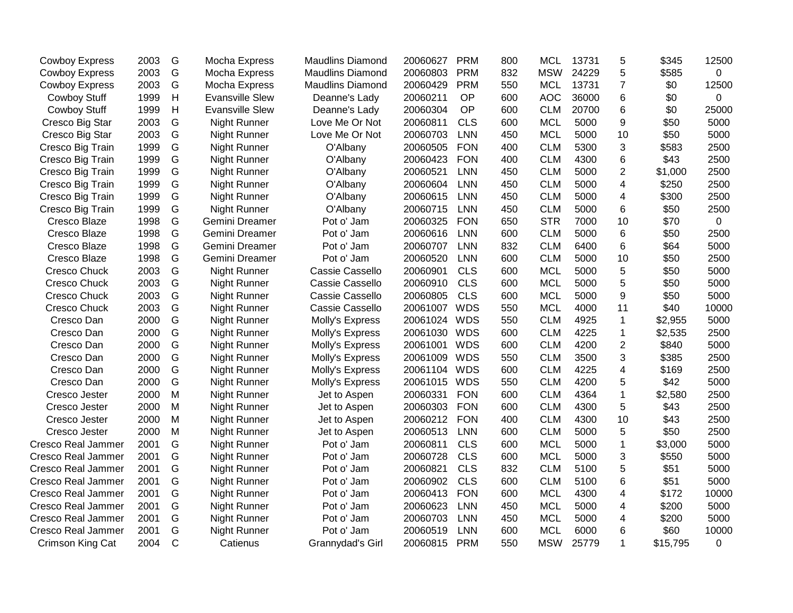| <b>Cowboy Express</b>     | 2003 | G | Mocha Express          | <b>Maudlins Diamond</b> | 20060627     | <b>PRM</b> | 800 | <b>MCL</b> | 13731 | 5              | \$345    | 12500          |
|---------------------------|------|---|------------------------|-------------------------|--------------|------------|-----|------------|-------|----------------|----------|----------------|
| <b>Cowboy Express</b>     | 2003 | G | Mocha Express          | <b>Maudlins Diamond</b> | 20060803     | <b>PRM</b> | 832 | <b>MSW</b> | 24229 | 5              | \$585    | $\overline{0}$ |
| <b>Cowboy Express</b>     | 2003 | G | Mocha Express          | <b>Maudlins Diamond</b> | 20060429     | <b>PRM</b> | 550 | <b>MCL</b> | 13731 | $\overline{7}$ | \$0      | 12500          |
| <b>Cowboy Stuff</b>       | 1999 | Н | <b>Evansville Slew</b> | Deanne's Lady           | 20060211     | OP         | 600 | <b>AOC</b> | 36000 | 6              | \$0      | $\mathbf 0$    |
| <b>Cowboy Stuff</b>       | 1999 | H | <b>Evansville Slew</b> | Deanne's Lady           | 20060304     | OP         | 600 | <b>CLM</b> | 20700 | 6              | \$0      | 25000          |
| Cresco Big Star           | 2003 | G | Night Runner           | Love Me Or Not          | 20060811     | <b>CLS</b> | 600 | <b>MCL</b> | 5000  | 9              | \$50     | 5000           |
| Cresco Big Star           | 2003 | G | Night Runner           | Love Me Or Not          | 20060703     | LNN        | 450 | <b>MCL</b> | 5000  | 10             | \$50     | 5000           |
| Cresco Big Train          | 1999 | G | Night Runner           | O'Albany                | 20060505     | <b>FON</b> | 400 | <b>CLM</b> | 5300  | 3              | \$583    | 2500           |
| Cresco Big Train          | 1999 | G | Night Runner           | O'Albany                | 20060423     | <b>FON</b> | 400 | <b>CLM</b> | 4300  | 6              | \$43     | 2500           |
| Cresco Big Train          | 1999 | G | Night Runner           | O'Albany                | 20060521     | <b>LNN</b> | 450 | <b>CLM</b> | 5000  | $\overline{2}$ | \$1,000  | 2500           |
| Cresco Big Train          | 1999 | G | Night Runner           | O'Albany                | 20060604     | <b>LNN</b> | 450 | <b>CLM</b> | 5000  | 4              | \$250    | 2500           |
| Cresco Big Train          | 1999 | G | Night Runner           | O'Albany                | 20060615     | <b>LNN</b> | 450 | <b>CLM</b> | 5000  | 4              | \$300    | 2500           |
| Cresco Big Train          | 1999 | G | Night Runner           | O'Albany                | 20060715     | <b>LNN</b> | 450 | <b>CLM</b> | 5000  | 6              | \$50     | 2500           |
| Cresco Blaze              | 1998 | G | Gemini Dreamer         | Pot o' Jam              | 20060325     | <b>FON</b> | 650 | <b>STR</b> | 7000  | 10             | \$70     | $\mathbf 0$    |
| Cresco Blaze              | 1998 | G | Gemini Dreamer         | Pot o' Jam              | 20060616     | <b>LNN</b> | 600 | <b>CLM</b> | 5000  | 6              | \$50     | 2500           |
| Cresco Blaze              | 1998 | G | Gemini Dreamer         | Pot o' Jam              | 20060707     | <b>LNN</b> | 832 | <b>CLM</b> | 6400  | 6              | \$64     | 5000           |
| Cresco Blaze              | 1998 | G | Gemini Dreamer         | Pot o' Jam              | 20060520     | <b>LNN</b> | 600 | <b>CLM</b> | 5000  | 10             | \$50     | 2500           |
| <b>Cresco Chuck</b>       | 2003 | G | <b>Night Runner</b>    | Cassie Cassello         | 20060901     | <b>CLS</b> | 600 | <b>MCL</b> | 5000  | 5              | \$50     | 5000           |
| Cresco Chuck              | 2003 | G | Night Runner           | Cassie Cassello         | 20060910     | <b>CLS</b> | 600 | <b>MCL</b> | 5000  | 5              | \$50     | 5000           |
| <b>Cresco Chuck</b>       | 2003 | G | <b>Night Runner</b>    | Cassie Cassello         | 20060805     | <b>CLS</b> | 600 | <b>MCL</b> | 5000  | 9              | \$50     | 5000           |
| <b>Cresco Chuck</b>       | 2003 | G | Night Runner           | Cassie Cassello         | 20061007     | <b>WDS</b> | 550 | <b>MCL</b> | 4000  | 11             | \$40     | 10000          |
| Cresco Dan                | 2000 | G | Night Runner           | Molly's Express         | 20061024     | <b>WDS</b> | 550 | <b>CLM</b> | 4925  | $\mathbf 1$    | \$2,955  | 5000           |
| Cresco Dan                | 2000 | G | Night Runner           | Molly's Express         | 20061030     | <b>WDS</b> | 600 | <b>CLM</b> | 4225  | $\mathbf{1}$   | \$2,535  | 2500           |
| Cresco Dan                | 2000 | G | Night Runner           | Molly's Express         | 20061001     | <b>WDS</b> | 600 | <b>CLM</b> | 4200  | $\overline{c}$ | \$840    | 5000           |
| Cresco Dan                | 2000 | G | Night Runner           | Molly's Express         | 20061009     | <b>WDS</b> | 550 | <b>CLM</b> | 3500  | 3              | \$385    | 2500           |
| Cresco Dan                | 2000 | G | Night Runner           | Molly's Express         | 20061104     | <b>WDS</b> | 600 | <b>CLM</b> | 4225  | 4              | \$169    | 2500           |
| Cresco Dan                | 2000 | G | Night Runner           | Molly's Express         | 20061015 WDS |            | 550 | <b>CLM</b> | 4200  | 5              | \$42     | 5000           |
| Cresco Jester             | 2000 | M | Night Runner           | Jet to Aspen            | 20060331     | <b>FON</b> | 600 | <b>CLM</b> | 4364  | $\mathbf{1}$   | \$2,580  | 2500           |
| Cresco Jester             | 2000 | M | Night Runner           | Jet to Aspen            | 20060303     | <b>FON</b> | 600 | <b>CLM</b> | 4300  | 5              | \$43     | 2500           |
| Cresco Jester             | 2000 | M | Night Runner           | Jet to Aspen            | 20060212     | <b>FON</b> | 400 | <b>CLM</b> | 4300  | 10             | \$43     | 2500           |
| Cresco Jester             | 2000 | M | Night Runner           | Jet to Aspen            | 20060513     | <b>LNN</b> | 600 | <b>CLM</b> | 5000  | 5              | \$50     | 2500           |
| <b>Cresco Real Jammer</b> | 2001 | G | Night Runner           | Pot o' Jam              | 20060811     | <b>CLS</b> | 600 | <b>MCL</b> | 5000  | $\mathbf{1}$   | \$3,000  | 5000           |
| <b>Cresco Real Jammer</b> | 2001 | G | Night Runner           | Pot o' Jam              | 20060728     | <b>CLS</b> | 600 | <b>MCL</b> | 5000  | 3              | \$550    | 5000           |
| Cresco Real Jammer        | 2001 | G | Night Runner           | Pot o' Jam              | 20060821     | <b>CLS</b> | 832 | <b>CLM</b> | 5100  | 5              | \$51     | 5000           |
| <b>Cresco Real Jammer</b> | 2001 | G | <b>Night Runner</b>    | Pot o' Jam              | 20060902     | <b>CLS</b> | 600 | <b>CLM</b> | 5100  | 6              | \$51     | 5000           |
| <b>Cresco Real Jammer</b> | 2001 | G | <b>Night Runner</b>    | Pot o' Jam              | 20060413     | <b>FON</b> | 600 | <b>MCL</b> | 4300  | $\overline{4}$ | \$172    | 10000          |
| Cresco Real Jammer        | 2001 | G | Night Runner           | Pot o' Jam              | 20060623     | <b>LNN</b> | 450 | <b>MCL</b> | 5000  | 4              | \$200    | 5000           |
| <b>Cresco Real Jammer</b> | 2001 | G | Night Runner           | Pot o' Jam              | 20060703     | <b>LNN</b> | 450 | <b>MCL</b> | 5000  | 4              | \$200    | 5000           |
| <b>Cresco Real Jammer</b> | 2001 | G | Night Runner           | Pot o' Jam              | 20060519     | <b>LNN</b> | 600 | <b>MCL</b> | 6000  | 6              | \$60     | 10000          |
| Crimson King Cat          | 2004 | C | Catienus               | Grannydad's Girl        | 20060815     | <b>PRM</b> | 550 | <b>MSW</b> | 25779 | $\mathbf{1}$   | \$15,795 | 0              |
|                           |      |   |                        |                         |              |            |     |            |       |                |          |                |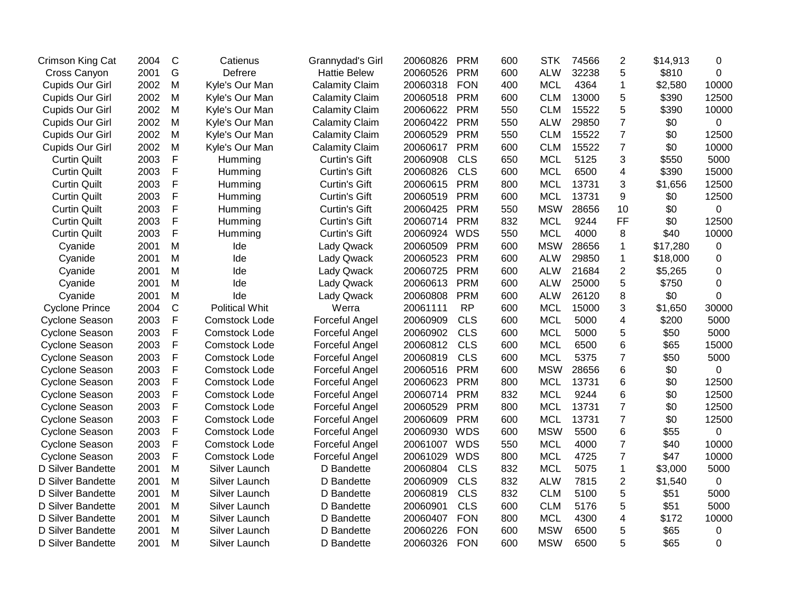| Crimson King Cat      | 2004 | $\mathsf{C}$ | Catienus              | Grannydad's Girl      | 20060826 | <b>PRM</b> | 600 | <b>STK</b> | 74566 | $\mathbf 2$             | \$14,913 | 0     |
|-----------------------|------|--------------|-----------------------|-----------------------|----------|------------|-----|------------|-------|-------------------------|----------|-------|
| Cross Canyon          | 2001 | G            | Defrere               | <b>Hattie Belew</b>   | 20060526 | <b>PRM</b> | 600 | <b>ALW</b> | 32238 | 5                       | \$810    | 0     |
| Cupids Our Girl       | 2002 | M            | Kyle's Our Man        | <b>Calamity Claim</b> | 20060318 | <b>FON</b> | 400 | <b>MCL</b> | 4364  | $\mathbf{1}$            | \$2,580  | 10000 |
| Cupids Our Girl       | 2002 | M            | Kyle's Our Man        | <b>Calamity Claim</b> | 20060518 | <b>PRM</b> | 600 | <b>CLM</b> | 13000 | 5                       | \$390    | 12500 |
| Cupids Our Girl       | 2002 | M            | Kyle's Our Man        | <b>Calamity Claim</b> | 20060622 | <b>PRM</b> | 550 | <b>CLM</b> | 15522 | 5                       | \$390    | 10000 |
| Cupids Our Girl       | 2002 | M            | Kyle's Our Man        | <b>Calamity Claim</b> | 20060422 | <b>PRM</b> | 550 | <b>ALW</b> | 29850 | $\overline{7}$          | \$0      | 0     |
| Cupids Our Girl       | 2002 | M            | Kyle's Our Man        | <b>Calamity Claim</b> | 20060529 | <b>PRM</b> | 550 | <b>CLM</b> | 15522 | $\overline{7}$          | \$0      | 12500 |
| Cupids Our Girl       | 2002 | M            | Kyle's Our Man        | <b>Calamity Claim</b> | 20060617 | <b>PRM</b> | 600 | <b>CLM</b> | 15522 | $\overline{7}$          | \$0      | 10000 |
| <b>Curtin Quilt</b>   | 2003 | F            | Humming               | <b>Curtin's Gift</b>  | 20060908 | <b>CLS</b> | 650 | <b>MCL</b> | 5125  | 3                       | \$550    | 5000  |
| <b>Curtin Quilt</b>   | 2003 | F            | Humming               | <b>Curtin's Gift</b>  | 20060826 | <b>CLS</b> | 600 | <b>MCL</b> | 6500  | 4                       | \$390    | 15000 |
| <b>Curtin Quilt</b>   | 2003 | F            | Humming               | <b>Curtin's Gift</b>  | 20060615 | <b>PRM</b> | 800 | <b>MCL</b> | 13731 | 3                       | \$1,656  | 12500 |
| <b>Curtin Quilt</b>   | 2003 | F            | Humming               | <b>Curtin's Gift</b>  | 20060519 | <b>PRM</b> | 600 | <b>MCL</b> | 13731 | 9                       | \$0      | 12500 |
| <b>Curtin Quilt</b>   | 2003 | F            | Humming               | <b>Curtin's Gift</b>  | 20060425 | <b>PRM</b> | 550 | <b>MSW</b> | 28656 | 10                      | \$0      | 0     |
| <b>Curtin Quilt</b>   | 2003 | F            | Humming               | <b>Curtin's Gift</b>  | 20060714 | <b>PRM</b> | 832 | <b>MCL</b> | 9244  | <b>FF</b>               | \$0      | 12500 |
| <b>Curtin Quilt</b>   | 2003 | F            | Humming               | <b>Curtin's Gift</b>  | 20060924 | <b>WDS</b> | 550 | <b>MCL</b> | 4000  | 8                       | \$40     | 10000 |
| Cyanide               | 2001 | M            | Ide                   | <b>Lady Qwack</b>     | 20060509 | <b>PRM</b> | 600 | <b>MSW</b> | 28656 | $\mathbf{1}$            | \$17,280 | 0     |
| Cyanide               | 2001 | M            | Ide                   | <b>Lady Qwack</b>     | 20060523 | <b>PRM</b> | 600 | <b>ALW</b> | 29850 | $\mathbf{1}$            | \$18,000 | 0     |
| Cyanide               | 2001 | M            | Ide                   | Lady Qwack            | 20060725 | <b>PRM</b> | 600 | <b>ALW</b> | 21684 | $\overline{2}$          | \$5,265  | 0     |
| Cyanide               | 2001 | M            | Ide                   | <b>Lady Qwack</b>     | 20060613 | <b>PRM</b> | 600 | <b>ALW</b> | 25000 | 5                       | \$750    | 0     |
| Cyanide               | 2001 | M            | Ide                   | Lady Qwack            | 20060808 | <b>PRM</b> | 600 | <b>ALW</b> | 26120 | 8                       | \$0      | 0     |
| <b>Cyclone Prince</b> | 2004 | C            | <b>Political Whit</b> | Werra                 | 20061111 | <b>RP</b>  | 600 | <b>MCL</b> | 15000 | 3                       | \$1,650  | 30000 |
| <b>Cyclone Season</b> | 2003 | F            | Comstock Lode         | Forceful Angel        | 20060909 | <b>CLS</b> | 600 | <b>MCL</b> | 5000  | $\overline{\mathbf{4}}$ | \$200    | 5000  |
| <b>Cyclone Season</b> | 2003 | F            | <b>Comstock Lode</b>  | Forceful Angel        | 20060902 | <b>CLS</b> | 600 | <b>MCL</b> | 5000  | 5                       | \$50     | 5000  |
| <b>Cyclone Season</b> | 2003 | F            | Comstock Lode         | Forceful Angel        | 20060812 | <b>CLS</b> | 600 | <b>MCL</b> | 6500  | 6                       | \$65     | 15000 |
| <b>Cyclone Season</b> | 2003 | F            | <b>Comstock Lode</b>  | Forceful Angel        | 20060819 | <b>CLS</b> | 600 | <b>MCL</b> | 5375  | $\overline{7}$          | \$50     | 5000  |
| Cyclone Season        | 2003 | F            | Comstock Lode         | Forceful Angel        | 20060516 | <b>PRM</b> | 600 | <b>MSW</b> | 28656 | 6                       | \$0      | 0     |
| <b>Cyclone Season</b> | 2003 | F            | <b>Comstock Lode</b>  | Forceful Angel        | 20060623 | <b>PRM</b> | 800 | <b>MCL</b> | 13731 | 6                       | \$0      | 12500 |
| Cyclone Season        | 2003 | F            | <b>Comstock Lode</b>  | Forceful Angel        | 20060714 | <b>PRM</b> | 832 | <b>MCL</b> | 9244  | 6                       | \$0      | 12500 |
| Cyclone Season        | 2003 | F            | <b>Comstock Lode</b>  | Forceful Angel        | 20060529 | <b>PRM</b> | 800 | <b>MCL</b> | 13731 | $\overline{7}$          | \$0      | 12500 |
| <b>Cyclone Season</b> | 2003 | F            | Comstock Lode         | Forceful Angel        | 20060609 | <b>PRM</b> | 600 | <b>MCL</b> | 13731 | $\overline{7}$          | \$0      | 12500 |
| <b>Cyclone Season</b> | 2003 | F            | <b>Comstock Lode</b>  | Forceful Angel        | 20060930 | <b>WDS</b> | 600 | <b>MSW</b> | 5500  | 6                       | \$55     | 0     |
| <b>Cyclone Season</b> | 2003 | F            | <b>Comstock Lode</b>  | Forceful Angel        | 20061007 | <b>WDS</b> | 550 | <b>MCL</b> | 4000  | $\overline{7}$          | \$40     | 10000 |
| <b>Cyclone Season</b> | 2003 | F            | <b>Comstock Lode</b>  | Forceful Angel        | 20061029 | <b>WDS</b> | 800 | <b>MCL</b> | 4725  | $\overline{7}$          | \$47     | 10000 |
| D Silver Bandette     | 2001 | M            | Silver Launch         | D Bandette            | 20060804 | <b>CLS</b> | 832 | <b>MCL</b> | 5075  | $\mathbf 1$             | \$3,000  | 5000  |
| D Silver Bandette     | 2001 | M            | Silver Launch         | D Bandette            | 20060909 | <b>CLS</b> | 832 | <b>ALW</b> | 7815  | $\overline{2}$          | \$1,540  | 0     |
| D Silver Bandette     | 2001 | M            | Silver Launch         | D Bandette            | 20060819 | <b>CLS</b> | 832 | <b>CLM</b> | 5100  | 5                       | \$51     | 5000  |
| D Silver Bandette     | 2001 | M            | Silver Launch         | D Bandette            | 20060901 | <b>CLS</b> | 600 | <b>CLM</b> | 5176  | 5                       | \$51     | 5000  |
| D Silver Bandette     | 2001 | M            | Silver Launch         | D Bandette            | 20060407 | <b>FON</b> | 800 | <b>MCL</b> | 4300  | $\overline{\mathbf{4}}$ | \$172    | 10000 |
| D Silver Bandette     | 2001 | M            | Silver Launch         | D Bandette            | 20060226 | <b>FON</b> | 600 | <b>MSW</b> | 6500  | 5                       | \$65     | 0     |
| D Silver Bandette     | 2001 | M            | Silver Launch         | D Bandette            | 20060326 | <b>FON</b> | 600 | <b>MSW</b> | 6500  | 5                       | \$65     | 0     |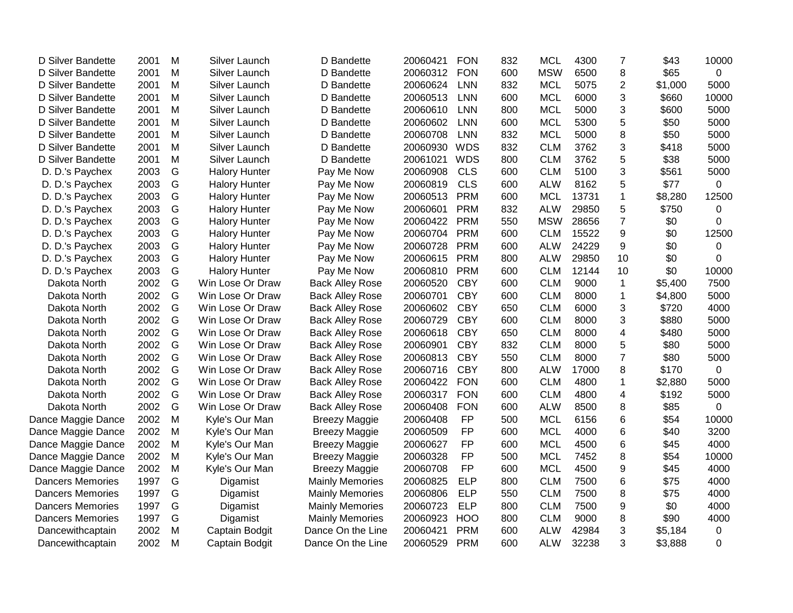| D Silver Bandette       | 2001 | M | Silver Launch        | D Bandette             | 20060421 | <b>FON</b> | 832 | <b>MCL</b> | 4300  | 7              | \$43    | 10000       |
|-------------------------|------|---|----------------------|------------------------|----------|------------|-----|------------|-------|----------------|---------|-------------|
| D Silver Bandette       | 2001 | M | Silver Launch        | D Bandette             | 20060312 | <b>FON</b> | 600 | <b>MSW</b> | 6500  | 8              | \$65    | $\Omega$    |
| D Silver Bandette       | 2001 | M | Silver Launch        | D Bandette             | 20060624 | <b>LNN</b> | 832 | <b>MCL</b> | 5075  | $\overline{2}$ | \$1,000 | 5000        |
| D Silver Bandette       | 2001 | м | Silver Launch        | D Bandette             | 20060513 | <b>LNN</b> | 600 | <b>MCL</b> | 6000  | 3              | \$660   | 10000       |
| D Silver Bandette       | 2001 | M | Silver Launch        | D Bandette             | 20060610 | <b>LNN</b> | 800 | <b>MCL</b> | 5000  | 3              | \$600   | 5000        |
| D Silver Bandette       | 2001 | M | Silver Launch        | D Bandette             | 20060602 | <b>LNN</b> | 600 | <b>MCL</b> | 5300  | 5              | \$50    | 5000        |
| D Silver Bandette       | 2001 | M | Silver Launch        | D Bandette             | 20060708 | <b>LNN</b> | 832 | <b>MCL</b> | 5000  | 8              | \$50    | 5000        |
| D Silver Bandette       | 2001 | M | Silver Launch        | D Bandette             | 20060930 | <b>WDS</b> | 832 | <b>CLM</b> | 3762  | 3              | \$418   | 5000        |
| D Silver Bandette       | 2001 | M | Silver Launch        | D Bandette             | 20061021 | <b>WDS</b> | 800 | <b>CLM</b> | 3762  | 5              | \$38    | 5000        |
| D. D.'s Paychex         | 2003 | G | <b>Halory Hunter</b> | Pay Me Now             | 20060908 | <b>CLS</b> | 600 | <b>CLM</b> | 5100  | 3              | \$561   | 5000        |
| D. D.'s Paychex         | 2003 | G | <b>Halory Hunter</b> | Pay Me Now             | 20060819 | <b>CLS</b> | 600 | <b>ALW</b> | 8162  | 5              | \$77    | 0           |
| D. D.'s Paychex         | 2003 | G | <b>Halory Hunter</b> | Pay Me Now             | 20060513 | <b>PRM</b> | 600 | <b>MCL</b> | 13731 | $\mathbf{1}$   | \$8,280 | 12500       |
| D. D.'s Paychex         | 2003 | G | <b>Halory Hunter</b> | Pay Me Now             | 20060601 | <b>PRM</b> | 832 | <b>ALW</b> | 29850 | 5              | \$750   | 0           |
| D. D.'s Paychex         | 2003 | G | <b>Halory Hunter</b> | Pay Me Now             | 20060422 | <b>PRM</b> | 550 | <b>MSW</b> | 28656 | $\overline{7}$ | \$0     | 0           |
| D. D.'s Paychex         | 2003 | G | <b>Halory Hunter</b> | Pay Me Now             | 20060704 | <b>PRM</b> | 600 | <b>CLM</b> | 15522 | 9              | \$0     | 12500       |
| D. D.'s Paychex         | 2003 | G | <b>Halory Hunter</b> | Pay Me Now             | 20060728 | <b>PRM</b> | 600 | <b>ALW</b> | 24229 | 9              | \$0     | 0           |
| D. D.'s Paychex         | 2003 | G | <b>Halory Hunter</b> | Pay Me Now             | 20060615 | <b>PRM</b> | 800 | <b>ALW</b> | 29850 | 10             | \$0     | 0           |
| D. D.'s Paychex         | 2003 | G | <b>Halory Hunter</b> | Pay Me Now             | 20060810 | <b>PRM</b> | 600 | <b>CLM</b> | 12144 | 10             | \$0     | 10000       |
| Dakota North            | 2002 | G | Win Lose Or Draw     | <b>Back Alley Rose</b> | 20060520 | <b>CBY</b> | 600 | <b>CLM</b> | 9000  | $\mathbf{1}$   | \$5,400 | 7500        |
| Dakota North            | 2002 | G | Win Lose Or Draw     | <b>Back Alley Rose</b> | 20060701 | <b>CBY</b> | 600 | <b>CLM</b> | 8000  | 1              | \$4,800 | 5000        |
| Dakota North            | 2002 | G | Win Lose Or Draw     | <b>Back Alley Rose</b> | 20060602 | <b>CBY</b> | 650 | <b>CLM</b> | 6000  | 3              | \$720   | 4000        |
| Dakota North            | 2002 | G | Win Lose Or Draw     | <b>Back Alley Rose</b> | 20060729 | <b>CBY</b> | 600 | <b>CLM</b> | 8000  | 3              | \$880   | 5000        |
| Dakota North            | 2002 | G | Win Lose Or Draw     | <b>Back Alley Rose</b> | 20060618 | <b>CBY</b> | 650 | <b>CLM</b> | 8000  | $\overline{4}$ | \$480   | 5000        |
| Dakota North            | 2002 | G | Win Lose Or Draw     | <b>Back Alley Rose</b> | 20060901 | <b>CBY</b> | 832 | <b>CLM</b> | 8000  | 5              | \$80    | 5000        |
| Dakota North            | 2002 | G | Win Lose Or Draw     | <b>Back Alley Rose</b> | 20060813 | <b>CBY</b> | 550 | <b>CLM</b> | 8000  | $\overline{7}$ | \$80    | 5000        |
| Dakota North            | 2002 | G | Win Lose Or Draw     | <b>Back Alley Rose</b> | 20060716 | <b>CBY</b> | 800 | <b>ALW</b> | 17000 | 8              | \$170   | $\mathbf 0$ |
| Dakota North            | 2002 | G | Win Lose Or Draw     | <b>Back Alley Rose</b> | 20060422 | <b>FON</b> | 600 | <b>CLM</b> | 4800  | $\mathbf{1}$   | \$2,880 | 5000        |
| Dakota North            | 2002 | G | Win Lose Or Draw     | <b>Back Alley Rose</b> | 20060317 | <b>FON</b> | 600 | <b>CLM</b> | 4800  | 4              | \$192   | 5000        |
| Dakota North            | 2002 | G | Win Lose Or Draw     | <b>Back Alley Rose</b> | 20060408 | <b>FON</b> | 600 | <b>ALW</b> | 8500  | 8              | \$85    | 0           |
| Dance Maggie Dance      | 2002 | M | Kyle's Our Man       | <b>Breezy Maggie</b>   | 20060408 | <b>FP</b>  | 500 | <b>MCL</b> | 6156  | 6              | \$54    | 10000       |
| Dance Maggie Dance      | 2002 | M | Kyle's Our Man       | <b>Breezy Maggie</b>   | 20060509 | <b>FP</b>  | 600 | <b>MCL</b> | 4000  | 6              | \$40    | 3200        |
| Dance Maggie Dance      | 2002 | M | Kyle's Our Man       | <b>Breezy Maggie</b>   | 20060627 | FP         | 600 | <b>MCL</b> | 4500  | 6              | \$45    | 4000        |
| Dance Maggie Dance      | 2002 | M | Kyle's Our Man       | <b>Breezy Maggie</b>   | 20060328 | <b>FP</b>  | 500 | <b>MCL</b> | 7452  | 8              | \$54    | 10000       |
| Dance Maggie Dance      | 2002 | M | Kyle's Our Man       | <b>Breezy Maggie</b>   | 20060708 | <b>FP</b>  | 600 | <b>MCL</b> | 4500  | 9              | \$45    | 4000        |
| <b>Dancers Memories</b> | 1997 | G | Digamist             | <b>Mainly Memories</b> | 20060825 | <b>ELP</b> | 800 | <b>CLM</b> | 7500  | 6              | \$75    | 4000        |
| <b>Dancers Memories</b> | 1997 | G | Digamist             | <b>Mainly Memories</b> | 20060806 | <b>ELP</b> | 550 | <b>CLM</b> | 7500  | 8              | \$75    | 4000        |
| <b>Dancers Memories</b> | 1997 | G | Digamist             | <b>Mainly Memories</b> | 20060723 | <b>ELP</b> | 800 | <b>CLM</b> | 7500  | 9              | \$0     | 4000        |
| <b>Dancers Memories</b> | 1997 | G | Digamist             | <b>Mainly Memories</b> | 20060923 | <b>HOO</b> | 800 | <b>CLM</b> | 9000  | 8              | \$90    | 4000        |
| Dancewithcaptain        | 2002 | M | Captain Bodgit       | Dance On the Line      | 20060421 | <b>PRM</b> | 600 | <b>ALW</b> | 42984 | 3              | \$5,184 | $\mathbf 0$ |
| Dancewithcaptain        | 2002 | M | Captain Bodgit       | Dance On the Line      | 20060529 | <b>PRM</b> | 600 | <b>ALW</b> | 32238 | 3              | \$3,888 | 0           |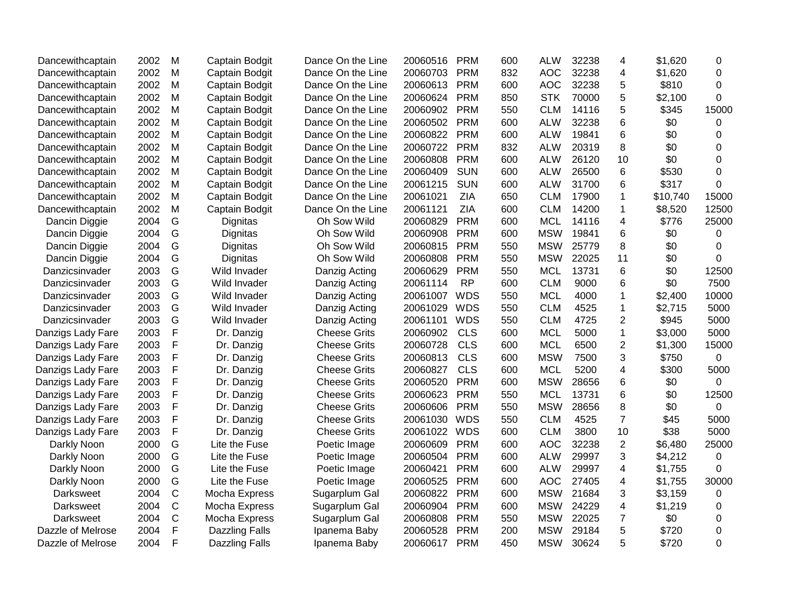| Dancewithcaptain  | 2002 | м             | Captain Bodgit        | Dance On the Line   | 20060516 | <b>PRM</b> | 600 | <b>ALW</b> | 32238 | 4              | \$1,620  | 0        |
|-------------------|------|---------------|-----------------------|---------------------|----------|------------|-----|------------|-------|----------------|----------|----------|
| Dancewithcaptain  | 2002 | M             | Captain Bodgit        | Dance On the Line   | 20060703 | <b>PRM</b> | 832 | <b>AOC</b> | 32238 | 4              | \$1,620  | 0        |
| Dancewithcaptain  | 2002 | M             | Captain Bodgit        | Dance On the Line   | 20060613 | <b>PRM</b> | 600 | <b>AOC</b> | 32238 | 5              | \$810    | $\Omega$ |
| Dancewithcaptain  | 2002 | M             | Captain Bodgit        | Dance On the Line   | 20060624 | <b>PRM</b> | 850 | <b>STK</b> | 70000 | 5              | \$2,100  | 0        |
| Dancewithcaptain  | 2002 | M             | Captain Bodgit        | Dance On the Line   | 20060902 | <b>PRM</b> | 550 | <b>CLM</b> | 14116 | 5              | \$345    | 15000    |
| Dancewithcaptain  | 2002 | M             | Captain Bodgit        | Dance On the Line   | 20060502 | <b>PRM</b> | 600 | <b>ALW</b> | 32238 | 6              | \$0      | 0        |
| Dancewithcaptain  | 2002 | M             | Captain Bodgit        | Dance On the Line   | 20060822 | <b>PRM</b> | 600 | <b>ALW</b> | 19841 | 6              | \$0      | 0        |
| Dancewithcaptain  | 2002 | M             | Captain Bodgit        | Dance On the Line   | 20060722 | <b>PRM</b> | 832 | <b>ALW</b> | 20319 | 8              | \$0      | 0        |
| Dancewithcaptain  | 2002 | M             | Captain Bodgit        | Dance On the Line   | 20060808 | <b>PRM</b> | 600 | <b>ALW</b> | 26120 | 10             | \$0      | 0        |
| Dancewithcaptain  | 2002 | M             | Captain Bodgit        | Dance On the Line   | 20060409 | <b>SUN</b> | 600 | <b>ALW</b> | 26500 | 6              | \$530    | $\Omega$ |
| Dancewithcaptain  | 2002 | M             | Captain Bodgit        | Dance On the Line   | 20061215 | <b>SUN</b> | 600 | <b>ALW</b> | 31700 | 6              | \$317    | 0        |
| Dancewithcaptain  | 2002 | M             | Captain Bodgit        | Dance On the Line   | 20061021 | <b>ZIA</b> | 650 | <b>CLM</b> | 17900 | 1              | \$10,740 | 15000    |
| Dancewithcaptain  | 2002 | M             | Captain Bodgit        | Dance On the Line   | 20061121 | <b>ZIA</b> | 600 | <b>CLM</b> | 14200 | 1              | \$8,520  | 12500    |
| Dancin Diggie     | 2004 | ${\mathsf G}$ | Dignitas              | Oh Sow Wild         | 20060829 | <b>PRM</b> | 600 | <b>MCL</b> | 14116 | 4              | \$776    | 25000    |
| Dancin Diggie     | 2004 | ${\mathsf G}$ | Dignitas              | Oh Sow Wild         | 20060908 | <b>PRM</b> | 600 | <b>MSW</b> | 19841 | 6              | \$0      | 0        |
| Dancin Diggie     | 2004 | G             | Dignitas              | Oh Sow Wild         | 20060815 | <b>PRM</b> | 550 | <b>MSW</b> | 25779 | 8              | \$0      | 0        |
| Dancin Diggie     | 2004 | G             | Dignitas              | Oh Sow Wild         | 20060808 | <b>PRM</b> | 550 | <b>MSW</b> | 22025 | 11             | \$0      | 0        |
| Danzicsinvader    | 2003 | G             | Wild Invader          | Danzig Acting       | 20060629 | <b>PRM</b> | 550 | <b>MCL</b> | 13731 | 6              | \$0      | 12500    |
| Danzicsinvader    | 2003 | G             | Wild Invader          | Danzig Acting       | 20061114 | <b>RP</b>  | 600 | <b>CLM</b> | 9000  | 6              | \$0      | 7500     |
| Danzicsinvader    | 2003 | G             | Wild Invader          | Danzig Acting       | 20061007 | <b>WDS</b> | 550 | <b>MCL</b> | 4000  | 1              | \$2,400  | 10000    |
| Danzicsinvader    | 2003 | G             | Wild Invader          | Danzig Acting       | 20061029 | <b>WDS</b> | 550 | <b>CLM</b> | 4525  | $\mathbf{1}$   | \$2,715  | 5000     |
| Danzicsinvader    | 2003 | G             | Wild Invader          | Danzig Acting       | 20061101 | <b>WDS</b> | 550 | <b>CLM</b> | 4725  | $\overline{2}$ | \$945    | 5000     |
| Danzigs Lady Fare | 2003 | $\mathsf F$   | Dr. Danzig            | <b>Cheese Grits</b> | 20060902 | <b>CLS</b> | 600 | <b>MCL</b> | 5000  | 1              | \$3,000  | 5000     |
| Danzigs Lady Fare | 2003 | $\mathsf F$   | Dr. Danzig            | <b>Cheese Grits</b> | 20060728 | <b>CLS</b> | 600 | <b>MCL</b> | 6500  | $\overline{c}$ | \$1,300  | 15000    |
| Danzigs Lady Fare | 2003 | $\mathsf F$   | Dr. Danzig            | <b>Cheese Grits</b> | 20060813 | <b>CLS</b> | 600 | <b>MSW</b> | 7500  | 3              | \$750    | 0        |
| Danzigs Lady Fare | 2003 | $\mathsf F$   | Dr. Danzig            | <b>Cheese Grits</b> | 20060827 | <b>CLS</b> | 600 | <b>MCL</b> | 5200  | 4              | \$300    | 5000     |
| Danzigs Lady Fare | 2003 | $\mathsf F$   | Dr. Danzig            | <b>Cheese Grits</b> | 20060520 | <b>PRM</b> | 600 | <b>MSW</b> | 28656 | 6              | \$0      | 0        |
| Danzigs Lady Fare | 2003 | $\mathsf F$   | Dr. Danzig            | <b>Cheese Grits</b> | 20060623 | <b>PRM</b> | 550 | <b>MCL</b> | 13731 | 6              | \$0      | 12500    |
| Danzigs Lady Fare | 2003 | $\mathsf{F}$  | Dr. Danzig            | <b>Cheese Grits</b> | 20060606 | <b>PRM</b> | 550 | <b>MSW</b> | 28656 | 8              | \$0      | 0        |
| Danzigs Lady Fare | 2003 | $\mathsf F$   | Dr. Danzig            | <b>Cheese Grits</b> | 20061030 | <b>WDS</b> | 550 | <b>CLM</b> | 4525  | $\overline{7}$ | \$45     | 5000     |
| Danzigs Lady Fare | 2003 | F             | Dr. Danzig            | <b>Cheese Grits</b> | 20061022 | <b>WDS</b> | 600 | <b>CLM</b> | 3800  | 10             | \$38     | 5000     |
| Darkly Noon       | 2000 | G             | Lite the Fuse         | Poetic Image        | 20060609 | <b>PRM</b> | 600 | <b>AOC</b> | 32238 | $\overline{2}$ | \$6,480  | 25000    |
| Darkly Noon       | 2000 | G             | Lite the Fuse         | Poetic Image        | 20060504 | <b>PRM</b> | 600 | <b>ALW</b> | 29997 | 3              | \$4,212  | 0        |
| Darkly Noon       | 2000 | G             | Lite the Fuse         | Poetic Image        | 20060421 | <b>PRM</b> | 600 | <b>ALW</b> | 29997 | 4              | \$1,755  | 0        |
| Darkly Noon       | 2000 | G             | Lite the Fuse         | Poetic Image        | 20060525 | <b>PRM</b> | 600 | <b>AOC</b> | 27405 | 4              | \$1,755  | 30000    |
| Darksweet         | 2004 | C             | Mocha Express         | Sugarplum Gal       | 20060822 | <b>PRM</b> | 600 | <b>MSW</b> | 21684 | 3              | \$3,159  | 0        |
| Darksweet         | 2004 | $\mathsf C$   | Mocha Express         | Sugarplum Gal       | 20060904 | <b>PRM</b> | 600 | <b>MSW</b> | 24229 | 4              | \$1,219  | 0        |
| <b>Darksweet</b>  | 2004 | $\mathsf{C}$  | Mocha Express         | Sugarplum Gal       | 20060808 | <b>PRM</b> | 550 | <b>MSW</b> | 22025 | $\overline{7}$ | \$0      | 0        |
| Dazzle of Melrose | 2004 | F             | Dazzling Falls        | Ipanema Baby        | 20060528 | <b>PRM</b> | 200 | <b>MSW</b> | 29184 | 5              | \$720    | 0        |
| Dazzle of Melrose | 2004 | $\mathsf{F}$  | <b>Dazzling Falls</b> | Ipanema Baby        | 20060617 | <b>PRM</b> | 450 | <b>MSW</b> | 30624 | 5              | \$720    | $\Omega$ |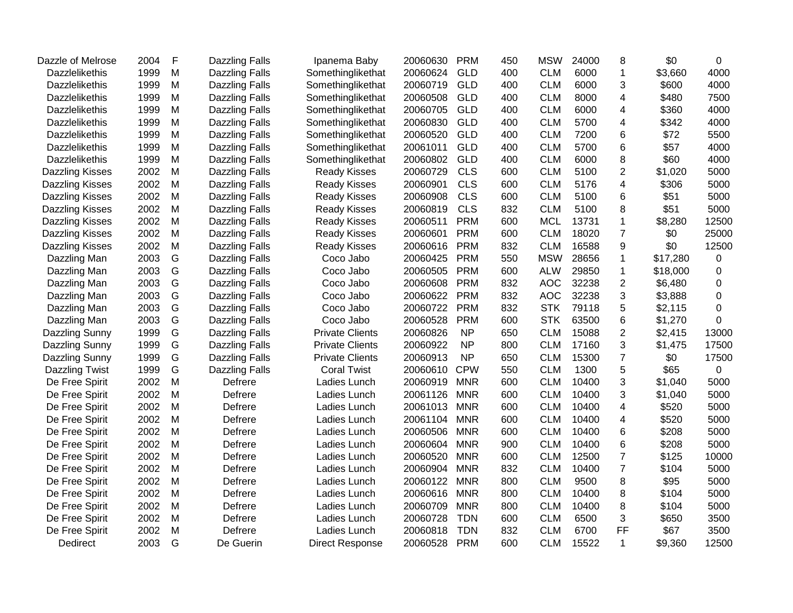| Dazzle of Melrose      | 2004 | F | <b>Dazzling Falls</b> | Ipanema Baby           | 20060630 | <b>PRM</b> | 450 | <b>MSW</b> | 24000 | 8               | \$0      | 0           |
|------------------------|------|---|-----------------------|------------------------|----------|------------|-----|------------|-------|-----------------|----------|-------------|
| <b>Dazzlelikethis</b>  | 1999 | M | <b>Dazzling Falls</b> | Somethinglikethat      | 20060624 | GLD        | 400 | <b>CLM</b> | 6000  | $\mathbf{1}$    | \$3,660  | 4000        |
| Dazzlelikethis         | 1999 | M | Dazzling Falls        | Somethinglikethat      | 20060719 | <b>GLD</b> | 400 | <b>CLM</b> | 6000  | 3               | \$600    | 4000        |
| <b>Dazzlelikethis</b>  | 1999 | M | Dazzling Falls        | Somethinglikethat      | 20060508 | <b>GLD</b> | 400 | <b>CLM</b> | 8000  | 4               | \$480    | 7500        |
| <b>Dazzlelikethis</b>  | 1999 | M | <b>Dazzling Falls</b> | Somethinglikethat      | 20060705 | <b>GLD</b> | 400 | <b>CLM</b> | 6000  | 4               | \$360    | 4000        |
| <b>Dazzlelikethis</b>  | 1999 | M | <b>Dazzling Falls</b> | Somethinglikethat      | 20060830 | <b>GLD</b> | 400 | <b>CLM</b> | 5700  | 4               | \$342    | 4000        |
| <b>Dazzlelikethis</b>  | 1999 | M | <b>Dazzling Falls</b> | Somethinglikethat      | 20060520 | <b>GLD</b> | 400 | <b>CLM</b> | 7200  | 6               | \$72     | 5500        |
| <b>Dazzlelikethis</b>  | 1999 | M | Dazzling Falls        | Somethinglikethat      | 20061011 | <b>GLD</b> | 400 | <b>CLM</b> | 5700  | $\,6$           | \$57     | 4000        |
| Dazzlelikethis         | 1999 | M | Dazzling Falls        | Somethinglikethat      | 20060802 | <b>GLD</b> | 400 | <b>CLM</b> | 6000  | 8               | \$60     | 4000        |
| Dazzling Kisses        | 2002 | M | <b>Dazzling Falls</b> | <b>Ready Kisses</b>    | 20060729 | <b>CLS</b> | 600 | <b>CLM</b> | 5100  | $\overline{2}$  | \$1,020  | 5000        |
| <b>Dazzling Kisses</b> | 2002 | M | <b>Dazzling Falls</b> | <b>Ready Kisses</b>    | 20060901 | <b>CLS</b> | 600 | <b>CLM</b> | 5176  | 4               | \$306    | 5000        |
| Dazzling Kisses        | 2002 | M | <b>Dazzling Falls</b> | <b>Ready Kisses</b>    | 20060908 | <b>CLS</b> | 600 | <b>CLM</b> | 5100  | 6               | \$51     | 5000        |
| Dazzling Kisses        | 2002 | M | <b>Dazzling Falls</b> | <b>Ready Kisses</b>    | 20060819 | <b>CLS</b> | 832 | <b>CLM</b> | 5100  | 8               | \$51     | 5000        |
| Dazzling Kisses        | 2002 | M | <b>Dazzling Falls</b> | <b>Ready Kisses</b>    | 20060511 | <b>PRM</b> | 600 | <b>MCL</b> | 13731 | 1               | \$8,280  | 12500       |
| <b>Dazzling Kisses</b> | 2002 | M | Dazzling Falls        | <b>Ready Kisses</b>    | 20060601 | <b>PRM</b> | 600 | <b>CLM</b> | 18020 | $\overline{7}$  | \$0      | 25000       |
| <b>Dazzling Kisses</b> | 2002 | M | <b>Dazzling Falls</b> | <b>Ready Kisses</b>    | 20060616 | <b>PRM</b> | 832 | <b>CLM</b> | 16588 | 9               | \$0      | 12500       |
| Dazzling Man           | 2003 | G | <b>Dazzling Falls</b> | Coco Jabo              | 20060425 | <b>PRM</b> | 550 | <b>MSW</b> | 28656 | $\mathbf{1}$    | \$17,280 | 0           |
| Dazzling Man           | 2003 | G | Dazzling Falls        | Coco Jabo              | 20060505 | <b>PRM</b> | 600 | <b>ALW</b> | 29850 | 1               | \$18,000 | 0           |
| Dazzling Man           | 2003 | G | <b>Dazzling Falls</b> | Coco Jabo              | 20060608 | <b>PRM</b> | 832 | <b>AOC</b> | 32238 | $\overline{2}$  | \$6,480  | 0           |
| Dazzling Man           | 2003 | G | <b>Dazzling Falls</b> | Coco Jabo              | 20060622 | <b>PRM</b> | 832 | <b>AOC</b> | 32238 | 3               | \$3,888  | $\mathbf 0$ |
| Dazzling Man           | 2003 | G | <b>Dazzling Falls</b> | Coco Jabo              | 20060722 | <b>PRM</b> | 832 | <b>STK</b> | 79118 | 5               | \$2,115  | $\mathbf 0$ |
| Dazzling Man           | 2003 | G | <b>Dazzling Falls</b> | Coco Jabo              | 20060528 | <b>PRM</b> | 600 | <b>STK</b> | 63500 | 6               | \$1,270  | $\mathbf 0$ |
| Dazzling Sunny         | 1999 | G | <b>Dazzling Falls</b> | <b>Private Clients</b> | 20060826 | <b>NP</b>  | 650 | <b>CLM</b> | 15088 | $\overline{2}$  | \$2,415  | 13000       |
| Dazzling Sunny         | 1999 | G | Dazzling Falls        | <b>Private Clients</b> | 20060922 | <b>NP</b>  | 800 | <b>CLM</b> | 17160 | 3               | \$1,475  | 17500       |
| Dazzling Sunny         | 1999 | G | <b>Dazzling Falls</b> | <b>Private Clients</b> | 20060913 | <b>NP</b>  | 650 | <b>CLM</b> | 15300 | $\overline{7}$  | \$0      | 17500       |
| Dazzling Twist         | 1999 | G | Dazzling Falls        | <b>Coral Twist</b>     | 20060610 | <b>CPW</b> | 550 | <b>CLM</b> | 1300  | 5               | \$65     | 0           |
| De Free Spirit         | 2002 | M | Defrere               | Ladies Lunch           | 20060919 | <b>MNR</b> | 600 | <b>CLM</b> | 10400 | 3               | \$1,040  | 5000        |
| De Free Spirit         | 2002 | M | Defrere               | Ladies Lunch           | 20061126 | <b>MNR</b> | 600 | <b>CLM</b> | 10400 | 3               | \$1,040  | 5000        |
| De Free Spirit         | 2002 | M | Defrere               | Ladies Lunch           | 20061013 | <b>MNR</b> | 600 | <b>CLM</b> | 10400 | 4               | \$520    | 5000        |
| De Free Spirit         | 2002 | M | Defrere               | Ladies Lunch           | 20061104 | <b>MNR</b> | 600 | <b>CLM</b> | 10400 | 4               | \$520    | 5000        |
| De Free Spirit         | 2002 | M | Defrere               | Ladies Lunch           | 20060506 | <b>MNR</b> | 600 | <b>CLM</b> | 10400 | 6               | \$208    | 5000        |
| De Free Spirit         | 2002 | M | Defrere               | Ladies Lunch           | 20060604 | <b>MNR</b> | 900 | <b>CLM</b> | 10400 | $6\phantom{1}6$ | \$208    | 5000        |
| De Free Spirit         | 2002 | M | Defrere               | Ladies Lunch           | 20060520 | <b>MNR</b> | 600 | <b>CLM</b> | 12500 | $\overline{7}$  | \$125    | 10000       |
| De Free Spirit         | 2002 | M | Defrere               | Ladies Lunch           | 20060904 | <b>MNR</b> | 832 | <b>CLM</b> | 10400 | $\overline{7}$  | \$104    | 5000        |
| De Free Spirit         | 2002 | M | Defrere               | Ladies Lunch           | 20060122 | <b>MNR</b> | 800 | <b>CLM</b> | 9500  | 8               | \$95     | 5000        |
| De Free Spirit         | 2002 | M | Defrere               | Ladies Lunch           | 20060616 | <b>MNR</b> | 800 | <b>CLM</b> | 10400 | 8               | \$104    | 5000        |
| De Free Spirit         | 2002 | M | Defrere               | Ladies Lunch           | 20060709 | <b>MNR</b> | 800 | <b>CLM</b> | 10400 | 8               | \$104    | 5000        |
| De Free Spirit         | 2002 | M | Defrere               | Ladies Lunch           | 20060728 | <b>TDN</b> | 600 | <b>CLM</b> | 6500  | 3               | \$650    | 3500        |
| De Free Spirit         | 2002 | M | Defrere               | Ladies Lunch           | 20060818 | <b>TDN</b> | 832 | <b>CLM</b> | 6700  | FF              | \$67     | 3500        |
| Dedirect               | 2003 | G | De Guerin             | <b>Direct Response</b> | 20060528 | <b>PRM</b> | 600 | <b>CLM</b> | 15522 | $\mathbf{1}$    | \$9,360  | 12500       |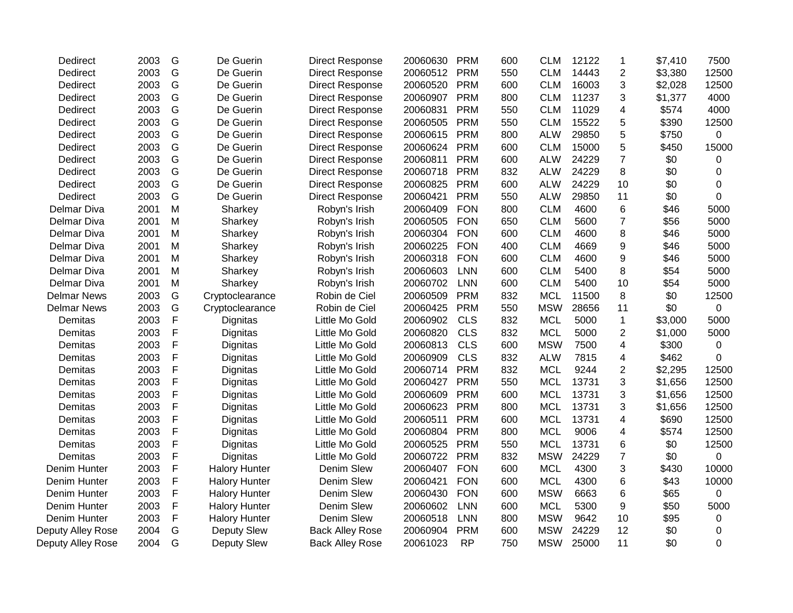| $\overline{c}$<br>14443<br>16003<br>3<br>11237<br>3<br>11029<br>$\overline{\mathbf{4}}$<br>15522<br>5<br>5<br>29850<br>5<br>15000<br>$\overline{7}$<br>24229<br>24229<br>8<br>24229<br>10 | \$3,380<br>\$2,028<br>\$1,377<br>\$574<br>\$390<br>\$750<br>\$450<br>\$0<br>\$0                                              | 12500<br>12500<br>4000<br>4000<br>12500<br>0<br>15000<br>0<br>0                                      |
|-------------------------------------------------------------------------------------------------------------------------------------------------------------------------------------------|------------------------------------------------------------------------------------------------------------------------------|------------------------------------------------------------------------------------------------------|
|                                                                                                                                                                                           |                                                                                                                              |                                                                                                      |
|                                                                                                                                                                                           |                                                                                                                              |                                                                                                      |
|                                                                                                                                                                                           |                                                                                                                              |                                                                                                      |
|                                                                                                                                                                                           |                                                                                                                              |                                                                                                      |
|                                                                                                                                                                                           |                                                                                                                              |                                                                                                      |
|                                                                                                                                                                                           |                                                                                                                              |                                                                                                      |
|                                                                                                                                                                                           |                                                                                                                              |                                                                                                      |
|                                                                                                                                                                                           |                                                                                                                              |                                                                                                      |
|                                                                                                                                                                                           |                                                                                                                              |                                                                                                      |
|                                                                                                                                                                                           | \$0                                                                                                                          | 0                                                                                                    |
| 29850<br>11                                                                                                                                                                               | \$0                                                                                                                          | 0                                                                                                    |
| 6<br>4600                                                                                                                                                                                 | \$46                                                                                                                         | 5000                                                                                                 |
| $\overline{7}$<br>5600                                                                                                                                                                    | \$56                                                                                                                         | 5000                                                                                                 |
| 8<br>4600                                                                                                                                                                                 | \$46                                                                                                                         | 5000                                                                                                 |
| 4669<br>9                                                                                                                                                                                 | \$46                                                                                                                         | 5000                                                                                                 |
| 9<br>4600                                                                                                                                                                                 | \$46                                                                                                                         | 5000                                                                                                 |
| 5400<br>8                                                                                                                                                                                 | \$54                                                                                                                         | 5000                                                                                                 |
| 5400<br>10                                                                                                                                                                                | \$54                                                                                                                         | 5000                                                                                                 |
| 11500<br>8                                                                                                                                                                                | \$0                                                                                                                          | 12500                                                                                                |
| 28656<br>11                                                                                                                                                                               | \$0                                                                                                                          | 0                                                                                                    |
| 5000<br>$\mathbf{1}$                                                                                                                                                                      | \$3,000                                                                                                                      | 5000                                                                                                 |
| 5000<br>$\overline{2}$                                                                                                                                                                    | \$1,000                                                                                                                      | 5000                                                                                                 |
| 4<br>7500                                                                                                                                                                                 | \$300                                                                                                                        | $\mathbf 0$                                                                                          |
| 7815<br>4                                                                                                                                                                                 | \$462                                                                                                                        | 0                                                                                                    |
|                                                                                                                                                                                           | \$2,295                                                                                                                      | 12500                                                                                                |
|                                                                                                                                                                                           | \$1,656                                                                                                                      | 12500                                                                                                |
|                                                                                                                                                                                           | \$1,656                                                                                                                      | 12500                                                                                                |
|                                                                                                                                                                                           | \$1,656                                                                                                                      | 12500                                                                                                |
|                                                                                                                                                                                           | \$690                                                                                                                        | 12500                                                                                                |
|                                                                                                                                                                                           | \$574                                                                                                                        | 12500                                                                                                |
|                                                                                                                                                                                           | \$0                                                                                                                          | 12500                                                                                                |
|                                                                                                                                                                                           | \$0                                                                                                                          | $\overline{0}$                                                                                       |
|                                                                                                                                                                                           | \$430                                                                                                                        | 10000                                                                                                |
|                                                                                                                                                                                           | \$43                                                                                                                         | 10000                                                                                                |
|                                                                                                                                                                                           | \$65                                                                                                                         | 0                                                                                                    |
|                                                                                                                                                                                           | \$50                                                                                                                         | 5000                                                                                                 |
|                                                                                                                                                                                           | \$95                                                                                                                         | 0                                                                                                    |
|                                                                                                                                                                                           | \$0                                                                                                                          | 0                                                                                                    |
|                                                                                                                                                                                           | \$0                                                                                                                          | $\mathbf 0$                                                                                          |
|                                                                                                                                                                                           | 9244<br>13731<br>13731<br>13731<br>13731<br>9006<br>13731<br>24229<br>4300<br>4300<br>6663<br>5300<br>9642<br>24229<br>25000 | $\overline{2}$<br>3<br>3<br>3<br>4<br>4<br>6<br>$\overline{7}$<br>3<br>6<br>6<br>9<br>10<br>12<br>11 |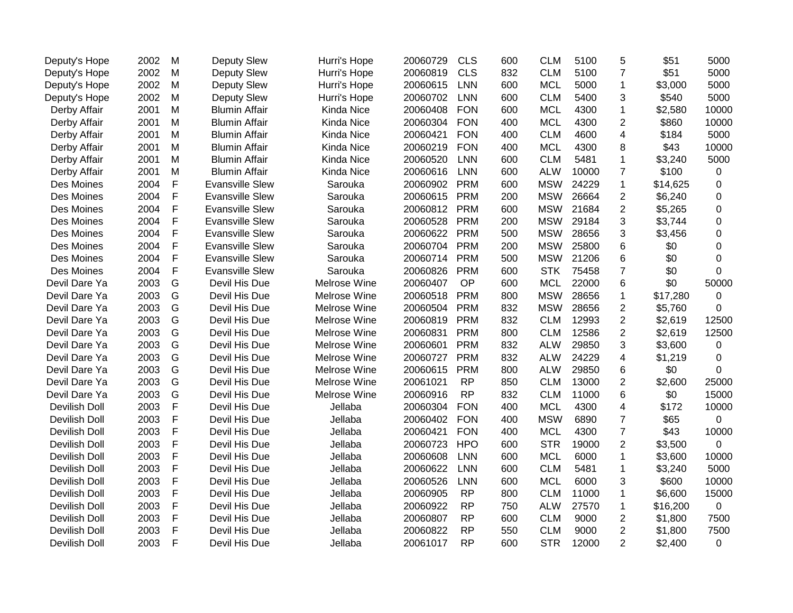| Deputy's Hope | 2002 | M            | Deputy Slew            | Hurri's Hope | 20060729 | <b>CLS</b> | 600 | <b>CLM</b> | 5100  | 5              | \$51     | 5000     |
|---------------|------|--------------|------------------------|--------------|----------|------------|-----|------------|-------|----------------|----------|----------|
| Deputy's Hope | 2002 | M            | Deputy Slew            | Hurri's Hope | 20060819 | <b>CLS</b> | 832 | <b>CLM</b> | 5100  | $\overline{7}$ | \$51     | 5000     |
| Deputy's Hope | 2002 | M            | Deputy Slew            | Hurri's Hope | 20060615 | <b>LNN</b> | 600 | <b>MCL</b> | 5000  | $\mathbf{1}$   | \$3,000  | 5000     |
| Deputy's Hope | 2002 | M            | Deputy Slew            | Hurri's Hope | 20060702 | <b>LNN</b> | 600 | <b>CLM</b> | 5400  | 3              | \$540    | 5000     |
| Derby Affair  | 2001 | M            | <b>Blumin Affair</b>   | Kinda Nice   | 20060408 | <b>FON</b> | 600 | <b>MCL</b> | 4300  | $\mathbf{1}$   | \$2,580  | 10000    |
| Derby Affair  | 2001 | M            | <b>Blumin Affair</b>   | Kinda Nice   | 20060304 | <b>FON</b> | 400 | <b>MCL</b> | 4300  | $\overline{2}$ | \$860    | 10000    |
| Derby Affair  | 2001 | M            | <b>Blumin Affair</b>   | Kinda Nice   | 20060421 | <b>FON</b> | 400 | <b>CLM</b> | 4600  | $\overline{4}$ | \$184    | 5000     |
| Derby Affair  | 2001 | M            | <b>Blumin Affair</b>   | Kinda Nice   | 20060219 | <b>FON</b> | 400 | <b>MCL</b> | 4300  | 8              | \$43     | 10000    |
| Derby Affair  | 2001 | M            | <b>Blumin Affair</b>   | Kinda Nice   | 20060520 | <b>LNN</b> | 600 | <b>CLM</b> | 5481  | $\mathbf 1$    | \$3,240  | 5000     |
| Derby Affair  | 2001 | M            | <b>Blumin Affair</b>   | Kinda Nice   | 20060616 | <b>LNN</b> | 600 | <b>ALW</b> | 10000 | $\overline{7}$ | \$100    | 0        |
| Des Moines    | 2004 | F            | <b>Evansville Slew</b> | Sarouka      | 20060902 | <b>PRM</b> | 600 | <b>MSW</b> | 24229 | $\mathbf 1$    | \$14,625 | 0        |
| Des Moines    | 2004 | F            | <b>Evansville Slew</b> | Sarouka      | 20060615 | <b>PRM</b> | 200 | <b>MSW</b> | 26664 | $\overline{2}$ | \$6,240  | 0        |
| Des Moines    | 2004 | $\mathsf F$  | <b>Evansville Slew</b> | Sarouka      | 20060812 | <b>PRM</b> | 600 | <b>MSW</b> | 21684 | $\overline{2}$ | \$5,265  | 0        |
| Des Moines    | 2004 | $\mathsf F$  | <b>Evansville Slew</b> | Sarouka      | 20060528 | <b>PRM</b> | 200 | <b>MSW</b> | 29184 | 3              | \$3,744  | 0        |
| Des Moines    | 2004 | F            | <b>Evansville Slew</b> | Sarouka      | 20060622 | <b>PRM</b> | 500 | <b>MSW</b> | 28656 | 3              | \$3,456  | 0        |
| Des Moines    | 2004 | $\mathsf F$  | <b>Evansville Slew</b> | Sarouka      | 20060704 | <b>PRM</b> | 200 | <b>MSW</b> | 25800 | 6              | \$0      | 0        |
| Des Moines    | 2004 | F            | <b>Evansville Slew</b> | Sarouka      | 20060714 | <b>PRM</b> | 500 | <b>MSW</b> | 21206 | 6              | \$0      | 0        |
| Des Moines    | 2004 | F            | <b>Evansville Slew</b> | Sarouka      | 20060826 | <b>PRM</b> | 600 | <b>STK</b> | 75458 | $\overline{7}$ | \$0      | $\Omega$ |
| Devil Dare Ya | 2003 | G            | Devil His Due          | Melrose Wine | 20060407 | OP         | 600 | <b>MCL</b> | 22000 | 6              | \$0      | 50000    |
| Devil Dare Ya | 2003 | G            | Devil His Due          | Melrose Wine | 20060518 | <b>PRM</b> | 800 | <b>MSW</b> | 28656 | $\mathbf 1$    | \$17,280 | 0        |
| Devil Dare Ya | 2003 | G            | Devil His Due          | Melrose Wine | 20060504 | <b>PRM</b> | 832 | <b>MSW</b> | 28656 | $\overline{c}$ | \$5,760  | 0        |
| Devil Dare Ya | 2003 | G            | Devil His Due          | Melrose Wine | 20060819 | <b>PRM</b> | 832 | <b>CLM</b> | 12993 | $\overline{2}$ | \$2,619  | 12500    |
| Devil Dare Ya | 2003 | G            | Devil His Due          | Melrose Wine | 20060831 | <b>PRM</b> | 800 | <b>CLM</b> | 12586 | $\overline{c}$ | \$2,619  | 12500    |
| Devil Dare Ya | 2003 | G            | Devil His Due          | Melrose Wine | 20060601 | <b>PRM</b> | 832 | <b>ALW</b> | 29850 | 3              | \$3,600  | 0        |
| Devil Dare Ya | 2003 | G            | Devil His Due          | Melrose Wine | 20060727 | <b>PRM</b> | 832 | <b>ALW</b> | 24229 | $\overline{4}$ | \$1,219  | 0        |
| Devil Dare Ya | 2003 | G            | Devil His Due          | Melrose Wine | 20060615 | <b>PRM</b> | 800 | <b>ALW</b> | 29850 | 6              | \$0      | 0        |
| Devil Dare Ya | 2003 | G            | Devil His Due          | Melrose Wine | 20061021 | <b>RP</b>  | 850 | <b>CLM</b> | 13000 | $\overline{2}$ | \$2,600  | 25000    |
| Devil Dare Ya | 2003 | G            | Devil His Due          | Melrose Wine | 20060916 | <b>RP</b>  | 832 | <b>CLM</b> | 11000 | 6              | \$0      | 15000    |
| Devilish Doll | 2003 | F            | Devil His Due          | Jellaba      | 20060304 | <b>FON</b> | 400 | <b>MCL</b> | 4300  | $\overline{4}$ | \$172    | 10000    |
| Devilish Doll | 2003 | $\mathsf{F}$ | Devil His Due          | Jellaba      | 20060402 | <b>FON</b> | 400 | <b>MSW</b> | 6890  | $\overline{7}$ | \$65     | 0        |
| Devilish Doll | 2003 | $\mathsf F$  | Devil His Due          | Jellaba      | 20060421 | <b>FON</b> | 400 | <b>MCL</b> | 4300  | $\overline{7}$ | \$43     | 10000    |
| Devilish Doll | 2003 | F            | Devil His Due          | Jellaba      | 20060723 | <b>HPO</b> | 600 | <b>STR</b> | 19000 | $\overline{2}$ | \$3,500  | 0        |
| Devilish Doll | 2003 | F            | Devil His Due          | Jellaba      | 20060608 | <b>LNN</b> | 600 | <b>MCL</b> | 6000  | $\mathbf 1$    | \$3,600  | 10000    |
| Devilish Doll | 2003 | $\mathsf F$  | Devil His Due          | Jellaba      | 20060622 | <b>LNN</b> | 600 | <b>CLM</b> | 5481  | $\mathbf 1$    | \$3,240  | 5000     |
| Devilish Doll | 2003 | F            | Devil His Due          | Jellaba      | 20060526 | <b>LNN</b> | 600 | <b>MCL</b> | 6000  | 3              | \$600    | 10000    |
| Devilish Doll | 2003 | F            | Devil His Due          | Jellaba      | 20060905 | <b>RP</b>  | 800 | <b>CLM</b> | 11000 | $\mathbf 1$    | \$6,600  | 15000    |
| Devilish Doll | 2003 | $\mathsf F$  | Devil His Due          | Jellaba      | 20060922 | <b>RP</b>  | 750 | <b>ALW</b> | 27570 | $\mathbf 1$    | \$16,200 | 0        |
| Devilish Doll | 2003 | F            | Devil His Due          | Jellaba      | 20060807 | <b>RP</b>  | 600 | <b>CLM</b> | 9000  | $\overline{c}$ | \$1,800  | 7500     |
| Devilish Doll | 2003 | F            | Devil His Due          | Jellaba      | 20060822 | <b>RP</b>  | 550 | <b>CLM</b> | 9000  | $\overline{c}$ | \$1,800  | 7500     |
| Devilish Doll | 2003 | $\mathsf{F}$ | Devil His Due          | Jellaba      | 20061017 | <b>RP</b>  | 600 | <b>STR</b> | 12000 | $\overline{2}$ | \$2,400  | 0        |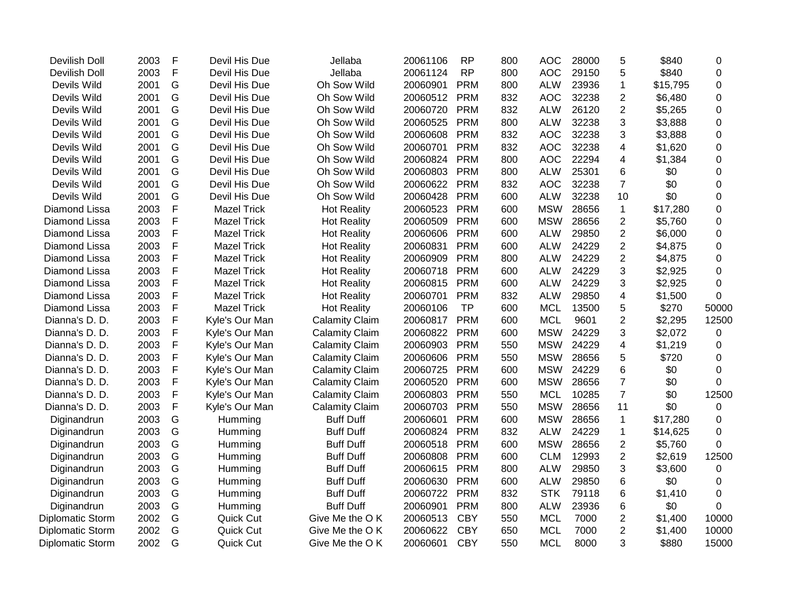| Devilish Doll    | 2003 | F            | Devil His Due      | Jellaba               | 20061106 | <b>RP</b>  | 800 | <b>AOC</b> | 28000 | 5              | \$840    | 0           |
|------------------|------|--------------|--------------------|-----------------------|----------|------------|-----|------------|-------|----------------|----------|-------------|
| Devilish Doll    | 2003 | $\mathsf{F}$ | Devil His Due      | Jellaba               | 20061124 | <b>RP</b>  | 800 | <b>AOC</b> | 29150 | 5              | \$840    | 0           |
| Devils Wild      | 2001 | G            | Devil His Due      | Oh Sow Wild           | 20060901 | <b>PRM</b> | 800 | <b>ALW</b> | 23936 | $\mathbf{1}$   | \$15,795 | 0           |
| Devils Wild      | 2001 | G            | Devil His Due      | Oh Sow Wild           | 20060512 | <b>PRM</b> | 832 | <b>AOC</b> | 32238 | $\overline{2}$ | \$6,480  | 0           |
| Devils Wild      | 2001 | G            | Devil His Due      | Oh Sow Wild           | 20060720 | <b>PRM</b> | 832 | <b>ALW</b> | 26120 | $\overline{2}$ | \$5,265  | 0           |
| Devils Wild      | 2001 | G            | Devil His Due      | Oh Sow Wild           | 20060525 | <b>PRM</b> | 800 | <b>ALW</b> | 32238 | 3              | \$3,888  | 0           |
| Devils Wild      | 2001 | G            | Devil His Due      | Oh Sow Wild           | 20060608 | <b>PRM</b> | 832 | <b>AOC</b> | 32238 | 3              | \$3,888  | 0           |
| Devils Wild      | 2001 | G            | Devil His Due      | Oh Sow Wild           | 20060701 | <b>PRM</b> | 832 | <b>AOC</b> | 32238 | 4              | \$1,620  | 0           |
| Devils Wild      | 2001 | G            | Devil His Due      | Oh Sow Wild           | 20060824 | <b>PRM</b> | 800 | <b>AOC</b> | 22294 | 4              | \$1,384  | 0           |
| Devils Wild      | 2001 | G            | Devil His Due      | Oh Sow Wild           | 20060803 | <b>PRM</b> | 800 | <b>ALW</b> | 25301 | 6              | \$0      | 0           |
| Devils Wild      | 2001 | G            | Devil His Due      | Oh Sow Wild           | 20060622 | <b>PRM</b> | 832 | <b>AOC</b> | 32238 | $\overline{7}$ | \$0      | $\Omega$    |
| Devils Wild      | 2001 | G            | Devil His Due      | Oh Sow Wild           | 20060428 | <b>PRM</b> | 600 | <b>ALW</b> | 32238 | 10             | \$0      | 0           |
| Diamond Lissa    | 2003 | $\mathsf F$  | <b>Mazel Trick</b> | <b>Hot Reality</b>    | 20060523 | <b>PRM</b> | 600 | <b>MSW</b> | 28656 | $\mathbf{1}$   | \$17,280 | 0           |
| Diamond Lissa    | 2003 | F            | <b>Mazel Trick</b> | <b>Hot Reality</b>    | 20060509 | <b>PRM</b> | 600 | <b>MSW</b> | 28656 | $\overline{2}$ | \$5,760  | 0           |
| Diamond Lissa    | 2003 | $\mathsf F$  | <b>Mazel Trick</b> | <b>Hot Reality</b>    | 20060606 | <b>PRM</b> | 600 | <b>ALW</b> | 29850 | $\overline{2}$ | \$6,000  | $\mathbf 0$ |
| Diamond Lissa    | 2003 | $\mathsf{F}$ | <b>Mazel Trick</b> | <b>Hot Reality</b>    | 20060831 | <b>PRM</b> | 600 | <b>ALW</b> | 24229 | $\overline{2}$ | \$4,875  | $\mathbf 0$ |
| Diamond Lissa    | 2003 | $\mathsf F$  | <b>Mazel Trick</b> | <b>Hot Reality</b>    | 20060909 | <b>PRM</b> | 800 | <b>ALW</b> | 24229 | $\overline{2}$ | \$4,875  | 0           |
| Diamond Lissa    | 2003 | $\mathsf F$  | <b>Mazel Trick</b> | <b>Hot Reality</b>    | 20060718 | <b>PRM</b> | 600 | <b>ALW</b> | 24229 | 3              | \$2,925  | 0           |
| Diamond Lissa    | 2003 | $\mathsf F$  | <b>Mazel Trick</b> | <b>Hot Reality</b>    | 20060815 | <b>PRM</b> | 600 | <b>ALW</b> | 24229 | 3              | \$2,925  | $\mathbf 0$ |
| Diamond Lissa    | 2003 | $\mathsf{F}$ | <b>Mazel Trick</b> | <b>Hot Reality</b>    | 20060701 | <b>PRM</b> | 832 | <b>ALW</b> | 29850 | 4              | \$1,500  | $\mathbf 0$ |
| Diamond Lissa    | 2003 | F            | <b>Mazel Trick</b> | <b>Hot Reality</b>    | 20060106 | <b>TP</b>  | 600 | <b>MCL</b> | 13500 | 5              | \$270    | 50000       |
| Dianna's D. D.   | 2003 | $\mathsf F$  | Kyle's Our Man     | <b>Calamity Claim</b> | 20060817 | <b>PRM</b> | 600 | <b>MCL</b> | 9601  | $\overline{2}$ | \$2,295  | 12500       |
| Dianna's D. D.   | 2003 | F            | Kyle's Our Man     | <b>Calamity Claim</b> | 20060822 | <b>PRM</b> | 600 | <b>MSW</b> | 24229 | 3              | \$2,072  | 0           |
| Dianna's D. D.   | 2003 | F            | Kyle's Our Man     | <b>Calamity Claim</b> | 20060903 | <b>PRM</b> | 550 | <b>MSW</b> | 24229 | 4              | \$1,219  | 0           |
| Dianna's D. D.   | 2003 | F            | Kyle's Our Man     | <b>Calamity Claim</b> | 20060606 | <b>PRM</b> | 550 | <b>MSW</b> | 28656 | 5              | \$720    | 0           |
| Dianna's D. D.   | 2003 | $\mathsf F$  | Kyle's Our Man     | <b>Calamity Claim</b> | 20060725 | <b>PRM</b> | 600 | <b>MSW</b> | 24229 | 6              | \$0      | 0           |
| Dianna's D. D.   | 2003 | F            | Kyle's Our Man     | <b>Calamity Claim</b> | 20060520 | <b>PRM</b> | 600 | <b>MSW</b> | 28656 | $\overline{7}$ | \$0      | $\Omega$    |
| Dianna's D. D.   | 2003 | $\mathsf F$  | Kyle's Our Man     | <b>Calamity Claim</b> | 20060803 | <b>PRM</b> | 550 | <b>MCL</b> | 10285 | $\overline{7}$ | \$0      | 12500       |
| Dianna's D. D.   | 2003 | $\mathsf F$  | Kyle's Our Man     | <b>Calamity Claim</b> | 20060703 | <b>PRM</b> | 550 | <b>MSW</b> | 28656 | 11             | \$0      | 0           |
| Diginandrun      | 2003 | G            | Humming            | <b>Buff Duff</b>      | 20060601 | <b>PRM</b> | 600 | <b>MSW</b> | 28656 | $\mathbf 1$    | \$17,280 | 0           |
| Diginandrun      | 2003 | G            | Humming            | <b>Buff Duff</b>      | 20060824 | <b>PRM</b> | 832 | <b>ALW</b> | 24229 | $\mathbf 1$    | \$14,625 | 0           |
| Diginandrun      | 2003 | G            | Humming            | <b>Buff Duff</b>      | 20060518 | <b>PRM</b> | 600 | <b>MSW</b> | 28656 | $\overline{c}$ | \$5,760  | 0           |
| Diginandrun      | 2003 | G            | Humming            | <b>Buff Duff</b>      | 20060808 | <b>PRM</b> | 600 | <b>CLM</b> | 12993 | $\overline{2}$ | \$2,619  | 12500       |
| Diginandrun      | 2003 | G            | Humming            | <b>Buff Duff</b>      | 20060615 | <b>PRM</b> | 800 | <b>ALW</b> | 29850 | 3              | \$3,600  | 0           |
| Diginandrun      | 2003 | G            | Humming            | <b>Buff Duff</b>      | 20060630 | <b>PRM</b> | 600 | <b>ALW</b> | 29850 | 6              | \$0      | 0           |
| Diginandrun      | 2003 | G            | Humming            | <b>Buff Duff</b>      | 20060722 | <b>PRM</b> | 832 | <b>STK</b> | 79118 | 6              | \$1,410  | $\mathbf 0$ |
| Diginandrun      | 2003 | G            | Humming            | <b>Buff Duff</b>      | 20060901 | <b>PRM</b> | 800 | <b>ALW</b> | 23936 | 6              | \$0      | $\Omega$    |
| Diplomatic Storm | 2002 | G            | Quick Cut          | Give Me the OK        | 20060513 | <b>CBY</b> | 550 | <b>MCL</b> | 7000  | $\overline{c}$ | \$1,400  | 10000       |
| Diplomatic Storm | 2002 | G            | Quick Cut          | Give Me the OK        | 20060622 | <b>CBY</b> | 650 | <b>MCL</b> | 7000  | $\overline{2}$ | \$1,400  | 10000       |
| Diplomatic Storm | 2002 | G            | Quick Cut          | Give Me the OK        | 20060601 | <b>CBY</b> | 550 | <b>MCL</b> | 8000  | 3              | \$880    | 15000       |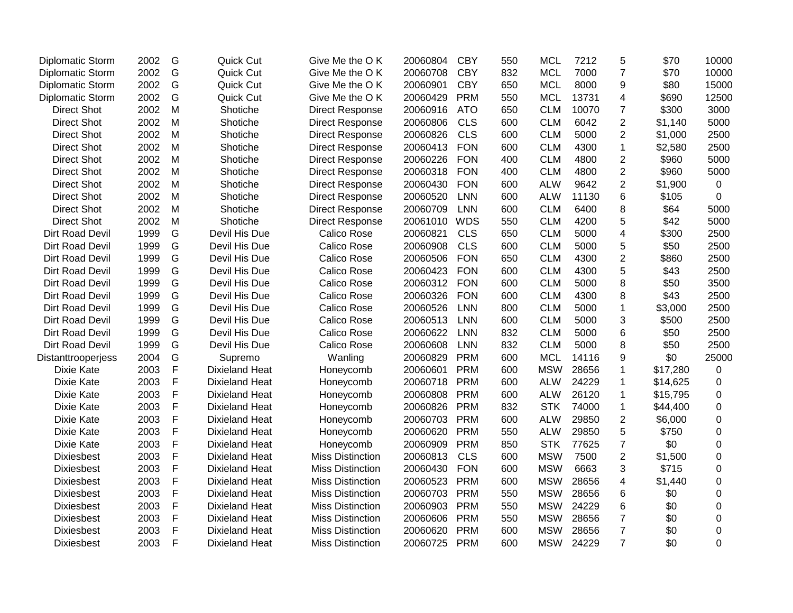| <b>Diplomatic Storm</b> | 2002 | G             | Quick Cut             | Give Me the OK          | 20060804 | <b>CBY</b> | 550 | <b>MCL</b> | 7212  | 5                       | \$70     | 10000            |
|-------------------------|------|---------------|-----------------------|-------------------------|----------|------------|-----|------------|-------|-------------------------|----------|------------------|
| Diplomatic Storm        | 2002 | G             | Quick Cut             | Give Me the OK          | 20060708 | <b>CBY</b> | 832 | <b>MCL</b> | 7000  | $\overline{7}$          | \$70     | 10000            |
| Diplomatic Storm        | 2002 | G             | Quick Cut             | Give Me the OK          | 20060901 | <b>CBY</b> | 650 | <b>MCL</b> | 8000  | $\boldsymbol{9}$        | \$80     | 15000            |
| <b>Diplomatic Storm</b> | 2002 | G             | Quick Cut             | Give Me the OK          | 20060429 | <b>PRM</b> | 550 | <b>MCL</b> | 13731 | 4                       | \$690    | 12500            |
| <b>Direct Shot</b>      | 2002 | M             | Shotiche              | <b>Direct Response</b>  | 20060916 | <b>ATO</b> | 650 | <b>CLM</b> | 10070 | $\overline{7}$          | \$300    | 3000             |
| <b>Direct Shot</b>      | 2002 | M             | Shotiche              | <b>Direct Response</b>  | 20060806 | <b>CLS</b> | 600 | <b>CLM</b> | 6042  | $\overline{c}$          | \$1,140  | 5000             |
| <b>Direct Shot</b>      | 2002 | M             | Shotiche              | <b>Direct Response</b>  | 20060826 | <b>CLS</b> | 600 | <b>CLM</b> | 5000  | $\overline{2}$          | \$1,000  | 2500             |
| <b>Direct Shot</b>      | 2002 | M             | Shotiche              | <b>Direct Response</b>  | 20060413 | <b>FON</b> | 600 | <b>CLM</b> | 4300  | $\mathbf{1}$            | \$2,580  | 2500             |
| <b>Direct Shot</b>      | 2002 | M             | Shotiche              | <b>Direct Response</b>  | 20060226 | <b>FON</b> | 400 | <b>CLM</b> | 4800  | $\overline{2}$          | \$960    | 5000             |
| <b>Direct Shot</b>      | 2002 | M             | Shotiche              | <b>Direct Response</b>  | 20060318 | <b>FON</b> | 400 | <b>CLM</b> | 4800  | $\overline{2}$          | \$960    | 5000             |
| <b>Direct Shot</b>      | 2002 | M             | Shotiche              | <b>Direct Response</b>  | 20060430 | <b>FON</b> | 600 | <b>ALW</b> | 9642  | $\overline{2}$          | \$1,900  | $\mathbf 0$      |
| <b>Direct Shot</b>      | 2002 | M             | Shotiche              | <b>Direct Response</b>  | 20060520 | <b>LNN</b> | 600 | <b>ALW</b> | 11130 | 6                       | \$105    | 0                |
| <b>Direct Shot</b>      | 2002 | M             | Shotiche              | <b>Direct Response</b>  | 20060709 | <b>LNN</b> | 600 | <b>CLM</b> | 6400  | 8                       | \$64     | 5000             |
| <b>Direct Shot</b>      | 2002 | M             | Shotiche              | <b>Direct Response</b>  | 20061010 | <b>WDS</b> | 550 | <b>CLM</b> | 4200  | 5                       | \$42     | 5000             |
| Dirt Road Devil         | 1999 | G             | Devil His Due         | Calico Rose             | 20060821 | <b>CLS</b> | 650 | <b>CLM</b> | 5000  | $\overline{\mathbf{4}}$ | \$300    | 2500             |
| Dirt Road Devil         | 1999 | G             | Devil His Due         | Calico Rose             | 20060908 | <b>CLS</b> | 600 | <b>CLM</b> | 5000  | 5                       | \$50     | 2500             |
| Dirt Road Devil         | 1999 | ${\mathsf G}$ | Devil His Due         | Calico Rose             | 20060506 | <b>FON</b> | 650 | <b>CLM</b> | 4300  | $\mathbf 2$             | \$860    | 2500             |
| Dirt Road Devil         | 1999 | G             | Devil His Due         | Calico Rose             | 20060423 | <b>FON</b> | 600 | <b>CLM</b> | 4300  | 5                       | \$43     | 2500             |
| Dirt Road Devil         | 1999 | G             | Devil His Due         | Calico Rose             | 20060312 | <b>FON</b> | 600 | <b>CLM</b> | 5000  | 8                       | \$50     | 3500             |
| Dirt Road Devil         | 1999 | G             | Devil His Due         | Calico Rose             | 20060326 | <b>FON</b> | 600 | <b>CLM</b> | 4300  | 8                       | \$43     | 2500             |
| Dirt Road Devil         | 1999 | G             | Devil His Due         | Calico Rose             | 20060526 | <b>LNN</b> | 800 | <b>CLM</b> | 5000  | $\mathbf{1}$            | \$3,000  | 2500             |
| Dirt Road Devil         | 1999 | G             | Devil His Due         | Calico Rose             | 20060513 | <b>LNN</b> | 600 | <b>CLM</b> | 5000  | 3                       | \$500    | 2500             |
| Dirt Road Devil         | 1999 | G             | Devil His Due         | Calico Rose             | 20060622 | <b>LNN</b> | 832 | <b>CLM</b> | 5000  | 6                       | \$50     | 2500             |
| Dirt Road Devil         | 1999 | G             | Devil His Due         | Calico Rose             | 20060608 | <b>LNN</b> | 832 | <b>CLM</b> | 5000  | 8                       | \$50     | 2500             |
| Distanttrooperjess      | 2004 | G             | Supremo               | Wanling                 | 20060829 | <b>PRM</b> | 600 | <b>MCL</b> | 14116 | 9                       | \$0      | 25000            |
| Dixie Kate              | 2003 | $\mathsf F$   | <b>Dixieland Heat</b> | Honeycomb               | 20060601 | <b>PRM</b> | 600 | <b>MSW</b> | 28656 | 1                       | \$17,280 | $\pmb{0}$        |
| Dixie Kate              | 2003 | $\mathsf F$   | <b>Dixieland Heat</b> | Honeycomb               | 20060718 | <b>PRM</b> | 600 | <b>ALW</b> | 24229 | $\mathbf{1}$            | \$14,625 | $\mathbf 0$      |
| Dixie Kate              | 2003 | $\mathsf F$   | <b>Dixieland Heat</b> | Honeycomb               | 20060808 | <b>PRM</b> | 600 | <b>ALW</b> | 26120 | 1                       | \$15,795 | $\mathbf 0$      |
| Dixie Kate              | 2003 | $\mathsf F$   | <b>Dixieland Heat</b> | Honeycomb               | 20060826 | <b>PRM</b> | 832 | <b>STK</b> | 74000 | $\mathbf{1}$            | \$44,400 | $\mathbf 0$      |
| Dixie Kate              | 2003 | $\mathsf F$   | <b>Dixieland Heat</b> | Honeycomb               | 20060703 | <b>PRM</b> | 600 | <b>ALW</b> | 29850 | $\overline{c}$          | \$6,000  | $\boldsymbol{0}$ |
| Dixie Kate              | 2003 | F             | <b>Dixieland Heat</b> | Honeycomb               | 20060620 | <b>PRM</b> | 550 | <b>ALW</b> | 29850 | 5                       | \$750    | $\boldsymbol{0}$ |
| Dixie Kate              | 2003 | F             | <b>Dixieland Heat</b> | Honeycomb               | 20060909 | <b>PRM</b> | 850 | <b>STK</b> | 77625 | $\overline{7}$          | \$0      | $\mathbf 0$      |
| <b>Dixiesbest</b>       | 2003 | $\mathsf F$   | <b>Dixieland Heat</b> | <b>Miss Distinction</b> | 20060813 | <b>CLS</b> | 600 | <b>MSW</b> | 7500  | $\overline{2}$          | \$1,500  | $\mathbf 0$      |
| <b>Dixiesbest</b>       | 2003 | $\mathsf F$   | <b>Dixieland Heat</b> | <b>Miss Distinction</b> | 20060430 | <b>FON</b> | 600 | <b>MSW</b> | 6663  | 3                       | \$715    | $\boldsymbol{0}$ |
| <b>Dixiesbest</b>       | 2003 | $\mathsf F$   | <b>Dixieland Heat</b> | <b>Miss Distinction</b> | 20060523 | <b>PRM</b> | 600 | <b>MSW</b> | 28656 | 4                       | \$1,440  | $\mathbf 0$      |
| <b>Dixiesbest</b>       | 2003 | $\mathsf F$   | <b>Dixieland Heat</b> | <b>Miss Distinction</b> | 20060703 | <b>PRM</b> | 550 | <b>MSW</b> | 28656 | 6                       | \$0      | 0                |
| <b>Dixiesbest</b>       | 2003 | F             | <b>Dixieland Heat</b> | <b>Miss Distinction</b> | 20060903 | <b>PRM</b> | 550 | <b>MSW</b> | 24229 | 6                       | \$0      | $\mathbf 0$      |
| <b>Dixiesbest</b>       | 2003 | $\mathsf F$   | <b>Dixieland Heat</b> | <b>Miss Distinction</b> | 20060606 | <b>PRM</b> | 550 | <b>MSW</b> | 28656 | $\overline{7}$          | \$0      | $\mathbf 0$      |
| <b>Dixiesbest</b>       | 2003 | $\mathsf{F}$  | <b>Dixieland Heat</b> | <b>Miss Distinction</b> | 20060620 | <b>PRM</b> | 600 | <b>MSW</b> | 28656 | $\overline{7}$          | \$0      | $\mathbf 0$      |
| <b>Dixiesbest</b>       | 2003 | F             | Dixieland Heat        | <b>Miss Distinction</b> | 20060725 | <b>PRM</b> | 600 | <b>MSW</b> | 24229 | $\overline{7}$          | \$0      | $\mathbf 0$      |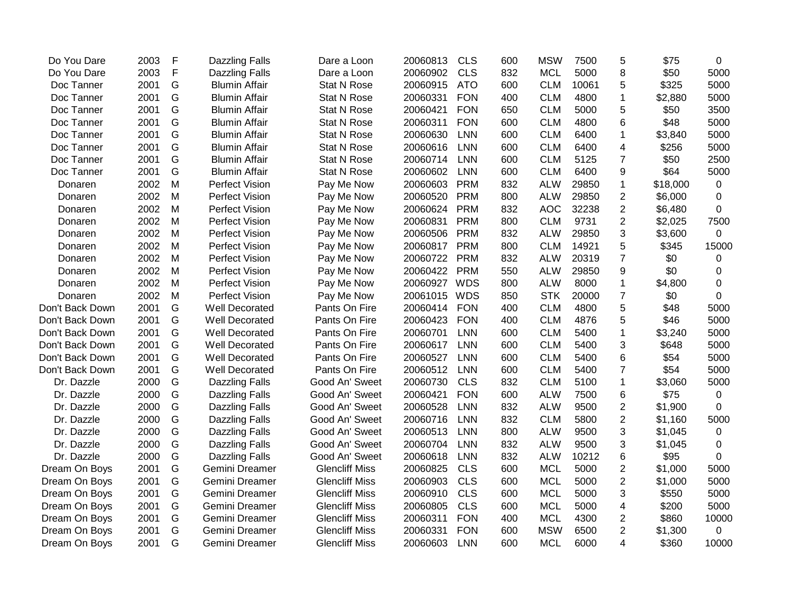| Do You Dare     | 2003 | $\mathsf{F}$ | <b>Dazzling Falls</b> | Dare a Loon           | 20060813 | <b>CLS</b> | 600 | <b>MSW</b> | 7500  | 5              | \$75     | 0           |
|-----------------|------|--------------|-----------------------|-----------------------|----------|------------|-----|------------|-------|----------------|----------|-------------|
| Do You Dare     | 2003 | F            | <b>Dazzling Falls</b> | Dare a Loon           | 20060902 | <b>CLS</b> | 832 | <b>MCL</b> | 5000  | 8              | \$50     | 5000        |
| Doc Tanner      | 2001 | G            | <b>Blumin Affair</b>  | <b>Stat N Rose</b>    | 20060915 | <b>ATO</b> | 600 | <b>CLM</b> | 10061 | 5              | \$325    | 5000        |
| Doc Tanner      | 2001 | G            | <b>Blumin Affair</b>  | <b>Stat N Rose</b>    | 20060331 | <b>FON</b> | 400 | <b>CLM</b> | 4800  | $\mathbf 1$    | \$2,880  | 5000        |
| Doc Tanner      | 2001 | G            | <b>Blumin Affair</b>  | Stat N Rose           | 20060421 | <b>FON</b> | 650 | <b>CLM</b> | 5000  | 5              | \$50     | 3500        |
| Doc Tanner      | 2001 | G            | <b>Blumin Affair</b>  | <b>Stat N Rose</b>    | 20060311 | <b>FON</b> | 600 | <b>CLM</b> | 4800  | 6              | \$48     | 5000        |
| Doc Tanner      | 2001 | G            | <b>Blumin Affair</b>  | Stat N Rose           | 20060630 | LNN        | 600 | <b>CLM</b> | 6400  | 1              | \$3,840  | 5000        |
| Doc Tanner      | 2001 | G            | <b>Blumin Affair</b>  | <b>Stat N Rose</b>    | 20060616 | <b>LNN</b> | 600 | <b>CLM</b> | 6400  | 4              | \$256    | 5000        |
| Doc Tanner      | 2001 | G            | <b>Blumin Affair</b>  | <b>Stat N Rose</b>    | 20060714 | <b>LNN</b> | 600 | <b>CLM</b> | 5125  | $\overline{7}$ | \$50     | 2500        |
| Doc Tanner      | 2001 | G            | <b>Blumin Affair</b>  | <b>Stat N Rose</b>    | 20060602 | LNN        | 600 | <b>CLM</b> | 6400  | 9              | \$64     | 5000        |
| Donaren         | 2002 | M            | <b>Perfect Vision</b> | Pay Me Now            | 20060603 | <b>PRM</b> | 832 | <b>ALW</b> | 29850 | 1              | \$18,000 | 0           |
| Donaren         | 2002 | M            | Perfect Vision        | Pay Me Now            | 20060520 | <b>PRM</b> | 800 | <b>ALW</b> | 29850 | 2              | \$6,000  | 0           |
| Donaren         | 2002 | M            | Perfect Vision        | Pay Me Now            | 20060624 | <b>PRM</b> | 832 | <b>AOC</b> | 32238 | $\overline{2}$ | \$6,480  | 0           |
| Donaren         | 2002 | M            | <b>Perfect Vision</b> | Pay Me Now            | 20060831 | <b>PRM</b> | 800 | <b>CLM</b> | 9731  | $\overline{2}$ | \$2,025  | 7500        |
| Donaren         | 2002 | M            | Perfect Vision        | Pay Me Now            | 20060506 | <b>PRM</b> | 832 | <b>ALW</b> | 29850 | 3              | \$3,600  | 0           |
| Donaren         | 2002 | M            | Perfect Vision        | Pay Me Now            | 20060817 | <b>PRM</b> | 800 | <b>CLM</b> | 14921 | 5              | \$345    | 15000       |
| Donaren         | 2002 | M            | <b>Perfect Vision</b> | Pay Me Now            | 20060722 | <b>PRM</b> | 832 | <b>ALW</b> | 20319 | $\overline{7}$ | \$0      | 0           |
| Donaren         | 2002 | M            | <b>Perfect Vision</b> | Pay Me Now            | 20060422 | <b>PRM</b> | 550 | <b>ALW</b> | 29850 | 9              | \$0      | $\Omega$    |
| Donaren         | 2002 | M            | <b>Perfect Vision</b> | Pay Me Now            | 20060927 | <b>WDS</b> | 800 | <b>ALW</b> | 8000  | 1              | \$4,800  | $\mathbf 0$ |
| Donaren         | 2002 | M            | Perfect Vision        | Pay Me Now            | 20061015 | <b>WDS</b> | 850 | <b>STK</b> | 20000 | $\overline{7}$ | \$0      | $\mathbf 0$ |
| Don't Back Down | 2001 | G            | Well Decorated        | Pants On Fire         | 20060414 | <b>FON</b> | 400 | <b>CLM</b> | 4800  | 5              | \$48     | 5000        |
| Don't Back Down | 2001 | G            | Well Decorated        | Pants On Fire         | 20060423 | <b>FON</b> | 400 | <b>CLM</b> | 4876  | 5              | \$46     | 5000        |
| Don't Back Down | 2001 | G            | Well Decorated        | Pants On Fire         | 20060701 | <b>LNN</b> | 600 | <b>CLM</b> | 5400  | 1              | \$3,240  | 5000        |
| Don't Back Down | 2001 | G            | Well Decorated        | Pants On Fire         | 20060617 | <b>LNN</b> | 600 | <b>CLM</b> | 5400  | 3              | \$648    | 5000        |
| Don't Back Down | 2001 | G            | <b>Well Decorated</b> | Pants On Fire         | 20060527 | <b>LNN</b> | 600 | <b>CLM</b> | 5400  | 6              | \$54     | 5000        |
| Don't Back Down | 2001 | G            | Well Decorated        | Pants On Fire         | 20060512 | <b>LNN</b> | 600 | <b>CLM</b> | 5400  | $\overline{7}$ | \$54     | 5000        |
| Dr. Dazzle      | 2000 | G            | <b>Dazzling Falls</b> | Good An' Sweet        | 20060730 | <b>CLS</b> | 832 | <b>CLM</b> | 5100  | $\mathbf 1$    | \$3,060  | 5000        |
| Dr. Dazzle      | 2000 | G            | <b>Dazzling Falls</b> | Good An' Sweet        | 20060421 | <b>FON</b> | 600 | <b>ALW</b> | 7500  | 6              | \$75     | 0           |
| Dr. Dazzle      | 2000 | G            | <b>Dazzling Falls</b> | Good An' Sweet        | 20060528 | <b>LNN</b> | 832 | <b>ALW</b> | 9500  | $\overline{2}$ | \$1,900  | 0           |
| Dr. Dazzle      | 2000 | G            | <b>Dazzling Falls</b> | Good An' Sweet        | 20060716 | <b>LNN</b> | 832 | <b>CLM</b> | 5800  | $\overline{2}$ | \$1,160  | 5000        |
| Dr. Dazzle      | 2000 | G            | <b>Dazzling Falls</b> | Good An' Sweet        | 20060513 | <b>LNN</b> | 800 | <b>ALW</b> | 9500  | 3              | \$1,045  | 0           |
| Dr. Dazzle      | 2000 | G            | <b>Dazzling Falls</b> | Good An' Sweet        | 20060704 | <b>LNN</b> | 832 | <b>ALW</b> | 9500  | 3              | \$1,045  | 0           |
| Dr. Dazzle      | 2000 | G            | <b>Dazzling Falls</b> | Good An' Sweet        | 20060618 | <b>LNN</b> | 832 | <b>ALW</b> | 10212 | 6              | \$95     | $\Omega$    |
| Dream On Boys   | 2001 | G            | Gemini Dreamer        | <b>Glencliff Miss</b> | 20060825 | <b>CLS</b> | 600 | <b>MCL</b> | 5000  | $\overline{2}$ | \$1,000  | 5000        |
| Dream On Boys   | 2001 | G            | Gemini Dreamer        | <b>Glencliff Miss</b> | 20060903 | <b>CLS</b> | 600 | <b>MCL</b> | 5000  | $\overline{2}$ | \$1,000  | 5000        |
| Dream On Boys   | 2001 | G            | Gemini Dreamer        | <b>Glencliff Miss</b> | 20060910 | <b>CLS</b> | 600 | <b>MCL</b> | 5000  | 3              | \$550    | 5000        |
| Dream On Boys   | 2001 | G            | Gemini Dreamer        | <b>Glencliff Miss</b> | 20060805 | <b>CLS</b> | 600 | <b>MCL</b> | 5000  | 4              | \$200    | 5000        |
| Dream On Boys   | 2001 | G            | Gemini Dreamer        | <b>Glencliff Miss</b> | 20060311 | <b>FON</b> | 400 | <b>MCL</b> | 4300  | $\overline{c}$ | \$860    | 10000       |
| Dream On Boys   | 2001 | G            | Gemini Dreamer        | <b>Glencliff Miss</b> | 20060331 | <b>FON</b> | 600 | <b>MSW</b> | 6500  | 2              | \$1,300  | 0           |
| Dream On Boys   | 2001 | G            | Gemini Dreamer        | <b>Glencliff Miss</b> | 20060603 | <b>LNN</b> | 600 | <b>MCL</b> | 6000  | 4              | \$360    | 10000       |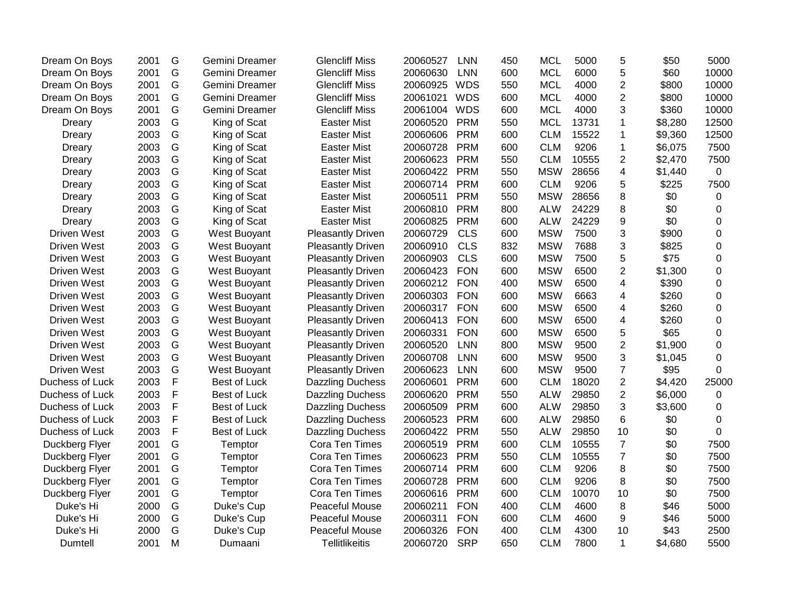| Dream On Boys      | 2001 | G           | Gemini Dreamer | <b>Glencliff Miss</b>    | 20060527 | <b>LNN</b> | 450 | <b>MCL</b> | 5000  | 5              | \$50    | 5000             |
|--------------------|------|-------------|----------------|--------------------------|----------|------------|-----|------------|-------|----------------|---------|------------------|
| Dream On Boys      | 2001 | G           | Gemini Dreamer | <b>Glencliff Miss</b>    | 20060630 | <b>LNN</b> | 600 | <b>MCL</b> | 6000  | 5              | \$60    | 10000            |
| Dream On Boys      | 2001 | G           | Gemini Dreamer | <b>Glencliff Miss</b>    | 20060925 | <b>WDS</b> | 550 | <b>MCL</b> | 4000  | $\overline{2}$ | \$800   | 10000            |
| Dream On Boys      | 2001 | G           | Gemini Dreamer | <b>Glencliff Miss</b>    | 20061021 | <b>WDS</b> | 600 | <b>MCL</b> | 4000  | $\overline{2}$ | \$800   | 10000            |
| Dream On Boys      | 2001 | G           | Gemini Dreamer | <b>Glencliff Miss</b>    | 20061004 | <b>WDS</b> | 600 | <b>MCL</b> | 4000  | 3              | \$360   | 10000            |
| Dreary             | 2003 | G           | King of Scat   | <b>Easter Mist</b>       | 20060520 | <b>PRM</b> | 550 | <b>MCL</b> | 13731 | 1              | \$8,280 | 12500            |
| Dreary             | 2003 | G           | King of Scat   | <b>Easter Mist</b>       | 20060606 | <b>PRM</b> | 600 | <b>CLM</b> | 15522 | 1              | \$9,360 | 12500            |
| Dreary             | 2003 | G           | King of Scat   | <b>Easter Mist</b>       | 20060728 | <b>PRM</b> | 600 | <b>CLM</b> | 9206  | $\mathbf 1$    | \$6,075 | 7500             |
| Dreary             | 2003 | G           | King of Scat   | <b>Easter Mist</b>       | 20060623 | <b>PRM</b> | 550 | <b>CLM</b> | 10555 | $\overline{2}$ | \$2,470 | 7500             |
| Dreary             | 2003 | G           | King of Scat   | <b>Easter Mist</b>       | 20060422 | <b>PRM</b> | 550 | <b>MSW</b> | 28656 | 4              | \$1,440 | $\mathbf 0$      |
| Dreary             | 2003 | G           | King of Scat   | <b>Easter Mist</b>       | 20060714 | <b>PRM</b> | 600 | <b>CLM</b> | 9206  | 5              | \$225   | 7500             |
| Dreary             | 2003 | G           | King of Scat   | <b>Easter Mist</b>       | 20060511 | <b>PRM</b> | 550 | <b>MSW</b> | 28656 | 8              | \$0     | 0                |
| Dreary             | 2003 | G           | King of Scat   | <b>Easter Mist</b>       | 20060810 | <b>PRM</b> | 800 | <b>ALW</b> | 24229 | 8              | \$0     | 0                |
| Dreary             | 2003 | G           | King of Scat   | <b>Easter Mist</b>       | 20060825 | <b>PRM</b> | 600 | <b>ALW</b> | 24229 | 9              | \$0     | 0                |
| <b>Driven West</b> | 2003 | G           | West Buoyant   | <b>Pleasantly Driven</b> | 20060729 | <b>CLS</b> | 600 | <b>MSW</b> | 7500  | 3              | \$900   | 0                |
| <b>Driven West</b> | 2003 | G           | West Buoyant   | <b>Pleasantly Driven</b> | 20060910 | <b>CLS</b> | 832 | <b>MSW</b> | 7688  | 3              | \$825   | $\boldsymbol{0}$ |
| <b>Driven West</b> | 2003 | G           | West Buoyant   | <b>Pleasantly Driven</b> | 20060903 | <b>CLS</b> | 600 | <b>MSW</b> | 7500  | 5              | \$75    | $\mathbf 0$      |
| <b>Driven West</b> | 2003 | G           | West Buoyant   | <b>Pleasantly Driven</b> | 20060423 | <b>FON</b> | 600 | <b>MSW</b> | 6500  | $\overline{2}$ | \$1,300 | $\mathbf 0$      |
| <b>Driven West</b> | 2003 | G           | West Buoyant   | <b>Pleasantly Driven</b> | 20060212 | <b>FON</b> | 400 | <b>MSW</b> | 6500  | $\overline{4}$ | \$390   | $\mathbf 0$      |
| <b>Driven West</b> | 2003 | G           | West Buoyant   | <b>Pleasantly Driven</b> | 20060303 | <b>FON</b> | 600 | <b>MSW</b> | 6663  | 4              | \$260   | $\overline{0}$   |
| <b>Driven West</b> | 2003 | G           | West Buoyant   | <b>Pleasantly Driven</b> | 20060317 | <b>FON</b> | 600 | <b>MSW</b> | 6500  | 4              | \$260   | 0                |
| <b>Driven West</b> | 2003 | G           | West Buoyant   | <b>Pleasantly Driven</b> | 20060413 | <b>FON</b> | 600 | <b>MSW</b> | 6500  | 4              | \$260   | 0                |
| <b>Driven West</b> | 2003 | G           | West Buoyant   | <b>Pleasantly Driven</b> | 20060331 | <b>FON</b> | 600 | <b>MSW</b> | 6500  | 5              | \$65    | 0                |
| <b>Driven West</b> | 2003 | G           | West Buoyant   | <b>Pleasantly Driven</b> | 20060520 | <b>LNN</b> | 800 | <b>MSW</b> | 9500  | $\overline{2}$ | \$1,900 | 0                |
| <b>Driven West</b> | 2003 | G           | West Buoyant   | <b>Pleasantly Driven</b> | 20060708 | <b>LNN</b> | 600 | <b>MSW</b> | 9500  | 3              | \$1,045 | $\mathbf 0$      |
| <b>Driven West</b> | 2003 | G           | West Buoyant   | <b>Pleasantly Driven</b> | 20060623 | <b>LNN</b> | 600 | <b>MSW</b> | 9500  | $\overline{7}$ | \$95    | 0                |
| Duchess of Luck    | 2003 | $\mathsf F$ | Best of Luck   | <b>Dazzling Duchess</b>  | 20060601 | <b>PRM</b> | 600 | <b>CLM</b> | 18020 | $\overline{2}$ | \$4,420 | 25000            |
| Duchess of Luck    | 2003 | F           | Best of Luck   | <b>Dazzling Duchess</b>  | 20060620 | <b>PRM</b> | 550 | <b>ALW</b> | 29850 | $\overline{2}$ | \$6,000 | 0                |
| Duchess of Luck    | 2003 | F           | Best of Luck   | <b>Dazzling Duchess</b>  | 20060509 | <b>PRM</b> | 600 | <b>ALW</b> | 29850 | 3              | \$3,600 | $\overline{0}$   |
| Duchess of Luck    | 2003 | F           | Best of Luck   | <b>Dazzling Duchess</b>  | 20060523 | <b>PRM</b> | 600 | <b>ALW</b> | 29850 | 6              | \$0     | 0                |
| Duchess of Luck    | 2003 | F           | Best of Luck   | <b>Dazzling Duchess</b>  | 20060422 | <b>PRM</b> | 550 | <b>ALW</b> | 29850 | 10             | \$0     | $\mathbf 0$      |
| Duckberg Flyer     | 2001 | G           | Temptor        | Cora Ten Times           | 20060519 | <b>PRM</b> | 600 | <b>CLM</b> | 10555 | $\overline{7}$ | \$0     | 7500             |
| Duckberg Flyer     | 2001 | G           | Temptor        | Cora Ten Times           | 20060623 | <b>PRM</b> | 550 | <b>CLM</b> | 10555 | $\overline{7}$ | \$0     | 7500             |
| Duckberg Flyer     | 2001 | G           | Temptor        | Cora Ten Times           | 20060714 | <b>PRM</b> | 600 | <b>CLM</b> | 9206  | 8              | \$0     | 7500             |
| Duckberg Flyer     | 2001 | G           | Temptor        | Cora Ten Times           | 20060728 | <b>PRM</b> | 600 | <b>CLM</b> | 9206  | 8              | \$0     | 7500             |
| Duckberg Flyer     | 2001 | G           | Temptor        | Cora Ten Times           | 20060616 | <b>PRM</b> | 600 | <b>CLM</b> | 10070 | 10             | \$0     | 7500             |
| Duke's Hi          | 2000 | G           | Duke's Cup     | <b>Peaceful Mouse</b>    | 20060211 | <b>FON</b> | 400 | <b>CLM</b> | 4600  | 8              | \$46    | 5000             |
| Duke's Hi          | 2000 | G           | Duke's Cup     | Peaceful Mouse           | 20060311 | <b>FON</b> | 600 | <b>CLM</b> | 4600  | 9              | \$46    | 5000             |
| Duke's Hi          | 2000 | G           | Duke's Cup     | <b>Peaceful Mouse</b>    | 20060326 | <b>FON</b> | 400 | <b>CLM</b> | 4300  | 10             | \$43    | 2500             |
| Dumtell            | 2001 | M           | Dumaani        | <b>Tellitlikeitis</b>    | 20060720 | <b>SRP</b> | 650 | <b>CLM</b> | 7800  | $\mathbf{1}$   | \$4,680 | 5500             |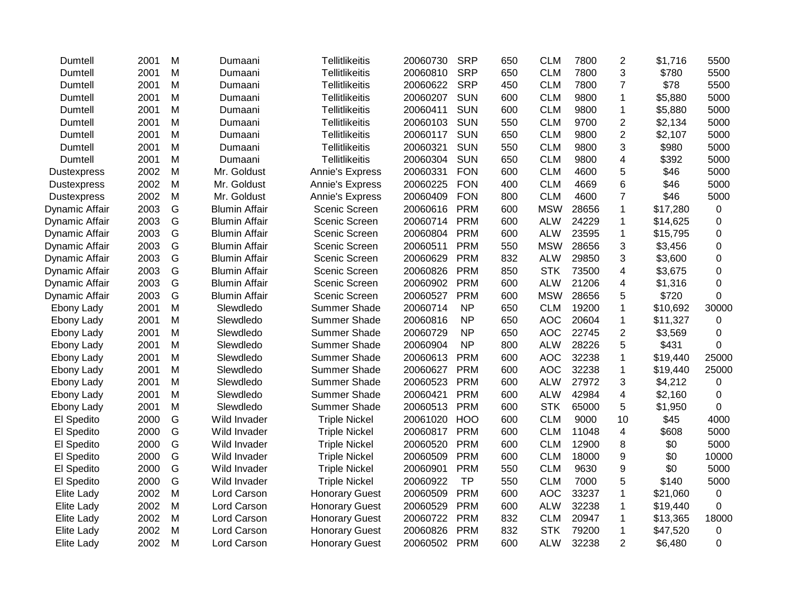| Dumtell            | 2001 | М | Dumaani              | <b>Tellitlikeitis</b> | 20060730 | <b>SRP</b> | 650 | <b>CLM</b> | 7800  | $\overline{2}$ | \$1,716  | 5500      |
|--------------------|------|---|----------------------|-----------------------|----------|------------|-----|------------|-------|----------------|----------|-----------|
| Dumtell            | 2001 | M | Dumaani              | <b>Tellitlikeitis</b> | 20060810 | <b>SRP</b> | 650 | <b>CLM</b> | 7800  | 3              | \$780    | 5500      |
| Dumtell            | 2001 | M | Dumaani              | Tellitlikeitis        | 20060622 | <b>SRP</b> | 450 | <b>CLM</b> | 7800  | $\overline{7}$ | \$78     | 5500      |
| Dumtell            | 2001 | M | Dumaani              | <b>Tellitlikeitis</b> | 20060207 | <b>SUN</b> | 600 | <b>CLM</b> | 9800  | $\mathbf 1$    | \$5,880  | 5000      |
| Dumtell            | 2001 | M | Dumaani              | <b>Tellitlikeitis</b> | 20060411 | <b>SUN</b> | 600 | <b>CLM</b> | 9800  | $\overline{1}$ | \$5,880  | 5000      |
| Dumtell            | 2001 | M | Dumaani              | Tellitlikeitis        | 20060103 | <b>SUN</b> | 550 | <b>CLM</b> | 9700  | $\overline{2}$ | \$2,134  | 5000      |
| Dumtell            | 2001 | M | Dumaani              | Tellitlikeitis        | 20060117 | <b>SUN</b> | 650 | <b>CLM</b> | 9800  | $\overline{2}$ | \$2,107  | 5000      |
| Dumtell            | 2001 | M | Dumaani              | <b>Tellitlikeitis</b> | 20060321 | <b>SUN</b> | 550 | <b>CLM</b> | 9800  | 3              | \$980    | 5000      |
| Dumtell            | 2001 | М | Dumaani              | <b>Tellitlikeitis</b> | 20060304 | <b>SUN</b> | 650 | <b>CLM</b> | 9800  | 4              | \$392    | 5000      |
| <b>Dustexpress</b> | 2002 | M | Mr. Goldust          | Annie's Express       | 20060331 | <b>FON</b> | 600 | <b>CLM</b> | 4600  | 5              | \$46     | 5000      |
| <b>Dustexpress</b> | 2002 | M | Mr. Goldust          | Annie's Express       | 20060225 | <b>FON</b> | 400 | <b>CLM</b> | 4669  | 6              | \$46     | 5000      |
| <b>Dustexpress</b> | 2002 | M | Mr. Goldust          | Annie's Express       | 20060409 | <b>FON</b> | 800 | <b>CLM</b> | 4600  | 7              | \$46     | 5000      |
| Dynamic Affair     | 2003 | G | <b>Blumin Affair</b> | Scenic Screen         | 20060616 | <b>PRM</b> | 600 | <b>MSW</b> | 28656 | $\mathbf{1}$   | \$17,280 | $\pmb{0}$ |
| Dynamic Affair     | 2003 | G | <b>Blumin Affair</b> | Scenic Screen         | 20060714 | <b>PRM</b> | 600 | <b>ALW</b> | 24229 | $\mathbf 1$    | \$14,625 | 0         |
| Dynamic Affair     | 2003 | G | <b>Blumin Affair</b> | Scenic Screen         | 20060804 | <b>PRM</b> | 600 | <b>ALW</b> | 23595 | $\mathbf{1}$   | \$15,795 | 0         |
| Dynamic Affair     | 2003 | G | <b>Blumin Affair</b> | Scenic Screen         | 20060511 | <b>PRM</b> | 550 | <b>MSW</b> | 28656 | 3              | \$3,456  | 0         |
| Dynamic Affair     | 2003 | G | <b>Blumin Affair</b> | Scenic Screen         | 20060629 | <b>PRM</b> | 832 | <b>ALW</b> | 29850 | 3              | \$3,600  | 0         |
| Dynamic Affair     | 2003 | G | <b>Blumin Affair</b> | Scenic Screen         | 20060826 | <b>PRM</b> | 850 | <b>STK</b> | 73500 | 4              | \$3,675  | 0         |
| Dynamic Affair     | 2003 | G | <b>Blumin Affair</b> | Scenic Screen         | 20060902 | <b>PRM</b> | 600 | <b>ALW</b> | 21206 | 4              | \$1,316  | 0         |
| Dynamic Affair     | 2003 | G | <b>Blumin Affair</b> | Scenic Screen         | 20060527 | <b>PRM</b> | 600 | <b>MSW</b> | 28656 | 5              | \$720    | 0         |
| Ebony Lady         | 2001 | M | Slewdledo            | <b>Summer Shade</b>   | 20060714 | <b>NP</b>  | 650 | <b>CLM</b> | 19200 | $\mathbf{1}$   | \$10,692 | 30000     |
| Ebony Lady         | 2001 | M | Slewdledo            | <b>Summer Shade</b>   | 20060816 | <b>NP</b>  | 650 | <b>AOC</b> | 20604 | $\mathbf{1}$   | \$11,327 | 0         |
| Ebony Lady         | 2001 | M | Slewdledo            | <b>Summer Shade</b>   | 20060729 | <b>NP</b>  | 650 | <b>AOC</b> | 22745 | $\overline{2}$ | \$3,569  | 0         |
| Ebony Lady         | 2001 | M | Slewdledo            | Summer Shade          | 20060904 | <b>NP</b>  | 800 | <b>ALW</b> | 28226 | 5              | \$431    | 0         |
| Ebony Lady         | 2001 | M | Slewdledo            | Summer Shade          | 20060613 | <b>PRM</b> | 600 | <b>AOC</b> | 32238 | $\mathbf{1}$   | \$19,440 | 25000     |
| Ebony Lady         | 2001 | M | Slewdledo            | <b>Summer Shade</b>   | 20060627 | <b>PRM</b> | 600 | <b>AOC</b> | 32238 | $\mathbf{1}$   | \$19,440 | 25000     |
| Ebony Lady         | 2001 | M | Slewdledo            | <b>Summer Shade</b>   | 20060523 | <b>PRM</b> | 600 | <b>ALW</b> | 27972 | 3              | \$4,212  | $\pmb{0}$ |
| Ebony Lady         | 2001 | M | Slewdledo            | <b>Summer Shade</b>   | 20060421 | <b>PRM</b> | 600 | <b>ALW</b> | 42984 | 4              | \$2,160  | 0         |
| Ebony Lady         | 2001 | M | Slewdledo            | <b>Summer Shade</b>   | 20060513 | <b>PRM</b> | 600 | <b>STK</b> | 65000 | 5              | \$1,950  | 0         |
| El Spedito         | 2000 | G | Wild Invader         | <b>Triple Nickel</b>  | 20061020 | <b>HOO</b> | 600 | <b>CLM</b> | 9000  | 10             | \$45     | 4000      |
| El Spedito         | 2000 | G | Wild Invader         | <b>Triple Nickel</b>  | 20060817 | <b>PRM</b> | 600 | <b>CLM</b> | 11048 | $\overline{4}$ | \$608    | 5000      |
| El Spedito         | 2000 | G | Wild Invader         | <b>Triple Nickel</b>  | 20060520 | <b>PRM</b> | 600 | <b>CLM</b> | 12900 | 8              | \$0      | 5000      |
| El Spedito         | 2000 | G | Wild Invader         | <b>Triple Nickel</b>  | 20060509 | <b>PRM</b> | 600 | <b>CLM</b> | 18000 | 9              | \$0      | 10000     |
| El Spedito         | 2000 | G | Wild Invader         | <b>Triple Nickel</b>  | 20060901 | <b>PRM</b> | 550 | <b>CLM</b> | 9630  | 9              | \$0      | 5000      |
| El Spedito         | 2000 | G | Wild Invader         | <b>Triple Nickel</b>  | 20060922 | <b>TP</b>  | 550 | <b>CLM</b> | 7000  | 5              | \$140    | 5000      |
| Elite Lady         | 2002 | M | Lord Carson          | <b>Honorary Guest</b> | 20060509 | <b>PRM</b> | 600 | <b>AOC</b> | 33237 | 1              | \$21,060 | $\pmb{0}$ |
| <b>Elite Lady</b>  | 2002 | M | Lord Carson          | <b>Honorary Guest</b> | 20060529 | <b>PRM</b> | 600 | <b>ALW</b> | 32238 | $\mathbf 1$    | \$19,440 | 0         |
| <b>Elite Lady</b>  | 2002 | M | Lord Carson          | <b>Honorary Guest</b> | 20060722 | <b>PRM</b> | 832 | <b>CLM</b> | 20947 | 1              | \$13,365 | 18000     |
| <b>Elite Lady</b>  | 2002 | M | Lord Carson          | <b>Honorary Guest</b> | 20060826 | <b>PRM</b> | 832 | <b>STK</b> | 79200 | $\mathbf 1$    | \$47,520 | $\pmb{0}$ |
| <b>Elite Lady</b>  | 2002 | M | Lord Carson          | <b>Honorary Guest</b> | 20060502 | <b>PRM</b> | 600 | <b>ALW</b> | 32238 | $\overline{2}$ | \$6,480  | 0         |
|                    |      |   |                      |                       |          |            |     |            |       |                |          |           |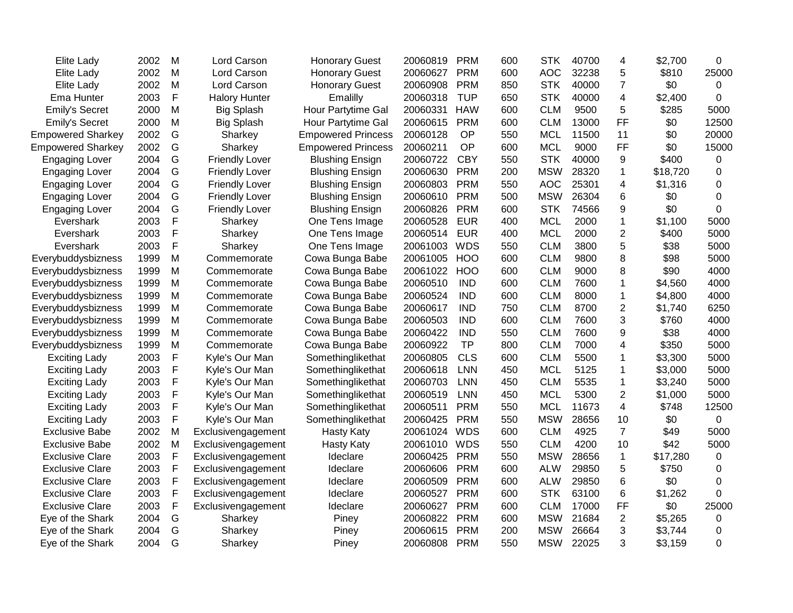| <b>Elite Lady</b>        | 2002 | M            | Lord Carson           | <b>Honorary Guest</b>     | 20060819 | PRM        | 600 | <b>STK</b> | 40700 | 4              | \$2,700  | 0              |
|--------------------------|------|--------------|-----------------------|---------------------------|----------|------------|-----|------------|-------|----------------|----------|----------------|
| Elite Lady               | 2002 | M            | Lord Carson           | <b>Honorary Guest</b>     | 20060627 | <b>PRM</b> | 600 | <b>AOC</b> | 32238 | 5              | \$810    | 25000          |
| Elite Lady               | 2002 | M            | Lord Carson           | <b>Honorary Guest</b>     | 20060908 | <b>PRM</b> | 850 | <b>STK</b> | 40000 | $\overline{7}$ | \$0      | 0              |
| Ema Hunter               | 2003 | $\mathsf{F}$ | <b>Halory Hunter</b>  | Emalilly                  | 20060318 | <b>TUP</b> | 650 | <b>STK</b> | 40000 | 4              | \$2,400  | 0              |
| Emily's Secret           | 2000 | M            | <b>Big Splash</b>     | Hour Partytime Gal        | 20060331 | <b>HAW</b> | 600 | <b>CLM</b> | 9500  | 5              | \$285    | 5000           |
| <b>Emily's Secret</b>    | 2000 | M            | <b>Big Splash</b>     | Hour Partytime Gal        | 20060615 | <b>PRM</b> | 600 | <b>CLM</b> | 13000 | <b>FF</b>      | \$0      | 12500          |
| <b>Empowered Sharkey</b> | 2002 | G            | Sharkey               | <b>Empowered Princess</b> | 20060128 | OP         | 550 | <b>MCL</b> | 11500 | 11             | \$0      | 20000          |
| <b>Empowered Sharkey</b> | 2002 | G            | Sharkey               | <b>Empowered Princess</b> | 20060211 | OP         | 600 | <b>MCL</b> | 9000  | <b>FF</b>      | \$0      | 15000          |
| <b>Engaging Lover</b>    | 2004 | G            | <b>Friendly Lover</b> | <b>Blushing Ensign</b>    | 20060722 | <b>CBY</b> | 550 | <b>STK</b> | 40000 | 9              | \$400    | 0              |
| <b>Engaging Lover</b>    | 2004 | G            | <b>Friendly Lover</b> | <b>Blushing Ensign</b>    | 20060630 | <b>PRM</b> | 200 | <b>MSW</b> | 28320 | 1              | \$18,720 | 0              |
| <b>Engaging Lover</b>    | 2004 | G            | <b>Friendly Lover</b> | <b>Blushing Ensign</b>    | 20060803 | <b>PRM</b> | 550 | <b>AOC</b> | 25301 | 4              | \$1,316  | 0              |
| <b>Engaging Lover</b>    | 2004 | G            | <b>Friendly Lover</b> | <b>Blushing Ensign</b>    | 20060610 | <b>PRM</b> | 500 | <b>MSW</b> | 26304 | 6              | \$0      | 0              |
| <b>Engaging Lover</b>    | 2004 | G            | <b>Friendly Lover</b> | <b>Blushing Ensign</b>    | 20060826 | <b>PRM</b> | 600 | <b>STK</b> | 74566 | 9              | \$0      | $\mathbf 0$    |
| Evershark                | 2003 | F            | Sharkey               | One Tens Image            | 20060528 | <b>EUR</b> | 400 | <b>MCL</b> | 2000  | $\mathbf{1}$   | \$1,100  | 5000           |
| Evershark                | 2003 | F            | Sharkey               | One Tens Image            | 20060514 | <b>EUR</b> | 400 | <b>MCL</b> | 2000  | $\overline{2}$ | \$400    | 5000           |
| Evershark                | 2003 | F            | Sharkey               | One Tens Image            | 20061003 | <b>WDS</b> | 550 | <b>CLM</b> | 3800  | 5              | \$38     | 5000           |
| Everybuddysbizness       | 1999 | M            | Commemorate           | Cowa Bunga Babe           | 20061005 | <b>HOO</b> | 600 | <b>CLM</b> | 9800  | 8              | \$98     | 5000           |
| Everybuddysbizness       | 1999 | M            | Commemorate           | Cowa Bunga Babe           | 20061022 | HOO        | 600 | <b>CLM</b> | 9000  | 8              | \$90     | 4000           |
| Everybuddysbizness       | 1999 | M            | Commemorate           | Cowa Bunga Babe           | 20060510 | <b>IND</b> | 600 | <b>CLM</b> | 7600  | $\mathbf{1}$   | \$4,560  | 4000           |
| Everybuddysbizness       | 1999 | M            | Commemorate           | Cowa Bunga Babe           | 20060524 | <b>IND</b> | 600 | <b>CLM</b> | 8000  | 1              | \$4,800  | 4000           |
| Everybuddysbizness       | 1999 | M            | Commemorate           | Cowa Bunga Babe           | 20060617 | <b>IND</b> | 750 | <b>CLM</b> | 8700  | 2              | \$1,740  | 6250           |
| Everybuddysbizness       | 1999 | M            | Commemorate           | Cowa Bunga Babe           | 20060503 | <b>IND</b> | 600 | <b>CLM</b> | 7600  | 3              | \$760    | 4000           |
| Everybuddysbizness       | 1999 | M            | Commemorate           | Cowa Bunga Babe           | 20060422 | <b>IND</b> | 550 | <b>CLM</b> | 7600  | 9              | \$38     | 4000           |
| Everybuddysbizness       | 1999 | M            | Commemorate           | Cowa Bunga Babe           | 20060922 | <b>TP</b>  | 800 | <b>CLM</b> | 7000  | 4              | \$350    | 5000           |
| <b>Exciting Lady</b>     | 2003 | F            | Kyle's Our Man        | Somethinglikethat         | 20060805 | <b>CLS</b> | 600 | <b>CLM</b> | 5500  | 1              | \$3,300  | 5000           |
| <b>Exciting Lady</b>     | 2003 | F            | Kyle's Our Man        | Somethinglikethat         | 20060618 | <b>LNN</b> | 450 | <b>MCL</b> | 5125  | 1              | \$3,000  | 5000           |
| <b>Exciting Lady</b>     | 2003 | F            | Kyle's Our Man        | Somethinglikethat         | 20060703 | <b>LNN</b> | 450 | <b>CLM</b> | 5535  | $\mathbf{1}$   | \$3,240  | 5000           |
| <b>Exciting Lady</b>     | 2003 | F            | Kyle's Our Man        | Somethinglikethat         | 20060519 | <b>LNN</b> | 450 | <b>MCL</b> | 5300  | $\overline{2}$ | \$1,000  | 5000           |
| <b>Exciting Lady</b>     | 2003 | F            | Kyle's Our Man        | Somethinglikethat         | 20060511 | <b>PRM</b> | 550 | <b>MCL</b> | 11673 | 4              | \$748    | 12500          |
| <b>Exciting Lady</b>     | 2003 | F            | Kyle's Our Man        | Somethinglikethat         | 20060425 | <b>PRM</b> | 550 | <b>MSW</b> | 28656 | 10             | \$0      | $\overline{0}$ |
| <b>Exclusive Babe</b>    | 2002 | M            | Exclusivengagement    | <b>Hasty Katy</b>         | 20061024 | <b>WDS</b> | 600 | <b>CLM</b> | 4925  | $\overline{7}$ | \$49     | 5000           |
| <b>Exclusive Babe</b>    | 2002 | M            | Exclusivengagement    | <b>Hasty Katy</b>         | 20061010 | <b>WDS</b> | 550 | <b>CLM</b> | 4200  | 10             | \$42     | 5000           |
| <b>Exclusive Clare</b>   | 2003 | $\mathsf{F}$ | Exclusivengagement    | Ideclare                  | 20060425 | <b>PRM</b> | 550 | <b>MSW</b> | 28656 | $\mathbf{1}$   | \$17,280 | 0              |
| <b>Exclusive Clare</b>   | 2003 | $\mathsf F$  | Exclusivengagement    | Ideclare                  | 20060606 | <b>PRM</b> | 600 | <b>ALW</b> | 29850 | 5              | \$750    | 0              |
| <b>Exclusive Clare</b>   | 2003 | F            | Exclusivengagement    | Ideclare                  | 20060509 | <b>PRM</b> | 600 | <b>ALW</b> | 29850 | 6              | \$0      | 0              |
| <b>Exclusive Clare</b>   | 2003 | $\mathsf{F}$ | Exclusivengagement    | Ideclare                  | 20060527 | <b>PRM</b> | 600 | <b>STK</b> | 63100 | 6              | \$1,262  | $\overline{0}$ |
| <b>Exclusive Clare</b>   | 2003 | $\mathsf{F}$ | Exclusivengagement    | Ideclare                  | 20060627 | <b>PRM</b> | 600 | <b>CLM</b> | 17000 | <b>FF</b>      | \$0      | 25000          |
| Eye of the Shark         | 2004 | G            | Sharkey               | Piney                     | 20060822 | <b>PRM</b> | 600 | <b>MSW</b> | 21684 | 2              | \$5,265  | 0              |
| Eye of the Shark         | 2004 | G            | Sharkey               | Piney                     | 20060615 | <b>PRM</b> | 200 | <b>MSW</b> | 26664 | 3              | \$3,744  | 0              |
| Eye of the Shark         | 2004 | G            | Sharkey               | Piney                     | 20060808 | <b>PRM</b> | 550 | <b>MSW</b> | 22025 | 3              | \$3,159  | $\Omega$       |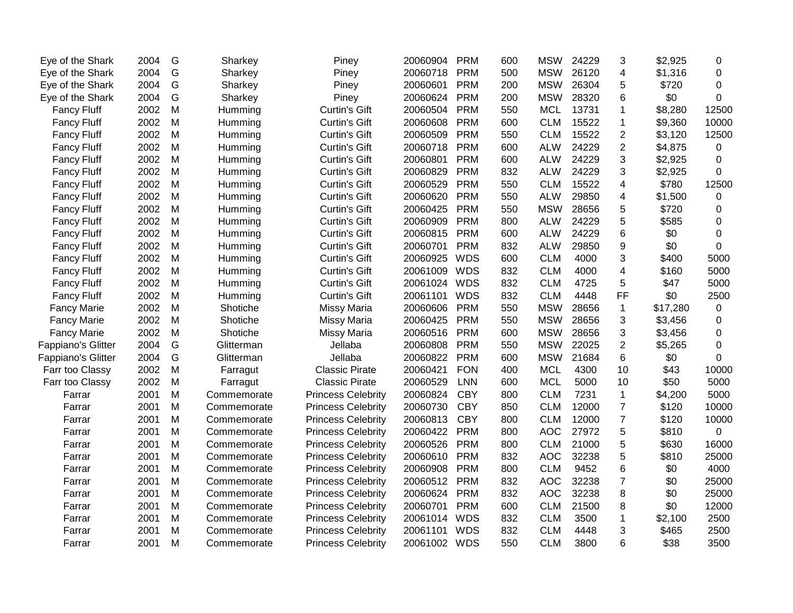| Eye of the Shark   | 2004 | G | Sharkey     | Piney                     | 20060904     | <b>PRM</b> | 600 | <b>MSW</b> | 24229 | 3               | \$2,925  | 0        |
|--------------------|------|---|-------------|---------------------------|--------------|------------|-----|------------|-------|-----------------|----------|----------|
| Eye of the Shark   | 2004 | G | Sharkey     | Piney                     | 20060718     | <b>PRM</b> | 500 | <b>MSW</b> | 26120 | 4               | \$1,316  | 0        |
| Eye of the Shark   | 2004 | G | Sharkey     | Piney                     | 20060601     | <b>PRM</b> | 200 | <b>MSW</b> | 26304 | 5               | \$720    | $\Omega$ |
| Eye of the Shark   | 2004 | G | Sharkey     | Piney                     | 20060624     | <b>PRM</b> | 200 | <b>MSW</b> | 28320 | 6               | \$0      | 0        |
| <b>Fancy Fluff</b> | 2002 | M | Humming     | <b>Curtin's Gift</b>      | 20060504     | <b>PRM</b> | 550 | <b>MCL</b> | 13731 | 1               | \$8,280  | 12500    |
| <b>Fancy Fluff</b> | 2002 | M | Humming     | <b>Curtin's Gift</b>      | 20060608     | <b>PRM</b> | 600 | <b>CLM</b> | 15522 | 1               | \$9,360  | 10000    |
| <b>Fancy Fluff</b> | 2002 | M | Humming     | <b>Curtin's Gift</b>      | 20060509     | <b>PRM</b> | 550 | <b>CLM</b> | 15522 | $\overline{2}$  | \$3,120  | 12500    |
| <b>Fancy Fluff</b> | 2002 | M | Humming     | <b>Curtin's Gift</b>      | 20060718     | <b>PRM</b> | 600 | <b>ALW</b> | 24229 | $\overline{2}$  | \$4,875  | 0        |
| <b>Fancy Fluff</b> | 2002 | M | Humming     | <b>Curtin's Gift</b>      | 20060801     | <b>PRM</b> | 600 | <b>ALW</b> | 24229 | 3               | \$2,925  | 0        |
| <b>Fancy Fluff</b> | 2002 | M | Humming     | <b>Curtin's Gift</b>      | 20060829     | <b>PRM</b> | 832 | <b>ALW</b> | 24229 | 3               | \$2,925  | 0        |
| <b>Fancy Fluff</b> | 2002 | M | Humming     | <b>Curtin's Gift</b>      | 20060529     | <b>PRM</b> | 550 | <b>CLM</b> | 15522 | 4               | \$780    | 12500    |
| <b>Fancy Fluff</b> | 2002 | M | Humming     | <b>Curtin's Gift</b>      | 20060620     | <b>PRM</b> | 550 | <b>ALW</b> | 29850 | 4               | \$1,500  | 0        |
| <b>Fancy Fluff</b> | 2002 | M | Humming     | <b>Curtin's Gift</b>      | 20060425     | <b>PRM</b> | 550 | <b>MSW</b> | 28656 | 5               | \$720    | 0        |
| <b>Fancy Fluff</b> | 2002 | M | Humming     | <b>Curtin's Gift</b>      | 20060909     | <b>PRM</b> | 800 | <b>ALW</b> | 24229 | 5               | \$585    | 0        |
| <b>Fancy Fluff</b> | 2002 | M | Humming     | <b>Curtin's Gift</b>      | 20060815     | <b>PRM</b> | 600 | <b>ALW</b> | 24229 | $6\phantom{1}6$ | \$0      | 0        |
| <b>Fancy Fluff</b> | 2002 | M | Humming     | <b>Curtin's Gift</b>      | 20060701     | <b>PRM</b> | 832 | <b>ALW</b> | 29850 | 9               | \$0      | 0        |
| <b>Fancy Fluff</b> | 2002 | M | Humming     | <b>Curtin's Gift</b>      | 20060925     | <b>WDS</b> | 600 | <b>CLM</b> | 4000  | 3               | \$400    | 5000     |
| <b>Fancy Fluff</b> | 2002 | M | Humming     | <b>Curtin's Gift</b>      | 20061009     | <b>WDS</b> | 832 | <b>CLM</b> | 4000  | 4               | \$160    | 5000     |
| <b>Fancy Fluff</b> | 2002 | M | Humming     | <b>Curtin's Gift</b>      | 20061024 WDS |            | 832 | <b>CLM</b> | 4725  | 5               | \$47     | 5000     |
| <b>Fancy Fluff</b> | 2002 | M | Humming     | <b>Curtin's Gift</b>      | 20061101     | <b>WDS</b> | 832 | <b>CLM</b> | 4448  | FF              | \$0      | 2500     |
| <b>Fancy Marie</b> | 2002 | M | Shotiche    | Missy Maria               | 20060606     | <b>PRM</b> | 550 | <b>MSW</b> | 28656 | $\mathbf{1}$    | \$17,280 | 0        |
| <b>Fancy Marie</b> | 2002 | M | Shotiche    | Missy Maria               | 20060425     | <b>PRM</b> | 550 | <b>MSW</b> | 28656 | 3               | \$3,456  | 0        |
| <b>Fancy Marie</b> | 2002 | M | Shotiche    | Missy Maria               | 20060516     | <b>PRM</b> | 600 | <b>MSW</b> | 28656 | 3               | \$3,456  | 0        |
| Fappiano's Glitter | 2004 | G | Glitterman  | Jellaba                   | 20060808     | <b>PRM</b> | 550 | <b>MSW</b> | 22025 | $\overline{2}$  | \$5,265  | 0        |
| Fappiano's Glitter | 2004 | G | Glitterman  | Jellaba                   | 20060822     | <b>PRM</b> | 600 | <b>MSW</b> | 21684 | $6\phantom{1}6$ | \$0      | $\Omega$ |
| Farr too Classy    | 2002 | M | Farragut    | <b>Classic Pirate</b>     | 20060421     | <b>FON</b> | 400 | <b>MCL</b> | 4300  | 10              | \$43     | 10000    |
| Farr too Classy    | 2002 | M | Farragut    | <b>Classic Pirate</b>     | 20060529     | <b>LNN</b> | 600 | <b>MCL</b> | 5000  | 10              | \$50     | 5000     |
| Farrar             | 2001 | M | Commemorate | <b>Princess Celebrity</b> | 20060824     | <b>CBY</b> | 800 | <b>CLM</b> | 7231  | $\mathbf{1}$    | \$4,200  | 5000     |
| Farrar             | 2001 | M | Commemorate | <b>Princess Celebrity</b> | 20060730     | <b>CBY</b> | 850 | <b>CLM</b> | 12000 | $\overline{7}$  | \$120    | 10000    |
| Farrar             | 2001 | M | Commemorate | <b>Princess Celebrity</b> | 20060813     | <b>CBY</b> | 800 | <b>CLM</b> | 12000 | $\overline{7}$  | \$120    | 10000    |
| Farrar             | 2001 | M | Commemorate | <b>Princess Celebrity</b> | 20060422     | <b>PRM</b> | 800 | <b>AOC</b> | 27972 | 5               | \$810    | 0        |
| Farrar             | 2001 | M | Commemorate | <b>Princess Celebrity</b> | 20060526     | <b>PRM</b> | 800 | <b>CLM</b> | 21000 | 5               | \$630    | 16000    |
| Farrar             | 2001 | M | Commemorate | <b>Princess Celebrity</b> | 20060610     | <b>PRM</b> | 832 | <b>AOC</b> | 32238 | 5               | \$810    | 25000    |
| Farrar             | 2001 | M | Commemorate | <b>Princess Celebrity</b> | 20060908     | <b>PRM</b> | 800 | <b>CLM</b> | 9452  | 6               | \$0      | 4000     |
| Farrar             | 2001 | M | Commemorate | <b>Princess Celebrity</b> | 20060512     | <b>PRM</b> | 832 | <b>AOC</b> | 32238 | $\overline{7}$  | \$0      | 25000    |
| Farrar             | 2001 | M | Commemorate | <b>Princess Celebrity</b> | 20060624     | <b>PRM</b> | 832 | <b>AOC</b> | 32238 | 8               | \$0      | 25000    |
| Farrar             | 2001 | M | Commemorate | <b>Princess Celebrity</b> | 20060701     | <b>PRM</b> | 600 | <b>CLM</b> | 21500 | 8               | \$0      | 12000    |
| Farrar             | 2001 | M | Commemorate | <b>Princess Celebrity</b> | 20061014     | <b>WDS</b> | 832 | <b>CLM</b> | 3500  | $\mathbf 1$     | \$2,100  | 2500     |
| Farrar             | 2001 | M | Commemorate | <b>Princess Celebrity</b> | 20061101     | <b>WDS</b> | 832 | <b>CLM</b> | 4448  | 3               | \$465    | 2500     |
| Farrar             | 2001 | M | Commemorate | <b>Princess Celebrity</b> | 20061002 WDS |            | 550 | <b>CLM</b> | 3800  | 6               | \$38     | 3500     |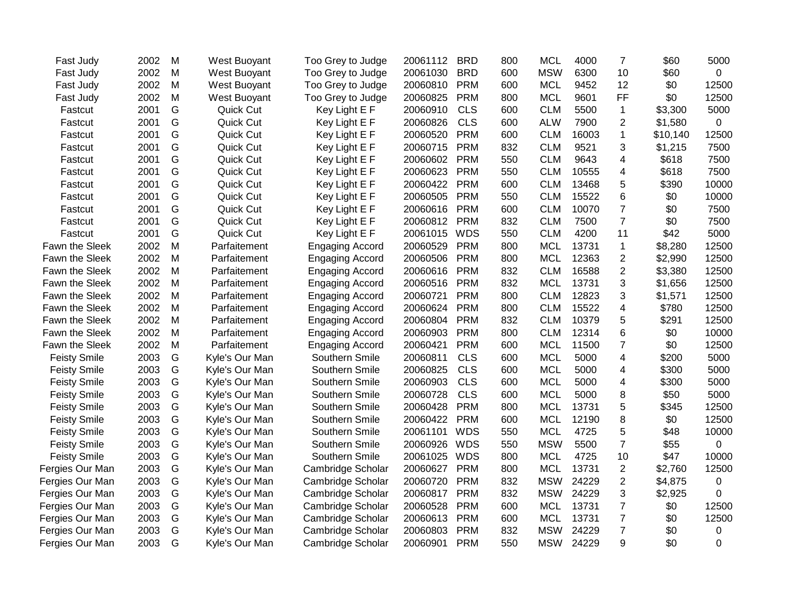| Fast Judy           | 2002 | M | West Buoyant   | Too Grey to Judge      | 20061112 | <b>BRD</b> | 800 | <b>MCL</b> | 4000  | $\overline{7}$ | \$60     | 5000           |
|---------------------|------|---|----------------|------------------------|----------|------------|-----|------------|-------|----------------|----------|----------------|
| Fast Judy           | 2002 | M | West Buoyant   | Too Grey to Judge      | 20061030 | <b>BRD</b> | 600 | <b>MSW</b> | 6300  | 10             | \$60     | 0              |
| Fast Judy           | 2002 | M | West Buoyant   | Too Grey to Judge      | 20060810 | <b>PRM</b> | 600 | <b>MCL</b> | 9452  | 12             | \$0      | 12500          |
| Fast Judy           | 2002 | M | West Buoyant   | Too Grey to Judge      | 20060825 | <b>PRM</b> | 800 | <b>MCL</b> | 9601  | <b>FF</b>      | \$0      | 12500          |
| Fastcut             | 2001 | G | Quick Cut      | Key Light E F          | 20060910 | <b>CLS</b> | 600 | <b>CLM</b> | 5500  | $\mathbf 1$    | \$3,300  | 5000           |
| Fastcut             | 2001 | G | Quick Cut      | Key Light E F          | 20060826 | <b>CLS</b> | 600 | <b>ALW</b> | 7900  | $\overline{2}$ | \$1,580  | 0              |
| Fastcut             | 2001 | G | Quick Cut      | Key Light E F          | 20060520 | <b>PRM</b> | 600 | <b>CLM</b> | 16003 | 1              | \$10,140 | 12500          |
| Fastcut             | 2001 | G | Quick Cut      | Key Light E F          | 20060715 | <b>PRM</b> | 832 | <b>CLM</b> | 9521  | 3              | \$1,215  | 7500           |
| Fastcut             | 2001 | G | Quick Cut      | Key Light E F          | 20060602 | <b>PRM</b> | 550 | <b>CLM</b> | 9643  | 4              | \$618    | 7500           |
| Fastcut             | 2001 | G | Quick Cut      | Key Light E F          | 20060623 | <b>PRM</b> | 550 | <b>CLM</b> | 10555 | 4              | \$618    | 7500           |
| Fastcut             | 2001 | G | Quick Cut      | Key Light E F          | 20060422 | <b>PRM</b> | 600 | <b>CLM</b> | 13468 | 5              | \$390    | 10000          |
| Fastcut             | 2001 | G | Quick Cut      | Key Light E F          | 20060505 | <b>PRM</b> | 550 | <b>CLM</b> | 15522 | 6              | \$0      | 10000          |
| Fastcut             | 2001 | G | Quick Cut      | Key Light E F          | 20060616 | <b>PRM</b> | 600 | <b>CLM</b> | 10070 | $\overline{7}$ | \$0      | 7500           |
| Fastcut             | 2001 | G | Quick Cut      | Key Light E F          | 20060812 | <b>PRM</b> | 832 | <b>CLM</b> | 7500  | $\overline{7}$ | \$0      | 7500           |
| Fastcut             | 2001 | G | Quick Cut      | Key Light E F          | 20061015 | <b>WDS</b> | 550 | <b>CLM</b> | 4200  | 11             | \$42     | 5000           |
| Fawn the Sleek      | 2002 | M | Parfaitement   | <b>Engaging Accord</b> | 20060529 | <b>PRM</b> | 800 | <b>MCL</b> | 13731 | $\mathbf{1}$   | \$8,280  | 12500          |
| Fawn the Sleek      | 2002 | M | Parfaitement   | <b>Engaging Accord</b> | 20060506 | <b>PRM</b> | 800 | <b>MCL</b> | 12363 | $\overline{c}$ | \$2,990  | 12500          |
| Fawn the Sleek      | 2002 | M | Parfaitement   | <b>Engaging Accord</b> | 20060616 | <b>PRM</b> | 832 | <b>CLM</b> | 16588 | $\overline{2}$ | \$3,380  | 12500          |
| Fawn the Sleek      | 2002 | M | Parfaitement   | <b>Engaging Accord</b> | 20060516 | <b>PRM</b> | 832 | <b>MCL</b> | 13731 | 3              | \$1,656  | 12500          |
| Fawn the Sleek      | 2002 | M | Parfaitement   | <b>Engaging Accord</b> | 20060721 | <b>PRM</b> | 800 | <b>CLM</b> | 12823 | 3              | \$1,571  | 12500          |
| Fawn the Sleek      | 2002 | M | Parfaitement   | <b>Engaging Accord</b> | 20060624 | <b>PRM</b> | 800 | <b>CLM</b> | 15522 | 4              | \$780    | 12500          |
| Fawn the Sleek      | 2002 | M | Parfaitement   | <b>Engaging Accord</b> | 20060804 | <b>PRM</b> | 832 | <b>CLM</b> | 10379 | 5              | \$291    | 12500          |
| Fawn the Sleek      | 2002 | M | Parfaitement   | <b>Engaging Accord</b> | 20060903 | <b>PRM</b> | 800 | <b>CLM</b> | 12314 | 6              | \$0      | 10000          |
| Fawn the Sleek      | 2002 | M | Parfaitement   | <b>Engaging Accord</b> | 20060421 | <b>PRM</b> | 600 | <b>MCL</b> | 11500 | $\overline{7}$ | \$0      | 12500          |
| <b>Feisty Smile</b> | 2003 | G | Kyle's Our Man | Southern Smile         | 20060811 | <b>CLS</b> | 600 | <b>MCL</b> | 5000  | 4              | \$200    | 5000           |
| <b>Feisty Smile</b> | 2003 | G | Kyle's Our Man | Southern Smile         | 20060825 | <b>CLS</b> | 600 | <b>MCL</b> | 5000  | 4              | \$300    | 5000           |
| <b>Feisty Smile</b> | 2003 | G | Kyle's Our Man | Southern Smile         | 20060903 | <b>CLS</b> | 600 | <b>MCL</b> | 5000  | 4              | \$300    | 5000           |
| <b>Feisty Smile</b> | 2003 | G | Kyle's Our Man | Southern Smile         | 20060728 | <b>CLS</b> | 600 | <b>MCL</b> | 5000  | 8              | \$50     | 5000           |
| <b>Feisty Smile</b> | 2003 | G | Kyle's Our Man | Southern Smile         | 20060428 | <b>PRM</b> | 800 | <b>MCL</b> | 13731 | 5              | \$345    | 12500          |
| <b>Feisty Smile</b> | 2003 | G | Kyle's Our Man | Southern Smile         | 20060422 | <b>PRM</b> | 600 | <b>MCL</b> | 12190 | 8              | \$0      | 12500          |
| <b>Feisty Smile</b> | 2003 | G | Kyle's Our Man | Southern Smile         | 20061101 | <b>WDS</b> | 550 | <b>MCL</b> | 4725  | 5              | \$48     | 10000          |
| <b>Feisty Smile</b> | 2003 | G | Kyle's Our Man | Southern Smile         | 20060926 | <b>WDS</b> | 550 | <b>MSW</b> | 5500  | $\overline{7}$ | \$55     | $\overline{0}$ |
| <b>Feisty Smile</b> | 2003 | G | Kyle's Our Man | Southern Smile         | 20061025 | <b>WDS</b> | 800 | <b>MCL</b> | 4725  | 10             | \$47     | 10000          |
| Fergies Our Man     | 2003 | G | Kyle's Our Man | Cambridge Scholar      | 20060627 | <b>PRM</b> | 800 | <b>MCL</b> | 13731 | $\overline{c}$ | \$2,760  | 12500          |
| Fergies Our Man     | 2003 | G | Kyle's Our Man | Cambridge Scholar      | 20060720 | <b>PRM</b> | 832 | <b>MSW</b> | 24229 | $\overline{c}$ | \$4,875  | 0              |
| Fergies Our Man     | 2003 | G | Kyle's Our Man | Cambridge Scholar      | 20060817 | <b>PRM</b> | 832 | <b>MSW</b> | 24229 | 3              | \$2,925  | 0              |
| Fergies Our Man     | 2003 | G | Kyle's Our Man | Cambridge Scholar      | 20060528 | <b>PRM</b> | 600 | <b>MCL</b> | 13731 | $\overline{7}$ | \$0      | 12500          |
| Fergies Our Man     | 2003 | G | Kyle's Our Man | Cambridge Scholar      | 20060613 | <b>PRM</b> | 600 | <b>MCL</b> | 13731 | $\overline{7}$ | \$0      | 12500          |
| Fergies Our Man     | 2003 | G | Kyle's Our Man | Cambridge Scholar      | 20060803 | <b>PRM</b> | 832 | <b>MSW</b> | 24229 | $\overline{7}$ | \$0      | 0              |
| Fergies Our Man     | 2003 | G | Kyle's Our Man | Cambridge Scholar      | 20060901 | <b>PRM</b> | 550 | <b>MSW</b> | 24229 | 9              | \$0      | 0              |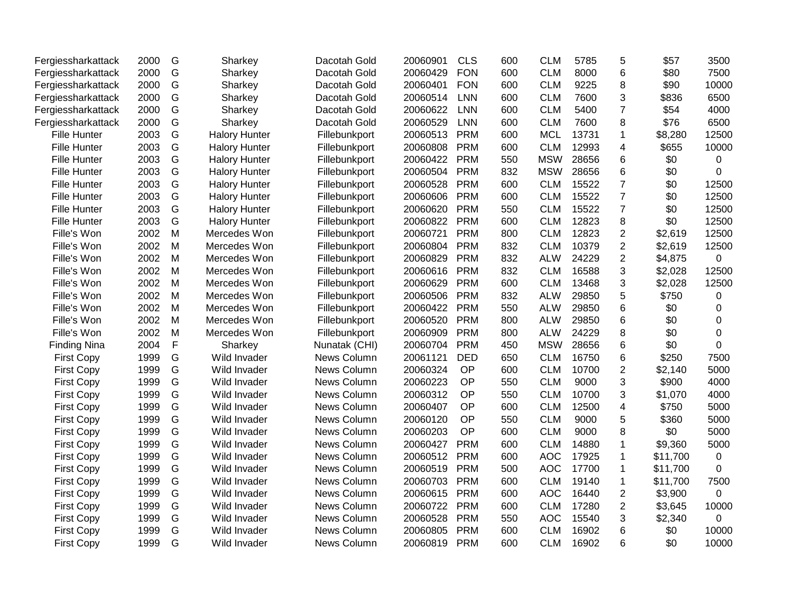| Fergiessharkattack  | 2000 | G           | Sharkey              | Dacotah Gold  | 20060901 | CLS        | 600 | <b>CLM</b> | 5785  | 5              | \$57     | 3500        |
|---------------------|------|-------------|----------------------|---------------|----------|------------|-----|------------|-------|----------------|----------|-------------|
| Fergiessharkattack  | 2000 | G           | Sharkey              | Dacotah Gold  | 20060429 | <b>FON</b> | 600 | <b>CLM</b> | 8000  | 6              | \$80     | 7500        |
| Fergiessharkattack  | 2000 | G           | Sharkey              | Dacotah Gold  | 20060401 | <b>FON</b> | 600 | <b>CLM</b> | 9225  | 8              | \$90     | 10000       |
| Fergiessharkattack  | 2000 | G           | Sharkey              | Dacotah Gold  | 20060514 | <b>LNN</b> | 600 | <b>CLM</b> | 7600  | 3              | \$836    | 6500        |
| Fergiessharkattack  | 2000 | G           | Sharkey              | Dacotah Gold  | 20060622 | <b>LNN</b> | 600 | <b>CLM</b> | 5400  | $\overline{7}$ | \$54     | 4000        |
| Fergiessharkattack  | 2000 | G           | Sharkey              | Dacotah Gold  | 20060529 | <b>LNN</b> | 600 | <b>CLM</b> | 7600  | 8              | \$76     | 6500        |
| <b>Fille Hunter</b> | 2003 | G           | <b>Halory Hunter</b> | Fillebunkport | 20060513 | <b>PRM</b> | 600 | <b>MCL</b> | 13731 | 1              | \$8,280  | 12500       |
| Fille Hunter        | 2003 | G           | <b>Halory Hunter</b> | Fillebunkport | 20060808 | <b>PRM</b> | 600 | <b>CLM</b> | 12993 | 4              | \$655    | 10000       |
| <b>Fille Hunter</b> | 2003 | G           | <b>Halory Hunter</b> | Fillebunkport | 20060422 | <b>PRM</b> | 550 | <b>MSW</b> | 28656 | 6              | \$0      | 0           |
| <b>Fille Hunter</b> | 2003 | G           | <b>Halory Hunter</b> | Fillebunkport | 20060504 | <b>PRM</b> | 832 | <b>MSW</b> | 28656 | 6              | \$0      | 0           |
| <b>Fille Hunter</b> | 2003 | G           | <b>Halory Hunter</b> | Fillebunkport | 20060528 | <b>PRM</b> | 600 | <b>CLM</b> | 15522 | $\overline{7}$ | \$0      | 12500       |
| <b>Fille Hunter</b> | 2003 | G           | <b>Halory Hunter</b> | Fillebunkport | 20060606 | <b>PRM</b> | 600 | <b>CLM</b> | 15522 | $\overline{7}$ | \$0      | 12500       |
| <b>Fille Hunter</b> | 2003 | G           | <b>Halory Hunter</b> | Fillebunkport | 20060620 | <b>PRM</b> | 550 | <b>CLM</b> | 15522 | $\overline{7}$ | \$0      | 12500       |
| <b>Fille Hunter</b> | 2003 | G           | <b>Halory Hunter</b> | Fillebunkport | 20060822 | <b>PRM</b> | 600 | <b>CLM</b> | 12823 | 8              | \$0      | 12500       |
| Fille's Won         | 2002 | M           | Mercedes Won         | Fillebunkport | 20060721 | <b>PRM</b> | 800 | <b>CLM</b> | 12823 | $\overline{2}$ | \$2,619  | 12500       |
| Fille's Won         | 2002 | M           | Mercedes Won         | Fillebunkport | 20060804 | <b>PRM</b> | 832 | <b>CLM</b> | 10379 | $\overline{c}$ | \$2,619  | 12500       |
| Fille's Won         | 2002 | M           | Mercedes Won         | Fillebunkport | 20060829 | <b>PRM</b> | 832 | <b>ALW</b> | 24229 | $\overline{2}$ | \$4,875  | $\mathbf 0$ |
| Fille's Won         | 2002 | M           | Mercedes Won         | Fillebunkport | 20060616 | <b>PRM</b> | 832 | <b>CLM</b> | 16588 | 3              | \$2,028  | 12500       |
| Fille's Won         | 2002 | M           | Mercedes Won         | Fillebunkport | 20060629 | <b>PRM</b> | 600 | <b>CLM</b> | 13468 | 3              | \$2,028  | 12500       |
| Fille's Won         | 2002 | M           | Mercedes Won         | Fillebunkport | 20060506 | <b>PRM</b> | 832 | <b>ALW</b> | 29850 | 5              | \$750    | 0           |
| Fille's Won         | 2002 | M           | Mercedes Won         | Fillebunkport | 20060422 | <b>PRM</b> | 550 | <b>ALW</b> | 29850 | 6              | \$0      | 0           |
| Fille's Won         | 2002 | M           | Mercedes Won         | Fillebunkport | 20060520 | <b>PRM</b> | 800 | <b>ALW</b> | 29850 | 6              | \$0      | 0           |
| Fille's Won         | 2002 | M           | Mercedes Won         | Fillebunkport | 20060909 | <b>PRM</b> | 800 | <b>ALW</b> | 24229 | 8              | \$0      | 0           |
| <b>Finding Nina</b> | 2004 | $\mathsf F$ | Sharkey              | Nunatak (CHI) | 20060704 | <b>PRM</b> | 450 | <b>MSW</b> | 28656 | 6              | \$0      | 0           |
| <b>First Copy</b>   | 1999 | G           | Wild Invader         | News Column   | 20061121 | <b>DED</b> | 650 | <b>CLM</b> | 16750 | 6              | \$250    | 7500        |
| <b>First Copy</b>   | 1999 | G           | Wild Invader         | News Column   | 20060324 | OP         | 600 | <b>CLM</b> | 10700 | $\overline{2}$ | \$2,140  | 5000        |
| <b>First Copy</b>   | 1999 | G           | Wild Invader         | News Column   | 20060223 | OP         | 550 | <b>CLM</b> | 9000  | 3              | \$900    | 4000        |
| <b>First Copy</b>   | 1999 | G           | Wild Invader         | News Column   | 20060312 | OP         | 550 | <b>CLM</b> | 10700 | 3              | \$1,070  | 4000        |
| <b>First Copy</b>   | 1999 | G           | Wild Invader         | News Column   | 20060407 | OP         | 600 | <b>CLM</b> | 12500 | 4              | \$750    | 5000        |
| <b>First Copy</b>   | 1999 | G           | Wild Invader         | News Column   | 20060120 | OP         | 550 | <b>CLM</b> | 9000  | 5              | \$360    | 5000        |
| <b>First Copy</b>   | 1999 | G           | Wild Invader         | News Column   | 20060203 | OP         | 600 | <b>CLM</b> | 9000  | 8              | \$0      | 5000        |
| <b>First Copy</b>   | 1999 | G           | Wild Invader         | News Column   | 20060427 | <b>PRM</b> | 600 | <b>CLM</b> | 14880 | $\mathbf{1}$   | \$9,360  | 5000        |
| <b>First Copy</b>   | 1999 | G           | Wild Invader         | News Column   | 20060512 | <b>PRM</b> | 600 | <b>AOC</b> | 17925 | 1              | \$11,700 | $\pmb{0}$   |
| <b>First Copy</b>   | 1999 | G           | Wild Invader         | News Column   | 20060519 | <b>PRM</b> | 500 | <b>AOC</b> | 17700 | 1              | \$11,700 | 0           |
| <b>First Copy</b>   | 1999 | G           | Wild Invader         | News Column   | 20060703 | <b>PRM</b> | 600 | <b>CLM</b> | 19140 | 1              | \$11,700 | 7500        |
| <b>First Copy</b>   | 1999 | G           | Wild Invader         | News Column   | 20060615 | <b>PRM</b> | 600 | <b>AOC</b> | 16440 | $\overline{2}$ | \$3,900  | 0           |
| <b>First Copy</b>   | 1999 | G           | Wild Invader         | News Column   | 20060722 | <b>PRM</b> | 600 | <b>CLM</b> | 17280 | $\overline{2}$ | \$3,645  | 10000       |
| <b>First Copy</b>   | 1999 | G           | Wild Invader         | News Column   | 20060528 | <b>PRM</b> | 550 | <b>AOC</b> | 15540 | 3              | \$2,340  | 0           |
| <b>First Copy</b>   | 1999 | G           | Wild Invader         | News Column   | 20060805 | <b>PRM</b> | 600 | <b>CLM</b> | 16902 | 6              | \$0      | 10000       |
| <b>First Copy</b>   | 1999 | G           | Wild Invader         | News Column   | 20060819 | <b>PRM</b> | 600 | <b>CLM</b> | 16902 | 6              | \$0      | 10000       |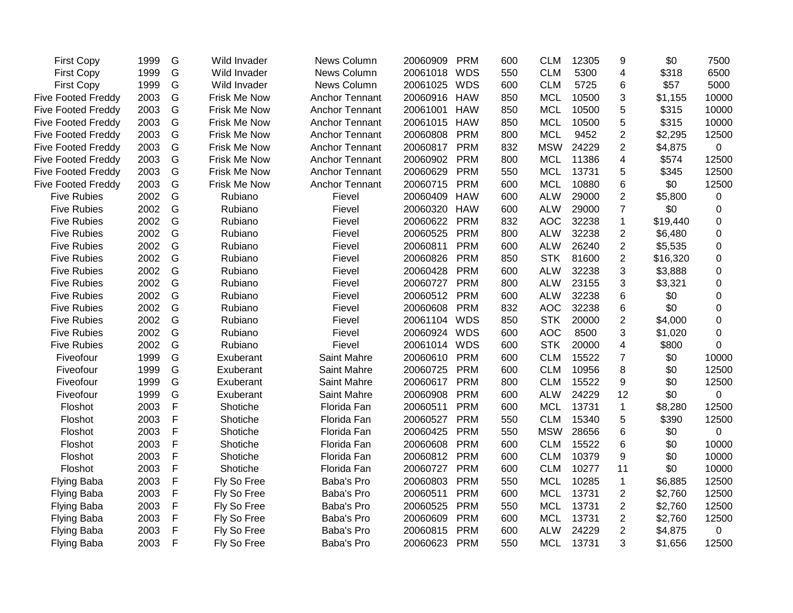| <b>First Copy</b>         | 1999 | G             | Wild Invader | News Column           | 20060909     | <b>PRM</b> | 600 | <b>CLM</b> | 12305 | 9                       | \$0      | 7500           |
|---------------------------|------|---------------|--------------|-----------------------|--------------|------------|-----|------------|-------|-------------------------|----------|----------------|
| <b>First Copy</b>         | 1999 | G             | Wild Invader | News Column           | 20061018     | <b>WDS</b> | 550 | <b>CLM</b> | 5300  | $\overline{\mathbf{4}}$ | \$318    | 6500           |
| <b>First Copy</b>         | 1999 | G             | Wild Invader | News Column           | 20061025     | <b>WDS</b> | 600 | <b>CLM</b> | 5725  | 6                       | \$57     | 5000           |
| <b>Five Footed Freddy</b> | 2003 | G             | Frisk Me Now | Anchor Tennant        | 20060916     | <b>HAW</b> | 850 | <b>MCL</b> | 10500 | 3                       | \$1,155  | 10000          |
| <b>Five Footed Freddy</b> | 2003 | G             | Frisk Me Now | Anchor Tennant        | 20061001     | <b>HAW</b> | 850 | <b>MCL</b> | 10500 | 5                       | \$315    | 10000          |
| <b>Five Footed Freddy</b> | 2003 | ${\mathsf G}$ | Frisk Me Now | <b>Anchor Tennant</b> | 20061015     | <b>HAW</b> | 850 | <b>MCL</b> | 10500 | 5                       | \$315    | 10000          |
| <b>Five Footed Freddy</b> | 2003 | ${\mathsf G}$ | Frisk Me Now | <b>Anchor Tennant</b> | 20060808     | <b>PRM</b> | 800 | <b>MCL</b> | 9452  | $\overline{c}$          | \$2,295  | 12500          |
| <b>Five Footed Freddy</b> | 2003 | G             | Frisk Me Now | <b>Anchor Tennant</b> | 20060817     | <b>PRM</b> | 832 | <b>MSW</b> | 24229 | $\overline{2}$          | \$4,875  | $\mathbf 0$    |
| <b>Five Footed Freddy</b> | 2003 | G             | Frisk Me Now | <b>Anchor Tennant</b> | 20060902     | <b>PRM</b> | 800 | <b>MCL</b> | 11386 | 4                       | \$574    | 12500          |
| <b>Five Footed Freddy</b> | 2003 | G             | Frisk Me Now | Anchor Tennant        | 20060629     | <b>PRM</b> | 550 | <b>MCL</b> | 13731 | 5                       | \$345    | 12500          |
| <b>Five Footed Freddy</b> | 2003 | G             | Frisk Me Now | Anchor Tennant        | 20060715     | <b>PRM</b> | 600 | <b>MCL</b> | 10880 | 6                       | \$0      | 12500          |
| <b>Five Rubies</b>        | 2002 | G             | Rubiano      | Fievel                | 20060409     | <b>HAW</b> | 600 | <b>ALW</b> | 29000 | $\overline{2}$          | \$5,800  | 0              |
| <b>Five Rubies</b>        | 2002 | G             | Rubiano      | Fievel                | 20060320     | <b>HAW</b> | 600 | <b>ALW</b> | 29000 | $\overline{7}$          | \$0      | 0              |
| <b>Five Rubies</b>        | 2002 | ${\mathsf G}$ | Rubiano      | Fievel                | 20060622     | <b>PRM</b> | 832 | <b>AOC</b> | 32238 | $\mathbf{1}$            | \$19,440 | 0              |
| <b>Five Rubies</b>        | 2002 | G             | Rubiano      | Fievel                | 20060525     | <b>PRM</b> | 800 | <b>ALW</b> | 32238 | $\overline{2}$          | \$6,480  | 0              |
| <b>Five Rubies</b>        | 2002 | G             | Rubiano      | Fievel                | 20060811     | <b>PRM</b> | 600 | <b>ALW</b> | 26240 | $\overline{2}$          | \$5,535  | 0              |
| <b>Five Rubies</b>        | 2002 | G             | Rubiano      | Fievel                | 20060826     | <b>PRM</b> | 850 | <b>STK</b> | 81600 | $\overline{2}$          | \$16,320 | 0              |
| <b>Five Rubies</b>        | 2002 | G             | Rubiano      | Fievel                | 20060428     | <b>PRM</b> | 600 | <b>ALW</b> | 32238 | 3                       | \$3,888  | 0              |
| <b>Five Rubies</b>        | 2002 | G             | Rubiano      | Fievel                | 20060727     | <b>PRM</b> | 800 | <b>ALW</b> | 23155 | 3                       | \$3,321  | 0              |
| <b>Five Rubies</b>        | 2002 | G             | Rubiano      | Fievel                | 20060512 PRM |            | 600 | <b>ALW</b> | 32238 | 6                       | \$0      | 0              |
| <b>Five Rubies</b>        | 2002 | G             | Rubiano      | Fievel                | 20060608     | <b>PRM</b> | 832 | <b>AOC</b> | 32238 | 6                       | \$0      | 0              |
| <b>Five Rubies</b>        | 2002 | G             | Rubiano      | Fievel                | 20061104     | <b>WDS</b> | 850 | <b>STK</b> | 20000 | $\overline{c}$          | \$4,000  | 0              |
| <b>Five Rubies</b>        | 2002 | G             | Rubiano      | Fievel                | 20060924     | <b>WDS</b> | 600 | <b>AOC</b> | 8500  | 3                       | \$1,020  | 0              |
| <b>Five Rubies</b>        | 2002 | G             | Rubiano      | Fievel                | 20061014     | <b>WDS</b> | 600 | <b>STK</b> | 20000 | 4                       | \$800    | 0              |
| Fiveofour                 | 1999 | G             | Exuberant    | Saint Mahre           | 20060610     | <b>PRM</b> | 600 | <b>CLM</b> | 15522 | $\overline{7}$          | \$0      | 10000          |
| Fiveofour                 | 1999 | G             | Exuberant    | Saint Mahre           | 20060725     | <b>PRM</b> | 600 | <b>CLM</b> | 10956 | 8                       | \$0      | 12500          |
| Fiveofour                 | 1999 | G             | Exuberant    | Saint Mahre           | 20060617 PRM |            | 800 | <b>CLM</b> | 15522 | 9                       | \$0      | 12500          |
| Fiveofour                 | 1999 | G             | Exuberant    | Saint Mahre           | 20060908     | <b>PRM</b> | 600 | <b>ALW</b> | 24229 | 12                      | \$0      | 0              |
| Floshot                   | 2003 | F             | Shotiche     | Florida Fan           | 20060511     | <b>PRM</b> | 600 | <b>MCL</b> | 13731 | $\mathbf{1}$            | \$8,280  | 12500          |
| Floshot                   | 2003 | F             | Shotiche     | Florida Fan           | 20060527     | <b>PRM</b> | 550 | <b>CLM</b> | 15340 | 5                       | \$390    | 12500          |
| Floshot                   | 2003 | $\mathsf F$   | Shotiche     | Florida Fan           | 20060425     | <b>PRM</b> | 550 | <b>MSW</b> | 28656 | $\,6\,$                 | \$0      | $\overline{0}$ |
| Floshot                   | 2003 | $\mathsf F$   | Shotiche     | Florida Fan           | 20060608     | <b>PRM</b> | 600 | <b>CLM</b> | 15522 | 6                       | \$0      | 10000          |
| Floshot                   | 2003 | $\mathsf F$   | Shotiche     | Florida Fan           | 20060812     | <b>PRM</b> | 600 | <b>CLM</b> | 10379 | 9                       | \$0      | 10000          |
| Floshot                   | 2003 | $\mathsf F$   | Shotiche     | Florida Fan           | 20060727     | <b>PRM</b> | 600 | <b>CLM</b> | 10277 | 11                      | \$0      | 10000          |
| Flying Baba               | 2003 | $\mathsf F$   | Fly So Free  | Baba's Pro            | 20060803     | <b>PRM</b> | 550 | <b>MCL</b> | 10285 | $\mathbf{1}$            | \$6,885  | 12500          |
| <b>Flying Baba</b>        | 2003 | F             | Fly So Free  | Baba's Pro            | 20060511     | <b>PRM</b> | 600 | <b>MCL</b> | 13731 | $\overline{2}$          | \$2,760  | 12500          |
| <b>Flying Baba</b>        | 2003 | $\mathsf F$   | Fly So Free  | Baba's Pro            | 20060525     | <b>PRM</b> | 550 | <b>MCL</b> | 13731 | $\overline{2}$          | \$2,760  | 12500          |
| <b>Flying Baba</b>        | 2003 | $\mathsf F$   | Fly So Free  | Baba's Pro            | 20060609     | <b>PRM</b> | 600 | <b>MCL</b> | 13731 | $\overline{2}$          | \$2,760  | 12500          |
| <b>Flying Baba</b>        | 2003 | $\mathsf F$   | Fly So Free  | Baba's Pro            | 20060815     | <b>PRM</b> | 600 | <b>ALW</b> | 24229 | $\overline{2}$          | \$4,875  | $\mathbf 0$    |
| <b>Flying Baba</b>        | 2003 | $\mathsf{F}$  | Fly So Free  | Baba's Pro            | 20060623     | <b>PRM</b> | 550 | <b>MCL</b> | 13731 | 3                       | \$1,656  | 12500          |
|                           |      |               |              |                       |              |            |     |            |       |                         |          |                |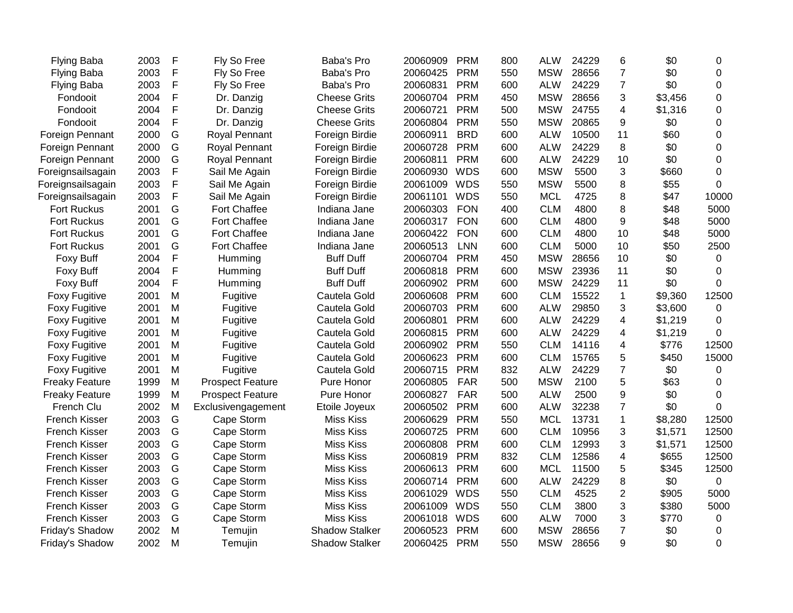| <b>Flying Baba</b>    | 2003 | F | Fly So Free             | Baba's Pro            | 20060909 | <b>PRM</b> | 800 | ALW        | 24229 | 6              | \$0     | 0           |
|-----------------------|------|---|-------------------------|-----------------------|----------|------------|-----|------------|-------|----------------|---------|-------------|
| <b>Flying Baba</b>    | 2003 | F | Fly So Free             | Baba's Pro            | 20060425 | <b>PRM</b> | 550 | <b>MSW</b> | 28656 | $\overline{7}$ | \$0     | $\mathbf 0$ |
| <b>Flying Baba</b>    | 2003 | F | Fly So Free             | Baba's Pro            | 20060831 | <b>PRM</b> | 600 | <b>ALW</b> | 24229 | $\overline{7}$ | \$0     | $\Omega$    |
| Fondooit              | 2004 | F | Dr. Danzig              | <b>Cheese Grits</b>   | 20060704 | <b>PRM</b> | 450 | <b>MSW</b> | 28656 | 3              | \$3,456 | $\Omega$    |
| Fondooit              | 2004 | F | Dr. Danzig              | <b>Cheese Grits</b>   | 20060721 | <b>PRM</b> | 500 | <b>MSW</b> | 24755 | 4              | \$1,316 | $\mathbf 0$ |
| Fondooit              | 2004 | F | Dr. Danzig              | <b>Cheese Grits</b>   | 20060804 | <b>PRM</b> | 550 | <b>MSW</b> | 20865 | 9              | \$0     | $\Omega$    |
| Foreign Pennant       | 2000 | G | Royal Pennant           | Foreign Birdie        | 20060911 | <b>BRD</b> | 600 | <b>ALW</b> | 10500 | 11             | \$60    | 0           |
| Foreign Pennant       | 2000 | G | Royal Pennant           | Foreign Birdie        | 20060728 | <b>PRM</b> | 600 | <b>ALW</b> | 24229 | 8              | \$0     | 0           |
| Foreign Pennant       | 2000 | G | Royal Pennant           | Foreign Birdie        | 20060811 | <b>PRM</b> | 600 | <b>ALW</b> | 24229 | 10             | \$0     | $\mathbf 0$ |
| Foreignsailsagain     | 2003 | F | Sail Me Again           | Foreign Birdie        | 20060930 | <b>WDS</b> | 600 | <b>MSW</b> | 5500  | 3              | \$660   | $\Omega$    |
| Foreignsailsagain     | 2003 | F | Sail Me Again           | Foreign Birdie        | 20061009 | <b>WDS</b> | 550 | <b>MSW</b> | 5500  | 8              | \$55    | $\Omega$    |
| Foreignsailsagain     | 2003 | F | Sail Me Again           | Foreign Birdie        | 20061101 | <b>WDS</b> | 550 | <b>MCL</b> | 4725  | 8              | \$47    | 10000       |
| Fort Ruckus           | 2001 | G | Fort Chaffee            | Indiana Jane          | 20060303 | <b>FON</b> | 400 | <b>CLM</b> | 4800  | 8              | \$48    | 5000        |
| <b>Fort Ruckus</b>    | 2001 | G | <b>Fort Chaffee</b>     | Indiana Jane          | 20060317 | <b>FON</b> | 600 | <b>CLM</b> | 4800  | 9              | \$48    | 5000        |
| Fort Ruckus           | 2001 | G | Fort Chaffee            | Indiana Jane          | 20060422 | <b>FON</b> | 600 | <b>CLM</b> | 4800  | 10             | \$48    | 5000        |
| Fort Ruckus           | 2001 | G | <b>Fort Chaffee</b>     | Indiana Jane          | 20060513 | <b>LNN</b> | 600 | <b>CLM</b> | 5000  | 10             | \$50    | 2500        |
| Foxy Buff             | 2004 | F | Humming                 | <b>Buff Duff</b>      | 20060704 | <b>PRM</b> | 450 | <b>MSW</b> | 28656 | 10             | \$0     | 0           |
| Foxy Buff             | 2004 | F | Humming                 | <b>Buff Duff</b>      | 20060818 | <b>PRM</b> | 600 | <b>MSW</b> | 23936 | 11             | \$0     | $\Omega$    |
| <b>Foxy Buff</b>      | 2004 | F | Humming                 | <b>Buff Duff</b>      | 20060902 | <b>PRM</b> | 600 | <b>MSW</b> | 24229 | 11             | \$0     | $\Omega$    |
| <b>Foxy Fugitive</b>  | 2001 | M | Fugitive                | Cautela Gold          | 20060608 | <b>PRM</b> | 600 | <b>CLM</b> | 15522 | 1              | \$9,360 | 12500       |
| Foxy Fugitive         | 2001 | M | Fugitive                | Cautela Gold          | 20060703 | <b>PRM</b> | 600 | <b>ALW</b> | 29850 | 3              | \$3,600 | $\Omega$    |
| <b>Foxy Fugitive</b>  | 2001 | M | Fugitive                | Cautela Gold          | 20060801 | <b>PRM</b> | 600 | <b>ALW</b> | 24229 | 4              | \$1,219 | $\Omega$    |
| Foxy Fugitive         | 2001 | M | Fugitive                | Cautela Gold          | 20060815 | <b>PRM</b> | 600 | <b>ALW</b> | 24229 | 4              | \$1,219 | 0           |
| <b>Foxy Fugitive</b>  | 2001 | M | Fugitive                | Cautela Gold          | 20060902 | <b>PRM</b> | 550 | <b>CLM</b> | 14116 | 4              | \$776   | 12500       |
| <b>Foxy Fugitive</b>  | 2001 | M | Fugitive                | Cautela Gold          | 20060623 | <b>PRM</b> | 600 | <b>CLM</b> | 15765 | 5              | \$450   | 15000       |
| <b>Foxy Fugitive</b>  | 2001 | M | Fugitive                | Cautela Gold          | 20060715 | <b>PRM</b> | 832 | <b>ALW</b> | 24229 | $\overline{7}$ | \$0     | 0           |
| <b>Freaky Feature</b> | 1999 | M | <b>Prospect Feature</b> | Pure Honor            | 20060805 | <b>FAR</b> | 500 | <b>MSW</b> | 2100  | 5              | \$63    | 0           |
| <b>Freaky Feature</b> | 1999 | M | <b>Prospect Feature</b> | Pure Honor            | 20060827 | <b>FAR</b> | 500 | <b>ALW</b> | 2500  | 9              | \$0     | $\Omega$    |
| French Clu            | 2002 | M | Exclusivengagement      | Etoile Joyeux         | 20060502 | <b>PRM</b> | 600 | <b>ALW</b> | 32238 | $\overline{7}$ | \$0     | 0           |
| French Kisser         | 2003 | G | Cape Storm              | <b>Miss Kiss</b>      | 20060629 | <b>PRM</b> | 550 | <b>MCL</b> | 13731 | 1              | \$8,280 | 12500       |
| French Kisser         | 2003 | G | Cape Storm              | <b>Miss Kiss</b>      | 20060725 | <b>PRM</b> | 600 | <b>CLM</b> | 10956 | 3              | \$1,571 | 12500       |
| French Kisser         | 2003 | G | Cape Storm              | <b>Miss Kiss</b>      | 20060808 | <b>PRM</b> | 600 | <b>CLM</b> | 12993 | 3              | \$1,571 | 12500       |
| French Kisser         | 2003 | G | Cape Storm              | <b>Miss Kiss</b>      | 20060819 | <b>PRM</b> | 832 | <b>CLM</b> | 12586 | $\overline{4}$ | \$655   | 12500       |
| French Kisser         | 2003 | G | Cape Storm              | <b>Miss Kiss</b>      | 20060613 | <b>PRM</b> | 600 | <b>MCL</b> | 11500 | 5              | \$345   | 12500       |
| French Kisser         | 2003 | G | Cape Storm              | <b>Miss Kiss</b>      | 20060714 | <b>PRM</b> | 600 | <b>ALW</b> | 24229 | 8              | \$0     | $\mathbf 0$ |
| French Kisser         | 2003 | G | Cape Storm              | <b>Miss Kiss</b>      | 20061029 | <b>WDS</b> | 550 | <b>CLM</b> | 4525  | $\overline{2}$ | \$905   | 5000        |
| <b>French Kisser</b>  | 2003 | G | Cape Storm              | <b>Miss Kiss</b>      | 20061009 | <b>WDS</b> | 550 | <b>CLM</b> | 3800  | 3              | \$380   | 5000        |
| <b>French Kisser</b>  | 2003 | G | Cape Storm              | <b>Miss Kiss</b>      | 20061018 | <b>WDS</b> | 600 | <b>ALW</b> | 7000  | 3              | \$770   | 0           |
| Friday's Shadow       | 2002 | M | Temujin                 | <b>Shadow Stalker</b> | 20060523 | <b>PRM</b> | 600 | <b>MSW</b> | 28656 | 7              | \$0     | 0           |
| Friday's Shadow       | 2002 | M | Temujin                 | <b>Shadow Stalker</b> | 20060425 | <b>PRM</b> | 550 | <b>MSW</b> | 28656 | 9              | \$0     | 0           |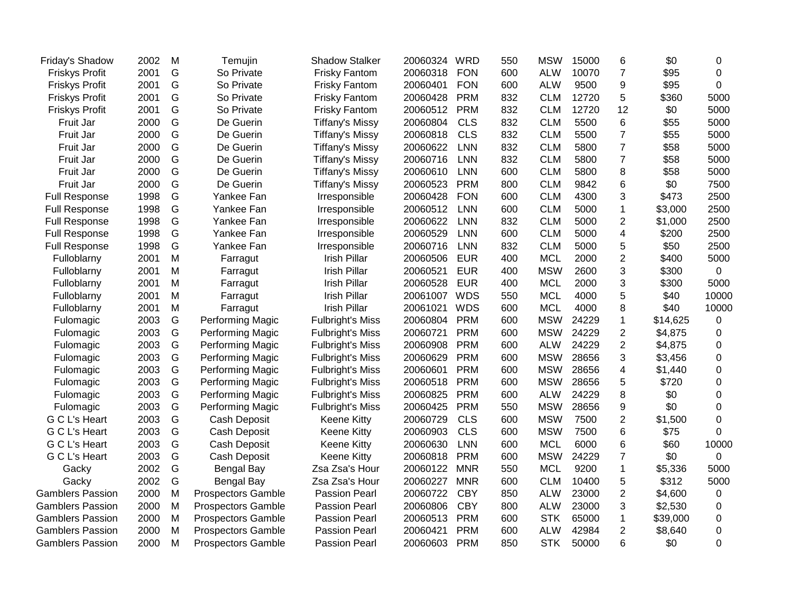| Friday's Shadow         | 2002 | M | Temujin                   | <b>Shadow Stalker</b>   | 20060324 | WRD        | 550 | <b>MSW</b> | 15000 | 6                       | \$0      | 0           |
|-------------------------|------|---|---------------------------|-------------------------|----------|------------|-----|------------|-------|-------------------------|----------|-------------|
| <b>Friskys Profit</b>   | 2001 | G | So Private                | <b>Frisky Fantom</b>    | 20060318 | <b>FON</b> | 600 | <b>ALW</b> | 10070 | $\overline{7}$          | \$95     | $\mathbf 0$ |
| <b>Friskys Profit</b>   | 2001 | G | So Private                | <b>Frisky Fantom</b>    | 20060401 | <b>FON</b> | 600 | <b>ALW</b> | 9500  | 9                       | \$95     | 0           |
| <b>Friskys Profit</b>   | 2001 | G | So Private                | <b>Frisky Fantom</b>    | 20060428 | <b>PRM</b> | 832 | <b>CLM</b> | 12720 | 5                       | \$360    | 5000        |
| <b>Friskys Profit</b>   | 2001 | G | So Private                | <b>Frisky Fantom</b>    | 20060512 | <b>PRM</b> | 832 | <b>CLM</b> | 12720 | 12                      | \$0      | 5000        |
| Fruit Jar               | 2000 | G | De Guerin                 | <b>Tiffany's Missy</b>  | 20060804 | <b>CLS</b> | 832 | <b>CLM</b> | 5500  | 6                       | \$55     | 5000        |
| Fruit Jar               | 2000 | G | De Guerin                 | <b>Tiffany's Missy</b>  | 20060818 | <b>CLS</b> | 832 | <b>CLM</b> | 5500  | $\overline{7}$          | \$55     | 5000        |
| Fruit Jar               | 2000 | G | De Guerin                 | <b>Tiffany's Missy</b>  | 20060622 | <b>LNN</b> | 832 | <b>CLM</b> | 5800  | $\overline{7}$          | \$58     | 5000        |
| Fruit Jar               | 2000 | G | De Guerin                 | <b>Tiffany's Missy</b>  | 20060716 | <b>LNN</b> | 832 | <b>CLM</b> | 5800  | $\overline{7}$          | \$58     | 5000        |
| Fruit Jar               | 2000 | G | De Guerin                 | <b>Tiffany's Missy</b>  | 20060610 | LNN        | 600 | <b>CLM</b> | 5800  | 8                       | \$58     | 5000        |
| Fruit Jar               | 2000 | G | De Guerin                 | <b>Tiffany's Missy</b>  | 20060523 | <b>PRM</b> | 800 | <b>CLM</b> | 9842  | 6                       | \$0      | 7500        |
| <b>Full Response</b>    | 1998 | G | Yankee Fan                | Irresponsible           | 20060428 | <b>FON</b> | 600 | <b>CLM</b> | 4300  | 3                       | \$473    | 2500        |
| <b>Full Response</b>    | 1998 | G | Yankee Fan                | Irresponsible           | 20060512 | <b>LNN</b> | 600 | <b>CLM</b> | 5000  | $\mathbf 1$             | \$3,000  | 2500        |
| <b>Full Response</b>    | 1998 | G | Yankee Fan                | Irresponsible           | 20060622 | <b>LNN</b> | 832 | <b>CLM</b> | 5000  | $\overline{c}$          | \$1,000  | 2500        |
| <b>Full Response</b>    | 1998 | G | Yankee Fan                | Irresponsible           | 20060529 | <b>LNN</b> | 600 | <b>CLM</b> | 5000  | $\overline{\mathbf{4}}$ | \$200    | 2500        |
| <b>Full Response</b>    | 1998 | G | Yankee Fan                | Irresponsible           | 20060716 | <b>LNN</b> | 832 | <b>CLM</b> | 5000  | 5                       | \$50     | 2500        |
| Fulloblarny             | 2001 | M | Farragut                  | Irish Pillar            | 20060506 | <b>EUR</b> | 400 | <b>MCL</b> | 2000  | $\overline{c}$          | \$400    | 5000        |
| Fulloblarny             | 2001 | M | Farragut                  | Irish Pillar            | 20060521 | <b>EUR</b> | 400 | <b>MSW</b> | 2600  | 3                       | \$300    | $\mathbf 0$ |
| Fulloblarny             | 2001 | M | Farragut                  | <b>Irish Pillar</b>     | 20060528 | <b>EUR</b> | 400 | <b>MCL</b> | 2000  | 3                       | \$300    | 5000        |
| Fulloblarny             | 2001 | M | Farragut                  | <b>Irish Pillar</b>     | 20061007 | <b>WDS</b> | 550 | <b>MCL</b> | 4000  | 5                       | \$40     | 10000       |
| Fulloblarny             | 2001 | M | Farragut                  | <b>Irish Pillar</b>     | 20061021 | <b>WDS</b> | 600 | <b>MCL</b> | 4000  | 8                       | \$40     | 10000       |
| Fulomagic               | 2003 | G | Performing Magic          | <b>Fulbright's Miss</b> | 20060804 | <b>PRM</b> | 600 | <b>MSW</b> | 24229 | $\mathbf{1}$            | \$14,625 | 0           |
| Fulomagic               | 2003 | G | Performing Magic          | <b>Fulbright's Miss</b> | 20060721 | <b>PRM</b> | 600 | <b>MSW</b> | 24229 | $\overline{c}$          | \$4,875  | 0           |
| Fulomagic               | 2003 | G | Performing Magic          | <b>Fulbright's Miss</b> | 20060908 | <b>PRM</b> | 600 | <b>ALW</b> | 24229 | $\overline{c}$          | \$4,875  | 0           |
| Fulomagic               | 2003 | G | Performing Magic          | <b>Fulbright's Miss</b> | 20060629 | <b>PRM</b> | 600 | <b>MSW</b> | 28656 | 3                       | \$3,456  | 0           |
| Fulomagic               | 2003 | G | Performing Magic          | <b>Fulbright's Miss</b> | 20060601 | <b>PRM</b> | 600 | <b>MSW</b> | 28656 | 4                       | \$1,440  | 0           |
| Fulomagic               | 2003 | G | Performing Magic          | <b>Fulbright's Miss</b> | 20060518 | <b>PRM</b> | 600 | <b>MSW</b> | 28656 | 5                       | \$720    | 0           |
| Fulomagic               | 2003 | G | Performing Magic          | <b>Fulbright's Miss</b> | 20060825 | <b>PRM</b> | 600 | <b>ALW</b> | 24229 | 8                       | \$0      | 0           |
| Fulomagic               | 2003 | G | <b>Performing Magic</b>   | <b>Fulbright's Miss</b> | 20060425 | <b>PRM</b> | 550 | <b>MSW</b> | 28656 | 9                       | \$0      | 0           |
| G C L's Heart           | 2003 | G | Cash Deposit              | Keene Kitty             | 20060729 | <b>CLS</b> | 600 | <b>MSW</b> | 7500  | $\overline{c}$          | \$1,500  | $\mathbf 0$ |
| G C L's Heart           | 2003 | G | Cash Deposit              | Keene Kitty             | 20060903 | <b>CLS</b> | 600 | <b>MSW</b> | 7500  | 6                       | \$75     | 0           |
| G C L's Heart           | 2003 | G | Cash Deposit              | Keene Kitty             | 20060630 | <b>LNN</b> | 600 | <b>MCL</b> | 6000  | $\,6$                   | \$60     | 10000       |
| G C L's Heart           | 2003 | G | Cash Deposit              | Keene Kitty             | 20060818 | <b>PRM</b> | 600 | <b>MSW</b> | 24229 | $\overline{7}$          | \$0      | 0           |
| Gacky                   | 2002 | G | Bengal Bay                | Zsa Zsa's Hour          | 20060122 | <b>MNR</b> | 550 | <b>MCL</b> | 9200  | $\mathbf{1}$            | \$5,336  | 5000        |
| Gacky                   | 2002 | G | Bengal Bay                | Zsa Zsa's Hour          | 20060227 | <b>MNR</b> | 600 | <b>CLM</b> | 10400 | 5                       | \$312    | 5000        |
| <b>Gamblers Passion</b> | 2000 | M | <b>Prospectors Gamble</b> | <b>Passion Pearl</b>    | 20060722 | <b>CBY</b> | 850 | <b>ALW</b> | 23000 | $\overline{2}$          | \$4,600  | 0           |
| <b>Gamblers Passion</b> | 2000 | M | <b>Prospectors Gamble</b> | <b>Passion Pearl</b>    | 20060806 | <b>CBY</b> | 800 | <b>ALW</b> | 23000 | 3                       | \$2,530  | 0           |
| <b>Gamblers Passion</b> | 2000 | M | <b>Prospectors Gamble</b> | <b>Passion Pearl</b>    | 20060513 | <b>PRM</b> | 600 | <b>STK</b> | 65000 | $\mathbf{1}$            | \$39,000 | $\pmb{0}$   |
| <b>Gamblers Passion</b> | 2000 | M | <b>Prospectors Gamble</b> | <b>Passion Pearl</b>    | 20060421 | <b>PRM</b> | 600 | <b>ALW</b> | 42984 | $\overline{2}$          | \$8,640  | 0           |
| <b>Gamblers Passion</b> | 2000 | M | <b>Prospectors Gamble</b> | <b>Passion Pearl</b>    | 20060603 | <b>PRM</b> | 850 | <b>STK</b> | 50000 | 6                       | \$0      | 0           |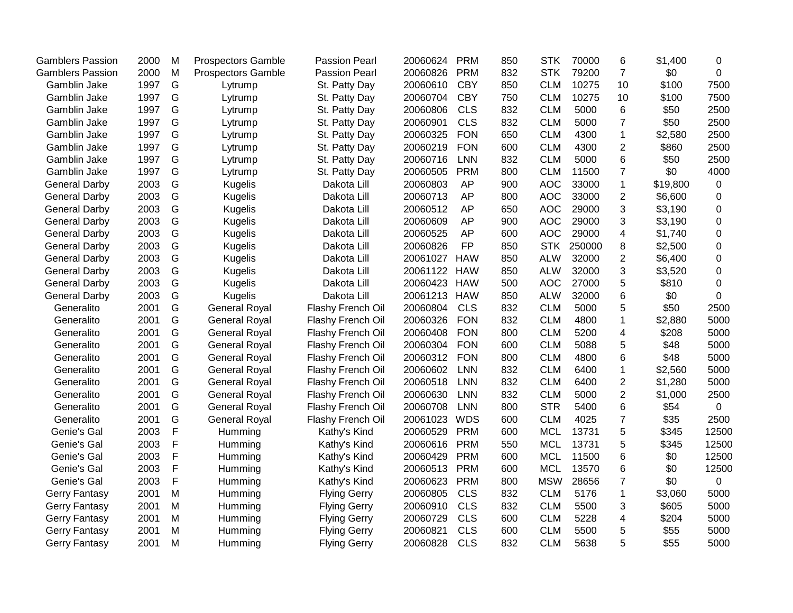| <b>Gamblers Passion</b> | 2000 | M           | <b>Prospectors Gamble</b> | <b>Passion Pearl</b> | 20060624     | <b>PRM</b> | 850 | <b>STK</b> | 70000  | 6                       | \$1,400  | 0           |
|-------------------------|------|-------------|---------------------------|----------------------|--------------|------------|-----|------------|--------|-------------------------|----------|-------------|
| <b>Gamblers Passion</b> | 2000 | M           | Prospectors Gamble        | <b>Passion Pearl</b> | 20060826     | <b>PRM</b> | 832 | <b>STK</b> | 79200  | $\overline{7}$          | \$0      | 0           |
| Gamblin Jake            | 1997 | G           | Lytrump                   | St. Patty Day        | 20060610     | <b>CBY</b> | 850 | <b>CLM</b> | 10275  | 10                      | \$100    | 7500        |
| Gamblin Jake            | 1997 | G           | Lytrump                   | St. Patty Day        | 20060704     | <b>CBY</b> | 750 | <b>CLM</b> | 10275  | 10                      | \$100    | 7500        |
| Gamblin Jake            | 1997 | G           | Lytrump                   | St. Patty Day        | 20060806     | <b>CLS</b> | 832 | <b>CLM</b> | 5000   | 6                       | \$50     | 2500        |
| Gamblin Jake            | 1997 | G           | Lytrump                   | St. Patty Day        | 20060901     | <b>CLS</b> | 832 | <b>CLM</b> | 5000   | $\overline{7}$          | \$50     | 2500        |
| Gamblin Jake            | 1997 | G           | Lytrump                   | St. Patty Day        | 20060325     | <b>FON</b> | 650 | <b>CLM</b> | 4300   | $\mathbf{1}$            | \$2,580  | 2500        |
| Gamblin Jake            | 1997 | G           | Lytrump                   | St. Patty Day        | 20060219     | <b>FON</b> | 600 | <b>CLM</b> | 4300   | $\overline{2}$          | \$860    | 2500        |
| Gamblin Jake            | 1997 | G           | Lytrump                   | St. Patty Day        | 20060716     | <b>LNN</b> | 832 | <b>CLM</b> | 5000   | $6\phantom{1}6$         | \$50     | 2500        |
| Gamblin Jake            | 1997 | G           | Lytrump                   | St. Patty Day        | 20060505     | <b>PRM</b> | 800 | <b>CLM</b> | 11500  | $\overline{7}$          | \$0      | 4000        |
| <b>General Darby</b>    | 2003 | G           | <b>Kugelis</b>            | Dakota Lill          | 20060803     | <b>AP</b>  | 900 | <b>AOC</b> | 33000  | 1                       | \$19,800 | 0           |
| <b>General Darby</b>    | 2003 | G           | <b>Kugelis</b>            | Dakota Lill          | 20060713     | AP         | 800 | <b>AOC</b> | 33000  | $\overline{2}$          | \$6,600  | 0           |
| <b>General Darby</b>    | 2003 | G           | <b>Kugelis</b>            | Dakota Lill          | 20060512     | AP         | 650 | <b>AOC</b> | 29000  | 3                       | \$3,190  | 0           |
| <b>General Darby</b>    | 2003 | G           | <b>Kugelis</b>            | Dakota Lill          | 20060609     | AP         | 900 | <b>AOC</b> | 29000  | 3                       | \$3,190  | $\mathbf 0$ |
| <b>General Darby</b>    | 2003 | G           | <b>Kugelis</b>            | Dakota Lill          | 20060525     | AP         | 600 | <b>AOC</b> | 29000  | $\overline{\mathbf{4}}$ | \$1,740  | $\mathbf 0$ |
| <b>General Darby</b>    | 2003 | G           | <b>Kugelis</b>            | Dakota Lill          | 20060826     | <b>FP</b>  | 850 | <b>STK</b> | 250000 | 8                       | \$2,500  | 0           |
| <b>General Darby</b>    | 2003 | G           | Kugelis                   | Dakota Lill          | 20061027     | <b>HAW</b> | 850 | <b>ALW</b> | 32000  | $\overline{2}$          | \$6,400  | 0           |
| <b>General Darby</b>    | 2003 | G           | <b>Kugelis</b>            | Dakota Lill          | 20061122     | <b>HAW</b> | 850 | <b>ALW</b> | 32000  | 3                       | \$3,520  | 0           |
| <b>General Darby</b>    | 2003 | G           | <b>Kugelis</b>            | Dakota Lill          | 20060423 HAW |            | 500 | <b>AOC</b> | 27000  | 5                       | \$810    | $\mathbf 0$ |
| <b>General Darby</b>    | 2003 | G           | <b>Kugelis</b>            | Dakota Lill          | 20061213 HAW |            | 850 | <b>ALW</b> | 32000  | 6                       | \$0      | 0           |
| Generalito              | 2001 | G           | <b>General Royal</b>      | Flashy French Oil    | 20060804     | <b>CLS</b> | 832 | <b>CLM</b> | 5000   | 5                       | \$50     | 2500        |
| Generalito              | 2001 | G           | <b>General Royal</b>      | Flashy French Oil    | 20060326     | <b>FON</b> | 832 | <b>CLM</b> | 4800   | $\mathbf{1}$            | \$2,880  | 5000        |
| Generalito              | 2001 | G           | <b>General Royal</b>      | Flashy French Oil    | 20060408     | <b>FON</b> | 800 | <b>CLM</b> | 5200   | $\overline{\mathbf{4}}$ | \$208    | 5000        |
| Generalito              | 2001 | G           | <b>General Royal</b>      | Flashy French Oil    | 20060304     | <b>FON</b> | 600 | <b>CLM</b> | 5088   | 5                       | \$48     | 5000        |
| Generalito              | 2001 | G           | <b>General Royal</b>      | Flashy French Oil    | 20060312     | <b>FON</b> | 800 | <b>CLM</b> | 4800   | 6                       | \$48     | 5000        |
| Generalito              | 2001 | G           | <b>General Royal</b>      | Flashy French Oil    | 20060602     | <b>LNN</b> | 832 | <b>CLM</b> | 6400   | $\mathbf 1$             | \$2,560  | 5000        |
| Generalito              | 2001 | G           | <b>General Royal</b>      | Flashy French Oil    | 20060518     | <b>LNN</b> | 832 | <b>CLM</b> | 6400   | $\overline{2}$          | \$1,280  | 5000        |
| Generalito              | 2001 | G           | <b>General Royal</b>      | Flashy French Oil    | 20060630     | <b>LNN</b> | 832 | <b>CLM</b> | 5000   | $\overline{2}$          | \$1,000  | 2500        |
| Generalito              | 2001 | G           | <b>General Royal</b>      | Flashy French Oil    | 20060708     | <b>LNN</b> | 800 | <b>STR</b> | 5400   | 6                       | \$54     | $\mathbf 0$ |
| Generalito              | 2001 | G           | <b>General Royal</b>      | Flashy French Oil    | 20061023     | <b>WDS</b> | 600 | <b>CLM</b> | 4025   | $\overline{7}$          | \$35     | 2500        |
| Genie's Gal             | 2003 | $\mathsf F$ | Humming                   | Kathy's Kind         | 20060529     | <b>PRM</b> | 600 | <b>MCL</b> | 13731  | 5                       | \$345    | 12500       |
| Genie's Gal             | 2003 | $\mathsf F$ | Humming                   | Kathy's Kind         | 20060616     | <b>PRM</b> | 550 | <b>MCL</b> | 13731  | 5                       | \$345    | 12500       |
| Genie's Gal             | 2003 | $\mathsf F$ | Humming                   | Kathy's Kind         | 20060429     | <b>PRM</b> | 600 | <b>MCL</b> | 11500  | 6                       | \$0      | 12500       |
| Genie's Gal             | 2003 | $\mathsf F$ | Humming                   | Kathy's Kind         | 20060513     | <b>PRM</b> | 600 | <b>MCL</b> | 13570  | 6                       | \$0      | 12500       |
| Genie's Gal             | 2003 | F           | Humming                   | Kathy's Kind         | 20060623     | <b>PRM</b> | 800 | <b>MSW</b> | 28656  | $\overline{7}$          | \$0      | 0           |
| Gerry Fantasy           | 2001 | M           | Humming                   | <b>Flying Gerry</b>  | 20060805     | <b>CLS</b> | 832 | <b>CLM</b> | 5176   | $\mathbf{1}$            | \$3,060  | 5000        |
| <b>Gerry Fantasy</b>    | 2001 | M           | Humming                   | <b>Flying Gerry</b>  | 20060910     | <b>CLS</b> | 832 | <b>CLM</b> | 5500   | 3                       | \$605    | 5000        |
| <b>Gerry Fantasy</b>    | 2001 | M           | Humming                   | <b>Flying Gerry</b>  | 20060729     | <b>CLS</b> | 600 | <b>CLM</b> | 5228   | $\overline{\mathbf{4}}$ | \$204    | 5000        |
| <b>Gerry Fantasy</b>    | 2001 | M           | Humming                   | <b>Flying Gerry</b>  | 20060821     | <b>CLS</b> | 600 | <b>CLM</b> | 5500   | 5                       | \$55     | 5000        |
| <b>Gerry Fantasy</b>    | 2001 | M           | Humming                   | <b>Flying Gerry</b>  | 20060828     | <b>CLS</b> | 832 | <b>CLM</b> | 5638   | 5                       | \$55     | 5000        |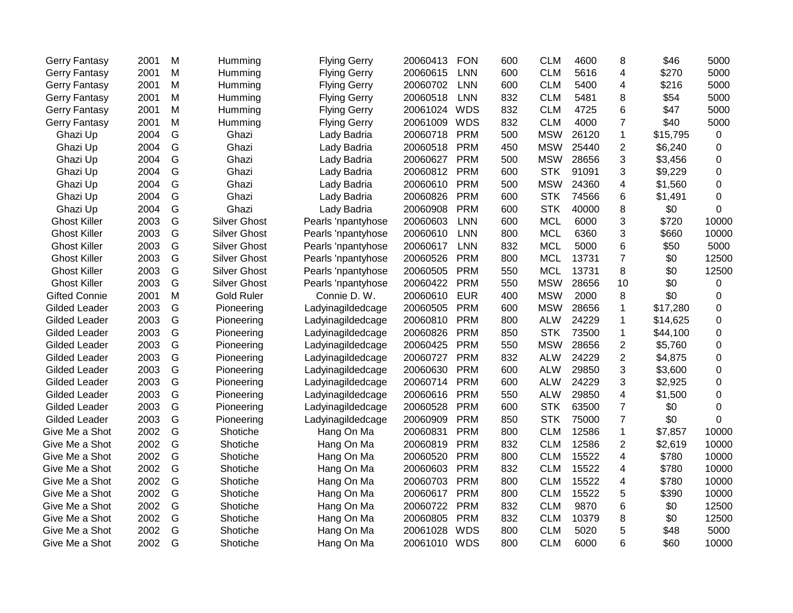| Gerry Fantasy        | 2001 | M | Humming             | <b>Flying Gerry</b> | 20060413     | <b>FON</b> | 600 | <b>CLM</b> | 4600  | 8              | \$46     | 5000     |
|----------------------|------|---|---------------------|---------------------|--------------|------------|-----|------------|-------|----------------|----------|----------|
| <b>Gerry Fantasy</b> | 2001 | M | Humming             | <b>Flying Gerry</b> | 20060615     | LNN        | 600 | <b>CLM</b> | 5616  | 4              | \$270    | 5000     |
| <b>Gerry Fantasy</b> | 2001 | M | Humming             | <b>Flying Gerry</b> | 20060702     | <b>LNN</b> | 600 | <b>CLM</b> | 5400  | 4              | \$216    | 5000     |
| Gerry Fantasy        | 2001 | M | Humming             | <b>Flying Gerry</b> | 20060518     | <b>LNN</b> | 832 | <b>CLM</b> | 5481  | 8              | \$54     | 5000     |
| <b>Gerry Fantasy</b> | 2001 | M | Humming             | <b>Flying Gerry</b> | 20061024     | <b>WDS</b> | 832 | <b>CLM</b> | 4725  | 6              | \$47     | 5000     |
| <b>Gerry Fantasy</b> | 2001 | M | Humming             | <b>Flying Gerry</b> | 20061009     | <b>WDS</b> | 832 | <b>CLM</b> | 4000  | $\overline{7}$ | \$40     | 5000     |
| Ghazi Up             | 2004 | G | Ghazi               | Lady Badria         | 20060718     | <b>PRM</b> | 500 | <b>MSW</b> | 26120 | 1              | \$15,795 | 0        |
| Ghazi Up             | 2004 | G | Ghazi               | Lady Badria         | 20060518     | <b>PRM</b> | 450 | <b>MSW</b> | 25440 | $\overline{2}$ | \$6,240  | 0        |
| Ghazi Up             | 2004 | G | Ghazi               | Lady Badria         | 20060627     | <b>PRM</b> | 500 | <b>MSW</b> | 28656 | 3              | \$3,456  | 0        |
| Ghazi Up             | 2004 | G | Ghazi               | Lady Badria         | 20060812     | <b>PRM</b> | 600 | <b>STK</b> | 91091 | 3              | \$9,229  | 0        |
| Ghazi Up             | 2004 | G | Ghazi               | Lady Badria         | 20060610     | <b>PRM</b> | 500 | <b>MSW</b> | 24360 | 4              | \$1,560  | 0        |
| Ghazi Up             | 2004 | G | Ghazi               | Lady Badria         | 20060826     | <b>PRM</b> | 600 | <b>STK</b> | 74566 | 6              | \$1,491  | 0        |
| Ghazi Up             | 2004 | G | Ghazi               | Lady Badria         | 20060908     | <b>PRM</b> | 600 | <b>STK</b> | 40000 | 8              | \$0      | 0        |
| <b>Ghost Killer</b>  | 2003 | G | <b>Silver Ghost</b> | Pearls 'npantyhose  | 20060603     | <b>LNN</b> | 600 | <b>MCL</b> | 6000  | 3              | \$720    | 10000    |
| <b>Ghost Killer</b>  | 2003 | G | <b>Silver Ghost</b> | Pearls 'npantyhose  | 20060610     | <b>LNN</b> | 800 | <b>MCL</b> | 6360  | 3              | \$660    | 10000    |
| <b>Ghost Killer</b>  | 2003 | G | <b>Silver Ghost</b> | Pearls 'npantyhose  | 20060617     | LNN        | 832 | <b>MCL</b> | 5000  | 6              | \$50     | 5000     |
| <b>Ghost Killer</b>  | 2003 | G | <b>Silver Ghost</b> | Pearls 'npantyhose  | 20060526     | <b>PRM</b> | 800 | <b>MCL</b> | 13731 | $\overline{7}$ | \$0      | 12500    |
| <b>Ghost Killer</b>  | 2003 | G | <b>Silver Ghost</b> | Pearls 'npantyhose  | 20060505     | <b>PRM</b> | 550 | <b>MCL</b> | 13731 | 8              | \$0      | 12500    |
| <b>Ghost Killer</b>  | 2003 | G | <b>Silver Ghost</b> | Pearls 'npantyhose  | 20060422     | <b>PRM</b> | 550 | <b>MSW</b> | 28656 | 10             | \$0      | 0        |
| <b>Gifted Connie</b> | 2001 | M | <b>Gold Ruler</b>   | Connie D. W.        | 20060610     | <b>EUR</b> | 400 | <b>MSW</b> | 2000  | 8              | \$0      | 0        |
| Gilded Leader        | 2003 | G | Pioneering          | Ladyinagildedcage   | 20060505     | <b>PRM</b> | 600 | <b>MSW</b> | 28656 | 1              | \$17,280 | 0        |
| <b>Gilded Leader</b> | 2003 | G | Pioneering          | Ladyinagildedcage   | 20060810     | <b>PRM</b> | 800 | <b>ALW</b> | 24229 | $\mathbf 1$    | \$14,625 | 0        |
| <b>Gilded Leader</b> | 2003 | G | Pioneering          | Ladyinagildedcage   | 20060826     | <b>PRM</b> | 850 | <b>STK</b> | 73500 | 1              | \$44,100 | 0        |
| <b>Gilded Leader</b> | 2003 | G | Pioneering          | Ladyinagildedcage   | 20060425     | <b>PRM</b> | 550 | <b>MSW</b> | 28656 | $\overline{2}$ | \$5,760  | 0        |
| <b>Gilded Leader</b> | 2003 | G | Pioneering          | Ladyinagildedcage   | 20060727     | <b>PRM</b> | 832 | <b>ALW</b> | 24229 | $\overline{2}$ | \$4,875  | $\Omega$ |
| <b>Gilded Leader</b> | 2003 | G | Pioneering          | Ladyinagildedcage   | 20060630     | <b>PRM</b> | 600 | <b>ALW</b> | 29850 | 3              | \$3,600  | 0        |
| Gilded Leader        | 2003 | G | Pioneering          | Ladyinagildedcage   | 20060714     | <b>PRM</b> | 600 | <b>ALW</b> | 24229 | 3              | \$2,925  | 0        |
| <b>Gilded Leader</b> | 2003 | G | Pioneering          | Ladyinagildedcage   | 20060616     | <b>PRM</b> | 550 | <b>ALW</b> | 29850 | 4              | \$1,500  | 0        |
| Gilded Leader        | 2003 | G | Pioneering          | Ladyinagildedcage   | 20060528     | <b>PRM</b> | 600 | <b>STK</b> | 63500 | $\overline{7}$ | \$0      | $\Omega$ |
| <b>Gilded Leader</b> | 2003 | G | Pioneering          | Ladyinagildedcage   | 20060909     | <b>PRM</b> | 850 | <b>STK</b> | 75000 | $\overline{7}$ | \$0      | 0        |
| Give Me a Shot       | 2002 | G | Shotiche            | Hang On Ma          | 20060831     | <b>PRM</b> | 800 | <b>CLM</b> | 12586 | $\mathbf{1}$   | \$7,857  | 10000    |
| Give Me a Shot       | 2002 | G | Shotiche            | Hang On Ma          | 20060819     | <b>PRM</b> | 832 | <b>CLM</b> | 12586 | $\overline{c}$ | \$2,619  | 10000    |
| Give Me a Shot       | 2002 | G | Shotiche            | Hang On Ma          | 20060520     | <b>PRM</b> | 800 | <b>CLM</b> | 15522 | 4              | \$780    | 10000    |
| Give Me a Shot       | 2002 | G | Shotiche            | Hang On Ma          | 20060603     | <b>PRM</b> | 832 | <b>CLM</b> | 15522 | 4              | \$780    | 10000    |
| Give Me a Shot       | 2002 | G | Shotiche            | Hang On Ma          | 20060703     | <b>PRM</b> | 800 | <b>CLM</b> | 15522 | 4              | \$780    | 10000    |
| Give Me a Shot       | 2002 | G | Shotiche            | Hang On Ma          | 20060617     | <b>PRM</b> | 800 | <b>CLM</b> | 15522 | 5              | \$390    | 10000    |
| Give Me a Shot       | 2002 | G | Shotiche            | Hang On Ma          | 20060722     | <b>PRM</b> | 832 | <b>CLM</b> | 9870  | 6              | \$0      | 12500    |
| Give Me a Shot       | 2002 | G | Shotiche            | Hang On Ma          | 20060805     | <b>PRM</b> | 832 | <b>CLM</b> | 10379 | 8              | \$0      | 12500    |
| Give Me a Shot       | 2002 | G | Shotiche            | Hang On Ma          | 20061028     | <b>WDS</b> | 800 | <b>CLM</b> | 5020  | 5              | \$48     | 5000     |
| Give Me a Shot       | 2002 | G | Shotiche            | Hang On Ma          | 20061010 WDS |            | 800 | <b>CLM</b> | 6000  | 6              | \$60     | 10000    |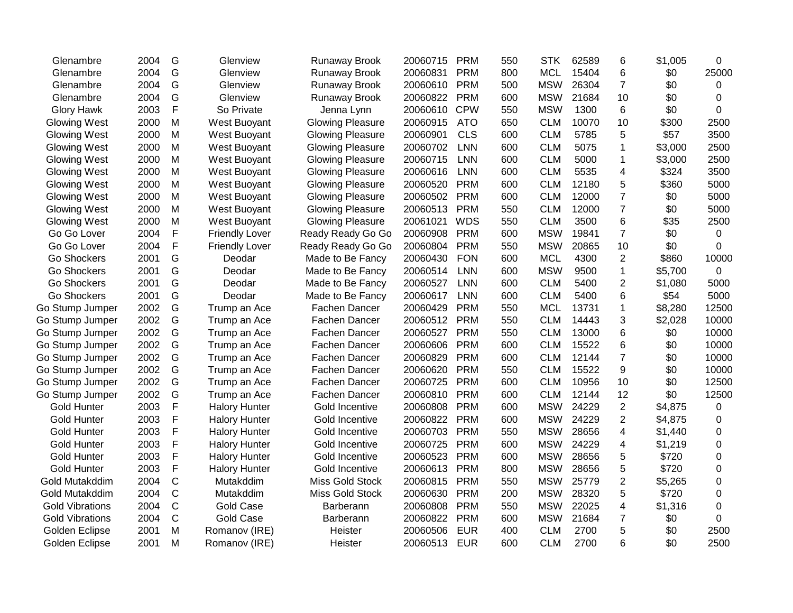| Glenambre              | 2004 | G            | Glenview              | Runaway Brook           | 20060715 | <b>PRM</b> | 550 | <b>STK</b> | 62589 | 6              | \$1,005 | 0           |
|------------------------|------|--------------|-----------------------|-------------------------|----------|------------|-----|------------|-------|----------------|---------|-------------|
| Glenambre              | 2004 | G            | Glenview              | <b>Runaway Brook</b>    | 20060831 | <b>PRM</b> | 800 | <b>MCL</b> | 15404 | 6              | \$0     | 25000       |
| Glenambre              | 2004 | G            | Glenview              | <b>Runaway Brook</b>    | 20060610 | <b>PRM</b> | 500 | <b>MSW</b> | 26304 | $\overline{7}$ | \$0     | 0           |
| Glenambre              | 2004 | G            | Glenview              | <b>Runaway Brook</b>    | 20060822 | <b>PRM</b> | 600 | <b>MSW</b> | 21684 | 10             | \$0     | $\Omega$    |
| <b>Glory Hawk</b>      | 2003 | F            | So Private            | Jenna Lynn              | 20060610 | <b>CPW</b> | 550 | <b>MSW</b> | 1300  | 6              | \$0     | $\Omega$    |
| Glowing West           | 2000 | M            | West Buoyant          | <b>Glowing Pleasure</b> | 20060915 | <b>ATO</b> | 650 | <b>CLM</b> | 10070 | 10             | \$300   | 2500        |
| Glowing West           | 2000 | M            | West Buoyant          | <b>Glowing Pleasure</b> | 20060901 | <b>CLS</b> | 600 | <b>CLM</b> | 5785  | 5              | \$57    | 3500        |
| Glowing West           | 2000 | M            | West Buoyant          | <b>Glowing Pleasure</b> | 20060702 | <b>LNN</b> | 600 | <b>CLM</b> | 5075  | 1              | \$3,000 | 2500        |
| Glowing West           | 2000 | M            | West Buoyant          | <b>Glowing Pleasure</b> | 20060715 | <b>LNN</b> | 600 | <b>CLM</b> | 5000  | 1              | \$3,000 | 2500        |
| Glowing West           | 2000 | M            | West Buoyant          | <b>Glowing Pleasure</b> | 20060616 | <b>LNN</b> | 600 | <b>CLM</b> | 5535  | 4              | \$324   | 3500        |
| Glowing West           | 2000 | M            | <b>West Buoyant</b>   | <b>Glowing Pleasure</b> | 20060520 | <b>PRM</b> | 600 | <b>CLM</b> | 12180 | 5              | \$360   | 5000        |
| Glowing West           | 2000 | M            | West Buoyant          | <b>Glowing Pleasure</b> | 20060502 | <b>PRM</b> | 600 | <b>CLM</b> | 12000 | $\overline{7}$ | \$0     | 5000        |
| <b>Glowing West</b>    | 2000 | M            | West Buoyant          | <b>Glowing Pleasure</b> | 20060513 | <b>PRM</b> | 550 | <b>CLM</b> | 12000 | $\overline{7}$ | \$0     | 5000        |
| Glowing West           | 2000 | M            | West Buoyant          | <b>Glowing Pleasure</b> | 20061021 | <b>WDS</b> | 550 | <b>CLM</b> | 3500  | 6              | \$35    | 2500        |
| Go Go Lover            | 2004 | $\mathsf{F}$ | <b>Friendly Lover</b> | Ready Ready Go Go       | 20060908 | <b>PRM</b> | 600 | <b>MSW</b> | 19841 | $\overline{7}$ | \$0     | 0           |
| Go Go Lover            | 2004 | $\mathsf F$  | <b>Friendly Lover</b> | Ready Ready Go Go       | 20060804 | <b>PRM</b> | 550 | <b>MSW</b> | 20865 | 10             | \$0     | $\Omega$    |
| <b>Go Shockers</b>     | 2001 | G            | Deodar                | Made to Be Fancy        | 20060430 | <b>FON</b> | 600 | <b>MCL</b> | 4300  | $\overline{2}$ | \$860   | 10000       |
| <b>Go Shockers</b>     | 2001 | G            | Deodar                | Made to Be Fancy        | 20060514 | <b>LNN</b> | 600 | <b>MSW</b> | 9500  | $\mathbf 1$    | \$5,700 | $\mathbf 0$ |
| Go Shockers            | 2001 | G            | Deodar                | Made to Be Fancy        | 20060527 | <b>LNN</b> | 600 | <b>CLM</b> | 5400  | $\overline{2}$ | \$1,080 | 5000        |
| <b>Go Shockers</b>     | 2001 | G            | Deodar                | Made to Be Fancy        | 20060617 | <b>LNN</b> | 600 | <b>CLM</b> | 5400  | 6              | \$54    | 5000        |
| Go Stump Jumper        | 2002 | G            | Trump an Ace          | Fachen Dancer           | 20060429 | <b>PRM</b> | 550 | <b>MCL</b> | 13731 | 1              | \$8,280 | 12500       |
| Go Stump Jumper        | 2002 | G            | Trump an Ace          | Fachen Dancer           | 20060512 | <b>PRM</b> | 550 | <b>CLM</b> | 14443 | 3              | \$2,028 | 10000       |
| Go Stump Jumper        | 2002 | G            | Trump an Ace          | Fachen Dancer           | 20060527 | <b>PRM</b> | 550 | <b>CLM</b> | 13000 | 6              | \$0     | 10000       |
| Go Stump Jumper        | 2002 | G            | Trump an Ace          | Fachen Dancer           | 20060606 | <b>PRM</b> | 600 | <b>CLM</b> | 15522 | 6              | \$0     | 10000       |
| Go Stump Jumper        | 2002 | G            | Trump an Ace          | Fachen Dancer           | 20060829 | <b>PRM</b> | 600 | <b>CLM</b> | 12144 | $\overline{7}$ | \$0     | 10000       |
| Go Stump Jumper        | 2002 | G            | Trump an Ace          | <b>Fachen Dancer</b>    | 20060620 | <b>PRM</b> | 550 | <b>CLM</b> | 15522 | 9              | \$0     | 10000       |
| Go Stump Jumper        | 2002 | G            | Trump an Ace          | Fachen Dancer           | 20060725 | <b>PRM</b> | 600 | <b>CLM</b> | 10956 | 10             | \$0     | 12500       |
| Go Stump Jumper        | 2002 | G            | Trump an Ace          | <b>Fachen Dancer</b>    | 20060810 | <b>PRM</b> | 600 | <b>CLM</b> | 12144 | 12             | \$0     | 12500       |
| Gold Hunter            | 2003 | F            | <b>Halory Hunter</b>  | Gold Incentive          | 20060808 | <b>PRM</b> | 600 | <b>MSW</b> | 24229 | 2              | \$4,875 | 0           |
| <b>Gold Hunter</b>     | 2003 | $\mathsf F$  | <b>Halory Hunter</b>  | Gold Incentive          | 20060822 | <b>PRM</b> | 600 | <b>MSW</b> | 24229 | $\overline{2}$ | \$4,875 | 0           |
| <b>Gold Hunter</b>     | 2003 | F            | <b>Halory Hunter</b>  | Gold Incentive          | 20060703 | <b>PRM</b> | 550 | <b>MSW</b> | 28656 | 4              | \$1,440 | 0           |
| <b>Gold Hunter</b>     | 2003 | $\mathsf F$  | <b>Halory Hunter</b>  | Gold Incentive          | 20060725 | <b>PRM</b> | 600 | <b>MSW</b> | 24229 | 4              | \$1,219 | 0           |
| <b>Gold Hunter</b>     | 2003 | F            | <b>Halory Hunter</b>  | Gold Incentive          | 20060523 | <b>PRM</b> | 600 | <b>MSW</b> | 28656 | 5              | \$720   | 0           |
| <b>Gold Hunter</b>     | 2003 | $\mathsf F$  | <b>Halory Hunter</b>  | Gold Incentive          | 20060613 | <b>PRM</b> | 800 | <b>MSW</b> | 28656 | 5              | \$720   | $\mathbf 0$ |
| Gold Mutakddim         | 2004 | $\mathsf{C}$ | Mutakddim             | Miss Gold Stock         | 20060815 | <b>PRM</b> | 550 | <b>MSW</b> | 25779 | 2              | \$5,265 | $\mathbf 0$ |
| Gold Mutakddim         | 2004 | $\mathsf{C}$ | Mutakddim             | Miss Gold Stock         | 20060630 | <b>PRM</b> | 200 | <b>MSW</b> | 28320 | 5              | \$720   | $\mathbf 0$ |
| <b>Gold Vibrations</b> | 2004 | $\mathsf{C}$ | <b>Gold Case</b>      | Barberann               | 20060808 | <b>PRM</b> | 550 | <b>MSW</b> | 22025 | 4              | \$1,316 | $\mathbf 0$ |
| <b>Gold Vibrations</b> | 2004 | $\mathsf C$  | <b>Gold Case</b>      | Barberann               | 20060822 | <b>PRM</b> | 600 | <b>MSW</b> | 21684 | $\overline{7}$ | \$0     | 0           |
| Golden Eclipse         | 2001 | M            | Romanov (IRE)         | Heister                 | 20060506 | <b>EUR</b> | 400 | <b>CLM</b> | 2700  | 5              | \$0     | 2500        |
| Golden Eclipse         | 2001 | M            | Romanov (IRE)         | Heister                 | 20060513 | <b>EUR</b> | 600 | <b>CLM</b> | 2700  | 6              | \$0     | 2500        |
|                        |      |              |                       |                         |          |            |     |            |       |                |         |             |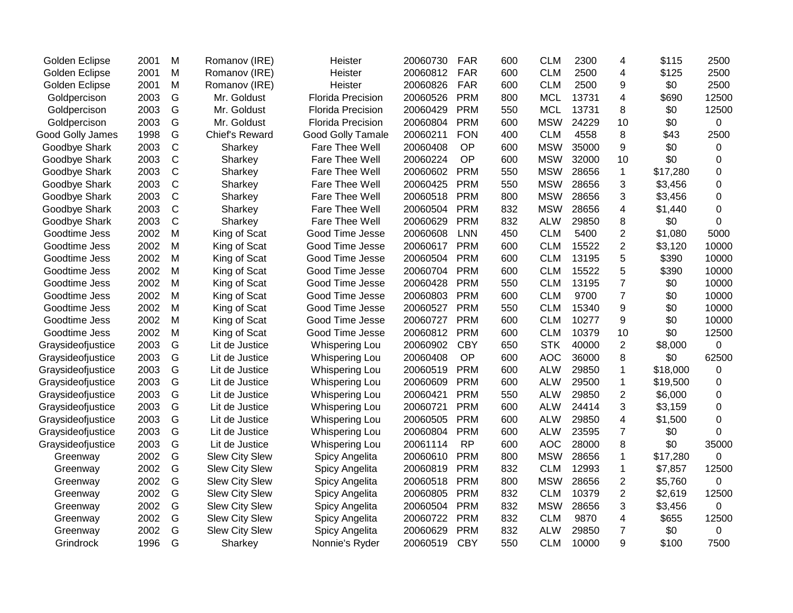| Golden Eclipse    | 2001 | M            | Romanov (IRE)         | Heister                  | 20060730 | <b>FAR</b> | 600 | <b>CLM</b> | 2300  | 4                       | \$115    | 2500     |
|-------------------|------|--------------|-----------------------|--------------------------|----------|------------|-----|------------|-------|-------------------------|----------|----------|
| Golden Eclipse    | 2001 | M            | Romanov (IRE)         | Heister                  | 20060812 | <b>FAR</b> | 600 | <b>CLM</b> | 2500  | 4                       | \$125    | 2500     |
| Golden Eclipse    | 2001 | M            | Romanov (IRE)         | Heister                  | 20060826 | <b>FAR</b> | 600 | <b>CLM</b> | 2500  | 9                       | \$0      | 2500     |
| Goldpercison      | 2003 | G            | Mr. Goldust           | <b>Florida Precision</b> | 20060526 | <b>PRM</b> | 800 | <b>MCL</b> | 13731 | 4                       | \$690    | 12500    |
| Goldpercison      | 2003 | G            | Mr. Goldust           | <b>Florida Precision</b> | 20060429 | <b>PRM</b> | 550 | <b>MCL</b> | 13731 | 8                       | \$0      | 12500    |
| Goldpercison      | 2003 | G            | Mr. Goldust           | <b>Florida Precision</b> | 20060804 | <b>PRM</b> | 600 | <b>MSW</b> | 24229 | 10                      | \$0      | 0        |
| Good Golly James  | 1998 | G            | Chief's Reward        | <b>Good Golly Tamale</b> | 20060211 | <b>FON</b> | 400 | <b>CLM</b> | 4558  | 8                       | \$43     | 2500     |
| Goodbye Shark     | 2003 | $\mathsf{C}$ | Sharkey               | Fare Thee Well           | 20060408 | <b>OP</b>  | 600 | <b>MSW</b> | 35000 | 9                       | \$0      | 0        |
| Goodbye Shark     | 2003 | $\mathbf C$  | Sharkey               | Fare Thee Well           | 20060224 | <b>OP</b>  | 600 | <b>MSW</b> | 32000 | 10                      | \$0      | 0        |
| Goodbye Shark     | 2003 | $\mathsf{C}$ | Sharkey               | Fare Thee Well           | 20060602 | <b>PRM</b> | 550 | <b>MSW</b> | 28656 | $\mathbf{1}$            | \$17,280 | $\Omega$ |
| Goodbye Shark     | 2003 | $\mathbf C$  | Sharkey               | Fare Thee Well           | 20060425 | <b>PRM</b> | 550 | <b>MSW</b> | 28656 | 3                       | \$3,456  | $\Omega$ |
| Goodbye Shark     | 2003 | C            | Sharkey               | Fare Thee Well           | 20060518 | <b>PRM</b> | 800 | <b>MSW</b> | 28656 | 3                       | \$3,456  | 0        |
| Goodbye Shark     | 2003 | $\mathsf{C}$ | Sharkey               | Fare Thee Well           | 20060504 | <b>PRM</b> | 832 | <b>MSW</b> | 28656 | 4                       | \$1,440  | 0        |
| Goodbye Shark     | 2003 | $\mathbf C$  | Sharkey               | Fare Thee Well           | 20060629 | <b>PRM</b> | 832 | <b>ALW</b> | 29850 | 8                       | \$0      | $\Omega$ |
| Goodtime Jess     | 2002 | M            | King of Scat          | Good Time Jesse          | 20060608 | <b>LNN</b> | 450 | <b>CLM</b> | 5400  | $\overline{2}$          | \$1,080  | 5000     |
| Goodtime Jess     | 2002 | M            | King of Scat          | Good Time Jesse          | 20060617 | <b>PRM</b> | 600 | <b>CLM</b> | 15522 | $\overline{2}$          | \$3,120  | 10000    |
| Goodtime Jess     | 2002 | M            | King of Scat          | Good Time Jesse          | 20060504 | <b>PRM</b> | 600 | <b>CLM</b> | 13195 | 5                       | \$390    | 10000    |
| Goodtime Jess     | 2002 | M            | King of Scat          | Good Time Jesse          | 20060704 | <b>PRM</b> | 600 | <b>CLM</b> | 15522 | 5                       | \$390    | 10000    |
| Goodtime Jess     | 2002 | M            | King of Scat          | Good Time Jesse          | 20060428 | <b>PRM</b> | 550 | <b>CLM</b> | 13195 | $\overline{7}$          | \$0      | 10000    |
| Goodtime Jess     | 2002 | M            | King of Scat          | Good Time Jesse          | 20060803 | <b>PRM</b> | 600 | <b>CLM</b> | 9700  | $\overline{7}$          | \$0      | 10000    |
| Goodtime Jess     | 2002 | M            | King of Scat          | Good Time Jesse          | 20060527 | <b>PRM</b> | 550 | <b>CLM</b> | 15340 | 9                       | \$0      | 10000    |
| Goodtime Jess     | 2002 | M            | King of Scat          | Good Time Jesse          | 20060727 | <b>PRM</b> | 600 | <b>CLM</b> | 10277 | 9                       | \$0      | 10000    |
| Goodtime Jess     | 2002 | M            | King of Scat          | Good Time Jesse          | 20060812 | <b>PRM</b> | 600 | <b>CLM</b> | 10379 | 10                      | \$0      | 12500    |
| Graysideofjustice | 2003 | G            | Lit de Justice        | Whispering Lou           | 20060902 | <b>CBY</b> | 650 | <b>STK</b> | 40000 | $\overline{2}$          | \$8,000  | 0        |
| Graysideofjustice | 2003 | G            | Lit de Justice        | Whispering Lou           | 20060408 | OP         | 600 | <b>AOC</b> | 36000 | 8                       | \$0      | 62500    |
| Graysideofjustice | 2003 | G            | Lit de Justice        | Whispering Lou           | 20060519 | <b>PRM</b> | 600 | <b>ALW</b> | 29850 | $\mathbf{1}$            | \$18,000 | 0        |
| Graysideofjustice | 2003 | G            | Lit de Justice        | Whispering Lou           | 20060609 | <b>PRM</b> | 600 | <b>ALW</b> | 29500 | $\mathbf 1$             | \$19,500 | $\Omega$ |
| Graysideofjustice | 2003 | G            | Lit de Justice        | Whispering Lou           | 20060421 | <b>PRM</b> | 550 | <b>ALW</b> | 29850 | 2                       | \$6,000  | $\Omega$ |
| Graysideofjustice | 2003 | G            | Lit de Justice        | Whispering Lou           | 20060721 | <b>PRM</b> | 600 | <b>ALW</b> | 24414 | 3                       | \$3,159  | $\Omega$ |
| Graysideofjustice | 2003 | G            | Lit de Justice        | Whispering Lou           | 20060505 | <b>PRM</b> | 600 | <b>ALW</b> | 29850 | $\overline{\mathbf{4}}$ | \$1,500  | $\Omega$ |
| Graysideofjustice | 2003 | G            | Lit de Justice        | <b>Whispering Lou</b>    | 20060804 | <b>PRM</b> | 600 | <b>ALW</b> | 23595 | 7                       | \$0      | $\Omega$ |
| Graysideofjustice | 2003 | G            | Lit de Justice        | <b>Whispering Lou</b>    | 20061114 | <b>RP</b>  | 600 | <b>AOC</b> | 28000 | 8                       | \$0      | 35000    |
| Greenway          | 2002 | G            | <b>Slew City Slew</b> | Spicy Angelita           | 20060610 | <b>PRM</b> | 800 | <b>MSW</b> | 28656 | $\mathbf{1}$            | \$17,280 | 0        |
| Greenway          | 2002 | G            | <b>Slew City Slew</b> | Spicy Angelita           | 20060819 | <b>PRM</b> | 832 | <b>CLM</b> | 12993 | $\mathbf{1}$            | \$7,857  | 12500    |
| Greenway          | 2002 | G            | <b>Slew City Slew</b> | Spicy Angelita           | 20060518 | <b>PRM</b> | 800 | <b>MSW</b> | 28656 | $\overline{c}$          | \$5,760  | $\Omega$ |
| Greenway          | 2002 | G            | <b>Slew City Slew</b> | Spicy Angelita           | 20060805 | <b>PRM</b> | 832 | <b>CLM</b> | 10379 | 2                       | \$2,619  | 12500    |
| Greenway          | 2002 | G            | <b>Slew City Slew</b> | Spicy Angelita           | 20060504 | <b>PRM</b> | 832 | <b>MSW</b> | 28656 | 3                       | \$3,456  | 0        |
| Greenway          | 2002 | G            | <b>Slew City Slew</b> | Spicy Angelita           | 20060722 | <b>PRM</b> | 832 | <b>CLM</b> | 9870  | $\overline{\mathbf{4}}$ | \$655    | 12500    |
| Greenway          | 2002 | G            | <b>Slew City Slew</b> | Spicy Angelita           | 20060629 | <b>PRM</b> | 832 | <b>ALW</b> | 29850 | $\overline{7}$          | \$0      | 0        |
| Grindrock         | 1996 | G            | Sharkey               | Nonnie's Ryder           | 20060519 | <b>CBY</b> | 550 | <b>CLM</b> | 10000 | 9                       | \$100    | 7500     |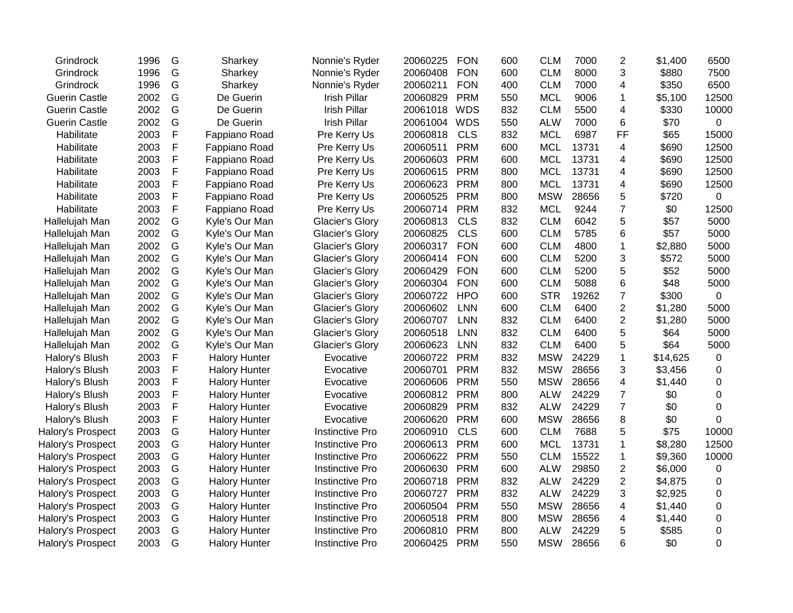| Grindrock            | 1996 | G | Sharkey              | Nonnie's Ryder         | 20060225 | <b>FON</b> | 600 | <b>CLM</b> | 7000  | $\overline{2}$ | \$1,400  | 6500        |
|----------------------|------|---|----------------------|------------------------|----------|------------|-----|------------|-------|----------------|----------|-------------|
| Grindrock            | 1996 | G | Sharkey              | Nonnie's Ryder         | 20060408 | <b>FON</b> | 600 | <b>CLM</b> | 8000  | 3              | \$880    | 7500        |
| Grindrock            | 1996 | G | Sharkey              | Nonnie's Ryder         | 20060211 | <b>FON</b> | 400 | <b>CLM</b> | 7000  | 4              | \$350    | 6500        |
| <b>Guerin Castle</b> | 2002 | G | De Guerin            | <b>Irish Pillar</b>    | 20060829 | <b>PRM</b> | 550 | <b>MCL</b> | 9006  | 1              | \$5,100  | 12500       |
| <b>Guerin Castle</b> | 2002 | G | De Guerin            | <b>Irish Pillar</b>    | 20061018 | <b>WDS</b> | 832 | <b>CLM</b> | 5500  | 4              | \$330    | 10000       |
| <b>Guerin Castle</b> | 2002 | G | De Guerin            | <b>Irish Pillar</b>    | 20061004 | <b>WDS</b> | 550 | <b>ALW</b> | 7000  | 6              | \$70     | 0           |
| Habilitate           | 2003 | F | Fappiano Road        | Pre Kerry Us           | 20060818 | <b>CLS</b> | 832 | <b>MCL</b> | 6987  | <b>FF</b>      | \$65     | 15000       |
| Habilitate           | 2003 | F | Fappiano Road        | Pre Kerry Us           | 20060511 | <b>PRM</b> | 600 | <b>MCL</b> | 13731 | 4              | \$690    | 12500       |
| Habilitate           | 2003 | F | Fappiano Road        | Pre Kerry Us           | 20060603 | <b>PRM</b> | 600 | <b>MCL</b> | 13731 | 4              | \$690    | 12500       |
| Habilitate           | 2003 | F | Fappiano Road        | Pre Kerry Us           | 20060615 | <b>PRM</b> | 800 | <b>MCL</b> | 13731 | 4              | \$690    | 12500       |
| Habilitate           | 2003 | F | Fappiano Road        | Pre Kerry Us           | 20060623 | <b>PRM</b> | 800 | <b>MCL</b> | 13731 | 4              | \$690    | 12500       |
| Habilitate           | 2003 | F | Fappiano Road        | Pre Kerry Us           | 20060525 | <b>PRM</b> | 800 | <b>MSW</b> | 28656 | 5              | \$720    | 0           |
| Habilitate           | 2003 | F | Fappiano Road        | Pre Kerry Us           | 20060714 | <b>PRM</b> | 832 | <b>MCL</b> | 9244  | $\overline{7}$ | \$0      | 12500       |
| Hallelujah Man       | 2002 | G | Kyle's Our Man       | <b>Glacier's Glory</b> | 20060813 | <b>CLS</b> | 832 | <b>CLM</b> | 6042  | 5              | \$57     | 5000        |
| Hallelujah Man       | 2002 | G | Kyle's Our Man       | Glacier's Glory        | 20060825 | <b>CLS</b> | 600 | <b>CLM</b> | 5785  | 6              | \$57     | 5000        |
| Hallelujah Man       | 2002 | G | Kyle's Our Man       | Glacier's Glory        | 20060317 | <b>FON</b> | 600 | <b>CLM</b> | 4800  | 1              | \$2,880  | 5000        |
| Hallelujah Man       | 2002 | G | Kyle's Our Man       | <b>Glacier's Glory</b> | 20060414 | <b>FON</b> | 600 | <b>CLM</b> | 5200  | 3              | \$572    | 5000        |
| Hallelujah Man       | 2002 | G | Kyle's Our Man       | <b>Glacier's Glory</b> | 20060429 | <b>FON</b> | 600 | <b>CLM</b> | 5200  | 5              | \$52     | 5000        |
| Hallelujah Man       | 2002 | G | Kyle's Our Man       | <b>Glacier's Glory</b> | 20060304 | <b>FON</b> | 600 | <b>CLM</b> | 5088  | 6              | \$48     | 5000        |
| Hallelujah Man       | 2002 | G | Kyle's Our Man       | Glacier's Glory        | 20060722 | <b>HPO</b> | 600 | <b>STR</b> | 19262 | 7              | \$300    | $\mathbf 0$ |
| Hallelujah Man       | 2002 | G | Kyle's Our Man       | Glacier's Glory        | 20060602 | <b>LNN</b> | 600 | <b>CLM</b> | 6400  | $\overline{2}$ | \$1,280  | 5000        |
| Hallelujah Man       | 2002 | G | Kyle's Our Man       | Glacier's Glory        | 20060707 | <b>LNN</b> | 832 | <b>CLM</b> | 6400  | $\overline{2}$ | \$1,280  | 5000        |
| Hallelujah Man       | 2002 | G | Kyle's Our Man       | Glacier's Glory        | 20060518 | <b>LNN</b> | 832 | <b>CLM</b> | 6400  | 5              | \$64     | 5000        |
| Hallelujah Man       | 2002 | G | Kyle's Our Man       | Glacier's Glory        | 20060623 | <b>LNN</b> | 832 | <b>CLM</b> | 6400  | 5              | \$64     | 5000        |
| Halory's Blush       | 2003 | F | <b>Halory Hunter</b> | Evocative              | 20060722 | <b>PRM</b> | 832 | <b>MSW</b> | 24229 | 1              | \$14,625 | 0           |
| Halory's Blush       | 2003 | F | <b>Halory Hunter</b> | Evocative              | 20060701 | <b>PRM</b> | 832 | <b>MSW</b> | 28656 | 3              | \$3,456  | 0           |
| Halory's Blush       | 2003 | F | <b>Halory Hunter</b> | Evocative              | 20060606 | <b>PRM</b> | 550 | <b>MSW</b> | 28656 | 4              | \$1,440  | 0           |
| Halory's Blush       | 2003 | F | <b>Halory Hunter</b> | Evocative              | 20060812 | <b>PRM</b> | 800 | <b>ALW</b> | 24229 | 7              | \$0      | $\Omega$    |
| Halory's Blush       | 2003 | F | <b>Halory Hunter</b> | Evocative              | 20060829 | <b>PRM</b> | 832 | <b>ALW</b> | 24229 | $\overline{7}$ | \$0      | $\Omega$    |
| Halory's Blush       | 2003 | F | <b>Halory Hunter</b> | Evocative              | 20060620 | <b>PRM</b> | 600 | <b>MSW</b> | 28656 | 8              | \$0      | 0           |
| Halory's Prospect    | 2003 | G | <b>Halory Hunter</b> | <b>Instinctive Pro</b> | 20060910 | <b>CLS</b> | 600 | <b>CLM</b> | 7688  | 5              | \$75     | 10000       |
| Halory's Prospect    | 2003 | G | <b>Halory Hunter</b> | <b>Instinctive Pro</b> | 20060613 | <b>PRM</b> | 600 | <b>MCL</b> | 13731 | 1              | \$8,280  | 12500       |
| Halory's Prospect    | 2003 | G | <b>Halory Hunter</b> | <b>Instinctive Pro</b> | 20060622 | <b>PRM</b> | 550 | <b>CLM</b> | 15522 | $\mathbf{1}$   | \$9,360  | 10000       |
| Halory's Prospect    | 2003 | G | <b>Halory Hunter</b> | <b>Instinctive Pro</b> | 20060630 | <b>PRM</b> | 600 | <b>ALW</b> | 29850 | 2              | \$6,000  | $\pmb{0}$   |
| Halory's Prospect    | 2003 | G | <b>Halory Hunter</b> | <b>Instinctive Pro</b> | 20060718 | <b>PRM</b> | 832 | <b>ALW</b> | 24229 | $\overline{2}$ | \$4,875  | 0           |
| Halory's Prospect    | 2003 | G | <b>Halory Hunter</b> | <b>Instinctive Pro</b> | 20060727 | <b>PRM</b> | 832 | <b>ALW</b> | 24229 | 3              | \$2,925  | 0           |
| Halory's Prospect    | 2003 | G | <b>Halory Hunter</b> | <b>Instinctive Pro</b> | 20060504 | <b>PRM</b> | 550 | <b>MSW</b> | 28656 | 4              | \$1,440  | 0           |
| Halory's Prospect    | 2003 | G | <b>Halory Hunter</b> | Instinctive Pro        | 20060518 | <b>PRM</b> | 800 | <b>MSW</b> | 28656 | 4              | \$1,440  | 0           |
| Halory's Prospect    | 2003 | G | <b>Halory Hunter</b> | <b>Instinctive Pro</b> | 20060810 | <b>PRM</b> | 800 | <b>ALW</b> | 24229 | 5              | \$585    | 0           |
| Halory's Prospect    | 2003 | G | <b>Halory Hunter</b> | <b>Instinctive Pro</b> | 20060425 | <b>PRM</b> | 550 | <b>MSW</b> | 28656 | 6              | \$0      | $\Omega$    |
|                      |      |   |                      |                        |          |            |     |            |       |                |          |             |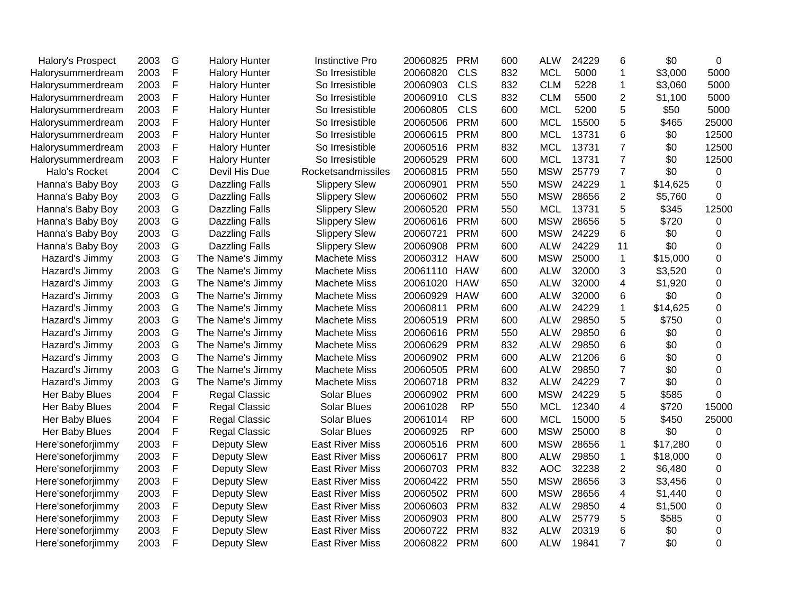| Halory's Prospect | 2003 | G            | <b>Halory Hunter</b>  | <b>Instinctive Pro</b> | 20060825 | <b>PRM</b> | 600 | <b>ALW</b> | 24229 | 6              | \$0      | $\Omega$       |
|-------------------|------|--------------|-----------------------|------------------------|----------|------------|-----|------------|-------|----------------|----------|----------------|
| Halorysummerdream | 2003 | $\mathsf{F}$ | <b>Halory Hunter</b>  | So Irresistible        | 20060820 | <b>CLS</b> | 832 | <b>MCL</b> | 5000  | 1              | \$3,000  | 5000           |
| Halorysummerdream | 2003 | $\mathsf F$  | <b>Halory Hunter</b>  | So Irresistible        | 20060903 | <b>CLS</b> | 832 | <b>CLM</b> | 5228  | $\mathbf{1}$   | \$3,060  | 5000           |
| Halorysummerdream | 2003 | F            | <b>Halory Hunter</b>  | So Irresistible        | 20060910 | <b>CLS</b> | 832 | <b>CLM</b> | 5500  | 2              | \$1,100  | 5000           |
| Halorysummerdream | 2003 | F            | <b>Halory Hunter</b>  | So Irresistible        | 20060805 | <b>CLS</b> | 600 | <b>MCL</b> | 5200  | 5              | \$50     | 5000           |
| Halorysummerdream | 2003 | F            | <b>Halory Hunter</b>  | So Irresistible        | 20060506 | <b>PRM</b> | 600 | <b>MCL</b> | 15500 | 5              | \$465    | 25000          |
| Halorysummerdream | 2003 | $\mathsf{F}$ | <b>Halory Hunter</b>  | So Irresistible        | 20060615 | <b>PRM</b> | 800 | <b>MCL</b> | 13731 | 6              | \$0      | 12500          |
| Halorysummerdream | 2003 | $\mathsf{F}$ | <b>Halory Hunter</b>  | So Irresistible        | 20060516 | <b>PRM</b> | 832 | <b>MCL</b> | 13731 | $\overline{7}$ | \$0      | 12500          |
| Halorysummerdream | 2003 | $\mathsf{F}$ | <b>Halory Hunter</b>  | So Irresistible        | 20060529 | <b>PRM</b> | 600 | <b>MCL</b> | 13731 | $\overline{7}$ | \$0      | 12500          |
| Halo's Rocket     | 2004 | $\mathsf{C}$ | Devil His Due         | Rocketsandmissiles     | 20060815 | <b>PRM</b> | 550 | <b>MSW</b> | 25779 | $\overline{7}$ | \$0      | $\Omega$       |
| Hanna's Baby Boy  | 2003 | G            | <b>Dazzling Falls</b> | <b>Slippery Slew</b>   | 20060901 | <b>PRM</b> | 550 | <b>MSW</b> | 24229 | $\mathbf 1$    | \$14,625 | $\Omega$       |
| Hanna's Baby Boy  | 2003 | G            | Dazzling Falls        | <b>Slippery Slew</b>   | 20060602 | <b>PRM</b> | 550 | <b>MSW</b> | 28656 | 2              | \$5,760  | $\Omega$       |
| Hanna's Baby Boy  | 2003 | G            | Dazzling Falls        | <b>Slippery Slew</b>   | 20060520 | <b>PRM</b> | 550 | <b>MCL</b> | 13731 | 5              | \$345    | 12500          |
| Hanna's Baby Boy  | 2003 | G            | Dazzling Falls        | <b>Slippery Slew</b>   | 20060616 | <b>PRM</b> | 600 | <b>MSW</b> | 28656 | 5              | \$720    | 0              |
| Hanna's Baby Boy  | 2003 | G            | <b>Dazzling Falls</b> | <b>Slippery Slew</b>   | 20060721 | <b>PRM</b> | 600 | <b>MSW</b> | 24229 | 6              | \$0      | 0              |
| Hanna's Baby Boy  | 2003 | G            | <b>Dazzling Falls</b> | <b>Slippery Slew</b>   | 20060908 | <b>PRM</b> | 600 | <b>ALW</b> | 24229 | 11             | \$0      | 0              |
| Hazard's Jimmy    | 2003 | G            | The Name's Jimmy      | <b>Machete Miss</b>    | 20060312 | <b>HAW</b> | 600 | <b>MSW</b> | 25000 | $\mathbf{1}$   | \$15,000 | $\overline{0}$ |
| Hazard's Jimmy    | 2003 | G            | The Name's Jimmy      | <b>Machete Miss</b>    | 20061110 | <b>HAW</b> | 600 | <b>ALW</b> | 32000 | 3              | \$3,520  | $\Omega$       |
| Hazard's Jimmy    | 2003 | G            | The Name's Jimmy      | <b>Machete Miss</b>    | 20061020 | <b>HAW</b> | 650 | <b>ALW</b> | 32000 | 4              | \$1,920  | 0              |
| Hazard's Jimmy    | 2003 | G            | The Name's Jimmy      | <b>Machete Miss</b>    | 20060929 | <b>HAW</b> | 600 | ALW        | 32000 | 6              | \$0      | 0              |
| Hazard's Jimmy    | 2003 | G            | The Name's Jimmy      | <b>Machete Miss</b>    | 20060811 | <b>PRM</b> | 600 | <b>ALW</b> | 24229 | $\mathbf{1}$   | \$14,625 | $\overline{0}$ |
| Hazard's Jimmy    | 2003 | G            | The Name's Jimmy      | <b>Machete Miss</b>    | 20060519 | <b>PRM</b> | 600 | <b>ALW</b> | 29850 | 5              | \$750    | 0              |
| Hazard's Jimmy    | 2003 | G            | The Name's Jimmy      | <b>Machete Miss</b>    | 20060616 | <b>PRM</b> | 550 | <b>ALW</b> | 29850 | 6              | \$0      | 0              |
| Hazard's Jimmy    | 2003 | G            | The Name's Jimmy      | <b>Machete Miss</b>    | 20060629 | <b>PRM</b> | 832 | <b>ALW</b> | 29850 | 6              | \$0      | $\mathbf 0$    |
| Hazard's Jimmy    | 2003 | G            | The Name's Jimmy      | <b>Machete Miss</b>    | 20060902 | <b>PRM</b> | 600 | <b>ALW</b> | 21206 | 6              | \$0      | $\Omega$       |
| Hazard's Jimmy    | 2003 | G            | The Name's Jimmy      | <b>Machete Miss</b>    | 20060505 | <b>PRM</b> | 600 | <b>ALW</b> | 29850 | $\overline{7}$ | \$0      | $\Omega$       |
| Hazard's Jimmy    | 2003 | G            | The Name's Jimmy      | <b>Machete Miss</b>    | 20060718 | <b>PRM</b> | 832 | <b>ALW</b> | 24229 | $\overline{7}$ | \$0      | $\Omega$       |
| Her Baby Blues    | 2004 | $\mathsf{F}$ | <b>Regal Classic</b>  | <b>Solar Blues</b>     | 20060902 | <b>PRM</b> | 600 | <b>MSW</b> | 24229 | 5              | \$585    | $\Omega$       |
| Her Baby Blues    | 2004 | $\mathsf{F}$ | <b>Regal Classic</b>  | <b>Solar Blues</b>     | 20061028 | <b>RP</b>  | 550 | <b>MCL</b> | 12340 | 4              | \$720    | 15000          |
| Her Baby Blues    | 2004 | $\mathsf{F}$ | <b>Regal Classic</b>  | <b>Solar Blues</b>     | 20061014 | <b>RP</b>  | 600 | <b>MCL</b> | 15000 | 5              | \$450    | 25000          |
| Her Baby Blues    | 2004 | $\mathsf{F}$ | <b>Regal Classic</b>  | <b>Solar Blues</b>     | 20060925 | <b>RP</b>  | 600 | <b>MSW</b> | 25000 | 8              | \$0      | 0              |
| Here'soneforjimmy | 2003 | $\mathsf{F}$ | Deputy Slew           | <b>East River Miss</b> | 20060516 | <b>PRM</b> | 600 | <b>MSW</b> | 28656 | $\mathbf{1}$   | \$17,280 | 0              |
| Here'soneforjimmy | 2003 | F            | Deputy Slew           | <b>East River Miss</b> | 20060617 | <b>PRM</b> | 800 | <b>ALW</b> | 29850 | 1              | \$18,000 | $\Omega$       |
| Here'soneforjimmy | 2003 | F            | Deputy Slew           | <b>East River Miss</b> | 20060703 | <b>PRM</b> | 832 | <b>AOC</b> | 32238 | 2              | \$6,480  | 0              |
| Here'soneforjimmy | 2003 | F            | Deputy Slew           | <b>East River Miss</b> | 20060422 | <b>PRM</b> | 550 | <b>MSW</b> | 28656 | 3              | \$3,456  | 0              |
| Here'soneforjimmy | 2003 | F            | Deputy Slew           | <b>East River Miss</b> | 20060502 | <b>PRM</b> | 600 | <b>MSW</b> | 28656 | 4              | \$1,440  | 0              |
| Here'soneforjimmy | 2003 | F            | Deputy Slew           | <b>East River Miss</b> | 20060603 | <b>PRM</b> | 832 | <b>ALW</b> | 29850 | 4              | \$1,500  | 0              |
| Here'soneforjimmy | 2003 | $\mathsf{F}$ | Deputy Slew           | <b>East River Miss</b> | 20060903 | <b>PRM</b> | 800 | <b>ALW</b> | 25779 | 5              | \$585    | 0              |
| Here'soneforjimmy | 2003 | $\mathsf F$  | Deputy Slew           | <b>East River Miss</b> | 20060722 | <b>PRM</b> | 832 | <b>ALW</b> | 20319 | 6              | \$0      | $\Omega$       |
| Here'soneforjimmy | 2003 | $\mathsf{F}$ | Deputy Slew           | <b>East River Miss</b> | 20060822 | <b>PRM</b> | 600 | <b>ALW</b> | 19841 | $\overline{7}$ | \$0      | $\Omega$       |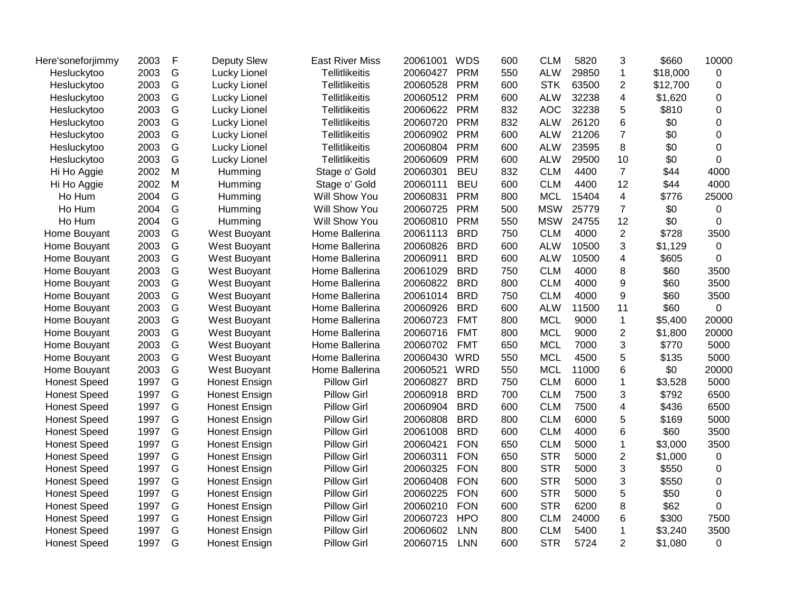| Here'soneforjimmy   | 2003 | F | <b>Deputy Slew</b>   | <b>East River Miss</b> | 20061001 | <b>WDS</b> | 600 | <b>CLM</b> | 5820  | 3              | \$660    | 10000          |
|---------------------|------|---|----------------------|------------------------|----------|------------|-----|------------|-------|----------------|----------|----------------|
| Hesluckytoo         | 2003 | G | Lucky Lionel         | <b>Tellitlikeitis</b>  | 20060427 | <b>PRM</b> | 550 | <b>ALW</b> | 29850 | $\mathbf{1}$   | \$18,000 | 0              |
| Hesluckytoo         | 2003 | G | Lucky Lionel         | <b>Tellitlikeitis</b>  | 20060528 | <b>PRM</b> | 600 | <b>STK</b> | 63500 | 2              | \$12,700 | 0              |
| Hesluckytoo         | 2003 | G | Lucky Lionel         | <b>Tellitlikeitis</b>  | 20060512 | <b>PRM</b> | 600 | <b>ALW</b> | 32238 | 4              | \$1,620  | $\mathbf 0$    |
| Hesluckytoo         | 2003 | G | Lucky Lionel         | <b>Tellitlikeitis</b>  | 20060622 | <b>PRM</b> | 832 | <b>AOC</b> | 32238 | 5              | \$810    | $\overline{0}$ |
| Hesluckytoo         | 2003 | G | Lucky Lionel         | <b>Tellitlikeitis</b>  | 20060720 | <b>PRM</b> | 832 | <b>ALW</b> | 26120 | 6              | \$0      | 0              |
| Hesluckytoo         | 2003 | G | Lucky Lionel         | <b>Tellitlikeitis</b>  | 20060902 | <b>PRM</b> | 600 | <b>ALW</b> | 21206 | $\overline{7}$ | \$0      | 0              |
| Hesluckytoo         | 2003 | G | Lucky Lionel         | <b>Tellitlikeitis</b>  | 20060804 | <b>PRM</b> | 600 | <b>ALW</b> | 23595 | 8              | \$0      | $\mathbf 0$    |
| Hesluckytoo         | 2003 | G | Lucky Lionel         | <b>Tellitlikeitis</b>  | 20060609 | <b>PRM</b> | 600 | <b>ALW</b> | 29500 | 10             | \$0      | $\Omega$       |
| Hi Ho Aggie         | 2002 | M | Humming              | Stage o' Gold          | 20060301 | <b>BEU</b> | 832 | <b>CLM</b> | 4400  | $\overline{7}$ | \$44     | 4000           |
| Hi Ho Aggie         | 2002 | M | Humming              | Stage o' Gold          | 20060111 | <b>BEU</b> | 600 | <b>CLM</b> | 4400  | 12             | \$44     | 4000           |
| Ho Hum              | 2004 | G | Humming              | Will Show You          | 20060831 | <b>PRM</b> | 800 | <b>MCL</b> | 15404 | $\overline{4}$ | \$776    | 25000          |
| Ho Hum              | 2004 | G | Humming              | Will Show You          | 20060725 | <b>PRM</b> | 500 | <b>MSW</b> | 25779 | $\overline{7}$ | \$0      | 0              |
| Ho Hum              | 2004 | G | Humming              | Will Show You          | 20060810 | <b>PRM</b> | 550 | <b>MSW</b> | 24755 | 12             | \$0      | 0              |
| Home Bouyant        | 2003 | G | West Buoyant         | Home Ballerina         | 20061113 | <b>BRD</b> | 750 | <b>CLM</b> | 4000  | $\overline{2}$ | \$728    | 3500           |
| Home Bouyant        | 2003 | G | West Buoyant         | Home Ballerina         | 20060826 | <b>BRD</b> | 600 | <b>ALW</b> | 10500 | 3              | \$1,129  | 0              |
| Home Bouyant        | 2003 | G | West Buoyant         | Home Ballerina         | 20060911 | <b>BRD</b> | 600 | <b>ALW</b> | 10500 | 4              | \$605    | 0              |
| Home Bouyant        | 2003 | G | West Buoyant         | Home Ballerina         | 20061029 | <b>BRD</b> | 750 | <b>CLM</b> | 4000  | 8              | \$60     | 3500           |
| Home Bouyant        | 2003 | G | West Buoyant         | Home Ballerina         | 20060822 | <b>BRD</b> | 800 | <b>CLM</b> | 4000  | 9              | \$60     | 3500           |
| Home Bouyant        | 2003 | G | West Buoyant         | Home Ballerina         | 20061014 | <b>BRD</b> | 750 | <b>CLM</b> | 4000  | 9              | \$60     | 3500           |
| Home Bouyant        | 2003 | G | West Buoyant         | Home Ballerina         | 20060926 | <b>BRD</b> | 600 | <b>ALW</b> | 11500 | 11             | \$60     | 0              |
| Home Bouyant        | 2003 | G | West Buoyant         | Home Ballerina         | 20060723 | <b>FMT</b> | 800 | <b>MCL</b> | 9000  | $\mathbf{1}$   | \$5,400  | 20000          |
| Home Bouyant        | 2003 | G | West Buoyant         | Home Ballerina         | 20060716 | <b>FMT</b> | 800 | <b>MCL</b> | 9000  | 2              | \$1,800  | 20000          |
| Home Bouyant        | 2003 | G | West Buoyant         | Home Ballerina         | 20060702 | <b>FMT</b> | 650 | <b>MCL</b> | 7000  | 3              | \$770    | 5000           |
| Home Bouyant        | 2003 | G | West Buoyant         | Home Ballerina         | 20060430 | <b>WRD</b> | 550 | <b>MCL</b> | 4500  | 5              | \$135    | 5000           |
| Home Bouyant        | 2003 | G | West Buoyant         | Home Ballerina         | 20060521 | <b>WRD</b> | 550 | <b>MCL</b> | 11000 | 6              | \$0      | 20000          |
| <b>Honest Speed</b> | 1997 | G | Honest Ensign        | <b>Pillow Girl</b>     | 20060827 | <b>BRD</b> | 750 | <b>CLM</b> | 6000  | 1              | \$3,528  | 5000           |
| <b>Honest Speed</b> | 1997 | G | Honest Ensign        | <b>Pillow Girl</b>     | 20060918 | <b>BRD</b> | 700 | <b>CLM</b> | 7500  | 3              | \$792    | 6500           |
| <b>Honest Speed</b> | 1997 | G | Honest Ensign        | <b>Pillow Girl</b>     | 20060904 | <b>BRD</b> | 600 | <b>CLM</b> | 7500  | 4              | \$436    | 6500           |
| <b>Honest Speed</b> | 1997 | G | Honest Ensign        | <b>Pillow Girl</b>     | 20060808 | <b>BRD</b> | 800 | <b>CLM</b> | 6000  | 5              | \$169    | 5000           |
| <b>Honest Speed</b> | 1997 | G | Honest Ensign        | <b>Pillow Girl</b>     | 20061008 | <b>BRD</b> | 600 | <b>CLM</b> | 4000  | 6              | \$60     | 3500           |
| <b>Honest Speed</b> | 1997 | G | <b>Honest Ensign</b> | <b>Pillow Girl</b>     | 20060421 | <b>FON</b> | 650 | <b>CLM</b> | 5000  | $\mathbf{1}$   | \$3,000  | 3500           |
| <b>Honest Speed</b> | 1997 | G | Honest Ensign        | <b>Pillow Girl</b>     | 20060311 | <b>FON</b> | 650 | <b>STR</b> | 5000  | $\overline{2}$ | \$1,000  | 0              |
| <b>Honest Speed</b> | 1997 | G | <b>Honest Ensign</b> | <b>Pillow Girl</b>     | 20060325 | <b>FON</b> | 800 | <b>STR</b> | 5000  | 3              | \$550    | 0              |
| <b>Honest Speed</b> | 1997 | G | Honest Ensign        | <b>Pillow Girl</b>     | 20060408 | <b>FON</b> | 600 | <b>STR</b> | 5000  | 3              | \$550    | $\Omega$       |
| <b>Honest Speed</b> | 1997 | G | Honest Ensign        | <b>Pillow Girl</b>     | 20060225 | <b>FON</b> | 600 | <b>STR</b> | 5000  | 5              | \$50     | $\Omega$       |
| <b>Honest Speed</b> | 1997 | G | <b>Honest Ensign</b> | <b>Pillow Girl</b>     | 20060210 | <b>FON</b> | 600 | <b>STR</b> | 6200  | 8              | \$62     | $\Omega$       |
| <b>Honest Speed</b> | 1997 | G | <b>Honest Ensign</b> | <b>Pillow Girl</b>     | 20060723 | <b>HPO</b> | 800 | <b>CLM</b> | 24000 | 6              | \$300    | 7500           |
| <b>Honest Speed</b> | 1997 | G | <b>Honest Ensign</b> | <b>Pillow Girl</b>     | 20060602 | <b>LNN</b> | 800 | <b>CLM</b> | 5400  | $\mathbf{1}$   | \$3,240  | 3500           |
| <b>Honest Speed</b> | 1997 | G | Honest Ensign        | <b>Pillow Girl</b>     | 20060715 | LNN        | 600 | <b>STR</b> | 5724  | $\overline{2}$ | \$1,080  | $\Omega$       |
|                     |      |   |                      |                        |          |            |     |            |       |                |          |                |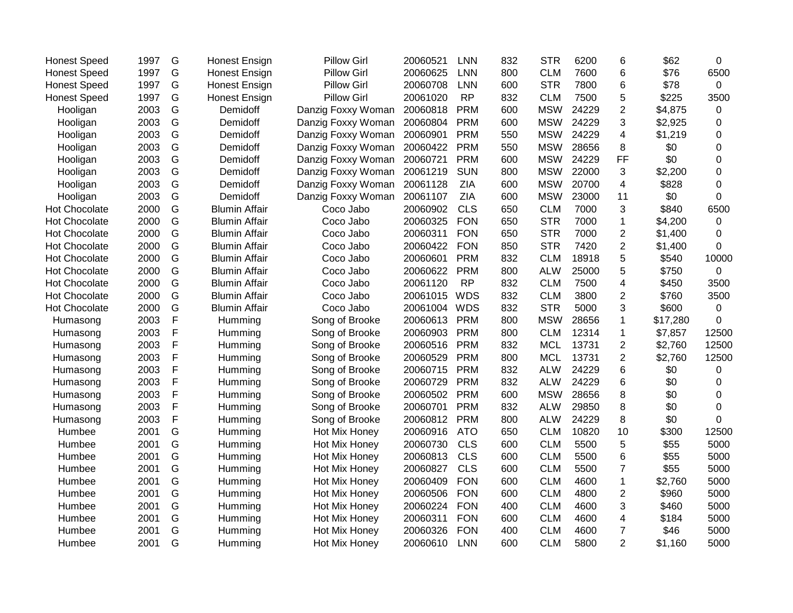| <b>Honest Speed</b>  | 1997 | G           | <b>Honest Ensign</b> | <b>Pillow Girl</b> | 20060521 | <b>LNN</b> | 832 | <b>STR</b> | 6200  | 6                       | \$62     | 0           |
|----------------------|------|-------------|----------------------|--------------------|----------|------------|-----|------------|-------|-------------------------|----------|-------------|
| <b>Honest Speed</b>  | 1997 | G           | <b>Honest Ensign</b> | <b>Pillow Girl</b> | 20060625 | <b>LNN</b> | 800 | <b>CLM</b> | 7600  | 6                       | \$76     | 6500        |
| <b>Honest Speed</b>  | 1997 | G           | <b>Honest Ensign</b> | <b>Pillow Girl</b> | 20060708 | <b>LNN</b> | 600 | <b>STR</b> | 7800  | 6                       | \$78     | $\mathbf 0$ |
| <b>Honest Speed</b>  | 1997 | G           | <b>Honest Ensign</b> | <b>Pillow Girl</b> | 20061020 | <b>RP</b>  | 832 | <b>CLM</b> | 7500  | 5                       | \$225    | 3500        |
| Hooligan             | 2003 | G           | Demidoff             | Danzig Foxxy Woman | 20060818 | <b>PRM</b> | 600 | <b>MSW</b> | 24229 | $\overline{c}$          | \$4,875  | 0           |
| Hooligan             | 2003 | G           | Demidoff             | Danzig Foxxy Woman | 20060804 | <b>PRM</b> | 600 | <b>MSW</b> | 24229 | 3                       | \$2,925  | 0           |
| Hooligan             | 2003 | G           | Demidoff             | Danzig Foxxy Woman | 20060901 | <b>PRM</b> | 550 | <b>MSW</b> | 24229 | 4                       | \$1,219  | $\pmb{0}$   |
| Hooligan             | 2003 | G           | Demidoff             | Danzig Foxxy Woman | 20060422 | <b>PRM</b> | 550 | <b>MSW</b> | 28656 | 8                       | \$0      | 0           |
| Hooligan             | 2003 | G           | Demidoff             | Danzig Foxxy Woman | 20060721 | <b>PRM</b> | 600 | <b>MSW</b> | 24229 | FF                      | \$0      | $\pmb{0}$   |
| Hooligan             | 2003 | G           | Demidoff             | Danzig Foxxy Woman | 20061219 | <b>SUN</b> | 800 | <b>MSW</b> | 22000 | 3                       | \$2,200  | 0           |
| Hooligan             | 2003 | G           | Demidoff             | Danzig Foxxy Woman | 20061128 | ZIA        | 600 | <b>MSW</b> | 20700 | 4                       | \$828    | 0           |
| Hooligan             | 2003 | G           | Demidoff             | Danzig Foxxy Woman | 20061107 | <b>ZIA</b> | 600 | <b>MSW</b> | 23000 | 11                      | \$0      | 0           |
| <b>Hot Chocolate</b> | 2000 | G           | <b>Blumin Affair</b> | Coco Jabo          | 20060902 | <b>CLS</b> | 650 | <b>CLM</b> | 7000  | 3                       | \$840    | 6500        |
| <b>Hot Chocolate</b> | 2000 | G           | <b>Blumin Affair</b> | Coco Jabo          | 20060325 | <b>FON</b> | 650 | <b>STR</b> | 7000  | 1                       | \$4,200  | 0           |
| <b>Hot Chocolate</b> | 2000 | G           | <b>Blumin Affair</b> | Coco Jabo          | 20060311 | <b>FON</b> | 650 | <b>STR</b> | 7000  | 2                       | \$1,400  | 0           |
| <b>Hot Chocolate</b> | 2000 | G           | <b>Blumin Affair</b> | Coco Jabo          | 20060422 | <b>FON</b> | 850 | <b>STR</b> | 7420  | $\overline{c}$          | \$1,400  | $\Omega$    |
| <b>Hot Chocolate</b> | 2000 | G           | <b>Blumin Affair</b> | Coco Jabo          | 20060601 | <b>PRM</b> | 832 | <b>CLM</b> | 18918 | 5                       | \$540    | 10000       |
| <b>Hot Chocolate</b> | 2000 | G           | <b>Blumin Affair</b> | Coco Jabo          | 20060622 | <b>PRM</b> | 800 | <b>ALW</b> | 25000 | 5                       | \$750    | $\mathbf 0$ |
| Hot Chocolate        | 2000 | G           | <b>Blumin Affair</b> | Coco Jabo          | 20061120 | <b>RP</b>  | 832 | <b>CLM</b> | 7500  | 4                       | \$450    | 3500        |
| Hot Chocolate        | 2000 | G           | <b>Blumin Affair</b> | Coco Jabo          | 20061015 | <b>WDS</b> | 832 | <b>CLM</b> | 3800  | 2                       | \$760    | 3500        |
| Hot Chocolate        | 2000 | G           | <b>Blumin Affair</b> | Coco Jabo          | 20061004 | <b>WDS</b> | 832 | <b>STR</b> | 5000  | 3                       | \$600    | $\mathbf 0$ |
| Humasong             | 2003 | $\mathsf F$ | Humming              | Song of Brooke     | 20060613 | <b>PRM</b> | 800 | <b>MSW</b> | 28656 | 1                       | \$17,280 | 0           |
| Humasong             | 2003 | $\mathsf F$ | Humming              | Song of Brooke     | 20060903 | <b>PRM</b> | 800 | <b>CLM</b> | 12314 | 1                       | \$7,857  | 12500       |
| Humasong             | 2003 | F           | Humming              | Song of Brooke     | 20060516 | <b>PRM</b> | 832 | <b>MCL</b> | 13731 | $\overline{\mathbf{c}}$ | \$2,760  | 12500       |
| Humasong             | 2003 | $\mathsf F$ | Humming              | Song of Brooke     | 20060529 | <b>PRM</b> | 800 | <b>MCL</b> | 13731 | $\overline{2}$          | \$2,760  | 12500       |
| Humasong             | 2003 | $\mathsf F$ | Humming              | Song of Brooke     | 20060715 | <b>PRM</b> | 832 | <b>ALW</b> | 24229 | 6                       | \$0      | 0           |
| Humasong             | 2003 | $\mathsf F$ | Humming              | Song of Brooke     | 20060729 | <b>PRM</b> | 832 | <b>ALW</b> | 24229 | 6                       | \$0      | 0           |
| Humasong             | 2003 | F           | Humming              | Song of Brooke     | 20060502 | <b>PRM</b> | 600 | <b>MSW</b> | 28656 | 8                       | \$0      | $\pmb{0}$   |
| Humasong             | 2003 | $\mathsf F$ | Humming              | Song of Brooke     | 20060701 | <b>PRM</b> | 832 | <b>ALW</b> | 29850 | 8                       | \$0      | 0           |
| Humasong             | 2003 | $\mathsf F$ | Humming              | Song of Brooke     | 20060812 | <b>PRM</b> | 800 | <b>ALW</b> | 24229 | 8                       | \$0      | 0           |
| Humbee               | 2001 | G           | Humming              | Hot Mix Honey      | 20060916 | <b>ATO</b> | 650 | <b>CLM</b> | 10820 | 10                      | \$300    | 12500       |
| Humbee               | 2001 | G           | Humming              | Hot Mix Honey      | 20060730 | <b>CLS</b> | 600 | <b>CLM</b> | 5500  | 5                       | \$55     | 5000        |
| Humbee               | 2001 | G           | Humming              | Hot Mix Honey      | 20060813 | <b>CLS</b> | 600 | <b>CLM</b> | 5500  | 6                       | \$55     | 5000        |
| Humbee               | 2001 | G           | Humming              | Hot Mix Honey      | 20060827 | <b>CLS</b> | 600 | <b>CLM</b> | 5500  | $\overline{7}$          | \$55     | 5000        |
| Humbee               | 2001 | G           | Humming              | Hot Mix Honey      | 20060409 | <b>FON</b> | 600 | <b>CLM</b> | 4600  | 1                       | \$2,760  | 5000        |
| Humbee               | 2001 | G           | Humming              | Hot Mix Honey      | 20060506 | <b>FON</b> | 600 | <b>CLM</b> | 4800  | $\overline{2}$          | \$960    | 5000        |
| Humbee               | 2001 | G           | Humming              | Hot Mix Honey      | 20060224 | <b>FON</b> | 400 | <b>CLM</b> | 4600  | 3                       | \$460    | 5000        |
| Humbee               | 2001 | G           | Humming              | Hot Mix Honey      | 20060311 | <b>FON</b> | 600 | <b>CLM</b> | 4600  | 4                       | \$184    | 5000        |
| Humbee               | 2001 | G           | Humming              | Hot Mix Honey      | 20060326 | <b>FON</b> | 400 | <b>CLM</b> | 4600  | $\overline{7}$          | \$46     | 5000        |
| Humbee               | 2001 | G           | Humming              | Hot Mix Honey      | 20060610 | <b>LNN</b> | 600 | <b>CLM</b> | 5800  | $\overline{2}$          | \$1,160  | 5000        |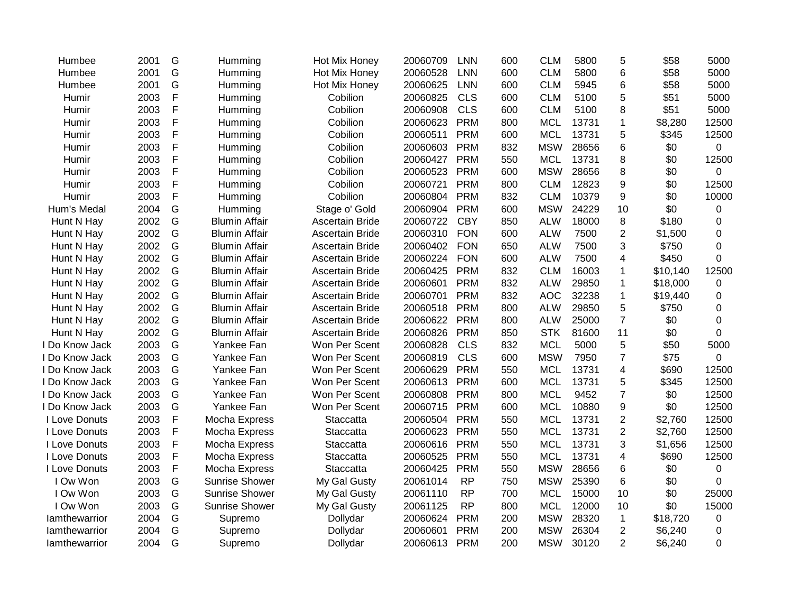| Humbee        | 2001 | G           | Humming               | Hot Mix Honey          | 20060709 | <b>LNN</b> | 600 | <b>CLM</b> | 5800  | 5                | \$58     | 5000           |
|---------------|------|-------------|-----------------------|------------------------|----------|------------|-----|------------|-------|------------------|----------|----------------|
| Humbee        | 2001 | G           | Humming               | Hot Mix Honey          | 20060528 | <b>LNN</b> | 600 | <b>CLM</b> | 5800  | 6                | \$58     | 5000           |
| Humbee        | 2001 | G           | Humming               | Hot Mix Honey          | 20060625 | <b>LNN</b> | 600 | <b>CLM</b> | 5945  | 6                | \$58     | 5000           |
| Humir         | 2003 | $\mathsf F$ | Humming               | Cobilion               | 20060825 | <b>CLS</b> | 600 | <b>CLM</b> | 5100  | 5                | \$51     | 5000           |
| Humir         | 2003 | F           | Humming               | Cobilion               | 20060908 | <b>CLS</b> | 600 | <b>CLM</b> | 5100  | 8                | \$51     | 5000           |
| Humir         | 2003 | F           | Humming               | Cobilion               | 20060623 | <b>PRM</b> | 800 | <b>MCL</b> | 13731 | 1                | \$8,280  | 12500          |
| Humir         | 2003 | $\mathsf F$ | Humming               | Cobilion               | 20060511 | <b>PRM</b> | 600 | <b>MCL</b> | 13731 | 5                | \$345    | 12500          |
| Humir         | 2003 | F           | Humming               | Cobilion               | 20060603 | <b>PRM</b> | 832 | <b>MSW</b> | 28656 | 6                | \$0      | $\overline{0}$ |
| Humir         | 2003 | $\mathsf F$ | Humming               | Cobilion               | 20060427 | <b>PRM</b> | 550 | <b>MCL</b> | 13731 | 8                | \$0      | 12500          |
| Humir         | 2003 | F           | Humming               | Cobilion               | 20060523 | <b>PRM</b> | 600 | <b>MSW</b> | 28656 | 8                | \$0      | $\Omega$       |
| Humir         | 2003 | $\mathsf F$ | Humming               | Cobilion               | 20060721 | <b>PRM</b> | 800 | <b>CLM</b> | 12823 | 9                | \$0      | 12500          |
| Humir         | 2003 | F           | Humming               | Cobilion               | 20060804 | <b>PRM</b> | 832 | <b>CLM</b> | 10379 | 9                | \$0      | 10000          |
| Hum's Medal   | 2004 | G           | Humming               | Stage o' Gold          | 20060904 | <b>PRM</b> | 600 | <b>MSW</b> | 24229 | 10               | \$0      | 0              |
| Hunt N Hay    | 2002 | G           | <b>Blumin Affair</b>  | <b>Ascertain Bride</b> | 20060722 | <b>CBY</b> | 850 | <b>ALW</b> | 18000 | 8                | \$180    | $\mathbf 0$    |
| Hunt N Hay    | 2002 | G           | <b>Blumin Affair</b>  | <b>Ascertain Bride</b> | 20060310 | <b>FON</b> | 600 | <b>ALW</b> | 7500  | $\overline{2}$   | \$1,500  | 0              |
| Hunt N Hay    | 2002 | G           | <b>Blumin Affair</b>  | <b>Ascertain Bride</b> | 20060402 | <b>FON</b> | 650 | <b>ALW</b> | 7500  | 3                | \$750    | 0              |
| Hunt N Hay    | 2002 | G           | <b>Blumin Affair</b>  | <b>Ascertain Bride</b> | 20060224 | <b>FON</b> | 600 | <b>ALW</b> | 7500  | 4                | \$450    | $\Omega$       |
| Hunt N Hay    | 2002 | G           | <b>Blumin Affair</b>  | <b>Ascertain Bride</b> | 20060425 | <b>PRM</b> | 832 | <b>CLM</b> | 16003 | $\mathbf{1}$     | \$10,140 | 12500          |
| Hunt N Hay    | 2002 | G           | <b>Blumin Affair</b>  | <b>Ascertain Bride</b> | 20060601 | <b>PRM</b> | 832 | <b>ALW</b> | 29850 | 1                | \$18,000 | 0              |
| Hunt N Hay    | 2002 | G           | <b>Blumin Affair</b>  | <b>Ascertain Bride</b> | 20060701 | <b>PRM</b> | 832 | <b>AOC</b> | 32238 | $\mathbf 1$      | \$19,440 | $\mathbf 0$    |
| Hunt N Hay    | 2002 | G           | <b>Blumin Affair</b>  | <b>Ascertain Bride</b> | 20060518 | <b>PRM</b> | 800 | <b>ALW</b> | 29850 | 5                | \$750    | 0              |
| Hunt N Hay    | 2002 | G           | <b>Blumin Affair</b>  | <b>Ascertain Bride</b> | 20060622 | <b>PRM</b> | 800 | <b>ALW</b> | 25000 | $\overline{7}$   | \$0      | $\mathbf 0$    |
| Hunt N Hay    | 2002 | G           | <b>Blumin Affair</b>  | <b>Ascertain Bride</b> | 20060826 | <b>PRM</b> | 850 | <b>STK</b> | 81600 | 11               | \$0      | 0              |
| Do Know Jack  | 2003 | G           | Yankee Fan            | Won Per Scent          | 20060828 | CLS        | 832 | <b>MCL</b> | 5000  | 5                | \$50     | 5000           |
| Do Know Jack  | 2003 | G           | Yankee Fan            | Won Per Scent          | 20060819 | <b>CLS</b> | 600 | <b>MSW</b> | 7950  | $\overline{7}$   | \$75     | $\Omega$       |
| Do Know Jack  | 2003 | G           | Yankee Fan            | Won Per Scent          | 20060629 | <b>PRM</b> | 550 | <b>MCL</b> | 13731 | 4                | \$690    | 12500          |
| Do Know Jack  | 2003 | G           | Yankee Fan            | Won Per Scent          | 20060613 | <b>PRM</b> | 600 | <b>MCL</b> | 13731 | 5                | \$345    | 12500          |
| Do Know Jack  | 2003 | G           | Yankee Fan            | Won Per Scent          | 20060808 | <b>PRM</b> | 800 | <b>MCL</b> | 9452  | $\overline{7}$   | \$0      | 12500          |
| Do Know Jack  | 2003 | G           | Yankee Fan            | Won Per Scent          | 20060715 | <b>PRM</b> | 600 | <b>MCL</b> | 10880 | 9                | \$0      | 12500          |
| I Love Donuts | 2003 | F           | Mocha Express         | Staccatta              | 20060504 | <b>PRM</b> | 550 | <b>MCL</b> | 13731 | $\overline{c}$   | \$2,760  | 12500          |
| I Love Donuts | 2003 | F           | Mocha Express         | Staccatta              | 20060623 | <b>PRM</b> | 550 | <b>MCL</b> | 13731 | $\boldsymbol{2}$ | \$2,760  | 12500          |
| I Love Donuts | 2003 | F           | Mocha Express         | Staccatta              | 20060616 | <b>PRM</b> | 550 | <b>MCL</b> | 13731 | 3                | \$1,656  | 12500          |
| I Love Donuts | 2003 | $\mathsf F$ | Mocha Express         | Staccatta              | 20060525 | <b>PRM</b> | 550 | <b>MCL</b> | 13731 | 4                | \$690    | 12500          |
| I Love Donuts | 2003 | F           | Mocha Express         | Staccatta              | 20060425 | <b>PRM</b> | 550 | <b>MSW</b> | 28656 | 6                | \$0      | 0              |
| I Ow Won      | 2003 | G           | <b>Sunrise Shower</b> | My Gal Gusty           | 20061014 | <b>RP</b>  | 750 | <b>MSW</b> | 25390 | 6                | \$0      | 0              |
| I Ow Won      | 2003 | G           | <b>Sunrise Shower</b> | My Gal Gusty           | 20061110 | <b>RP</b>  | 700 | <b>MCL</b> | 15000 | 10               | \$0      | 25000          |
| I Ow Won      | 2003 | G           | Sunrise Shower        | My Gal Gusty           | 20061125 | <b>RP</b>  | 800 | <b>MCL</b> | 12000 | 10               | \$0      | 15000          |
| lamthewarrior | 2004 | G           | Supremo               | Dollydar               | 20060624 | <b>PRM</b> | 200 | <b>MSW</b> | 28320 | $\mathbf{1}$     | \$18,720 | 0              |
| lamthewarrior | 2004 | G           | Supremo               | Dollydar               | 20060601 | <b>PRM</b> | 200 | <b>MSW</b> | 26304 | $\overline{c}$   | \$6,240  | 0              |
| lamthewarrior | 2004 | G           | Supremo               | Dollydar               | 20060613 | <b>PRM</b> | 200 | <b>MSW</b> | 30120 | $\overline{2}$   | \$6,240  | 0              |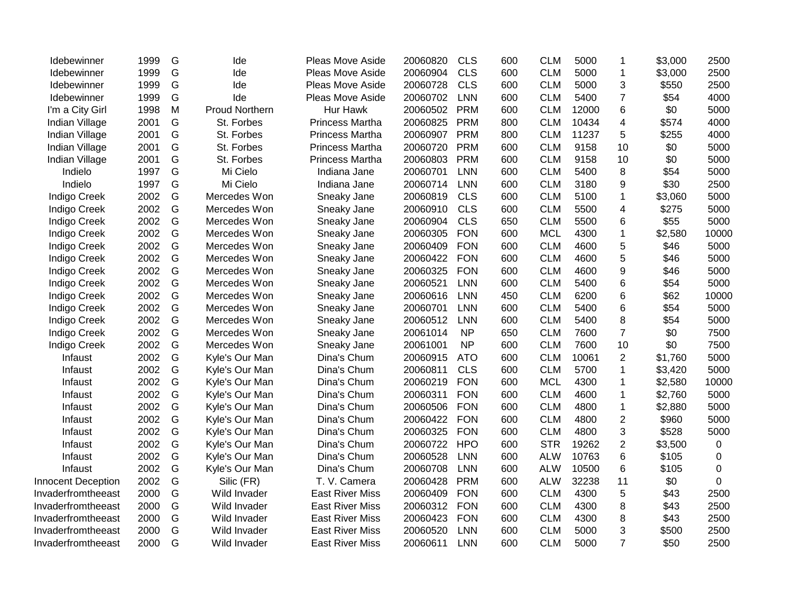| Idebewinner               | 1999 | G | Ide                   | Pleas Move Aside       | 20060820 | <b>CLS</b> | 600 | <b>CLM</b> | 5000  | 1              | \$3,000 | 2500        |
|---------------------------|------|---|-----------------------|------------------------|----------|------------|-----|------------|-------|----------------|---------|-------------|
| <b>Idebewinner</b>        | 1999 | G | Ide                   | Pleas Move Aside       | 20060904 | <b>CLS</b> | 600 | <b>CLM</b> | 5000  | $\mathbf{1}$   | \$3,000 | 2500        |
| <b>Idebewinner</b>        | 1999 | G | Ide                   | Pleas Move Aside       | 20060728 | <b>CLS</b> | 600 | <b>CLM</b> | 5000  | 3              | \$550   | 2500        |
| <b>Idebewinner</b>        | 1999 | G | Ide                   | Pleas Move Aside       | 20060702 | <b>LNN</b> | 600 | <b>CLM</b> | 5400  | 7              | \$54    | 4000        |
| I'm a City Girl           | 1998 | M | <b>Proud Northern</b> | Hur Hawk               | 20060502 | <b>PRM</b> | 600 | <b>CLM</b> | 12000 | 6              | \$0     | 5000        |
| Indian Village            | 2001 | G | St. Forbes            | <b>Princess Martha</b> | 20060825 | <b>PRM</b> | 800 | <b>CLM</b> | 10434 | 4              | \$574   | 4000        |
| Indian Village            | 2001 | G | St. Forbes            | <b>Princess Martha</b> | 20060907 | <b>PRM</b> | 800 | <b>CLM</b> | 11237 | 5              | \$255   | 4000        |
| Indian Village            | 2001 | G | St. Forbes            | <b>Princess Martha</b> | 20060720 | <b>PRM</b> | 600 | <b>CLM</b> | 9158  | 10             | \$0     | 5000        |
| Indian Village            | 2001 | G | St. Forbes            | <b>Princess Martha</b> | 20060803 | <b>PRM</b> | 600 | <b>CLM</b> | 9158  | 10             | \$0     | 5000        |
| Indielo                   | 1997 | G | Mi Cielo              | Indiana Jane           | 20060701 | <b>LNN</b> | 600 | <b>CLM</b> | 5400  | 8              | \$54    | 5000        |
| Indielo                   | 1997 | G | Mi Cielo              | Indiana Jane           | 20060714 | <b>LNN</b> | 600 | <b>CLM</b> | 3180  | 9              | \$30    | 2500        |
| <b>Indigo Creek</b>       | 2002 | G | Mercedes Won          | Sneaky Jane            | 20060819 | <b>CLS</b> | 600 | <b>CLM</b> | 5100  | 1              | \$3,060 | 5000        |
| <b>Indigo Creek</b>       | 2002 | G | Mercedes Won          | Sneaky Jane            | 20060910 | <b>CLS</b> | 600 | <b>CLM</b> | 5500  | 4              | \$275   | 5000        |
| Indigo Creek              | 2002 | G | Mercedes Won          | Sneaky Jane            | 20060904 | <b>CLS</b> | 650 | <b>CLM</b> | 5500  | 6              | \$55    | 5000        |
| Indigo Creek              | 2002 | G | Mercedes Won          | Sneaky Jane            | 20060305 | <b>FON</b> | 600 | <b>MCL</b> | 4300  | 1              | \$2,580 | 10000       |
| <b>Indigo Creek</b>       | 2002 | G | Mercedes Won          | Sneaky Jane            | 20060409 | <b>FON</b> | 600 | <b>CLM</b> | 4600  | 5              | \$46    | 5000        |
| <b>Indigo Creek</b>       | 2002 | G | Mercedes Won          | Sneaky Jane            | 20060422 | <b>FON</b> | 600 | <b>CLM</b> | 4600  | 5              | \$46    | 5000        |
| Indigo Creek              | 2002 | G | Mercedes Won          | Sneaky Jane            | 20060325 | <b>FON</b> | 600 | <b>CLM</b> | 4600  | 9              | \$46    | 5000        |
| <b>Indigo Creek</b>       | 2002 | G | Mercedes Won          | Sneaky Jane            | 20060521 | <b>LNN</b> | 600 | <b>CLM</b> | 5400  | 6              | \$54    | 5000        |
| <b>Indigo Creek</b>       | 2002 | G | Mercedes Won          | Sneaky Jane            | 20060616 | <b>LNN</b> | 450 | <b>CLM</b> | 6200  | 6              | \$62    | 10000       |
| <b>Indigo Creek</b>       | 2002 | G | Mercedes Won          | Sneaky Jane            | 20060701 | LNN        | 600 | <b>CLM</b> | 5400  | 6              | \$54    | 5000        |
| <b>Indigo Creek</b>       | 2002 | G | Mercedes Won          | Sneaky Jane            | 20060512 | <b>LNN</b> | 600 | <b>CLM</b> | 5400  | 8              | \$54    | 5000        |
| <b>Indigo Creek</b>       | 2002 | G | Mercedes Won          | Sneaky Jane            | 20061014 | <b>NP</b>  | 650 | <b>CLM</b> | 7600  | $\overline{7}$ | \$0     | 7500        |
| <b>Indigo Creek</b>       | 2002 | G | Mercedes Won          | Sneaky Jane            | 20061001 | <b>NP</b>  | 600 | <b>CLM</b> | 7600  | 10             | \$0     | 7500        |
| Infaust                   | 2002 | G | Kyle's Our Man        | Dina's Chum            | 20060915 | <b>ATO</b> | 600 | <b>CLM</b> | 10061 | $\overline{2}$ | \$1,760 | 5000        |
| Infaust                   | 2002 | G | Kyle's Our Man        | Dina's Chum            | 20060811 | <b>CLS</b> | 600 | <b>CLM</b> | 5700  | 1              | \$3,420 | 5000        |
| Infaust                   | 2002 | G | Kyle's Our Man        | Dina's Chum            | 20060219 | <b>FON</b> | 600 | <b>MCL</b> | 4300  | 1              | \$2,580 | 10000       |
| Infaust                   | 2002 | G | Kyle's Our Man        | Dina's Chum            | 20060311 | <b>FON</b> | 600 | <b>CLM</b> | 4600  | 1              | \$2,760 | 5000        |
| Infaust                   | 2002 | G | Kyle's Our Man        | Dina's Chum            | 20060506 | <b>FON</b> | 600 | <b>CLM</b> | 4800  | $\mathbf{1}$   | \$2,880 | 5000        |
| Infaust                   | 2002 | G | Kyle's Our Man        | Dina's Chum            | 20060422 | <b>FON</b> | 600 | <b>CLM</b> | 4800  | $\overline{2}$ | \$960   | 5000        |
| Infaust                   | 2002 | G | Kyle's Our Man        | Dina's Chum            | 20060325 | <b>FON</b> | 600 | <b>CLM</b> | 4800  | 3              | \$528   | 5000        |
| Infaust                   | 2002 | G | Kyle's Our Man        | Dina's Chum            | 20060722 | <b>HPO</b> | 600 | <b>STR</b> | 19262 | $\overline{2}$ | \$3,500 | $\mathbf 0$ |
| Infaust                   | 2002 | G | Kyle's Our Man        | Dina's Chum            | 20060528 | <b>LNN</b> | 600 | <b>ALW</b> | 10763 | 6              | \$105   | 0           |
| Infaust                   | 2002 | G | Kyle's Our Man        | Dina's Chum            | 20060708 | <b>LNN</b> | 600 | <b>ALW</b> | 10500 | 6              | \$105   | $\Omega$    |
| <b>Innocent Deception</b> | 2002 | G | Silic (FR)            | T. V. Camera           | 20060428 | <b>PRM</b> | 600 | <b>ALW</b> | 32238 | 11             | \$0     | $\Omega$    |
| Invaderfromtheeast        | 2000 | G | Wild Invader          | <b>East River Miss</b> | 20060409 | <b>FON</b> | 600 | <b>CLM</b> | 4300  | 5              | \$43    | 2500        |
| Invaderfromtheeast        | 2000 | G | Wild Invader          | <b>East River Miss</b> | 20060312 | <b>FON</b> | 600 | <b>CLM</b> | 4300  | 8              | \$43    | 2500        |
| Invaderfromtheeast        | 2000 | G | Wild Invader          | <b>East River Miss</b> | 20060423 | <b>FON</b> | 600 | <b>CLM</b> | 4300  | 8              | \$43    | 2500        |
| Invaderfromtheeast        | 2000 | G | Wild Invader          | <b>East River Miss</b> | 20060520 | <b>LNN</b> | 600 | <b>CLM</b> | 5000  | 3              | \$500   | 2500        |
| Invaderfromtheeast        | 2000 | G | Wild Invader          | <b>East River Miss</b> | 20060611 | <b>LNN</b> | 600 | <b>CLM</b> | 5000  | $\overline{7}$ | \$50    | 2500        |
|                           |      |   |                       |                        |          |            |     |            |       |                |         |             |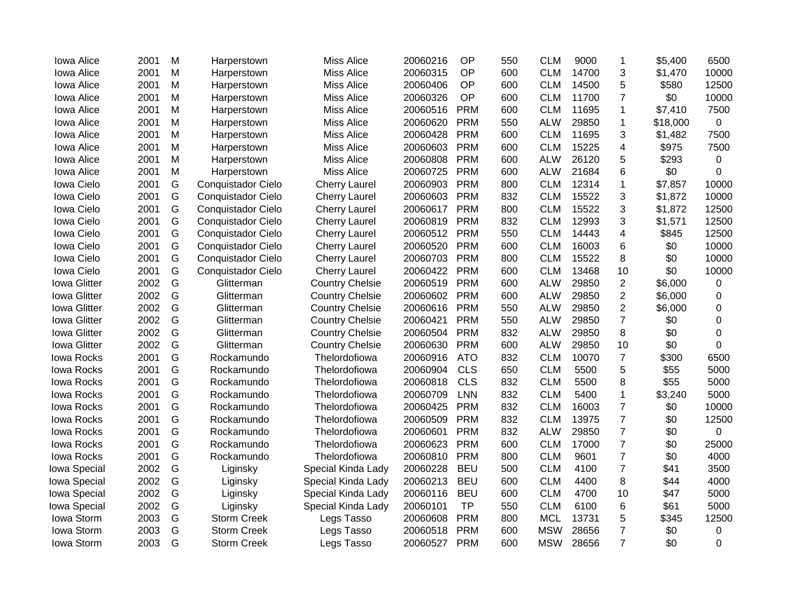| Iowa Alice          | 2001 | M | Harperstown        | <b>Miss Alice</b>      | 20060216 | OP         | 550 | <b>CLM</b> | 9000  | 1                       | \$5,400  | 6500     |
|---------------------|------|---|--------------------|------------------------|----------|------------|-----|------------|-------|-------------------------|----------|----------|
| Iowa Alice          | 2001 | M | Harperstown        | <b>Miss Alice</b>      | 20060315 | OP         | 600 | <b>CLM</b> | 14700 | 3                       | \$1,470  | 10000    |
| Iowa Alice          | 2001 | M | Harperstown        | <b>Miss Alice</b>      | 20060406 | OP         | 600 | <b>CLM</b> | 14500 | 5                       | \$580    | 12500    |
| Iowa Alice          | 2001 | M | Harperstown        | <b>Miss Alice</b>      | 20060326 | OP         | 600 | <b>CLM</b> | 11700 | $\overline{7}$          | \$0      | 10000    |
| Iowa Alice          | 2001 | M | Harperstown        | <b>Miss Alice</b>      | 20060516 | <b>PRM</b> | 600 | <b>CLM</b> | 11695 | 1                       | \$7,410  | 7500     |
| Iowa Alice          | 2001 | M | Harperstown        | <b>Miss Alice</b>      | 20060620 | <b>PRM</b> | 550 | <b>ALW</b> | 29850 | 1                       | \$18,000 | 0        |
| Iowa Alice          | 2001 | M | Harperstown        | <b>Miss Alice</b>      | 20060428 | <b>PRM</b> | 600 | <b>CLM</b> | 11695 | 3                       | \$1,482  | 7500     |
| Iowa Alice          | 2001 | M | Harperstown        | <b>Miss Alice</b>      | 20060603 | <b>PRM</b> | 600 | <b>CLM</b> | 15225 | 4                       | \$975    | 7500     |
| Iowa Alice          | 2001 | M | Harperstown        | <b>Miss Alice</b>      | 20060808 | <b>PRM</b> | 600 | <b>ALW</b> | 26120 | 5                       | \$293    | 0        |
| Iowa Alice          | 2001 | M | Harperstown        | <b>Miss Alice</b>      | 20060725 | <b>PRM</b> | 600 | <b>ALW</b> | 21684 | 6                       | \$0      | 0        |
| Iowa Cielo          | 2001 | G | Conquistador Cielo | <b>Cherry Laurel</b>   | 20060903 | <b>PRM</b> | 800 | <b>CLM</b> | 12314 | $\mathbf 1$             | \$7,857  | 10000    |
| Iowa Cielo          | 2001 | G | Conquistador Cielo | <b>Cherry Laurel</b>   | 20060603 | <b>PRM</b> | 832 | <b>CLM</b> | 15522 | 3                       | \$1,872  | 10000    |
| Iowa Cielo          | 2001 | G | Conquistador Cielo | <b>Cherry Laurel</b>   | 20060617 | <b>PRM</b> | 800 | <b>CLM</b> | 15522 | 3                       | \$1,872  | 12500    |
| Iowa Cielo          | 2001 | G | Conquistador Cielo | <b>Cherry Laurel</b>   | 20060819 | <b>PRM</b> | 832 | <b>CLM</b> | 12993 | 3                       | \$1,571  | 12500    |
| Iowa Cielo          | 2001 | G | Conquistador Cielo | <b>Cherry Laurel</b>   | 20060512 | <b>PRM</b> | 550 | <b>CLM</b> | 14443 | $\overline{\mathbf{4}}$ | \$845    | 12500    |
| Iowa Cielo          | 2001 | G | Conquistador Cielo | <b>Cherry Laurel</b>   | 20060520 | <b>PRM</b> | 600 | <b>CLM</b> | 16003 | 6                       | \$0      | 10000    |
| Iowa Cielo          | 2001 | G | Conquistador Cielo | <b>Cherry Laurel</b>   | 20060703 | <b>PRM</b> | 800 | <b>CLM</b> | 15522 | 8                       | \$0      | 10000    |
| Iowa Cielo          | 2001 | G | Conquistador Cielo | <b>Cherry Laurel</b>   | 20060422 | <b>PRM</b> | 600 | <b>CLM</b> | 13468 | 10                      | \$0      | 10000    |
| <b>Iowa Glitter</b> | 2002 | G | Glitterman         | <b>Country Chelsie</b> | 20060519 | <b>PRM</b> | 600 | <b>ALW</b> | 29850 | $\overline{2}$          | \$6,000  | 0        |
| <b>Iowa Glitter</b> | 2002 | G | Glitterman         | <b>Country Chelsie</b> | 20060602 | <b>PRM</b> | 600 | <b>ALW</b> | 29850 | $\overline{2}$          | \$6,000  | 0        |
| <b>Iowa Glitter</b> | 2002 | G | Glitterman         | <b>Country Chelsie</b> | 20060616 | <b>PRM</b> | 550 | <b>ALW</b> | 29850 | 2                       | \$6,000  | $\Omega$ |
| <b>Iowa Glitter</b> | 2002 | G | Glitterman         | <b>Country Chelsie</b> | 20060421 | <b>PRM</b> | 550 | <b>ALW</b> | 29850 | $\overline{7}$          | \$0      | 0        |
| <b>Iowa Glitter</b> | 2002 | G | Glitterman         | <b>Country Chelsie</b> | 20060504 | <b>PRM</b> | 832 | <b>ALW</b> | 29850 | 8                       | \$0      | 0        |
| <b>Iowa Glitter</b> | 2002 | G | Glitterman         | <b>Country Chelsie</b> | 20060630 | <b>PRM</b> | 600 | <b>ALW</b> | 29850 | 10                      | \$0      | 0        |
| <b>Iowa Rocks</b>   | 2001 | G | Rockamundo         | Thelordofiowa          | 20060916 | <b>ATO</b> | 832 | <b>CLM</b> | 10070 | $\overline{7}$          | \$300    | 6500     |
| <b>Iowa Rocks</b>   | 2001 | G | Rockamundo         | Thelordofiowa          | 20060904 | <b>CLS</b> | 650 | <b>CLM</b> | 5500  | 5                       | \$55     | 5000     |
| Iowa Rocks          | 2001 | G | Rockamundo         | Thelordofiowa          | 20060818 | <b>CLS</b> | 832 | <b>CLM</b> | 5500  | 8                       | \$55     | 5000     |
| <b>Iowa Rocks</b>   | 2001 | G | Rockamundo         | Thelordofiowa          | 20060709 | <b>LNN</b> | 832 | <b>CLM</b> | 5400  | $\mathbf 1$             | \$3,240  | 5000     |
| <b>Iowa Rocks</b>   | 2001 | G | Rockamundo         | Thelordofiowa          | 20060425 | <b>PRM</b> | 832 | <b>CLM</b> | 16003 | $\overline{7}$          | \$0      | 10000    |
| <b>Iowa Rocks</b>   | 2001 | G | Rockamundo         | Thelordofiowa          | 20060509 | <b>PRM</b> | 832 | <b>CLM</b> | 13975 | $\overline{7}$          | \$0      | 12500    |
| <b>Iowa Rocks</b>   | 2001 | G | Rockamundo         | Thelordofiowa          | 20060601 | <b>PRM</b> | 832 | <b>ALW</b> | 29850 | $\overline{7}$          | \$0      | 0        |
| Iowa Rocks          | 2001 | G | Rockamundo         | Thelordofiowa          | 20060623 | <b>PRM</b> | 600 | <b>CLM</b> | 17000 | $\overline{7}$          | \$0      | 25000    |
| <b>Iowa Rocks</b>   | 2001 | G | Rockamundo         | Thelordofiowa          | 20060810 | <b>PRM</b> | 800 | <b>CLM</b> | 9601  | $\overline{7}$          | \$0      | 4000     |
| <b>Iowa Special</b> | 2002 | G | Liginsky           | Special Kinda Lady     | 20060228 | <b>BEU</b> | 500 | <b>CLM</b> | 4100  | $\overline{7}$          | \$41     | 3500     |
| Iowa Special        | 2002 | G | Liginsky           | Special Kinda Lady     | 20060213 | <b>BEU</b> | 600 | <b>CLM</b> | 4400  | 8                       | \$44     | 4000     |
| Iowa Special        | 2002 | G | Liginsky           | Special Kinda Lady     | 20060116 | <b>BEU</b> | 600 | <b>CLM</b> | 4700  | 10                      | \$47     | 5000     |
| Iowa Special        | 2002 | G | Liginsky           | Special Kinda Lady     | 20060101 | <b>TP</b>  | 550 | <b>CLM</b> | 6100  | 6                       | \$61     | 5000     |
| Iowa Storm          | 2003 | G | <b>Storm Creek</b> | Legs Tasso             | 20060608 | <b>PRM</b> | 800 | <b>MCL</b> | 13731 | 5                       | \$345    | 12500    |
| Iowa Storm          | 2003 | G | <b>Storm Creek</b> | Legs Tasso             | 20060518 | <b>PRM</b> | 600 | <b>MSW</b> | 28656 | 7                       | \$0      | 0        |
| Iowa Storm          | 2003 | G | <b>Storm Creek</b> | Legs Tasso             | 20060527 | <b>PRM</b> | 600 | <b>MSW</b> | 28656 | $\overline{7}$          | \$0      | 0        |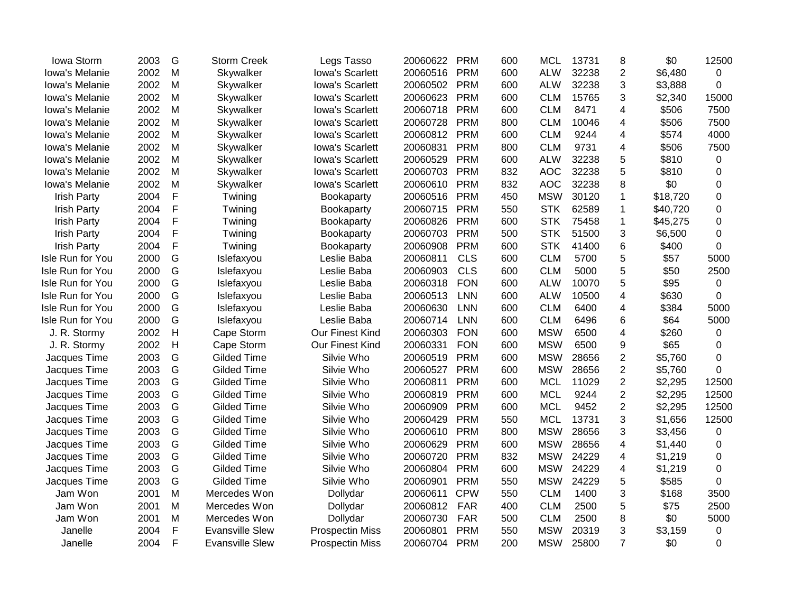| 2003 | G            | <b>Storm Creek</b>     | Legs Tasso             | 20060622 | <b>PRM</b> | 600 | <b>MCL</b> | 13731 | 8                       | \$0      | 12500       |
|------|--------------|------------------------|------------------------|----------|------------|-----|------------|-------|-------------------------|----------|-------------|
| 2002 | M            | Skywalker              | Iowa's Scarlett        | 20060516 | <b>PRM</b> | 600 | <b>ALW</b> | 32238 | $\overline{2}$          | \$6,480  | 0           |
| 2002 | M            | Skywalker              | Iowa's Scarlett        | 20060502 | <b>PRM</b> | 600 | <b>ALW</b> | 32238 | 3                       | \$3,888  | 0           |
| 2002 | M            | Skywalker              | Iowa's Scarlett        | 20060623 | <b>PRM</b> | 600 | <b>CLM</b> | 15765 | 3                       | \$2,340  | 15000       |
| 2002 | M            | Skywalker              | Iowa's Scarlett        | 20060718 | <b>PRM</b> | 600 | <b>CLM</b> | 8471  | 4                       | \$506    | 7500        |
| 2002 | M            | Skywalker              | Iowa's Scarlett        | 20060728 | <b>PRM</b> | 800 | <b>CLM</b> | 10046 | 4                       | \$506    | 7500        |
| 2002 | M            | Skywalker              | Iowa's Scarlett        | 20060812 | <b>PRM</b> | 600 | <b>CLM</b> | 9244  | $\overline{\mathbf{4}}$ | \$574    | 4000        |
| 2002 | M            | Skywalker              | Iowa's Scarlett        | 20060831 | <b>PRM</b> | 800 | <b>CLM</b> | 9731  | $\overline{\mathbf{4}}$ | \$506    | 7500        |
| 2002 | M            | Skywalker              | Iowa's Scarlett        | 20060529 | <b>PRM</b> | 600 | <b>ALW</b> | 32238 | 5                       | \$810    | 0           |
| 2002 | M            | Skywalker              | Iowa's Scarlett        | 20060703 | <b>PRM</b> | 832 | <b>AOC</b> | 32238 | 5                       | \$810    | 0           |
| 2002 | M            | Skywalker              | Iowa's Scarlett        | 20060610 | <b>PRM</b> | 832 | <b>AOC</b> | 32238 | 8                       | \$0      | 0           |
| 2004 | F            | Twining                | Bookaparty             | 20060516 | <b>PRM</b> | 450 | <b>MSW</b> | 30120 | $\mathbf 1$             | \$18,720 | 0           |
| 2004 | F            | Twining                | Bookaparty             | 20060715 | <b>PRM</b> | 550 | <b>STK</b> | 62589 | $\mathbf 1$             | \$40,720 | 0           |
| 2004 | F            | Twining                | <b>Bookaparty</b>      | 20060826 | <b>PRM</b> | 600 | <b>STK</b> | 75458 | $\mathbf{1}$            | \$45,275 | 0           |
| 2004 | F            | Twining                | Bookaparty             | 20060703 | <b>PRM</b> | 500 | <b>STK</b> | 51500 | 3                       | \$6,500  | 0           |
| 2004 | F            | Twining                | Bookaparty             | 20060908 | <b>PRM</b> | 600 | <b>STK</b> | 41400 | $6\phantom{1}6$         | \$400    | 0           |
| 2000 | G            | Islefaxyou             | Leslie Baba            | 20060811 | <b>CLS</b> | 600 | <b>CLM</b> | 5700  | 5                       | \$57     | 5000        |
| 2000 | G            | Islefaxyou             | Leslie Baba            | 20060903 | <b>CLS</b> | 600 | <b>CLM</b> | 5000  | 5                       | \$50     | 2500        |
| 2000 | G            | Islefaxyou             | Leslie Baba            | 20060318 | <b>FON</b> | 600 | <b>ALW</b> | 10070 | 5                       | \$95     | 0           |
| 2000 | G            | Islefaxyou             | Leslie Baba            | 20060513 | <b>LNN</b> | 600 | <b>ALW</b> | 10500 | 4                       | \$630    | 0           |
| 2000 | G            | Islefaxyou             | Leslie Baba            | 20060630 | <b>LNN</b> | 600 | <b>CLM</b> | 6400  | 4                       | \$384    | 5000        |
| 2000 | G            | Islefaxyou             | Leslie Baba            | 20060714 | <b>LNN</b> | 600 | <b>CLM</b> | 6496  | 6                       | \$64     | 5000        |
| 2002 | $\mathsf{H}$ | Cape Storm             | Our Finest Kind        | 20060303 | <b>FON</b> | 600 | <b>MSW</b> | 6500  | $\overline{\mathbf{4}}$ | \$260    | 0           |
| 2002 | $\mathsf{H}$ | Cape Storm             | Our Finest Kind        | 20060331 | <b>FON</b> | 600 | <b>MSW</b> | 6500  | 9                       | \$65     | 0           |
| 2003 | G            | <b>Gilded Time</b>     | Silvie Who             | 20060519 | <b>PRM</b> | 600 | <b>MSW</b> | 28656 | $\overline{2}$          | \$5,760  | 0           |
| 2003 | G            | <b>Gilded Time</b>     | Silvie Who             | 20060527 | <b>PRM</b> | 600 | <b>MSW</b> | 28656 | $\overline{2}$          | \$5,760  | $\Omega$    |
| 2003 | G            | <b>Gilded Time</b>     | Silvie Who             | 20060811 | <b>PRM</b> | 600 | <b>MCL</b> | 11029 | $\overline{2}$          | \$2,295  | 12500       |
| 2003 | G            | <b>Gilded Time</b>     | Silvie Who             | 20060819 | <b>PRM</b> | 600 | <b>MCL</b> | 9244  | $\overline{2}$          | \$2,295  | 12500       |
| 2003 | G            | <b>Gilded Time</b>     | Silvie Who             | 20060909 | <b>PRM</b> | 600 | <b>MCL</b> | 9452  | $\overline{2}$          | \$2,295  | 12500       |
| 2003 | G            | <b>Gilded Time</b>     | Silvie Who             | 20060429 | <b>PRM</b> | 550 | <b>MCL</b> | 13731 | 3                       | \$1,656  | 12500       |
| 2003 | G            | <b>Gilded Time</b>     | Silvie Who             | 20060610 | <b>PRM</b> | 800 | <b>MSW</b> | 28656 | 3                       | \$3,456  | $\mathbf 0$ |
| 2003 | G            | <b>Gilded Time</b>     | Silvie Who             | 20060629 | <b>PRM</b> | 600 | <b>MSW</b> | 28656 | $\overline{\mathbf{4}}$ | \$1,440  | 0           |
| 2003 | G            | Gilded Time            | Silvie Who             | 20060720 | <b>PRM</b> | 832 | <b>MSW</b> | 24229 | 4                       | \$1,219  | 0           |
| 2003 | G            | Gilded Time            | Silvie Who             | 20060804 | <b>PRM</b> | 600 | <b>MSW</b> | 24229 | 4                       | \$1,219  | 0           |
| 2003 | G            | Gilded Time            | Silvie Who             | 20060901 | <b>PRM</b> | 550 | <b>MSW</b> | 24229 | 5                       | \$585    | $\Omega$    |
| 2001 | M            | Mercedes Won           | Dollydar               | 20060611 | <b>CPW</b> | 550 | <b>CLM</b> | 1400  | 3                       | \$168    | 3500        |
| 2001 | M            | Mercedes Won           | Dollydar               | 20060812 | <b>FAR</b> | 400 | <b>CLM</b> | 2500  | 5                       | \$75     | 2500        |
| 2001 | M            | Mercedes Won           | Dollydar               | 20060730 | <b>FAR</b> | 500 | <b>CLM</b> | 2500  | 8                       | \$0      | 5000        |
| 2004 | F            | <b>Evansville Slew</b> | <b>Prospectin Miss</b> | 20060801 | <b>PRM</b> | 550 | <b>MSW</b> | 20319 | 3                       | \$3,159  | 0           |
| 2004 | F            | <b>Evansville Slew</b> | <b>Prospectin Miss</b> | 20060704 | <b>PRM</b> | 200 | <b>MSW</b> | 25800 | $\overline{7}$          | \$0      | 0           |
|      |              |                        |                        |          |            |     |            |       |                         |          |             |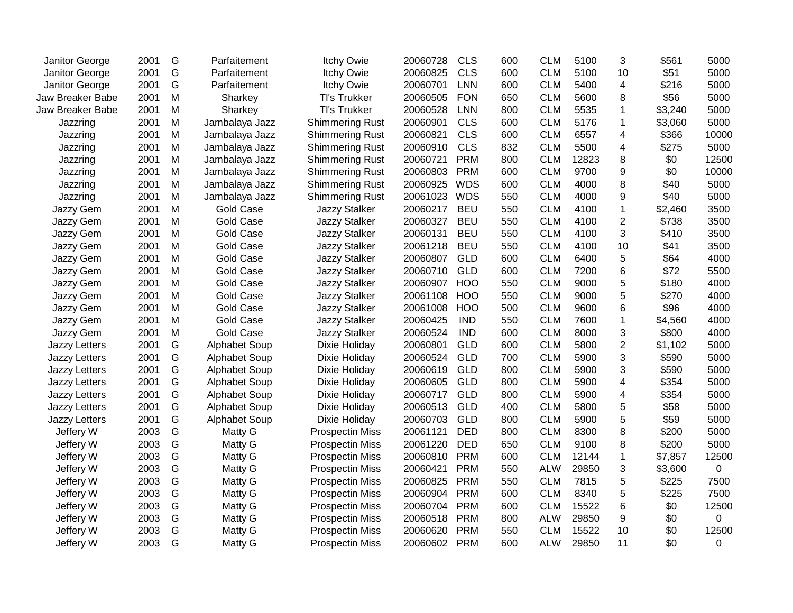| Janitor George   | 2001 | G | Parfaitement         | <b>Itchy Owie</b>      | 20060728 | <b>CLS</b> | 600 | <b>CLM</b> | 5100  | 3                       | \$561   | 5000           |
|------------------|------|---|----------------------|------------------------|----------|------------|-----|------------|-------|-------------------------|---------|----------------|
| Janitor George   | 2001 | G | Parfaitement         | <b>Itchy Owie</b>      | 20060825 | <b>CLS</b> | 600 | <b>CLM</b> | 5100  | 10                      | \$51    | 5000           |
| Janitor George   | 2001 | G | Parfaitement         | <b>Itchy Owie</b>      | 20060701 | <b>LNN</b> | 600 | <b>CLM</b> | 5400  | 4                       | \$216   | 5000           |
| Jaw Breaker Babe | 2001 | M | Sharkey              | Tl's Trukker           | 20060505 | <b>FON</b> | 650 | <b>CLM</b> | 5600  | 8                       | \$56    | 5000           |
| Jaw Breaker Babe | 2001 | M | Sharkey              | <b>TI's Trukker</b>    | 20060528 | <b>LNN</b> | 800 | <b>CLM</b> | 5535  | 1                       | \$3,240 | 5000           |
| Jazzring         | 2001 | M | Jambalaya Jazz       | <b>Shimmering Rust</b> | 20060901 | <b>CLS</b> | 600 | <b>CLM</b> | 5176  | $\mathbf{1}$            | \$3,060 | 5000           |
| Jazzring         | 2001 | M | Jambalaya Jazz       | <b>Shimmering Rust</b> | 20060821 | <b>CLS</b> | 600 | <b>CLM</b> | 6557  | $\overline{\mathbf{4}}$ | \$366   | 10000          |
| Jazzring         | 2001 | M | Jambalaya Jazz       | <b>Shimmering Rust</b> | 20060910 | <b>CLS</b> | 832 | <b>CLM</b> | 5500  | $\overline{\mathbf{4}}$ | \$275   | 5000           |
| Jazzring         | 2001 | M | Jambalaya Jazz       | <b>Shimmering Rust</b> | 20060721 | <b>PRM</b> | 800 | <b>CLM</b> | 12823 | 8                       | \$0     | 12500          |
| Jazzring         | 2001 | M | Jambalaya Jazz       | <b>Shimmering Rust</b> | 20060803 | <b>PRM</b> | 600 | <b>CLM</b> | 9700  | 9                       | \$0     | 10000          |
| Jazzring         | 2001 | M | Jambalaya Jazz       | <b>Shimmering Rust</b> | 20060925 | <b>WDS</b> | 600 | <b>CLM</b> | 4000  | 8                       | \$40    | 5000           |
| Jazzring         | 2001 | M | Jambalaya Jazz       | <b>Shimmering Rust</b> | 20061023 | WDS        | 550 | <b>CLM</b> | 4000  | 9                       | \$40    | 5000           |
| Jazzy Gem        | 2001 | M | <b>Gold Case</b>     | <b>Jazzy Stalker</b>   | 20060217 | <b>BEU</b> | 550 | <b>CLM</b> | 4100  | $\mathbf 1$             | \$2,460 | 3500           |
| Jazzy Gem        | 2001 | M | Gold Case            | <b>Jazzy Stalker</b>   | 20060327 | <b>BEU</b> | 550 | <b>CLM</b> | 4100  | $\overline{2}$          | \$738   | 3500           |
| Jazzy Gem        | 2001 | M | Gold Case            | <b>Jazzy Stalker</b>   | 20060131 | <b>BEU</b> | 550 | <b>CLM</b> | 4100  | 3                       | \$410   | 3500           |
| Jazzy Gem        | 2001 | M | <b>Gold Case</b>     | <b>Jazzy Stalker</b>   | 20061218 | <b>BEU</b> | 550 | <b>CLM</b> | 4100  | 10                      | \$41    | 3500           |
| Jazzy Gem        | 2001 | M | Gold Case            | <b>Jazzy Stalker</b>   | 20060807 | <b>GLD</b> | 600 | <b>CLM</b> | 6400  | 5                       | \$64    | 4000           |
| Jazzy Gem        | 2001 | M | <b>Gold Case</b>     | <b>Jazzy Stalker</b>   | 20060710 | <b>GLD</b> | 600 | <b>CLM</b> | 7200  | 6                       | \$72    | 5500           |
| Jazzy Gem        | 2001 | M | <b>Gold Case</b>     | <b>Jazzy Stalker</b>   | 20060907 | <b>HOO</b> | 550 | <b>CLM</b> | 9000  | 5                       | \$180   | 4000           |
| Jazzy Gem        | 2001 | M | <b>Gold Case</b>     | <b>Jazzy Stalker</b>   | 20061108 | <b>HOO</b> | 550 | <b>CLM</b> | 9000  | 5                       | \$270   | 4000           |
| Jazzy Gem        | 2001 | M | Gold Case            | Jazzy Stalker          | 20061008 | <b>HOO</b> | 500 | <b>CLM</b> | 9600  | 6                       | \$96    | 4000           |
| Jazzy Gem        | 2001 | M | Gold Case            | Jazzy Stalker          | 20060425 | <b>IND</b> | 550 | <b>CLM</b> | 7600  | $\mathbf{1}$            | \$4,560 | 4000           |
| Jazzy Gem        | 2001 | M | <b>Gold Case</b>     | Jazzy Stalker          | 20060524 | <b>IND</b> | 600 | <b>CLM</b> | 8000  | 3                       | \$800   | 4000           |
| Jazzy Letters    | 2001 | G | Alphabet Soup        | Dixie Holiday          | 20060801 | <b>GLD</b> | 600 | <b>CLM</b> | 5800  | $\overline{c}$          | \$1,102 | 5000           |
| Jazzy Letters    | 2001 | G | Alphabet Soup        | Dixie Holiday          | 20060524 | <b>GLD</b> | 700 | <b>CLM</b> | 5900  | 3                       | \$590   | 5000           |
| Jazzy Letters    | 2001 | G | <b>Alphabet Soup</b> | Dixie Holiday          | 20060619 | <b>GLD</b> | 800 | <b>CLM</b> | 5900  | 3                       | \$590   | 5000           |
| Jazzy Letters    | 2001 | G | Alphabet Soup        | Dixie Holiday          | 20060605 | <b>GLD</b> | 800 | <b>CLM</b> | 5900  | 4                       | \$354   | 5000           |
| Jazzy Letters    | 2001 | G | Alphabet Soup        | Dixie Holiday          | 20060717 | <b>GLD</b> | 800 | <b>CLM</b> | 5900  | 4                       | \$354   | 5000           |
| Jazzy Letters    | 2001 | G | Alphabet Soup        | Dixie Holiday          | 20060513 | <b>GLD</b> | 400 | <b>CLM</b> | 5800  | 5                       | \$58    | 5000           |
| Jazzy Letters    | 2001 | G | Alphabet Soup        | Dixie Holiday          | 20060703 | <b>GLD</b> | 800 | <b>CLM</b> | 5900  | 5                       | \$59    | 5000           |
| Jeffery W        | 2003 | G | Matty G              | <b>Prospectin Miss</b> | 20061121 | <b>DED</b> | 800 | <b>CLM</b> | 8300  | 8                       | \$200   | 5000           |
| Jeffery W        | 2003 | G | Matty G              | <b>Prospectin Miss</b> | 20061220 | <b>DED</b> | 650 | <b>CLM</b> | 9100  | 8                       | \$200   | 5000           |
| Jeffery W        | 2003 | G | Matty G              | <b>Prospectin Miss</b> | 20060810 | <b>PRM</b> | 600 | <b>CLM</b> | 12144 | $\mathbf{1}$            | \$7,857 | 12500          |
| Jeffery W        | 2003 | G | Matty G              | <b>Prospectin Miss</b> | 20060421 | <b>PRM</b> | 550 | <b>ALW</b> | 29850 | 3                       | \$3,600 | $\mathbf 0$    |
| Jeffery W        | 2003 | G | Matty G              | <b>Prospectin Miss</b> | 20060825 | <b>PRM</b> | 550 | <b>CLM</b> | 7815  | 5                       | \$225   | 7500           |
| Jeffery W        | 2003 | G | Matty G              | <b>Prospectin Miss</b> | 20060904 | <b>PRM</b> | 600 | <b>CLM</b> | 8340  | 5                       | \$225   | 7500           |
| Jeffery W        | 2003 | G | Matty G              | <b>Prospectin Miss</b> | 20060704 | <b>PRM</b> | 600 | <b>CLM</b> | 15522 | 6                       | \$0     | 12500          |
| Jeffery W        | 2003 | G | Matty G              | <b>Prospectin Miss</b> | 20060518 | <b>PRM</b> | 800 | <b>ALW</b> | 29850 | 9                       | \$0     | $\overline{0}$ |
| Jeffery W        | 2003 | G | Matty G              | <b>Prospectin Miss</b> | 20060620 | <b>PRM</b> | 550 | <b>CLM</b> | 15522 | 10                      | \$0     | 12500          |
| Jeffery W        | 2003 | G | Matty G              | <b>Prospectin Miss</b> | 20060602 | <b>PRM</b> | 600 | <b>ALW</b> | 29850 | 11                      | \$0     | $\Omega$       |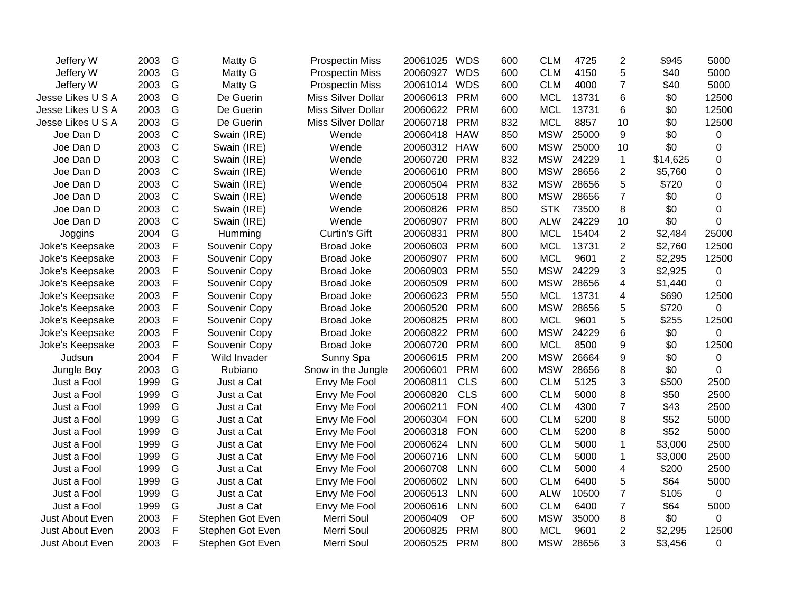| Jeffery W         | 2003 | G           | Matty G          | <b>Prospectin Miss</b> | 20061025 | <b>WDS</b> | 600 | <b>CLM</b> | 4725  | $\overline{2}$          | \$945    | 5000      |
|-------------------|------|-------------|------------------|------------------------|----------|------------|-----|------------|-------|-------------------------|----------|-----------|
| Jeffery W         | 2003 | G           | Matty G          | <b>Prospectin Miss</b> | 20060927 | <b>WDS</b> | 600 | <b>CLM</b> | 4150  | 5                       | \$40     | 5000      |
| Jeffery W         | 2003 | G           | Matty G          | <b>Prospectin Miss</b> | 20061014 | <b>WDS</b> | 600 | <b>CLM</b> | 4000  | $\overline{7}$          | \$40     | 5000      |
| Jesse Likes U S A | 2003 | G           | De Guerin        | Miss Silver Dollar     | 20060613 | <b>PRM</b> | 600 | <b>MCL</b> | 13731 | 6                       | \$0      | 12500     |
| Jesse Likes U S A | 2003 | G           | De Guerin        | Miss Silver Dollar     | 20060622 | <b>PRM</b> | 600 | <b>MCL</b> | 13731 | 6                       | \$0      | 12500     |
| Jesse Likes U S A | 2003 | G           | De Guerin        | Miss Silver Dollar     | 20060718 | <b>PRM</b> | 832 | <b>MCL</b> | 8857  | 10                      | \$0      | 12500     |
| Joe Dan D         | 2003 | $\mathsf C$ | Swain (IRE)      | Wende                  | 20060418 | <b>HAW</b> | 850 | <b>MSW</b> | 25000 | 9                       | \$0      | 0         |
| Joe Dan D         | 2003 | $\mathsf C$ | Swain (IRE)      | Wende                  | 20060312 | <b>HAW</b> | 600 | <b>MSW</b> | 25000 | 10                      | \$0      | 0         |
| Joe Dan D         | 2003 | $\mathsf C$ | Swain (IRE)      | Wende                  | 20060720 | <b>PRM</b> | 832 | <b>MSW</b> | 24229 | $\mathbf{1}$            | \$14,625 | 0         |
| Joe Dan D         | 2003 | $\mathsf C$ | Swain (IRE)      | Wende                  | 20060610 | <b>PRM</b> | 800 | <b>MSW</b> | 28656 | $\overline{2}$          | \$5,760  | 0         |
| Joe Dan D         | 2003 | $\mathsf C$ | Swain (IRE)      | Wende                  | 20060504 | <b>PRM</b> | 832 | <b>MSW</b> | 28656 | 5                       | \$720    | 0         |
| Joe Dan D         | 2003 | $\mathsf C$ | Swain (IRE)      | Wende                  | 20060518 | <b>PRM</b> | 800 | <b>MSW</b> | 28656 | $\overline{7}$          | \$0      | $\Omega$  |
| Joe Dan D         | 2003 | $\mathsf C$ | Swain (IRE)      | Wende                  | 20060826 | <b>PRM</b> | 850 | <b>STK</b> | 73500 | 8                       | \$0      | 0         |
| Joe Dan D         | 2003 | $\mathsf C$ | Swain (IRE)      | Wende                  | 20060907 | <b>PRM</b> | 800 | <b>ALW</b> | 24229 | 10                      | \$0      | 0         |
| Joggins           | 2004 | G           | Humming          | <b>Curtin's Gift</b>   | 20060831 | <b>PRM</b> | 800 | <b>MCL</b> | 15404 | $\overline{2}$          | \$2,484  | 25000     |
| Joke's Keepsake   | 2003 | $\mathsf F$ | Souvenir Copy    | <b>Broad Joke</b>      | 20060603 | <b>PRM</b> | 600 | <b>MCL</b> | 13731 | $\overline{2}$          | \$2,760  | 12500     |
| Joke's Keepsake   | 2003 | $\mathsf F$ | Souvenir Copy    | <b>Broad Joke</b>      | 20060907 | <b>PRM</b> | 600 | <b>MCL</b> | 9601  | $\overline{2}$          | \$2,295  | 12500     |
| Joke's Keepsake   | 2003 | $\mathsf F$ | Souvenir Copy    | <b>Broad Joke</b>      | 20060903 | <b>PRM</b> | 550 | <b>MSW</b> | 24229 | 3                       | \$2,925  | $\pmb{0}$ |
| Joke's Keepsake   | 2003 | $\mathsf F$ | Souvenir Copy    | <b>Broad Joke</b>      | 20060509 | <b>PRM</b> | 600 | <b>MSW</b> | 28656 | $\overline{4}$          | \$1,440  | 0         |
| Joke's Keepsake   | 2003 | $\mathsf F$ | Souvenir Copy    | <b>Broad Joke</b>      | 20060623 | <b>PRM</b> | 550 | <b>MCL</b> | 13731 | 4                       | \$690    | 12500     |
| Joke's Keepsake   | 2003 | $\mathsf F$ | Souvenir Copy    | <b>Broad Joke</b>      | 20060520 | <b>PRM</b> | 600 | <b>MSW</b> | 28656 | 5                       | \$720    | 0         |
| Joke's Keepsake   | 2003 | $\mathsf F$ | Souvenir Copy    | <b>Broad Joke</b>      | 20060825 | <b>PRM</b> | 800 | <b>MCL</b> | 9601  | 5                       | \$255    | 12500     |
| Joke's Keepsake   | 2003 | $\mathsf F$ | Souvenir Copy    | <b>Broad Joke</b>      | 20060822 | <b>PRM</b> | 600 | <b>MSW</b> | 24229 | 6                       | \$0      | 0         |
| Joke's Keepsake   | 2003 | $\mathsf F$ | Souvenir Copy    | <b>Broad Joke</b>      | 20060720 | <b>PRM</b> | 600 | <b>MCL</b> | 8500  | 9                       | \$0      | 12500     |
| Judsun            | 2004 | $\mathsf F$ | Wild Invader     | Sunny Spa              | 20060615 | <b>PRM</b> | 200 | <b>MSW</b> | 26664 | 9                       | \$0      | 0         |
| Jungle Boy        | 2003 | G           | Rubiano          | Snow in the Jungle     | 20060601 | <b>PRM</b> | 600 | <b>MSW</b> | 28656 | 8                       | \$0      | 0         |
| Just a Fool       | 1999 | G           | Just a Cat       | Envy Me Fool           | 20060811 | <b>CLS</b> | 600 | <b>CLM</b> | 5125  | 3                       | \$500    | 2500      |
| Just a Fool       | 1999 | G           | Just a Cat       | Envy Me Fool           | 20060820 | <b>CLS</b> | 600 | <b>CLM</b> | 5000  | 8                       | \$50     | 2500      |
| Just a Fool       | 1999 | G           | Just a Cat       | Envy Me Fool           | 20060211 | <b>FON</b> | 400 | <b>CLM</b> | 4300  | $\overline{7}$          | \$43     | 2500      |
| Just a Fool       | 1999 | G           | Just a Cat       | Envy Me Fool           | 20060304 | <b>FON</b> | 600 | <b>CLM</b> | 5200  | 8                       | \$52     | 5000      |
| Just a Fool       | 1999 | G           | Just a Cat       | Envy Me Fool           | 20060318 | <b>FON</b> | 600 | <b>CLM</b> | 5200  | 8                       | \$52     | 5000      |
| Just a Fool       | 1999 | G           | Just a Cat       | Envy Me Fool           | 20060624 | <b>LNN</b> | 600 | <b>CLM</b> | 5000  | 1                       | \$3,000  | 2500      |
| Just a Fool       | 1999 | G           | Just a Cat       | Envy Me Fool           | 20060716 | <b>LNN</b> | 600 | <b>CLM</b> | 5000  | $\mathbf{1}$            | \$3,000  | 2500      |
| Just a Fool       | 1999 | G           | Just a Cat       | Envy Me Fool           | 20060708 | <b>LNN</b> | 600 | <b>CLM</b> | 5000  | 4                       | \$200    | 2500      |
| Just a Fool       | 1999 | G           | Just a Cat       | Envy Me Fool           | 20060602 | <b>LNN</b> | 600 | <b>CLM</b> | 6400  | 5                       | \$64     | 5000      |
| Just a Fool       | 1999 | G           | Just a Cat       | Envy Me Fool           | 20060513 | <b>LNN</b> | 600 | <b>ALW</b> | 10500 | $\overline{7}$          | \$105    | 0         |
| Just a Fool       | 1999 | G           | Just a Cat       | Envy Me Fool           | 20060616 | <b>LNN</b> | 600 | <b>CLM</b> | 6400  | $\overline{7}$          | \$64     | 5000      |
| Just About Even   | 2003 | $\mathsf F$ | Stephen Got Even | Merri Soul             | 20060409 | OP         | 600 | <b>MSW</b> | 35000 | 8                       | \$0      | 0         |
| Just About Even   | 2003 | $\mathsf F$ | Stephen Got Even | Merri Soul             | 20060825 | <b>PRM</b> | 800 | <b>MCL</b> | 9601  | $\overline{\mathbf{c}}$ | \$2,295  | 12500     |
| Just About Even   | 2003 | F           | Stephen Got Even | Merri Soul             | 20060525 | <b>PRM</b> | 800 | <b>MSW</b> | 28656 | 3                       | \$3,456  | 0         |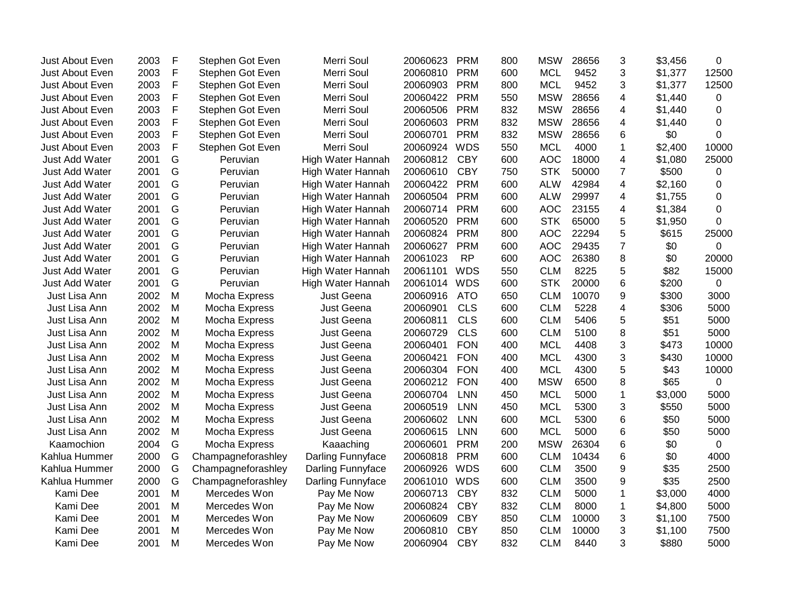| Just About Even | 2003 | F | Stephen Got Even   | Merri Soul        | 20060623 | <b>PRM</b> | 800 | <b>MSW</b> | 28656 | 3               | \$3,456 | 0              |
|-----------------|------|---|--------------------|-------------------|----------|------------|-----|------------|-------|-----------------|---------|----------------|
| Just About Even | 2003 | F | Stephen Got Even   | Merri Soul        | 20060810 | <b>PRM</b> | 600 | <b>MCL</b> | 9452  | 3               | \$1,377 | 12500          |
| Just About Even | 2003 | F | Stephen Got Even   | Merri Soul        | 20060903 | <b>PRM</b> | 800 | <b>MCL</b> | 9452  | 3               | \$1,377 | 12500          |
| Just About Even | 2003 | F | Stephen Got Even   | Merri Soul        | 20060422 | <b>PRM</b> | 550 | <b>MSW</b> | 28656 | 4               | \$1,440 | 0              |
| Just About Even | 2003 | F | Stephen Got Even   | Merri Soul        | 20060506 | <b>PRM</b> | 832 | <b>MSW</b> | 28656 | 4               | \$1,440 | 0              |
| Just About Even | 2003 | F | Stephen Got Even   | Merri Soul        | 20060603 | <b>PRM</b> | 832 | <b>MSW</b> | 28656 | 4               | \$1,440 | 0              |
| Just About Even | 2003 | F | Stephen Got Even   | Merri Soul        | 20060701 | <b>PRM</b> | 832 | <b>MSW</b> | 28656 | 6               | \$0     | 0              |
| Just About Even | 2003 | F | Stephen Got Even   | Merri Soul        | 20060924 | <b>WDS</b> | 550 | <b>MCL</b> | 4000  | 1               | \$2,400 | 10000          |
| Just Add Water  | 2001 | G | Peruvian           | High Water Hannah | 20060812 | <b>CBY</b> | 600 | <b>AOC</b> | 18000 | 4               | \$1,080 | 25000          |
| Just Add Water  | 2001 | G | Peruvian           | High Water Hannah | 20060610 | <b>CBY</b> | 750 | <b>STK</b> | 50000 | $\overline{7}$  | \$500   | 0              |
| Just Add Water  | 2001 | G | Peruvian           | High Water Hannah | 20060422 | <b>PRM</b> | 600 | <b>ALW</b> | 42984 | 4               | \$2,160 | 0              |
| Just Add Water  | 2001 | G | Peruvian           | High Water Hannah | 20060504 | <b>PRM</b> | 600 | <b>ALW</b> | 29997 | 4               | \$1,755 | 0              |
| Just Add Water  | 2001 | G | Peruvian           | High Water Hannah | 20060714 | <b>PRM</b> | 600 | <b>AOC</b> | 23155 | 4               | \$1,384 | 0              |
| Just Add Water  | 2001 | G | Peruvian           | High Water Hannah | 20060520 | <b>PRM</b> | 600 | <b>STK</b> | 65000 | 5               | \$1,950 | $\Omega$       |
| Just Add Water  | 2001 | G | Peruvian           | High Water Hannah | 20060824 | <b>PRM</b> | 800 | <b>AOC</b> | 22294 | 5               | \$615   | 25000          |
| Just Add Water  | 2001 | G | Peruvian           | High Water Hannah | 20060627 | <b>PRM</b> | 600 | <b>AOC</b> | 29435 | $\overline{7}$  | \$0     | 0              |
| Just Add Water  | 2001 | G | Peruvian           | High Water Hannah | 20061023 | <b>RP</b>  | 600 | <b>AOC</b> | 26380 | 8               | \$0     | 20000          |
| Just Add Water  | 2001 | G | Peruvian           | High Water Hannah | 20061101 | <b>WDS</b> | 550 | <b>CLM</b> | 8225  | 5               | \$82    | 15000          |
| Just Add Water  | 2001 | G | Peruvian           | High Water Hannah | 20061014 | <b>WDS</b> | 600 | <b>STK</b> | 20000 | 6               | \$200   | 0              |
| Just Lisa Ann   | 2002 | M | Mocha Express      | Just Geena        | 20060916 | <b>ATO</b> | 650 | <b>CLM</b> | 10070 | 9               | \$300   | 3000           |
| Just Lisa Ann   | 2002 | M | Mocha Express      | Just Geena        | 20060901 | <b>CLS</b> | 600 | <b>CLM</b> | 5228  | 4               | \$306   | 5000           |
| Just Lisa Ann   | 2002 | M | Mocha Express      | Just Geena        | 20060811 | <b>CLS</b> | 600 | <b>CLM</b> | 5406  | 5               | \$51    | 5000           |
| Just Lisa Ann   | 2002 | M | Mocha Express      | Just Geena        | 20060729 | <b>CLS</b> | 600 | <b>CLM</b> | 5100  | 8               | \$51    | 5000           |
| Just Lisa Ann   | 2002 | M | Mocha Express      | Just Geena        | 20060401 | <b>FON</b> | 400 | <b>MCL</b> | 4408  | 3               | \$473   | 10000          |
| Just Lisa Ann   | 2002 | M | Mocha Express      | Just Geena        | 20060421 | <b>FON</b> | 400 | <b>MCL</b> | 4300  | 3               | \$430   | 10000          |
| Just Lisa Ann   | 2002 | M | Mocha Express      | Just Geena        | 20060304 | <b>FON</b> | 400 | <b>MCL</b> | 4300  | 5               | \$43    | 10000          |
| Just Lisa Ann   | 2002 | M | Mocha Express      | Just Geena        | 20060212 | <b>FON</b> | 400 | <b>MSW</b> | 6500  | 8               | \$65    | 0              |
| Just Lisa Ann   | 2002 | M | Mocha Express      | Just Geena        | 20060704 | <b>LNN</b> | 450 | <b>MCL</b> | 5000  | $\mathbf 1$     | \$3,000 | 5000           |
| Just Lisa Ann   | 2002 | M | Mocha Express      | Just Geena        | 20060519 | LNN        | 450 | <b>MCL</b> | 5300  | 3               | \$550   | 5000           |
| Just Lisa Ann   | 2002 | M | Mocha Express      | Just Geena        | 20060602 | <b>LNN</b> | 600 | <b>MCL</b> | 5300  | 6               | \$50    | 5000           |
| Just Lisa Ann   | 2002 | M | Mocha Express      | Just Geena        | 20060615 | <b>LNN</b> | 600 | <b>MCL</b> | 5000  | $6\phantom{1}6$ | \$50    | 5000           |
| Kaamochion      | 2004 | G | Mocha Express      | Kaaaching         | 20060601 | <b>PRM</b> | 200 | <b>MSW</b> | 26304 | 6               | \$0     | $\overline{0}$ |
| Kahlua Hummer   | 2000 | G | Champagneforashley | Darling Funnyface | 20060818 | <b>PRM</b> | 600 | <b>CLM</b> | 10434 | 6               | \$0     | 4000           |
| Kahlua Hummer   | 2000 | G | Champagneforashley | Darling Funnyface | 20060926 | <b>WDS</b> | 600 | <b>CLM</b> | 3500  | 9               | \$35    | 2500           |
| Kahlua Hummer   | 2000 | G | Champagneforashley | Darling Funnyface | 20061010 | <b>WDS</b> | 600 | <b>CLM</b> | 3500  | 9               | \$35    | 2500           |
| Kami Dee        | 2001 | M | Mercedes Won       | Pay Me Now        | 20060713 | <b>CBY</b> | 832 | <b>CLM</b> | 5000  | 1               | \$3,000 | 4000           |
| Kami Dee        | 2001 | M | Mercedes Won       | Pay Me Now        | 20060824 | <b>CBY</b> | 832 | <b>CLM</b> | 8000  | $\mathbf 1$     | \$4,800 | 5000           |
| Kami Dee        | 2001 | M | Mercedes Won       | Pay Me Now        | 20060609 | <b>CBY</b> | 850 | <b>CLM</b> | 10000 | 3               | \$1,100 | 7500           |
| Kami Dee        | 2001 | M | Mercedes Won       | Pay Me Now        | 20060810 | <b>CBY</b> | 850 | <b>CLM</b> | 10000 | 3               | \$1,100 | 7500           |
| Kami Dee        | 2001 | M | Mercedes Won       | Pay Me Now        | 20060904 | <b>CBY</b> | 832 | <b>CLM</b> | 8440  | 3               | \$880   | 5000           |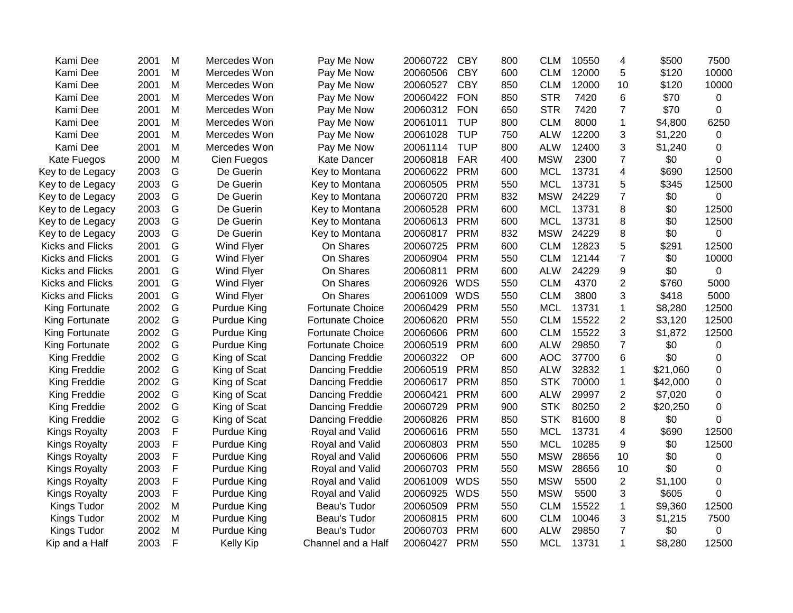| Kami Dee                | 2001 | M | Mercedes Won       | Pay Me Now              | 20060722 | <b>CBY</b> | 800 | <b>CLM</b> | 10550 | 4              | \$500    | 7500           |
|-------------------------|------|---|--------------------|-------------------------|----------|------------|-----|------------|-------|----------------|----------|----------------|
| Kami Dee                | 2001 | M | Mercedes Won       | Pay Me Now              | 20060506 | <b>CBY</b> | 600 | <b>CLM</b> | 12000 | 5              | \$120    | 10000          |
| Kami Dee                | 2001 | M | Mercedes Won       | Pay Me Now              | 20060527 | <b>CBY</b> | 850 | <b>CLM</b> | 12000 | 10             | \$120    | 10000          |
| Kami Dee                | 2001 | M | Mercedes Won       | Pay Me Now              | 20060422 | <b>FON</b> | 850 | <b>STR</b> | 7420  | 6              | \$70     | 0              |
| Kami Dee                | 2001 | Μ | Mercedes Won       | Pay Me Now              | 20060312 | <b>FON</b> | 650 | <b>STR</b> | 7420  | 7              | \$70     | 0              |
| Kami Dee                | 2001 | Μ | Mercedes Won       | Pay Me Now              | 20061011 | <b>TUP</b> | 800 | <b>CLM</b> | 8000  | 1              | \$4,800  | 6250           |
| Kami Dee                | 2001 | M | Mercedes Won       | Pay Me Now              | 20061028 | <b>TUP</b> | 750 | <b>ALW</b> | 12200 | 3              | \$1,220  | 0              |
| Kami Dee                | 2001 | M | Mercedes Won       | Pay Me Now              | 20061114 | <b>TUP</b> | 800 | <b>ALW</b> | 12400 | 3              | \$1,240  | 0              |
| Kate Fuegos             | 2000 | M | Cien Fuegos        | Kate Dancer             | 20060818 | <b>FAR</b> | 400 | <b>MSW</b> | 2300  | $\overline{7}$ | \$0      | 0              |
| Key to de Legacy        | 2003 | G | De Guerin          | Key to Montana          | 20060622 | <b>PRM</b> | 600 | <b>MCL</b> | 13731 | 4              | \$690    | 12500          |
| Key to de Legacy        | 2003 | G | De Guerin          | Key to Montana          | 20060505 | <b>PRM</b> | 550 | <b>MCL</b> | 13731 | 5              | \$345    | 12500          |
| Key to de Legacy        | 2003 | G | De Guerin          | Key to Montana          | 20060720 | <b>PRM</b> | 832 | <b>MSW</b> | 24229 | $\overline{7}$ | \$0      | 0              |
| Key to de Legacy        | 2003 | G | De Guerin          | Key to Montana          | 20060528 | <b>PRM</b> | 600 | <b>MCL</b> | 13731 | 8              | \$0      | 12500          |
| Key to de Legacy        | 2003 | G | De Guerin          | Key to Montana          | 20060613 | <b>PRM</b> | 600 | <b>MCL</b> | 13731 | 8              | \$0      | 12500          |
| Key to de Legacy        | 2003 | G | De Guerin          | Key to Montana          | 20060817 | <b>PRM</b> | 832 | <b>MSW</b> | 24229 | 8              | \$0      | $\overline{0}$ |
| Kicks and Flicks        | 2001 | G | Wind Flyer         | On Shares               | 20060725 | <b>PRM</b> | 600 | <b>CLM</b> | 12823 | 5              | \$291    | 12500          |
| Kicks and Flicks        | 2001 | G | Wind Flyer         | On Shares               | 20060904 | <b>PRM</b> | 550 | <b>CLM</b> | 12144 | $\overline{7}$ | \$0      | 10000          |
| <b>Kicks and Flicks</b> | 2001 | G | Wind Flyer         | On Shares               | 20060811 | <b>PRM</b> | 600 | <b>ALW</b> | 24229 | 9              | \$0      | $\overline{0}$ |
| <b>Kicks and Flicks</b> | 2001 | G | Wind Flyer         | On Shares               | 20060926 | <b>WDS</b> | 550 | <b>CLM</b> | 4370  | $\overline{2}$ | \$760    | 5000           |
| <b>Kicks and Flicks</b> | 2001 | G | Wind Flyer         | On Shares               | 20061009 | <b>WDS</b> | 550 | <b>CLM</b> | 3800  | 3              | \$418    | 5000           |
| King Fortunate          | 2002 | G | Purdue King        | <b>Fortunate Choice</b> | 20060429 | <b>PRM</b> | 550 | <b>MCL</b> | 13731 | $\mathbf 1$    | \$8,280  | 12500          |
| King Fortunate          | 2002 | G | Purdue King        | <b>Fortunate Choice</b> | 20060620 | <b>PRM</b> | 550 | <b>CLM</b> | 15522 | $\overline{2}$ | \$3,120  | 12500          |
| King Fortunate          | 2002 | G | Purdue King        | <b>Fortunate Choice</b> | 20060606 | <b>PRM</b> | 600 | <b>CLM</b> | 15522 | 3              | \$1,872  | 12500          |
| King Fortunate          | 2002 | G | Purdue King        | <b>Fortunate Choice</b> | 20060519 | <b>PRM</b> | 600 | <b>ALW</b> | 29850 | $\overline{7}$ | \$0      | 0              |
| King Freddie            | 2002 | G | King of Scat       | Dancing Freddie         | 20060322 | OP         | 600 | <b>AOC</b> | 37700 | 6              | \$0      | 0              |
| King Freddie            | 2002 | G | King of Scat       | Dancing Freddie         | 20060519 | <b>PRM</b> | 850 | <b>ALW</b> | 32832 | $\mathbf{1}$   | \$21,060 | 0              |
| King Freddie            | 2002 | G | King of Scat       | Dancing Freddie         | 20060617 | <b>PRM</b> | 850 | <b>STK</b> | 70000 | $\mathbf 1$    | \$42,000 | 0              |
| King Freddie            | 2002 | G | King of Scat       | Dancing Freddie         | 20060421 | <b>PRM</b> | 600 | <b>ALW</b> | 29997 | $\overline{2}$ | \$7,020  | 0              |
| King Freddie            | 2002 | G | King of Scat       | Dancing Freddie         | 20060729 | <b>PRM</b> | 900 | <b>STK</b> | 80250 | $\mathbf{2}$   | \$20,250 | 0              |
| King Freddie            | 2002 | G | King of Scat       | Dancing Freddie         | 20060826 | <b>PRM</b> | 850 | <b>STK</b> | 81600 | 8              | \$0      | 0              |
| Kings Royalty           | 2003 | F | Purdue King        | Royal and Valid         | 20060616 | <b>PRM</b> | 550 | <b>MCL</b> | 13731 | 4              | \$690    | 12500          |
| Kings Royalty           | 2003 | F | Purdue King        | Royal and Valid         | 20060803 | <b>PRM</b> | 550 | <b>MCL</b> | 10285 | 9              | \$0      | 12500          |
| Kings Royalty           | 2003 | F | Purdue King        | Royal and Valid         | 20060606 | <b>PRM</b> | 550 | <b>MSW</b> | 28656 | 10             | \$0      | 0              |
| Kings Royalty           | 2003 | F | Purdue King        | Royal and Valid         | 20060703 | <b>PRM</b> | 550 | <b>MSW</b> | 28656 | 10             | \$0      | 0              |
| <b>Kings Royalty</b>    | 2003 | F | <b>Purdue King</b> | Royal and Valid         | 20061009 | <b>WDS</b> | 550 | <b>MSW</b> | 5500  | $\overline{2}$ | \$1,100  | 0              |
| <b>Kings Royalty</b>    | 2003 | F | Purdue King        | Royal and Valid         | 20060925 | <b>WDS</b> | 550 | <b>MSW</b> | 5500  | 3              | \$605    | 0              |
| Kings Tudor             | 2002 | M | Purdue King        | Beau's Tudor            | 20060509 | <b>PRM</b> | 550 | <b>CLM</b> | 15522 | 1              | \$9,360  | 12500          |
| Kings Tudor             | 2002 | M | Purdue King        | Beau's Tudor            | 20060815 | <b>PRM</b> | 600 | <b>CLM</b> | 10046 | 3              | \$1,215  | 7500           |
| Kings Tudor             | 2002 | M | Purdue King        | Beau's Tudor            | 20060703 | <b>PRM</b> | 600 | <b>ALW</b> | 29850 | $\overline{7}$ | \$0      | $\overline{0}$ |
| Kip and a Half          | 2003 | F | <b>Kelly Kip</b>   | Channel and a Half      | 20060427 | <b>PRM</b> | 550 | <b>MCL</b> | 13731 | $\mathbf{1}$   | \$8,280  | 12500          |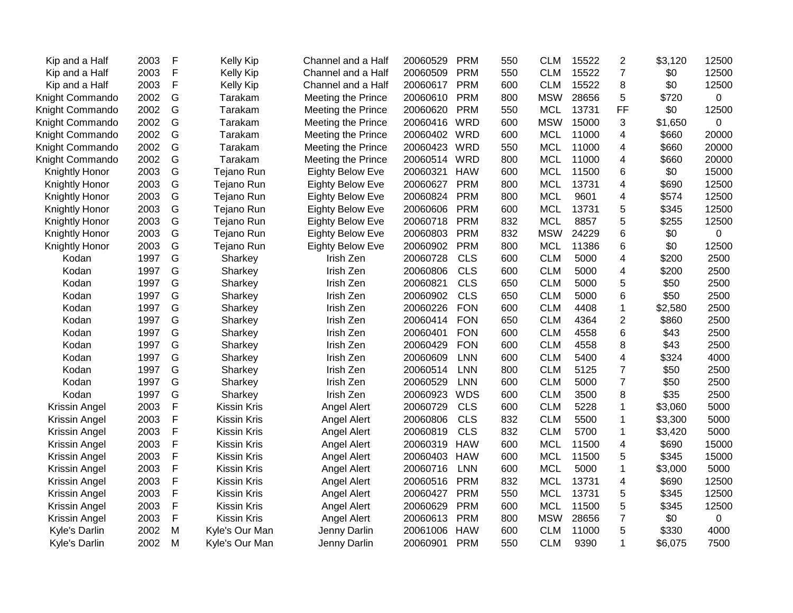| Kip and a Half  | 2003 | F           | <b>Kelly Kip</b>   | Channel and a Half        | 20060529 | <b>PRM</b> | 550 | <b>CLM</b> | 15522 | $\overline{c}$ | \$3,120 | 12500          |
|-----------------|------|-------------|--------------------|---------------------------|----------|------------|-----|------------|-------|----------------|---------|----------------|
| Kip and a Half  | 2003 | $\mathsf F$ | <b>Kelly Kip</b>   | Channel and a Half        | 20060509 | <b>PRM</b> | 550 | <b>CLM</b> | 15522 | $\overline{7}$ | \$0     | 12500          |
| Kip and a Half  | 2003 | $\mathsf F$ | <b>Kelly Kip</b>   | Channel and a Half        | 20060617 | <b>PRM</b> | 600 | <b>CLM</b> | 15522 | 8              | \$0     | 12500          |
| Knight Commando | 2002 | G           | Tarakam            | Meeting the Prince        | 20060610 | <b>PRM</b> | 800 | <b>MSW</b> | 28656 | 5              | \$720   | 0              |
| Knight Commando | 2002 | G           | Tarakam            | Meeting the Prince        | 20060620 | <b>PRM</b> | 550 | <b>MCL</b> | 13731 | <b>FF</b>      | \$0     | 12500          |
| Knight Commando | 2002 | G           | Tarakam            | Meeting the Prince        | 20060416 | <b>WRD</b> | 600 | <b>MSW</b> | 15000 | 3              | \$1,650 | 0              |
| Knight Commando | 2002 | G           | Tarakam            | Meeting the Prince        | 20060402 | <b>WRD</b> | 600 | <b>MCL</b> | 11000 | 4              | \$660   | 20000          |
| Knight Commando | 2002 | G           | Tarakam            | Meeting the Prince        | 20060423 | <b>WRD</b> | 550 | <b>MCL</b> | 11000 | 4              | \$660   | 20000          |
| Knight Commando | 2002 | G           | Tarakam            | <b>Meeting the Prince</b> | 20060514 | <b>WRD</b> | 800 | <b>MCL</b> | 11000 | 4              | \$660   | 20000          |
| Knightly Honor  | 2003 | G           | Tejano Run         | <b>Eighty Below Eve</b>   | 20060321 | <b>HAW</b> | 600 | <b>MCL</b> | 11500 | 6              | \$0     | 15000          |
| Knightly Honor  | 2003 | G           | Tejano Run         | <b>Eighty Below Eve</b>   | 20060627 | <b>PRM</b> | 800 | <b>MCL</b> | 13731 | 4              | \$690   | 12500          |
| Knightly Honor  | 2003 | G           | Tejano Run         | <b>Eighty Below Eve</b>   | 20060824 | <b>PRM</b> | 800 | <b>MCL</b> | 9601  | 4              | \$574   | 12500          |
| Knightly Honor  | 2003 | G           | Tejano Run         | Eighty Below Eve          | 20060606 | <b>PRM</b> | 600 | <b>MCL</b> | 13731 | 5              | \$345   | 12500          |
| Knightly Honor  | 2003 | G           | Tejano Run         | <b>Eighty Below Eve</b>   | 20060718 | <b>PRM</b> | 832 | <b>MCL</b> | 8857  | 5              | \$255   | 12500          |
| Knightly Honor  | 2003 | G           | Tejano Run         | <b>Eighty Below Eve</b>   | 20060803 | <b>PRM</b> | 832 | <b>MSW</b> | 24229 | 6              | \$0     | $\overline{0}$ |
| Knightly Honor  | 2003 | G           | Tejano Run         | <b>Eighty Below Eve</b>   | 20060902 | <b>PRM</b> | 800 | <b>MCL</b> | 11386 | 6              | \$0     | 12500          |
| Kodan           | 1997 | G           | Sharkey            | Irish Zen                 | 20060728 | <b>CLS</b> | 600 | <b>CLM</b> | 5000  | 4              | \$200   | 2500           |
| Kodan           | 1997 | G           | Sharkey            | Irish Zen                 | 20060806 | <b>CLS</b> | 600 | <b>CLM</b> | 5000  | 4              | \$200   | 2500           |
| Kodan           | 1997 | G           | Sharkey            | Irish Zen                 | 20060821 | <b>CLS</b> | 650 | <b>CLM</b> | 5000  | 5              | \$50    | 2500           |
| Kodan           | 1997 | G           | Sharkey            | Irish Zen                 | 20060902 | <b>CLS</b> | 650 | <b>CLM</b> | 5000  | 6              | \$50    | 2500           |
| Kodan           | 1997 | G           | Sharkey            | Irish Zen                 | 20060226 | <b>FON</b> | 600 | <b>CLM</b> | 4408  | 1              | \$2,580 | 2500           |
| Kodan           | 1997 | G           | Sharkey            | Irish Zen                 | 20060414 | <b>FON</b> | 650 | <b>CLM</b> | 4364  | $\overline{2}$ | \$860   | 2500           |
| Kodan           | 1997 | G           | Sharkey            | Irish Zen                 | 20060401 | <b>FON</b> | 600 | <b>CLM</b> | 4558  | 6              | \$43    | 2500           |
| Kodan           | 1997 | G           | Sharkey            | Irish Zen                 | 20060429 | <b>FON</b> | 600 | <b>CLM</b> | 4558  | 8              | \$43    | 2500           |
| Kodan           | 1997 | G           | Sharkey            | Irish Zen                 | 20060609 | <b>LNN</b> | 600 | <b>CLM</b> | 5400  | 4              | \$324   | 4000           |
| Kodan           | 1997 | G           | Sharkey            | Irish Zen                 | 20060514 | <b>LNN</b> | 800 | <b>CLM</b> | 5125  | $\overline{7}$ | \$50    | 2500           |
| Kodan           | 1997 | G           | Sharkey            | Irish Zen                 | 20060529 | <b>LNN</b> | 600 | <b>CLM</b> | 5000  | $\overline{7}$ | \$50    | 2500           |
| Kodan           | 1997 | G           | Sharkey            | Irish Zen                 | 20060923 | <b>WDS</b> | 600 | <b>CLM</b> | 3500  | 8              | \$35    | 2500           |
| Krissin Angel   | 2003 | F           | <b>Kissin Kris</b> | Angel Alert               | 20060729 | <b>CLS</b> | 600 | <b>CLM</b> | 5228  | $\mathbf 1$    | \$3,060 | 5000           |
| Krissin Angel   | 2003 | F           | Kissin Kris        | Angel Alert               | 20060806 | <b>CLS</b> | 832 | <b>CLM</b> | 5500  | 1              | \$3,300 | 5000           |
| Krissin Angel   | 2003 | F           | <b>Kissin Kris</b> | Angel Alert               | 20060819 | <b>CLS</b> | 832 | <b>CLM</b> | 5700  | $\mathbf 1$    | \$3,420 | 5000           |
| Krissin Angel   | 2003 | $\mathsf F$ | <b>Kissin Kris</b> | Angel Alert               | 20060319 | <b>HAW</b> | 600 | <b>MCL</b> | 11500 | 4              | \$690   | 15000          |
| Krissin Angel   | 2003 | $\mathsf F$ | <b>Kissin Kris</b> | Angel Alert               | 20060403 | <b>HAW</b> | 600 | <b>MCL</b> | 11500 | 5              | \$345   | 15000          |
| Krissin Angel   | 2003 | $\mathsf F$ | <b>Kissin Kris</b> | Angel Alert               | 20060716 | <b>LNN</b> | 600 | <b>MCL</b> | 5000  | 1              | \$3,000 | 5000           |
| Krissin Angel   | 2003 | F           | <b>Kissin Kris</b> | Angel Alert               | 20060516 | <b>PRM</b> | 832 | <b>MCL</b> | 13731 | 4              | \$690   | 12500          |
| Krissin Angel   | 2003 | $\mathsf F$ | <b>Kissin Kris</b> | Angel Alert               | 20060427 | <b>PRM</b> | 550 | <b>MCL</b> | 13731 | 5              | \$345   | 12500          |
| Krissin Angel   | 2003 | $\mathsf F$ | <b>Kissin Kris</b> | Angel Alert               | 20060629 | <b>PRM</b> | 600 | <b>MCL</b> | 11500 | 5              | \$345   | 12500          |
| Krissin Angel   | 2003 | $\mathsf F$ | <b>Kissin Kris</b> | Angel Alert               | 20060613 | <b>PRM</b> | 800 | <b>MSW</b> | 28656 | $\overline{7}$ | \$0     | $\mathbf 0$    |
| Kyle's Darlin   | 2002 | M           | Kyle's Our Man     | Jenny Darlin              | 20061006 | <b>HAW</b> | 600 | <b>CLM</b> | 11000 | 5              | \$330   | 4000           |
| Kyle's Darlin   | 2002 | M           | Kyle's Our Man     | Jenny Darlin              | 20060901 | <b>PRM</b> | 550 | <b>CLM</b> | 9390  | $\mathbf{1}$   | \$6,075 | 7500           |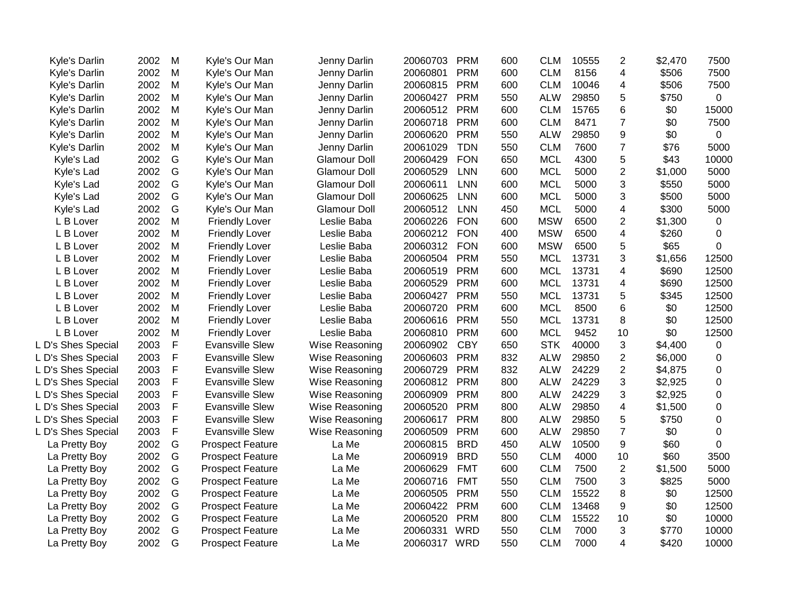| Kyle's Darlin      | 2002 | M           | Kyle's Our Man          | Jenny Darlin        | 20060703     | <b>PRM</b> | 600 | <b>CLM</b> | 10555 | $\overline{2}$ | \$2,470 | 7500             |
|--------------------|------|-------------|-------------------------|---------------------|--------------|------------|-----|------------|-------|----------------|---------|------------------|
| Kyle's Darlin      | 2002 | M           | Kyle's Our Man          | Jenny Darlin        | 20060801     | <b>PRM</b> | 600 | <b>CLM</b> | 8156  | $\overline{4}$ | \$506   | 7500             |
| Kyle's Darlin      | 2002 | M           | Kyle's Our Man          | Jenny Darlin        | 20060815     | <b>PRM</b> | 600 | <b>CLM</b> | 10046 | $\overline{4}$ | \$506   | 7500             |
| Kyle's Darlin      | 2002 | M           | Kyle's Our Man          | Jenny Darlin        | 20060427     | <b>PRM</b> | 550 | <b>ALW</b> | 29850 | 5              | \$750   | 0                |
| Kyle's Darlin      | 2002 | M           | Kyle's Our Man          | Jenny Darlin        | 20060512     | <b>PRM</b> | 600 | <b>CLM</b> | 15765 | 6              | \$0     | 15000            |
| Kyle's Darlin      | 2002 | M           | Kyle's Our Man          | Jenny Darlin        | 20060718     | <b>PRM</b> | 600 | <b>CLM</b> | 8471  | $\overline{7}$ | \$0     | 7500             |
| Kyle's Darlin      | 2002 | M           | Kyle's Our Man          | Jenny Darlin        | 20060620     | <b>PRM</b> | 550 | <b>ALW</b> | 29850 | 9              | \$0     | $\mathbf 0$      |
| Kyle's Darlin      | 2002 | M           | Kyle's Our Man          | Jenny Darlin        | 20061029     | <b>TDN</b> | 550 | <b>CLM</b> | 7600  | $\overline{7}$ | \$76    | 5000             |
| Kyle's Lad         | 2002 | G           | Kyle's Our Man          | <b>Glamour Doll</b> | 20060429     | <b>FON</b> | 650 | <b>MCL</b> | 4300  | 5              | \$43    | 10000            |
| Kyle's Lad         | 2002 | G           | Kyle's Our Man          | <b>Glamour Doll</b> | 20060529     | <b>LNN</b> | 600 | <b>MCL</b> | 5000  | $\overline{2}$ | \$1,000 | 5000             |
| Kyle's Lad         | 2002 | G           | Kyle's Our Man          | <b>Glamour Doll</b> | 20060611     | <b>LNN</b> | 600 | <b>MCL</b> | 5000  | 3              | \$550   | 5000             |
| Kyle's Lad         | 2002 | G           | Kyle's Our Man          | <b>Glamour Doll</b> | 20060625     | <b>LNN</b> | 600 | <b>MCL</b> | 5000  | 3              | \$500   | 5000             |
| Kyle's Lad         | 2002 | G           | Kyle's Our Man          | <b>Glamour Doll</b> | 20060512     | <b>LNN</b> | 450 | <b>MCL</b> | 5000  | $\overline{4}$ | \$300   | 5000             |
| L B Lover          | 2002 | M           | <b>Friendly Lover</b>   | Leslie Baba         | 20060226     | <b>FON</b> | 600 | <b>MSW</b> | 6500  | $\overline{2}$ | \$1,300 | $\mathbf 0$      |
| L B Lover          | 2002 | M           | <b>Friendly Lover</b>   | Leslie Baba         | 20060212     | <b>FON</b> | 400 | <b>MSW</b> | 6500  | 4              | \$260   | 0                |
| L B Lover          | 2002 | M           | <b>Friendly Lover</b>   | Leslie Baba         | 20060312     | <b>FON</b> | 600 | <b>MSW</b> | 6500  | 5              | \$65    | $\Omega$         |
| L B Lover          | 2002 | M           | <b>Friendly Lover</b>   | Leslie Baba         | 20060504     | <b>PRM</b> | 550 | <b>MCL</b> | 13731 | 3              | \$1,656 | 12500            |
| L B Lover          | 2002 | M           | <b>Friendly Lover</b>   | Leslie Baba         | 20060519     | <b>PRM</b> | 600 | <b>MCL</b> | 13731 | $\overline{4}$ | \$690   | 12500            |
| L B Lover          | 2002 | M           | <b>Friendly Lover</b>   | Leslie Baba         | 20060529     | <b>PRM</b> | 600 | <b>MCL</b> | 13731 | $\overline{4}$ | \$690   | 12500            |
| L B Lover          | 2002 | M           | <b>Friendly Lover</b>   | Leslie Baba         | 20060427     | <b>PRM</b> | 550 | <b>MCL</b> | 13731 | 5              | \$345   | 12500            |
| L B Lover          | 2002 | M           | <b>Friendly Lover</b>   | Leslie Baba         | 20060720     | <b>PRM</b> | 600 | <b>MCL</b> | 8500  | 6              | \$0     | 12500            |
| L B Lover          | 2002 | M           | <b>Friendly Lover</b>   | Leslie Baba         | 20060616     | <b>PRM</b> | 550 | <b>MCL</b> | 13731 | 8              | \$0     | 12500            |
| L B Lover          | 2002 | M           | <b>Friendly Lover</b>   | Leslie Baba         | 20060810     | <b>PRM</b> | 600 | <b>MCL</b> | 9452  | 10             | \$0     | 12500            |
| L D's Shes Special | 2003 | F           | <b>Evansville Slew</b>  | Wise Reasoning      | 20060902     | <b>CBY</b> | 650 | <b>STK</b> | 40000 | 3              | \$4,400 | 0                |
| L D's Shes Special | 2003 | $\mathsf F$ | <b>Evansville Slew</b>  | Wise Reasoning      | 20060603     | <b>PRM</b> | 832 | <b>ALW</b> | 29850 | 2              | \$6,000 | 0                |
| L D's Shes Special | 2003 | F           | <b>Evansville Slew</b>  | Wise Reasoning      | 20060729     | <b>PRM</b> | 832 | <b>ALW</b> | 24229 | $\overline{2}$ | \$4,875 | 0                |
| L D's Shes Special | 2003 | F           | <b>Evansville Slew</b>  | Wise Reasoning      | 20060812     | <b>PRM</b> | 800 | <b>ALW</b> | 24229 | 3              | \$2,925 | 0                |
| L D's Shes Special | 2003 | F           | <b>Evansville Slew</b>  | Wise Reasoning      | 20060909     | <b>PRM</b> | 800 | <b>ALW</b> | 24229 | 3              | \$2,925 | $\boldsymbol{0}$ |
| L D's Shes Special | 2003 | F           | <b>Evansville Slew</b>  | Wise Reasoning      | 20060520     | <b>PRM</b> | 800 | <b>ALW</b> | 29850 | 4              | \$1,500 | 0                |
| L D's Shes Special | 2003 | F           | <b>Evansville Slew</b>  | Wise Reasoning      | 20060617     | <b>PRM</b> | 800 | <b>ALW</b> | 29850 | 5              | \$750   | 0                |
| L D's Shes Special | 2003 | F           | <b>Evansville Slew</b>  | Wise Reasoning      | 20060509     | <b>PRM</b> | 600 | <b>ALW</b> | 29850 | $\overline{7}$ | \$0     | 0                |
| La Pretty Boy      | 2002 | G           | <b>Prospect Feature</b> | La Me               | 20060815     | <b>BRD</b> | 450 | <b>ALW</b> | 10500 | 9              | \$60    | 0                |
| La Pretty Boy      | 2002 | G           | <b>Prospect Feature</b> | La Me               | 20060919     | <b>BRD</b> | 550 | <b>CLM</b> | 4000  | 10             | \$60    | 3500             |
| La Pretty Boy      | 2002 | G           | <b>Prospect Feature</b> | La Me               | 20060629     | <b>FMT</b> | 600 | <b>CLM</b> | 7500  | $\overline{2}$ | \$1,500 | 5000             |
| La Pretty Boy      | 2002 | G           | <b>Prospect Feature</b> | La Me               | 20060716     | <b>FMT</b> | 550 | <b>CLM</b> | 7500  | 3              | \$825   | 5000             |
| La Pretty Boy      | 2002 | G           | <b>Prospect Feature</b> | La Me               | 20060505     | <b>PRM</b> | 550 | <b>CLM</b> | 15522 | 8              | \$0     | 12500            |
| La Pretty Boy      | 2002 | G           | <b>Prospect Feature</b> | La Me               | 20060422     | <b>PRM</b> | 600 | <b>CLM</b> | 13468 | 9              | \$0     | 12500            |
| La Pretty Boy      | 2002 | G           | <b>Prospect Feature</b> | La Me               | 20060520     | <b>PRM</b> | 800 | <b>CLM</b> | 15522 | 10             | \$0     | 10000            |
| La Pretty Boy      | 2002 | G           | <b>Prospect Feature</b> | La Me               | 20060331     | <b>WRD</b> | 550 | <b>CLM</b> | 7000  | 3              | \$770   | 10000            |
| La Pretty Boy      | 2002 | G           | <b>Prospect Feature</b> | La Me               | 20060317 WRD |            | 550 | <b>CLM</b> | 7000  | $\overline{4}$ | \$420   | 10000            |
|                    |      |             |                         |                     |              |            |     |            |       |                |         |                  |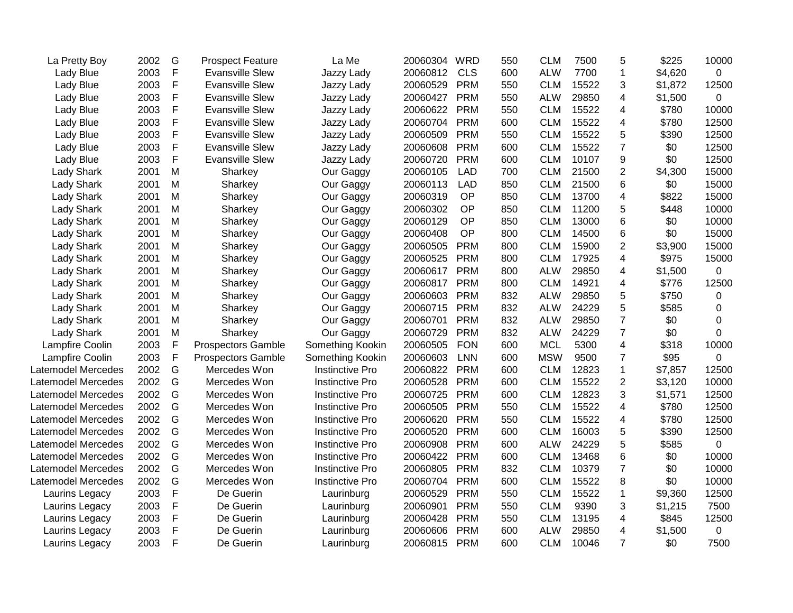| La Pretty Boy      | 2002 | G            | <b>Prospect Feature</b>   | La Me                  | 20060304 | <b>WRD</b> | 550 | <b>CLM</b> | 7500  | 5                       | \$225   | 10000            |
|--------------------|------|--------------|---------------------------|------------------------|----------|------------|-----|------------|-------|-------------------------|---------|------------------|
| Lady Blue          | 2003 | $\mathsf F$  | <b>Evansville Slew</b>    | Jazzy Lady             | 20060812 | <b>CLS</b> | 600 | <b>ALW</b> | 7700  | $\mathbf{1}$            | \$4,620 | 0                |
| <b>Lady Blue</b>   | 2003 | $\mathsf F$  | <b>Evansville Slew</b>    | Jazzy Lady             | 20060529 | <b>PRM</b> | 550 | <b>CLM</b> | 15522 | 3                       | \$1,872 | 12500            |
| Lady Blue          | 2003 | $\mathsf F$  | <b>Evansville Slew</b>    | Jazzy Lady             | 20060427 | <b>PRM</b> | 550 | <b>ALW</b> | 29850 | 4                       | \$1,500 | $\mathbf 0$      |
| Lady Blue          | 2003 | F            | <b>Evansville Slew</b>    | Jazzy Lady             | 20060622 | <b>PRM</b> | 550 | <b>CLM</b> | 15522 | 4                       | \$780   | 10000            |
| Lady Blue          | 2003 | $\mathsf{F}$ | <b>Evansville Slew</b>    | Jazzy Lady             | 20060704 | <b>PRM</b> | 600 | <b>CLM</b> | 15522 | 4                       | \$780   | 12500            |
| Lady Blue          | 2003 | $\mathsf{F}$ | <b>Evansville Slew</b>    | Jazzy Lady             | 20060509 | <b>PRM</b> | 550 | <b>CLM</b> | 15522 | 5                       | \$390   | 12500            |
| <b>Lady Blue</b>   | 2003 | $\mathsf F$  | <b>Evansville Slew</b>    | Jazzy Lady             | 20060608 | <b>PRM</b> | 600 | <b>CLM</b> | 15522 | $\overline{7}$          | \$0     | 12500            |
| <b>Lady Blue</b>   | 2003 | $\mathsf F$  | <b>Evansville Slew</b>    | Jazzy Lady             | 20060720 | <b>PRM</b> | 600 | <b>CLM</b> | 10107 | 9                       | \$0     | 12500            |
| Lady Shark         | 2001 | ${\sf M}$    | Sharkey                   | Our Gaggy              | 20060105 | <b>LAD</b> | 700 | <b>CLM</b> | 21500 | $\overline{\mathbf{c}}$ | \$4,300 | 15000            |
| <b>Lady Shark</b>  | 2001 | M            | Sharkey                   | Our Gaggy              | 20060113 | <b>LAD</b> | 850 | <b>CLM</b> | 21500 | 6                       | \$0     | 15000            |
| <b>Lady Shark</b>  | 2001 | M            | Sharkey                   | Our Gaggy              | 20060319 | OP         | 850 | <b>CLM</b> | 13700 | 4                       | \$822   | 15000            |
| <b>Lady Shark</b>  | 2001 | M            | Sharkey                   | Our Gaggy              | 20060302 | OP         | 850 | <b>CLM</b> | 11200 | 5                       | \$448   | 10000            |
| <b>Lady Shark</b>  | 2001 | M            | Sharkey                   | Our Gaggy              | 20060129 | OP         | 850 | <b>CLM</b> | 13000 | 6                       | \$0     | 10000            |
| <b>Lady Shark</b>  | 2001 | ${\sf M}$    | Sharkey                   | Our Gaggy              | 20060408 | OP         | 800 | <b>CLM</b> | 14500 | 6                       | \$0     | 15000            |
| <b>Lady Shark</b>  | 2001 | M            | Sharkey                   | Our Gaggy              | 20060505 | <b>PRM</b> | 800 | <b>CLM</b> | 15900 | $\overline{2}$          | \$3,900 | 15000            |
| <b>Lady Shark</b>  | 2001 | M            | Sharkey                   | Our Gaggy              | 20060525 | <b>PRM</b> | 800 | <b>CLM</b> | 17925 | 4                       | \$975   | 15000            |
| <b>Lady Shark</b>  | 2001 | M            | Sharkey                   | Our Gaggy              | 20060617 | <b>PRM</b> | 800 | <b>ALW</b> | 29850 | 4                       | \$1,500 | 0                |
| <b>Lady Shark</b>  | 2001 | M            | Sharkey                   | Our Gaggy              | 20060817 | <b>PRM</b> | 800 | <b>CLM</b> | 14921 | 4                       | \$776   | 12500            |
| <b>Lady Shark</b>  | 2001 | M            | Sharkey                   | Our Gaggy              | 20060603 | <b>PRM</b> | 832 | <b>ALW</b> | 29850 | 5                       | \$750   | $\boldsymbol{0}$ |
| <b>Lady Shark</b>  | 2001 | M            | Sharkey                   | Our Gaggy              | 20060715 | <b>PRM</b> | 832 | <b>ALW</b> | 24229 | 5                       | \$585   | 0                |
| <b>Lady Shark</b>  | 2001 | M            | Sharkey                   | Our Gaggy              | 20060701 | <b>PRM</b> | 832 | <b>ALW</b> | 29850 | $\overline{7}$          | \$0     | 0                |
| <b>Lady Shark</b>  | 2001 | M            | Sharkey                   | Our Gaggy              | 20060729 | <b>PRM</b> | 832 | <b>ALW</b> | 24229 | $\overline{7}$          | \$0     | $\Omega$         |
| Lampfire Coolin    | 2003 | $\mathsf F$  | <b>Prospectors Gamble</b> | Something Kookin       | 20060505 | <b>FON</b> | 600 | <b>MCL</b> | 5300  | 4                       | \$318   | 10000            |
| Lampfire Coolin    | 2003 | $\mathsf F$  | <b>Prospectors Gamble</b> | Something Kookin       | 20060603 | <b>LNN</b> | 600 | <b>MSW</b> | 9500  | $\overline{7}$          | \$95    | 0                |
| Latemodel Mercedes | 2002 | G            | Mercedes Won              | <b>Instinctive Pro</b> | 20060822 | <b>PRM</b> | 600 | <b>CLM</b> | 12823 | 1                       | \$7,857 | 12500            |
| Latemodel Mercedes | 2002 | G            | Mercedes Won              | <b>Instinctive Pro</b> | 20060528 | <b>PRM</b> | 600 | <b>CLM</b> | 15522 | 2                       | \$3,120 | 10000            |
| Latemodel Mercedes | 2002 | G            | Mercedes Won              | <b>Instinctive Pro</b> | 20060725 | <b>PRM</b> | 600 | <b>CLM</b> | 12823 | 3                       | \$1,571 | 12500            |
| Latemodel Mercedes | 2002 | G            | Mercedes Won              | <b>Instinctive Pro</b> | 20060505 | <b>PRM</b> | 550 | <b>CLM</b> | 15522 | 4                       | \$780   | 12500            |
| Latemodel Mercedes | 2002 | G            | Mercedes Won              | <b>Instinctive Pro</b> | 20060620 | <b>PRM</b> | 550 | <b>CLM</b> | 15522 | 4                       | \$780   | 12500            |
| Latemodel Mercedes | 2002 | G            | Mercedes Won              | <b>Instinctive Pro</b> | 20060520 | <b>PRM</b> | 600 | <b>CLM</b> | 16003 | 5                       | \$390   | 12500            |
| Latemodel Mercedes | 2002 | G            | Mercedes Won              | <b>Instinctive Pro</b> | 20060908 | <b>PRM</b> | 600 | <b>ALW</b> | 24229 | 5                       | \$585   | $\mathbf 0$      |
| Latemodel Mercedes | 2002 | G            | Mercedes Won              | Instinctive Pro        | 20060422 | <b>PRM</b> | 600 | <b>CLM</b> | 13468 | 6                       | \$0     | 10000            |
| Latemodel Mercedes | 2002 | G            | Mercedes Won              | <b>Instinctive Pro</b> | 20060805 | <b>PRM</b> | 832 | <b>CLM</b> | 10379 | $\overline{7}$          | \$0     | 10000            |
| Latemodel Mercedes | 2002 | G            | Mercedes Won              | <b>Instinctive Pro</b> | 20060704 | <b>PRM</b> | 600 | <b>CLM</b> | 15522 | 8                       | \$0     | 10000            |
| Laurins Legacy     | 2003 | F            | De Guerin                 | Laurinburg             | 20060529 | <b>PRM</b> | 550 | <b>CLM</b> | 15522 | $\mathbf{1}$            | \$9,360 | 12500            |
| Laurins Legacy     | 2003 | $\mathsf F$  | De Guerin                 | Laurinburg             | 20060901 | <b>PRM</b> | 550 | <b>CLM</b> | 9390  | 3                       | \$1,215 | 7500             |
| Laurins Legacy     | 2003 | $\mathsf F$  | De Guerin                 | Laurinburg             | 20060428 | <b>PRM</b> | 550 | <b>CLM</b> | 13195 | $\overline{\mathbf{4}}$ | \$845   | 12500            |
| Laurins Legacy     | 2003 | $\mathsf F$  | De Guerin                 | Laurinburg             | 20060606 | <b>PRM</b> | 600 | <b>ALW</b> | 29850 | 4                       | \$1,500 | 0                |
| Laurins Legacy     | 2003 | F            | De Guerin                 | Laurinburg             | 20060815 | <b>PRM</b> | 600 | <b>CLM</b> | 10046 | $\overline{7}$          | \$0     | 7500             |
|                    |      |              |                           |                        |          |            |     |            |       |                         |         |                  |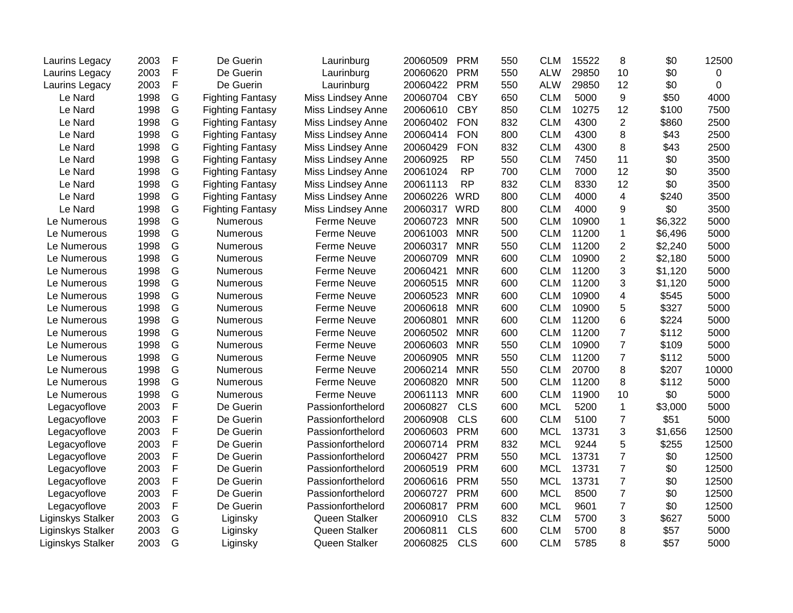| Laurins Legacy    | 2003 | F | De Guerin               | Laurinburg               | 20060509 | <b>PRM</b> | 550 | <b>CLM</b> | 15522 | 8              | \$0     | 12500 |
|-------------------|------|---|-------------------------|--------------------------|----------|------------|-----|------------|-------|----------------|---------|-------|
| Laurins Legacy    | 2003 | F | De Guerin               | Laurinburg               | 20060620 | <b>PRM</b> | 550 | <b>ALW</b> | 29850 | 10             | \$0     | 0     |
| Laurins Legacy    | 2003 | F | De Guerin               | Laurinburg               | 20060422 | <b>PRM</b> | 550 | <b>ALW</b> | 29850 | 12             | \$0     | 0     |
| Le Nard           | 1998 | G | <b>Fighting Fantasy</b> | Miss Lindsey Anne        | 20060704 | <b>CBY</b> | 650 | <b>CLM</b> | 5000  | 9              | \$50    | 4000  |
| Le Nard           | 1998 | G | <b>Fighting Fantasy</b> | Miss Lindsey Anne        | 20060610 | <b>CBY</b> | 850 | <b>CLM</b> | 10275 | 12             | \$100   | 7500  |
| Le Nard           | 1998 | G | <b>Fighting Fantasy</b> | <b>Miss Lindsey Anne</b> | 20060402 | <b>FON</b> | 832 | <b>CLM</b> | 4300  | $\overline{2}$ | \$860   | 2500  |
| Le Nard           | 1998 | G | <b>Fighting Fantasy</b> | Miss Lindsey Anne        | 20060414 | <b>FON</b> | 800 | <b>CLM</b> | 4300  | 8              | \$43    | 2500  |
| Le Nard           | 1998 | G | <b>Fighting Fantasy</b> | Miss Lindsey Anne        | 20060429 | <b>FON</b> | 832 | <b>CLM</b> | 4300  | 8              | \$43    | 2500  |
| Le Nard           | 1998 | G | <b>Fighting Fantasy</b> | Miss Lindsey Anne        | 20060925 | <b>RP</b>  | 550 | <b>CLM</b> | 7450  | 11             | \$0     | 3500  |
| Le Nard           | 1998 | G | <b>Fighting Fantasy</b> | <b>Miss Lindsey Anne</b> | 20061024 | <b>RP</b>  | 700 | <b>CLM</b> | 7000  | 12             | \$0     | 3500  |
| Le Nard           | 1998 | G | <b>Fighting Fantasy</b> | Miss Lindsey Anne        | 20061113 | <b>RP</b>  | 832 | <b>CLM</b> | 8330  | 12             | \$0     | 3500  |
| Le Nard           | 1998 | G | <b>Fighting Fantasy</b> | Miss Lindsey Anne        | 20060226 | <b>WRD</b> | 800 | <b>CLM</b> | 4000  | 4              | \$240   | 3500  |
| Le Nard           | 1998 | G | <b>Fighting Fantasy</b> | Miss Lindsey Anne        | 20060317 | WRD        | 800 | <b>CLM</b> | 4000  | 9              | \$0     | 3500  |
| Le Numerous       | 1998 | G | Numerous                | Ferme Neuve              | 20060723 | <b>MNR</b> | 500 | <b>CLM</b> | 10900 | $\mathbf{1}$   | \$6,322 | 5000  |
| Le Numerous       | 1998 | G | Numerous                | Ferme Neuve              | 20061003 | <b>MNR</b> | 500 | <b>CLM</b> | 11200 | $\mathbf 1$    | \$6,496 | 5000  |
| Le Numerous       | 1998 | G | Numerous                | <b>Ferme Neuve</b>       | 20060317 | <b>MNR</b> | 550 | <b>CLM</b> | 11200 | $\overline{2}$ | \$2,240 | 5000  |
| Le Numerous       | 1998 | G | Numerous                | Ferme Neuve              | 20060709 | <b>MNR</b> | 600 | <b>CLM</b> | 10900 | $\overline{2}$ | \$2,180 | 5000  |
| Le Numerous       | 1998 | G | Numerous                | <b>Ferme Neuve</b>       | 20060421 | <b>MNR</b> | 600 | <b>CLM</b> | 11200 | 3              | \$1,120 | 5000  |
| Le Numerous       | 1998 | G | Numerous                | Ferme Neuve              | 20060515 | <b>MNR</b> | 600 | <b>CLM</b> | 11200 | 3              | \$1,120 | 5000  |
| Le Numerous       | 1998 | G | Numerous                | <b>Ferme Neuve</b>       | 20060523 | <b>MNR</b> | 600 | <b>CLM</b> | 10900 | 4              | \$545   | 5000  |
| Le Numerous       | 1998 | G | Numerous                | <b>Ferme Neuve</b>       | 20060618 | <b>MNR</b> | 600 | <b>CLM</b> | 10900 | 5              | \$327   | 5000  |
| Le Numerous       | 1998 | G | Numerous                | <b>Ferme Neuve</b>       | 20060801 | <b>MNR</b> | 600 | <b>CLM</b> | 11200 | 6              | \$224   | 5000  |
| Le Numerous       | 1998 | G | Numerous                | <b>Ferme Neuve</b>       | 20060502 | <b>MNR</b> | 600 | <b>CLM</b> | 11200 | $\overline{7}$ | \$112   | 5000  |
| Le Numerous       | 1998 | G | Numerous                | <b>Ferme Neuve</b>       | 20060603 | <b>MNR</b> | 550 | <b>CLM</b> | 10900 | $\overline{7}$ | \$109   | 5000  |
| Le Numerous       | 1998 | G | Numerous                | <b>Ferme Neuve</b>       | 20060905 | <b>MNR</b> | 550 | <b>CLM</b> | 11200 | $\overline{7}$ | \$112   | 5000  |
| Le Numerous       | 1998 | G | Numerous                | <b>Ferme Neuve</b>       | 20060214 | <b>MNR</b> | 550 | <b>CLM</b> | 20700 | 8              | \$207   | 10000 |
| Le Numerous       | 1998 | G | <b>Numerous</b>         | <b>Ferme Neuve</b>       | 20060820 | <b>MNR</b> | 500 | <b>CLM</b> | 11200 | 8              | \$112   | 5000  |
| Le Numerous       | 1998 | G | Numerous                | <b>Ferme Neuve</b>       | 20061113 | <b>MNR</b> | 600 | <b>CLM</b> | 11900 | 10             | \$0     | 5000  |
| Legacyoflove      | 2003 | F | De Guerin               | Passionforthelord        | 20060827 | <b>CLS</b> | 600 | <b>MCL</b> | 5200  | $\mathbf{1}$   | \$3,000 | 5000  |
| Legacyoflove      | 2003 | F | De Guerin               | Passionforthelord        | 20060908 | <b>CLS</b> | 600 | <b>CLM</b> | 5100  | $\overline{7}$ | \$51    | 5000  |
| Legacyoflove      | 2003 | F | De Guerin               | Passionforthelord        | 20060603 | <b>PRM</b> | 600 | <b>MCL</b> | 13731 | 3              | \$1,656 | 12500 |
| Legacyoflove      | 2003 | F | De Guerin               | Passionforthelord        | 20060714 | <b>PRM</b> | 832 | <b>MCL</b> | 9244  | 5              | \$255   | 12500 |
| Legacyoflove      | 2003 | F | De Guerin               | Passionforthelord        | 20060427 | <b>PRM</b> | 550 | <b>MCL</b> | 13731 | $\overline{7}$ | \$0     | 12500 |
| Legacyoflove      | 2003 | F | De Guerin               | Passionforthelord        | 20060519 | <b>PRM</b> | 600 | <b>MCL</b> | 13731 | $\overline{7}$ | \$0     | 12500 |
| Legacyoflove      | 2003 | F | De Guerin               | Passionforthelord        | 20060616 | <b>PRM</b> | 550 | <b>MCL</b> | 13731 | $\overline{7}$ | \$0     | 12500 |
| Legacyoflove      | 2003 | F | De Guerin               | Passionforthelord        | 20060727 | <b>PRM</b> | 600 | <b>MCL</b> | 8500  | $\overline{7}$ | \$0     | 12500 |
| Legacyoflove      | 2003 | F | De Guerin               | Passionforthelord        | 20060817 | <b>PRM</b> | 600 | <b>MCL</b> | 9601  | $\overline{7}$ | \$0     | 12500 |
| Liginskys Stalker | 2003 | G | Liginsky                | Queen Stalker            | 20060910 | <b>CLS</b> | 832 | <b>CLM</b> | 5700  | 3              | \$627   | 5000  |
| Liginskys Stalker | 2003 | G | Liginsky                | Queen Stalker            | 20060811 | <b>CLS</b> | 600 | <b>CLM</b> | 5700  | 8              | \$57    | 5000  |
| Liginskys Stalker | 2003 | G | Liginsky                | Queen Stalker            | 20060825 | <b>CLS</b> | 600 | <b>CLM</b> | 5785  | 8              | \$57    | 5000  |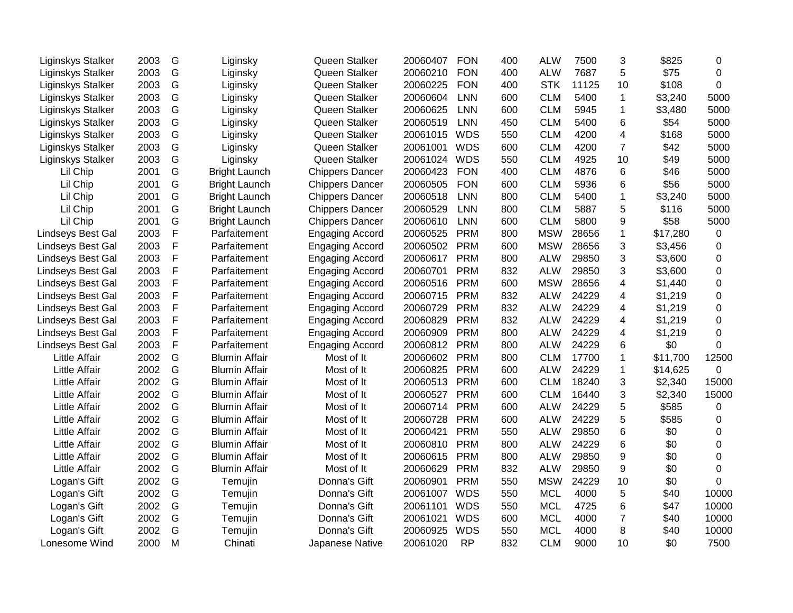| Liginskys Stalker    | 2003 | G            | Liginsky             | Queen Stalker          | 20060407 | <b>FON</b> | 400 | <b>ALW</b> | 7500  | 3               | \$825    | 0              |
|----------------------|------|--------------|----------------------|------------------------|----------|------------|-----|------------|-------|-----------------|----------|----------------|
| Liginskys Stalker    | 2003 | G            | Liginsky             | Queen Stalker          | 20060210 | <b>FON</b> | 400 | <b>ALW</b> | 7687  | 5               | \$75     | $\mathbf 0$    |
| Liginskys Stalker    | 2003 | G            | Liginsky             | Queen Stalker          | 20060225 | <b>FON</b> | 400 | <b>STK</b> | 11125 | 10              | \$108    | $\overline{0}$ |
| Liginskys Stalker    | 2003 | G            | Liginsky             | Queen Stalker          | 20060604 | <b>LNN</b> | 600 | <b>CLM</b> | 5400  | $\mathbf{1}$    | \$3,240  | 5000           |
| Liginskys Stalker    | 2003 | G            | Liginsky             | Queen Stalker          | 20060625 | <b>LNN</b> | 600 | <b>CLM</b> | 5945  | $\mathbf 1$     | \$3,480  | 5000           |
| Liginskys Stalker    | 2003 | G            | Liginsky             | Queen Stalker          | 20060519 | LNN        | 450 | <b>CLM</b> | 5400  | 6               | \$54     | 5000           |
| Liginskys Stalker    | 2003 | G            | Liginsky             | Queen Stalker          | 20061015 | <b>WDS</b> | 550 | <b>CLM</b> | 4200  | $\overline{4}$  | \$168    | 5000           |
| Liginskys Stalker    | 2003 | G            | Liginsky             | Queen Stalker          | 20061001 | <b>WDS</b> | 600 | <b>CLM</b> | 4200  | $\overline{7}$  | \$42     | 5000           |
| Liginskys Stalker    | 2003 | G            | Liginsky             | Queen Stalker          | 20061024 | <b>WDS</b> | 550 | <b>CLM</b> | 4925  | 10              | \$49     | 5000           |
| Lil Chip             | 2001 | G            | <b>Bright Launch</b> | <b>Chippers Dancer</b> | 20060423 | <b>FON</b> | 400 | <b>CLM</b> | 4876  | 6               | \$46     | 5000           |
| Lil Chip             | 2001 | G            | <b>Bright Launch</b> | <b>Chippers Dancer</b> | 20060505 | <b>FON</b> | 600 | <b>CLM</b> | 5936  | 6               | \$56     | 5000           |
| Lil Chip             | 2001 | G            | <b>Bright Launch</b> | <b>Chippers Dancer</b> | 20060518 | <b>LNN</b> | 800 | <b>CLM</b> | 5400  | $\mathbf{1}$    | \$3,240  | 5000           |
| Lil Chip             | 2001 | G            | <b>Bright Launch</b> | <b>Chippers Dancer</b> | 20060529 | <b>LNN</b> | 800 | <b>CLM</b> | 5887  | 5               | \$116    | 5000           |
| Lil Chip             | 2001 | G            | <b>Bright Launch</b> | <b>Chippers Dancer</b> | 20060610 | <b>LNN</b> | 600 | <b>CLM</b> | 5800  | 9               | \$58     | 5000           |
| Lindseys Best Gal    | 2003 | $\mathsf{F}$ | Parfaitement         | <b>Engaging Accord</b> | 20060525 | <b>PRM</b> | 800 | <b>MSW</b> | 28656 | $\mathbf{1}$    | \$17,280 | $\mathbf 0$    |
| Lindseys Best Gal    | 2003 | $\mathsf F$  | Parfaitement         | <b>Engaging Accord</b> | 20060502 | <b>PRM</b> | 600 | <b>MSW</b> | 28656 | 3               | \$3,456  | 0              |
| Lindseys Best Gal    | 2003 | $\mathsf F$  | Parfaitement         | <b>Engaging Accord</b> | 20060617 | <b>PRM</b> | 800 | <b>ALW</b> | 29850 | 3               | \$3,600  | 0              |
| Lindseys Best Gal    | 2003 | $\mathsf F$  | Parfaitement         | <b>Engaging Accord</b> | 20060701 | <b>PRM</b> | 832 | <b>ALW</b> | 29850 | 3               | \$3,600  | 0              |
| Lindseys Best Gal    | 2003 | $\mathsf F$  | Parfaitement         | <b>Engaging Accord</b> | 20060516 | <b>PRM</b> | 600 | <b>MSW</b> | 28656 | $\overline{4}$  | \$1,440  | 0              |
| Lindseys Best Gal    | 2003 | $\mathsf F$  | Parfaitement         | <b>Engaging Accord</b> | 20060715 | <b>PRM</b> | 832 | <b>ALW</b> | 24229 | 4               | \$1,219  | 0              |
| Lindseys Best Gal    | 2003 | $\mathsf F$  | Parfaitement         | <b>Engaging Accord</b> | 20060729 | <b>PRM</b> | 832 | <b>ALW</b> | 24229 | 4               | \$1,219  | $\mathbf 0$    |
| Lindseys Best Gal    | 2003 | $\mathsf F$  | Parfaitement         | <b>Engaging Accord</b> | 20060829 | <b>PRM</b> | 832 | <b>ALW</b> | 24229 | 4               | \$1,219  | $\mathbf 0$    |
| Lindseys Best Gal    | 2003 | $\mathsf F$  | Parfaitement         | <b>Engaging Accord</b> | 20060909 | <b>PRM</b> | 800 | <b>ALW</b> | 24229 | $\overline{4}$  | \$1,219  | $\mathbf 0$    |
| Lindseys Best Gal    | 2003 | $\mathsf{F}$ | Parfaitement         | <b>Engaging Accord</b> | 20060812 | <b>PRM</b> | 800 | <b>ALW</b> | 24229 | 6               | \$0      | $\Omega$       |
| <b>Little Affair</b> | 2002 | G            | <b>Blumin Affair</b> | Most of It             | 20060602 | <b>PRM</b> | 800 | <b>CLM</b> | 17700 | $\mathbf{1}$    | \$11,700 | 12500          |
| <b>Little Affair</b> | 2002 | G            | <b>Blumin Affair</b> | Most of It             | 20060825 | <b>PRM</b> | 600 | <b>ALW</b> | 24229 | $\mathbf 1$     | \$14,625 | 0              |
| <b>Little Affair</b> | 2002 | G            | <b>Blumin Affair</b> | Most of It             | 20060513 | <b>PRM</b> | 600 | <b>CLM</b> | 18240 | 3               | \$2,340  | 15000          |
| <b>Little Affair</b> | 2002 | G            | <b>Blumin Affair</b> | Most of It             | 20060527 | <b>PRM</b> | 600 | <b>CLM</b> | 16440 | 3               | \$2,340  | 15000          |
| <b>Little Affair</b> | 2002 | G            | <b>Blumin Affair</b> | Most of It             | 20060714 | <b>PRM</b> | 600 | <b>ALW</b> | 24229 | 5               | \$585    | 0              |
| Little Affair        | 2002 | G            | <b>Blumin Affair</b> | Most of It             | 20060728 | <b>PRM</b> | 600 | <b>ALW</b> | 24229 | 5               | \$585    | 0              |
| Little Affair        | 2002 | G            | <b>Blumin Affair</b> | Most of It             | 20060421 | <b>PRM</b> | 550 | <b>ALW</b> | 29850 | 6               | \$0      | 0              |
| Little Affair        | 2002 | G            | <b>Blumin Affair</b> | Most of It             | 20060810 | <b>PRM</b> | 800 | <b>ALW</b> | 24229 | 6               | \$0      | 0              |
| <b>Little Affair</b> | 2002 | G            | <b>Blumin Affair</b> | Most of It             | 20060615 | <b>PRM</b> | 800 | <b>ALW</b> | 29850 | 9               | \$0      | $\mathbf 0$    |
| Little Affair        | 2002 | G            | <b>Blumin Affair</b> | Most of It             | 20060629 | <b>PRM</b> | 832 | <b>ALW</b> | 29850 | 9               | \$0      | $\mathbf 0$    |
| Logan's Gift         | 2002 | G            | Temujin              | Donna's Gift           | 20060901 | <b>PRM</b> | 550 | <b>MSW</b> | 24229 | 10              | \$0      | 0              |
| Logan's Gift         | 2002 | G            | Temujin              | Donna's Gift           | 20061007 | WDS        | 550 | <b>MCL</b> | 4000  | 5               | \$40     | 10000          |
| Logan's Gift         | 2002 | G            | Temujin              | Donna's Gift           | 20061101 | <b>WDS</b> | 550 | <b>MCL</b> | 4725  | 6               | \$47     | 10000          |
| Logan's Gift         | 2002 | G            | Temujin              | Donna's Gift           | 20061021 | <b>WDS</b> | 600 | <b>MCL</b> | 4000  | $\overline{7}$  | \$40     | 10000          |
| Logan's Gift         | 2002 | G            | Temujin              | Donna's Gift           | 20060925 | <b>WDS</b> | 550 | <b>MCL</b> | 4000  | 8               | \$40     | 10000          |
| Lonesome Wind        | 2000 | M            | Chinati              | Japanese Native        | 20061020 | <b>RP</b>  | 832 | <b>CLM</b> | 9000  | 10 <sup>1</sup> | \$0      | 7500           |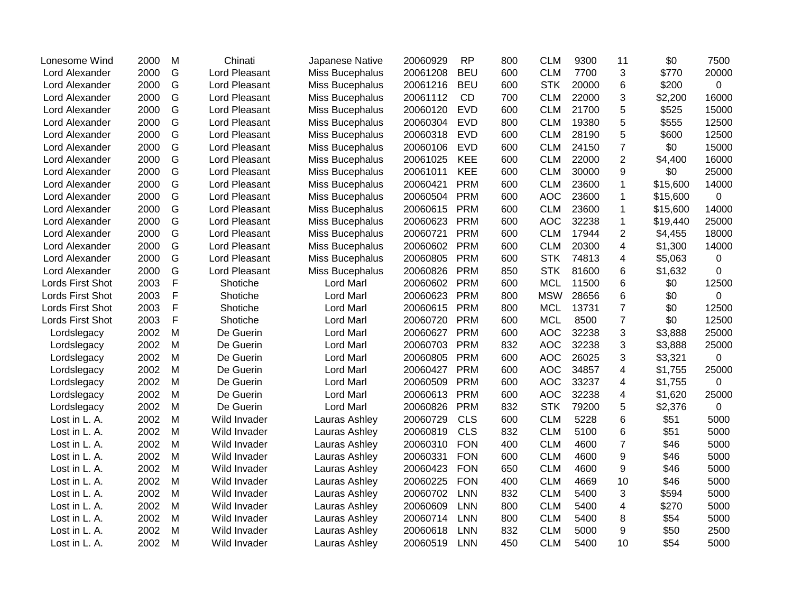| Lonesome Wind    | 2000 | M | Chinati              | Japanese Native  | 20060929 | <b>RP</b>  | 800 | <b>CLM</b> | 9300  | 11             | \$0      | 7500        |
|------------------|------|---|----------------------|------------------|----------|------------|-----|------------|-------|----------------|----------|-------------|
| Lord Alexander   | 2000 | G | <b>Lord Pleasant</b> | Miss Bucephalus  | 20061208 | <b>BEU</b> | 600 | <b>CLM</b> | 7700  | 3              | \$770    | 20000       |
| Lord Alexander   | 2000 | G | Lord Pleasant        | Miss Bucephalus  | 20061216 | <b>BEU</b> | 600 | <b>STK</b> | 20000 | 6              | \$200    | 0           |
| Lord Alexander   | 2000 | G | Lord Pleasant        | Miss Bucephalus  | 20061112 | CD         | 700 | <b>CLM</b> | 22000 | 3              | \$2,200  | 16000       |
| Lord Alexander   | 2000 | G | Lord Pleasant        | Miss Bucephalus  | 20060120 | <b>EVD</b> | 600 | <b>CLM</b> | 21700 | 5              | \$525    | 15000       |
| Lord Alexander   | 2000 | G | Lord Pleasant        | Miss Bucephalus  | 20060304 | <b>EVD</b> | 800 | <b>CLM</b> | 19380 | 5              | \$555    | 12500       |
| Lord Alexander   | 2000 | G | Lord Pleasant        | Miss Bucephalus  | 20060318 | <b>EVD</b> | 600 | <b>CLM</b> | 28190 | 5              | \$600    | 12500       |
| Lord Alexander   | 2000 | G | Lord Pleasant        | Miss Bucephalus  | 20060106 | <b>EVD</b> | 600 | <b>CLM</b> | 24150 | $\overline{7}$ | \$0      | 15000       |
| Lord Alexander   | 2000 | G | Lord Pleasant        | Miss Bucephalus  | 20061025 | <b>KEE</b> | 600 | <b>CLM</b> | 22000 | $\overline{c}$ | \$4,400  | 16000       |
| Lord Alexander   | 2000 | G | Lord Pleasant        | Miss Bucephalus  | 20061011 | <b>KEE</b> | 600 | <b>CLM</b> | 30000 | 9              | \$0      | 25000       |
| Lord Alexander   | 2000 | G | Lord Pleasant        | Miss Bucephalus  | 20060421 | <b>PRM</b> | 600 | <b>CLM</b> | 23600 | 1              | \$15,600 | 14000       |
| Lord Alexander   | 2000 | G | Lord Pleasant        | Miss Bucephalus  | 20060504 | <b>PRM</b> | 600 | <b>AOC</b> | 23600 | 1              | \$15,600 | 0           |
| Lord Alexander   | 2000 | G | Lord Pleasant        | Miss Bucephalus  | 20060615 | <b>PRM</b> | 600 | <b>CLM</b> | 23600 | 1              | \$15,600 | 14000       |
| Lord Alexander   | 2000 | G | Lord Pleasant        | Miss Bucephalus  | 20060623 | <b>PRM</b> | 600 | <b>AOC</b> | 32238 | 1              | \$19,440 | 25000       |
| Lord Alexander   | 2000 | G | Lord Pleasant        | Miss Bucephalus  | 20060721 | <b>PRM</b> | 600 | <b>CLM</b> | 17944 | $\overline{2}$ | \$4,455  | 18000       |
| Lord Alexander   | 2000 | G | Lord Pleasant        | Miss Bucephalus  | 20060602 | <b>PRM</b> | 600 | <b>CLM</b> | 20300 | 4              | \$1,300  | 14000       |
| Lord Alexander   | 2000 | G | Lord Pleasant        | Miss Bucephalus  | 20060805 | <b>PRM</b> | 600 | <b>STK</b> | 74813 | 4              | \$5,063  | $\mathsf 0$ |
| Lord Alexander   | 2000 | G | Lord Pleasant        | Miss Bucephalus  | 20060826 | <b>PRM</b> | 850 | <b>STK</b> | 81600 | 6              | \$1,632  | 0           |
| Lords First Shot | 2003 | F | Shotiche             | Lord Marl        | 20060602 | <b>PRM</b> | 600 | <b>MCL</b> | 11500 | 6              | \$0      | 12500       |
| Lords First Shot | 2003 | F | Shotiche             | <b>Lord Marl</b> | 20060623 | <b>PRM</b> | 800 | <b>MSW</b> | 28656 | 6              | \$0      | 0           |
| Lords First Shot | 2003 | F | Shotiche             | Lord Marl        | 20060615 | <b>PRM</b> | 800 | <b>MCL</b> | 13731 | $\overline{7}$ | \$0      | 12500       |
| Lords First Shot | 2003 | F | Shotiche             | <b>Lord Marl</b> | 20060720 | <b>PRM</b> | 600 | <b>MCL</b> | 8500  | $\overline{7}$ | \$0      | 12500       |
| Lordslegacy      | 2002 | M | De Guerin            | Lord Marl        | 20060627 | <b>PRM</b> | 600 | <b>AOC</b> | 32238 | 3              | \$3,888  | 25000       |
| Lordslegacy      | 2002 | M | De Guerin            | <b>Lord Marl</b> | 20060703 | <b>PRM</b> | 832 | <b>AOC</b> | 32238 | 3              | \$3,888  | 25000       |
| Lordslegacy      | 2002 | M | De Guerin            | Lord Marl        | 20060805 | <b>PRM</b> | 600 | <b>AOC</b> | 26025 | 3              | \$3,321  | $\mathbf 0$ |
| Lordslegacy      | 2002 | M | De Guerin            | <b>Lord Marl</b> | 20060427 | <b>PRM</b> | 600 | <b>AOC</b> | 34857 | 4              | \$1,755  | 25000       |
| Lordslegacy      | 2002 | M | De Guerin            | <b>Lord Marl</b> | 20060509 | <b>PRM</b> | 600 | <b>AOC</b> | 33237 | 4              | \$1,755  | 0           |
| Lordslegacy      | 2002 | M | De Guerin            | <b>Lord Marl</b> | 20060613 | <b>PRM</b> | 600 | <b>AOC</b> | 32238 | 4              | \$1,620  | 25000       |
| Lordslegacy      | 2002 | M | De Guerin            | <b>Lord Marl</b> | 20060826 | <b>PRM</b> | 832 | <b>STK</b> | 79200 | 5              | \$2,376  | $\mathbf 0$ |
| Lost in L. A.    | 2002 | M | Wild Invader         | Lauras Ashley    | 20060729 | <b>CLS</b> | 600 | <b>CLM</b> | 5228  | 6              | \$51     | 5000        |
| Lost in L. A.    | 2002 | M | Wild Invader         | Lauras Ashley    | 20060819 | <b>CLS</b> | 832 | <b>CLM</b> | 5100  | 6              | \$51     | 5000        |
| Lost in L. A.    | 2002 | M | Wild Invader         | Lauras Ashley    | 20060310 | <b>FON</b> | 400 | <b>CLM</b> | 4600  | $\overline{7}$ | \$46     | 5000        |
| Lost in L. A.    | 2002 | M | Wild Invader         | Lauras Ashley    | 20060331 | <b>FON</b> | 600 | <b>CLM</b> | 4600  | 9              | \$46     | 5000        |
| Lost in L. A.    | 2002 | M | Wild Invader         | Lauras Ashley    | 20060423 | <b>FON</b> | 650 | <b>CLM</b> | 4600  | 9              | \$46     | 5000        |
| Lost in L. A.    | 2002 | M | Wild Invader         | Lauras Ashley    | 20060225 | <b>FON</b> | 400 | <b>CLM</b> | 4669  | 10             | \$46     | 5000        |
| Lost in L. A.    | 2002 | M | Wild Invader         | Lauras Ashley    | 20060702 | <b>LNN</b> | 832 | <b>CLM</b> | 5400  | 3              | \$594    | 5000        |
| Lost in L. A.    | 2002 | M | Wild Invader         | Lauras Ashley    | 20060609 | <b>LNN</b> | 800 | <b>CLM</b> | 5400  | 4              | \$270    | 5000        |
| Lost in L. A.    | 2002 | M | Wild Invader         | Lauras Ashley    | 20060714 | <b>LNN</b> | 800 | <b>CLM</b> | 5400  | 8              | \$54     | 5000        |
| Lost in L. A.    | 2002 | M | Wild Invader         | Lauras Ashley    | 20060618 | <b>LNN</b> | 832 | <b>CLM</b> | 5000  | 9              | \$50     | 2500        |
| Lost in L. A.    | 2002 | M | Wild Invader         | Lauras Ashley    | 20060519 | <b>LNN</b> | 450 | <b>CLM</b> | 5400  | 10             | \$54     | 5000        |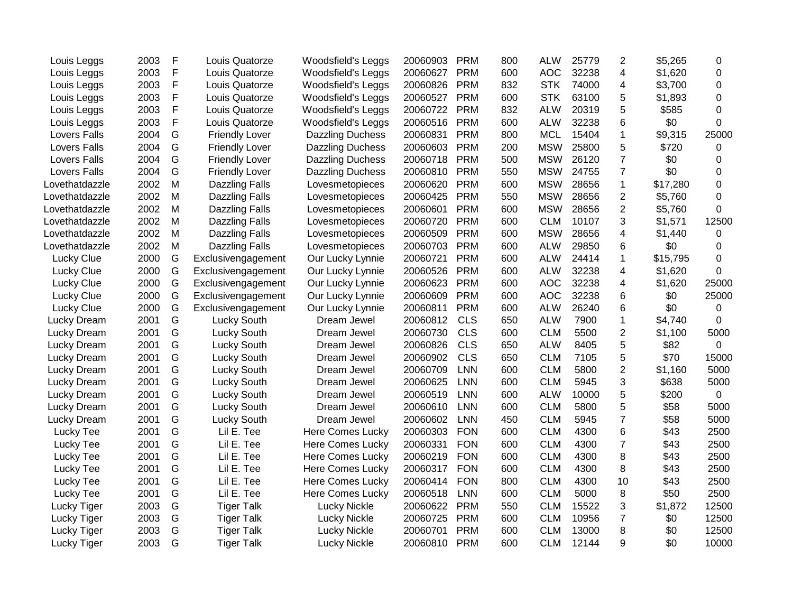| Louis Leggs         | 2003 | F | Louis Quatorze        | <b>Woodsfield's Leggs</b> | 20060903 | <b>PRM</b> | 800 | <b>ALW</b> | 25779 | 2                       | \$5,265  | 0     |
|---------------------|------|---|-----------------------|---------------------------|----------|------------|-----|------------|-------|-------------------------|----------|-------|
| Louis Leggs         | 2003 | F | Louis Quatorze        | Woodsfield's Leggs        | 20060627 | <b>PRM</b> | 600 | <b>AOC</b> | 32238 | 4                       | \$1,620  | 0     |
| Louis Leggs         | 2003 | F | Louis Quatorze        | Woodsfield's Leggs        | 20060826 | <b>PRM</b> | 832 | <b>STK</b> | 74000 | 4                       | \$3,700  | 0     |
| Louis Leggs         | 2003 | F | Louis Quatorze        | Woodsfield's Leggs        | 20060527 | <b>PRM</b> | 600 | <b>STK</b> | 63100 | 5                       | \$1,893  | 0     |
| Louis Leggs         | 2003 | F | Louis Quatorze        | <b>Woodsfield's Leggs</b> | 20060722 | <b>PRM</b> | 832 | <b>ALW</b> | 20319 | 5                       | \$585    | 0     |
| Louis Leggs         | 2003 | F | Louis Quatorze        | <b>Woodsfield's Leggs</b> | 20060516 | <b>PRM</b> | 600 | <b>ALW</b> | 32238 | 6                       | \$0      | 0     |
| Lovers Falls        | 2004 | G | <b>Friendly Lover</b> | <b>Dazzling Duchess</b>   | 20060831 | <b>PRM</b> | 800 | <b>MCL</b> | 15404 | 1                       | \$9,315  | 25000 |
| Lovers Falls        | 2004 | G | <b>Friendly Lover</b> | <b>Dazzling Duchess</b>   | 20060603 | <b>PRM</b> | 200 | <b>MSW</b> | 25800 | 5                       | \$720    | 0     |
| <b>Lovers Falls</b> | 2004 | G | <b>Friendly Lover</b> | <b>Dazzling Duchess</b>   | 20060718 | <b>PRM</b> | 500 | <b>MSW</b> | 26120 | $\overline{7}$          | \$0      | 0     |
| <b>Lovers Falls</b> | 2004 | G | <b>Friendly Lover</b> | <b>Dazzling Duchess</b>   | 20060810 | <b>PRM</b> | 550 | <b>MSW</b> | 24755 | $\overline{7}$          | \$0      | 0     |
| Lovethatdazzle      | 2002 | M | <b>Dazzling Falls</b> | Lovesmetopieces           | 20060620 | <b>PRM</b> | 600 | <b>MSW</b> | 28656 | $\mathbf{1}$            | \$17,280 | 0     |
| Lovethatdazzle      | 2002 | M | Dazzling Falls        | Lovesmetopieces           | 20060425 | <b>PRM</b> | 550 | <b>MSW</b> | 28656 | 2                       | \$5,760  | 0     |
| Lovethatdazzle      | 2002 | M | <b>Dazzling Falls</b> | Lovesmetopieces           | 20060601 | <b>PRM</b> | 600 | <b>MSW</b> | 28656 | $\overline{2}$          | \$5,760  | 0     |
| Lovethatdazzle      | 2002 | M | <b>Dazzling Falls</b> | Lovesmetopieces           | 20060720 | <b>PRM</b> | 600 | <b>CLM</b> | 10107 | 3                       | \$1,571  | 12500 |
| Lovethatdazzle      | 2002 | M | <b>Dazzling Falls</b> | Lovesmetopieces           | 20060509 | <b>PRM</b> | 600 | <b>MSW</b> | 28656 | 4                       | \$1,440  | 0     |
| Lovethatdazzle      | 2002 | M | Dazzling Falls        | Lovesmetopieces           | 20060703 | <b>PRM</b> | 600 | <b>ALW</b> | 29850 | 6                       | \$0      | 0     |
| Lucky Clue          | 2000 | G | Exclusivengagement    | Our Lucky Lynnie          | 20060721 | <b>PRM</b> | 600 | <b>ALW</b> | 24414 | $\mathbf{1}$            | \$15,795 | 0     |
| Lucky Clue          | 2000 | G | Exclusivengagement    | Our Lucky Lynnie          | 20060526 | <b>PRM</b> | 600 | <b>ALW</b> | 32238 | 4                       | \$1,620  | 0     |
| Lucky Clue          | 2000 | G | Exclusivengagement    | Our Lucky Lynnie          | 20060623 | <b>PRM</b> | 600 | <b>AOC</b> | 32238 | 4                       | \$1,620  | 25000 |
| Lucky Clue          | 2000 | G | Exclusivengagement    | Our Lucky Lynnie          | 20060609 | <b>PRM</b> | 600 | <b>AOC</b> | 32238 | 6                       | \$0      | 25000 |
| Lucky Clue          | 2000 | G | Exclusivengagement    | Our Lucky Lynnie          | 20060811 | <b>PRM</b> | 600 | <b>ALW</b> | 26240 | 6                       | \$0      | 0     |
| Lucky Dream         | 2001 | G | <b>Lucky South</b>    | Dream Jewel               | 20060812 | <b>CLS</b> | 650 | <b>ALW</b> | 7900  | $\mathbf 1$             | \$4,740  | 0     |
| Lucky Dream         | 2001 | G | Lucky South           | Dream Jewel               | 20060730 | <b>CLS</b> | 600 | <b>CLM</b> | 5500  | $\overline{\mathbf{c}}$ | \$1,100  | 5000  |
| Lucky Dream         | 2001 | G | Lucky South           | Dream Jewel               | 20060826 | <b>CLS</b> | 650 | <b>ALW</b> | 8405  | 5                       | \$82     | 0     |
| Lucky Dream         | 2001 | G | Lucky South           | Dream Jewel               | 20060902 | <b>CLS</b> | 650 | <b>CLM</b> | 7105  | 5                       | \$70     | 15000 |
| Lucky Dream         | 2001 | G | Lucky South           | Dream Jewel               | 20060709 | <b>LNN</b> | 600 | <b>CLM</b> | 5800  | $\overline{2}$          | \$1,160  | 5000  |
| Lucky Dream         | 2001 | G | Lucky South           | Dream Jewel               | 20060625 | <b>LNN</b> | 600 | <b>CLM</b> | 5945  | 3                       | \$638    | 5000  |
| Lucky Dream         | 2001 | G | Lucky South           | Dream Jewel               | 20060519 | <b>LNN</b> | 600 | <b>ALW</b> | 10000 | 5                       | \$200    | 0     |
| Lucky Dream         | 2001 | G | Lucky South           | Dream Jewel               | 20060610 | <b>LNN</b> | 600 | <b>CLM</b> | 5800  | 5                       | \$58     | 5000  |
| Lucky Dream         | 2001 | G | Lucky South           | Dream Jewel               | 20060602 | <b>LNN</b> | 450 | <b>CLM</b> | 5945  | $\overline{7}$          | \$58     | 5000  |
| Lucky Tee           | 2001 | G | Lil E. Tee            | <b>Here Comes Lucky</b>   | 20060303 | <b>FON</b> | 600 | <b>CLM</b> | 4300  | 6                       | \$43     | 2500  |
| Lucky Tee           | 2001 | G | Lil E. Tee            | <b>Here Comes Lucky</b>   | 20060331 | <b>FON</b> | 600 | <b>CLM</b> | 4300  | $\overline{7}$          | \$43     | 2500  |
| Lucky Tee           | 2001 | G | Lil E. Tee            | <b>Here Comes Lucky</b>   | 20060219 | <b>FON</b> | 600 | <b>CLM</b> | 4300  | 8                       | \$43     | 2500  |
| Lucky Tee           | 2001 | G | Lil E. Tee            | <b>Here Comes Lucky</b>   | 20060317 | <b>FON</b> | 600 | <b>CLM</b> | 4300  | 8                       | \$43     | 2500  |
| Lucky Tee           | 2001 | G | Lil E. Tee            | <b>Here Comes Lucky</b>   | 20060414 | <b>FON</b> | 800 | <b>CLM</b> | 4300  | 10                      | \$43     | 2500  |
| Lucky Tee           | 2001 | G | Lil E. Tee            | <b>Here Comes Lucky</b>   | 20060518 | <b>LNN</b> | 600 | <b>CLM</b> | 5000  | 8                       | \$50     | 2500  |
| Lucky Tiger         | 2003 | G | <b>Tiger Talk</b>     | Lucky Nickle              | 20060622 | <b>PRM</b> | 550 | <b>CLM</b> | 15522 | 3                       | \$1,872  | 12500 |
| Lucky Tiger         | 2003 | G | <b>Tiger Talk</b>     | Lucky Nickle              | 20060725 | <b>PRM</b> | 600 | <b>CLM</b> | 10956 | $\overline{7}$          | \$0      | 12500 |
| Lucky Tiger         | 2003 | G | <b>Tiger Talk</b>     | Lucky Nickle              | 20060701 | <b>PRM</b> | 600 | <b>CLM</b> | 13000 | 8                       | \$0      | 12500 |
| Lucky Tiger         | 2003 | G | <b>Tiger Talk</b>     | Lucky Nickle              | 20060810 | <b>PRM</b> | 600 | <b>CLM</b> | 12144 | 9                       | \$0      | 10000 |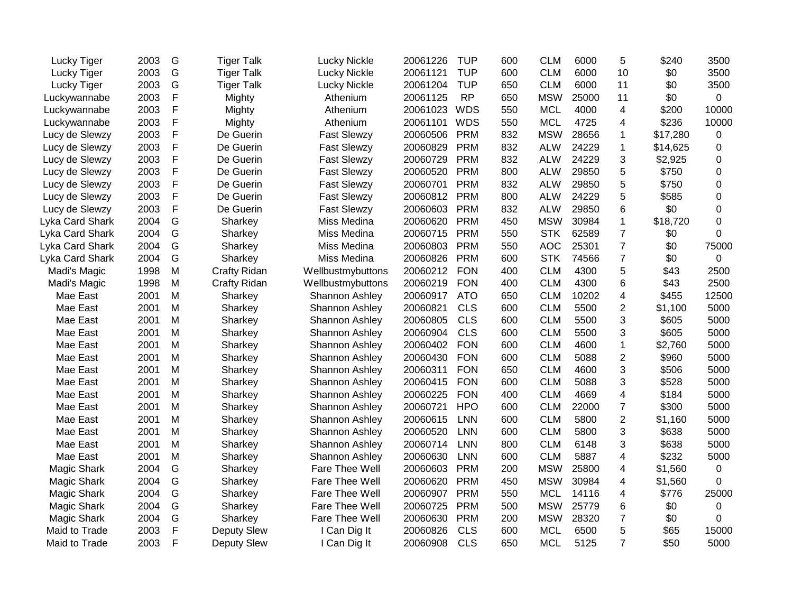| Lucky Tiger     | 2003 | G             | <b>Tiger Talk</b> | Lucky Nickle        | 20061226 | <b>TUP</b> | 600 | <b>CLM</b> | 6000  | 5              | \$240    | 3500        |
|-----------------|------|---------------|-------------------|---------------------|----------|------------|-----|------------|-------|----------------|----------|-------------|
| Lucky Tiger     | 2003 | G             | <b>Tiger Talk</b> | Lucky Nickle        | 20061121 | <b>TUP</b> | 600 | <b>CLM</b> | 6000  | 10             | \$0      | 3500        |
| Lucky Tiger     | 2003 | G             | <b>Tiger Talk</b> | <b>Lucky Nickle</b> | 20061204 | <b>TUP</b> | 650 | <b>CLM</b> | 6000  | 11             | \$0      | 3500        |
| Luckywannabe    | 2003 | F             | Mighty            | Athenium            | 20061125 | <b>RP</b>  | 650 | <b>MSW</b> | 25000 | 11             | \$0      | 0           |
| Luckywannabe    | 2003 | F             | Mighty            | Athenium            | 20061023 | <b>WDS</b> | 550 | <b>MCL</b> | 4000  | 4              | \$200    | 10000       |
| Luckywannabe    | 2003 | F             | Mighty            | Athenium            | 20061101 | <b>WDS</b> | 550 | <b>MCL</b> | 4725  | 4              | \$236    | 10000       |
| Lucy de Slewzy  | 2003 | F             | De Guerin         | <b>Fast Slewzy</b>  | 20060506 | <b>PRM</b> | 832 | <b>MSW</b> | 28656 | $\mathbf{1}$   | \$17,280 | 0           |
| Lucy de Slewzy  | 2003 | $\mathsf F$   | De Guerin         | <b>Fast Slewzy</b>  | 20060829 | <b>PRM</b> | 832 | <b>ALW</b> | 24229 | $\mathbf 1$    | \$14,625 | 0           |
| Lucy de Slewzy  | 2003 | F             | De Guerin         | <b>Fast Slewzy</b>  | 20060729 | <b>PRM</b> | 832 | <b>ALW</b> | 24229 | 3              | \$2,925  | 0           |
| Lucy de Slewzy  | 2003 | F             | De Guerin         | <b>Fast Slewzy</b>  | 20060520 | <b>PRM</b> | 800 | <b>ALW</b> | 29850 | 5              | \$750    | 0           |
| Lucy de Slewzy  | 2003 | F             | De Guerin         | <b>Fast Slewzy</b>  | 20060701 | <b>PRM</b> | 832 | <b>ALW</b> | 29850 | 5              | \$750    | 0           |
| Lucy de Slewzy  | 2003 | F             | De Guerin         | <b>Fast Slewzy</b>  | 20060812 | <b>PRM</b> | 800 | <b>ALW</b> | 24229 | 5              | \$585    | 0           |
| Lucy de Slewzy  | 2003 | F             | De Guerin         | <b>Fast Slewzy</b>  | 20060603 | <b>PRM</b> | 832 | <b>ALW</b> | 29850 | 6              | \$0      | 0           |
| Lyka Card Shark | 2004 | G             | Sharkey           | Miss Medina         | 20060620 | <b>PRM</b> | 450 | <b>MSW</b> | 30984 | $\mathbf{1}$   | \$18,720 | 0           |
| Lyka Card Shark | 2004 | G             | Sharkey           | Miss Medina         | 20060715 | <b>PRM</b> | 550 | <b>STK</b> | 62589 | $\overline{7}$ | \$0      | 0           |
| Lyka Card Shark | 2004 | ${\mathsf G}$ | Sharkey           | Miss Medina         | 20060803 | <b>PRM</b> | 550 | <b>AOC</b> | 25301 | $\overline{7}$ | \$0      | 75000       |
| Lyka Card Shark | 2004 | G             | Sharkey           | Miss Medina         | 20060826 | <b>PRM</b> | 600 | <b>STK</b> | 74566 | $\overline{7}$ | \$0      | $\mathbf 0$ |
| Madi's Magic    | 1998 | M             | Crafty Ridan      | Wellbustmybuttons   | 20060212 | <b>FON</b> | 400 | <b>CLM</b> | 4300  | 5              | \$43     | 2500        |
| Madi's Magic    | 1998 | M             | Crafty Ridan      | Wellbustmybuttons   | 20060219 | <b>FON</b> | 400 | <b>CLM</b> | 4300  | 6              | \$43     | 2500        |
| Mae East        | 2001 | M             | Sharkey           | Shannon Ashley      | 20060917 | <b>ATO</b> | 650 | <b>CLM</b> | 10202 | 4              | \$455    | 12500       |
| Mae East        | 2001 | M             | Sharkey           | Shannon Ashley      | 20060821 | <b>CLS</b> | 600 | <b>CLM</b> | 5500  | $\overline{c}$ | \$1,100  | 5000        |
| Mae East        | 2001 | M             | Sharkey           | Shannon Ashley      | 20060805 | <b>CLS</b> | 600 | <b>CLM</b> | 5500  | 3              | \$605    | 5000        |
| Mae East        | 2001 | M             | Sharkey           | Shannon Ashley      | 20060904 | <b>CLS</b> | 600 | <b>CLM</b> | 5500  | 3              | \$605    | 5000        |
| Mae East        | 2001 | M             | Sharkey           | Shannon Ashley      | 20060402 | <b>FON</b> | 600 | <b>CLM</b> | 4600  | $\mathbf 1$    | \$2,760  | 5000        |
| Mae East        | 2001 | M             | Sharkey           | Shannon Ashley      | 20060430 | <b>FON</b> | 600 | <b>CLM</b> | 5088  | $\overline{2}$ | \$960    | 5000        |
| Mae East        | 2001 | M             | Sharkey           | Shannon Ashley      | 20060311 | <b>FON</b> | 650 | <b>CLM</b> | 4600  | 3              | \$506    | 5000        |
| Mae East        | 2001 | M             | Sharkey           | Shannon Ashley      | 20060415 | <b>FON</b> | 600 | <b>CLM</b> | 5088  | 3              | \$528    | 5000        |
| Mae East        | 2001 | M             | Sharkey           | Shannon Ashley      | 20060225 | <b>FON</b> | 400 | <b>CLM</b> | 4669  | 4              | \$184    | 5000        |
| Mae East        | 2001 | M             | Sharkey           | Shannon Ashley      | 20060721 | <b>HPO</b> | 600 | <b>CLM</b> | 22000 | $\overline{7}$ | \$300    | 5000        |
| Mae East        | 2001 | M             | Sharkey           | Shannon Ashley      | 20060615 | <b>LNN</b> | 600 | <b>CLM</b> | 5800  | $\overline{2}$ | \$1,160  | 5000        |
| Mae East        | 2001 | M             | Sharkey           | Shannon Ashley      | 20060520 | <b>LNN</b> | 600 | <b>CLM</b> | 5800  | 3              | \$638    | 5000        |
| Mae East        | 2001 | M             | Sharkey           | Shannon Ashley      | 20060714 | <b>LNN</b> | 800 | <b>CLM</b> | 6148  | 3              | \$638    | 5000        |
| Mae East        | 2001 | M             | Sharkey           | Shannon Ashley      | 20060630 | <b>LNN</b> | 600 | <b>CLM</b> | 5887  | 4              | \$232    | 5000        |
| Magic Shark     | 2004 | G             | Sharkey           | Fare Thee Well      | 20060603 | <b>PRM</b> | 200 | <b>MSW</b> | 25800 | 4              | \$1,560  | $\mathbf 0$ |
| Magic Shark     | 2004 | G             | Sharkey           | Fare Thee Well      | 20060620 | <b>PRM</b> | 450 | <b>MSW</b> | 30984 | 4              | \$1,560  | 0           |
| Magic Shark     | 2004 | G             | Sharkey           | Fare Thee Well      | 20060907 | <b>PRM</b> | 550 | <b>MCL</b> | 14116 | 4              | \$776    | 25000       |
| Magic Shark     | 2004 | G             | Sharkey           | Fare Thee Well      | 20060725 | <b>PRM</b> | 500 | <b>MSW</b> | 25779 | 6              | \$0      | 0           |
| Magic Shark     | 2004 | G             | Sharkey           | Fare Thee Well      | 20060630 | <b>PRM</b> | 200 | <b>MSW</b> | 28320 | $\overline{7}$ | \$0      | 0           |
| Maid to Trade   | 2003 | $\mathsf F$   | Deputy Slew       | I Can Dig It        | 20060826 | <b>CLS</b> | 600 | <b>MCL</b> | 6500  | 5              | \$65     | 15000       |
| Maid to Trade   | 2003 | F             | Deputy Slew       | I Can Dig It        | 20060908 | <b>CLS</b> | 650 | <b>MCL</b> | 5125  | $\overline{7}$ | \$50     | 5000        |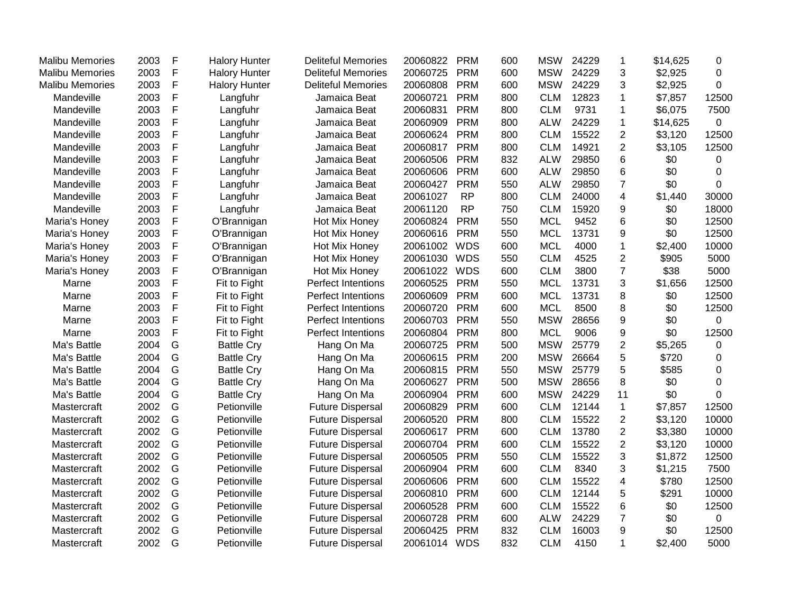| <b>Malibu Memories</b> | 2003 | $\mathsf{F}$ | <b>Halory Hunter</b> | <b>Deliteful Memories</b> | 20060822     | <b>PRM</b> | 600 | <b>MSW</b> | 24229 | 1                       | \$14,625 | 0              |
|------------------------|------|--------------|----------------------|---------------------------|--------------|------------|-----|------------|-------|-------------------------|----------|----------------|
| <b>Malibu Memories</b> | 2003 | $\mathsf{F}$ | <b>Halory Hunter</b> | <b>Deliteful Memories</b> | 20060725     | <b>PRM</b> | 600 | <b>MSW</b> | 24229 | 3                       | \$2,925  | 0              |
| <b>Malibu Memories</b> | 2003 | $\mathsf F$  | <b>Halory Hunter</b> | <b>Deliteful Memories</b> | 20060808     | <b>PRM</b> | 600 | <b>MSW</b> | 24229 | 3                       | \$2,925  | 0              |
| Mandeville             | 2003 | $\mathsf F$  | Langfuhr             | Jamaica Beat              | 20060721     | <b>PRM</b> | 800 | <b>CLM</b> | 12823 | 1                       | \$7,857  | 12500          |
| Mandeville             | 2003 | $\mathsf F$  | Langfuhr             | Jamaica Beat              | 20060831     | <b>PRM</b> | 800 | <b>CLM</b> | 9731  | $\mathbf{1}$            | \$6,075  | 7500           |
| Mandeville             | 2003 | F            | Langfuhr             | Jamaica Beat              | 20060909     | <b>PRM</b> | 800 | <b>ALW</b> | 24229 | 1                       | \$14,625 | 0              |
| Mandeville             | 2003 | $\mathsf F$  | Langfuhr             | Jamaica Beat              | 20060624     | <b>PRM</b> | 800 | <b>CLM</b> | 15522 | $\boldsymbol{2}$        | \$3,120  | 12500          |
| Mandeville             | 2003 | $\mathsf F$  | Langfuhr             | Jamaica Beat              | 20060817     | <b>PRM</b> | 800 | <b>CLM</b> | 14921 | $\overline{c}$          | \$3,105  | 12500          |
| Mandeville             | 2003 | $\mathsf F$  | Langfuhr             | Jamaica Beat              | 20060506     | <b>PRM</b> | 832 | <b>ALW</b> | 29850 | $\,6$                   | \$0      | 0              |
| Mandeville             | 2003 | $\mathsf F$  | Langfuhr             | Jamaica Beat              | 20060606     | <b>PRM</b> | 600 | <b>ALW</b> | 29850 | 6                       | \$0      | 0              |
| Mandeville             | 2003 | F            | Langfuhr             | Jamaica Beat              | 20060427     | <b>PRM</b> | 550 | <b>ALW</b> | 29850 | $\overline{7}$          | \$0      | 0              |
| Mandeville             | 2003 | F            | Langfuhr             | Jamaica Beat              | 20061027     | <b>RP</b>  | 800 | <b>CLM</b> | 24000 | $\overline{4}$          | \$1,440  | 30000          |
| Mandeville             | 2003 | $\mathsf F$  | Langfuhr             | Jamaica Beat              | 20061120     | <b>RP</b>  | 750 | <b>CLM</b> | 15920 | 9                       | \$0      | 18000          |
| Maria's Honey          | 2003 | $\mathsf F$  | O'Brannigan          | Hot Mix Honey             | 20060824     | <b>PRM</b> | 550 | <b>MCL</b> | 9452  | 6                       | \$0      | 12500          |
| Maria's Honey          | 2003 | $\mathsf F$  | O'Brannigan          | Hot Mix Honey             | 20060616     | <b>PRM</b> | 550 | <b>MCL</b> | 13731 | 9                       | \$0      | 12500          |
| Maria's Honey          | 2003 | $\mathsf F$  | O'Brannigan          | Hot Mix Honey             | 20061002     | <b>WDS</b> | 600 | <b>MCL</b> | 4000  | $\mathbf{1}$            | \$2,400  | 10000          |
| Maria's Honey          | 2003 | $\mathsf F$  | O'Brannigan          | Hot Mix Honey             | 20061030     | <b>WDS</b> | 550 | <b>CLM</b> | 4525  | $\overline{2}$          | \$905    | 5000           |
| Maria's Honey          | 2003 | $\mathsf F$  | O'Brannigan          | Hot Mix Honey             | 20061022     | <b>WDS</b> | 600 | <b>CLM</b> | 3800  | $\overline{7}$          | \$38     | 5000           |
| Marne                  | 2003 | $\mathsf F$  | Fit to Fight         | Perfect Intentions        | 20060525     | <b>PRM</b> | 550 | <b>MCL</b> | 13731 | 3                       | \$1,656  | 12500          |
| Marne                  | 2003 | $\mathsf F$  | Fit to Fight         | Perfect Intentions        | 20060609     | <b>PRM</b> | 600 | <b>MCL</b> | 13731 | 8                       | \$0      | 12500          |
| Marne                  | 2003 | $\mathsf F$  | Fit to Fight         | <b>Perfect Intentions</b> | 20060720     | <b>PRM</b> | 600 | <b>MCL</b> | 8500  | 8                       | \$0      | 12500          |
| Marne                  | 2003 | $\mathsf F$  | Fit to Fight         | Perfect Intentions        | 20060703     | <b>PRM</b> | 550 | <b>MSW</b> | 28656 | 9                       | \$0      | 0              |
| Marne                  | 2003 | $\mathsf F$  | Fit to Fight         | Perfect Intentions        | 20060804     | <b>PRM</b> | 800 | <b>MCL</b> | 9006  | $\boldsymbol{9}$        | \$0      | 12500          |
| Ma's Battle            | 2004 | G            | <b>Battle Cry</b>    | Hang On Ma                | 20060725     | <b>PRM</b> | 500 | <b>MSW</b> | 25779 | $\overline{2}$          | \$5,265  | 0              |
| Ma's Battle            | 2004 | G            | <b>Battle Cry</b>    | Hang On Ma                | 20060615     | <b>PRM</b> | 200 | <b>MSW</b> | 26664 | 5                       | \$720    | 0              |
| Ma's Battle            | 2004 | G            | <b>Battle Cry</b>    | Hang On Ma                | 20060815     | <b>PRM</b> | 550 | <b>MSW</b> | 25779 | 5                       | \$585    | 0              |
| Ma's Battle            | 2004 | G            | <b>Battle Cry</b>    | Hang On Ma                | 20060627     | <b>PRM</b> | 500 | <b>MSW</b> | 28656 | 8                       | \$0      | 0              |
| Ma's Battle            | 2004 | G            | <b>Battle Cry</b>    | Hang On Ma                | 20060904     | <b>PRM</b> | 600 | <b>MSW</b> | 24229 | 11                      | \$0      | 0              |
| Mastercraft            | 2002 | G            | Petionville          | <b>Future Dispersal</b>   | 20060829     | <b>PRM</b> | 600 | <b>CLM</b> | 12144 | $\mathbf{1}$            | \$7,857  | 12500          |
| Mastercraft            | 2002 | G            | Petionville          | <b>Future Dispersal</b>   | 20060520     | <b>PRM</b> | 800 | <b>CLM</b> | 15522 | $\overline{2}$          | \$3,120  | 10000          |
| Mastercraft            | 2002 | G            | Petionville          | <b>Future Dispersal</b>   | 20060617     | <b>PRM</b> | 600 | <b>CLM</b> | 13780 | $\overline{2}$          | \$3,380  | 10000          |
| Mastercraft            | 2002 | G            | Petionville          | <b>Future Dispersal</b>   | 20060704     | <b>PRM</b> | 600 | <b>CLM</b> | 15522 | $\overline{2}$          | \$3,120  | 10000          |
| Mastercraft            | 2002 | G            | Petionville          | <b>Future Dispersal</b>   | 20060505     | <b>PRM</b> | 550 | <b>CLM</b> | 15522 | 3                       | \$1,872  | 12500          |
| Mastercraft            | 2002 | G            | Petionville          | <b>Future Dispersal</b>   | 20060904     | <b>PRM</b> | 600 | <b>CLM</b> | 8340  | 3                       | \$1,215  | 7500           |
| Mastercraft            | 2002 | G            | Petionville          | <b>Future Dispersal</b>   | 20060606     | <b>PRM</b> | 600 | <b>CLM</b> | 15522 | $\overline{\mathbf{4}}$ | \$780    | 12500          |
| Mastercraft            | 2002 | G            | Petionville          | <b>Future Dispersal</b>   | 20060810     | <b>PRM</b> | 600 | <b>CLM</b> | 12144 | 5                       | \$291    | 10000          |
| Mastercraft            | 2002 | G            | Petionville          | <b>Future Dispersal</b>   | 20060528     | <b>PRM</b> | 600 | <b>CLM</b> | 15522 | 6                       | \$0      | 12500          |
| Mastercraft            | 2002 | G            | Petionville          | <b>Future Dispersal</b>   | 20060728     | <b>PRM</b> | 600 | <b>ALW</b> | 24229 | $\overline{7}$          | \$0      | $\overline{0}$ |
| Mastercraft            | 2002 | G            | Petionville          | <b>Future Dispersal</b>   | 20060425     | <b>PRM</b> | 832 | <b>CLM</b> | 16003 | $\boldsymbol{9}$        | \$0      | 12500          |
| Mastercraft            | 2002 | G            | Petionville          | <b>Future Dispersal</b>   | 20061014 WDS |            | 832 | <b>CLM</b> | 4150  | $\mathbf 1$             | \$2,400  | 5000           |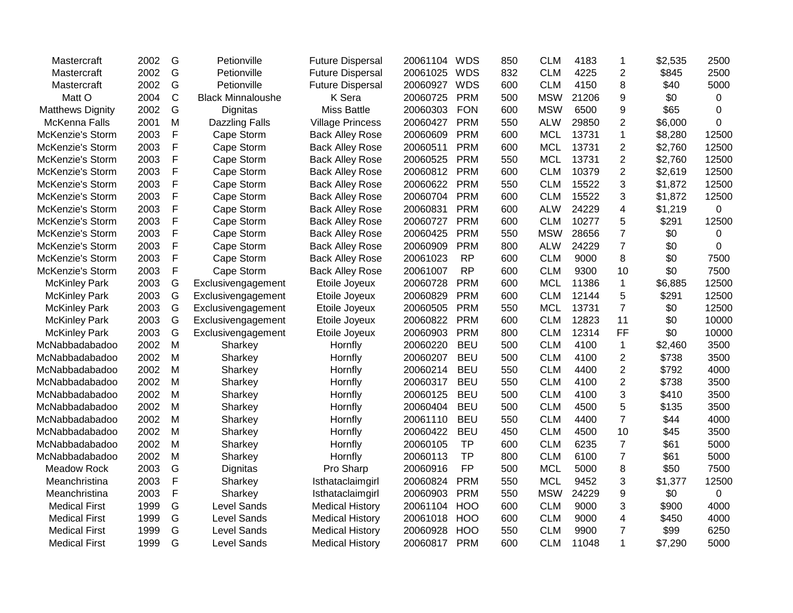| Mastercraft             | 2002 | G | Petionville              | <b>Future Dispersal</b> | 20061104 | <b>WDS</b> | 850 | <b>CLM</b> | 4183  | 1              | \$2,535 | 2500        |
|-------------------------|------|---|--------------------------|-------------------------|----------|------------|-----|------------|-------|----------------|---------|-------------|
| Mastercraft             | 2002 | G | Petionville              | <b>Future Dispersal</b> | 20061025 | <b>WDS</b> | 832 | <b>CLM</b> | 4225  | $\overline{2}$ | \$845   | 2500        |
| Mastercraft             | 2002 | G | Petionville              | <b>Future Dispersal</b> | 20060927 | <b>WDS</b> | 600 | <b>CLM</b> | 4150  | 8              | \$40    | 5000        |
| Matt O                  | 2004 | C | <b>Black Minnaloushe</b> | K Sera                  | 20060725 | <b>PRM</b> | 500 | <b>MSW</b> | 21206 | 9              | \$0     | 0           |
| <b>Matthews Dignity</b> | 2002 | G | Dignitas                 | <b>Miss Battle</b>      | 20060303 | <b>FON</b> | 600 | <b>MSW</b> | 6500  | 9              | \$65    | $\mathbf 0$ |
| McKenna Falls           | 2001 | M | <b>Dazzling Falls</b>    | <b>Village Princess</b> | 20060427 | <b>PRM</b> | 550 | <b>ALW</b> | 29850 | $\overline{2}$ | \$6,000 | $\Omega$    |
| McKenzie's Storm        | 2003 | F | Cape Storm               | <b>Back Alley Rose</b>  | 20060609 | <b>PRM</b> | 600 | <b>MCL</b> | 13731 | $\mathbf{1}$   | \$8,280 | 12500       |
| McKenzie's Storm        | 2003 | F | Cape Storm               | <b>Back Alley Rose</b>  | 20060511 | <b>PRM</b> | 600 | <b>MCL</b> | 13731 | $\overline{2}$ | \$2,760 | 12500       |
| McKenzie's Storm        | 2003 | F | Cape Storm               | <b>Back Alley Rose</b>  | 20060525 | <b>PRM</b> | 550 | <b>MCL</b> | 13731 | $\overline{2}$ | \$2,760 | 12500       |
| McKenzie's Storm        | 2003 | F | Cape Storm               | <b>Back Alley Rose</b>  | 20060812 | <b>PRM</b> | 600 | <b>CLM</b> | 10379 | $\overline{2}$ | \$2,619 | 12500       |
| McKenzie's Storm        | 2003 | F | Cape Storm               | <b>Back Alley Rose</b>  | 20060622 | <b>PRM</b> | 550 | <b>CLM</b> | 15522 | 3              | \$1,872 | 12500       |
| <b>McKenzie's Storm</b> | 2003 | F | Cape Storm               | <b>Back Alley Rose</b>  | 20060704 | <b>PRM</b> | 600 | <b>CLM</b> | 15522 | 3              | \$1,872 | 12500       |
| McKenzie's Storm        | 2003 | F | Cape Storm               | <b>Back Alley Rose</b>  | 20060831 | <b>PRM</b> | 600 | <b>ALW</b> | 24229 | 4              | \$1,219 | $\mathbf 0$ |
| McKenzie's Storm        | 2003 | F | Cape Storm               | <b>Back Alley Rose</b>  | 20060727 | <b>PRM</b> | 600 | <b>CLM</b> | 10277 | 5              | \$291   | 12500       |
| McKenzie's Storm        | 2003 | F | Cape Storm               | <b>Back Alley Rose</b>  | 20060425 | <b>PRM</b> | 550 | <b>MSW</b> | 28656 | $\overline{7}$ | \$0     | $\mathbf 0$ |
| McKenzie's Storm        | 2003 | F | Cape Storm               | <b>Back Alley Rose</b>  | 20060909 | <b>PRM</b> | 800 | <b>ALW</b> | 24229 | $\overline{7}$ | \$0     | 0           |
| McKenzie's Storm        | 2003 | F | Cape Storm               | <b>Back Alley Rose</b>  | 20061023 | <b>RP</b>  | 600 | <b>CLM</b> | 9000  | 8              | \$0     | 7500        |
| McKenzie's Storm        | 2003 | F | Cape Storm               | <b>Back Alley Rose</b>  | 20061007 | <b>RP</b>  | 600 | <b>CLM</b> | 9300  | 10             | \$0     | 7500        |
| <b>McKinley Park</b>    | 2003 | G | Exclusivengagement       | Etoile Joyeux           | 20060728 | <b>PRM</b> | 600 | <b>MCL</b> | 11386 | $\mathbf{1}$   | \$6,885 | 12500       |
| <b>McKinley Park</b>    | 2003 | G | Exclusivengagement       | Etoile Joyeux           | 20060829 | <b>PRM</b> | 600 | <b>CLM</b> | 12144 | 5              | \$291   | 12500       |
| <b>McKinley Park</b>    | 2003 | G | Exclusivengagement       | Etoile Joyeux           | 20060505 | <b>PRM</b> | 550 | <b>MCL</b> | 13731 | $\overline{7}$ | \$0     | 12500       |
| <b>McKinley Park</b>    | 2003 | G | Exclusivengagement       | Etoile Joyeux           | 20060822 | <b>PRM</b> | 600 | <b>CLM</b> | 12823 | 11             | \$0     | 10000       |
| <b>McKinley Park</b>    | 2003 | G | Exclusivengagement       | Etoile Joyeux           | 20060903 | <b>PRM</b> | 800 | <b>CLM</b> | 12314 | FF             | \$0     | 10000       |
| McNabbadabadoo          | 2002 | M | Sharkey                  | Hornfly                 | 20060220 | <b>BEU</b> | 500 | <b>CLM</b> | 4100  | $\mathbf{1}$   | \$2,460 | 3500        |
| McNabbadabadoo          | 2002 | M | Sharkey                  | Hornfly                 | 20060207 | <b>BEU</b> | 500 | <b>CLM</b> | 4100  | $\overline{2}$ | \$738   | 3500        |
| McNabbadabadoo          | 2002 | M | Sharkey                  | Hornfly                 | 20060214 | <b>BEU</b> | 550 | <b>CLM</b> | 4400  | $\overline{2}$ | \$792   | 4000        |
| McNabbadabadoo          | 2002 | M | Sharkey                  | Hornfly                 | 20060317 | <b>BEU</b> | 550 | <b>CLM</b> | 4100  | $\overline{2}$ | \$738   | 3500        |
| McNabbadabadoo          | 2002 | M | Sharkey                  | Hornfly                 | 20060125 | <b>BEU</b> | 500 | <b>CLM</b> | 4100  | 3              | \$410   | 3500        |
| McNabbadabadoo          | 2002 | M | Sharkey                  | Hornfly                 | 20060404 | <b>BEU</b> | 500 | <b>CLM</b> | 4500  | 5              | \$135   | 3500        |
| McNabbadabadoo          | 2002 | M | Sharkey                  | Hornfly                 | 20061110 | <b>BEU</b> | 550 | <b>CLM</b> | 4400  | $\overline{7}$ | \$44    | 4000        |
| McNabbadabadoo          | 2002 | M | Sharkey                  | Hornfly                 | 20060422 | <b>BEU</b> | 450 | <b>CLM</b> | 4500  | 10             | \$45    | 3500        |
| McNabbadabadoo          | 2002 | M | Sharkey                  | Hornfly                 | 20060105 | <b>TP</b>  | 600 | <b>CLM</b> | 6235  | $\overline{7}$ | \$61    | 5000        |
| McNabbadabadoo          | 2002 | M | Sharkey                  | Hornfly                 | 20060113 | <b>TP</b>  | 800 | <b>CLM</b> | 6100  | $\overline{7}$ | \$61    | 5000        |
| <b>Meadow Rock</b>      | 2003 | G | Dignitas                 | Pro Sharp               | 20060916 | <b>FP</b>  | 500 | <b>MCL</b> | 5000  | 8              | \$50    | 7500        |
| Meanchristina           | 2003 | F | Sharkey                  | Isthataclaimgirl        | 20060824 | <b>PRM</b> | 550 | <b>MCL</b> | 9452  | 3              | \$1,377 | 12500       |
| Meanchristina           | 2003 | F | Sharkey                  | Isthataclaimgirl        | 20060903 | <b>PRM</b> | 550 | <b>MSW</b> | 24229 | 9              | \$0     | 0           |
| <b>Medical First</b>    | 1999 | G | <b>Level Sands</b>       | <b>Medical History</b>  | 20061104 | <b>HOO</b> | 600 | <b>CLM</b> | 9000  | 3              | \$900   | 4000        |
| <b>Medical First</b>    | 1999 | G | <b>Level Sands</b>       | <b>Medical History</b>  | 20061018 | <b>HOO</b> | 600 | <b>CLM</b> | 9000  | 4              | \$450   | 4000        |
| <b>Medical First</b>    | 1999 | G | <b>Level Sands</b>       | <b>Medical History</b>  | 20060928 | <b>HOO</b> | 550 | <b>CLM</b> | 9900  | $\overline{7}$ | \$99    | 6250        |
| <b>Medical First</b>    | 1999 | G | <b>Level Sands</b>       | <b>Medical History</b>  | 20060817 | <b>PRM</b> | 600 | <b>CLM</b> | 11048 | $\mathbf{1}$   | \$7,290 | 5000        |
|                         |      |   |                          |                         |          |            |     |            |       |                |         |             |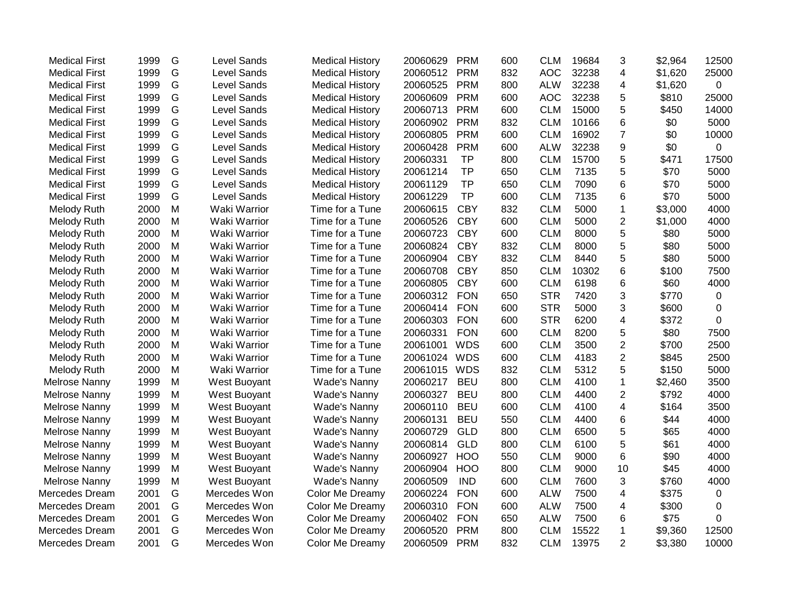| <b>Medical First</b> | 1999 | G | <b>Level Sands</b>  | <b>Medical History</b> | 20060629 | <b>PRM</b> | 600 | <b>CLM</b> | 19684 | 3              | \$2,964 | 12500 |
|----------------------|------|---|---------------------|------------------------|----------|------------|-----|------------|-------|----------------|---------|-------|
| <b>Medical First</b> | 1999 | G | Level Sands         | <b>Medical History</b> | 20060512 | <b>PRM</b> | 832 | <b>AOC</b> | 32238 | 4              | \$1,620 | 25000 |
| <b>Medical First</b> | 1999 | G | <b>Level Sands</b>  | <b>Medical History</b> | 20060525 | <b>PRM</b> | 800 | <b>ALW</b> | 32238 | 4              | \$1,620 | 0     |
| <b>Medical First</b> | 1999 | G | Level Sands         | <b>Medical History</b> | 20060609 | <b>PRM</b> | 600 | <b>AOC</b> | 32238 | 5              | \$810   | 25000 |
| <b>Medical First</b> | 1999 | G | Level Sands         | <b>Medical History</b> | 20060713 | <b>PRM</b> | 600 | <b>CLM</b> | 15000 | 5              | \$450   | 14000 |
| <b>Medical First</b> | 1999 | G | Level Sands         | <b>Medical History</b> | 20060902 | <b>PRM</b> | 832 | <b>CLM</b> | 10166 | 6              | \$0     | 5000  |
| <b>Medical First</b> | 1999 | G | <b>Level Sands</b>  | <b>Medical History</b> | 20060805 | <b>PRM</b> | 600 | <b>CLM</b> | 16902 | $\overline{7}$ | \$0     | 10000 |
| <b>Medical First</b> | 1999 | G | <b>Level Sands</b>  | <b>Medical History</b> | 20060428 | <b>PRM</b> | 600 | <b>ALW</b> | 32238 | 9              | \$0     | 0     |
| <b>Medical First</b> | 1999 | G | Level Sands         | <b>Medical History</b> | 20060331 | <b>TP</b>  | 800 | <b>CLM</b> | 15700 | 5              | \$471   | 17500 |
| <b>Medical First</b> | 1999 | G | Level Sands         | <b>Medical History</b> | 20061214 | <b>TP</b>  | 650 | <b>CLM</b> | 7135  | 5              | \$70    | 5000  |
| <b>Medical First</b> | 1999 | G | <b>Level Sands</b>  | <b>Medical History</b> | 20061129 | <b>TP</b>  | 650 | <b>CLM</b> | 7090  | 6              | \$70    | 5000  |
| <b>Medical First</b> | 1999 | G | <b>Level Sands</b>  | <b>Medical History</b> | 20061229 | <b>TP</b>  | 600 | <b>CLM</b> | 7135  | 6              | \$70    | 5000  |
| Melody Ruth          | 2000 | M | Waki Warrior        | Time for a Tune        | 20060615 | <b>CBY</b> | 832 | <b>CLM</b> | 5000  | $\mathbf 1$    | \$3,000 | 4000  |
| <b>Melody Ruth</b>   | 2000 | M | Waki Warrior        | Time for a Tune        | 20060526 | <b>CBY</b> | 600 | <b>CLM</b> | 5000  | $\overline{2}$ | \$1,000 | 4000  |
| Melody Ruth          | 2000 | M | Waki Warrior        | Time for a Tune        | 20060723 | <b>CBY</b> | 600 | <b>CLM</b> | 8000  | 5              | \$80    | 5000  |
| Melody Ruth          | 2000 | M | Waki Warrior        | Time for a Tune        | 20060824 | <b>CBY</b> | 832 | <b>CLM</b> | 8000  | 5              | \$80    | 5000  |
| Melody Ruth          | 2000 | M | Waki Warrior        | Time for a Tune        | 20060904 | <b>CBY</b> | 832 | <b>CLM</b> | 8440  | 5              | \$80    | 5000  |
| Melody Ruth          | 2000 | M | Waki Warrior        | Time for a Tune        | 20060708 | <b>CBY</b> | 850 | <b>CLM</b> | 10302 | 6              | \$100   | 7500  |
| Melody Ruth          | 2000 | M | Waki Warrior        | Time for a Tune        | 20060805 | <b>CBY</b> | 600 | <b>CLM</b> | 6198  | 6              | \$60    | 4000  |
| Melody Ruth          | 2000 | M | Waki Warrior        | Time for a Tune        | 20060312 | <b>FON</b> | 650 | <b>STR</b> | 7420  | 3              | \$770   | 0     |
| Melody Ruth          | 2000 | M | Waki Warrior        | Time for a Tune        | 20060414 | <b>FON</b> | 600 | <b>STR</b> | 5000  | 3              | \$600   | 0     |
| <b>Melody Ruth</b>   | 2000 | M | Waki Warrior        | Time for a Tune        | 20060303 | <b>FON</b> | 600 | <b>STR</b> | 6200  | 4              | \$372   | 0     |
| Melody Ruth          | 2000 | M | Waki Warrior        | Time for a Tune        | 20060331 | <b>FON</b> | 600 | <b>CLM</b> | 8200  | 5              | \$80    | 7500  |
| Melody Ruth          | 2000 | M | Waki Warrior        | Time for a Tune        | 20061001 | <b>WDS</b> | 600 | <b>CLM</b> | 3500  | $\overline{2}$ | \$700   | 2500  |
| Melody Ruth          | 2000 | M | Waki Warrior        | Time for a Tune        | 20061024 | <b>WDS</b> | 600 | <b>CLM</b> | 4183  | $\overline{2}$ | \$845   | 2500  |
| Melody Ruth          | 2000 | M | Waki Warrior        | Time for a Tune        | 20061015 | <b>WDS</b> | 832 | <b>CLM</b> | 5312  | 5              | \$150   | 5000  |
| Melrose Nanny        | 1999 | M | West Buoyant        | Wade's Nanny           | 20060217 | <b>BEU</b> | 800 | <b>CLM</b> | 4100  | $\mathbf{1}$   | \$2,460 | 3500  |
| Melrose Nanny        | 1999 | M | West Buoyant        | Wade's Nanny           | 20060327 | <b>BEU</b> | 800 | <b>CLM</b> | 4400  | $\overline{2}$ | \$792   | 4000  |
| Melrose Nanny        | 1999 | M | West Buoyant        | Wade's Nanny           | 20060110 | <b>BEU</b> | 600 | <b>CLM</b> | 4100  | 4              | \$164   | 3500  |
| Melrose Nanny        | 1999 | M | <b>West Buoyant</b> | Wade's Nanny           | 20060131 | <b>BEU</b> | 550 | <b>CLM</b> | 4400  | 6              | \$44    | 4000  |
| Melrose Nanny        | 1999 | M | West Buoyant        | Wade's Nanny           | 20060729 | <b>GLD</b> | 800 | <b>CLM</b> | 6500  | 5              | \$65    | 4000  |
| Melrose Nanny        | 1999 | M | West Buoyant        | Wade's Nanny           | 20060814 | <b>GLD</b> | 800 | <b>CLM</b> | 6100  | 5              | \$61    | 4000  |
| Melrose Nanny        | 1999 | M | West Buoyant        | Wade's Nanny           | 20060927 | <b>HOO</b> | 550 | <b>CLM</b> | 9000  | 6              | \$90    | 4000  |
| Melrose Nanny        | 1999 | M | West Buoyant        | Wade's Nanny           | 20060904 | <b>HOO</b> | 800 | <b>CLM</b> | 9000  | 10             | \$45    | 4000  |
| Melrose Nanny        | 1999 | M | West Buoyant        | Wade's Nanny           | 20060509 | <b>IND</b> | 600 | <b>CLM</b> | 7600  | 3              | \$760   | 4000  |
| Mercedes Dream       | 2001 | G | Mercedes Won        | Color Me Dreamy        | 20060224 | <b>FON</b> | 600 | <b>ALW</b> | 7500  | 4              | \$375   | 0     |
| Mercedes Dream       | 2001 | G | Mercedes Won        | Color Me Dreamy        | 20060310 | <b>FON</b> | 600 | <b>ALW</b> | 7500  | 4              | \$300   | 0     |
| Mercedes Dream       | 2001 | G | Mercedes Won        | Color Me Dreamy        | 20060402 | <b>FON</b> | 650 | <b>ALW</b> | 7500  | 6              | \$75    | 0     |
| Mercedes Dream       | 2001 | G | Mercedes Won        | Color Me Dreamy        | 20060520 | <b>PRM</b> | 800 | <b>CLM</b> | 15522 | $\mathbf 1$    | \$9,360 | 12500 |
| Mercedes Dream       | 2001 | G | Mercedes Won        | Color Me Dreamy        | 20060509 | <b>PRM</b> | 832 | <b>CLM</b> | 13975 | $\overline{2}$ | \$3,380 | 10000 |
|                      |      |   |                     |                        |          |            |     |            |       |                |         |       |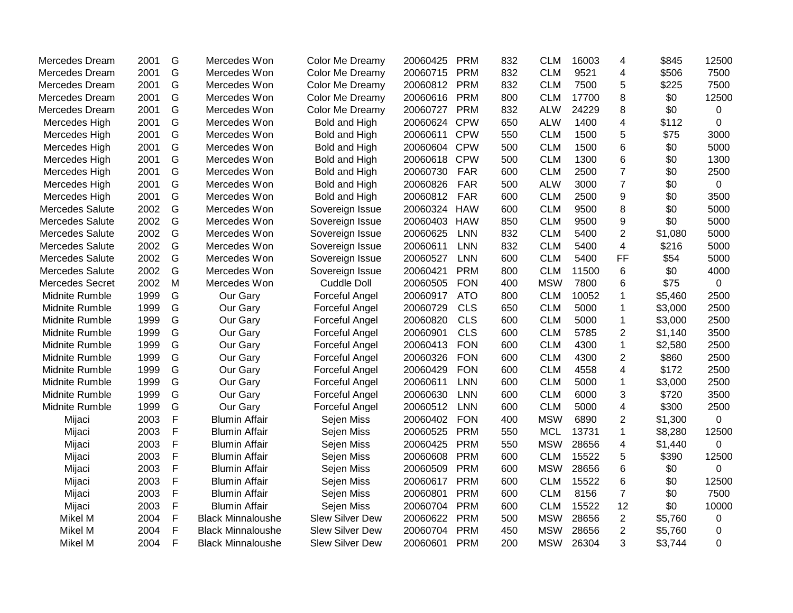| Mercedes Dream         | 2001 | G           | Mercedes Won             | Color Me Dreamy        | 20060425 | <b>PRM</b> | 832 | <b>CLM</b> | 16003 | 4                       | \$845   | 12500       |
|------------------------|------|-------------|--------------------------|------------------------|----------|------------|-----|------------|-------|-------------------------|---------|-------------|
| Mercedes Dream         | 2001 | G           | Mercedes Won             | Color Me Dreamy        | 20060715 | <b>PRM</b> | 832 | <b>CLM</b> | 9521  | 4                       | \$506   | 7500        |
| Mercedes Dream         | 2001 | G           | Mercedes Won             | Color Me Dreamy        | 20060812 | <b>PRM</b> | 832 | <b>CLM</b> | 7500  | 5                       | \$225   | 7500        |
| Mercedes Dream         | 2001 | G           | Mercedes Won             | Color Me Dreamy        | 20060616 | <b>PRM</b> | 800 | <b>CLM</b> | 17700 | 8                       | \$0     | 12500       |
| Mercedes Dream         | 2001 | G           | Mercedes Won             | Color Me Dreamy        | 20060727 | <b>PRM</b> | 832 | <b>ALW</b> | 24229 | 8                       | \$0     | 0           |
| Mercedes High          | 2001 | G           | Mercedes Won             | Bold and High          | 20060624 | <b>CPW</b> | 650 | <b>ALW</b> | 1400  | 4                       | \$112   | $\mathbf 0$ |
| Mercedes High          | 2001 | G           | Mercedes Won             | Bold and High          | 20060611 | <b>CPW</b> | 550 | <b>CLM</b> | 1500  | 5                       | \$75    | 3000        |
| Mercedes High          | 2001 | G           | Mercedes Won             | Bold and High          | 20060604 | <b>CPW</b> | 500 | <b>CLM</b> | 1500  | 6                       | \$0     | 5000        |
| Mercedes High          | 2001 | G           | Mercedes Won             | Bold and High          | 20060618 | <b>CPW</b> | 500 | <b>CLM</b> | 1300  | 6                       | \$0     | 1300        |
| Mercedes High          | 2001 | G           | Mercedes Won             | Bold and High          | 20060730 | <b>FAR</b> | 600 | <b>CLM</b> | 2500  | $\overline{7}$          | \$0     | 2500        |
| Mercedes High          | 2001 | G           | Mercedes Won             | Bold and High          | 20060826 | <b>FAR</b> | 500 | <b>ALW</b> | 3000  | $\overline{7}$          | \$0     | 0           |
| Mercedes High          | 2001 | G           | Mercedes Won             | Bold and High          | 20060812 | <b>FAR</b> | 600 | <b>CLM</b> | 2500  | 9                       | \$0     | 3500        |
| <b>Mercedes Salute</b> | 2002 | G           | Mercedes Won             | Sovereign Issue        | 20060324 | <b>HAW</b> | 600 | <b>CLM</b> | 9500  | 8                       | \$0     | 5000        |
| <b>Mercedes Salute</b> | 2002 | G           | Mercedes Won             | Sovereign Issue        | 20060403 | <b>HAW</b> | 850 | <b>CLM</b> | 9500  | 9                       | \$0     | 5000        |
| <b>Mercedes Salute</b> | 2002 | G           | Mercedes Won             | Sovereign Issue        | 20060625 | <b>LNN</b> | 832 | <b>CLM</b> | 5400  | $\overline{c}$          | \$1,080 | 5000        |
| <b>Mercedes Salute</b> | 2002 | G           | Mercedes Won             | Sovereign Issue        | 20060611 | <b>LNN</b> | 832 | <b>CLM</b> | 5400  | $\overline{\mathbf{4}}$ | \$216   | 5000        |
| <b>Mercedes Salute</b> | 2002 | G           | Mercedes Won             | Sovereign Issue        | 20060527 | <b>LNN</b> | 600 | <b>CLM</b> | 5400  | <b>FF</b>               | \$54    | 5000        |
| <b>Mercedes Salute</b> | 2002 | G           | Mercedes Won             | Sovereign Issue        | 20060421 | <b>PRM</b> | 800 | <b>CLM</b> | 11500 | 6                       | \$0     | 4000        |
| <b>Mercedes Secret</b> | 2002 | M           | Mercedes Won             | <b>Cuddle Doll</b>     | 20060505 | <b>FON</b> | 400 | <b>MSW</b> | 7800  | 6                       | \$75    | $\mathbf 0$ |
| Midnite Rumble         | 1999 | G           | Our Gary                 | Forceful Angel         | 20060917 | <b>ATO</b> | 800 | <b>CLM</b> | 10052 | 1                       | \$5,460 | 2500        |
| Midnite Rumble         | 1999 | G           | Our Gary                 | Forceful Angel         | 20060729 | <b>CLS</b> | 650 | <b>CLM</b> | 5000  | $\mathbf 1$             | \$3,000 | 2500        |
| Midnite Rumble         | 1999 | G           | Our Gary                 | Forceful Angel         | 20060820 | <b>CLS</b> | 600 | <b>CLM</b> | 5000  | $\mathbf 1$             | \$3,000 | 2500        |
| Midnite Rumble         | 1999 | G           | Our Gary                 | Forceful Angel         | 20060901 | <b>CLS</b> | 600 | <b>CLM</b> | 5785  | $\overline{2}$          | \$1,140 | 3500        |
| Midnite Rumble         | 1999 | G           | Our Gary                 | Forceful Angel         | 20060413 | <b>FON</b> | 600 | <b>CLM</b> | 4300  | $\mathbf{1}$            | \$2,580 | 2500        |
| Midnite Rumble         | 1999 | G           | Our Gary                 | Forceful Angel         | 20060326 | <b>FON</b> | 600 | <b>CLM</b> | 4300  | $\overline{2}$          | \$860   | 2500        |
| Midnite Rumble         | 1999 | G           | Our Gary                 | Forceful Angel         | 20060429 | <b>FON</b> | 600 | <b>CLM</b> | 4558  | 4                       | \$172   | 2500        |
| Midnite Rumble         | 1999 | G           | Our Gary                 | Forceful Angel         | 20060611 | <b>LNN</b> | 600 | <b>CLM</b> | 5000  | 1                       | \$3,000 | 2500        |
| Midnite Rumble         | 1999 | G           | Our Gary                 | Forceful Angel         | 20060630 | <b>LNN</b> | 600 | <b>CLM</b> | 6000  | 3                       | \$720   | 3500        |
| Midnite Rumble         | 1999 | G           | Our Gary                 | Forceful Angel         | 20060512 | <b>LNN</b> | 600 | <b>CLM</b> | 5000  | 4                       | \$300   | 2500        |
| Mijaci                 | 2003 | F           | <b>Blumin Affair</b>     | Sejen Miss             | 20060402 | <b>FON</b> | 400 | <b>MSW</b> | 6890  | $\overline{2}$          | \$1,300 | $\mathbf 0$ |
| Mijaci                 | 2003 | F           | <b>Blumin Affair</b>     | Sejen Miss             | 20060525 | <b>PRM</b> | 550 | <b>MCL</b> | 13731 | 1                       | \$8,280 | 12500       |
| Mijaci                 | 2003 | $\mathsf F$ | <b>Blumin Affair</b>     | Sejen Miss             | 20060425 | <b>PRM</b> | 550 | <b>MSW</b> | 28656 | $\overline{\mathbf{4}}$ | \$1,440 | $\mathbf 0$ |
| Mijaci                 | 2003 | F           | <b>Blumin Affair</b>     | Sejen Miss             | 20060608 | <b>PRM</b> | 600 | <b>CLM</b> | 15522 | 5                       | \$390   | 12500       |
| Mijaci                 | 2003 | F           | <b>Blumin Affair</b>     | Sejen Miss             | 20060509 | <b>PRM</b> | 600 | <b>MSW</b> | 28656 | 6                       | \$0     | $\Omega$    |
| Mijaci                 | 2003 | F           | <b>Blumin Affair</b>     | Sejen Miss             | 20060617 | <b>PRM</b> | 600 | <b>CLM</b> | 15522 | 6                       | \$0     | 12500       |
| Mijaci                 | 2003 | F           | <b>Blumin Affair</b>     | Sejen Miss             | 20060801 | <b>PRM</b> | 600 | <b>CLM</b> | 8156  | $\overline{7}$          | \$0     | 7500        |
| Mijaci                 | 2003 | F           | <b>Blumin Affair</b>     | Sejen Miss             | 20060704 | <b>PRM</b> | 600 | <b>CLM</b> | 15522 | 12                      | \$0     | 10000       |
| Mikel M                | 2004 | F           | <b>Black Minnaloushe</b> | Slew Silver Dew        | 20060622 | <b>PRM</b> | 500 | <b>MSW</b> | 28656 | $\overline{2}$          | \$5,760 | 0           |
| Mikel M                | 2004 | F           | <b>Black Minnaloushe</b> | Slew Silver Dew        | 20060704 | <b>PRM</b> | 450 | <b>MSW</b> | 28656 | $\overline{2}$          | \$5,760 | 0           |
| Mikel M                | 2004 | F           | <b>Black Minnaloushe</b> | <b>Slew Silver Dew</b> | 20060601 | <b>PRM</b> | 200 | <b>MSW</b> | 26304 | 3                       | \$3,744 | 0           |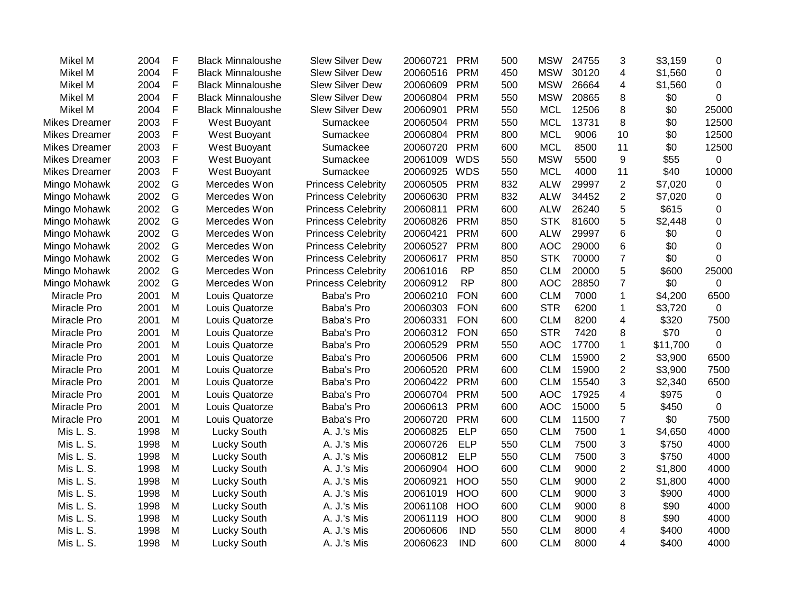| Mikel M              | 2004 | F             | <b>Black Minnaloushe</b> | <b>Slew Silver Dew</b>    | 20060721 | <b>PRM</b> | 500 | <b>MSW</b> | 24755 | 3                         | \$3,159  | 0           |
|----------------------|------|---------------|--------------------------|---------------------------|----------|------------|-----|------------|-------|---------------------------|----------|-------------|
| Mikel M              | 2004 | F             | <b>Black Minnaloushe</b> | <b>Slew Silver Dew</b>    | 20060516 | <b>PRM</b> | 450 | <b>MSW</b> | 30120 | $\overline{4}$            | \$1,560  | $\Omega$    |
| Mikel M              | 2004 | F             | <b>Black Minnaloushe</b> | <b>Slew Silver Dew</b>    | 20060609 | <b>PRM</b> | 500 | <b>MSW</b> | 26664 | 4                         | \$1,560  | $\Omega$    |
| Mikel M              | 2004 | F             | <b>Black Minnaloushe</b> | <b>Slew Silver Dew</b>    | 20060804 | <b>PRM</b> | 550 | <b>MSW</b> | 20865 | 8                         | \$0      | 0           |
| Mikel M              | 2004 | F             | <b>Black Minnaloushe</b> | Slew Silver Dew           | 20060901 | <b>PRM</b> | 550 | <b>MCL</b> | 12506 | 8                         | \$0      | 25000       |
| <b>Mikes Dreamer</b> | 2003 | F             | West Buoyant             | Sumackee                  | 20060504 | <b>PRM</b> | 550 | <b>MCL</b> | 13731 | 8                         | \$0      | 12500       |
| <b>Mikes Dreamer</b> | 2003 | F             | West Buoyant             | Sumackee                  | 20060804 | <b>PRM</b> | 800 | <b>MCL</b> | 9006  | 10                        | \$0      | 12500       |
| <b>Mikes Dreamer</b> | 2003 | F             | West Buoyant             | Sumackee                  | 20060720 | <b>PRM</b> | 600 | <b>MCL</b> | 8500  | 11                        | \$0      | 12500       |
| <b>Mikes Dreamer</b> | 2003 | F             | West Buoyant             | Sumackee                  | 20061009 | <b>WDS</b> | 550 | <b>MSW</b> | 5500  | 9                         | \$55     | 0           |
| <b>Mikes Dreamer</b> | 2003 | F             | West Buoyant             | Sumackee                  | 20060925 | <b>WDS</b> | 550 | <b>MCL</b> | 4000  | 11                        | \$40     | 10000       |
| Mingo Mohawk         | 2002 | G             | Mercedes Won             | <b>Princess Celebrity</b> | 20060505 | <b>PRM</b> | 832 | <b>ALW</b> | 29997 | $\overline{2}$            | \$7,020  | 0           |
| Mingo Mohawk         | 2002 | G             | Mercedes Won             | <b>Princess Celebrity</b> | 20060630 | <b>PRM</b> | 832 | <b>ALW</b> | 34452 | $\overline{2}$            | \$7,020  | 0           |
| Mingo Mohawk         | 2002 | G             | Mercedes Won             | <b>Princess Celebrity</b> | 20060811 | <b>PRM</b> | 600 | <b>ALW</b> | 26240 | 5                         | \$615    | $\Omega$    |
| Mingo Mohawk         | 2002 | G             | Mercedes Won             | <b>Princess Celebrity</b> | 20060826 | <b>PRM</b> | 850 | <b>STK</b> | 81600 | 5                         | \$2,448  | $\Omega$    |
| Mingo Mohawk         | 2002 | ${\mathsf G}$ | Mercedes Won             | <b>Princess Celebrity</b> | 20060421 | <b>PRM</b> | 600 | <b>ALW</b> | 29997 | 6                         | \$0      | 0           |
| Mingo Mohawk         | 2002 | G             | Mercedes Won             | <b>Princess Celebrity</b> | 20060527 | <b>PRM</b> | 800 | <b>AOC</b> | 29000 | 6                         | \$0      | 0           |
| Mingo Mohawk         | 2002 | G             | Mercedes Won             | <b>Princess Celebrity</b> | 20060617 | <b>PRM</b> | 850 | <b>STK</b> | 70000 | $\overline{7}$            | \$0      | $\Omega$    |
| Mingo Mohawk         | 2002 | G             | Mercedes Won             | <b>Princess Celebrity</b> | 20061016 | <b>RP</b>  | 850 | <b>CLM</b> | 20000 | 5                         | \$600    | 25000       |
| Mingo Mohawk         | 2002 | G             | Mercedes Won             | <b>Princess Celebrity</b> | 20060912 | <b>RP</b>  | 800 | <b>AOC</b> | 28850 | $\overline{7}$            | \$0      | $\mathsf 0$ |
| Miracle Pro          | 2001 | M             | Louis Quatorze           | Baba's Pro                | 20060210 | <b>FON</b> | 600 | <b>CLM</b> | 7000  | 1                         | \$4,200  | 6500        |
| Miracle Pro          | 2001 | M             | Louis Quatorze           | Baba's Pro                | 20060303 | <b>FON</b> | 600 | <b>STR</b> | 6200  | $\mathbf{1}$              | \$3,720  | $\mathbf 0$ |
| Miracle Pro          | 2001 | M             | Louis Quatorze           | Baba's Pro                | 20060331 | <b>FON</b> | 600 | <b>CLM</b> | 8200  | 4                         | \$320    | 7500        |
| Miracle Pro          | 2001 | M             | Louis Quatorze           | Baba's Pro                | 20060312 | <b>FON</b> | 650 | <b>STR</b> | 7420  | 8                         | \$70     | $\mathbf 0$ |
| Miracle Pro          | 2001 | M             | Louis Quatorze           | Baba's Pro                | 20060529 | <b>PRM</b> | 550 | <b>AOC</b> | 17700 | $\mathbf{1}$              | \$11,700 | $\mathbf 0$ |
| Miracle Pro          | 2001 | M             | Louis Quatorze           | Baba's Pro                | 20060506 | <b>PRM</b> | 600 | <b>CLM</b> | 15900 | $\overline{2}$            | \$3,900  | 6500        |
| Miracle Pro          | 2001 | M             | Louis Quatorze           | Baba's Pro                | 20060520 | <b>PRM</b> | 600 | <b>CLM</b> | 15900 | $\overline{2}$            | \$3,900  | 7500        |
| Miracle Pro          | 2001 | M             | Louis Quatorze           | Baba's Pro                | 20060422 | <b>PRM</b> | 600 | <b>CLM</b> | 15540 | 3                         | \$2,340  | 6500        |
| Miracle Pro          | 2001 | M             | Louis Quatorze           | Baba's Pro                | 20060704 | <b>PRM</b> | 500 | <b>AOC</b> | 17925 | 4                         | \$975    | 0           |
| Miracle Pro          | 2001 | M             | Louis Quatorze           | Baba's Pro                | 20060613 | <b>PRM</b> | 600 | <b>AOC</b> | 15000 | 5                         | \$450    | 0           |
| Miracle Pro          | 2001 | M             | Louis Quatorze           | Baba's Pro                | 20060720 | <b>PRM</b> | 600 | <b>CLM</b> | 11500 | $\overline{7}$            | \$0      | 7500        |
| Mis L. S.            | 1998 | M             | <b>Lucky South</b>       | A. J.'s Mis               | 20060825 | <b>ELP</b> | 650 | <b>CLM</b> | 7500  | $\mathbf{1}$              | \$4,650  | 4000        |
| Mis L. S.            | 1998 | M             | Lucky South              | A. J.'s Mis               | 20060726 | <b>ELP</b> | 550 | <b>CLM</b> | 7500  | $\ensuremath{\mathsf{3}}$ | \$750    | 4000        |
| Mis L. S.            | 1998 | M             | Lucky South              | A. J.'s Mis               | 20060812 | <b>ELP</b> | 550 | <b>CLM</b> | 7500  | 3                         | \$750    | 4000        |
| Mis L. S.            | 1998 | M             | Lucky South              | A. J.'s Mis               | 20060904 | HOO        | 600 | <b>CLM</b> | 9000  | 2                         | \$1,800  | 4000        |
| Mis L. S.            | 1998 | M             | Lucky South              | A. J.'s Mis               | 20060921 | <b>HOO</b> | 550 | <b>CLM</b> | 9000  | $\overline{2}$            | \$1,800  | 4000        |
| Mis L. S.            | 1998 | M             | Lucky South              | A. J.'s Mis               | 20061019 | <b>HOO</b> | 600 | <b>CLM</b> | 9000  | 3                         | \$900    | 4000        |
| Mis L. S.            | 1998 | M             | Lucky South              | A. J.'s Mis               | 20061108 | <b>HOO</b> | 600 | <b>CLM</b> | 9000  | 8                         | \$90     | 4000        |
| Mis L. S.            | 1998 | M             | Lucky South              | A. J.'s Mis               | 20061119 | <b>HOO</b> | 800 | <b>CLM</b> | 9000  | 8                         | \$90     | 4000        |
| Mis L. S.            | 1998 | M             | Lucky South              | A. J.'s Mis               | 20060606 | <b>IND</b> | 550 | <b>CLM</b> | 8000  | 4                         | \$400    | 4000        |
| Mis L. S.            | 1998 | M             | <b>Lucky South</b>       | A. J.'s Mis               | 20060623 | <b>IND</b> | 600 | <b>CLM</b> | 8000  | 4                         | \$400    | 4000        |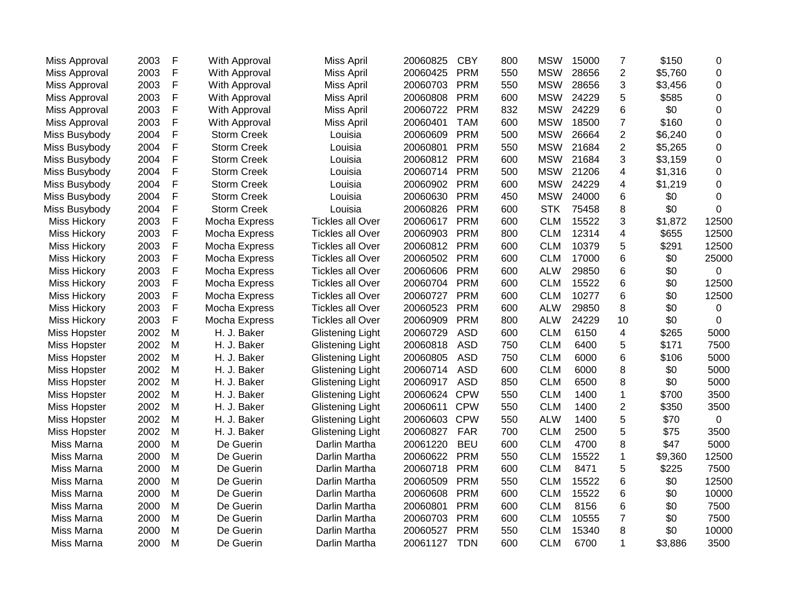| Miss Approval        | 2003 | F | With Approval      | <b>Miss April</b>       | 20060825 | <b>CBY</b> | 800 | <b>MSW</b> | 15000 | $\overline{7}$          | \$150   | 0              |
|----------------------|------|---|--------------------|-------------------------|----------|------------|-----|------------|-------|-------------------------|---------|----------------|
| Miss Approval        | 2003 | F | With Approval      | Miss April              | 20060425 | <b>PRM</b> | 550 | <b>MSW</b> | 28656 | $\overline{c}$          | \$5,760 | 0              |
| <b>Miss Approval</b> | 2003 | F | With Approval      | Miss April              | 20060703 | <b>PRM</b> | 550 | <b>MSW</b> | 28656 | 3                       | \$3,456 | $\Omega$       |
| <b>Miss Approval</b> | 2003 | F | With Approval      | Miss April              | 20060808 | <b>PRM</b> | 600 | <b>MSW</b> | 24229 | 5                       | \$585   | 0              |
| Miss Approval        | 2003 | F | With Approval      | Miss April              | 20060722 | <b>PRM</b> | 832 | <b>MSW</b> | 24229 | 6                       | \$0     | 0              |
| Miss Approval        | 2003 | F | With Approval      | <b>Miss April</b>       | 20060401 | <b>TAM</b> | 600 | <b>MSW</b> | 18500 | 7                       | \$160   | $\mathbf 0$    |
| Miss Busybody        | 2004 | F | <b>Storm Creek</b> | Louisia                 | 20060609 | <b>PRM</b> | 500 | <b>MSW</b> | 26664 | $\overline{2}$          | \$6,240 | 0              |
| Miss Busybody        | 2004 | F | <b>Storm Creek</b> | Louisia                 | 20060801 | <b>PRM</b> | 550 | <b>MSW</b> | 21684 | $\overline{2}$          | \$5,265 | $\mathbf 0$    |
| Miss Busybody        | 2004 | F | <b>Storm Creek</b> | Louisia                 | 20060812 | <b>PRM</b> | 600 | <b>MSW</b> | 21684 | 3                       | \$3,159 | $\mathbf 0$    |
| Miss Busybody        | 2004 | F | <b>Storm Creek</b> | Louisia                 | 20060714 | <b>PRM</b> | 500 | <b>MSW</b> | 21206 | 4                       | \$1,316 | $\mathbf 0$    |
| Miss Busybody        | 2004 | F | <b>Storm Creek</b> | Louisia                 | 20060902 | <b>PRM</b> | 600 | <b>MSW</b> | 24229 | 4                       | \$1,219 | 0              |
| Miss Busybody        | 2004 | F | <b>Storm Creek</b> | Louisia                 | 20060630 | <b>PRM</b> | 450 | <b>MSW</b> | 24000 | 6                       | \$0     | 0              |
| Miss Busybody        | 2004 | F | <b>Storm Creek</b> | Louisia                 | 20060826 | <b>PRM</b> | 600 | <b>STK</b> | 75458 | 8                       | \$0     | $\mathbf 0$    |
| <b>Miss Hickory</b>  | 2003 | F | Mocha Express      | <b>Tickles all Over</b> | 20060617 | <b>PRM</b> | 600 | <b>CLM</b> | 15522 | 3                       | \$1,872 | 12500          |
| <b>Miss Hickory</b>  | 2003 | F | Mocha Express      | <b>Tickles all Over</b> | 20060903 | <b>PRM</b> | 800 | <b>CLM</b> | 12314 | $\overline{\mathbf{4}}$ | \$655   | 12500          |
| <b>Miss Hickory</b>  | 2003 | F | Mocha Express      | <b>Tickles all Over</b> | 20060812 | <b>PRM</b> | 600 | <b>CLM</b> | 10379 | 5                       | \$291   | 12500          |
| <b>Miss Hickory</b>  | 2003 | F | Mocha Express      | <b>Tickles all Over</b> | 20060502 | <b>PRM</b> | 600 | <b>CLM</b> | 17000 | 6                       | \$0     | 25000          |
| <b>Miss Hickory</b>  | 2003 | F | Mocha Express      | <b>Tickles all Over</b> | 20060606 | <b>PRM</b> | 600 | <b>ALW</b> | 29850 | 6                       | \$0     | $\Omega$       |
| <b>Miss Hickory</b>  | 2003 | F | Mocha Express      | <b>Tickles all Over</b> | 20060704 | <b>PRM</b> | 600 | <b>CLM</b> | 15522 | 6                       | \$0     | 12500          |
| <b>Miss Hickory</b>  | 2003 | F | Mocha Express      | <b>Tickles all Over</b> | 20060727 | <b>PRM</b> | 600 | <b>CLM</b> | 10277 | 6                       | \$0     | 12500          |
| <b>Miss Hickory</b>  | 2003 | F | Mocha Express      | <b>Tickles all Over</b> | 20060523 | <b>PRM</b> | 600 | <b>ALW</b> | 29850 | 8                       | \$0     | 0              |
| <b>Miss Hickory</b>  | 2003 | F | Mocha Express      | <b>Tickles all Over</b> | 20060909 | <b>PRM</b> | 800 | <b>ALW</b> | 24229 | 10                      | \$0     | $\mathbf 0$    |
| Miss Hopster         | 2002 | M | H. J. Baker        | <b>Glistening Light</b> | 20060729 | <b>ASD</b> | 600 | <b>CLM</b> | 6150  | $\overline{\mathbf{4}}$ | \$265   | 5000           |
| Miss Hopster         | 2002 | M | H. J. Baker        | <b>Glistening Light</b> | 20060818 | <b>ASD</b> | 750 | <b>CLM</b> | 6400  | 5                       | \$171   | 7500           |
| Miss Hopster         | 2002 | M | H. J. Baker        | <b>Glistening Light</b> | 20060805 | <b>ASD</b> | 750 | <b>CLM</b> | 6000  | 6                       | \$106   | 5000           |
| <b>Miss Hopster</b>  | 2002 | M | H. J. Baker        | <b>Glistening Light</b> | 20060714 | <b>ASD</b> | 600 | <b>CLM</b> | 6000  | 8                       | \$0     | 5000           |
| <b>Miss Hopster</b>  | 2002 | M | H. J. Baker        | <b>Glistening Light</b> | 20060917 | <b>ASD</b> | 850 | <b>CLM</b> | 6500  | 8                       | \$0     | 5000           |
| <b>Miss Hopster</b>  | 2002 | M | H. J. Baker        | <b>Glistening Light</b> | 20060624 | <b>CPW</b> | 550 | <b>CLM</b> | 1400  | 1                       | \$700   | 3500           |
| <b>Miss Hopster</b>  | 2002 | M | H. J. Baker        | <b>Glistening Light</b> | 20060611 | <b>CPW</b> | 550 | <b>CLM</b> | 1400  | $\overline{2}$          | \$350   | 3500           |
| <b>Miss Hopster</b>  | 2002 | M | H. J. Baker        | <b>Glistening Light</b> | 20060603 | <b>CPW</b> | 550 | <b>ALW</b> | 1400  | 5                       | \$70    | $\overline{0}$ |
| Miss Hopster         | 2002 | M | H. J. Baker        | <b>Glistening Light</b> | 20060827 | <b>FAR</b> | 700 | <b>CLM</b> | 2500  | 5                       | \$75    | 3500           |
| Miss Marna           | 2000 | M | De Guerin          | Darlin Martha           | 20061220 | <b>BEU</b> | 600 | <b>CLM</b> | 4700  | 8                       | \$47    | 5000           |
| Miss Marna           | 2000 | M | De Guerin          | Darlin Martha           | 20060622 | <b>PRM</b> | 550 | <b>CLM</b> | 15522 | 1                       | \$9,360 | 12500          |
| Miss Marna           | 2000 | M | De Guerin          | Darlin Martha           | 20060718 | <b>PRM</b> | 600 | <b>CLM</b> | 8471  | 5                       | \$225   | 7500           |
| Miss Marna           | 2000 | M | De Guerin          | Darlin Martha           | 20060509 | <b>PRM</b> | 550 | <b>CLM</b> | 15522 | 6                       | \$0     | 12500          |
| Miss Marna           | 2000 | M | De Guerin          | Darlin Martha           | 20060608 | <b>PRM</b> | 600 | <b>CLM</b> | 15522 | 6                       | \$0     | 10000          |
| Miss Marna           | 2000 | M | De Guerin          | Darlin Martha           | 20060801 | <b>PRM</b> | 600 | <b>CLM</b> | 8156  | 6                       | \$0     | 7500           |
| Miss Marna           | 2000 | M | De Guerin          | Darlin Martha           | 20060703 | <b>PRM</b> | 600 | <b>CLM</b> | 10555 | $\overline{7}$          | \$0     | 7500           |
| Miss Marna           | 2000 | M | De Guerin          | Darlin Martha           | 20060527 | <b>PRM</b> | 550 | <b>CLM</b> | 15340 | 8                       | \$0     | 10000          |
| Miss Marna           | 2000 | M | De Guerin          | Darlin Martha           | 20061127 | <b>TDN</b> | 600 | <b>CLM</b> | 6700  | 1                       | \$3,886 | 3500           |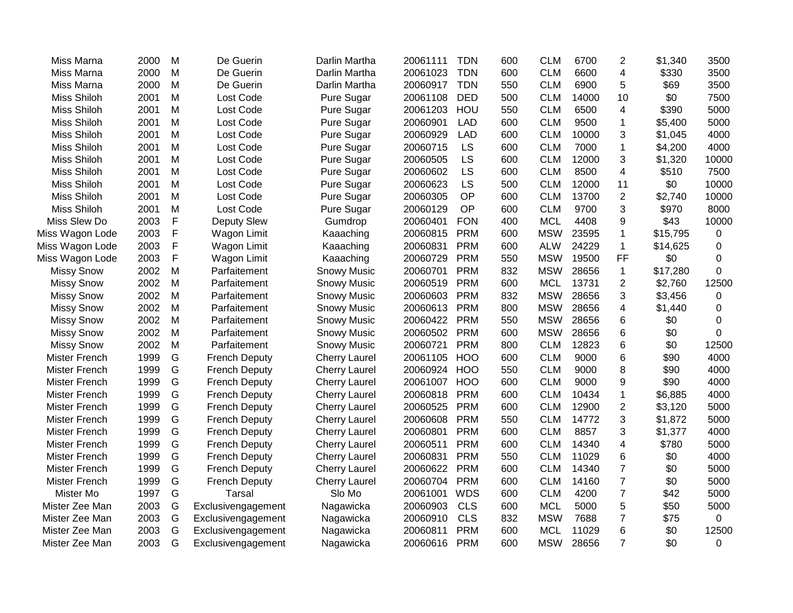| Miss Marna           | 2000 | M | De Guerin            | Darlin Martha        | 20061111 | <b>TDN</b> | 600 | <b>CLM</b> | 6700  | $\overline{2}$ | \$1,340  | 3500     |
|----------------------|------|---|----------------------|----------------------|----------|------------|-----|------------|-------|----------------|----------|----------|
| Miss Marna           | 2000 | M | De Guerin            | Darlin Martha        | 20061023 | <b>TDN</b> | 600 | <b>CLM</b> | 6600  | 4              | \$330    | 3500     |
| Miss Marna           | 2000 | M | De Guerin            | Darlin Martha        | 20060917 | <b>TDN</b> | 550 | <b>CLM</b> | 6900  | 5              | \$69     | 3500     |
| <b>Miss Shiloh</b>   | 2001 | M | Lost Code            | Pure Sugar           | 20061108 | <b>DED</b> | 500 | <b>CLM</b> | 14000 | 10             | \$0      | 7500     |
| <b>Miss Shiloh</b>   | 2001 | M | Lost Code            | Pure Sugar           | 20061203 | HOU        | 550 | <b>CLM</b> | 6500  | 4              | \$390    | 5000     |
| <b>Miss Shiloh</b>   | 2001 | M | Lost Code            | Pure Sugar           | 20060901 | <b>LAD</b> | 600 | <b>CLM</b> | 9500  | 1              | \$5,400  | 5000     |
| <b>Miss Shiloh</b>   | 2001 | M | Lost Code            | Pure Sugar           | 20060929 | <b>LAD</b> | 600 | <b>CLM</b> | 10000 | 3              | \$1,045  | 4000     |
| <b>Miss Shiloh</b>   | 2001 | M | Lost Code            | Pure Sugar           | 20060715 | LS         | 600 | <b>CLM</b> | 7000  | 1              | \$4,200  | 4000     |
| Miss Shiloh          | 2001 | M | Lost Code            | Pure Sugar           | 20060505 | LS         | 600 | <b>CLM</b> | 12000 | 3              | \$1,320  | 10000    |
| <b>Miss Shiloh</b>   | 2001 | M | Lost Code            | Pure Sugar           | 20060602 | LS         | 600 | <b>CLM</b> | 8500  | 4              | \$510    | 7500     |
| <b>Miss Shiloh</b>   | 2001 | M | Lost Code            | Pure Sugar           | 20060623 | LS         | 500 | <b>CLM</b> | 12000 | 11             | \$0      | 10000    |
| <b>Miss Shiloh</b>   | 2001 | M | Lost Code            | Pure Sugar           | 20060305 | OP         | 600 | <b>CLM</b> | 13700 | $\overline{2}$ | \$2,740  | 10000    |
| <b>Miss Shiloh</b>   | 2001 | M | Lost Code            | Pure Sugar           | 20060129 | OP         | 600 | <b>CLM</b> | 9700  | 3              | \$970    | 8000     |
| Miss Slew Do         | 2003 | F | <b>Deputy Slew</b>   | Gumdrop              | 20060401 | <b>FON</b> | 400 | <b>MCL</b> | 4408  | 9              | \$43     | 10000    |
| Miss Wagon Lode      | 2003 | F | Wagon Limit          | Kaaaching            | 20060815 | <b>PRM</b> | 600 | <b>MSW</b> | 23595 | $\mathbf 1$    | \$15,795 | 0        |
| Miss Wagon Lode      | 2003 | F | Wagon Limit          | Kaaaching            | 20060831 | <b>PRM</b> | 600 | <b>ALW</b> | 24229 | $\mathbf{1}$   | \$14,625 | 0        |
| Miss Wagon Lode      | 2003 | F | Wagon Limit          | Kaaaching            | 20060729 | <b>PRM</b> | 550 | <b>MSW</b> | 19500 | FF             | \$0      | 0        |
| <b>Missy Snow</b>    | 2002 | M | Parfaitement         | <b>Snowy Music</b>   | 20060701 | <b>PRM</b> | 832 | <b>MSW</b> | 28656 | $\mathbf{1}$   | \$17,280 | 0        |
| <b>Missy Snow</b>    | 2002 | M | Parfaitement         | <b>Snowy Music</b>   | 20060519 | <b>PRM</b> | 600 | <b>MCL</b> | 13731 | $\overline{2}$ | \$2,760  | 12500    |
| <b>Missy Snow</b>    | 2002 | M | Parfaitement         | <b>Snowy Music</b>   | 20060603 | <b>PRM</b> | 832 | <b>MSW</b> | 28656 | 3              | \$3,456  | 0        |
| <b>Missy Snow</b>    | 2002 | M | Parfaitement         | <b>Snowy Music</b>   | 20060613 | <b>PRM</b> | 800 | <b>MSW</b> | 28656 | 4              | \$1,440  | $\Omega$ |
| <b>Missy Snow</b>    | 2002 | M | Parfaitement         | <b>Snowy Music</b>   | 20060422 | <b>PRM</b> | 550 | <b>MSW</b> | 28656 | 6              | \$0      | 0        |
| <b>Missy Snow</b>    | 2002 | M | Parfaitement         | <b>Snowy Music</b>   | 20060502 | <b>PRM</b> | 600 | <b>MSW</b> | 28656 | 6              | \$0      | 0        |
| <b>Missy Snow</b>    | 2002 | M | Parfaitement         | <b>Snowy Music</b>   | 20060721 | <b>PRM</b> | 800 | <b>CLM</b> | 12823 | 6              | \$0      | 12500    |
| Mister French        | 1999 | G | <b>French Deputy</b> | <b>Cherry Laurel</b> | 20061105 | <b>HOO</b> | 600 | <b>CLM</b> | 9000  | 6              | \$90     | 4000     |
| Mister French        | 1999 | G | <b>French Deputy</b> | <b>Cherry Laurel</b> | 20060924 | <b>HOO</b> | 550 | <b>CLM</b> | 9000  | 8              | \$90     | 4000     |
| Mister French        | 1999 | G | <b>French Deputy</b> | <b>Cherry Laurel</b> | 20061007 | <b>HOO</b> | 600 | <b>CLM</b> | 9000  | 9              | \$90     | 4000     |
| Mister French        | 1999 | G | <b>French Deputy</b> | <b>Cherry Laurel</b> | 20060818 | <b>PRM</b> | 600 | <b>CLM</b> | 10434 | 1              | \$6,885  | 4000     |
| Mister French        | 1999 | G | <b>French Deputy</b> | <b>Cherry Laurel</b> | 20060525 | <b>PRM</b> | 600 | <b>CLM</b> | 12900 | $\overline{2}$ | \$3,120  | 5000     |
| <b>Mister French</b> | 1999 | G | <b>French Deputy</b> | <b>Cherry Laurel</b> | 20060608 | <b>PRM</b> | 550 | <b>CLM</b> | 14772 | 3              | \$1,872  | 5000     |
| <b>Mister French</b> | 1999 | G | <b>French Deputy</b> | <b>Cherry Laurel</b> | 20060801 | <b>PRM</b> | 600 | <b>CLM</b> | 8857  | 3              | \$1,377  | 4000     |
| <b>Mister French</b> | 1999 | G | <b>French Deputy</b> | <b>Cherry Laurel</b> | 20060511 | <b>PRM</b> | 600 | <b>CLM</b> | 14340 | 4              | \$780    | 5000     |
| <b>Mister French</b> | 1999 | G | <b>French Deputy</b> | <b>Cherry Laurel</b> | 20060831 | <b>PRM</b> | 550 | <b>CLM</b> | 11029 | 6              | \$0      | 4000     |
| Mister French        | 1999 | G | <b>French Deputy</b> | <b>Cherry Laurel</b> | 20060622 | <b>PRM</b> | 600 | <b>CLM</b> | 14340 | $\overline{7}$ | \$0      | 5000     |
| Mister French        | 1999 | G | <b>French Deputy</b> | <b>Cherry Laurel</b> | 20060704 | <b>PRM</b> | 600 | <b>CLM</b> | 14160 | $\overline{7}$ | \$0      | 5000     |
| Mister Mo            | 1997 | G | Tarsal               | Slo Mo               | 20061001 | <b>WDS</b> | 600 | <b>CLM</b> | 4200  | $\overline{7}$ | \$42     | 5000     |
| Mister Zee Man       | 2003 | G | Exclusivengagement   | Nagawicka            | 20060903 | <b>CLS</b> | 600 | <b>MCL</b> | 5000  | 5              | \$50     | 5000     |
| Mister Zee Man       | 2003 | G | Exclusivengagement   | Nagawicka            | 20060910 | <b>CLS</b> | 832 | <b>MSW</b> | 7688  | $\overline{7}$ | \$75     | 0        |
| Mister Zee Man       | 2003 | G | Exclusivengagement   | Nagawicka            | 20060811 | <b>PRM</b> | 600 | <b>MCL</b> | 11029 | 6              | \$0      | 12500    |
| Mister Zee Man       | 2003 | G | Exclusivengagement   | Nagawicka            | 20060616 | <b>PRM</b> | 600 | <b>MSW</b> | 28656 | $\overline{7}$ | \$0      | 0        |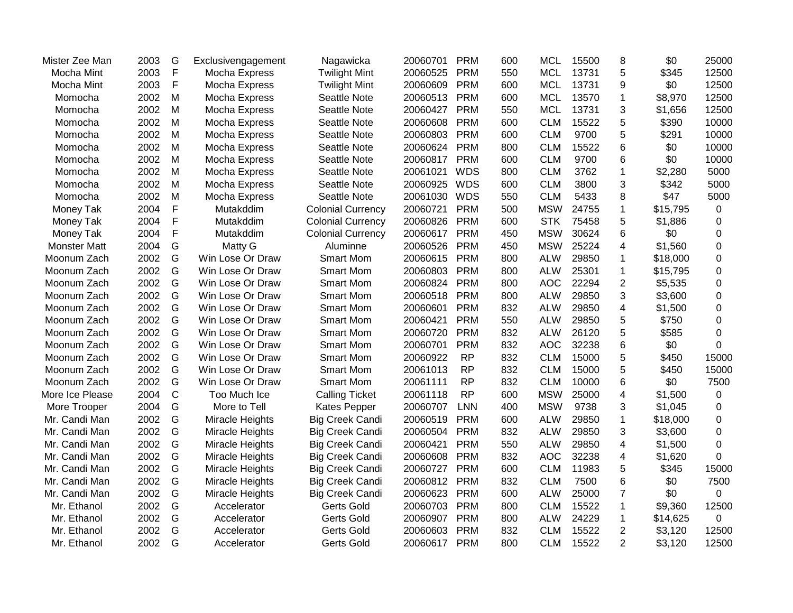| Mister Zee Man      | 2003 | G            | Exclusivengagement | Nagawicka                | 20060701 | <b>PRM</b> | 600 | <b>MCL</b> | 15500 | 8                       | \$0      | 25000    |
|---------------------|------|--------------|--------------------|--------------------------|----------|------------|-----|------------|-------|-------------------------|----------|----------|
| Mocha Mint          | 2003 | $\mathsf{F}$ | Mocha Express      | <b>Twilight Mint</b>     | 20060525 | <b>PRM</b> | 550 | <b>MCL</b> | 13731 | 5                       | \$345    | 12500    |
| Mocha Mint          | 2003 | F            | Mocha Express      | <b>Twilight Mint</b>     | 20060609 | <b>PRM</b> | 600 | <b>MCL</b> | 13731 | 9                       | \$0      | 12500    |
| Momocha             | 2002 | M            | Mocha Express      | Seattle Note             | 20060513 | <b>PRM</b> | 600 | <b>MCL</b> | 13570 | $\mathbf 1$             | \$8,970  | 12500    |
| Momocha             | 2002 | M            | Mocha Express      | Seattle Note             | 20060427 | <b>PRM</b> | 550 | <b>MCL</b> | 13731 | 3                       | \$1,656  | 12500    |
| Momocha             | 2002 | M            | Mocha Express      | Seattle Note             | 20060608 | <b>PRM</b> | 600 | <b>CLM</b> | 15522 | 5                       | \$390    | 10000    |
| Momocha             | 2002 | M            | Mocha Express      | Seattle Note             | 20060803 | <b>PRM</b> | 600 | <b>CLM</b> | 9700  | 5                       | \$291    | 10000    |
| Momocha             | 2002 | M            | Mocha Express      | Seattle Note             | 20060624 | <b>PRM</b> | 800 | <b>CLM</b> | 15522 | 6                       | \$0      | 10000    |
| Momocha             | 2002 | M            | Mocha Express      | Seattle Note             | 20060817 | <b>PRM</b> | 600 | <b>CLM</b> | 9700  | 6                       | \$0      | 10000    |
| Momocha             | 2002 | M            | Mocha Express      | Seattle Note             | 20061021 | <b>WDS</b> | 800 | <b>CLM</b> | 3762  | $\mathbf 1$             | \$2,280  | 5000     |
| Momocha             | 2002 | M            | Mocha Express      | Seattle Note             | 20060925 | <b>WDS</b> | 600 | <b>CLM</b> | 3800  | 3                       | \$342    | 5000     |
| Momocha             | 2002 | M            | Mocha Express      | Seattle Note             | 20061030 | <b>WDS</b> | 550 | <b>CLM</b> | 5433  | 8                       | \$47     | 5000     |
| Money Tak           | 2004 | $\mathsf F$  | Mutakddim          | <b>Colonial Currency</b> | 20060721 | <b>PRM</b> | 500 | <b>MSW</b> | 24755 | 1                       | \$15,795 | 0        |
| Money Tak           | 2004 | $\mathsf F$  | Mutakddim          | <b>Colonial Currency</b> | 20060826 | <b>PRM</b> | 600 | <b>STK</b> | 75458 | 5                       | \$1,886  | 0        |
| Money Tak           | 2004 | $\mathsf F$  | Mutakddim          | <b>Colonial Currency</b> | 20060617 | <b>PRM</b> | 450 | <b>MSW</b> | 30624 | 6                       | \$0      | 0        |
| <b>Monster Matt</b> | 2004 | G            | Matty G            | Aluminne                 | 20060526 | <b>PRM</b> | 450 | <b>MSW</b> | 25224 | $\overline{\mathbf{4}}$ | \$1,560  | 0        |
| Moonum Zach         | 2002 | G            | Win Lose Or Draw   | <b>Smart Mom</b>         | 20060615 | <b>PRM</b> | 800 | <b>ALW</b> | 29850 | $\mathbf{1}$            | \$18,000 | 0        |
| Moonum Zach         | 2002 | G            | Win Lose Or Draw   | <b>Smart Mom</b>         | 20060803 | <b>PRM</b> | 800 | <b>ALW</b> | 25301 | $\mathbf{1}$            | \$15,795 | 0        |
| Moonum Zach         | 2002 | G            | Win Lose Or Draw   | <b>Smart Mom</b>         | 20060824 | <b>PRM</b> | 800 | <b>AOC</b> | 22294 | $\overline{2}$          | \$5,535  | 0        |
| Moonum Zach         | 2002 | G            | Win Lose Or Draw   | <b>Smart Mom</b>         | 20060518 | <b>PRM</b> | 800 | <b>ALW</b> | 29850 | 3                       | \$3,600  | 0        |
| Moonum Zach         | 2002 | G            | Win Lose Or Draw   | <b>Smart Mom</b>         | 20060601 | <b>PRM</b> | 832 | <b>ALW</b> | 29850 | 4                       | \$1,500  | 0        |
| Moonum Zach         | 2002 | G            | Win Lose Or Draw   | <b>Smart Mom</b>         | 20060421 | <b>PRM</b> | 550 | <b>ALW</b> | 29850 | 5                       | \$750    | 0        |
| Moonum Zach         | 2002 | G            | Win Lose Or Draw   | <b>Smart Mom</b>         | 20060720 | <b>PRM</b> | 832 | <b>ALW</b> | 26120 | 5                       | \$585    | 0        |
| Moonum Zach         | 2002 | G            | Win Lose Or Draw   | <b>Smart Mom</b>         | 20060701 | <b>PRM</b> | 832 | <b>AOC</b> | 32238 | 6                       | \$0      | 0        |
| Moonum Zach         | 2002 | G            | Win Lose Or Draw   | <b>Smart Mom</b>         | 20060922 | <b>RP</b>  | 832 | <b>CLM</b> | 15000 | 5                       | \$450    | 15000    |
| Moonum Zach         | 2002 | G            | Win Lose Or Draw   | <b>Smart Mom</b>         | 20061013 | <b>RP</b>  | 832 | <b>CLM</b> | 15000 | 5                       | \$450    | 15000    |
| Moonum Zach         | 2002 | G            | Win Lose Or Draw   | Smart Mom                | 20061111 | <b>RP</b>  | 832 | <b>CLM</b> | 10000 | 6                       | \$0      | 7500     |
| More Ice Please     | 2004 | $\mathsf{C}$ | Too Much Ice       | <b>Calling Ticket</b>    | 20061118 | <b>RP</b>  | 600 | <b>MSW</b> | 25000 | 4                       | \$1,500  | 0        |
| More Trooper        | 2004 | G            | More to Tell       | Kates Pepper             | 20060707 | <b>LNN</b> | 400 | <b>MSW</b> | 9738  | 3                       | \$1,045  | 0        |
| Mr. Candi Man       | 2002 | G            | Miracle Heights    | <b>Big Creek Candi</b>   | 20060519 | <b>PRM</b> | 600 | <b>ALW</b> | 29850 | $\mathbf{1}$            | \$18,000 | 0        |
| Mr. Candi Man       | 2002 | G            | Miracle Heights    | <b>Big Creek Candi</b>   | 20060504 | <b>PRM</b> | 832 | <b>ALW</b> | 29850 | 3                       | \$3,600  | 0        |
| Mr. Candi Man       | 2002 | G            | Miracle Heights    | <b>Big Creek Candi</b>   | 20060421 | <b>PRM</b> | 550 | <b>ALW</b> | 29850 | $\overline{\mathbf{4}}$ | \$1,500  | 0        |
| Mr. Candi Man       | 2002 | G            | Miracle Heights    | <b>Big Creek Candi</b>   | 20060608 | <b>PRM</b> | 832 | <b>AOC</b> | 32238 | 4                       | \$1,620  | $\Omega$ |
| Mr. Candi Man       | 2002 | G            | Miracle Heights    | <b>Big Creek Candi</b>   | 20060727 | <b>PRM</b> | 600 | <b>CLM</b> | 11983 | 5                       | \$345    | 15000    |
| Mr. Candi Man       | 2002 | G            | Miracle Heights    | <b>Big Creek Candi</b>   | 20060812 | <b>PRM</b> | 832 | <b>CLM</b> | 7500  | 6                       | \$0      | 7500     |
| Mr. Candi Man       | 2002 | G            | Miracle Heights    | <b>Big Creek Candi</b>   | 20060623 | <b>PRM</b> | 600 | <b>ALW</b> | 25000 | $\overline{7}$          | \$0      | 0        |
| Mr. Ethanol         | 2002 | G            | Accelerator        | Gerts Gold               | 20060703 | <b>PRM</b> | 800 | <b>CLM</b> | 15522 | 1                       | \$9,360  | 12500    |
| Mr. Ethanol         | 2002 | G            | Accelerator        | Gerts Gold               | 20060907 | <b>PRM</b> | 800 | <b>ALW</b> | 24229 | $\mathbf 1$             | \$14,625 | 0        |
| Mr. Ethanol         | 2002 | G            | Accelerator        | <b>Gerts Gold</b>        | 20060603 | <b>PRM</b> | 832 | <b>CLM</b> | 15522 | $\overline{c}$          | \$3,120  | 12500    |
| Mr. Ethanol         | 2002 | G            | Accelerator        | <b>Gerts Gold</b>        | 20060617 | <b>PRM</b> | 800 | <b>CLM</b> | 15522 | $\overline{2}$          | \$3,120  | 12500    |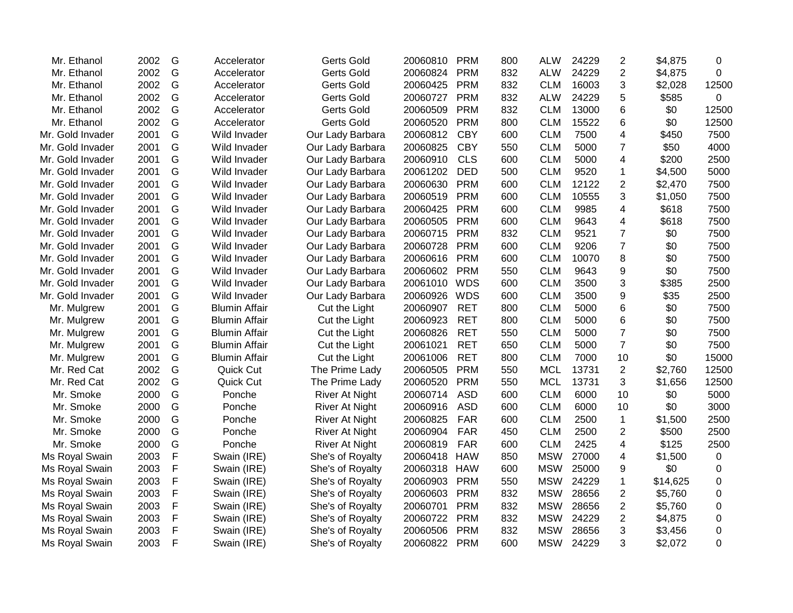| Mr. Ethanol      | 2002 | G | Accelerator          | <b>Gerts Gold</b>     | 20060810 | <b>PRM</b> | 800 | <b>ALW</b> | 24229 | $\overline{2}$ | \$4,875  | 0           |
|------------------|------|---|----------------------|-----------------------|----------|------------|-----|------------|-------|----------------|----------|-------------|
| Mr. Ethanol      | 2002 | G | Accelerator          | <b>Gerts Gold</b>     | 20060824 | <b>PRM</b> | 832 | <b>ALW</b> | 24229 | $\overline{2}$ | \$4,875  | 0           |
| Mr. Ethanol      | 2002 | G | Accelerator          | <b>Gerts Gold</b>     | 20060425 | <b>PRM</b> | 832 | <b>CLM</b> | 16003 | 3              | \$2,028  | 12500       |
| Mr. Ethanol      | 2002 | G | Accelerator          | <b>Gerts Gold</b>     | 20060727 | <b>PRM</b> | 832 | <b>ALW</b> | 24229 | 5              | \$585    | 0           |
| Mr. Ethanol      | 2002 | G | Accelerator          | <b>Gerts Gold</b>     | 20060509 | <b>PRM</b> | 832 | <b>CLM</b> | 13000 | 6              | \$0      | 12500       |
| Mr. Ethanol      | 2002 | G | Accelerator          | <b>Gerts Gold</b>     | 20060520 | <b>PRM</b> | 800 | <b>CLM</b> | 15522 | 6              | \$0      | 12500       |
| Mr. Gold Invader | 2001 | G | Wild Invader         | Our Lady Barbara      | 20060812 | <b>CBY</b> | 600 | <b>CLM</b> | 7500  | 4              | \$450    | 7500        |
| Mr. Gold Invader | 2001 | G | Wild Invader         | Our Lady Barbara      | 20060825 | <b>CBY</b> | 550 | <b>CLM</b> | 5000  | 7              | \$50     | 4000        |
| Mr. Gold Invader | 2001 | G | Wild Invader         | Our Lady Barbara      | 20060910 | <b>CLS</b> | 600 | <b>CLM</b> | 5000  | 4              | \$200    | 2500        |
| Mr. Gold Invader | 2001 | G | Wild Invader         | Our Lady Barbara      | 20061202 | <b>DED</b> | 500 | <b>CLM</b> | 9520  | 1              | \$4,500  | 5000        |
| Mr. Gold Invader | 2001 | G | Wild Invader         | Our Lady Barbara      | 20060630 | <b>PRM</b> | 600 | <b>CLM</b> | 12122 | 2              | \$2,470  | 7500        |
| Mr. Gold Invader | 2001 | G | Wild Invader         | Our Lady Barbara      | 20060519 | <b>PRM</b> | 600 | <b>CLM</b> | 10555 | 3              | \$1,050  | 7500        |
| Mr. Gold Invader | 2001 | G | Wild Invader         | Our Lady Barbara      | 20060425 | <b>PRM</b> | 600 | <b>CLM</b> | 9985  | 4              | \$618    | 7500        |
| Mr. Gold Invader | 2001 | G | Wild Invader         | Our Lady Barbara      | 20060505 | <b>PRM</b> | 600 | <b>CLM</b> | 9643  | 4              | \$618    | 7500        |
| Mr. Gold Invader | 2001 | G | Wild Invader         | Our Lady Barbara      | 20060715 | <b>PRM</b> | 832 | <b>CLM</b> | 9521  | $\overline{7}$ | \$0      | 7500        |
| Mr. Gold Invader | 2001 | G | Wild Invader         | Our Lady Barbara      | 20060728 | <b>PRM</b> | 600 | <b>CLM</b> | 9206  | $\overline{7}$ | \$0      | 7500        |
| Mr. Gold Invader | 2001 | G | Wild Invader         | Our Lady Barbara      | 20060616 | <b>PRM</b> | 600 | <b>CLM</b> | 10070 | 8              | \$0      | 7500        |
| Mr. Gold Invader | 2001 | G | Wild Invader         | Our Lady Barbara      | 20060602 | <b>PRM</b> | 550 | <b>CLM</b> | 9643  | 9              | \$0      | 7500        |
| Mr. Gold Invader | 2001 | G | Wild Invader         | Our Lady Barbara      | 20061010 | <b>WDS</b> | 600 | <b>CLM</b> | 3500  | 3              | \$385    | 2500        |
| Mr. Gold Invader | 2001 | G | Wild Invader         | Our Lady Barbara      | 20060926 | <b>WDS</b> | 600 | <b>CLM</b> | 3500  | 9              | \$35     | 2500        |
| Mr. Mulgrew      | 2001 | G | <b>Blumin Affair</b> | Cut the Light         | 20060907 | <b>RET</b> | 800 | <b>CLM</b> | 5000  | 6              | \$0      | 7500        |
| Mr. Mulgrew      | 2001 | G | <b>Blumin Affair</b> | Cut the Light         | 20060923 | <b>RET</b> | 800 | <b>CLM</b> | 5000  | 6              | \$0      | 7500        |
| Mr. Mulgrew      | 2001 | G | <b>Blumin Affair</b> | Cut the Light         | 20060826 | <b>RET</b> | 550 | <b>CLM</b> | 5000  | $\overline{7}$ | \$0      | 7500        |
| Mr. Mulgrew      | 2001 | G | <b>Blumin Affair</b> | Cut the Light         | 20061021 | <b>RET</b> | 650 | <b>CLM</b> | 5000  | $\overline{7}$ | \$0      | 7500        |
| Mr. Mulgrew      | 2001 | G | <b>Blumin Affair</b> | Cut the Light         | 20061006 | <b>RET</b> | 800 | <b>CLM</b> | 7000  | 10             | \$0      | 15000       |
| Mr. Red Cat      | 2002 | G | Quick Cut            | The Prime Lady        | 20060505 | <b>PRM</b> | 550 | <b>MCL</b> | 13731 | $\overline{2}$ | \$2,760  | 12500       |
| Mr. Red Cat      | 2002 | G | Quick Cut            | The Prime Lady        | 20060520 | <b>PRM</b> | 550 | <b>MCL</b> | 13731 | 3              | \$1,656  | 12500       |
| Mr. Smoke        | 2000 | G | Ponche               | <b>River At Night</b> | 20060714 | ASD        | 600 | <b>CLM</b> | 6000  | 10             | \$0      | 5000        |
| Mr. Smoke        | 2000 | G | Ponche               | <b>River At Night</b> | 20060916 | <b>ASD</b> | 600 | <b>CLM</b> | 6000  | 10             | \$0      | 3000        |
| Mr. Smoke        | 2000 | G | Ponche               | <b>River At Night</b> | 20060825 | <b>FAR</b> | 600 | <b>CLM</b> | 2500  | $\mathbf{1}$   | \$1,500  | 2500        |
| Mr. Smoke        | 2000 | G | Ponche               | <b>River At Night</b> | 20060904 | <b>FAR</b> | 450 | <b>CLM</b> | 2500  | 2              | \$500    | 2500        |
| Mr. Smoke        | 2000 | G | Ponche               | <b>River At Night</b> | 20060819 | <b>FAR</b> | 600 | <b>CLM</b> | 2425  | 4              | \$125    | 2500        |
| Ms Royal Swain   | 2003 | F | Swain (IRE)          | She's of Royalty      | 20060418 | <b>HAW</b> | 850 | <b>MSW</b> | 27000 | 4              | \$1,500  | $\mathbf 0$ |
| Ms Royal Swain   | 2003 | F | Swain (IRE)          | She's of Royalty      | 20060318 | <b>HAW</b> | 600 | <b>MSW</b> | 25000 | 9              | \$0      | 0           |
| Ms Royal Swain   | 2003 | F | Swain (IRE)          | She's of Royalty      | 20060903 | <b>PRM</b> | 550 | <b>MSW</b> | 24229 | 1              | \$14,625 | 0           |
| Ms Royal Swain   | 2003 | F | Swain (IRE)          | She's of Royalty      | 20060603 | <b>PRM</b> | 832 | <b>MSW</b> | 28656 | 2              | \$5,760  | 0           |
| Ms Royal Swain   | 2003 | F | Swain (IRE)          | She's of Royalty      | 20060701 | <b>PRM</b> | 832 | <b>MSW</b> | 28656 | 2              | \$5,760  | 0           |
| Ms Royal Swain   | 2003 | F | Swain (IRE)          | She's of Royalty      | 20060722 | <b>PRM</b> | 832 | <b>MSW</b> | 24229 | 2              | \$4,875  | 0           |
| Ms Royal Swain   | 2003 | F | Swain (IRE)          | She's of Royalty      | 20060506 | <b>PRM</b> | 832 | <b>MSW</b> | 28656 | 3              | \$3,456  | 0           |
| Ms Royal Swain   | 2003 | F | Swain (IRE)          | She's of Royalty      | 20060822 | <b>PRM</b> | 600 | <b>MSW</b> | 24229 | 3              | \$2,072  | 0           |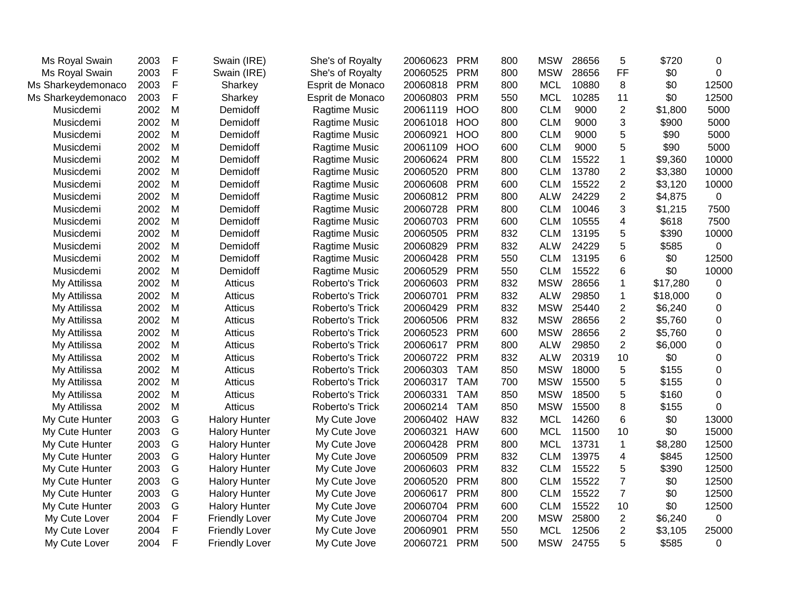| Ms Royal Swain     | 2003 | F            | Swain (IRE)           | She's of Royalty | 20060623 | <b>PRM</b> | 800 | <b>MSW</b> | 28656 | 5              | \$720    | 0        |
|--------------------|------|--------------|-----------------------|------------------|----------|------------|-----|------------|-------|----------------|----------|----------|
| Ms Royal Swain     | 2003 | $\mathsf F$  | Swain (IRE)           | She's of Royalty | 20060525 | <b>PRM</b> | 800 | <b>MSW</b> | 28656 | FF             | \$0      | 0        |
| Ms Sharkeydemonaco | 2003 | $\mathsf F$  | Sharkey               | Esprit de Monaco | 20060818 | <b>PRM</b> | 800 | <b>MCL</b> | 10880 | 8              | \$0      | 12500    |
| Ms Sharkeydemonaco | 2003 | $\mathsf{F}$ | Sharkey               | Esprit de Monaco | 20060803 | <b>PRM</b> | 550 | <b>MCL</b> | 10285 | 11             | \$0      | 12500    |
| Musicdemi          | 2002 | M            | Demidoff              | Ragtime Music    | 20061119 | <b>HOO</b> | 800 | <b>CLM</b> | 9000  | $\overline{2}$ | \$1,800  | 5000     |
| Musicdemi          | 2002 | M            | Demidoff              | Ragtime Music    | 20061018 | <b>HOO</b> | 800 | <b>CLM</b> | 9000  | 3              | \$900    | 5000     |
| Musicdemi          | 2002 | M            | Demidoff              | Ragtime Music    | 20060921 | <b>HOO</b> | 800 | <b>CLM</b> | 9000  | 5              | \$90     | 5000     |
| Musicdemi          | 2002 | M            | Demidoff              | Ragtime Music    | 20061109 | <b>HOO</b> | 600 | <b>CLM</b> | 9000  | 5              | \$90     | 5000     |
| Musicdemi          | 2002 | M            | Demidoff              | Ragtime Music    | 20060624 | <b>PRM</b> | 800 | <b>CLM</b> | 15522 | $\mathbf{1}$   | \$9,360  | 10000    |
| Musicdemi          | 2002 | M            | Demidoff              | Ragtime Music    | 20060520 | <b>PRM</b> | 800 | <b>CLM</b> | 13780 | $\overline{2}$ | \$3,380  | 10000    |
| Musicdemi          | 2002 | M            | Demidoff              | Ragtime Music    | 20060608 | <b>PRM</b> | 600 | <b>CLM</b> | 15522 | $\overline{2}$ | \$3,120  | 10000    |
| Musicdemi          | 2002 | M            | Demidoff              | Ragtime Music    | 20060812 | <b>PRM</b> | 800 | <b>ALW</b> | 24229 | $\overline{2}$ | \$4,875  | 0        |
| Musicdemi          | 2002 | M            | Demidoff              | Ragtime Music    | 20060728 | <b>PRM</b> | 800 | <b>CLM</b> | 10046 | 3              | \$1,215  | 7500     |
| Musicdemi          | 2002 | M            | Demidoff              | Ragtime Music    | 20060703 | <b>PRM</b> | 600 | <b>CLM</b> | 10555 | 4              | \$618    | 7500     |
| Musicdemi          | 2002 | M            | Demidoff              | Ragtime Music    | 20060505 | <b>PRM</b> | 832 | <b>CLM</b> | 13195 | 5              | \$390    | 10000    |
| Musicdemi          | 2002 | M            | Demidoff              | Ragtime Music    | 20060829 | <b>PRM</b> | 832 | <b>ALW</b> | 24229 | 5              | \$585    | 0        |
| Musicdemi          | 2002 | M            | Demidoff              | Ragtime Music    | 20060428 | <b>PRM</b> | 550 | <b>CLM</b> | 13195 | 6              | \$0      | 12500    |
| Musicdemi          | 2002 | M            | Demidoff              | Ragtime Music    | 20060529 | <b>PRM</b> | 550 | <b>CLM</b> | 15522 | 6              | \$0      | 10000    |
| My Attilissa       | 2002 | M            | Atticus               | Roberto's Trick  | 20060603 | <b>PRM</b> | 832 | <b>MSW</b> | 28656 | $\mathbf{1}$   | \$17,280 | 0        |
| My Attilissa       | 2002 | M            | Atticus               | Roberto's Trick  | 20060701 | <b>PRM</b> | 832 | <b>ALW</b> | 29850 | 1              | \$18,000 | 0        |
| My Attilissa       | 2002 | M            | <b>Atticus</b>        | Roberto's Trick  | 20060429 | <b>PRM</b> | 832 | <b>MSW</b> | 25440 | $\overline{2}$ | \$6,240  | 0        |
| My Attilissa       | 2002 | M            | Atticus               | Roberto's Trick  | 20060506 | <b>PRM</b> | 832 | <b>MSW</b> | 28656 | $\overline{2}$ | \$5,760  | 0        |
| My Attilissa       | 2002 | M            | Atticus               | Roberto's Trick  | 20060523 | <b>PRM</b> | 600 | <b>MSW</b> | 28656 | $\overline{2}$ | \$5,760  | 0        |
| My Attilissa       | 2002 | M            | Atticus               | Roberto's Trick  | 20060617 | <b>PRM</b> | 800 | <b>ALW</b> | 29850 | $\overline{2}$ | \$6,000  | 0        |
| My Attilissa       | 2002 | M            | Atticus               | Roberto's Trick  | 20060722 | <b>PRM</b> | 832 | <b>ALW</b> | 20319 | 10             | \$0      | 0        |
| My Attilissa       | 2002 | M            | Atticus               | Roberto's Trick  | 20060303 | <b>TAM</b> | 850 | <b>MSW</b> | 18000 | 5              | \$155    | 0        |
| My Attilissa       | 2002 | M            | Atticus               | Roberto's Trick  | 20060317 | <b>TAM</b> | 700 | <b>MSW</b> | 15500 | 5              | \$155    | $\Omega$ |
| My Attilissa       | 2002 | M            | Atticus               | Roberto's Trick  | 20060331 | <b>TAM</b> | 850 | <b>MSW</b> | 18500 | 5              | \$160    | 0        |
| My Attilissa       | 2002 | M            | <b>Atticus</b>        | Roberto's Trick  | 20060214 | <b>TAM</b> | 850 | <b>MSW</b> | 15500 | 8              | \$155    | 0        |
| My Cute Hunter     | 2003 | G            | <b>Halory Hunter</b>  | My Cute Jove     | 20060402 | <b>HAW</b> | 832 | <b>MCL</b> | 14260 | 6              | \$0      | 13000    |
| My Cute Hunter     | 2003 | G            | <b>Halory Hunter</b>  | My Cute Jove     | 20060321 | <b>HAW</b> | 600 | <b>MCL</b> | 11500 | 10             | \$0      | 15000    |
| My Cute Hunter     | 2003 | G            | <b>Halory Hunter</b>  | My Cute Jove     | 20060428 | <b>PRM</b> | 800 | <b>MCL</b> | 13731 | $\mathbf{1}$   | \$8,280  | 12500    |
| My Cute Hunter     | 2003 | G            | <b>Halory Hunter</b>  | My Cute Jove     | 20060509 | <b>PRM</b> | 832 | <b>CLM</b> | 13975 | 4              | \$845    | 12500    |
| My Cute Hunter     | 2003 | G            | <b>Halory Hunter</b>  | My Cute Jove     | 20060603 | <b>PRM</b> | 832 | <b>CLM</b> | 15522 | 5              | \$390    | 12500    |
| My Cute Hunter     | 2003 | G            | <b>Halory Hunter</b>  | My Cute Jove     | 20060520 | <b>PRM</b> | 800 | <b>CLM</b> | 15522 | $\overline{7}$ | \$0      | 12500    |
| My Cute Hunter     | 2003 | G            | <b>Halory Hunter</b>  | My Cute Jove     | 20060617 | <b>PRM</b> | 800 | <b>CLM</b> | 15522 | $\overline{7}$ | \$0      | 12500    |
| My Cute Hunter     | 2003 | G            | <b>Halory Hunter</b>  | My Cute Jove     | 20060704 | <b>PRM</b> | 600 | <b>CLM</b> | 15522 | 10             | \$0      | 12500    |
| My Cute Lover      | 2004 | F            | <b>Friendly Lover</b> | My Cute Jove     | 20060704 | <b>PRM</b> | 200 | <b>MSW</b> | 25800 | 2              | \$6,240  | 0        |
| My Cute Lover      | 2004 | $\mathsf F$  | <b>Friendly Lover</b> | My Cute Jove     | 20060901 | <b>PRM</b> | 550 | <b>MCL</b> | 12506 | $\overline{2}$ | \$3,105  | 25000    |
| My Cute Lover      | 2004 | $\mathsf F$  | <b>Friendly Lover</b> | My Cute Jove     | 20060721 | <b>PRM</b> | 500 | <b>MSW</b> | 24755 | 5              | \$585    | 0        |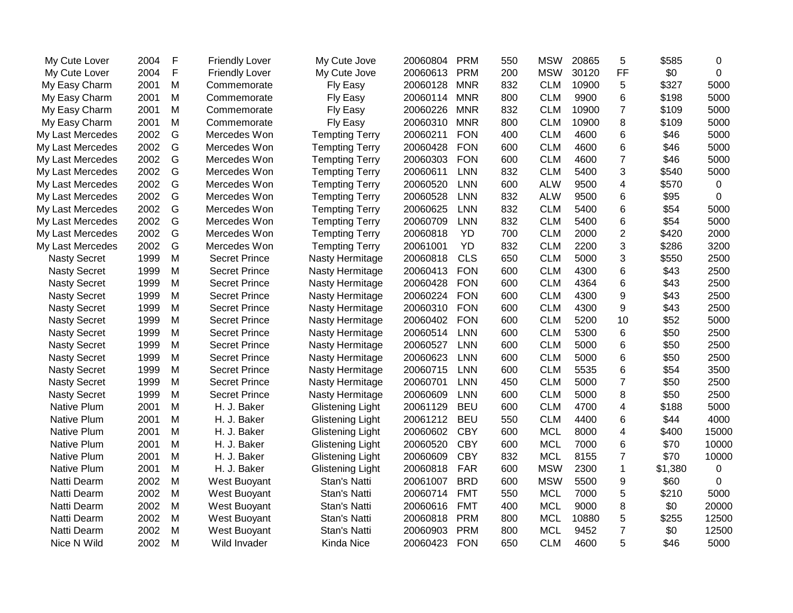| My Cute Lover       | 2004 | $\mathsf F$ | <b>Friendly Lover</b> | My Cute Jove            | 20060804 | <b>PRM</b> | 550 | <b>MSW</b> | 20865 | 5              | \$585   | 0     |
|---------------------|------|-------------|-----------------------|-------------------------|----------|------------|-----|------------|-------|----------------|---------|-------|
| My Cute Lover       | 2004 | $\mathsf F$ | <b>Friendly Lover</b> | My Cute Jove            | 20060613 | <b>PRM</b> | 200 | <b>MSW</b> | 30120 | <b>FF</b>      | \$0     | 0     |
| My Easy Charm       | 2001 | M           | Commemorate           | Fly Easy                | 20060128 | <b>MNR</b> | 832 | <b>CLM</b> | 10900 | 5              | \$327   | 5000  |
| My Easy Charm       | 2001 | M           | Commemorate           | Fly Easy                | 20060114 | <b>MNR</b> | 800 | <b>CLM</b> | 9900  | 6              | \$198   | 5000  |
| My Easy Charm       | 2001 | M           | Commemorate           | Fly Easy                | 20060226 | <b>MNR</b> | 832 | <b>CLM</b> | 10900 | $\overline{7}$ | \$109   | 5000  |
| My Easy Charm       | 2001 | M           | Commemorate           | Fly Easy                | 20060310 | <b>MNR</b> | 800 | <b>CLM</b> | 10900 | 8              | \$109   | 5000  |
| My Last Mercedes    | 2002 | G           | Mercedes Won          | <b>Tempting Terry</b>   | 20060211 | <b>FON</b> | 400 | <b>CLM</b> | 4600  | 6              | \$46    | 5000  |
| My Last Mercedes    | 2002 | G           | Mercedes Won          | <b>Tempting Terry</b>   | 20060428 | <b>FON</b> | 600 | <b>CLM</b> | 4600  | 6              | \$46    | 5000  |
| My Last Mercedes    | 2002 | G           | Mercedes Won          | <b>Tempting Terry</b>   | 20060303 | <b>FON</b> | 600 | <b>CLM</b> | 4600  | $\overline{7}$ | \$46    | 5000  |
| My Last Mercedes    | 2002 | G           | Mercedes Won          | <b>Tempting Terry</b>   | 20060611 | <b>LNN</b> | 832 | <b>CLM</b> | 5400  | 3              | \$540   | 5000  |
| My Last Mercedes    | 2002 | G           | Mercedes Won          | <b>Tempting Terry</b>   | 20060520 | <b>LNN</b> | 600 | <b>ALW</b> | 9500  | 4              | \$570   | 0     |
| My Last Mercedes    | 2002 | G           | Mercedes Won          | <b>Tempting Terry</b>   | 20060528 | <b>LNN</b> | 832 | <b>ALW</b> | 9500  | 6              | \$95    | 0     |
| My Last Mercedes    | 2002 | G           | Mercedes Won          | <b>Tempting Terry</b>   | 20060625 | LNN        | 832 | <b>CLM</b> | 5400  | 6              | \$54    | 5000  |
| My Last Mercedes    | 2002 | G           | Mercedes Won          | <b>Tempting Terry</b>   | 20060709 | <b>LNN</b> | 832 | <b>CLM</b> | 5400  | 6              | \$54    | 5000  |
| My Last Mercedes    | 2002 | G           | Mercedes Won          | <b>Tempting Terry</b>   | 20060818 | <b>YD</b>  | 700 | <b>CLM</b> | 2000  | $\overline{2}$ | \$420   | 2000  |
| My Last Mercedes    | 2002 | G           | Mercedes Won          | <b>Tempting Terry</b>   | 20061001 | <b>YD</b>  | 832 | <b>CLM</b> | 2200  | 3              | \$286   | 3200  |
| <b>Nasty Secret</b> | 1999 | M           | <b>Secret Prince</b>  | Nasty Hermitage         | 20060818 | <b>CLS</b> | 650 | <b>CLM</b> | 5000  | 3              | \$550   | 2500  |
| <b>Nasty Secret</b> | 1999 | M           | <b>Secret Prince</b>  | Nasty Hermitage         | 20060413 | <b>FON</b> | 600 | <b>CLM</b> | 4300  | 6              | \$43    | 2500  |
| <b>Nasty Secret</b> | 1999 | M           | <b>Secret Prince</b>  | Nasty Hermitage         | 20060428 | <b>FON</b> | 600 | <b>CLM</b> | 4364  | 6              | \$43    | 2500  |
| <b>Nasty Secret</b> | 1999 | M           | <b>Secret Prince</b>  | Nasty Hermitage         | 20060224 | <b>FON</b> | 600 | <b>CLM</b> | 4300  | 9              | \$43    | 2500  |
| <b>Nasty Secret</b> | 1999 | M           | <b>Secret Prince</b>  | Nasty Hermitage         | 20060310 | <b>FON</b> | 600 | <b>CLM</b> | 4300  | 9              | \$43    | 2500  |
| <b>Nasty Secret</b> | 1999 | M           | <b>Secret Prince</b>  | Nasty Hermitage         | 20060402 | <b>FON</b> | 600 | <b>CLM</b> | 5200  | 10             | \$52    | 5000  |
| <b>Nasty Secret</b> | 1999 | M           | <b>Secret Prince</b>  | Nasty Hermitage         | 20060514 | <b>LNN</b> | 600 | <b>CLM</b> | 5300  | 6              | \$50    | 2500  |
| <b>Nasty Secret</b> | 1999 | M           | <b>Secret Prince</b>  | Nasty Hermitage         | 20060527 | <b>LNN</b> | 600 | <b>CLM</b> | 5000  | 6              | \$50    | 2500  |
| <b>Nasty Secret</b> | 1999 | M           | <b>Secret Prince</b>  | Nasty Hermitage         | 20060623 | <b>LNN</b> | 600 | <b>CLM</b> | 5000  | 6              | \$50    | 2500  |
| <b>Nasty Secret</b> | 1999 | M           | <b>Secret Prince</b>  | Nasty Hermitage         | 20060715 | <b>LNN</b> | 600 | <b>CLM</b> | 5535  | 6              | \$54    | 3500  |
| <b>Nasty Secret</b> | 1999 | M           | <b>Secret Prince</b>  | Nasty Hermitage         | 20060701 | <b>LNN</b> | 450 | <b>CLM</b> | 5000  | $\overline{7}$ | \$50    | 2500  |
| <b>Nasty Secret</b> | 1999 | M           | <b>Secret Prince</b>  | Nasty Hermitage         | 20060609 | <b>LNN</b> | 600 | <b>CLM</b> | 5000  | 8              | \$50    | 2500  |
| <b>Native Plum</b>  | 2001 | M           | H. J. Baker           | <b>Glistening Light</b> | 20061129 | <b>BEU</b> | 600 | <b>CLM</b> | 4700  | 4              | \$188   | 5000  |
| Native Plum         | 2001 | M           | H. J. Baker           | <b>Glistening Light</b> | 20061212 | <b>BEU</b> | 550 | <b>CLM</b> | 4400  | 6              | \$44    | 4000  |
| <b>Native Plum</b>  | 2001 | M           | H. J. Baker           | <b>Glistening Light</b> | 20060602 | <b>CBY</b> | 600 | <b>MCL</b> | 8000  | 4              | \$400   | 15000 |
| Native Plum         | 2001 | M           | H. J. Baker           | <b>Glistening Light</b> | 20060520 | <b>CBY</b> | 600 | <b>MCL</b> | 7000  | 6              | \$70    | 10000 |
| Native Plum         | 2001 | M           | H. J. Baker           | <b>Glistening Light</b> | 20060609 | <b>CBY</b> | 832 | <b>MCL</b> | 8155  | $\overline{7}$ | \$70    | 10000 |
| Native Plum         | 2001 | M           | H. J. Baker           | <b>Glistening Light</b> | 20060818 | <b>FAR</b> | 600 | <b>MSW</b> | 2300  | $\mathbf{1}$   | \$1,380 | 0     |
| Natti Dearm         | 2002 | M           | West Buoyant          | Stan's Natti            | 20061007 | <b>BRD</b> | 600 | <b>MSW</b> | 5500  | 9              | \$60    | 0     |
| Natti Dearm         | 2002 | M           | West Buoyant          | Stan's Natti            | 20060714 | <b>FMT</b> | 550 | <b>MCL</b> | 7000  | 5              | \$210   | 5000  |
| Natti Dearm         | 2002 | M           | West Buoyant          | Stan's Natti            | 20060616 | <b>FMT</b> | 400 | <b>MCL</b> | 9000  | 8              | \$0     | 20000 |
| Natti Dearm         | 2002 | M           | West Buoyant          | Stan's Natti            | 20060818 | <b>PRM</b> | 800 | <b>MCL</b> | 10880 | 5              | \$255   | 12500 |
| Natti Dearm         | 2002 | M           | West Buoyant          | Stan's Natti            | 20060903 | <b>PRM</b> | 800 | <b>MCL</b> | 9452  | $\overline{7}$ | \$0     | 12500 |
| Nice N Wild         | 2002 | M           | Wild Invader          | Kinda Nice              | 20060423 | <b>FON</b> | 650 | <b>CLM</b> | 4600  | 5              | \$46    | 5000  |
|                     |      |             |                       |                         |          |            |     |            |       |                |         |       |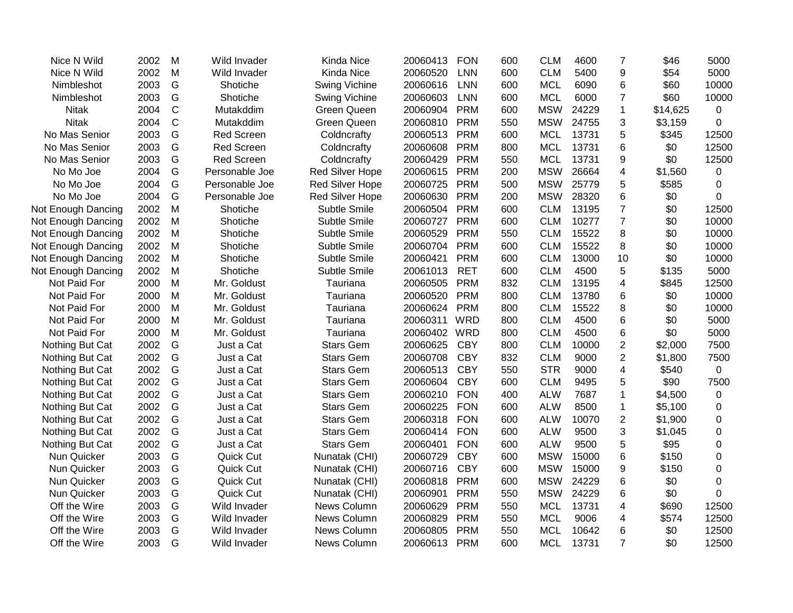| Nice N Wild        | 2002 | M            | Wild Invader      | <b>Kinda Nice</b>      | 20060413     | <b>FON</b> | 600 | <b>CLM</b> | 4600  | $\overline{7}$          | \$46     | 5000        |
|--------------------|------|--------------|-------------------|------------------------|--------------|------------|-----|------------|-------|-------------------------|----------|-------------|
| Nice N Wild        | 2002 | M            | Wild Invader      | Kinda Nice             | 20060520     | <b>LNN</b> | 600 | <b>CLM</b> | 5400  | 9                       | \$54     | 5000        |
| Nimbleshot         | 2003 | G            | Shotiche          | Swing Vichine          | 20060616     | <b>LNN</b> | 600 | <b>MCL</b> | 6090  | 6                       | \$60     | 10000       |
| Nimbleshot         | 2003 | G            | Shotiche          | <b>Swing Vichine</b>   | 20060603     | <b>LNN</b> | 600 | <b>MCL</b> | 6000  | 7                       | \$60     | 10000       |
| <b>Nitak</b>       | 2004 | $\mathsf{C}$ | Mutakddim         | Green Queen            | 20060904     | <b>PRM</b> | 600 | <b>MSW</b> | 24229 | $\mathbf{1}$            | \$14,625 | $\mathbf 0$ |
| <b>Nitak</b>       | 2004 | C            | Mutakddim         | <b>Green Queen</b>     | 20060810     | <b>PRM</b> | 550 | <b>MSW</b> | 24755 | 3                       | \$3,159  | 0           |
| No Mas Senior      | 2003 | G            | <b>Red Screen</b> | Coldncrafty            | 20060513     | <b>PRM</b> | 600 | <b>MCL</b> | 13731 | 5                       | \$345    | 12500       |
| No Mas Senior      | 2003 | G            | <b>Red Screen</b> | Coldncrafty            | 20060608     | <b>PRM</b> | 800 | <b>MCL</b> | 13731 | 6                       | \$0      | 12500       |
| No Mas Senior      | 2003 | G            | <b>Red Screen</b> | Coldncrafty            | 20060429     | <b>PRM</b> | 550 | <b>MCL</b> | 13731 | 9                       | \$0      | 12500       |
| No Mo Joe          | 2004 | G            | Personable Joe    | Red Silver Hope        | 20060615     | <b>PRM</b> | 200 | <b>MSW</b> | 26664 | $\overline{\mathbf{4}}$ | \$1,560  | 0           |
| No Mo Joe          | 2004 | G            | Personable Joe    | <b>Red Silver Hope</b> | 20060725     | <b>PRM</b> | 500 | <b>MSW</b> | 25779 | 5                       | \$585    | 0           |
| No Mo Joe          | 2004 | G            | Personable Joe    | Red Silver Hope        | 20060630     | <b>PRM</b> | 200 | <b>MSW</b> | 28320 | 6                       | \$0      | 0           |
| Not Enough Dancing | 2002 | M            | Shotiche          | Subtle Smile           | 20060504     | <b>PRM</b> | 600 | <b>CLM</b> | 13195 | $\overline{7}$          | \$0      | 12500       |
| Not Enough Dancing | 2002 | M            | Shotiche          | Subtle Smile           | 20060727     | <b>PRM</b> | 600 | <b>CLM</b> | 10277 | $\overline{7}$          | \$0      | 10000       |
| Not Enough Dancing | 2002 | M            | Shotiche          | Subtle Smile           | 20060529     | <b>PRM</b> | 550 | <b>CLM</b> | 15522 | 8                       | \$0      | 10000       |
| Not Enough Dancing | 2002 | M            | Shotiche          | Subtle Smile           | 20060704     | <b>PRM</b> | 600 | <b>CLM</b> | 15522 | 8                       | \$0      | 10000       |
| Not Enough Dancing | 2002 | M            | Shotiche          | Subtle Smile           | 20060421     | <b>PRM</b> | 600 | <b>CLM</b> | 13000 | 10                      | \$0      | 10000       |
| Not Enough Dancing | 2002 | M            | Shotiche          | Subtle Smile           | 20061013     | <b>RET</b> | 600 | <b>CLM</b> | 4500  | 5                       | \$135    | 5000        |
| Not Paid For       | 2000 | M            | Mr. Goldust       | Tauriana               | 20060505     | <b>PRM</b> | 832 | <b>CLM</b> | 13195 | 4                       | \$845    | 12500       |
| Not Paid For       | 2000 | M            | Mr. Goldust       | Tauriana               | 20060520     | <b>PRM</b> | 800 | <b>CLM</b> | 13780 | 6                       | \$0      | 10000       |
| Not Paid For       | 2000 | M            | Mr. Goldust       | Tauriana               | 20060624     | <b>PRM</b> | 800 | <b>CLM</b> | 15522 | 8                       | \$0      | 10000       |
| Not Paid For       | 2000 | M            | Mr. Goldust       | Tauriana               | 20060311     | WRD        | 800 | <b>CLM</b> | 4500  | 6                       | \$0      | 5000        |
| Not Paid For       | 2000 | M            | Mr. Goldust       | Tauriana               | 20060402 WRD |            | 800 | <b>CLM</b> | 4500  | 6                       | \$0      | 5000        |
| Nothing But Cat    | 2002 | G            | Just a Cat        | <b>Stars Gem</b>       | 20060625     | <b>CBY</b> | 800 | <b>CLM</b> | 10000 | $\overline{2}$          | \$2,000  | 7500        |
| Nothing But Cat    | 2002 | G            | Just a Cat        | <b>Stars Gem</b>       | 20060708     | <b>CBY</b> | 832 | <b>CLM</b> | 9000  | $\overline{2}$          | \$1,800  | 7500        |
| Nothing But Cat    | 2002 | G            | Just a Cat        | <b>Stars Gem</b>       | 20060513     | <b>CBY</b> | 550 | <b>STR</b> | 9000  | $\overline{\mathbf{4}}$ | \$540    | 0           |
| Nothing But Cat    | 2002 | G            | Just a Cat        | <b>Stars Gem</b>       | 20060604     | <b>CBY</b> | 600 | <b>CLM</b> | 9495  | 5                       | \$90     | 7500        |
| Nothing But Cat    | 2002 | G            | Just a Cat        | <b>Stars Gem</b>       | 20060210     | <b>FON</b> | 400 | <b>ALW</b> | 7687  | 1                       | \$4,500  | 0           |
| Nothing But Cat    | 2002 | G            | Just a Cat        | <b>Stars Gem</b>       | 20060225     | <b>FON</b> | 600 | <b>ALW</b> | 8500  | 1                       | \$5,100  | 0           |
| Nothing But Cat    | 2002 | G            | Just a Cat        | <b>Stars Gem</b>       | 20060318     | <b>FON</b> | 600 | <b>ALW</b> | 10070 | $\overline{c}$          | \$1,900  | 0           |
| Nothing But Cat    | 2002 | G            | Just a Cat        | <b>Stars Gem</b>       | 20060414     | <b>FON</b> | 600 | <b>ALW</b> | 9500  | 3                       | \$1,045  | 0           |
| Nothing But Cat    | 2002 | G            | Just a Cat        | <b>Stars Gem</b>       | 20060401     | <b>FON</b> | 600 | <b>ALW</b> | 9500  | 5                       | \$95     | 0           |
| Nun Quicker        | 2003 | G            | Quick Cut         | Nunatak (CHI)          | 20060729     | <b>CBY</b> | 600 | <b>MSW</b> | 15000 | 6                       | \$150    | 0           |
| Nun Quicker        | 2003 | G            | Quick Cut         | Nunatak (CHI)          | 20060716     | <b>CBY</b> | 600 | <b>MSW</b> | 15000 | 9                       | \$150    | 0           |
| Nun Quicker        | 2003 | G            | Quick Cut         | Nunatak (CHI)          | 20060818     | <b>PRM</b> | 600 | <b>MSW</b> | 24229 | 6                       | \$0      | 0           |
| Nun Quicker        | 2003 | G            | Quick Cut         | Nunatak (CHI)          | 20060901     | <b>PRM</b> | 550 | <b>MSW</b> | 24229 | 6                       | \$0      | 0           |
| Off the Wire       | 2003 | G            | Wild Invader      | News Column            | 20060629     | <b>PRM</b> | 550 | <b>MCL</b> | 13731 | 4                       | \$690    | 12500       |
| Off the Wire       | 2003 | G            | Wild Invader      | News Column            | 20060829     | <b>PRM</b> | 550 | <b>MCL</b> | 9006  | 4                       | \$574    | 12500       |
| Off the Wire       | 2003 | G            | Wild Invader      | News Column            | 20060805     | <b>PRM</b> | 550 | <b>MCL</b> | 10642 | 6                       | \$0      | 12500       |
| Off the Wire       | 2003 | G            | Wild Invader      | News Column            | 20060613     | <b>PRM</b> | 600 | <b>MCL</b> | 13731 | $\overline{7}$          | \$0      | 12500       |
|                    |      |              |                   |                        |              |            |     |            |       |                         |          |             |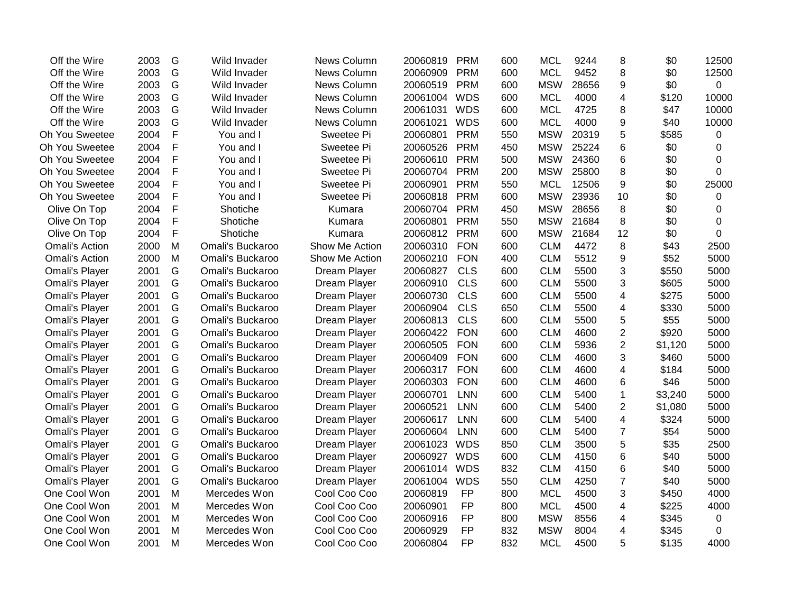| Off the Wire          | 2003 | G             | Wild Invader     | News Column    | 20060819 | <b>PRM</b> | 600 | <b>MCL</b> | 9244  | 8                       | \$0     | 12500       |
|-----------------------|------|---------------|------------------|----------------|----------|------------|-----|------------|-------|-------------------------|---------|-------------|
| Off the Wire          | 2003 | G             | Wild Invader     | News Column    | 20060909 | <b>PRM</b> | 600 | <b>MCL</b> | 9452  | 8                       | \$0     | 12500       |
| Off the Wire          | 2003 | G             | Wild Invader     | News Column    | 20060519 | <b>PRM</b> | 600 | <b>MSW</b> | 28656 | 9                       | \$0     | 0           |
| Off the Wire          | 2003 | G             | Wild Invader     | News Column    | 20061004 | <b>WDS</b> | 600 | <b>MCL</b> | 4000  | 4                       | \$120   | 10000       |
| Off the Wire          | 2003 | G             | Wild Invader     | News Column    | 20061031 | <b>WDS</b> | 600 | <b>MCL</b> | 4725  | 8                       | \$47    | 10000       |
| Off the Wire          | 2003 | G             | Wild Invader     | News Column    | 20061021 | <b>WDS</b> | 600 | <b>MCL</b> | 4000  | 9                       | \$40    | 10000       |
| Oh You Sweetee        | 2004 | F             | You and I        | Sweetee Pi     | 20060801 | <b>PRM</b> | 550 | <b>MSW</b> | 20319 | 5                       | \$585   | 0           |
| Oh You Sweetee        | 2004 | $\mathsf F$   | You and I        | Sweetee Pi     | 20060526 | <b>PRM</b> | 450 | <b>MSW</b> | 25224 | 6                       | \$0     | 0           |
| Oh You Sweetee        | 2004 | F             | You and I        | Sweetee Pi     | 20060610 | <b>PRM</b> | 500 | <b>MSW</b> | 24360 | 6                       | \$0     | 0           |
| Oh You Sweetee        | 2004 | F             | You and I        | Sweetee Pi     | 20060704 | <b>PRM</b> | 200 | <b>MSW</b> | 25800 | 8                       | \$0     | 0           |
| Oh You Sweetee        | 2004 | F             | You and I        | Sweetee Pi     | 20060901 | <b>PRM</b> | 550 | <b>MCL</b> | 12506 | 9                       | \$0     | 25000       |
| Oh You Sweetee        | 2004 | F             | You and I        | Sweetee Pi     | 20060818 | <b>PRM</b> | 600 | <b>MSW</b> | 23936 | 10                      | \$0     | 0           |
| Olive On Top          | 2004 | $\mathsf F$   | Shotiche         | Kumara         | 20060704 | <b>PRM</b> | 450 | <b>MSW</b> | 28656 | 8                       | \$0     | 0           |
| Olive On Top          | 2004 | F             | Shotiche         | Kumara         | 20060801 | <b>PRM</b> | 550 | <b>MSW</b> | 21684 | 8                       | \$0     | 0           |
| Olive On Top          | 2004 | F             | Shotiche         | Kumara         | 20060812 | <b>PRM</b> | 600 | <b>MSW</b> | 21684 | 12                      | \$0     | $\mathbf 0$ |
| <b>Omali's Action</b> | 2000 | M             | Omali's Buckaroo | Show Me Action | 20060310 | <b>FON</b> | 600 | <b>CLM</b> | 4472  | 8                       | \$43    | 2500        |
| <b>Omali's Action</b> | 2000 | M             | Omali's Buckaroo | Show Me Action | 20060210 | <b>FON</b> | 400 | <b>CLM</b> | 5512  | 9                       | \$52    | 5000        |
| Omali's Player        | 2001 | G             | Omali's Buckaroo | Dream Player   | 20060827 | <b>CLS</b> | 600 | <b>CLM</b> | 5500  | 3                       | \$550   | 5000        |
| Omali's Player        | 2001 | G             | Omali's Buckaroo | Dream Player   | 20060910 | <b>CLS</b> | 600 | <b>CLM</b> | 5500  | 3                       | \$605   | 5000        |
| <b>Omali's Player</b> | 2001 | G             | Omali's Buckaroo | Dream Player   | 20060730 | <b>CLS</b> | 600 | <b>CLM</b> | 5500  | $\overline{4}$          | \$275   | 5000        |
| Omali's Player        | 2001 | G             | Omali's Buckaroo | Dream Player   | 20060904 | <b>CLS</b> | 650 | <b>CLM</b> | 5500  | 4                       | \$330   | 5000        |
| Omali's Player        | 2001 | G             | Omali's Buckaroo | Dream Player   | 20060813 | <b>CLS</b> | 600 | <b>CLM</b> | 5500  | 5                       | \$55    | 5000        |
| Omali's Player        | 2001 | G             | Omali's Buckaroo | Dream Player   | 20060422 | <b>FON</b> | 600 | <b>CLM</b> | 4600  | $\overline{2}$          | \$920   | 5000        |
| Omali's Player        | 2001 | ${\mathsf G}$ | Omali's Buckaroo | Dream Player   | 20060505 | <b>FON</b> | 600 | <b>CLM</b> | 5936  | $\overline{2}$          | \$1,120 | 5000        |
| Omali's Player        | 2001 | G             | Omali's Buckaroo | Dream Player   | 20060409 | <b>FON</b> | 600 | <b>CLM</b> | 4600  | 3                       | \$460   | 5000        |
| Omali's Player        | 2001 | G             | Omali's Buckaroo | Dream Player   | 20060317 | <b>FON</b> | 600 | <b>CLM</b> | 4600  | 4                       | \$184   | 5000        |
| Omali's Player        | 2001 | G             | Omali's Buckaroo | Dream Player   | 20060303 | <b>FON</b> | 600 | <b>CLM</b> | 4600  | 6                       | \$46    | 5000        |
| Omali's Player        | 2001 | G             | Omali's Buckaroo | Dream Player   | 20060701 | <b>LNN</b> | 600 | <b>CLM</b> | 5400  | 1                       | \$3,240 | 5000        |
| Omali's Player        | 2001 | G             | Omali's Buckaroo | Dream Player   | 20060521 | <b>LNN</b> | 600 | <b>CLM</b> | 5400  | $\overline{2}$          | \$1,080 | 5000        |
| Omali's Player        | 2001 | G             | Omali's Buckaroo | Dream Player   | 20060617 | <b>LNN</b> | 600 | <b>CLM</b> | 5400  | $\overline{\mathbf{4}}$ | \$324   | 5000        |
| Omali's Player        | 2001 | G             | Omali's Buckaroo | Dream Player   | 20060604 | <b>LNN</b> | 600 | <b>CLM</b> | 5400  | $\overline{7}$          | \$54    | 5000        |
| Omali's Player        | 2001 | G             | Omali's Buckaroo | Dream Player   | 20061023 | <b>WDS</b> | 850 | <b>CLM</b> | 3500  | 5                       | \$35    | 2500        |
| Omali's Player        | 2001 | G             | Omali's Buckaroo | Dream Player   | 20060927 | <b>WDS</b> | 600 | <b>CLM</b> | 4150  | 6                       | \$40    | 5000        |
| Omali's Player        | 2001 | G             | Omali's Buckaroo | Dream Player   | 20061014 | <b>WDS</b> | 832 | <b>CLM</b> | 4150  | 6                       | \$40    | 5000        |
| <b>Omali's Player</b> | 2001 | G             | Omali's Buckaroo | Dream Player   | 20061004 | <b>WDS</b> | 550 | <b>CLM</b> | 4250  | $\overline{7}$          | \$40    | 5000        |
| One Cool Won          | 2001 | M             | Mercedes Won     | Cool Coo Coo   | 20060819 | <b>FP</b>  | 800 | <b>MCL</b> | 4500  | 3                       | \$450   | 4000        |
| One Cool Won          | 2001 | M             | Mercedes Won     | Cool Coo Coo   | 20060901 | <b>FP</b>  | 800 | <b>MCL</b> | 4500  | 4                       | \$225   | 4000        |
| One Cool Won          | 2001 | M             | Mercedes Won     | Cool Coo Coo   | 20060916 | <b>FP</b>  | 800 | <b>MSW</b> | 8556  | 4                       | \$345   | 0           |
| One Cool Won          | 2001 | M             | Mercedes Won     | Cool Coo Coo   | 20060929 | <b>FP</b>  | 832 | <b>MSW</b> | 8004  | 4                       | \$345   | 0           |
| One Cool Won          | 2001 | M             | Mercedes Won     | Cool Coo Coo   | 20060804 | <b>FP</b>  | 832 | <b>MCL</b> | 4500  | 5                       | \$135   | 4000        |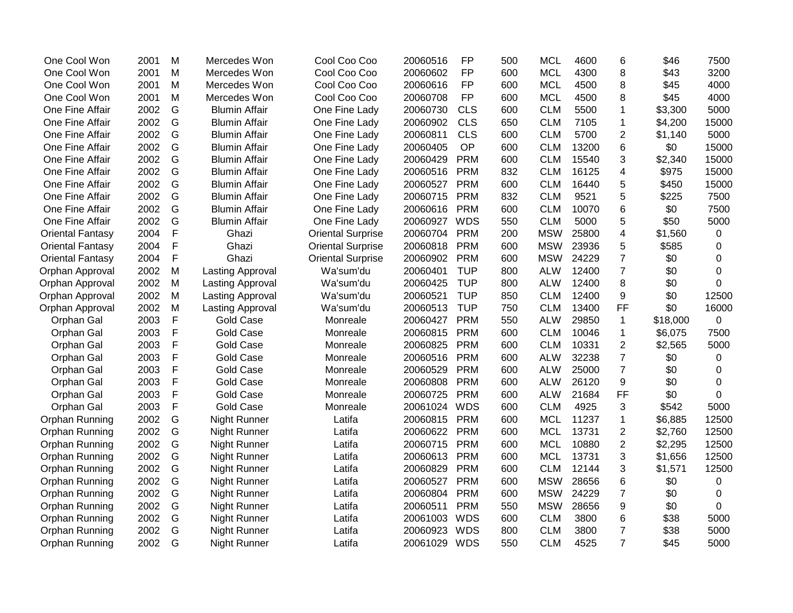| One Cool Won            | 2001 | M | Mercedes Won            | Cool Coo Coo             | 20060516 | <b>FP</b>  | 500 | <b>MCL</b> | 4600  | 6                       | \$46     | 7500        |
|-------------------------|------|---|-------------------------|--------------------------|----------|------------|-----|------------|-------|-------------------------|----------|-------------|
| One Cool Won            | 2001 | M | Mercedes Won            | Cool Coo Coo             | 20060602 | <b>FP</b>  | 600 | <b>MCL</b> | 4300  | 8                       | \$43     | 3200        |
| One Cool Won            | 2001 | M | Mercedes Won            | Cool Coo Coo             | 20060616 | <b>FP</b>  | 600 | <b>MCL</b> | 4500  | 8                       | \$45     | 4000        |
| One Cool Won            | 2001 | M | Mercedes Won            | Cool Coo Coo             | 20060708 | <b>FP</b>  | 600 | <b>MCL</b> | 4500  | 8                       | \$45     | 4000        |
| One Fine Affair         | 2002 | G | <b>Blumin Affair</b>    | One Fine Lady            | 20060730 | <b>CLS</b> | 600 | <b>CLM</b> | 5500  | 1                       | \$3,300  | 5000        |
| One Fine Affair         | 2002 | G | <b>Blumin Affair</b>    | One Fine Lady            | 20060902 | <b>CLS</b> | 650 | <b>CLM</b> | 7105  | 1                       | \$4,200  | 15000       |
| One Fine Affair         | 2002 | G | <b>Blumin Affair</b>    | One Fine Lady            | 20060811 | <b>CLS</b> | 600 | <b>CLM</b> | 5700  | 2                       | \$1,140  | 5000        |
| One Fine Affair         | 2002 | G | <b>Blumin Affair</b>    | One Fine Lady            | 20060405 | OP         | 600 | <b>CLM</b> | 13200 | 6                       | \$0      | 15000       |
| One Fine Affair         | 2002 | G | <b>Blumin Affair</b>    | One Fine Lady            | 20060429 | <b>PRM</b> | 600 | <b>CLM</b> | 15540 | 3                       | \$2,340  | 15000       |
| One Fine Affair         | 2002 | G | <b>Blumin Affair</b>    | One Fine Lady            | 20060516 | <b>PRM</b> | 832 | <b>CLM</b> | 16125 | 4                       | \$975    | 15000       |
| One Fine Affair         | 2002 | G | <b>Blumin Affair</b>    | One Fine Lady            | 20060527 | <b>PRM</b> | 600 | <b>CLM</b> | 16440 | 5                       | \$450    | 15000       |
| One Fine Affair         | 2002 | G | <b>Blumin Affair</b>    | One Fine Lady            | 20060715 | <b>PRM</b> | 832 | <b>CLM</b> | 9521  | 5                       | \$225    | 7500        |
| One Fine Affair         | 2002 | G | <b>Blumin Affair</b>    | One Fine Lady            | 20060616 | <b>PRM</b> | 600 | <b>CLM</b> | 10070 | 6                       | \$0      | 7500        |
| One Fine Affair         | 2002 | G | <b>Blumin Affair</b>    | One Fine Lady            | 20060927 | <b>WDS</b> | 550 | <b>CLM</b> | 5000  | 5                       | \$50     | 5000        |
| <b>Oriental Fantasy</b> | 2004 | F | Ghazi                   | <b>Oriental Surprise</b> | 20060704 | <b>PRM</b> | 200 | <b>MSW</b> | 25800 | $\overline{\mathbf{4}}$ | \$1,560  | $\mathbf 0$ |
| <b>Oriental Fantasy</b> | 2004 | F | Ghazi                   | <b>Oriental Surprise</b> | 20060818 | <b>PRM</b> | 600 | <b>MSW</b> | 23936 | 5                       | \$585    | 0           |
| <b>Oriental Fantasy</b> | 2004 | F | Ghazi                   | <b>Oriental Surprise</b> | 20060902 | <b>PRM</b> | 600 | <b>MSW</b> | 24229 | $\overline{7}$          | \$0      | 0           |
| Orphan Approval         | 2002 | M | <b>Lasting Approval</b> | Wa'sum'du                | 20060401 | <b>TUP</b> | 800 | <b>ALW</b> | 12400 | $\overline{7}$          | \$0      | 0           |
| Orphan Approval         | 2002 | M | Lasting Approval        | Wa'sum'du                | 20060425 | <b>TUP</b> | 800 | <b>ALW</b> | 12400 | 8                       | \$0      | 0           |
| Orphan Approval         | 2002 | M | Lasting Approval        | Wa'sum'du                | 20060521 | <b>TUP</b> | 850 | <b>CLM</b> | 12400 | 9                       | \$0      | 12500       |
| Orphan Approval         | 2002 | M | Lasting Approval        | Wa'sum'du                | 20060513 | <b>TUP</b> | 750 | <b>CLM</b> | 13400 | <b>FF</b>               | \$0      | 16000       |
| Orphan Gal              | 2003 | F | <b>Gold Case</b>        | Monreale                 | 20060427 | <b>PRM</b> | 550 | <b>ALW</b> | 29850 | $\mathbf{1}$            | \$18,000 | 0           |
| Orphan Gal              | 2003 | F | <b>Gold Case</b>        | Monreale                 | 20060815 | <b>PRM</b> | 600 | <b>CLM</b> | 10046 | 1                       | \$6,075  | 7500        |
| Orphan Gal              | 2003 | F | <b>Gold Case</b>        | Monreale                 | 20060825 | <b>PRM</b> | 600 | <b>CLM</b> | 10331 | $\overline{2}$          | \$2,565  | 5000        |
| Orphan Gal              | 2003 | F | <b>Gold Case</b>        | Monreale                 | 20060516 | <b>PRM</b> | 600 | <b>ALW</b> | 32238 | $\overline{7}$          | \$0      | 0           |
| Orphan Gal              | 2003 | F | <b>Gold Case</b>        | Monreale                 | 20060529 | <b>PRM</b> | 600 | <b>ALW</b> | 25000 | $\overline{7}$          | \$0      | 0           |
| Orphan Gal              | 2003 | F | <b>Gold Case</b>        | Monreale                 | 20060808 | <b>PRM</b> | 600 | <b>ALW</b> | 26120 | 9                       | \$0      | $\Omega$    |
| Orphan Gal              | 2003 | F | <b>Gold Case</b>        | Monreale                 | 20060725 | <b>PRM</b> | 600 | <b>ALW</b> | 21684 | FF                      | \$0      | 0           |
| Orphan Gal              | 2003 | F | <b>Gold Case</b>        | Monreale                 | 20061024 | <b>WDS</b> | 600 | <b>CLM</b> | 4925  | 3                       | \$542    | 5000        |
| Orphan Running          | 2002 | G | Night Runner            | Latifa                   | 20060815 | <b>PRM</b> | 600 | <b>MCL</b> | 11237 | $\mathbf{1}$            | \$6,885  | 12500       |
| Orphan Running          | 2002 | G | Night Runner            | Latifa                   | 20060622 | <b>PRM</b> | 600 | <b>MCL</b> | 13731 | $\overline{2}$          | \$2,760  | 12500       |
| Orphan Running          | 2002 | G | Night Runner            | Latifa                   | 20060715 | <b>PRM</b> | 600 | <b>MCL</b> | 10880 | $\overline{2}$          | \$2,295  | 12500       |
| Orphan Running          | 2002 | G | Night Runner            | Latifa                   | 20060613 | <b>PRM</b> | 600 | <b>MCL</b> | 13731 | 3                       | \$1,656  | 12500       |
| Orphan Running          | 2002 | G | Night Runner            | Latifa                   | 20060829 | <b>PRM</b> | 600 | <b>CLM</b> | 12144 | 3                       | \$1,571  | 12500       |
| Orphan Running          | 2002 | G | Night Runner            | Latifa                   | 20060527 | <b>PRM</b> | 600 | <b>MSW</b> | 28656 | 6                       | \$0      | 0           |
| Orphan Running          | 2002 | G | Night Runner            | Latifa                   | 20060804 | <b>PRM</b> | 600 | <b>MSW</b> | 24229 | $\overline{7}$          | \$0      | $\mathbf 0$ |
| Orphan Running          | 2002 | G | Night Runner            | Latifa                   | 20060511 | <b>PRM</b> | 550 | <b>MSW</b> | 28656 | 9                       | \$0      | 0           |
| Orphan Running          | 2002 | G | Night Runner            | Latifa                   | 20061003 | <b>WDS</b> | 600 | <b>CLM</b> | 3800  | 6                       | \$38     | 5000        |
| Orphan Running          | 2002 | G | Night Runner            | Latifa                   | 20060923 | <b>WDS</b> | 800 | <b>CLM</b> | 3800  | $\overline{7}$          | \$38     | 5000        |
| Orphan Running          | 2002 | G | Night Runner            | Latifa                   | 20061029 | <b>WDS</b> | 550 | <b>CLM</b> | 4525  | $\overline{7}$          | \$45     | 5000        |
|                         |      |   |                         |                          |          |            |     |            |       |                         |          |             |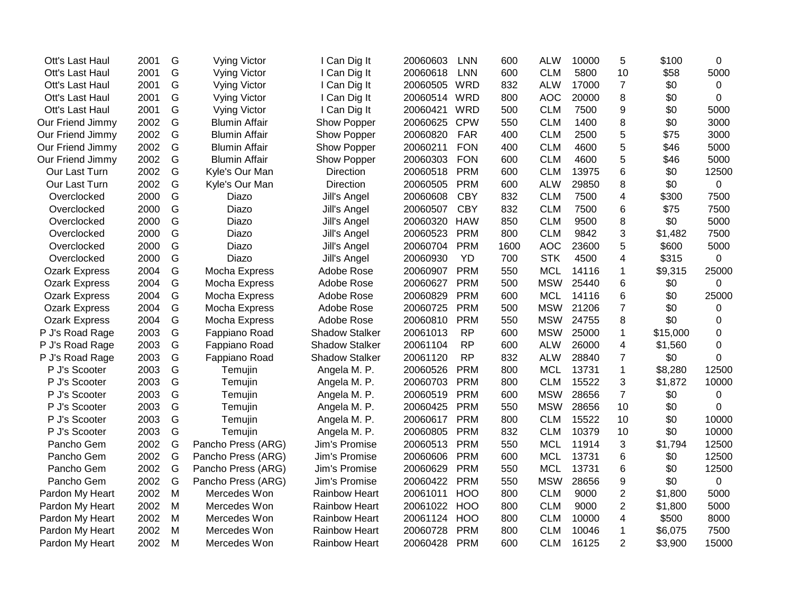| Ott's Last Haul      | 2001 | G | <b>Vying Victor</b>  | I Can Dig It          | 20060603     | <b>LNN</b> | 600  | <b>ALW</b> | 10000 | 5              | \$100    | 0            |
|----------------------|------|---|----------------------|-----------------------|--------------|------------|------|------------|-------|----------------|----------|--------------|
| Ott's Last Haul      | 2001 | G | <b>Vying Victor</b>  | I Can Dig It          | 20060618     | <b>LNN</b> | 600  | <b>CLM</b> | 5800  | 10             | \$58     | 5000         |
| Ott's Last Haul      | 2001 | G | <b>Vying Victor</b>  | I Can Dig It          | 20060505     | WRD        | 832  | <b>ALW</b> | 17000 | $\overline{7}$ | \$0      | 0            |
| Ott's Last Haul      | 2001 | G | <b>Vying Victor</b>  | I Can Dig It          | 20060514 WRD |            | 800  | <b>AOC</b> | 20000 | 8              | \$0      | $\mathbf{0}$ |
| Ott's Last Haul      | 2001 | G | Vying Victor         | I Can Dig It          | 20060421     | <b>WRD</b> | 500  | <b>CLM</b> | 7500  | 9              | \$0      | 5000         |
| Our Friend Jimmy     | 2002 | G | <b>Blumin Affair</b> | Show Popper           | 20060625     | <b>CPW</b> | 550  | <b>CLM</b> | 1400  | 8              | \$0      | 3000         |
| Our Friend Jimmy     | 2002 | G | <b>Blumin Affair</b> | Show Popper           | 20060820     | <b>FAR</b> | 400  | <b>CLM</b> | 2500  | 5              | \$75     | 3000         |
| Our Friend Jimmy     | 2002 | G | <b>Blumin Affair</b> | Show Popper           | 20060211     | <b>FON</b> | 400  | <b>CLM</b> | 4600  | 5              | \$46     | 5000         |
| Our Friend Jimmy     | 2002 | G | <b>Blumin Affair</b> | Show Popper           | 20060303     | <b>FON</b> | 600  | <b>CLM</b> | 4600  | 5              | \$46     | 5000         |
| Our Last Turn        | 2002 | G | Kyle's Our Man       | Direction             | 20060518     | <b>PRM</b> | 600  | <b>CLM</b> | 13975 | 6              | \$0      | 12500        |
| Our Last Turn        | 2002 | G | Kyle's Our Man       | <b>Direction</b>      | 20060505     | <b>PRM</b> | 600  | <b>ALW</b> | 29850 | 8              | \$0      | 0            |
| Overclocked          | 2000 | G | Diazo                | Jill's Angel          | 20060608     | <b>CBY</b> | 832  | <b>CLM</b> | 7500  | 4              | \$300    | 7500         |
| Overclocked          | 2000 | G | Diazo                | Jill's Angel          | 20060507     | <b>CBY</b> | 832  | <b>CLM</b> | 7500  | 6              | \$75     | 7500         |
| Overclocked          | 2000 | G | Diazo                | Jill's Angel          | 20060320     | <b>HAW</b> | 850  | <b>CLM</b> | 9500  | 8              | \$0      | 5000         |
| Overclocked          | 2000 | G | Diazo                | Jill's Angel          | 20060523     | <b>PRM</b> | 800  | <b>CLM</b> | 9842  | 3              | \$1,482  | 7500         |
| Overclocked          | 2000 | G | Diazo                | Jill's Angel          | 20060704     | <b>PRM</b> | 1600 | <b>AOC</b> | 23600 | 5              | \$600    | 5000         |
| Overclocked          | 2000 | G | Diazo                | Jill's Angel          | 20060930     | <b>YD</b>  | 700  | <b>STK</b> | 4500  | 4              | \$315    | 0            |
| <b>Ozark Express</b> | 2004 | G | Mocha Express        | Adobe Rose            | 20060907     | <b>PRM</b> | 550  | <b>MCL</b> | 14116 | $\mathbf 1$    | \$9,315  | 25000        |
| <b>Ozark Express</b> | 2004 | G | Mocha Express        | Adobe Rose            | 20060627     | <b>PRM</b> | 500  | <b>MSW</b> | 25440 | 6              | \$0      | 0            |
| <b>Ozark Express</b> | 2004 | G | Mocha Express        | Adobe Rose            | 20060829     | <b>PRM</b> | 600  | <b>MCL</b> | 14116 | 6              | \$0      | 25000        |
| <b>Ozark Express</b> | 2004 | G | Mocha Express        | Adobe Rose            | 20060725     | <b>PRM</b> | 500  | <b>MSW</b> | 21206 | $\overline{7}$ | \$0      | 0            |
| <b>Ozark Express</b> | 2004 | G | Mocha Express        | Adobe Rose            | 20060810     | <b>PRM</b> | 550  | <b>MSW</b> | 24755 | 8              | \$0      | 0            |
| P J's Road Rage      | 2003 | G | Fappiano Road        | <b>Shadow Stalker</b> | 20061013     | <b>RP</b>  | 600  | <b>MSW</b> | 25000 | 1              | \$15,000 | 0            |
| P J's Road Rage      | 2003 | G | Fappiano Road        | <b>Shadow Stalker</b> | 20061104     | <b>RP</b>  | 600  | <b>ALW</b> | 26000 | 4              | \$1,560  | 0            |
| P J's Road Rage      | 2003 | G | Fappiano Road        | <b>Shadow Stalker</b> | 20061120     | <b>RP</b>  | 832  | <b>ALW</b> | 28840 | $\overline{7}$ | \$0      | $\Omega$     |
| P J's Scooter        | 2003 | G | Temujin              | Angela M. P.          | 20060526     | <b>PRM</b> | 800  | <b>MCL</b> | 13731 | $\mathbf 1$    | \$8,280  | 12500        |
| P J's Scooter        | 2003 | G | Temujin              | Angela M. P.          | 20060703     | <b>PRM</b> | 800  | <b>CLM</b> | 15522 | 3              | \$1,872  | 10000        |
| P J's Scooter        | 2003 | G | Temujin              | Angela M. P.          | 20060519     | <b>PRM</b> | 600  | <b>MSW</b> | 28656 | $\overline{7}$ | \$0      | 0            |
| P J's Scooter        | 2003 | G | Temujin              | Angela M. P.          | 20060425     | <b>PRM</b> | 550  | <b>MSW</b> | 28656 | 10             | \$0      | $\Omega$     |
| P J's Scooter        | 2003 | G | Temujin              | Angela M. P.          | 20060617     | <b>PRM</b> | 800  | <b>CLM</b> | 15522 | 10             | \$0      | 10000        |
| P J's Scooter        | 2003 | G | Temujin              | Angela M. P.          | 20060805     | <b>PRM</b> | 832  | <b>CLM</b> | 10379 | 10             | \$0      | 10000        |
| Pancho Gem           | 2002 | G | Pancho Press (ARG)   | Jim's Promise         | 20060513     | <b>PRM</b> | 550  | <b>MCL</b> | 11914 | 3              | \$1,794  | 12500        |
| Pancho Gem           | 2002 | G | Pancho Press (ARG)   | Jim's Promise         | 20060606     | <b>PRM</b> | 600  | <b>MCL</b> | 13731 | 6              | \$0      | 12500        |
| Pancho Gem           | 2002 | G | Pancho Press (ARG)   | Jim's Promise         | 20060629     | <b>PRM</b> | 550  | <b>MCL</b> | 13731 | 6              | \$0      | 12500        |
| Pancho Gem           | 2002 | G | Pancho Press (ARG)   | Jim's Promise         | 20060422     | <b>PRM</b> | 550  | <b>MSW</b> | 28656 | 9              | \$0      | 0            |
| Pardon My Heart      | 2002 | M | Mercedes Won         | Rainbow Heart         | 20061011     | <b>HOO</b> | 800  | <b>CLM</b> | 9000  | $\overline{2}$ | \$1,800  | 5000         |
| Pardon My Heart      | 2002 | M | Mercedes Won         | <b>Rainbow Heart</b>  | 20061022     | <b>HOO</b> | 800  | <b>CLM</b> | 9000  | $\overline{2}$ | \$1,800  | 5000         |
| Pardon My Heart      | 2002 | M | Mercedes Won         | <b>Rainbow Heart</b>  | 20061124     | <b>HOO</b> | 800  | <b>CLM</b> | 10000 | 4              | \$500    | 8000         |
| Pardon My Heart      | 2002 | M | Mercedes Won         | <b>Rainbow Heart</b>  | 20060728     | <b>PRM</b> | 800  | <b>CLM</b> | 10046 | $\mathbf 1$    | \$6,075  | 7500         |
| Pardon My Heart      | 2002 | M | Mercedes Won         | Rainbow Heart         | 20060428     | <b>PRM</b> | 600  | <b>CLM</b> | 16125 | $\overline{2}$ | \$3,900  | 15000        |
|                      |      |   |                      |                       |              |            |      |            |       |                |          |              |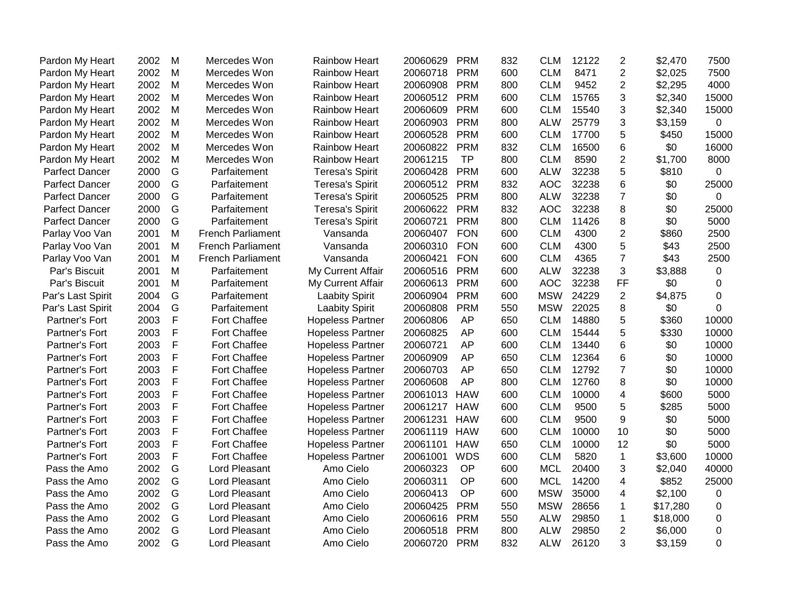| Pardon My Heart       | 2002 | M            | Mercedes Won             | <b>Rainbow Heart</b>    | 20060629 | <b>PRM</b> | 832 | <b>CLM</b> | 12122 | 2              | \$2,470  | 7500        |
|-----------------------|------|--------------|--------------------------|-------------------------|----------|------------|-----|------------|-------|----------------|----------|-------------|
| Pardon My Heart       | 2002 | M            | Mercedes Won             | <b>Rainbow Heart</b>    | 20060718 | <b>PRM</b> | 600 | <b>CLM</b> | 8471  | $\overline{2}$ | \$2,025  | 7500        |
| Pardon My Heart       | 2002 | M            | Mercedes Won             | <b>Rainbow Heart</b>    | 20060908 | <b>PRM</b> | 800 | <b>CLM</b> | 9452  | $\overline{2}$ | \$2,295  | 4000        |
| Pardon My Heart       | 2002 | M            | Mercedes Won             | <b>Rainbow Heart</b>    | 20060512 | <b>PRM</b> | 600 | <b>CLM</b> | 15765 | 3              | \$2,340  | 15000       |
| Pardon My Heart       | 2002 | M            | Mercedes Won             | <b>Rainbow Heart</b>    | 20060609 | <b>PRM</b> | 600 | <b>CLM</b> | 15540 | 3              | \$2,340  | 15000       |
| Pardon My Heart       | 2002 | M            | Mercedes Won             | <b>Rainbow Heart</b>    | 20060903 | <b>PRM</b> | 800 | <b>ALW</b> | 25779 | 3              | \$3,159  | 0           |
| Pardon My Heart       | 2002 | M            | Mercedes Won             | <b>Rainbow Heart</b>    | 20060528 | <b>PRM</b> | 600 | <b>CLM</b> | 17700 | 5              | \$450    | 15000       |
| Pardon My Heart       | 2002 | M            | Mercedes Won             | <b>Rainbow Heart</b>    | 20060822 | <b>PRM</b> | 832 | <b>CLM</b> | 16500 | 6              | \$0      | 16000       |
| Pardon My Heart       | 2002 | M            | Mercedes Won             | <b>Rainbow Heart</b>    | 20061215 | <b>TP</b>  | 800 | <b>CLM</b> | 8590  | $\overline{2}$ | \$1,700  | 8000        |
| <b>Parfect Dancer</b> | 2000 | G            | Parfaitement             | <b>Teresa's Spirit</b>  | 20060428 | <b>PRM</b> | 600 | <b>ALW</b> | 32238 | 5              | \$810    | 0           |
| Parfect Dancer        | 2000 | G            | Parfaitement             | <b>Teresa's Spirit</b>  | 20060512 | <b>PRM</b> | 832 | <b>AOC</b> | 32238 | 6              | \$0      | 25000       |
| <b>Parfect Dancer</b> | 2000 | G            | Parfaitement             | <b>Teresa's Spirit</b>  | 20060525 | <b>PRM</b> | 800 | <b>ALW</b> | 32238 | $\overline{7}$ | \$0      | $\mathbf 0$ |
| <b>Parfect Dancer</b> | 2000 | G            | Parfaitement             | <b>Teresa's Spirit</b>  | 20060622 | <b>PRM</b> | 832 | <b>AOC</b> | 32238 | 8              | \$0      | 25000       |
| <b>Parfect Dancer</b> | 2000 | G            | Parfaitement             | <b>Teresa's Spirit</b>  | 20060721 | <b>PRM</b> | 800 | <b>CLM</b> | 11426 | 8              | \$0      | 5000        |
| Parlay Voo Van        | 2001 | M            | <b>French Parliament</b> | Vansanda                | 20060407 | <b>FON</b> | 600 | <b>CLM</b> | 4300  | $\overline{2}$ | \$860    | 2500        |
| Parlay Voo Van        | 2001 | M            | <b>French Parliament</b> | Vansanda                | 20060310 | <b>FON</b> | 600 | <b>CLM</b> | 4300  | 5              | \$43     | 2500        |
| Parlay Voo Van        | 2001 | M            | <b>French Parliament</b> | Vansanda                | 20060421 | <b>FON</b> | 600 | <b>CLM</b> | 4365  | $\overline{7}$ | \$43     | 2500        |
| Par's Biscuit         | 2001 | M            | Parfaitement             | My Current Affair       | 20060516 | <b>PRM</b> | 600 | <b>ALW</b> | 32238 | 3              | \$3,888  | 0           |
| Par's Biscuit         | 2001 | M            | Parfaitement             | My Current Affair       | 20060613 | <b>PRM</b> | 600 | <b>AOC</b> | 32238 | FF             | \$0      | $\Omega$    |
| Par's Last Spirit     | 2004 | G            | Parfaitement             | <b>Laabity Spirit</b>   | 20060904 | <b>PRM</b> | 600 | <b>MSW</b> | 24229 | 2              | \$4,875  | $\Omega$    |
| Par's Last Spirit     | 2004 | G            | Parfaitement             | <b>Laabity Spirit</b>   | 20060808 | <b>PRM</b> | 550 | <b>MSW</b> | 22025 | 8              | \$0      | $\Omega$    |
| Partner's Fort        | 2003 | $\mathsf{F}$ | Fort Chaffee             | <b>Hopeless Partner</b> | 20060806 | <b>AP</b>  | 650 | <b>CLM</b> | 14880 | 5              | \$360    | 10000       |
| Partner's Fort        | 2003 | $\mathsf{F}$ | Fort Chaffee             | <b>Hopeless Partner</b> | 20060825 | AP         | 600 | <b>CLM</b> | 15444 | 5              | \$330    | 10000       |
| Partner's Fort        | 2003 | $\mathsf{F}$ | Fort Chaffee             | <b>Hopeless Partner</b> | 20060721 | AP         | 600 | <b>CLM</b> | 13440 | 6              | \$0      | 10000       |
| Partner's Fort        | 2003 | $\mathsf{F}$ | <b>Fort Chaffee</b>      | <b>Hopeless Partner</b> | 20060909 | AP         | 650 | <b>CLM</b> | 12364 | 6              | \$0      | 10000       |
| Partner's Fort        | 2003 | $\mathsf{F}$ | Fort Chaffee             | <b>Hopeless Partner</b> | 20060703 | AP         | 650 | <b>CLM</b> | 12792 | $\overline{7}$ | \$0      | 10000       |
| Partner's Fort        | 2003 | $\mathsf{F}$ | Fort Chaffee             | <b>Hopeless Partner</b> | 20060608 | AP         | 800 | <b>CLM</b> | 12760 | 8              | \$0      | 10000       |
| Partner's Fort        | 2003 | F            | Fort Chaffee             | <b>Hopeless Partner</b> | 20061013 | <b>HAW</b> | 600 | <b>CLM</b> | 10000 | $\overline{4}$ | \$600    | 5000        |
| Partner's Fort        | 2003 | $\mathsf{F}$ | Fort Chaffee             | <b>Hopeless Partner</b> | 20061217 | <b>HAW</b> | 600 | <b>CLM</b> | 9500  | 5              | \$285    | 5000        |
| Partner's Fort        | 2003 | $\mathsf{F}$ | Fort Chaffee             | <b>Hopeless Partner</b> | 20061231 | <b>HAW</b> | 600 | <b>CLM</b> | 9500  | 9              | \$0      | 5000        |
| Partner's Fort        | 2003 | F            | Fort Chaffee             | <b>Hopeless Partner</b> | 20061119 | <b>HAW</b> | 600 | <b>CLM</b> | 10000 | 10             | \$0      | 5000        |
| Partner's Fort        | 2003 | $\mathsf{F}$ | Fort Chaffee             | <b>Hopeless Partner</b> | 20061101 | <b>HAW</b> | 650 | <b>CLM</b> | 10000 | 12             | \$0      | 5000        |
| Partner's Fort        | 2003 | $\mathsf{F}$ | <b>Fort Chaffee</b>      | <b>Hopeless Partner</b> | 20061001 | <b>WDS</b> | 600 | <b>CLM</b> | 5820  | $\mathbf{1}$   | \$3,600  | 10000       |
| Pass the Amo          | 2002 | G            | Lord Pleasant            | Amo Cielo               | 20060323 | OP         | 600 | <b>MCL</b> | 20400 | 3              | \$2,040  | 40000       |
| Pass the Amo          | 2002 | G            | Lord Pleasant            | Amo Cielo               | 20060311 | OP         | 600 | <b>MCL</b> | 14200 | 4              | \$852    | 25000       |
| Pass the Amo          | 2002 | G            | Lord Pleasant            | Amo Cielo               | 20060413 | OP         | 600 | <b>MSW</b> | 35000 | 4              | \$2,100  | 0           |
| Pass the Amo          | 2002 | G            | Lord Pleasant            | Amo Cielo               | 20060425 | <b>PRM</b> | 550 | <b>MSW</b> | 28656 | 1              | \$17,280 | 0           |
| Pass the Amo          | 2002 | G            | Lord Pleasant            | Amo Cielo               | 20060616 | <b>PRM</b> | 550 | <b>ALW</b> | 29850 | $\mathbf 1$    | \$18,000 | 0           |
| Pass the Amo          | 2002 | G            | Lord Pleasant            | Amo Cielo               | 20060518 | <b>PRM</b> | 800 | <b>ALW</b> | 29850 | 2              | \$6,000  | 0           |
| Pass the Amo          | 2002 | G            | Lord Pleasant            | Amo Cielo               | 20060720 | <b>PRM</b> | 832 | <b>ALW</b> | 26120 | 3              | \$3,159  | $\Omega$    |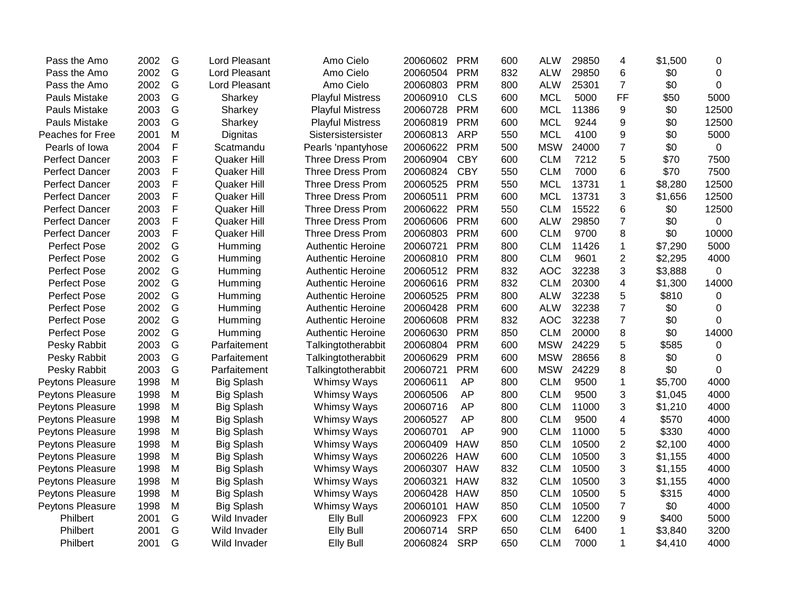| 2002<br>2002<br>2003<br>2003<br>2003 | G<br>G<br>G<br>G | Lord Pleasant<br>Lord Pleasant<br>Sharkey | Amo Cielo<br>Amo Cielo   | 20060504<br>20060803 | <b>PRM</b> | 832 | <b>ALW</b> | 29850 | 6              | \$0     | $\Omega$    |
|--------------------------------------|------------------|-------------------------------------------|--------------------------|----------------------|------------|-----|------------|-------|----------------|---------|-------------|
|                                      |                  |                                           |                          |                      |            |     |            |       |                |         |             |
|                                      |                  |                                           |                          |                      | <b>PRM</b> | 800 | <b>ALW</b> | 25301 | $\overline{7}$ | \$0     | $\Omega$    |
|                                      |                  |                                           | <b>Playful Mistress</b>  | 20060910             | <b>CLS</b> | 600 | <b>MCL</b> | 5000  | <b>FF</b>      | \$50    | 5000        |
|                                      |                  | Sharkey                                   | <b>Playful Mistress</b>  | 20060728             | <b>PRM</b> | 600 | <b>MCL</b> | 11386 | 9              | \$0     | 12500       |
|                                      | G                | Sharkey                                   | <b>Playful Mistress</b>  | 20060819             | <b>PRM</b> | 600 | <b>MCL</b> | 9244  | 9              | \$0     | 12500       |
| 2001                                 | M                | Dignitas                                  | Sistersistersister       | 20060813             | <b>ARP</b> | 550 | <b>MCL</b> | 4100  | 9              | \$0     | 5000        |
| 2004                                 | F                | Scatmandu                                 | Pearls 'npantyhose       | 20060622             | <b>PRM</b> | 500 | <b>MSW</b> | 24000 | $\overline{7}$ | \$0     | 0           |
| 2003                                 | F                | Quaker Hill                               | <b>Three Dress Prom</b>  | 20060904             | <b>CBY</b> | 600 | <b>CLM</b> | 7212  | 5              | \$70    | 7500        |
| 2003                                 | F                | Quaker Hill                               | Three Dress Prom         | 20060824             | <b>CBY</b> | 550 | <b>CLM</b> | 7000  | 6              | \$70    | 7500        |
| 2003                                 | F                | Quaker Hill                               | Three Dress Prom         | 20060525             | <b>PRM</b> | 550 | <b>MCL</b> | 13731 | 1              | \$8,280 | 12500       |
| 2003                                 | F                | Quaker Hill                               | <b>Three Dress Prom</b>  | 20060511             | <b>PRM</b> | 600 | <b>MCL</b> | 13731 | 3              | \$1,656 | 12500       |
| 2003                                 | F                | Quaker Hill                               | Three Dress Prom         | 20060622             | <b>PRM</b> | 550 | <b>CLM</b> | 15522 | 6              | \$0     | 12500       |
| 2003                                 | F                | <b>Quaker Hill</b>                        | Three Dress Prom         | 20060606             | <b>PRM</b> | 600 | <b>ALW</b> | 29850 | $\overline{7}$ | \$0     | 0           |
| 2003                                 | F                | <b>Quaker Hill</b>                        | <b>Three Dress Prom</b>  | 20060803             | <b>PRM</b> | 600 | <b>CLM</b> | 9700  | 8              | \$0     | 10000       |
| 2002                                 | G                | Humming                                   | <b>Authentic Heroine</b> | 20060721             | <b>PRM</b> | 800 | <b>CLM</b> | 11426 | 1              | \$7,290 | 5000        |
| 2002                                 | G                | Humming                                   | <b>Authentic Heroine</b> | 20060810             | <b>PRM</b> | 800 | <b>CLM</b> | 9601  | $\overline{2}$ | \$2,295 | 4000        |
| 2002                                 | G                | Humming                                   | <b>Authentic Heroine</b> | 20060512             | <b>PRM</b> | 832 | <b>AOC</b> | 32238 | 3              | \$3,888 | $\mathbf 0$ |
| 2002                                 | G                | Humming                                   | <b>Authentic Heroine</b> | 20060616             | <b>PRM</b> | 832 | <b>CLM</b> | 20300 | 4              | \$1,300 | 14000       |
| 2002                                 | G                | Humming                                   | <b>Authentic Heroine</b> | 20060525             | <b>PRM</b> | 800 | <b>ALW</b> | 32238 | 5              | \$810   | 0           |
| 2002                                 | G                | Humming                                   | Authentic Heroine        | 20060428             | <b>PRM</b> | 600 | <b>ALW</b> | 32238 | $\overline{7}$ | \$0     | $\Omega$    |
| 2002                                 | G                | Humming                                   | <b>Authentic Heroine</b> | 20060608             | <b>PRM</b> | 832 | <b>AOC</b> | 32238 | $\overline{7}$ | \$0     | $\Omega$    |
| 2002                                 | G                | Humming                                   | <b>Authentic Heroine</b> | 20060630             | <b>PRM</b> | 850 | <b>CLM</b> | 20000 | 8              | \$0     | 14000       |
| 2003                                 | G                | Parfaitement                              | Talkingtotherabbit       | 20060804             | <b>PRM</b> | 600 | <b>MSW</b> | 24229 | 5              | \$585   | 0           |
| 2003                                 | G                | Parfaitement                              | Talkingtotherabbit       | 20060629             | <b>PRM</b> | 600 | <b>MSW</b> | 28656 | 8              | \$0     | 0           |
| 2003                                 | G                | Parfaitement                              | Talkingtotherabbit       | 20060721             | <b>PRM</b> | 600 | <b>MSW</b> | 24229 | 8              | \$0     | $\Omega$    |
| 1998                                 | M                | <b>Big Splash</b>                         | Whimsy Ways              | 20060611             | <b>AP</b>  | 800 | <b>CLM</b> | 9500  | 1              | \$5,700 | 4000        |
| 1998                                 | M                | <b>Big Splash</b>                         | Whimsy Ways              | 20060506             | AP         | 800 | <b>CLM</b> | 9500  | 3              | \$1,045 | 4000        |
| 1998                                 | M                | <b>Big Splash</b>                         | Whimsy Ways              | 20060716             | AP         | 800 | <b>CLM</b> | 11000 | 3              | \$1,210 | 4000        |
| 1998                                 | M                | <b>Big Splash</b>                         | Whimsy Ways              | 20060527             | <b>AP</b>  | 800 | <b>CLM</b> | 9500  | 4              | \$570   | 4000        |
| 1998                                 | M                | <b>Big Splash</b>                         | Whimsy Ways              | 20060701             | AP         | 900 | <b>CLM</b> | 11000 | 5              | \$330   | 4000        |
| 1998                                 | M                | <b>Big Splash</b>                         | Whimsy Ways              | 20060409             | <b>HAW</b> | 850 | <b>CLM</b> | 10500 | $\overline{2}$ | \$2,100 | 4000        |
| 1998                                 | M                | <b>Big Splash</b>                         | Whimsy Ways              | 20060226             | <b>HAW</b> | 600 | <b>CLM</b> | 10500 | 3              | \$1,155 | 4000        |
| 1998                                 | M                | <b>Big Splash</b>                         |                          | 20060307             | <b>HAW</b> | 832 | <b>CLM</b> | 10500 | 3              | \$1,155 | 4000        |
| 1998                                 | M                | <b>Big Splash</b>                         | Whimsy Ways              | 20060321             | <b>HAW</b> | 832 | <b>CLM</b> | 10500 | 3              | \$1,155 | 4000        |
| 1998                                 | M                | <b>Big Splash</b>                         | Whimsy Ways              | 20060428             | <b>HAW</b> | 850 | <b>CLM</b> | 10500 | 5              | \$315   | 4000        |
| 1998                                 | M                | <b>Big Splash</b>                         | Whimsy Ways              | 20060101             | <b>HAW</b> | 850 | <b>CLM</b> | 10500 | $\overline{7}$ | \$0     | 4000        |
| 2001                                 | G                | Wild Invader                              | <b>Elly Bull</b>         | 20060923             | <b>FPX</b> | 600 | <b>CLM</b> | 12200 | 9              | \$400   | 5000        |
| 2001                                 | G                | Wild Invader                              | Elly Bull                | 20060714             | <b>SRP</b> | 650 | <b>CLM</b> | 6400  | 1              | \$3,840 | 3200        |
| 2001                                 | G                | Wild Invader                              | <b>Elly Bull</b>         | 20060824             | <b>SRP</b> | 650 | <b>CLM</b> | 7000  | 1              | \$4,410 | 4000        |
|                                      |                  |                                           |                          | Whimsy Ways          |            |     |            |       |                |         |             |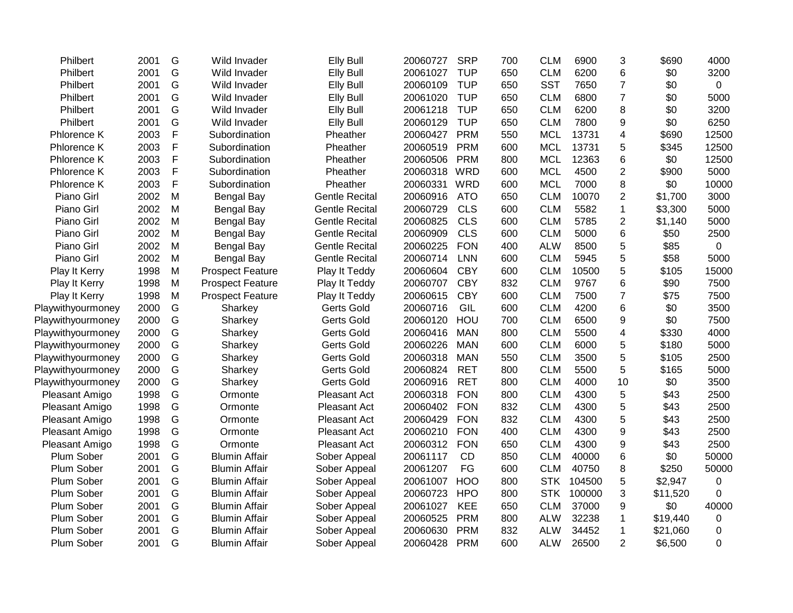| Philbert           | 2001 | G           | Wild Invader            | <b>Elly Bull</b>      | 20060727 | <b>SRP</b> | 700 | <b>CLM</b> | 6900   | 3                       | \$690    | 4000           |
|--------------------|------|-------------|-------------------------|-----------------------|----------|------------|-----|------------|--------|-------------------------|----------|----------------|
| Philbert           | 2001 | G           | Wild Invader            | <b>Elly Bull</b>      | 20061027 | <b>TUP</b> | 650 | <b>CLM</b> | 6200   | 6                       | \$0      | 3200           |
| Philbert           | 2001 | G           | Wild Invader            | <b>Elly Bull</b>      | 20060109 | <b>TUP</b> | 650 | <b>SST</b> | 7650   | $\overline{7}$          | \$0      | $\overline{0}$ |
| Philbert           | 2001 | G           | Wild Invader            | <b>Elly Bull</b>      | 20061020 | <b>TUP</b> | 650 | <b>CLM</b> | 6800   | $\overline{7}$          | \$0      | 5000           |
| Philbert           | 2001 | G           | Wild Invader            | <b>Elly Bull</b>      | 20061218 | <b>TUP</b> | 650 | <b>CLM</b> | 6200   | 8                       | \$0      | 3200           |
| Philbert           | 2001 | G           | Wild Invader            | <b>Elly Bull</b>      | 20060129 | <b>TUP</b> | 650 | <b>CLM</b> | 7800   | 9                       | \$0      | 6250           |
| Phlorence K        | 2003 | F           | Subordination           | Pheather              | 20060427 | <b>PRM</b> | 550 | <b>MCL</b> | 13731  | $\overline{\mathbf{4}}$ | \$690    | 12500          |
| Phlorence K        | 2003 | F           | Subordination           | Pheather              | 20060519 | <b>PRM</b> | 600 | <b>MCL</b> | 13731  | 5                       | \$345    | 12500          |
| <b>Phlorence K</b> | 2003 | F           | Subordination           | Pheather              | 20060506 | <b>PRM</b> | 800 | <b>MCL</b> | 12363  | 6                       | \$0      | 12500          |
| Phlorence K        | 2003 | F           | Subordination           | Pheather              | 20060318 | <b>WRD</b> | 600 | <b>MCL</b> | 4500   | $\overline{c}$          | \$900    | 5000           |
| Phlorence K        | 2003 | $\mathsf F$ | Subordination           | Pheather              | 20060331 | <b>WRD</b> | 600 | <b>MCL</b> | 7000   | 8                       | \$0      | 10000          |
| Piano Girl         | 2002 | M           | <b>Bengal Bay</b>       | <b>Gentle Recital</b> | 20060916 | <b>ATO</b> | 650 | <b>CLM</b> | 10070  | $\overline{2}$          | \$1,700  | 3000           |
| Piano Girl         | 2002 | M           | Bengal Bay              | <b>Gentle Recital</b> | 20060729 | <b>CLS</b> | 600 | <b>CLM</b> | 5582   | 1                       | \$3,300  | 5000           |
| Piano Girl         | 2002 | M           | <b>Bengal Bay</b>       | <b>Gentle Recital</b> | 20060825 | <b>CLS</b> | 600 | <b>CLM</b> | 5785   | $\overline{2}$          | \$1,140  | 5000           |
| Piano Girl         | 2002 | M           | Bengal Bay              | <b>Gentle Recital</b> | 20060909 | <b>CLS</b> | 600 | <b>CLM</b> | 5000   | 6                       | \$50     | 2500           |
| Piano Girl         | 2002 | M           | <b>Bengal Bay</b>       | <b>Gentle Recital</b> | 20060225 | <b>FON</b> | 400 | <b>ALW</b> | 8500   | 5                       | \$85     | $\mathbf 0$    |
| Piano Girl         | 2002 | M           | <b>Bengal Bay</b>       | <b>Gentle Recital</b> | 20060714 | <b>LNN</b> | 600 | <b>CLM</b> | 5945   | 5                       | \$58     | 5000           |
| Play It Kerry      | 1998 | M           | <b>Prospect Feature</b> | Play It Teddy         | 20060604 | <b>CBY</b> | 600 | <b>CLM</b> | 10500  | 5                       | \$105    | 15000          |
| Play It Kerry      | 1998 | M           | <b>Prospect Feature</b> | Play It Teddy         | 20060707 | <b>CBY</b> | 832 | <b>CLM</b> | 9767   | 6                       | \$90     | 7500           |
| Play It Kerry      | 1998 | M           | <b>Prospect Feature</b> | Play It Teddy         | 20060615 | <b>CBY</b> | 600 | <b>CLM</b> | 7500   | $\overline{7}$          | \$75     | 7500           |
| Playwithyourmoney  | 2000 | G           | Sharkey                 | <b>Gerts Gold</b>     | 20060716 | GIL        | 600 | <b>CLM</b> | 4200   | 6                       | \$0      | 3500           |
| Playwithyourmoney  | 2000 | G           | Sharkey                 | <b>Gerts Gold</b>     | 20060120 | HOU        | 700 | <b>CLM</b> | 6500   | 9                       | \$0      | 7500           |
| Playwithyourmoney  | 2000 | G           | Sharkey                 | <b>Gerts Gold</b>     | 20060416 | <b>MAN</b> | 800 | <b>CLM</b> | 5500   | $\overline{\mathbf{4}}$ | \$330    | 4000           |
| Playwithyourmoney  | 2000 | G           | Sharkey                 | <b>Gerts Gold</b>     | 20060226 | <b>MAN</b> | 600 | <b>CLM</b> | 6000   | 5                       | \$180    | 5000           |
| Playwithyourmoney  | 2000 | G           | Sharkey                 | <b>Gerts Gold</b>     | 20060318 | <b>MAN</b> | 550 | <b>CLM</b> | 3500   | 5                       | \$105    | 2500           |
| Playwithyourmoney  | 2000 | G           | Sharkey                 | <b>Gerts Gold</b>     | 20060824 | <b>RET</b> | 800 | <b>CLM</b> | 5500   | 5                       | \$165    | 5000           |
| Playwithyourmoney  | 2000 | G           | Sharkey                 | <b>Gerts Gold</b>     | 20060916 | <b>RET</b> | 800 | <b>CLM</b> | 4000   | 10                      | \$0      | 3500           |
| Pleasant Amigo     | 1998 | G           | Ormonte                 | <b>Pleasant Act</b>   | 20060318 | <b>FON</b> | 800 | <b>CLM</b> | 4300   | 5                       | \$43     | 2500           |
| Pleasant Amigo     | 1998 | G           | Ormonte                 | <b>Pleasant Act</b>   | 20060402 | <b>FON</b> | 832 | <b>CLM</b> | 4300   | 5                       | \$43     | 2500           |
| Pleasant Amigo     | 1998 | G           | Ormonte                 | <b>Pleasant Act</b>   | 20060429 | <b>FON</b> | 832 | <b>CLM</b> | 4300   | 5                       | \$43     | 2500           |
| Pleasant Amigo     | 1998 | G           | Ormonte                 | Pleasant Act          | 20060210 | <b>FON</b> | 400 | <b>CLM</b> | 4300   | 9                       | \$43     | 2500           |
| Pleasant Amigo     | 1998 | G           | Ormonte                 | Pleasant Act          | 20060312 | <b>FON</b> | 650 | <b>CLM</b> | 4300   | 9                       | \$43     | 2500           |
| Plum Sober         | 2001 | G           | <b>Blumin Affair</b>    | Sober Appeal          | 20061117 | CD         | 850 | <b>CLM</b> | 40000  | 6                       | \$0      | 50000          |
| Plum Sober         | 2001 | G           | <b>Blumin Affair</b>    | Sober Appeal          | 20061207 | FG         | 600 | <b>CLM</b> | 40750  | 8                       | \$250    | 50000          |
| Plum Sober         | 2001 | G           | <b>Blumin Affair</b>    | Sober Appeal          | 20061007 | HOO        | 800 | <b>STK</b> | 104500 | 5                       | \$2,947  | $\mathbf 0$    |
| Plum Sober         | 2001 | G           | <b>Blumin Affair</b>    | Sober Appeal          | 20060723 | <b>HPO</b> | 800 | <b>STK</b> | 100000 | 3                       | \$11,520 | $\Omega$       |
| Plum Sober         | 2001 | G           | <b>Blumin Affair</b>    | Sober Appeal          | 20061027 | KEE        | 650 | <b>CLM</b> | 37000  | 9                       | \$0      | 40000          |
| Plum Sober         | 2001 | G           | <b>Blumin Affair</b>    | Sober Appeal          | 20060525 | <b>PRM</b> | 800 | <b>ALW</b> | 32238  | 1                       | \$19,440 | 0              |
| Plum Sober         | 2001 | G           | <b>Blumin Affair</b>    | Sober Appeal          | 20060630 | <b>PRM</b> | 832 | <b>ALW</b> | 34452  | 1                       | \$21,060 | 0              |
| Plum Sober         | 2001 | G           | <b>Blumin Affair</b>    | Sober Appeal          | 20060428 | <b>PRM</b> | 600 | <b>ALW</b> | 26500  | $\overline{2}$          | \$6,500  | 0              |
|                    |      |             |                         |                       |          |            |     |            |        |                         |          |                |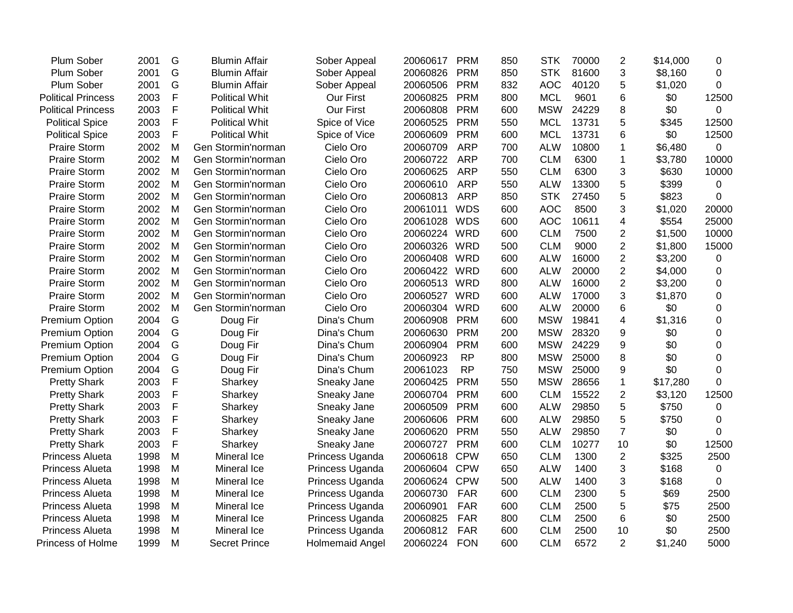| Plum Sober                | 2001 | G            | <b>Blumin Affair</b>  | Sober Appeal           | 20060617     | <b>PRM</b> | 850 | <b>STK</b> | 70000 | $\overline{2}$ | \$14,000 | 0        |
|---------------------------|------|--------------|-----------------------|------------------------|--------------|------------|-----|------------|-------|----------------|----------|----------|
| Plum Sober                | 2001 | G            | <b>Blumin Affair</b>  | Sober Appeal           | 20060826     | <b>PRM</b> | 850 | <b>STK</b> | 81600 | 3              | \$8,160  | 0        |
| Plum Sober                | 2001 | G            | <b>Blumin Affair</b>  | Sober Appeal           | 20060506     | <b>PRM</b> | 832 | <b>AOC</b> | 40120 | 5              | \$1,020  | 0        |
| <b>Political Princess</b> | 2003 | F            | <b>Political Whit</b> | Our First              | 20060825     | <b>PRM</b> | 800 | <b>MCL</b> | 9601  | 6              | \$0      | 12500    |
| <b>Political Princess</b> | 2003 | F            | <b>Political Whit</b> | <b>Our First</b>       | 20060808     | <b>PRM</b> | 600 | <b>MSW</b> | 24229 | 8              | \$0      | 0        |
| <b>Political Spice</b>    | 2003 | F            | <b>Political Whit</b> | Spice of Vice          | 20060525     | <b>PRM</b> | 550 | <b>MCL</b> | 13731 | 5              | \$345    | 12500    |
| <b>Political Spice</b>    | 2003 | F            | <b>Political Whit</b> | Spice of Vice          | 20060609     | <b>PRM</b> | 600 | <b>MCL</b> | 13731 | 6              | \$0      | 12500    |
| <b>Praire Storm</b>       | 2002 | M            | Gen Stormin'norman    | Cielo Oro              | 20060709     | <b>ARP</b> | 700 | <b>ALW</b> | 10800 | 1              | \$6,480  | 0        |
| <b>Praire Storm</b>       | 2002 | M            | Gen Stormin'norman    | Cielo Oro              | 20060722     | <b>ARP</b> | 700 | <b>CLM</b> | 6300  | 1              | \$3,780  | 10000    |
| <b>Praire Storm</b>       | 2002 | M            | Gen Stormin'norman    | Cielo Oro              | 20060625     | <b>ARP</b> | 550 | <b>CLM</b> | 6300  | 3              | \$630    | 10000    |
| <b>Praire Storm</b>       | 2002 | M            | Gen Stormin'norman    | Cielo Oro              | 20060610     | <b>ARP</b> | 550 | <b>ALW</b> | 13300 | 5              | \$399    | 0        |
| <b>Praire Storm</b>       | 2002 | M            | Gen Stormin'norman    | Cielo Oro              | 20060813     | <b>ARP</b> | 850 | <b>STK</b> | 27450 | 5              | \$823    | $\Omega$ |
| <b>Praire Storm</b>       | 2002 | M            | Gen Stormin'norman    | Cielo Oro              | 20061011     | <b>WDS</b> | 600 | <b>AOC</b> | 8500  | 3              | \$1,020  | 20000    |
| <b>Praire Storm</b>       | 2002 | M            | Gen Stormin'norman    | Cielo Oro              | 20061028     | <b>WDS</b> | 600 | <b>AOC</b> | 10611 | 4              | \$554    | 25000    |
| <b>Praire Storm</b>       | 2002 | M            | Gen Stormin'norman    | Cielo Oro              | 20060224     | WRD        | 600 | <b>CLM</b> | 7500  | 2              | \$1,500  | 10000    |
| <b>Praire Storm</b>       | 2002 | M            | Gen Stormin'norman    | Cielo Oro              | 20060326     | <b>WRD</b> | 500 | <b>CLM</b> | 9000  | 2              | \$1,800  | 15000    |
| <b>Praire Storm</b>       | 2002 | M            | Gen Stormin'norman    | Cielo Oro              | 20060408     | <b>WRD</b> | 600 | <b>ALW</b> | 16000 | $\overline{2}$ | \$3,200  | 0        |
| <b>Praire Storm</b>       | 2002 | M            | Gen Stormin'norman    | Cielo Oro              | 20060422     | WRD        | 600 | <b>ALW</b> | 20000 | $\overline{2}$ | \$4,000  | 0        |
| <b>Praire Storm</b>       | 2002 | M            | Gen Stormin'norman    | Cielo Oro              | 20060513 WRD |            | 800 | <b>ALW</b> | 16000 | $\overline{2}$ | \$3,200  | 0        |
| <b>Praire Storm</b>       | 2002 | M            | Gen Stormin'norman    | Cielo Oro              | 20060527     | WRD        | 600 | <b>ALW</b> | 17000 | 3              | \$1,870  | 0        |
| <b>Praire Storm</b>       | 2002 | M            | Gen Stormin'norman    | Cielo Oro              | 20060304     | <b>WRD</b> | 600 | <b>ALW</b> | 20000 | 6              | \$0      | 0        |
| Premium Option            | 2004 | G            | Doug Fir              | Dina's Chum            | 20060908     | <b>PRM</b> | 600 | <b>MSW</b> | 19841 | 4              | \$1,316  | 0        |
| <b>Premium Option</b>     | 2004 | G            | Doug Fir              | Dina's Chum            | 20060630     | <b>PRM</b> | 200 | <b>MSW</b> | 28320 | 9              | \$0      | 0        |
| <b>Premium Option</b>     | 2004 | G            | Doug Fir              | Dina's Chum            | 20060904     | <b>PRM</b> | 600 | <b>MSW</b> | 24229 | 9              | \$0      | 0        |
| <b>Premium Option</b>     | 2004 | G            | Doug Fir              | Dina's Chum            | 20060923     | <b>RP</b>  | 800 | <b>MSW</b> | 25000 | 8              | \$0      | 0        |
| Premium Option            | 2004 | G            | Doug Fir              | Dina's Chum            | 20061023     | <b>RP</b>  | 750 | <b>MSW</b> | 25000 | 9              | \$0      | 0        |
| <b>Pretty Shark</b>       | 2003 | $\mathsf{F}$ | Sharkey               | Sneaky Jane            | 20060425     | <b>PRM</b> | 550 | <b>MSW</b> | 28656 | 1              | \$17,280 | $\Omega$ |
| <b>Pretty Shark</b>       | 2003 | $\mathsf{F}$ | Sharkey               | Sneaky Jane            | 20060704     | <b>PRM</b> | 600 | <b>CLM</b> | 15522 | 2              | \$3,120  | 12500    |
| <b>Pretty Shark</b>       | 2003 | F            | Sharkey               | Sneaky Jane            | 20060509     | <b>PRM</b> | 600 | <b>ALW</b> | 29850 | 5              | \$750    | 0        |
| <b>Pretty Shark</b>       | 2003 | F            | Sharkey               | Sneaky Jane            | 20060606     | <b>PRM</b> | 600 | <b>ALW</b> | 29850 | 5              | \$750    | 0        |
| <b>Pretty Shark</b>       | 2003 | F            | Sharkey               | Sneaky Jane            | 20060620     | <b>PRM</b> | 550 | <b>ALW</b> | 29850 | $\overline{7}$ | \$0      | $\Omega$ |
| <b>Pretty Shark</b>       | 2003 | $\mathsf F$  | Sharkey               | Sneaky Jane            | 20060727     | <b>PRM</b> | 600 | <b>CLM</b> | 10277 | 10             | \$0      | 12500    |
| <b>Princess Alueta</b>    | 1998 | M            | Mineral Ice           | Princess Uganda        | 20060618     | <b>CPW</b> | 650 | <b>CLM</b> | 1300  | $\overline{2}$ | \$325    | 2500     |
| <b>Princess Alueta</b>    | 1998 | M            | Mineral Ice           | Princess Uganda        | 20060604     | <b>CPW</b> | 650 | <b>ALW</b> | 1400  | 3              | \$168    | 0        |
| Princess Alueta           | 1998 | M            | Mineral Ice           | Princess Uganda        | 20060624     | <b>CPW</b> | 500 | <b>ALW</b> | 1400  | 3              | \$168    | 0        |
| <b>Princess Alueta</b>    | 1998 | M            | Mineral Ice           | Princess Uganda        | 20060730     | <b>FAR</b> | 600 | <b>CLM</b> | 2300  | 5              | \$69     | 2500     |
| <b>Princess Alueta</b>    | 1998 | M            | Mineral Ice           | Princess Uganda        | 20060901     | <b>FAR</b> | 600 | <b>CLM</b> | 2500  | 5              | \$75     | 2500     |
| <b>Princess Alueta</b>    | 1998 | M            | Mineral Ice           | Princess Uganda        | 20060825     | <b>FAR</b> | 800 | <b>CLM</b> | 2500  | 6              | \$0      | 2500     |
| <b>Princess Alueta</b>    | 1998 | M            | Mineral Ice           | Princess Uganda        | 20060812     | <b>FAR</b> | 600 | <b>CLM</b> | 2500  | 10             | \$0      | 2500     |
| <b>Princess of Holme</b>  | 1999 | M            | <b>Secret Prince</b>  | <b>Holmemaid Angel</b> | 20060224     | <b>FON</b> | 600 | <b>CLM</b> | 6572  | $\overline{2}$ | \$1,240  | 5000     |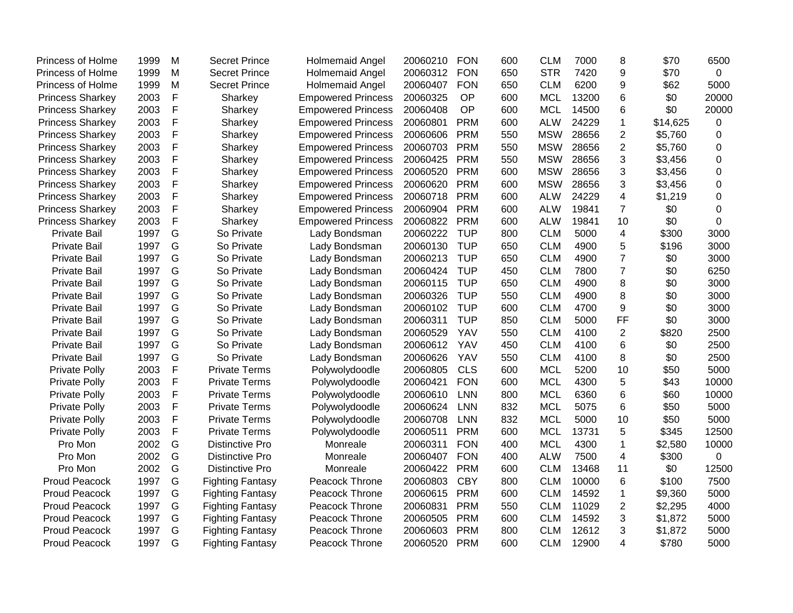| <b>Princess of Holme</b> | 1999 | M           | <b>Secret Prince</b>    | Holmemaid Angel           | 20060210 | <b>FON</b> | 600 | <b>CLM</b> | 7000  | 8                       | \$70     | 6500           |
|--------------------------|------|-------------|-------------------------|---------------------------|----------|------------|-----|------------|-------|-------------------------|----------|----------------|
| <b>Princess of Holme</b> | 1999 | M           | <b>Secret Prince</b>    | <b>Holmemaid Angel</b>    | 20060312 | <b>FON</b> | 650 | <b>STR</b> | 7420  | 9                       | \$70     | $\mathbf 0$    |
| <b>Princess of Holme</b> | 1999 | M           | <b>Secret Prince</b>    | Holmemaid Angel           | 20060407 | <b>FON</b> | 650 | <b>CLM</b> | 6200  | 9                       | \$62     | 5000           |
| <b>Princess Sharkey</b>  | 2003 | F           | Sharkey                 | <b>Empowered Princess</b> | 20060325 | OP         | 600 | <b>MCL</b> | 13200 | 6                       | \$0      | 20000          |
| <b>Princess Sharkey</b>  | 2003 | $\mathsf F$ | Sharkey                 | <b>Empowered Princess</b> | 20060408 | OP         | 600 | <b>MCL</b> | 14500 | 6                       | \$0      | 20000          |
| <b>Princess Sharkey</b>  | 2003 | F           | Sharkey                 | <b>Empowered Princess</b> | 20060801 | <b>PRM</b> | 600 | <b>ALW</b> | 24229 | $\mathbf{1}$            | \$14,625 | 0              |
| <b>Princess Sharkey</b>  | 2003 | F           | Sharkey                 | <b>Empowered Princess</b> | 20060606 | <b>PRM</b> | 550 | <b>MSW</b> | 28656 | $\overline{2}$          | \$5,760  | $\mathbf 0$    |
| <b>Princess Sharkey</b>  | 2003 | $\mathsf F$ | Sharkey                 | <b>Empowered Princess</b> | 20060703 | <b>PRM</b> | 550 | <b>MSW</b> | 28656 | $\overline{2}$          | \$5,760  | 0              |
| <b>Princess Sharkey</b>  | 2003 | $\mathsf F$ | Sharkey                 | <b>Empowered Princess</b> | 20060425 | <b>PRM</b> | 550 | <b>MSW</b> | 28656 | 3                       | \$3,456  | $\mathbf 0$    |
| <b>Princess Sharkey</b>  | 2003 | $\mathsf F$ | Sharkey                 | <b>Empowered Princess</b> | 20060520 | <b>PRM</b> | 600 | <b>MSW</b> | 28656 | 3                       | \$3,456  | $\overline{0}$ |
| <b>Princess Sharkey</b>  | 2003 | $\mathsf F$ | Sharkey                 | <b>Empowered Princess</b> | 20060620 | <b>PRM</b> | 600 | <b>MSW</b> | 28656 | 3                       | \$3,456  | $\Omega$       |
| <b>Princess Sharkey</b>  | 2003 | $\mathsf F$ | Sharkey                 | <b>Empowered Princess</b> | 20060718 | <b>PRM</b> | 600 | <b>ALW</b> | 24229 | $\overline{4}$          | \$1,219  | $\overline{0}$ |
| <b>Princess Sharkey</b>  | 2003 | $\mathsf F$ | Sharkey                 | <b>Empowered Princess</b> | 20060904 | <b>PRM</b> | 600 | <b>ALW</b> | 19841 | $\overline{7}$          | \$0      | $\Omega$       |
| <b>Princess Sharkey</b>  | 2003 | $\mathsf F$ | Sharkey                 | <b>Empowered Princess</b> | 20060822 | <b>PRM</b> | 600 | <b>ALW</b> | 19841 | 10                      | \$0      | $\Omega$       |
| <b>Private Bail</b>      | 1997 | G           | So Private              | Lady Bondsman             | 20060222 | <b>TUP</b> | 800 | <b>CLM</b> | 5000  | $\overline{\mathbf{4}}$ | \$300    | 3000           |
| <b>Private Bail</b>      | 1997 | G           | So Private              | Lady Bondsman             | 20060130 | <b>TUP</b> | 650 | <b>CLM</b> | 4900  | 5                       | \$196    | 3000           |
| <b>Private Bail</b>      | 1997 | G           | So Private              | Lady Bondsman             | 20060213 | <b>TUP</b> | 650 | <b>CLM</b> | 4900  | $\overline{7}$          | \$0      | 3000           |
| <b>Private Bail</b>      | 1997 | G           | So Private              | Lady Bondsman             | 20060424 | <b>TUP</b> | 450 | <b>CLM</b> | 7800  | $\overline{7}$          | \$0      | 6250           |
| <b>Private Bail</b>      | 1997 | G           | So Private              | Lady Bondsman             | 20060115 | <b>TUP</b> | 650 | <b>CLM</b> | 4900  | 8                       | \$0      | 3000           |
| <b>Private Bail</b>      | 1997 | G           | So Private              | Lady Bondsman             | 20060326 | <b>TUP</b> | 550 | <b>CLM</b> | 4900  | 8                       | \$0      | 3000           |
| <b>Private Bail</b>      | 1997 | G           | So Private              | Lady Bondsman             | 20060102 | <b>TUP</b> | 600 | <b>CLM</b> | 4700  | 9                       | \$0      | 3000           |
| <b>Private Bail</b>      | 1997 | G           | So Private              | Lady Bondsman             | 20060311 | <b>TUP</b> | 850 | <b>CLM</b> | 5000  | FF                      | \$0      | 3000           |
| <b>Private Bail</b>      | 1997 | G           | So Private              | Lady Bondsman             | 20060529 | <b>YAV</b> | 550 | <b>CLM</b> | 4100  | $\overline{2}$          | \$820    | 2500           |
| <b>Private Bail</b>      | 1997 | G           | So Private              | Lady Bondsman             | 20060612 | <b>YAV</b> | 450 | <b>CLM</b> | 4100  | 6                       | \$0      | 2500           |
| <b>Private Bail</b>      | 1997 | G           | So Private              | Lady Bondsman             | 20060626 | <b>YAV</b> | 550 | <b>CLM</b> | 4100  | 8                       | \$0      | 2500           |
| <b>Private Polly</b>     | 2003 | F           | <b>Private Terms</b>    | Polywolydoodle            | 20060805 | <b>CLS</b> | 600 | <b>MCL</b> | 5200  | 10                      | \$50     | 5000           |
| <b>Private Polly</b>     | 2003 | F           | <b>Private Terms</b>    | Polywolydoodle            | 20060421 | <b>FON</b> | 600 | <b>MCL</b> | 4300  | 5                       | \$43     | 10000          |
| <b>Private Polly</b>     | 2003 | $\mathsf F$ | <b>Private Terms</b>    | Polywolydoodle            | 20060610 | <b>LNN</b> | 800 | <b>MCL</b> | 6360  | 6                       | \$60     | 10000          |
| <b>Private Polly</b>     | 2003 | F           | <b>Private Terms</b>    | Polywolydoodle            | 20060624 | <b>LNN</b> | 832 | <b>MCL</b> | 5075  | 6                       | \$50     | 5000           |
| <b>Private Polly</b>     | 2003 | F           | <b>Private Terms</b>    | Polywolydoodle            | 20060708 | <b>LNN</b> | 832 | <b>MCL</b> | 5000  | 10                      | \$50     | 5000           |
| Private Polly            | 2003 | F           | <b>Private Terms</b>    | Polywolydoodle            | 20060511 | <b>PRM</b> | 600 | <b>MCL</b> | 13731 | 5                       | \$345    | 12500          |
| Pro Mon                  | 2002 | G           | <b>Distinctive Pro</b>  | Monreale                  | 20060311 | <b>FON</b> | 400 | <b>MCL</b> | 4300  | $\mathbf{1}$            | \$2,580  | 10000          |
| Pro Mon                  | 2002 | G           | <b>Distinctive Pro</b>  | Monreale                  | 20060407 | <b>FON</b> | 400 | <b>ALW</b> | 7500  | 4                       | \$300    | $\Omega$       |
| Pro Mon                  | 2002 | G           | <b>Distinctive Pro</b>  | Monreale                  | 20060422 | <b>PRM</b> | 600 | <b>CLM</b> | 13468 | 11                      | \$0      | 12500          |
| <b>Proud Peacock</b>     | 1997 | G           | <b>Fighting Fantasy</b> | Peacock Throne            | 20060803 | <b>CBY</b> | 800 | <b>CLM</b> | 10000 | 6                       | \$100    | 7500           |
| <b>Proud Peacock</b>     | 1997 | G           | <b>Fighting Fantasy</b> | Peacock Throne            | 20060615 | <b>PRM</b> | 600 | <b>CLM</b> | 14592 | $\mathbf 1$             | \$9,360  | 5000           |
| <b>Proud Peacock</b>     | 1997 | G           | <b>Fighting Fantasy</b> | Peacock Throne            | 20060831 | <b>PRM</b> | 550 | <b>CLM</b> | 11029 | $\overline{2}$          | \$2,295  | 4000           |
| <b>Proud Peacock</b>     | 1997 | G           | <b>Fighting Fantasy</b> | Peacock Throne            | 20060505 | <b>PRM</b> | 600 | <b>CLM</b> | 14592 | 3                       | \$1,872  | 5000           |
| <b>Proud Peacock</b>     | 1997 | G           | <b>Fighting Fantasy</b> | Peacock Throne            | 20060603 | <b>PRM</b> | 800 | <b>CLM</b> | 12612 | 3                       | \$1,872  | 5000           |
| <b>Proud Peacock</b>     | 1997 | G           | <b>Fighting Fantasy</b> | Peacock Throne            | 20060520 | <b>PRM</b> | 600 | <b>CLM</b> | 12900 | 4                       | \$780    | 5000           |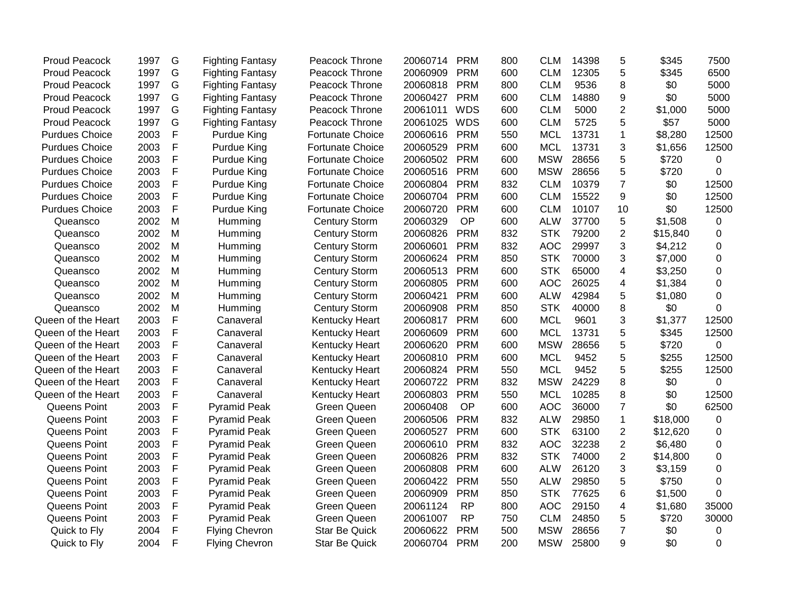| <b>Proud Peacock</b>  | 1997 | G | <b>Fighting Fantasy</b> | Peacock Throne          | 20060714 | <b>PRM</b> | 800 | <b>CLM</b> | 14398 | 5              | \$345    | 7500        |
|-----------------------|------|---|-------------------------|-------------------------|----------|------------|-----|------------|-------|----------------|----------|-------------|
| <b>Proud Peacock</b>  | 1997 | G | <b>Fighting Fantasy</b> | Peacock Throne          | 20060909 | <b>PRM</b> | 600 | <b>CLM</b> | 12305 | 5              | \$345    | 6500        |
| <b>Proud Peacock</b>  | 1997 | G | <b>Fighting Fantasy</b> | Peacock Throne          | 20060818 | <b>PRM</b> | 800 | <b>CLM</b> | 9536  | 8              | \$0      | 5000        |
| <b>Proud Peacock</b>  | 1997 | G | <b>Fighting Fantasy</b> | Peacock Throne          | 20060427 | <b>PRM</b> | 600 | <b>CLM</b> | 14880 | 9              | \$0      | 5000        |
| <b>Proud Peacock</b>  | 1997 | G | <b>Fighting Fantasy</b> | Peacock Throne          | 20061011 | <b>WDS</b> | 600 | <b>CLM</b> | 5000  | $\overline{2}$ | \$1,000  | 5000        |
| <b>Proud Peacock</b>  | 1997 | G | <b>Fighting Fantasy</b> | Peacock Throne          | 20061025 | <b>WDS</b> | 600 | <b>CLM</b> | 5725  | 5              | \$57     | 5000        |
| <b>Purdues Choice</b> | 2003 | F | Purdue King             | <b>Fortunate Choice</b> | 20060616 | <b>PRM</b> | 550 | <b>MCL</b> | 13731 | $\mathbf{1}$   | \$8,280  | 12500       |
| <b>Purdues Choice</b> | 2003 | F | Purdue King             | <b>Fortunate Choice</b> | 20060529 | <b>PRM</b> | 600 | <b>MCL</b> | 13731 | 3              | \$1,656  | 12500       |
| <b>Purdues Choice</b> | 2003 | F | Purdue King             | <b>Fortunate Choice</b> | 20060502 | <b>PRM</b> | 600 | <b>MSW</b> | 28656 | 5              | \$720    | $\mathbf 0$ |
| <b>Purdues Choice</b> | 2003 | F | Purdue King             | <b>Fortunate Choice</b> | 20060516 | <b>PRM</b> | 600 | <b>MSW</b> | 28656 | 5              | \$720    | 0           |
| <b>Purdues Choice</b> | 2003 | F | Purdue King             | <b>Fortunate Choice</b> | 20060804 | <b>PRM</b> | 832 | <b>CLM</b> | 10379 | $\overline{7}$ | \$0      | 12500       |
| <b>Purdues Choice</b> | 2003 | F | Purdue King             | <b>Fortunate Choice</b> | 20060704 | <b>PRM</b> | 600 | <b>CLM</b> | 15522 | 9              | \$0      | 12500       |
| <b>Purdues Choice</b> | 2003 | F | Purdue King             | <b>Fortunate Choice</b> | 20060720 | <b>PRM</b> | 600 | <b>CLM</b> | 10107 | 10             | \$0      | 12500       |
| Queansco              | 2002 | M | Humming                 | <b>Century Storm</b>    | 20060329 | OP         | 600 | <b>ALW</b> | 37700 | 5              | \$1,508  | 0           |
| Queansco              | 2002 | M | Humming                 | <b>Century Storm</b>    | 20060826 | <b>PRM</b> | 832 | <b>STK</b> | 79200 | $\overline{2}$ | \$15,840 | 0           |
| Queansco              | 2002 | M | Humming                 | <b>Century Storm</b>    | 20060601 | <b>PRM</b> | 832 | <b>AOC</b> | 29997 | 3              | \$4,212  | 0           |
| Queansco              | 2002 | M | Humming                 | <b>Century Storm</b>    | 20060624 | <b>PRM</b> | 850 | <b>STK</b> | 70000 | 3              | \$7,000  | 0           |
| Queansco              | 2002 | M | Humming                 | <b>Century Storm</b>    | 20060513 | <b>PRM</b> | 600 | <b>STK</b> | 65000 | 4              | \$3,250  | 0           |
| Queansco              | 2002 | M | Humming                 | <b>Century Storm</b>    | 20060805 | <b>PRM</b> | 600 | <b>AOC</b> | 26025 | 4              | \$1,384  | 0           |
| Queansco              | 2002 | M | Humming                 | <b>Century Storm</b>    | 20060421 | <b>PRM</b> | 600 | <b>ALW</b> | 42984 | 5              | \$1,080  | 0           |
| Queansco              | 2002 | M | Humming                 | <b>Century Storm</b>    | 20060908 | <b>PRM</b> | 850 | <b>STK</b> | 40000 | 8              | \$0      | 0           |
| Queen of the Heart    | 2003 | F | Canaveral               | <b>Kentucky Heart</b>   | 20060817 | <b>PRM</b> | 600 | <b>MCL</b> | 9601  | 3              | \$1,377  | 12500       |
| Queen of the Heart    | 2003 | F | Canaveral               | <b>Kentucky Heart</b>   | 20060609 | <b>PRM</b> | 600 | <b>MCL</b> | 13731 | 5              | \$345    | 12500       |
| Queen of the Heart    | 2003 | F | Canaveral               | <b>Kentucky Heart</b>   | 20060620 | <b>PRM</b> | 600 | <b>MSW</b> | 28656 | 5              | \$720    | 0           |
| Queen of the Heart    | 2003 | F | Canaveral               | Kentucky Heart          | 20060810 | <b>PRM</b> | 600 | <b>MCL</b> | 9452  | 5              | \$255    | 12500       |
| Queen of the Heart    | 2003 | F | Canaveral               | <b>Kentucky Heart</b>   | 20060824 | <b>PRM</b> | 550 | <b>MCL</b> | 9452  | 5              | \$255    | 12500       |
| Queen of the Heart    | 2003 | F | Canaveral               | Kentucky Heart          | 20060722 | <b>PRM</b> | 832 | <b>MSW</b> | 24229 | 8              | \$0      | 0           |
| Queen of the Heart    | 2003 | F | Canaveral               | <b>Kentucky Heart</b>   | 20060803 | <b>PRM</b> | 550 | <b>MCL</b> | 10285 | 8              | \$0      | 12500       |
| Queens Point          | 2003 | F | <b>Pyramid Peak</b>     | Green Queen             | 20060408 | OP         | 600 | <b>AOC</b> | 36000 | $\overline{7}$ | \$0      | 62500       |
| Queens Point          | 2003 | F | <b>Pyramid Peak</b>     | <b>Green Queen</b>      | 20060506 | <b>PRM</b> | 832 | <b>ALW</b> | 29850 | $\mathbf{1}$   | \$18,000 | 0           |
| Queens Point          | 2003 | F | <b>Pyramid Peak</b>     | <b>Green Queen</b>      | 20060527 | <b>PRM</b> | 600 | <b>STK</b> | 63100 | $\overline{2}$ | \$12,620 | 0           |
| Queens Point          | 2003 | F | <b>Pyramid Peak</b>     | <b>Green Queen</b>      | 20060610 | <b>PRM</b> | 832 | <b>AOC</b> | 32238 | $\mathbf 2$    | \$6,480  | 0           |
| Queens Point          | 2003 | F | <b>Pyramid Peak</b>     | <b>Green Queen</b>      | 20060826 | <b>PRM</b> | 832 | <b>STK</b> | 74000 | $\overline{2}$ | \$14,800 | 0           |
| Queens Point          | 2003 | F | <b>Pyramid Peak</b>     | <b>Green Queen</b>      | 20060808 | <b>PRM</b> | 600 | <b>ALW</b> | 26120 | 3              | \$3,159  | 0           |
| Queens Point          | 2003 | F | <b>Pyramid Peak</b>     | <b>Green Queen</b>      | 20060422 | <b>PRM</b> | 550 | <b>ALW</b> | 29850 | 5              | \$750    | 0           |
| Queens Point          | 2003 | F | <b>Pyramid Peak</b>     | <b>Green Queen</b>      | 20060909 | <b>PRM</b> | 850 | <b>STK</b> | 77625 | 6              | \$1,500  | 0           |
| Queens Point          | 2003 | F | <b>Pyramid Peak</b>     | Green Queen             | 20061124 | <b>RP</b>  | 800 | <b>AOC</b> | 29150 | 4              | \$1,680  | 35000       |
| Queens Point          | 2003 | F | <b>Pyramid Peak</b>     | <b>Green Queen</b>      | 20061007 | <b>RP</b>  | 750 | <b>CLM</b> | 24850 | 5              | \$720    | 30000       |
| Quick to Fly          | 2004 | F | <b>Flying Chevron</b>   | <b>Star Be Quick</b>    | 20060622 | <b>PRM</b> | 500 | <b>MSW</b> | 28656 | $\overline{7}$ | \$0      | 0           |
| Quick to Fly          | 2004 | F | <b>Flying Chevron</b>   | <b>Star Be Quick</b>    | 20060704 | <b>PRM</b> | 200 | <b>MSW</b> | 25800 | 9              | \$0      | 0           |
|                       |      |   |                         |                         |          |            |     |            |       |                |          |             |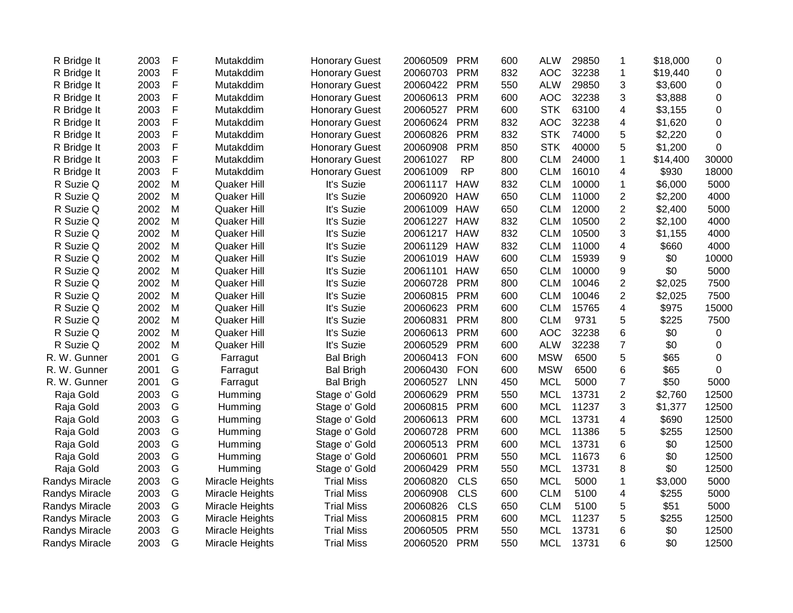| R Bridge It           | 2003 | F           | Mutakddim          | <b>Honorary Guest</b> | 20060509 | <b>PRM</b> | 600 | <b>ALW</b> | 29850 | $\mathbf 1$              | \$18,000 | 0     |
|-----------------------|------|-------------|--------------------|-----------------------|----------|------------|-----|------------|-------|--------------------------|----------|-------|
| R Bridge It           | 2003 | F           | Mutakddim          | <b>Honorary Guest</b> | 20060703 | <b>PRM</b> | 832 | <b>AOC</b> | 32238 | $\overline{\mathbf{1}}$  | \$19,440 | 0     |
| R Bridge It           | 2003 | F           | Mutakddim          | <b>Honorary Guest</b> | 20060422 | <b>PRM</b> | 550 | <b>ALW</b> | 29850 | 3                        | \$3,600  | 0     |
| R Bridge It           | 2003 | F           | Mutakddim          | <b>Honorary Guest</b> | 20060613 | <b>PRM</b> | 600 | <b>AOC</b> | 32238 | 3                        | \$3,888  | 0     |
| R Bridge It           | 2003 | F           | Mutakddim          | <b>Honorary Guest</b> | 20060527 | <b>PRM</b> | 600 | <b>STK</b> | 63100 | 4                        | \$3,155  | 0     |
| R Bridge It           | 2003 | F           | Mutakddim          | <b>Honorary Guest</b> | 20060624 | <b>PRM</b> | 832 | <b>AOC</b> | 32238 | 4                        | \$1,620  | 0     |
| R Bridge It           | 2003 | $\mathsf F$ | Mutakddim          | <b>Honorary Guest</b> | 20060826 | <b>PRM</b> | 832 | <b>STK</b> | 74000 | 5                        | \$2,220  | 0     |
| R Bridge It           | 2003 | $\mathsf F$ | Mutakddim          | <b>Honorary Guest</b> | 20060908 | <b>PRM</b> | 850 | <b>STK</b> | 40000 | 5                        | \$1,200  | 0     |
| R Bridge It           | 2003 | F           | Mutakddim          | <b>Honorary Guest</b> | 20061027 | <b>RP</b>  | 800 | <b>CLM</b> | 24000 | $\mathbf 1$              | \$14,400 | 30000 |
| R Bridge It           | 2003 | F           | Mutakddim          | <b>Honorary Guest</b> | 20061009 | <b>RP</b>  | 800 | <b>CLM</b> | 16010 | $\overline{\mathbf{4}}$  | \$930    | 18000 |
| R Suzie Q             | 2002 | M           | Quaker Hill        | It's Suzie            | 20061117 | <b>HAW</b> | 832 | <b>CLM</b> | 10000 | $\mathbf{1}$             | \$6,000  | 5000  |
| R Suzie Q             | 2002 | M           | Quaker Hill        | It's Suzie            | 20060920 | <b>HAW</b> | 650 | <b>CLM</b> | 11000 | $\overline{2}$           | \$2,200  | 4000  |
| R Suzie Q             | 2002 | M           | <b>Quaker Hill</b> | It's Suzie            | 20061009 | <b>HAW</b> | 650 | <b>CLM</b> | 12000 | $\overline{c}$           | \$2,400  | 5000  |
| R Suzie Q             | 2002 | M           | <b>Quaker Hill</b> | It's Suzie            | 20061227 | <b>HAW</b> | 832 | <b>CLM</b> | 10500 | $\overline{2}$           | \$2,100  | 4000  |
| R Suzie Q             | 2002 | M           | Quaker Hill        | It's Suzie            | 20061217 | <b>HAW</b> | 832 | <b>CLM</b> | 10500 | 3                        | \$1,155  | 4000  |
| R Suzie Q             | 2002 | M           | Quaker Hill        | It's Suzie            | 20061129 | <b>HAW</b> | 832 | <b>CLM</b> | 11000 | $\overline{\mathcal{A}}$ | \$660    | 4000  |
| R Suzie Q             | 2002 | M           | Quaker Hill        | It's Suzie            | 20061019 | <b>HAW</b> | 600 | <b>CLM</b> | 15939 | 9                        | \$0      | 10000 |
| R Suzie Q             | 2002 | M           | Quaker Hill        | It's Suzie            | 20061101 | <b>HAW</b> | 650 | <b>CLM</b> | 10000 | 9                        | \$0      | 5000  |
| R Suzie Q             | 2002 | M           | Quaker Hill        | It's Suzie            | 20060728 | <b>PRM</b> | 800 | <b>CLM</b> | 10046 | $\overline{2}$           | \$2,025  | 7500  |
| R Suzie Q             | 2002 | M           | Quaker Hill        | It's Suzie            | 20060815 | <b>PRM</b> | 600 | <b>CLM</b> | 10046 | $\overline{2}$           | \$2,025  | 7500  |
| R Suzie Q             | 2002 | M           | <b>Quaker Hill</b> | It's Suzie            | 20060623 | <b>PRM</b> | 600 | <b>CLM</b> | 15765 | 4                        | \$975    | 15000 |
| R Suzie Q             | 2002 | M           | Quaker Hill        | It's Suzie            | 20060831 | <b>PRM</b> | 800 | <b>CLM</b> | 9731  | 5                        | \$225    | 7500  |
| R Suzie Q             | 2002 | M           | Quaker Hill        | It's Suzie            | 20060613 | <b>PRM</b> | 600 | <b>AOC</b> | 32238 | 6                        | \$0      | 0     |
| R Suzie Q             | 2002 | M           | Quaker Hill        | It's Suzie            | 20060529 | <b>PRM</b> | 600 | <b>ALW</b> | 32238 | $\boldsymbol{7}$         | \$0      | 0     |
| R. W. Gunner          | 2001 | G           | Farragut           | <b>Bal Brigh</b>      | 20060413 | <b>FON</b> | 600 | <b>MSW</b> | 6500  | 5                        | \$65     | 0     |
| R. W. Gunner          | 2001 | G           | Farragut           | <b>Bal Brigh</b>      | 20060430 | <b>FON</b> | 600 | <b>MSW</b> | 6500  | 6                        | \$65     | 0     |
| R. W. Gunner          | 2001 | G           | Farragut           | <b>Bal Brigh</b>      | 20060527 | <b>LNN</b> | 450 | <b>MCL</b> | 5000  | $\overline{7}$           | \$50     | 5000  |
| Raja Gold             | 2003 | G           | Humming            | Stage o' Gold         | 20060629 | <b>PRM</b> | 550 | <b>MCL</b> | 13731 | $\overline{2}$           | \$2,760  | 12500 |
| Raja Gold             | 2003 | G           | Humming            | Stage o' Gold         | 20060815 | <b>PRM</b> | 600 | <b>MCL</b> | 11237 | 3                        | \$1,377  | 12500 |
| Raja Gold             | 2003 | G           | Humming            | Stage o' Gold         | 20060613 | <b>PRM</b> | 600 | <b>MCL</b> | 13731 | $\overline{\mathbf{4}}$  | \$690    | 12500 |
| Raja Gold             | 2003 | G           | Humming            | Stage o' Gold         | 20060728 | <b>PRM</b> | 600 | <b>MCL</b> | 11386 | $\sqrt{5}$               | \$255    | 12500 |
| Raja Gold             | 2003 | G           | Humming            | Stage o' Gold         | 20060513 | <b>PRM</b> | 600 | <b>MCL</b> | 13731 | 6                        | \$0      | 12500 |
| Raja Gold             | 2003 | G           | Humming            | Stage o' Gold         | 20060601 | <b>PRM</b> | 550 | <b>MCL</b> | 11673 | $6\phantom{1}6$          | \$0      | 12500 |
| Raja Gold             | 2003 | G           | Humming            | Stage o' Gold         | 20060429 | <b>PRM</b> | 550 | <b>MCL</b> | 13731 | 8                        | \$0      | 12500 |
| <b>Randys Miracle</b> | 2003 | G           | Miracle Heights    | <b>Trial Miss</b>     | 20060820 | <b>CLS</b> | 650 | <b>MCL</b> | 5000  | $\mathbf{1}$             | \$3,000  | 5000  |
| <b>Randys Miracle</b> | 2003 | G           | Miracle Heights    | <b>Trial Miss</b>     | 20060908 | <b>CLS</b> | 600 | <b>CLM</b> | 5100  | 4                        | \$255    | 5000  |
| Randys Miracle        | 2003 | G           | Miracle Heights    | <b>Trial Miss</b>     | 20060826 | <b>CLS</b> | 650 | <b>CLM</b> | 5100  | 5                        | \$51     | 5000  |
| Randys Miracle        | 2003 | G           | Miracle Heights    | <b>Trial Miss</b>     | 20060815 | <b>PRM</b> | 600 | <b>MCL</b> | 11237 | $\sqrt{5}$               | \$255    | 12500 |
| Randys Miracle        | 2003 | G           | Miracle Heights    | <b>Trial Miss</b>     | 20060505 | <b>PRM</b> | 550 | <b>MCL</b> | 13731 | 6                        | \$0      | 12500 |
| <b>Randys Miracle</b> | 2003 | G           | Miracle Heights    | <b>Trial Miss</b>     | 20060520 | <b>PRM</b> | 550 | <b>MCL</b> | 13731 | 6                        | \$0      | 12500 |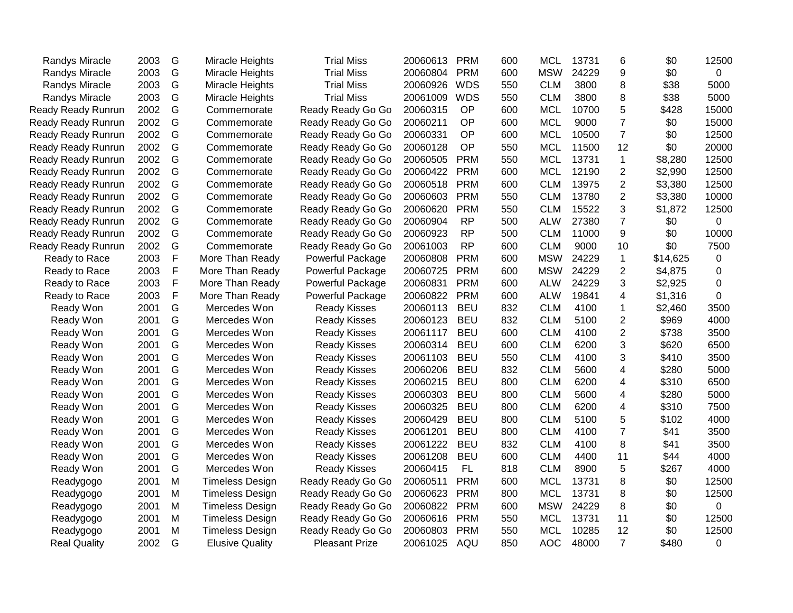| 2003<br>G<br><b>Trial Miss</b><br><b>PRM</b><br><b>MSW</b><br>24229<br>9<br>Randys Miracle<br>Miracle Heights<br>20060804<br>600<br>2003<br>G<br>20060926<br><b>WDS</b><br>3800<br>8<br><b>Trial Miss</b><br>550<br><b>CLM</b><br><b>Randys Miracle</b><br>Miracle Heights<br>G<br>20061009<br><b>WDS</b><br><b>CLM</b><br><b>Randys Miracle</b><br>2003<br>Miracle Heights<br><b>Trial Miss</b><br>550<br>3800<br>8<br>2002<br>G<br>20060315<br>OP<br><b>MCL</b><br>10700<br>5<br><b>Ready Ready Runrun</b><br>Ready Ready Go Go<br>600<br>Commemorate<br>$\overline{7}$<br>G<br><b>MCL</b><br><b>Ready Ready Runrun</b><br>2002<br>Commemorate<br>Ready Ready Go Go<br>20060211<br>OP<br>600<br>9000<br>G<br>$\overline{7}$<br>2002<br>OP<br>600<br><b>MCL</b><br>10500<br><b>Ready Ready Runrun</b><br>Ready Ready Go Go<br>20060331<br>Commemorate<br>G<br><b>MCL</b><br>12<br>2002<br>OP<br>550<br>11500<br>Ready Ready Runrun<br>Commemorate<br>Ready Ready Go Go<br>20060128<br>G<br>2002<br>20060505<br><b>PRM</b><br>550<br><b>MCL</b><br>13731<br>$\mathbf{1}$<br>Ready Ready Runrun<br>Commemorate<br>Ready Ready Go Go<br>G<br><b>PRM</b><br><b>MCL</b><br>$\overline{2}$<br>2002<br>20060422<br>12190<br>Ready Ready Runrun<br>Commemorate<br>Ready Ready Go Go<br>600<br>G<br><b>PRM</b><br>13975<br>$\overline{2}$<br>2002<br>Ready Ready Go Go<br>20060518<br>600<br><b>CLM</b><br>Ready Ready Runrun<br>Commemorate<br><b>PRM</b><br>13780<br>$\overline{2}$<br>2002<br>G<br>Ready Ready Go Go<br>20060603<br><b>CLM</b><br>Ready Ready Runrun<br>Commemorate<br>550<br>G<br>3<br>Ready Ready Runrun<br>2002<br>Ready Ready Go Go<br>20060620<br><b>PRM</b><br>550<br><b>CLM</b><br>15522<br>Commemorate<br>$\overline{7}$<br>G<br><b>RP</b><br>27380<br>Ready Ready Runrun<br>2002<br>Ready Ready Go Go<br>20060904<br>500<br><b>ALW</b><br>Commemorate<br>G<br>9<br>2002<br><b>RP</b><br>500<br><b>CLM</b><br>11000<br>Ready Ready Runrun<br>Ready Ready Go Go<br>20060923<br>Commemorate<br>G<br>2002<br>20061003<br><b>RP</b><br><b>CLM</b><br>9000<br>10<br>Ready Ready Runrun<br>Ready Ready Go Go<br>600<br>Commemorate<br>F<br>2003<br><b>PRM</b><br><b>MSW</b><br>24229<br>$\mathbf{1}$<br>Ready to Race<br>More Than Ready<br>Powerful Package<br>20060808<br>600<br>F<br><b>PRM</b><br>$\overline{2}$<br>2003<br>20060725<br><b>MSW</b><br>24229<br>Ready to Race<br>More Than Ready<br>Powerful Package<br>600<br>F<br>2003<br>More Than Ready<br>20060831<br><b>PRM</b><br><b>ALW</b><br>24229<br>3<br>Ready to Race<br>Powerful Package<br>600 | \$0<br>\$38<br>\$38 | $\overline{0}$<br>5000<br>5000 |
|-------------------------------------------------------------------------------------------------------------------------------------------------------------------------------------------------------------------------------------------------------------------------------------------------------------------------------------------------------------------------------------------------------------------------------------------------------------------------------------------------------------------------------------------------------------------------------------------------------------------------------------------------------------------------------------------------------------------------------------------------------------------------------------------------------------------------------------------------------------------------------------------------------------------------------------------------------------------------------------------------------------------------------------------------------------------------------------------------------------------------------------------------------------------------------------------------------------------------------------------------------------------------------------------------------------------------------------------------------------------------------------------------------------------------------------------------------------------------------------------------------------------------------------------------------------------------------------------------------------------------------------------------------------------------------------------------------------------------------------------------------------------------------------------------------------------------------------------------------------------------------------------------------------------------------------------------------------------------------------------------------------------------------------------------------------------------------------------------------------------------------------------------------------------------------------------------------------------------------------------------------------------------------------------------------------------------------------------------------------------------------------------------------------------------------------------------------------------------------------------------------------------------------------------------------------------------------|---------------------|--------------------------------|
|                                                                                                                                                                                                                                                                                                                                                                                                                                                                                                                                                                                                                                                                                                                                                                                                                                                                                                                                                                                                                                                                                                                                                                                                                                                                                                                                                                                                                                                                                                                                                                                                                                                                                                                                                                                                                                                                                                                                                                                                                                                                                                                                                                                                                                                                                                                                                                                                                                                                                                                                                                               |                     |                                |
|                                                                                                                                                                                                                                                                                                                                                                                                                                                                                                                                                                                                                                                                                                                                                                                                                                                                                                                                                                                                                                                                                                                                                                                                                                                                                                                                                                                                                                                                                                                                                                                                                                                                                                                                                                                                                                                                                                                                                                                                                                                                                                                                                                                                                                                                                                                                                                                                                                                                                                                                                                               |                     |                                |
|                                                                                                                                                                                                                                                                                                                                                                                                                                                                                                                                                                                                                                                                                                                                                                                                                                                                                                                                                                                                                                                                                                                                                                                                                                                                                                                                                                                                                                                                                                                                                                                                                                                                                                                                                                                                                                                                                                                                                                                                                                                                                                                                                                                                                                                                                                                                                                                                                                                                                                                                                                               |                     |                                |
|                                                                                                                                                                                                                                                                                                                                                                                                                                                                                                                                                                                                                                                                                                                                                                                                                                                                                                                                                                                                                                                                                                                                                                                                                                                                                                                                                                                                                                                                                                                                                                                                                                                                                                                                                                                                                                                                                                                                                                                                                                                                                                                                                                                                                                                                                                                                                                                                                                                                                                                                                                               | \$428               | 15000                          |
|                                                                                                                                                                                                                                                                                                                                                                                                                                                                                                                                                                                                                                                                                                                                                                                                                                                                                                                                                                                                                                                                                                                                                                                                                                                                                                                                                                                                                                                                                                                                                                                                                                                                                                                                                                                                                                                                                                                                                                                                                                                                                                                                                                                                                                                                                                                                                                                                                                                                                                                                                                               | \$0                 | 15000                          |
|                                                                                                                                                                                                                                                                                                                                                                                                                                                                                                                                                                                                                                                                                                                                                                                                                                                                                                                                                                                                                                                                                                                                                                                                                                                                                                                                                                                                                                                                                                                                                                                                                                                                                                                                                                                                                                                                                                                                                                                                                                                                                                                                                                                                                                                                                                                                                                                                                                                                                                                                                                               | \$0                 | 12500                          |
|                                                                                                                                                                                                                                                                                                                                                                                                                                                                                                                                                                                                                                                                                                                                                                                                                                                                                                                                                                                                                                                                                                                                                                                                                                                                                                                                                                                                                                                                                                                                                                                                                                                                                                                                                                                                                                                                                                                                                                                                                                                                                                                                                                                                                                                                                                                                                                                                                                                                                                                                                                               | \$0                 | 20000                          |
|                                                                                                                                                                                                                                                                                                                                                                                                                                                                                                                                                                                                                                                                                                                                                                                                                                                                                                                                                                                                                                                                                                                                                                                                                                                                                                                                                                                                                                                                                                                                                                                                                                                                                                                                                                                                                                                                                                                                                                                                                                                                                                                                                                                                                                                                                                                                                                                                                                                                                                                                                                               | \$8,280             | 12500                          |
|                                                                                                                                                                                                                                                                                                                                                                                                                                                                                                                                                                                                                                                                                                                                                                                                                                                                                                                                                                                                                                                                                                                                                                                                                                                                                                                                                                                                                                                                                                                                                                                                                                                                                                                                                                                                                                                                                                                                                                                                                                                                                                                                                                                                                                                                                                                                                                                                                                                                                                                                                                               | \$2,990             | 12500                          |
|                                                                                                                                                                                                                                                                                                                                                                                                                                                                                                                                                                                                                                                                                                                                                                                                                                                                                                                                                                                                                                                                                                                                                                                                                                                                                                                                                                                                                                                                                                                                                                                                                                                                                                                                                                                                                                                                                                                                                                                                                                                                                                                                                                                                                                                                                                                                                                                                                                                                                                                                                                               | \$3,380             | 12500                          |
|                                                                                                                                                                                                                                                                                                                                                                                                                                                                                                                                                                                                                                                                                                                                                                                                                                                                                                                                                                                                                                                                                                                                                                                                                                                                                                                                                                                                                                                                                                                                                                                                                                                                                                                                                                                                                                                                                                                                                                                                                                                                                                                                                                                                                                                                                                                                                                                                                                                                                                                                                                               | \$3,380             | 10000                          |
|                                                                                                                                                                                                                                                                                                                                                                                                                                                                                                                                                                                                                                                                                                                                                                                                                                                                                                                                                                                                                                                                                                                                                                                                                                                                                                                                                                                                                                                                                                                                                                                                                                                                                                                                                                                                                                                                                                                                                                                                                                                                                                                                                                                                                                                                                                                                                                                                                                                                                                                                                                               | \$1,872             | 12500                          |
|                                                                                                                                                                                                                                                                                                                                                                                                                                                                                                                                                                                                                                                                                                                                                                                                                                                                                                                                                                                                                                                                                                                                                                                                                                                                                                                                                                                                                                                                                                                                                                                                                                                                                                                                                                                                                                                                                                                                                                                                                                                                                                                                                                                                                                                                                                                                                                                                                                                                                                                                                                               | \$0                 | 0                              |
|                                                                                                                                                                                                                                                                                                                                                                                                                                                                                                                                                                                                                                                                                                                                                                                                                                                                                                                                                                                                                                                                                                                                                                                                                                                                                                                                                                                                                                                                                                                                                                                                                                                                                                                                                                                                                                                                                                                                                                                                                                                                                                                                                                                                                                                                                                                                                                                                                                                                                                                                                                               | \$0                 | 10000                          |
|                                                                                                                                                                                                                                                                                                                                                                                                                                                                                                                                                                                                                                                                                                                                                                                                                                                                                                                                                                                                                                                                                                                                                                                                                                                                                                                                                                                                                                                                                                                                                                                                                                                                                                                                                                                                                                                                                                                                                                                                                                                                                                                                                                                                                                                                                                                                                                                                                                                                                                                                                                               | \$0                 | 7500                           |
|                                                                                                                                                                                                                                                                                                                                                                                                                                                                                                                                                                                                                                                                                                                                                                                                                                                                                                                                                                                                                                                                                                                                                                                                                                                                                                                                                                                                                                                                                                                                                                                                                                                                                                                                                                                                                                                                                                                                                                                                                                                                                                                                                                                                                                                                                                                                                                                                                                                                                                                                                                               | \$14,625            | 0                              |
|                                                                                                                                                                                                                                                                                                                                                                                                                                                                                                                                                                                                                                                                                                                                                                                                                                                                                                                                                                                                                                                                                                                                                                                                                                                                                                                                                                                                                                                                                                                                                                                                                                                                                                                                                                                                                                                                                                                                                                                                                                                                                                                                                                                                                                                                                                                                                                                                                                                                                                                                                                               | \$4,875             | 0                              |
|                                                                                                                                                                                                                                                                                                                                                                                                                                                                                                                                                                                                                                                                                                                                                                                                                                                                                                                                                                                                                                                                                                                                                                                                                                                                                                                                                                                                                                                                                                                                                                                                                                                                                                                                                                                                                                                                                                                                                                                                                                                                                                                                                                                                                                                                                                                                                                                                                                                                                                                                                                               | \$2,925             | 0                              |
| F<br>2003<br>More Than Ready<br>Powerful Package<br>20060822<br><b>PRM</b><br><b>ALW</b><br>19841<br>4<br>Ready to Race<br>600                                                                                                                                                                                                                                                                                                                                                                                                                                                                                                                                                                                                                                                                                                                                                                                                                                                                                                                                                                                                                                                                                                                                                                                                                                                                                                                                                                                                                                                                                                                                                                                                                                                                                                                                                                                                                                                                                                                                                                                                                                                                                                                                                                                                                                                                                                                                                                                                                                                | \$1,316             | 0                              |
| G<br>Ready Won<br>2001<br>Mercedes Won<br>20060113<br><b>BEU</b><br>832<br><b>CLM</b><br>4100<br><b>Ready Kisses</b><br>1                                                                                                                                                                                                                                                                                                                                                                                                                                                                                                                                                                                                                                                                                                                                                                                                                                                                                                                                                                                                                                                                                                                                                                                                                                                                                                                                                                                                                                                                                                                                                                                                                                                                                                                                                                                                                                                                                                                                                                                                                                                                                                                                                                                                                                                                                                                                                                                                                                                     | \$2,460             | 3500                           |
| G<br><b>BEU</b><br><b>CLM</b><br>$\overline{2}$<br>Ready Won<br>2001<br>Mercedes Won<br>20060123<br>832<br>5100<br><b>Ready Kisses</b>                                                                                                                                                                                                                                                                                                                                                                                                                                                                                                                                                                                                                                                                                                                                                                                                                                                                                                                                                                                                                                                                                                                                                                                                                                                                                                                                                                                                                                                                                                                                                                                                                                                                                                                                                                                                                                                                                                                                                                                                                                                                                                                                                                                                                                                                                                                                                                                                                                        | \$969               | 4000                           |
| G<br>$\overline{2}$<br><b>CLM</b><br>Ready Won<br>2001<br>Mercedes Won<br><b>Ready Kisses</b><br>20061117<br><b>BEU</b><br>600<br>4100                                                                                                                                                                                                                                                                                                                                                                                                                                                                                                                                                                                                                                                                                                                                                                                                                                                                                                                                                                                                                                                                                                                                                                                                                                                                                                                                                                                                                                                                                                                                                                                                                                                                                                                                                                                                                                                                                                                                                                                                                                                                                                                                                                                                                                                                                                                                                                                                                                        | \$738               | 3500                           |
| G<br>20060314<br><b>BEU</b><br><b>CLM</b><br>6200<br>3<br>Ready Won<br>2001<br>Mercedes Won<br><b>Ready Kisses</b><br>600                                                                                                                                                                                                                                                                                                                                                                                                                                                                                                                                                                                                                                                                                                                                                                                                                                                                                                                                                                                                                                                                                                                                                                                                                                                                                                                                                                                                                                                                                                                                                                                                                                                                                                                                                                                                                                                                                                                                                                                                                                                                                                                                                                                                                                                                                                                                                                                                                                                     | \$620               | 6500                           |
| G<br><b>BEU</b><br><b>CLM</b><br>4100<br>3<br>Ready Won<br>2001<br>Mercedes Won<br><b>Ready Kisses</b><br>20061103<br>550                                                                                                                                                                                                                                                                                                                                                                                                                                                                                                                                                                                                                                                                                                                                                                                                                                                                                                                                                                                                                                                                                                                                                                                                                                                                                                                                                                                                                                                                                                                                                                                                                                                                                                                                                                                                                                                                                                                                                                                                                                                                                                                                                                                                                                                                                                                                                                                                                                                     | \$410               | 3500                           |
| 2001<br>G<br><b>BEU</b><br><b>CLM</b><br>5600<br>Ready Won<br>Mercedes Won<br><b>Ready Kisses</b><br>20060206<br>832<br>4                                                                                                                                                                                                                                                                                                                                                                                                                                                                                                                                                                                                                                                                                                                                                                                                                                                                                                                                                                                                                                                                                                                                                                                                                                                                                                                                                                                                                                                                                                                                                                                                                                                                                                                                                                                                                                                                                                                                                                                                                                                                                                                                                                                                                                                                                                                                                                                                                                                     | \$280               | 5000                           |
| G<br><b>BEU</b><br><b>CLM</b><br>Ready Won<br>2001<br>Mercedes Won<br><b>Ready Kisses</b><br>20060215<br>800<br>6200<br>4                                                                                                                                                                                                                                                                                                                                                                                                                                                                                                                                                                                                                                                                                                                                                                                                                                                                                                                                                                                                                                                                                                                                                                                                                                                                                                                                                                                                                                                                                                                                                                                                                                                                                                                                                                                                                                                                                                                                                                                                                                                                                                                                                                                                                                                                                                                                                                                                                                                     | \$310               | 6500                           |
| 2001<br>G<br><b>BEU</b><br><b>CLM</b><br>5600<br>Ready Won<br>Mercedes Won<br><b>Ready Kisses</b><br>20060303<br>800<br>4                                                                                                                                                                                                                                                                                                                                                                                                                                                                                                                                                                                                                                                                                                                                                                                                                                                                                                                                                                                                                                                                                                                                                                                                                                                                                                                                                                                                                                                                                                                                                                                                                                                                                                                                                                                                                                                                                                                                                                                                                                                                                                                                                                                                                                                                                                                                                                                                                                                     | \$280               | 5000                           |
| G<br><b>BEU</b><br><b>CLM</b><br>6200<br>Ready Won<br>2001<br>Mercedes Won<br><b>Ready Kisses</b><br>20060325<br>800<br>4                                                                                                                                                                                                                                                                                                                                                                                                                                                                                                                                                                                                                                                                                                                                                                                                                                                                                                                                                                                                                                                                                                                                                                                                                                                                                                                                                                                                                                                                                                                                                                                                                                                                                                                                                                                                                                                                                                                                                                                                                                                                                                                                                                                                                                                                                                                                                                                                                                                     | \$310               | 7500                           |
| G<br><b>CLM</b><br>2001<br>Mercedes Won<br>20060429<br><b>BEU</b><br>800<br>5100<br>5<br>Ready Won<br><b>Ready Kisses</b>                                                                                                                                                                                                                                                                                                                                                                                                                                                                                                                                                                                                                                                                                                                                                                                                                                                                                                                                                                                                                                                                                                                                                                                                                                                                                                                                                                                                                                                                                                                                                                                                                                                                                                                                                                                                                                                                                                                                                                                                                                                                                                                                                                                                                                                                                                                                                                                                                                                     | \$102               | 4000                           |
| $\overline{7}$<br>G<br><b>CLM</b><br>2001<br>Mercedes Won<br>20061201<br><b>BEU</b><br>800<br>4100<br>Ready Won<br><b>Ready Kisses</b>                                                                                                                                                                                                                                                                                                                                                                                                                                                                                                                                                                                                                                                                                                                                                                                                                                                                                                                                                                                                                                                                                                                                                                                                                                                                                                                                                                                                                                                                                                                                                                                                                                                                                                                                                                                                                                                                                                                                                                                                                                                                                                                                                                                                                                                                                                                                                                                                                                        | \$41                | 3500                           |
| G<br><b>BEU</b><br><b>CLM</b><br>8<br>Ready Won<br>2001<br>Mercedes Won<br>20061222<br>832<br>4100<br><b>Ready Kisses</b>                                                                                                                                                                                                                                                                                                                                                                                                                                                                                                                                                                                                                                                                                                                                                                                                                                                                                                                                                                                                                                                                                                                                                                                                                                                                                                                                                                                                                                                                                                                                                                                                                                                                                                                                                                                                                                                                                                                                                                                                                                                                                                                                                                                                                                                                                                                                                                                                                                                     | \$41                | 3500                           |
| G<br><b>BEU</b><br><b>CLM</b><br>11<br>2001<br>Mercedes Won<br><b>Ready Kisses</b><br>20061208<br>600<br>4400<br>Ready Won                                                                                                                                                                                                                                                                                                                                                                                                                                                                                                                                                                                                                                                                                                                                                                                                                                                                                                                                                                                                                                                                                                                                                                                                                                                                                                                                                                                                                                                                                                                                                                                                                                                                                                                                                                                                                                                                                                                                                                                                                                                                                                                                                                                                                                                                                                                                                                                                                                                    | \$44                | 4000                           |
| G<br><b>FL</b><br><b>CLM</b><br>5<br>2001<br>Mercedes Won<br><b>Ready Kisses</b><br>20060415<br>818<br>8900<br>Ready Won                                                                                                                                                                                                                                                                                                                                                                                                                                                                                                                                                                                                                                                                                                                                                                                                                                                                                                                                                                                                                                                                                                                                                                                                                                                                                                                                                                                                                                                                                                                                                                                                                                                                                                                                                                                                                                                                                                                                                                                                                                                                                                                                                                                                                                                                                                                                                                                                                                                      | \$267               | 4000                           |
| <b>PRM</b><br><b>MCL</b><br>2001<br>M<br>Ready Ready Go Go<br>20060511<br>600<br>13731<br>8<br>Readygogo<br><b>Timeless Design</b>                                                                                                                                                                                                                                                                                                                                                                                                                                                                                                                                                                                                                                                                                                                                                                                                                                                                                                                                                                                                                                                                                                                                                                                                                                                                                                                                                                                                                                                                                                                                                                                                                                                                                                                                                                                                                                                                                                                                                                                                                                                                                                                                                                                                                                                                                                                                                                                                                                            | \$0                 | 12500                          |
| <b>MCL</b><br>8<br>2001<br>M<br>Ready Ready Go Go<br>20060623<br><b>PRM</b><br>800<br>13731<br>Readygogo<br><b>Timeless Design</b>                                                                                                                                                                                                                                                                                                                                                                                                                                                                                                                                                                                                                                                                                                                                                                                                                                                                                                                                                                                                                                                                                                                                                                                                                                                                                                                                                                                                                                                                                                                                                                                                                                                                                                                                                                                                                                                                                                                                                                                                                                                                                                                                                                                                                                                                                                                                                                                                                                            | \$0                 | 12500                          |
| M<br>20060822<br><b>PRM</b><br><b>MSW</b><br>24229<br>8<br>2001<br>Ready Ready Go Go<br>600<br>Readygogo<br><b>Timeless Design</b>                                                                                                                                                                                                                                                                                                                                                                                                                                                                                                                                                                                                                                                                                                                                                                                                                                                                                                                                                                                                                                                                                                                                                                                                                                                                                                                                                                                                                                                                                                                                                                                                                                                                                                                                                                                                                                                                                                                                                                                                                                                                                                                                                                                                                                                                                                                                                                                                                                            | \$0                 | 0                              |
| M<br><b>PRM</b><br><b>MCL</b><br>2001<br><b>Timeless Design</b><br>Ready Ready Go Go<br>20060616<br>550<br>13731<br>11<br>Readygogo                                                                                                                                                                                                                                                                                                                                                                                                                                                                                                                                                                                                                                                                                                                                                                                                                                                                                                                                                                                                                                                                                                                                                                                                                                                                                                                                                                                                                                                                                                                                                                                                                                                                                                                                                                                                                                                                                                                                                                                                                                                                                                                                                                                                                                                                                                                                                                                                                                           | \$0                 | 12500                          |
| M<br>20060803<br><b>PRM</b><br>550<br><b>MCL</b><br>10285<br>12<br>2001<br>Ready Ready Go Go<br>Readygogo<br><b>Timeless Design</b>                                                                                                                                                                                                                                                                                                                                                                                                                                                                                                                                                                                                                                                                                                                                                                                                                                                                                                                                                                                                                                                                                                                                                                                                                                                                                                                                                                                                                                                                                                                                                                                                                                                                                                                                                                                                                                                                                                                                                                                                                                                                                                                                                                                                                                                                                                                                                                                                                                           |                     |                                |
| G<br><b>AOC</b><br>$\overline{7}$<br>2002<br><b>Pleasant Prize</b><br>20061025<br>AQU<br>850<br>48000<br><b>Real Quality</b><br><b>Elusive Quality</b>                                                                                                                                                                                                                                                                                                                                                                                                                                                                                                                                                                                                                                                                                                                                                                                                                                                                                                                                                                                                                                                                                                                                                                                                                                                                                                                                                                                                                                                                                                                                                                                                                                                                                                                                                                                                                                                                                                                                                                                                                                                                                                                                                                                                                                                                                                                                                                                                                        | \$0                 | 12500                          |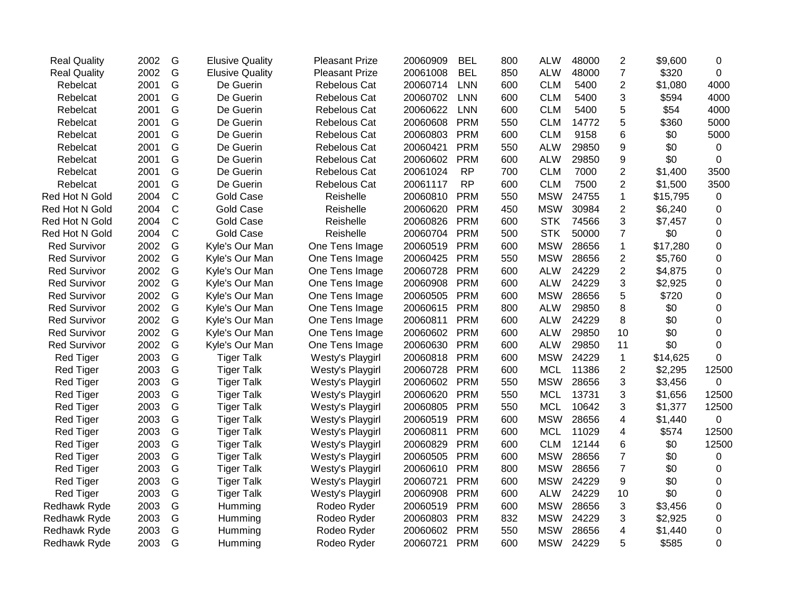| <b>BEL</b><br><b>LNN</b><br><b>LNN</b><br><b>LNN</b> | <b>ALW</b><br>850<br><b>CLM</b><br>600<br><b>CLM</b><br>600 | 48000<br>5400                                                                                                                                          | $\overline{7}$<br>$\overline{2}$       | \$320    | 0           |
|------------------------------------------------------|-------------------------------------------------------------|--------------------------------------------------------------------------------------------------------------------------------------------------------|----------------------------------------|----------|-------------|
|                                                      |                                                             |                                                                                                                                                        |                                        |          |             |
|                                                      |                                                             |                                                                                                                                                        |                                        | \$1,080  | 4000        |
|                                                      |                                                             | 5400                                                                                                                                                   | 3                                      | \$594    | 4000        |
|                                                      | <b>CLM</b><br>600                                           | 5400                                                                                                                                                   | 5                                      | \$54     | 4000        |
| <b>PRM</b>                                           | <b>CLM</b><br>550                                           | 14772                                                                                                                                                  | 5                                      | \$360    | 5000        |
| <b>PRM</b>                                           | <b>CLM</b><br>600                                           | 9158                                                                                                                                                   | 6                                      | \$0      | 5000        |
| <b>PRM</b>                                           | 550<br><b>ALW</b>                                           | 29850                                                                                                                                                  | 9                                      | \$0      | 0           |
| <b>PRM</b>                                           | <b>ALW</b><br>600                                           | 29850                                                                                                                                                  | 9                                      | \$0      | 0           |
| <b>RP</b>                                            | <b>CLM</b><br>700                                           | 7000                                                                                                                                                   | $\overline{2}$                         | \$1,400  | 3500        |
| <b>RP</b>                                            | <b>CLM</b><br>600                                           | 7500                                                                                                                                                   | $\overline{2}$                         | \$1,500  | 3500        |
| <b>PRM</b>                                           | 550<br><b>MSW</b>                                           | 24755                                                                                                                                                  | 1                                      | \$15,795 | 0           |
| <b>PRM</b>                                           | 450<br><b>MSW</b>                                           | 30984                                                                                                                                                  | $\overline{2}$                         | \$6,240  | 0           |
| <b>PRM</b>                                           | <b>STK</b><br>600                                           | 74566                                                                                                                                                  | 3                                      | \$7,457  | 0           |
| <b>PRM</b>                                           | <b>STK</b><br>500                                           | 50000                                                                                                                                                  | $\overline{7}$                         | \$0      | 0           |
| <b>PRM</b>                                           | <b>MSW</b><br>600                                           | 28656                                                                                                                                                  | 1                                      | \$17,280 | 0           |
| <b>PRM</b>                                           | <b>MSW</b><br>550                                           | 28656                                                                                                                                                  | $\overline{c}$                         | \$5,760  | $\mathbf 0$ |
| <b>PRM</b>                                           | <b>ALW</b>                                                  | 24229                                                                                                                                                  | $\overline{2}$                         | \$4,875  | 0           |
| <b>PRM</b>                                           | <b>ALW</b>                                                  | 24229                                                                                                                                                  | 3                                      | \$2,925  | 0           |
| <b>PRM</b>                                           | <b>MSW</b>                                                  | 28656                                                                                                                                                  | 5                                      | \$720    | 0           |
| <b>PRM</b>                                           | <b>ALW</b>                                                  | 29850                                                                                                                                                  | 8                                      | \$0      | 0           |
| <b>PRM</b>                                           | <b>ALW</b>                                                  | 24229                                                                                                                                                  | 8                                      | \$0      | 0           |
| <b>PRM</b>                                           | <b>ALW</b>                                                  | 29850                                                                                                                                                  | 10                                     | \$0      | $\mathbf 0$ |
| <b>PRM</b>                                           | <b>ALW</b>                                                  | 29850                                                                                                                                                  | 11                                     | \$0      | 0           |
| <b>PRM</b>                                           |                                                             | 24229                                                                                                                                                  | $\mathbf{1}$                           | \$14,625 | $\Omega$    |
| <b>PRM</b>                                           | <b>MCL</b>                                                  | 11386                                                                                                                                                  | $\overline{2}$                         | \$2,295  | 12500       |
| <b>PRM</b>                                           |                                                             | 28656                                                                                                                                                  | 3                                      | \$3,456  | 0           |
| <b>PRM</b>                                           | <b>MCL</b>                                                  | 13731                                                                                                                                                  | 3                                      | \$1,656  | 12500       |
| <b>PRM</b>                                           | <b>MCL</b>                                                  | 10642                                                                                                                                                  | 3                                      | \$1,377  | 12500       |
| <b>PRM</b>                                           | <b>MSW</b>                                                  | 28656                                                                                                                                                  | 4                                      | \$1,440  | 0           |
| <b>PRM</b>                                           | <b>MCL</b>                                                  | 11029                                                                                                                                                  | 4                                      | \$574    | 12500       |
| <b>PRM</b>                                           | <b>CLM</b>                                                  | 12144                                                                                                                                                  | 6                                      | \$0      | 12500       |
| <b>PRM</b>                                           |                                                             | 28656                                                                                                                                                  | $\overline{7}$                         | \$0      | 0           |
| <b>PRM</b>                                           | <b>MSW</b>                                                  | 28656                                                                                                                                                  | $\overline{7}$                         | \$0      | 0           |
| <b>PRM</b>                                           | <b>MSW</b>                                                  | 24229                                                                                                                                                  | 9                                      | \$0      | 0           |
| <b>PRM</b>                                           | <b>ALW</b>                                                  | 24229                                                                                                                                                  | 10                                     | \$0      | 0           |
| <b>PRM</b>                                           | <b>MSW</b>                                                  | 28656                                                                                                                                                  | 3                                      | \$3,456  | 0           |
| <b>PRM</b>                                           | <b>MSW</b>                                                  | 24229                                                                                                                                                  | 3                                      | \$2,925  | 0           |
| <b>PRM</b>                                           | <b>MSW</b>                                                  | 28656                                                                                                                                                  | 4                                      | \$1,440  | 0           |
|                                                      |                                                             |                                                                                                                                                        |                                        |          |             |
|                                                      |                                                             | 600<br>600<br>600<br>800<br>600<br>600<br>600<br>600<br>600<br>550<br>550<br>550<br>600<br>600<br>600<br>600<br>800<br>600<br>600<br>600<br>832<br>550 | <b>MSW</b><br><b>MSW</b><br><b>MSW</b> |          |             |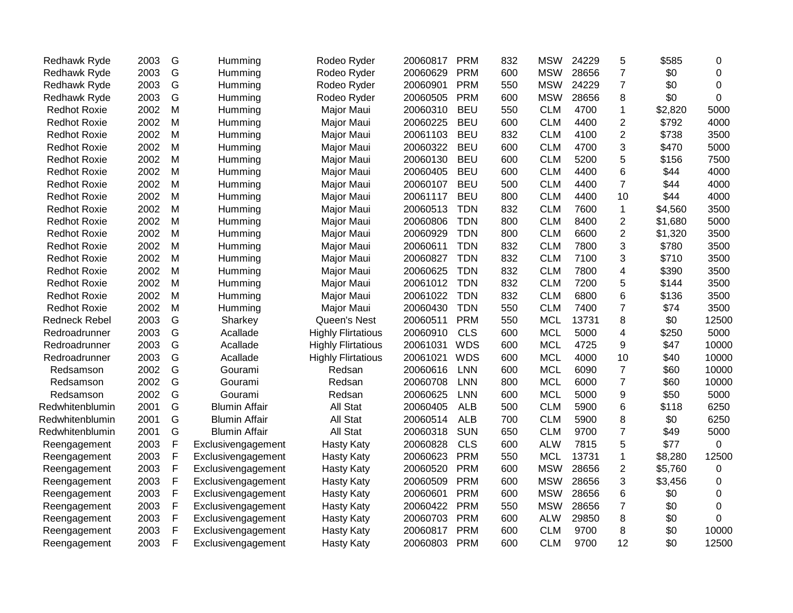| Redhawk Ryde         | 2003 | G            | Humming              | Rodeo Ryder               | 20060817 | <b>PRM</b> | 832 | <b>MSW</b> | 24229 | 5              | \$585   | 0              |
|----------------------|------|--------------|----------------------|---------------------------|----------|------------|-----|------------|-------|----------------|---------|----------------|
| <b>Redhawk Ryde</b>  | 2003 | G            | Humming              | Rodeo Ryder               | 20060629 | <b>PRM</b> | 600 | <b>MSW</b> | 28656 | $\overline{7}$ | \$0     | 0              |
| Redhawk Ryde         | 2003 | G            | Humming              | Rodeo Ryder               | 20060901 | <b>PRM</b> | 550 | <b>MSW</b> | 24229 | $\overline{7}$ | \$0     | $\Omega$       |
| Redhawk Ryde         | 2003 | G            | Humming              | Rodeo Ryder               | 20060505 | <b>PRM</b> | 600 | <b>MSW</b> | 28656 | 8              | \$0     | $\Omega$       |
| <b>Redhot Roxie</b>  | 2002 | M            | Humming              | Major Maui                | 20060310 | <b>BEU</b> | 550 | <b>CLM</b> | 4700  | 1              | \$2,820 | 5000           |
| <b>Redhot Roxie</b>  | 2002 | M            | Humming              | Major Maui                | 20060225 | <b>BEU</b> | 600 | <b>CLM</b> | 4400  | 2              | \$792   | 4000           |
| <b>Redhot Roxie</b>  | 2002 | M            | Humming              | Major Maui                | 20061103 | <b>BEU</b> | 832 | <b>CLM</b> | 4100  | 2              | \$738   | 3500           |
| <b>Redhot Roxie</b>  | 2002 | M            | Humming              | Major Maui                | 20060322 | <b>BEU</b> | 600 | <b>CLM</b> | 4700  | 3              | \$470   | 5000           |
| <b>Redhot Roxie</b>  | 2002 | M            | Humming              | Major Maui                | 20060130 | <b>BEU</b> | 600 | <b>CLM</b> | 5200  | 5              | \$156   | 7500           |
| <b>Redhot Roxie</b>  | 2002 | M            | Humming              | Major Maui                | 20060405 | <b>BEU</b> | 600 | <b>CLM</b> | 4400  | 6              | \$44    | 4000           |
| <b>Redhot Roxie</b>  | 2002 | M            | Humming              | Major Maui                | 20060107 | <b>BEU</b> | 500 | <b>CLM</b> | 4400  | $\overline{7}$ | \$44    | 4000           |
| <b>Redhot Roxie</b>  | 2002 | M            | Humming              | Major Maui                | 20061117 | <b>BEU</b> | 800 | <b>CLM</b> | 4400  | 10             | \$44    | 4000           |
| <b>Redhot Roxie</b>  | 2002 | M            | Humming              | Major Maui                | 20060513 | <b>TDN</b> | 832 | <b>CLM</b> | 7600  | $\mathbf 1$    | \$4,560 | 3500           |
| <b>Redhot Roxie</b>  | 2002 | M            | Humming              | Major Maui                | 20060806 | <b>TDN</b> | 800 | <b>CLM</b> | 8400  | $\overline{2}$ | \$1,680 | 5000           |
| <b>Redhot Roxie</b>  | 2002 | M            | Humming              | Major Maui                | 20060929 | <b>TDN</b> | 800 | <b>CLM</b> | 6600  | 2              | \$1,320 | 3500           |
| <b>Redhot Roxie</b>  | 2002 | M            | Humming              | Major Maui                | 20060611 | <b>TDN</b> | 832 | <b>CLM</b> | 7800  | 3              | \$780   | 3500           |
| <b>Redhot Roxie</b>  | 2002 | M            | Humming              | Major Maui                | 20060827 | <b>TDN</b> | 832 | <b>CLM</b> | 7100  | 3              | \$710   | 3500           |
| <b>Redhot Roxie</b>  | 2002 | M            | Humming              | Major Maui                | 20060625 | <b>TDN</b> | 832 | <b>CLM</b> | 7800  | 4              | \$390   | 3500           |
| <b>Redhot Roxie</b>  | 2002 | M            | Humming              | Major Maui                | 20061012 | <b>TDN</b> | 832 | <b>CLM</b> | 7200  | 5              | \$144   | 3500           |
| <b>Redhot Roxie</b>  | 2002 | M            | Humming              | Major Maui                | 20061022 | <b>TDN</b> | 832 | <b>CLM</b> | 6800  | 6              | \$136   | 3500           |
| <b>Redhot Roxie</b>  | 2002 | M            | Humming              | Major Maui                | 20060430 | <b>TDN</b> | 550 | <b>CLM</b> | 7400  | $\overline{7}$ | \$74    | 3500           |
| <b>Redneck Rebel</b> | 2003 | G            | Sharkey              | Queen's Nest              | 20060511 | <b>PRM</b> | 550 | <b>MCL</b> | 13731 | 8              | \$0     | 12500          |
| Redroadrunner        | 2003 | G            | Acallade             | <b>Highly Flirtatious</b> | 20060910 | <b>CLS</b> | 600 | <b>MCL</b> | 5000  | 4              | \$250   | 5000           |
| Redroadrunner        | 2003 | G            | Acallade             | <b>Highly Flirtatious</b> | 20061031 | <b>WDS</b> | 600 | <b>MCL</b> | 4725  | 9              | \$47    | 10000          |
| Redroadrunner        | 2003 | G            | Acallade             | <b>Highly Flirtatious</b> | 20061021 | <b>WDS</b> | 600 | <b>MCL</b> | 4000  | 10             | \$40    | 10000          |
| Redsamson            | 2002 | G            | Gourami              | Redsan                    | 20060616 | <b>LNN</b> | 600 | <b>MCL</b> | 6090  | $\overline{7}$ | \$60    | 10000          |
| Redsamson            | 2002 | G            | Gourami              | Redsan                    | 20060708 | LNN        | 800 | <b>MCL</b> | 6000  | $\overline{7}$ | \$60    | 10000          |
| Redsamson            | 2002 | G            | Gourami              | Redsan                    | 20060625 | LNN        | 600 | <b>MCL</b> | 5000  | 9              | \$50    | 5000           |
| Redwhitenblumin      | 2001 | G            | <b>Blumin Affair</b> | All Stat                  | 20060405 | <b>ALB</b> | 500 | <b>CLM</b> | 5900  | 6              | \$118   | 6250           |
| Redwhitenblumin      | 2001 | G            | <b>Blumin Affair</b> | All Stat                  | 20060514 | <b>ALB</b> | 700 | <b>CLM</b> | 5900  | 8              | \$0     | 6250           |
| Redwhitenblumin      | 2001 | G            | <b>Blumin Affair</b> | All Stat                  | 20060318 | <b>SUN</b> | 650 | <b>CLM</b> | 9700  | $\overline{7}$ | \$49    | 5000           |
| Reengagement         | 2003 | $\mathsf F$  | Exclusivengagement   | <b>Hasty Katy</b>         | 20060828 | <b>CLS</b> | 600 | <b>ALW</b> | 7815  | 5              | \$77    | $\overline{0}$ |
| Reengagement         | 2003 | $\mathsf F$  | Exclusivengagement   | <b>Hasty Katy</b>         | 20060623 | <b>PRM</b> | 550 | <b>MCL</b> | 13731 | $\mathbf{1}$   | \$8,280 | 12500          |
| Reengagement         | 2003 | $\mathsf F$  | Exclusivengagement   | <b>Hasty Katy</b>         | 20060520 | <b>PRM</b> | 600 | <b>MSW</b> | 28656 | $\overline{2}$ | \$5,760 | 0              |
| Reengagement         | 2003 | $\mathsf F$  | Exclusivengagement   | <b>Hasty Katy</b>         | 20060509 | <b>PRM</b> | 600 | <b>MSW</b> | 28656 | 3              | \$3,456 | 0              |
| Reengagement         | 2003 | F            | Exclusivengagement   | <b>Hasty Katy</b>         | 20060601 | <b>PRM</b> | 600 | <b>MSW</b> | 28656 | 6              | \$0     | 0              |
| Reengagement         | 2003 | $\mathsf{F}$ | Exclusivengagement   | <b>Hasty Katy</b>         | 20060422 | <b>PRM</b> | 550 | <b>MSW</b> | 28656 | $\overline{7}$ | \$0     | $\Omega$       |
| Reengagement         | 2003 | $\mathsf F$  | Exclusivengagement   | <b>Hasty Katy</b>         | 20060703 | <b>PRM</b> | 600 | <b>ALW</b> | 29850 | 8              | \$0     | $\Omega$       |
| Reengagement         | 2003 | $\mathsf F$  | Exclusivengagement   | <b>Hasty Katy</b>         | 20060817 | <b>PRM</b> | 600 | <b>CLM</b> | 9700  | 8              | \$0     | 10000          |
| Reengagement         | 2003 | F            | Exclusivengagement   | <b>Hasty Katy</b>         | 20060803 | <b>PRM</b> | 600 | <b>CLM</b> | 9700  | 12             | \$0     | 12500          |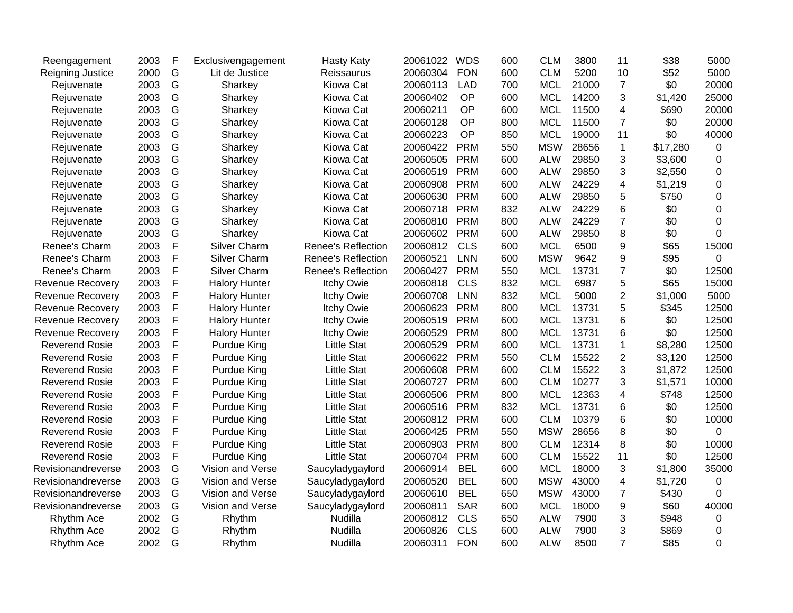| Reengagement            | 2003 | F             | Exclusivengagement   | <b>Hasty Katy</b>         | 20061022 | <b>WDS</b> | 600 | <b>CLM</b> | 3800  | 11             | \$38     | 5000           |
|-------------------------|------|---------------|----------------------|---------------------------|----------|------------|-----|------------|-------|----------------|----------|----------------|
| Reigning Justice        | 2000 | G             | Lit de Justice       | Reissaurus                | 20060304 | <b>FON</b> | 600 | <b>CLM</b> | 5200  | 10             | \$52     | 5000           |
| Rejuvenate              | 2003 | G             | Sharkey              | Kiowa Cat                 | 20060113 | <b>LAD</b> | 700 | <b>MCL</b> | 21000 | $\overline{7}$ | \$0      | 20000          |
| Rejuvenate              | 2003 | G             | Sharkey              | Kiowa Cat                 | 20060402 | <b>OP</b>  | 600 | <b>MCL</b> | 14200 | 3              | \$1,420  | 25000          |
| Rejuvenate              | 2003 | G             | Sharkey              | Kiowa Cat                 | 20060211 | OP         | 600 | <b>MCL</b> | 11500 | 4              | \$690    | 20000          |
| Rejuvenate              | 2003 | G             | Sharkey              | Kiowa Cat                 | 20060128 | OP         | 800 | <b>MCL</b> | 11500 | $\overline{7}$ | \$0      | 20000          |
| Rejuvenate              | 2003 | G             | Sharkey              | Kiowa Cat                 | 20060223 | OP         | 850 | <b>MCL</b> | 19000 | 11             | \$0      | 40000          |
| Rejuvenate              | 2003 | G             | Sharkey              | Kiowa Cat                 | 20060422 | <b>PRM</b> | 550 | <b>MSW</b> | 28656 | $\mathbf 1$    | \$17,280 | 0              |
| Rejuvenate              | 2003 | ${\mathsf G}$ | Sharkey              | Kiowa Cat                 | 20060505 | <b>PRM</b> | 600 | <b>ALW</b> | 29850 | 3              | \$3,600  | $\overline{0}$ |
| Rejuvenate              | 2003 | G             | Sharkey              | Kiowa Cat                 | 20060519 | <b>PRM</b> | 600 | <b>ALW</b> | 29850 | 3              | \$2,550  | 0              |
| Rejuvenate              | 2003 | G             | Sharkey              | Kiowa Cat                 | 20060908 | <b>PRM</b> | 600 | <b>ALW</b> | 24229 | 4              | \$1,219  | 0              |
| Rejuvenate              | 2003 | G             | Sharkey              | Kiowa Cat                 | 20060630 | <b>PRM</b> | 600 | <b>ALW</b> | 29850 | 5              | \$750    | 0              |
| Rejuvenate              | 2003 | G             | Sharkey              | Kiowa Cat                 | 20060718 | <b>PRM</b> | 832 | <b>ALW</b> | 24229 | 6              | \$0      | 0              |
| Rejuvenate              | 2003 | G             | Sharkey              | Kiowa Cat                 | 20060810 | <b>PRM</b> | 800 | <b>ALW</b> | 24229 | $\overline{7}$ | \$0      | 0              |
| Rejuvenate              | 2003 | G             | Sharkey              | Kiowa Cat                 | 20060602 | <b>PRM</b> | 600 | <b>ALW</b> | 29850 | 8              | \$0      | 0              |
| Renee's Charm           | 2003 | $\mathsf F$   | <b>Silver Charm</b>  | <b>Renee's Reflection</b> | 20060812 | <b>CLS</b> | 600 | <b>MCL</b> | 6500  | 9              | \$65     | 15000          |
| Renee's Charm           | 2003 | $\mathsf F$   | Silver Charm         | <b>Renee's Reflection</b> | 20060521 | <b>LNN</b> | 600 | <b>MSW</b> | 9642  | 9              | \$95     | $\overline{0}$ |
| Renee's Charm           | 2003 | $\mathsf F$   | Silver Charm         | <b>Renee's Reflection</b> | 20060427 | <b>PRM</b> | 550 | <b>MCL</b> | 13731 | $\overline{7}$ | \$0      | 12500          |
| <b>Revenue Recovery</b> | 2003 | F             | <b>Halory Hunter</b> | <b>Itchy Owie</b>         | 20060818 | <b>CLS</b> | 832 | <b>MCL</b> | 6987  | 5              | \$65     | 15000          |
| <b>Revenue Recovery</b> | 2003 | F             | <b>Halory Hunter</b> | <b>Itchy Owie</b>         | 20060708 | <b>LNN</b> | 832 | <b>MCL</b> | 5000  | $\overline{c}$ | \$1,000  | 5000           |
| <b>Revenue Recovery</b> | 2003 | F             | <b>Halory Hunter</b> | <b>Itchy Owie</b>         | 20060623 | <b>PRM</b> | 800 | <b>MCL</b> | 13731 | 5              | \$345    | 12500          |
| Revenue Recovery        | 2003 | F             | <b>Halory Hunter</b> | <b>Itchy Owie</b>         | 20060519 | <b>PRM</b> | 600 | <b>MCL</b> | 13731 | 6              | \$0      | 12500          |
| <b>Revenue Recovery</b> | 2003 | F             | <b>Halory Hunter</b> | <b>Itchy Owie</b>         | 20060529 | <b>PRM</b> | 800 | <b>MCL</b> | 13731 | 6              | \$0      | 12500          |
| <b>Reverend Rosie</b>   | 2003 | F             | Purdue King          | <b>Little Stat</b>        | 20060529 | <b>PRM</b> | 600 | <b>MCL</b> | 13731 | $\mathbf{1}$   | \$8,280  | 12500          |
| <b>Reverend Rosie</b>   | 2003 | $\mathsf F$   | <b>Purdue King</b>   | <b>Little Stat</b>        | 20060622 | <b>PRM</b> | 550 | <b>CLM</b> | 15522 | $\overline{2}$ | \$3,120  | 12500          |
| <b>Reverend Rosie</b>   | 2003 | F             | <b>Purdue King</b>   | <b>Little Stat</b>        | 20060608 | <b>PRM</b> | 600 | <b>CLM</b> | 15522 | 3              | \$1,872  | 12500          |
| <b>Reverend Rosie</b>   | 2003 | F             | <b>Purdue King</b>   | <b>Little Stat</b>        | 20060727 | <b>PRM</b> | 600 | <b>CLM</b> | 10277 | 3              | \$1,571  | 10000          |
| <b>Reverend Rosie</b>   | 2003 | F             | <b>Purdue King</b>   | <b>Little Stat</b>        | 20060506 | <b>PRM</b> | 800 | <b>MCL</b> | 12363 | 4              | \$748    | 12500          |
| <b>Reverend Rosie</b>   | 2003 | F             | <b>Purdue King</b>   | <b>Little Stat</b>        | 20060516 | <b>PRM</b> | 832 | <b>MCL</b> | 13731 | 6              | \$0      | 12500          |
| <b>Reverend Rosie</b>   | 2003 | $\mathsf F$   | <b>Purdue King</b>   | <b>Little Stat</b>        | 20060812 | <b>PRM</b> | 600 | <b>CLM</b> | 10379 | 6              | \$0      | 10000          |
| <b>Reverend Rosie</b>   | 2003 | $\mathsf F$   | <b>Purdue King</b>   | <b>Little Stat</b>        | 20060425 | <b>PRM</b> | 550 | <b>MSW</b> | 28656 | 8              | \$0      | $\overline{0}$ |
| <b>Reverend Rosie</b>   | 2003 | $\mathsf F$   | <b>Purdue King</b>   | <b>Little Stat</b>        | 20060903 | <b>PRM</b> | 800 | <b>CLM</b> | 12314 | 8              | \$0      | 10000          |
| <b>Reverend Rosie</b>   | 2003 | $\mathsf F$   | <b>Purdue King</b>   | <b>Little Stat</b>        | 20060704 | <b>PRM</b> | 600 | <b>CLM</b> | 15522 | 11             | \$0      | 12500          |
| Revisionandreverse      | 2003 | G             | Vision and Verse     | Saucyladygaylord          | 20060914 | <b>BEL</b> | 600 | <b>MCL</b> | 18000 | 3              | \$1,800  | 35000          |
| Revisionandreverse      | 2003 | G             | Vision and Verse     | Saucyladygaylord          | 20060520 | <b>BEL</b> | 600 | <b>MSW</b> | 43000 | 4              | \$1,720  | $\mathbf 0$    |
| Revisionandreverse      | 2003 | G             | Vision and Verse     | Saucyladygaylord          | 20060610 | <b>BEL</b> | 650 | <b>MSW</b> | 43000 | $\overline{7}$ | \$430    | 0              |
| Revisionandreverse      | 2003 | G             | Vision and Verse     | Saucyladygaylord          | 20060811 | <b>SAR</b> | 600 | <b>MCL</b> | 18000 | 9              | \$60     | 40000          |
| Rhythm Ace              | 2002 | G             | Rhythm               | Nudilla                   | 20060812 | <b>CLS</b> | 650 | <b>ALW</b> | 7900  | 3              | \$948    | 0              |
| Rhythm Ace              | 2002 | G             | Rhythm               | Nudilla                   | 20060826 | <b>CLS</b> | 600 | <b>ALW</b> | 7900  | 3              | \$869    | 0              |
| Rhythm Ace              | 2002 | G             | Rhythm               | Nudilla                   | 20060311 | <b>FON</b> | 600 | <b>ALW</b> | 8500  | $\overline{7}$ | \$85     | $\Omega$       |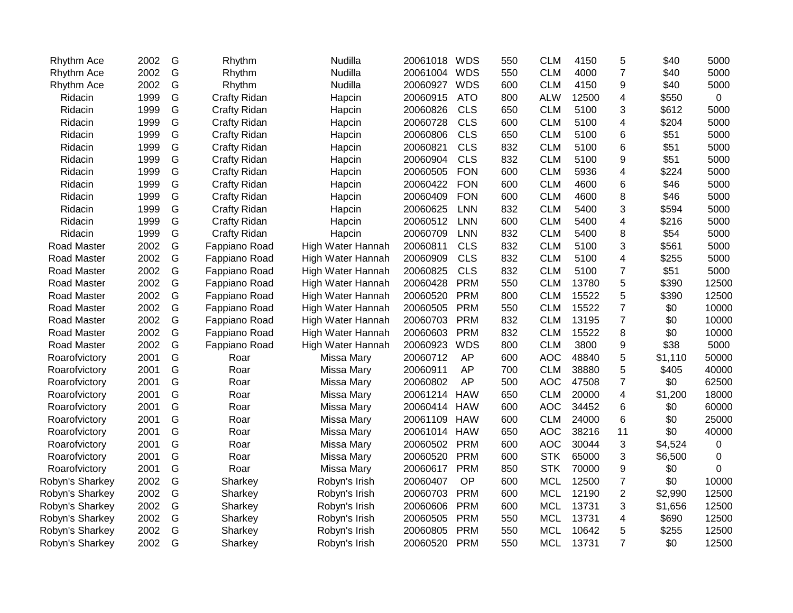| Rhythm Ace         | 2002 | G | Rhythm              | Nudilla           | 20061018 | <b>WDS</b> | 550 | <b>CLM</b> | 4150  | 5              | \$40    | 5000     |
|--------------------|------|---|---------------------|-------------------|----------|------------|-----|------------|-------|----------------|---------|----------|
| Rhythm Ace         | 2002 | G | Rhythm              | Nudilla           | 20061004 | <b>WDS</b> | 550 | <b>CLM</b> | 4000  | $\overline{7}$ | \$40    | 5000     |
| Rhythm Ace         | 2002 | G | Rhythm              | Nudilla           | 20060927 | <b>WDS</b> | 600 | <b>CLM</b> | 4150  | 9              | \$40    | 5000     |
| Ridacin            | 1999 | G | Crafty Ridan        | Hapcin            | 20060915 | <b>ATO</b> | 800 | <b>ALW</b> | 12500 | 4              | \$550   | 0        |
| Ridacin            | 1999 | G | <b>Crafty Ridan</b> | Hapcin            | 20060826 | <b>CLS</b> | 650 | <b>CLM</b> | 5100  | 3              | \$612   | 5000     |
| Ridacin            | 1999 | G | Crafty Ridan        | Hapcin            | 20060728 | <b>CLS</b> | 600 | <b>CLM</b> | 5100  | 4              | \$204   | 5000     |
| Ridacin            | 1999 | G | Crafty Ridan        | Hapcin            | 20060806 | <b>CLS</b> | 650 | <b>CLM</b> | 5100  | 6              | \$51    | 5000     |
| Ridacin            | 1999 | G | Crafty Ridan        | Hapcin            | 20060821 | <b>CLS</b> | 832 | <b>CLM</b> | 5100  | 6              | \$51    | 5000     |
| Ridacin            | 1999 | G | Crafty Ridan        | Hapcin            | 20060904 | <b>CLS</b> | 832 | <b>CLM</b> | 5100  | 9              | \$51    | 5000     |
| Ridacin            | 1999 | G | Crafty Ridan        | Hapcin            | 20060505 | <b>FON</b> | 600 | <b>CLM</b> | 5936  | 4              | \$224   | 5000     |
| Ridacin            | 1999 | G | Crafty Ridan        | Hapcin            | 20060422 | <b>FON</b> | 600 | <b>CLM</b> | 4600  | 6              | \$46    | 5000     |
| Ridacin            | 1999 | G | <b>Crafty Ridan</b> | Hapcin            | 20060409 | <b>FON</b> | 600 | <b>CLM</b> | 4600  | 8              | \$46    | 5000     |
| Ridacin            | 1999 | G | <b>Crafty Ridan</b> | Hapcin            | 20060625 | <b>LNN</b> | 832 | <b>CLM</b> | 5400  | 3              | \$594   | 5000     |
| Ridacin            | 1999 | G | <b>Crafty Ridan</b> | Hapcin            | 20060512 | <b>LNN</b> | 600 | <b>CLM</b> | 5400  | 4              | \$216   | 5000     |
| Ridacin            | 1999 | G | Crafty Ridan        | Hapcin            | 20060709 | <b>LNN</b> | 832 | <b>CLM</b> | 5400  | 8              | \$54    | 5000     |
| Road Master        | 2002 | G | Fappiano Road       | High Water Hannah | 20060811 | <b>CLS</b> | 832 | <b>CLM</b> | 5100  | 3              | \$561   | 5000     |
| Road Master        | 2002 | G | Fappiano Road       | High Water Hannah | 20060909 | <b>CLS</b> | 832 | <b>CLM</b> | 5100  | 4              | \$255   | 5000     |
| Road Master        | 2002 | G | Fappiano Road       | High Water Hannah | 20060825 | <b>CLS</b> | 832 | <b>CLM</b> | 5100  | $\overline{7}$ | \$51    | 5000     |
| Road Master        | 2002 | G | Fappiano Road       | High Water Hannah | 20060428 | <b>PRM</b> | 550 | <b>CLM</b> | 13780 | 5              | \$390   | 12500    |
| Road Master        | 2002 | G | Fappiano Road       | High Water Hannah | 20060520 | <b>PRM</b> | 800 | <b>CLM</b> | 15522 | 5              | \$390   | 12500    |
| Road Master        | 2002 | G | Fappiano Road       | High Water Hannah | 20060505 | <b>PRM</b> | 550 | <b>CLM</b> | 15522 | $\overline{7}$ | \$0     | 10000    |
| Road Master        | 2002 | G | Fappiano Road       | High Water Hannah | 20060703 | <b>PRM</b> | 832 | <b>CLM</b> | 13195 | $\overline{7}$ | \$0     | 10000    |
| Road Master        | 2002 | G | Fappiano Road       | High Water Hannah | 20060603 | <b>PRM</b> | 832 | <b>CLM</b> | 15522 | 8              | \$0     | 10000    |
| <b>Road Master</b> | 2002 | G | Fappiano Road       | High Water Hannah | 20060923 | <b>WDS</b> | 800 | <b>CLM</b> | 3800  | 9              | \$38    | 5000     |
| Roarofvictory      | 2001 | G | Roar                | Missa Mary        | 20060712 | AP         | 600 | <b>AOC</b> | 48840 | 5              | \$1,110 | 50000    |
| Roarofvictory      | 2001 | G | Roar                | Missa Mary        | 20060911 | AP         | 700 | <b>CLM</b> | 38880 | 5              | \$405   | 40000    |
| Roarofvictory      | 2001 | G | Roar                | Missa Mary        | 20060802 | AP         | 500 | <b>AOC</b> | 47508 | $\overline{7}$ | \$0     | 62500    |
| Roarofvictory      | 2001 | G | Roar                | Missa Mary        | 20061214 | <b>HAW</b> | 650 | <b>CLM</b> | 20000 | 4              | \$1,200 | 18000    |
| Roarofvictory      | 2001 | G | Roar                | Missa Mary        | 20060414 | <b>HAW</b> | 600 | <b>AOC</b> | 34452 | 6              | \$0     | 60000    |
| Roarofvictory      | 2001 | G | Roar                | Missa Mary        | 20061109 | <b>HAW</b> | 600 | <b>CLM</b> | 24000 | 6              | \$0     | 25000    |
| Roarofvictory      | 2001 | G | Roar                | Missa Mary        | 20061014 | <b>HAW</b> | 650 | <b>AOC</b> | 38216 | 11             | \$0     | 40000    |
| Roarofvictory      | 2001 | G | Roar                | Missa Mary        | 20060502 | <b>PRM</b> | 600 | <b>AOC</b> | 30044 | 3              | \$4,524 | 0        |
| Roarofvictory      | 2001 | G | Roar                | Missa Mary        | 20060520 | <b>PRM</b> | 600 | <b>STK</b> | 65000 | 3              | \$6,500 | 0        |
| Roarofvictory      | 2001 | G | Roar                | Missa Mary        | 20060617 | <b>PRM</b> | 850 | <b>STK</b> | 70000 | 9              | \$0     | $\Omega$ |
| Robyn's Sharkey    | 2002 | G | Sharkey             | Robyn's Irish     | 20060407 | OP         | 600 | <b>MCL</b> | 12500 | $\overline{7}$ | \$0     | 10000    |
| Robyn's Sharkey    | 2002 | G | Sharkey             | Robyn's Irish     | 20060703 | <b>PRM</b> | 600 | <b>MCL</b> | 12190 | $\overline{2}$ | \$2,990 | 12500    |
| Robyn's Sharkey    | 2002 | G | Sharkey             | Robyn's Irish     | 20060606 | <b>PRM</b> | 600 | <b>MCL</b> | 13731 | 3              | \$1,656 | 12500    |
| Robyn's Sharkey    | 2002 | G | Sharkey             | Robyn's Irish     | 20060505 | <b>PRM</b> | 550 | <b>MCL</b> | 13731 | 4              | \$690   | 12500    |
| Robyn's Sharkey    | 2002 | G | Sharkey             | Robyn's Irish     | 20060805 | <b>PRM</b> | 550 | <b>MCL</b> | 10642 | 5              | \$255   | 12500    |
| Robyn's Sharkey    | 2002 | G | Sharkey             | Robyn's Irish     | 20060520 | <b>PRM</b> | 550 | <b>MCL</b> | 13731 | $\overline{7}$ | \$0     | 12500    |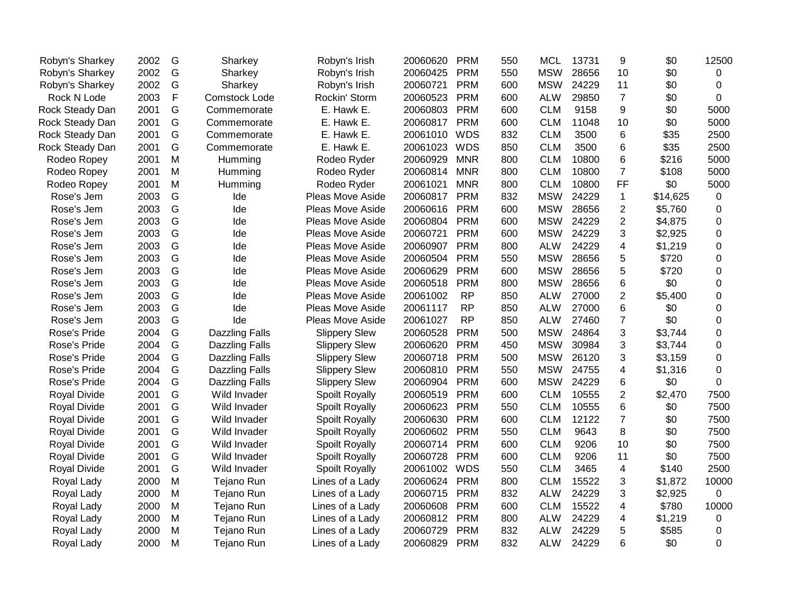| Robyn's Sharkey     | 2002 | G | Sharkey               | Robyn's Irish        | 20060620 | <b>PRM</b> | 550 | <b>MCL</b> | 13731 | 9              | \$0      | 12500    |
|---------------------|------|---|-----------------------|----------------------|----------|------------|-----|------------|-------|----------------|----------|----------|
| Robyn's Sharkey     | 2002 | G | Sharkey               | Robyn's Irish        | 20060425 | <b>PRM</b> | 550 | <b>MSW</b> | 28656 | 10             | \$0      | 0        |
| Robyn's Sharkey     | 2002 | G | Sharkey               | Robyn's Irish        | 20060721 | <b>PRM</b> | 600 | <b>MSW</b> | 24229 | 11             | \$0      | 0        |
| Rock N Lode         | 2003 | F | <b>Comstock Lode</b>  | Rockin' Storm        | 20060523 | <b>PRM</b> | 600 | <b>ALW</b> | 29850 | $\overline{7}$ | \$0      | 0        |
| Rock Steady Dan     | 2001 | G | Commemorate           | E. Hawk E.           | 20060803 | <b>PRM</b> | 600 | <b>CLM</b> | 9158  | 9              | \$0      | 5000     |
| Rock Steady Dan     | 2001 | G | Commemorate           | E. Hawk E.           | 20060817 | <b>PRM</b> | 600 | <b>CLM</b> | 11048 | 10             | \$0      | 5000     |
| Rock Steady Dan     | 2001 | G | Commemorate           | E. Hawk E.           | 20061010 | <b>WDS</b> | 832 | <b>CLM</b> | 3500  | 6              | \$35     | 2500     |
| Rock Steady Dan     | 2001 | G | Commemorate           | E. Hawk E.           | 20061023 | <b>WDS</b> | 850 | <b>CLM</b> | 3500  | 6              | \$35     | 2500     |
| Rodeo Ropey         | 2001 | M | Humming               | Rodeo Ryder          | 20060929 | <b>MNR</b> | 800 | <b>CLM</b> | 10800 | 6              | \$216    | 5000     |
| Rodeo Ropey         | 2001 | M | Humming               | Rodeo Ryder          | 20060814 | <b>MNR</b> | 800 | <b>CLM</b> | 10800 | $\overline{7}$ | \$108    | 5000     |
| Rodeo Ropey         | 2001 | M | Humming               | Rodeo Ryder          | 20061021 | <b>MNR</b> | 800 | <b>CLM</b> | 10800 | FF             | \$0      | 5000     |
| Rose's Jem          | 2003 | G | Ide                   | Pleas Move Aside     | 20060817 | <b>PRM</b> | 832 | <b>MSW</b> | 24229 | $\mathbf{1}$   | \$14,625 | 0        |
| Rose's Jem          | 2003 | G | Ide                   | Pleas Move Aside     | 20060616 | <b>PRM</b> | 600 | <b>MSW</b> | 28656 | $\overline{2}$ | \$5,760  | 0        |
| Rose's Jem          | 2003 | G | Ide                   | Pleas Move Aside     | 20060804 | <b>PRM</b> | 600 | <b>MSW</b> | 24229 | $\overline{2}$ | \$4,875  | 0        |
| Rose's Jem          | 2003 | G | Ide                   | Pleas Move Aside     | 20060721 | <b>PRM</b> | 600 | <b>MSW</b> | 24229 | 3              | \$2,925  | 0        |
| Rose's Jem          | 2003 | G | Ide                   | Pleas Move Aside     | 20060907 | <b>PRM</b> | 800 | <b>ALW</b> | 24229 | 4              | \$1,219  | 0        |
| Rose's Jem          | 2003 | G | Ide                   | Pleas Move Aside     | 20060504 | <b>PRM</b> | 550 | <b>MSW</b> | 28656 | 5              | \$720    | 0        |
| Rose's Jem          | 2003 | G | Ide                   | Pleas Move Aside     | 20060629 | <b>PRM</b> | 600 | <b>MSW</b> | 28656 | 5              | \$720    | $\Omega$ |
| Rose's Jem          | 2003 | G | Ide                   | Pleas Move Aside     | 20060518 | <b>PRM</b> | 800 | <b>MSW</b> | 28656 | 6              | \$0      | 0        |
| Rose's Jem          | 2003 | G | Ide                   | Pleas Move Aside     | 20061002 | <b>RP</b>  | 850 | <b>ALW</b> | 27000 | $\overline{2}$ | \$5,400  | 0        |
| Rose's Jem          | 2003 | G | Ide                   | Pleas Move Aside     | 20061117 | <b>RP</b>  | 850 | <b>ALW</b> | 27000 | 6              | \$0      | 0        |
| Rose's Jem          | 2003 | G | Ide                   | Pleas Move Aside     | 20061027 | <b>RP</b>  | 850 | <b>ALW</b> | 27460 | $\overline{7}$ | \$0      | 0        |
| Rose's Pride        | 2004 | G | <b>Dazzling Falls</b> | <b>Slippery Slew</b> | 20060528 | <b>PRM</b> | 500 | <b>MSW</b> | 24864 | 3              | \$3,744  | 0        |
| Rose's Pride        | 2004 | G | <b>Dazzling Falls</b> | <b>Slippery Slew</b> | 20060620 | <b>PRM</b> | 450 | <b>MSW</b> | 30984 | 3              | \$3,744  | 0        |
| Rose's Pride        | 2004 | G | <b>Dazzling Falls</b> | <b>Slippery Slew</b> | 20060718 | <b>PRM</b> | 500 | <b>MSW</b> | 26120 | 3              | \$3,159  | $\Omega$ |
| Rose's Pride        | 2004 | G | <b>Dazzling Falls</b> | <b>Slippery Slew</b> | 20060810 | <b>PRM</b> | 550 | <b>MSW</b> | 24755 | 4              | \$1,316  | 0        |
| Rose's Pride        | 2004 | G | Dazzling Falls        | <b>Slippery Slew</b> | 20060904 | <b>PRM</b> | 600 | <b>MSW</b> | 24229 | 6              | \$0      | 0        |
| <b>Royal Divide</b> | 2001 | G | Wild Invader          | Spoilt Royally       | 20060519 | <b>PRM</b> | 600 | <b>CLM</b> | 10555 | 2              | \$2,470  | 7500     |
| <b>Royal Divide</b> | 2001 | G | Wild Invader          | Spoilt Royally       | 20060623 | <b>PRM</b> | 550 | <b>CLM</b> | 10555 | 6              | \$0      | 7500     |
| <b>Royal Divide</b> | 2001 | G | Wild Invader          | Spoilt Royally       | 20060630 | <b>PRM</b> | 600 | <b>CLM</b> | 12122 | $\overline{7}$ | \$0      | 7500     |
| <b>Royal Divide</b> | 2001 | G | Wild Invader          | Spoilt Royally       | 20060602 | <b>PRM</b> | 550 | <b>CLM</b> | 9643  | 8              | \$0      | 7500     |
| Royal Divide        | 2001 | G | Wild Invader          | Spoilt Royally       | 20060714 | <b>PRM</b> | 600 | <b>CLM</b> | 9206  | 10             | \$0      | 7500     |
| Royal Divide        | 2001 | G | Wild Invader          | Spoilt Royally       | 20060728 | <b>PRM</b> | 600 | <b>CLM</b> | 9206  | 11             | \$0      | 7500     |
| Royal Divide        | 2001 | G | Wild Invader          | Spoilt Royally       | 20061002 | <b>WDS</b> | 550 | <b>CLM</b> | 3465  | $\overline{4}$ | \$140    | 2500     |
| Royal Lady          | 2000 | M | Tejano Run            | Lines of a Lady      | 20060624 | <b>PRM</b> | 800 | <b>CLM</b> | 15522 | 3              | \$1,872  | 10000    |
| Royal Lady          | 2000 | M | Tejano Run            | Lines of a Lady      | 20060715 | <b>PRM</b> | 832 | <b>ALW</b> | 24229 | 3              | \$2,925  | 0        |
| Royal Lady          | 2000 | M | Tejano Run            | Lines of a Lady      | 20060608 | <b>PRM</b> | 600 | <b>CLM</b> | 15522 | 4              | \$780    | 10000    |
| Royal Lady          | 2000 | M | Tejano Run            | Lines of a Lady      | 20060812 | <b>PRM</b> | 800 | <b>ALW</b> | 24229 | 4              | \$1,219  | 0        |
| Royal Lady          | 2000 | M | Tejano Run            | Lines of a Lady      | 20060729 | <b>PRM</b> | 832 | <b>ALW</b> | 24229 | 5              | \$585    | 0        |
| Royal Lady          | 2000 | M | Tejano Run            | Lines of a Lady      | 20060829 | <b>PRM</b> | 832 | <b>ALW</b> | 24229 | 6              | \$0      | 0        |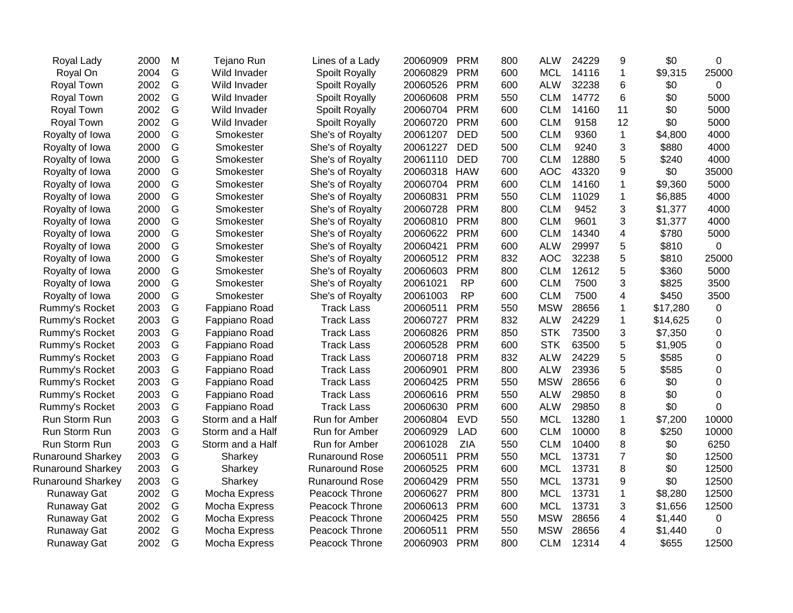| Royal Lady               | 2000 | M             | Tejano Run       | Lines of a Lady       | 20060909 | <b>PRM</b> | 800 | <b>ALW</b> | 24229 | 9              | \$0      | 0           |
|--------------------------|------|---------------|------------------|-----------------------|----------|------------|-----|------------|-------|----------------|----------|-------------|
| Royal On                 | 2004 | G             | Wild Invader     | Spoilt Royally        | 20060829 | <b>PRM</b> | 600 | <b>MCL</b> | 14116 | $\mathbf{1}$   | \$9,315  | 25000       |
| Royal Town               | 2002 | G             | Wild Invader     | Spoilt Royally        | 20060526 | <b>PRM</b> | 600 | <b>ALW</b> | 32238 | 6              | \$0      | 0           |
| Royal Town               | 2002 | G             | Wild Invader     | Spoilt Royally        | 20060608 | <b>PRM</b> | 550 | <b>CLM</b> | 14772 | 6              | \$0      | 5000        |
| Royal Town               | 2002 | G             | Wild Invader     | Spoilt Royally        | 20060704 | <b>PRM</b> | 600 | <b>CLM</b> | 14160 | 11             | \$0      | 5000        |
| Royal Town               | 2002 | G             | Wild Invader     | Spoilt Royally        | 20060720 | <b>PRM</b> | 600 | <b>CLM</b> | 9158  | 12             | \$0      | 5000        |
| Royalty of Iowa          | 2000 | G             | Smokester        | She's of Royalty      | 20061207 | <b>DED</b> | 500 | <b>CLM</b> | 9360  | $\mathbf{1}$   | \$4,800  | 4000        |
| Royalty of Iowa          | 2000 | G             | Smokester        | She's of Royalty      | 20061227 | <b>DED</b> | 500 | <b>CLM</b> | 9240  | 3              | \$880    | 4000        |
| Royalty of Iowa          | 2000 | G             | Smokester        | She's of Royalty      | 20061110 | <b>DED</b> | 700 | <b>CLM</b> | 12880 | 5              | \$240    | 4000        |
| Royalty of Iowa          | 2000 | G             | Smokester        | She's of Royalty      | 20060318 | <b>HAW</b> | 600 | <b>AOC</b> | 43320 | 9              | \$0      | 35000       |
| Royalty of Iowa          | 2000 | G             | Smokester        | She's of Royalty      | 20060704 | <b>PRM</b> | 600 | <b>CLM</b> | 14160 | 1              | \$9,360  | 5000        |
| Royalty of Iowa          | 2000 | G             | Smokester        | She's of Royalty      | 20060831 | <b>PRM</b> | 550 | <b>CLM</b> | 11029 | 1              | \$6,885  | 4000        |
| Royalty of Iowa          | 2000 | G             | Smokester        | She's of Royalty      | 20060728 | <b>PRM</b> | 800 | <b>CLM</b> | 9452  | 3              | \$1,377  | 4000        |
| Royalty of Iowa          | 2000 | G             | Smokester        | She's of Royalty      | 20060810 | <b>PRM</b> | 800 | <b>CLM</b> | 9601  | 3              | \$1,377  | 4000        |
| Royalty of Iowa          | 2000 | ${\mathsf G}$ | Smokester        | She's of Royalty      | 20060622 | <b>PRM</b> | 600 | <b>CLM</b> | 14340 | 4              | \$780    | 5000        |
| Royalty of Iowa          | 2000 | G             | Smokester        | She's of Royalty      | 20060421 | <b>PRM</b> | 600 | <b>ALW</b> | 29997 | 5              | \$810    | $\Omega$    |
| Royalty of Iowa          | 2000 | G             | Smokester        | She's of Royalty      | 20060512 | <b>PRM</b> | 832 | <b>AOC</b> | 32238 | 5              | \$810    | 25000       |
| Royalty of Iowa          | 2000 | ${\mathsf G}$ | Smokester        | She's of Royalty      | 20060603 | <b>PRM</b> | 800 | <b>CLM</b> | 12612 | 5              | \$360    | 5000        |
| Royalty of Iowa          | 2000 | G             | Smokester        | She's of Royalty      | 20061021 | <b>RP</b>  | 600 | <b>CLM</b> | 7500  | 3              | \$825    | 3500        |
| Royalty of Iowa          | 2000 | G             | Smokester        | She's of Royalty      | 20061003 | <b>RP</b>  | 600 | <b>CLM</b> | 7500  | 4              | \$450    | 3500        |
| Rummy's Rocket           | 2003 | G             | Fappiano Road    | <b>Track Lass</b>     | 20060511 | <b>PRM</b> | 550 | <b>MSW</b> | 28656 | 1              | \$17,280 | 0           |
| Rummy's Rocket           | 2003 | G             | Fappiano Road    | <b>Track Lass</b>     | 20060727 | <b>PRM</b> | 832 | <b>ALW</b> | 24229 | 1              | \$14,625 | 0           |
| Rummy's Rocket           | 2003 | G             | Fappiano Road    | <b>Track Lass</b>     | 20060826 | <b>PRM</b> | 850 | <b>STK</b> | 73500 | 3              | \$7,350  | 0           |
| Rummy's Rocket           | 2003 | G             | Fappiano Road    | <b>Track Lass</b>     | 20060528 | <b>PRM</b> | 600 | <b>STK</b> | 63500 | 5              | \$1,905  | 0           |
| Rummy's Rocket           | 2003 | G             | Fappiano Road    | <b>Track Lass</b>     | 20060718 | <b>PRM</b> | 832 | <b>ALW</b> | 24229 | 5              | \$585    | $\Omega$    |
| Rummy's Rocket           | 2003 | G             | Fappiano Road    | <b>Track Lass</b>     | 20060901 | <b>PRM</b> | 800 | <b>ALW</b> | 23936 | 5              | \$585    | 0           |
| Rummy's Rocket           | 2003 | G             | Fappiano Road    | <b>Track Lass</b>     | 20060425 | <b>PRM</b> | 550 | <b>MSW</b> | 28656 | 6              | \$0      | $\Omega$    |
| Rummy's Rocket           | 2003 | G             | Fappiano Road    | <b>Track Lass</b>     | 20060616 | <b>PRM</b> | 550 | <b>ALW</b> | 29850 | 8              | \$0      | $\Omega$    |
| Rummy's Rocket           | 2003 | G             | Fappiano Road    | <b>Track Lass</b>     | 20060630 | <b>PRM</b> | 600 | <b>ALW</b> | 29850 | 8              | \$0      | 0           |
| Run Storm Run            | 2003 | G             | Storm and a Half | Run for Amber         | 20060804 | <b>EVD</b> | 550 | <b>MCL</b> | 13280 | 1              | \$7,200  | 10000       |
| Run Storm Run            | 2003 | G             | Storm and a Half | Run for Amber         | 20060929 | <b>LAD</b> | 600 | <b>CLM</b> | 10000 | 8              | \$250    | 10000       |
| Run Storm Run            | 2003 | G             | Storm and a Half | Run for Amber         | 20061028 | <b>ZIA</b> | 550 | <b>CLM</b> | 10400 | 8              | \$0      | 6250        |
| <b>Runaround Sharkey</b> | 2003 | G             | Sharkey          | <b>Runaround Rose</b> | 20060511 | <b>PRM</b> | 550 | <b>MCL</b> | 13731 | $\overline{7}$ | \$0      | 12500       |
| <b>Runaround Sharkey</b> | 2003 | G             | Sharkey          | <b>Runaround Rose</b> | 20060525 | <b>PRM</b> | 600 | <b>MCL</b> | 13731 | 8              | \$0      | 12500       |
| <b>Runaround Sharkey</b> | 2003 | G             | Sharkey          | <b>Runaround Rose</b> | 20060429 | <b>PRM</b> | 550 | <b>MCL</b> | 13731 | 9              | \$0      | 12500       |
| <b>Runaway Gat</b>       | 2002 | G             | Mocha Express    | Peacock Throne        | 20060627 | <b>PRM</b> | 800 | <b>MCL</b> | 13731 | $\mathbf{1}$   | \$8,280  | 12500       |
| Runaway Gat              | 2002 | G             | Mocha Express    | Peacock Throne        | 20060613 | <b>PRM</b> | 600 | <b>MCL</b> | 13731 | 3              | \$1,656  | 12500       |
| <b>Runaway Gat</b>       | 2002 | G             | Mocha Express    | Peacock Throne        | 20060425 | <b>PRM</b> | 550 | <b>MSW</b> | 28656 | 4              | \$1,440  | $\mathbf 0$ |
| <b>Runaway Gat</b>       | 2002 | G             | Mocha Express    | Peacock Throne        | 20060511 | <b>PRM</b> | 550 | <b>MSW</b> | 28656 | 4              | \$1,440  | 0           |
| <b>Runaway Gat</b>       | 2002 | G             | Mocha Express    | Peacock Throne        | 20060903 | <b>PRM</b> | 800 | <b>CLM</b> | 12314 | 4              | \$655    | 12500       |
|                          |      |               |                  |                       |          |            |     |            |       |                |          |             |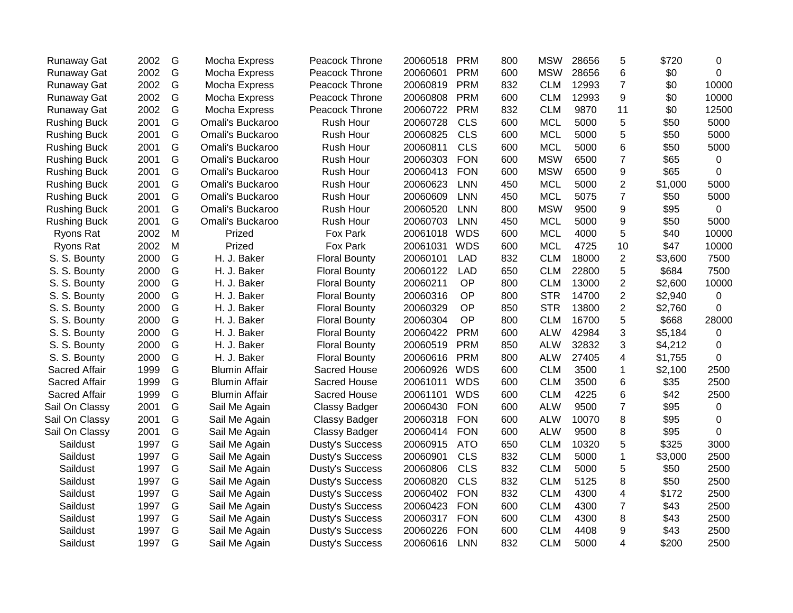| <b>Runaway Gat</b>  | 2002 | G | Mocha Express        | Peacock Throne         | 20060518 | <b>PRM</b> | 800 | <b>MSW</b> | 28656 | 5              | \$720   | $\pmb{0}$   |
|---------------------|------|---|----------------------|------------------------|----------|------------|-----|------------|-------|----------------|---------|-------------|
| Runaway Gat         | 2002 | G | Mocha Express        | Peacock Throne         | 20060601 | <b>PRM</b> | 600 | <b>MSW</b> | 28656 | 6              | \$0     | 0           |
| Runaway Gat         | 2002 | G | Mocha Express        | Peacock Throne         | 20060819 | <b>PRM</b> | 832 | <b>CLM</b> | 12993 | $\overline{7}$ | \$0     | 10000       |
| Runaway Gat         | 2002 | G | Mocha Express        | Peacock Throne         | 20060808 | <b>PRM</b> | 600 | <b>CLM</b> | 12993 | 9              | \$0     | 10000       |
| Runaway Gat         | 2002 | G | Mocha Express        | Peacock Throne         | 20060722 | <b>PRM</b> | 832 | <b>CLM</b> | 9870  | 11             | \$0     | 12500       |
| <b>Rushing Buck</b> | 2001 | G | Omali's Buckaroo     | Rush Hour              | 20060728 | <b>CLS</b> | 600 | <b>MCL</b> | 5000  | 5              | \$50    | 5000        |
| <b>Rushing Buck</b> | 2001 | G | Omali's Buckaroo     | Rush Hour              | 20060825 | <b>CLS</b> | 600 | <b>MCL</b> | 5000  | 5              | \$50    | 5000        |
| <b>Rushing Buck</b> | 2001 | G | Omali's Buckaroo     | Rush Hour              | 20060811 | <b>CLS</b> | 600 | <b>MCL</b> | 5000  | 6              | \$50    | 5000        |
| <b>Rushing Buck</b> | 2001 | G | Omali's Buckaroo     | <b>Rush Hour</b>       | 20060303 | <b>FON</b> | 600 | <b>MSW</b> | 6500  | $\overline{7}$ | \$65    | 0           |
| <b>Rushing Buck</b> | 2001 | G | Omali's Buckaroo     | Rush Hour              | 20060413 | <b>FON</b> | 600 | <b>MSW</b> | 6500  | 9              | \$65    | $\pmb{0}$   |
| <b>Rushing Buck</b> | 2001 | G | Omali's Buckaroo     | Rush Hour              | 20060623 | <b>LNN</b> | 450 | <b>MCL</b> | 5000  | $\overline{2}$ | \$1,000 | 5000        |
| <b>Rushing Buck</b> | 2001 | G | Omali's Buckaroo     | Rush Hour              | 20060609 | <b>LNN</b> | 450 | <b>MCL</b> | 5075  | $\overline{7}$ | \$50    | 5000        |
| <b>Rushing Buck</b> | 2001 | G | Omali's Buckaroo     | Rush Hour              | 20060520 | <b>LNN</b> | 800 | <b>MSW</b> | 9500  | 9              | \$95    | $\mathbf 0$ |
| <b>Rushing Buck</b> | 2001 | G | Omali's Buckaroo     | Rush Hour              | 20060703 | <b>LNN</b> | 450 | <b>MCL</b> | 5000  | 9              | \$50    | 5000        |
| Ryons Rat           | 2002 | M | Prized               | Fox Park               | 20061018 | <b>WDS</b> | 600 | <b>MCL</b> | 4000  | 5              | \$40    | 10000       |
| Ryons Rat           | 2002 | M | Prized               | Fox Park               | 20061031 | <b>WDS</b> | 600 | <b>MCL</b> | 4725  | 10             | \$47    | 10000       |
| S. S. Bounty        | 2000 | G | H. J. Baker          | <b>Floral Bounty</b>   | 20060101 | <b>LAD</b> | 832 | <b>CLM</b> | 18000 | $\overline{2}$ | \$3,600 | 7500        |
| S. S. Bounty        | 2000 | G | H. J. Baker          | <b>Floral Bounty</b>   | 20060122 | <b>LAD</b> | 650 | <b>CLM</b> | 22800 | 5              | \$684   | 7500        |
| S. S. Bounty        | 2000 | G | H. J. Baker          | <b>Floral Bounty</b>   | 20060211 | OP         | 800 | <b>CLM</b> | 13000 | $\overline{2}$ | \$2,600 | 10000       |
| S. S. Bounty        | 2000 | G | H. J. Baker          | <b>Floral Bounty</b>   | 20060316 | OP         | 800 | <b>STR</b> | 14700 | $\overline{2}$ | \$2,940 | $\mathbf 0$ |
| S. S. Bounty        | 2000 | G | H. J. Baker          | <b>Floral Bounty</b>   | 20060329 | OP         | 850 | <b>STR</b> | 13800 | $\overline{2}$ | \$2,760 | 0           |
| S. S. Bounty        | 2000 | G | H. J. Baker          | <b>Floral Bounty</b>   | 20060304 | OP         | 800 | <b>CLM</b> | 16700 | 5              | \$668   | 28000       |
| S. S. Bounty        | 2000 | G | H. J. Baker          | <b>Floral Bounty</b>   | 20060422 | <b>PRM</b> | 600 | <b>ALW</b> | 42984 | 3              | \$5,184 | 0           |
| S. S. Bounty        | 2000 | G | H. J. Baker          | <b>Floral Bounty</b>   | 20060519 | <b>PRM</b> | 850 | <b>ALW</b> | 32832 | 3              | \$4,212 | 0           |
| S. S. Bounty        | 2000 | G | H. J. Baker          | <b>Floral Bounty</b>   | 20060616 | <b>PRM</b> | 800 | <b>ALW</b> | 27405 | 4              | \$1,755 | $\Omega$    |
| Sacred Affair       | 1999 | G | <b>Blumin Affair</b> | Sacred House           | 20060926 | <b>WDS</b> | 600 | <b>CLM</b> | 3500  | $\mathbf 1$    | \$2,100 | 2500        |
| Sacred Affair       | 1999 | G | <b>Blumin Affair</b> | Sacred House           | 20061011 | <b>WDS</b> | 600 | <b>CLM</b> | 3500  | 6              | \$35    | 2500        |
| Sacred Affair       | 1999 | G | <b>Blumin Affair</b> | Sacred House           | 20061101 | <b>WDS</b> | 600 | <b>CLM</b> | 4225  | 6              | \$42    | 2500        |
| Sail On Classy      | 2001 | G | Sail Me Again        | <b>Classy Badger</b>   | 20060430 | <b>FON</b> | 600 | <b>ALW</b> | 9500  | $\overline{7}$ | \$95    | $\mathbf 0$ |
| Sail On Classy      | 2001 | G | Sail Me Again        | <b>Classy Badger</b>   | 20060318 | <b>FON</b> | 600 | <b>ALW</b> | 10070 | 8              | \$95    | $\pmb{0}$   |
| Sail On Classy      | 2001 | G | Sail Me Again        | <b>Classy Badger</b>   | 20060414 | <b>FON</b> | 600 | <b>ALW</b> | 9500  | 8              | \$95    | $\mathbf 0$ |
| Saildust            | 1997 | G | Sail Me Again        | <b>Dusty's Success</b> | 20060915 | <b>ATO</b> | 650 | <b>CLM</b> | 10320 | 5              | \$325   | 3000        |
| Saildust            | 1997 | G | Sail Me Again        | <b>Dusty's Success</b> | 20060901 | <b>CLS</b> | 832 | <b>CLM</b> | 5000  | $\mathbf 1$    | \$3,000 | 2500        |
| Saildust            | 1997 | G | Sail Me Again        | Dusty's Success        | 20060806 | <b>CLS</b> | 832 | <b>CLM</b> | 5000  | 5              | \$50    | 2500        |
| Saildust            | 1997 | G | Sail Me Again        | <b>Dusty's Success</b> | 20060820 | <b>CLS</b> | 832 | <b>CLM</b> | 5125  | 8              | \$50    | 2500        |
| Saildust            | 1997 | G | Sail Me Again        | <b>Dusty's Success</b> | 20060402 | <b>FON</b> | 832 | <b>CLM</b> | 4300  | 4              | \$172   | 2500        |
| Saildust            | 1997 | G | Sail Me Again        | <b>Dusty's Success</b> | 20060423 | <b>FON</b> | 600 | <b>CLM</b> | 4300  | $\overline{7}$ | \$43    | 2500        |
| Saildust            | 1997 | G | Sail Me Again        | <b>Dusty's Success</b> | 20060317 | <b>FON</b> | 600 | <b>CLM</b> | 4300  | 8              | \$43    | 2500        |
| Saildust            | 1997 | G | Sail Me Again        | <b>Dusty's Success</b> | 20060226 | <b>FON</b> | 600 | <b>CLM</b> | 4408  | 9              | \$43    | 2500        |
| Saildust            | 1997 | G | Sail Me Again        | <b>Dusty's Success</b> | 20060616 | <b>LNN</b> | 832 | <b>CLM</b> | 5000  | 4              | \$200   | 2500        |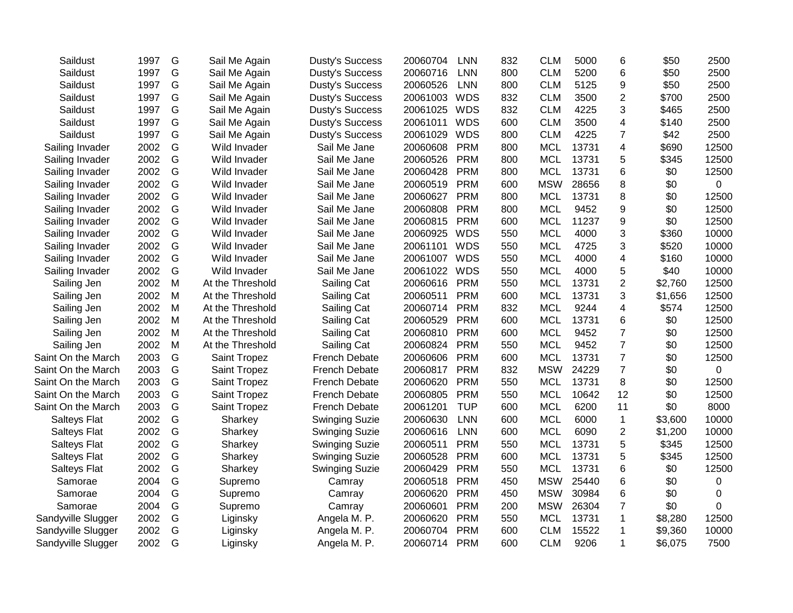| Saildust            | 1997 | G | Sail Me Again    | <b>Dusty's Success</b> | 20060704 | <b>LNN</b> | 832 | <b>CLM</b> | 5000  | 6                       | \$50    | 2500  |
|---------------------|------|---|------------------|------------------------|----------|------------|-----|------------|-------|-------------------------|---------|-------|
| Saildust            | 1997 | G | Sail Me Again    | <b>Dusty's Success</b> | 20060716 | <b>LNN</b> | 800 | <b>CLM</b> | 5200  | 6                       | \$50    | 2500  |
| Saildust            | 1997 | G | Sail Me Again    | <b>Dusty's Success</b> | 20060526 | <b>LNN</b> | 800 | <b>CLM</b> | 5125  | 9                       | \$50    | 2500  |
| Saildust            | 1997 | G | Sail Me Again    | <b>Dusty's Success</b> | 20061003 | <b>WDS</b> | 832 | <b>CLM</b> | 3500  | $\overline{2}$          | \$700   | 2500  |
| Saildust            | 1997 | G | Sail Me Again    | <b>Dusty's Success</b> | 20061025 | <b>WDS</b> | 832 | <b>CLM</b> | 4225  | 3                       | \$465   | 2500  |
| Saildust            | 1997 | G | Sail Me Again    | <b>Dusty's Success</b> | 20061011 | <b>WDS</b> | 600 | <b>CLM</b> | 3500  | 4                       | \$140   | 2500  |
| Saildust            | 1997 | G | Sail Me Again    | <b>Dusty's Success</b> | 20061029 | <b>WDS</b> | 800 | <b>CLM</b> | 4225  | $\overline{7}$          | \$42    | 2500  |
| Sailing Invader     | 2002 | G | Wild Invader     | Sail Me Jane           | 20060608 | <b>PRM</b> | 800 | <b>MCL</b> | 13731 | 4                       | \$690   | 12500 |
| Sailing Invader     | 2002 | G | Wild Invader     | Sail Me Jane           | 20060526 | <b>PRM</b> | 800 | <b>MCL</b> | 13731 | 5                       | \$345   | 12500 |
| Sailing Invader     | 2002 | G | Wild Invader     | Sail Me Jane           | 20060428 | <b>PRM</b> | 800 | <b>MCL</b> | 13731 | 6                       | \$0     | 12500 |
| Sailing Invader     | 2002 | G | Wild Invader     | Sail Me Jane           | 20060519 | <b>PRM</b> | 600 | <b>MSW</b> | 28656 | 8                       | \$0     | 0     |
| Sailing Invader     | 2002 | G | Wild Invader     | Sail Me Jane           | 20060627 | <b>PRM</b> | 800 | <b>MCL</b> | 13731 | 8                       | \$0     | 12500 |
| Sailing Invader     | 2002 | G | Wild Invader     | Sail Me Jane           | 20060808 | <b>PRM</b> | 800 | <b>MCL</b> | 9452  | 9                       | \$0     | 12500 |
| Sailing Invader     | 2002 | G | Wild Invader     | Sail Me Jane           | 20060815 | <b>PRM</b> | 600 | <b>MCL</b> | 11237 | 9                       | \$0     | 12500 |
| Sailing Invader     | 2002 | G | Wild Invader     | Sail Me Jane           | 20060925 | <b>WDS</b> | 550 | <b>MCL</b> | 4000  | 3                       | \$360   | 10000 |
| Sailing Invader     | 2002 | G | Wild Invader     | Sail Me Jane           | 20061101 | <b>WDS</b> | 550 | <b>MCL</b> | 4725  | 3                       | \$520   | 10000 |
| Sailing Invader     | 2002 | G | Wild Invader     | Sail Me Jane           | 20061007 | <b>WDS</b> | 550 | <b>MCL</b> | 4000  | $\overline{\mathbf{4}}$ | \$160   | 10000 |
| Sailing Invader     | 2002 | G | Wild Invader     | Sail Me Jane           | 20061022 | <b>WDS</b> | 550 | <b>MCL</b> | 4000  | 5                       | \$40    | 10000 |
| Sailing Jen         | 2002 | M | At the Threshold | Sailing Cat            | 20060616 | <b>PRM</b> | 550 | <b>MCL</b> | 13731 | $\overline{2}$          | \$2,760 | 12500 |
| Sailing Jen         | 2002 | M | At the Threshold | Sailing Cat            | 20060511 | <b>PRM</b> | 600 | <b>MCL</b> | 13731 | 3                       | \$1,656 | 12500 |
| Sailing Jen         | 2002 | M | At the Threshold | Sailing Cat            | 20060714 | <b>PRM</b> | 832 | <b>MCL</b> | 9244  | 4                       | \$574   | 12500 |
| Sailing Jen         | 2002 | M | At the Threshold | Sailing Cat            | 20060529 | <b>PRM</b> | 600 | <b>MCL</b> | 13731 | 6                       | \$0     | 12500 |
| Sailing Jen         | 2002 | M | At the Threshold | Sailing Cat            | 20060810 | <b>PRM</b> | 600 | <b>MCL</b> | 9452  | $\overline{7}$          | \$0     | 12500 |
| Sailing Jen         | 2002 | M | At the Threshold | Sailing Cat            | 20060824 | <b>PRM</b> | 550 | <b>MCL</b> | 9452  | $\overline{7}$          | \$0     | 12500 |
| Saint On the March  | 2003 | G | Saint Tropez     | <b>French Debate</b>   | 20060606 | <b>PRM</b> | 600 | <b>MCL</b> | 13731 | $\overline{7}$          | \$0     | 12500 |
| Saint On the March  | 2003 | G | Saint Tropez     | <b>French Debate</b>   | 20060817 | <b>PRM</b> | 832 | <b>MSW</b> | 24229 | $\overline{7}$          | \$0     | 0     |
| Saint On the March  | 2003 | G | Saint Tropez     | <b>French Debate</b>   | 20060620 | <b>PRM</b> | 550 | <b>MCL</b> | 13731 | 8                       | \$0     | 12500 |
| Saint On the March  | 2003 | G | Saint Tropez     | <b>French Debate</b>   | 20060805 | <b>PRM</b> | 550 | <b>MCL</b> | 10642 | 12                      | \$0     | 12500 |
| Saint On the March  | 2003 | G | Saint Tropez     | <b>French Debate</b>   | 20061201 | <b>TUP</b> | 600 | <b>MCL</b> | 6200  | 11                      | \$0     | 8000  |
| Salteys Flat        | 2002 | G | Sharkey          | <b>Swinging Suzie</b>  | 20060630 | <b>LNN</b> | 600 | <b>MCL</b> | 6000  | $\mathbf{1}$            | \$3,600 | 10000 |
| <b>Salteys Flat</b> | 2002 | G | Sharkey          | <b>Swinging Suzie</b>  | 20060616 | <b>LNN</b> | 600 | <b>MCL</b> | 6090  | $\overline{c}$          | \$1,200 | 10000 |
| Salteys Flat        | 2002 | G | Sharkey          | <b>Swinging Suzie</b>  | 20060511 | <b>PRM</b> | 550 | <b>MCL</b> | 13731 | 5                       | \$345   | 12500 |
| Salteys Flat        | 2002 | G | Sharkey          | <b>Swinging Suzie</b>  | 20060528 | <b>PRM</b> | 600 | <b>MCL</b> | 13731 | 5                       | \$345   | 12500 |
| Salteys Flat        | 2002 | G | Sharkey          | <b>Swinging Suzie</b>  | 20060429 | <b>PRM</b> | 550 | <b>MCL</b> | 13731 | 6                       | \$0     | 12500 |
| Samorae             | 2004 | G | Supremo          | Camray                 | 20060518 | <b>PRM</b> | 450 | <b>MSW</b> | 25440 | 6                       | \$0     | 0     |
| Samorae             | 2004 | G | Supremo          | Camray                 | 20060620 | <b>PRM</b> | 450 | <b>MSW</b> | 30984 | 6                       | \$0     | 0     |
| Samorae             | 2004 | G | Supremo          | Camray                 | 20060601 | <b>PRM</b> | 200 | <b>MSW</b> | 26304 | $\overline{7}$          | \$0     | 0     |
| Sandyville Slugger  | 2002 | G | Liginsky         | Angela M. P.           | 20060620 | <b>PRM</b> | 550 | <b>MCL</b> | 13731 | $\mathbf{1}$            | \$8,280 | 12500 |
| Sandyville Slugger  | 2002 | G | Liginsky         | Angela M. P.           | 20060704 | <b>PRM</b> | 600 | <b>CLM</b> | 15522 | 1                       | \$9,360 | 10000 |
| Sandyville Slugger  | 2002 | G | Liginsky         | Angela M. P.           | 20060714 | <b>PRM</b> | 600 | <b>CLM</b> | 9206  | $\mathbf{1}$            | \$6,075 | 7500  |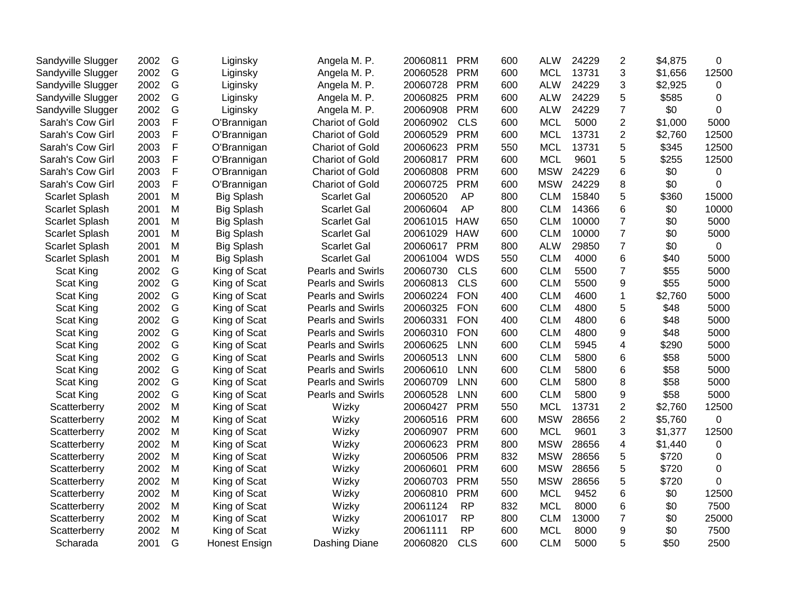| Sandyville Slugger    | 2002 | G           | Liginsky             | Angela M. P.             | 20060811 | <b>PRM</b> | 600 | <b>ALW</b> | 24229 | $\overline{2}$           | \$4,875 | 0              |
|-----------------------|------|-------------|----------------------|--------------------------|----------|------------|-----|------------|-------|--------------------------|---------|----------------|
| Sandyville Slugger    | 2002 | G           | Liginsky             | Angela M. P.             | 20060528 | <b>PRM</b> | 600 | <b>MCL</b> | 13731 | 3                        | \$1,656 | 12500          |
| Sandyville Slugger    | 2002 | G           | Liginsky             | Angela M. P.             | 20060728 | <b>PRM</b> | 600 | <b>ALW</b> | 24229 | 3                        | \$2,925 | 0              |
| Sandyville Slugger    | 2002 | G           | Liginsky             | Angela M. P.             | 20060825 | <b>PRM</b> | 600 | <b>ALW</b> | 24229 | 5                        | \$585   | $\mathbf 0$    |
| Sandyville Slugger    | 2002 | G           | Liginsky             | Angela M. P.             | 20060908 | <b>PRM</b> | 600 | <b>ALW</b> | 24229 | $\overline{7}$           | \$0     | 0              |
| Sarah's Cow Girl      | 2003 | F           | O'Brannigan          | Chariot of Gold          | 20060902 | <b>CLS</b> | 600 | <b>MCL</b> | 5000  | $\overline{c}$           | \$1,000 | 5000           |
| Sarah's Cow Girl      | 2003 | $\mathsf F$ | O'Brannigan          | <b>Chariot of Gold</b>   | 20060529 | <b>PRM</b> | 600 | <b>MCL</b> | 13731 | $\overline{c}$           | \$2,760 | 12500          |
| Sarah's Cow Girl      | 2003 | F           | O'Brannigan          | <b>Chariot of Gold</b>   | 20060623 | <b>PRM</b> | 550 | <b>MCL</b> | 13731 | 5                        | \$345   | 12500          |
| Sarah's Cow Girl      | 2003 | $\mathsf F$ | O'Brannigan          | <b>Chariot of Gold</b>   | 20060817 | <b>PRM</b> | 600 | <b>MCL</b> | 9601  | 5                        | \$255   | 12500          |
| Sarah's Cow Girl      | 2003 | $\mathsf F$ | O'Brannigan          | <b>Chariot of Gold</b>   | 20060808 | <b>PRM</b> | 600 | <b>MSW</b> | 24229 | 6                        | \$0     | 0              |
| Sarah's Cow Girl      | 2003 | $\mathsf F$ | O'Brannigan          | <b>Chariot of Gold</b>   | 20060725 | <b>PRM</b> | 600 | <b>MSW</b> | 24229 | 8                        | \$0     | 0              |
| <b>Scarlet Splash</b> | 2001 | M           | <b>Big Splash</b>    | <b>Scarlet Gal</b>       | 20060520 | AP         | 800 | <b>CLM</b> | 15840 | 5                        | \$360   | 15000          |
| <b>Scarlet Splash</b> | 2001 | M           | <b>Big Splash</b>    | <b>Scarlet Gal</b>       | 20060604 | AP         | 800 | <b>CLM</b> | 14366 | 6                        | \$0     | 10000          |
| <b>Scarlet Splash</b> | 2001 | M           | <b>Big Splash</b>    | <b>Scarlet Gal</b>       | 20061015 | <b>HAW</b> | 650 | <b>CLM</b> | 10000 | $\overline{7}$           | \$0     | 5000           |
| <b>Scarlet Splash</b> | 2001 | M           | <b>Big Splash</b>    | <b>Scarlet Gal</b>       | 20061029 | <b>HAW</b> | 600 | <b>CLM</b> | 10000 | $\overline{7}$           | \$0     | 5000           |
| <b>Scarlet Splash</b> | 2001 | M           | <b>Big Splash</b>    | <b>Scarlet Gal</b>       | 20060617 | <b>PRM</b> | 800 | <b>ALW</b> | 29850 | $\overline{7}$           | \$0     | $\overline{0}$ |
| <b>Scarlet Splash</b> | 2001 | M           | <b>Big Splash</b>    | <b>Scarlet Gal</b>       | 20061004 | <b>WDS</b> | 550 | <b>CLM</b> | 4000  | $6\phantom{1}6$          | \$40    | 5000           |
| Scat King             | 2002 | G           | King of Scat         | Pearls and Swirls        | 20060730 | <b>CLS</b> | 600 | <b>CLM</b> | 5500  | $\overline{7}$           | \$55    | 5000           |
| Scat King             | 2002 | G           | King of Scat         | Pearls and Swirls        | 20060813 | <b>CLS</b> | 600 | <b>CLM</b> | 5500  | 9                        | \$55    | 5000           |
| Scat King             | 2002 | G           | King of Scat         | <b>Pearls and Swirls</b> | 20060224 | <b>FON</b> | 400 | <b>CLM</b> | 4600  | $\mathbf{1}$             | \$2,760 | 5000           |
| Scat King             | 2002 | G           | King of Scat         | <b>Pearls and Swirls</b> | 20060325 | <b>FON</b> | 600 | <b>CLM</b> | 4800  | 5                        | \$48    | 5000           |
| Scat King             | 2002 | G           | King of Scat         | <b>Pearls and Swirls</b> | 20060331 | <b>FON</b> | 400 | <b>CLM</b> | 4800  | 6                        | \$48    | 5000           |
| Scat King             | 2002 | G           | King of Scat         | Pearls and Swirls        | 20060310 | <b>FON</b> | 600 | <b>CLM</b> | 4800  | 9                        | \$48    | 5000           |
| Scat King             | 2002 | G           | King of Scat         | <b>Pearls and Swirls</b> | 20060625 | <b>LNN</b> | 600 | <b>CLM</b> | 5945  | 4                        | \$290   | 5000           |
| Scat King             | 2002 | G           | King of Scat         | <b>Pearls and Swirls</b> | 20060513 | <b>LNN</b> | 600 | <b>CLM</b> | 5800  | 6                        | \$58    | 5000           |
| Scat King             | 2002 | G           | King of Scat         | Pearls and Swirls        | 20060610 | <b>LNN</b> | 600 | <b>CLM</b> | 5800  | 6                        | \$58    | 5000           |
| Scat King             | 2002 | G           | King of Scat         | <b>Pearls and Swirls</b> | 20060709 | <b>LNN</b> | 600 | <b>CLM</b> | 5800  | 8                        | \$58    | 5000           |
| <b>Scat King</b>      | 2002 | G           | King of Scat         | <b>Pearls and Swirls</b> | 20060528 | <b>LNN</b> | 600 | <b>CLM</b> | 5800  | 9                        | \$58    | 5000           |
| Scatterberry          | 2002 | M           | King of Scat         | Wizky                    | 20060427 | <b>PRM</b> | 550 | <b>MCL</b> | 13731 | $\overline{2}$           | \$2,760 | 12500          |
| Scatterberry          | 2002 | M           | King of Scat         | Wizky                    | 20060516 | <b>PRM</b> | 600 | <b>MSW</b> | 28656 | $\overline{2}$           | \$5,760 | 0              |
| Scatterberry          | 2002 | M           | King of Scat         | Wizky                    | 20060907 | <b>PRM</b> | 600 | <b>MCL</b> | 9601  | 3                        | \$1,377 | 12500          |
| Scatterberry          | 2002 | M           | King of Scat         | Wizky                    | 20060623 | <b>PRM</b> | 800 | <b>MSW</b> | 28656 | $\overline{\mathcal{A}}$ | \$1,440 | 0              |
| Scatterberry          | 2002 | M           | King of Scat         | Wizky                    | 20060506 | <b>PRM</b> | 832 | <b>MSW</b> | 28656 | 5                        | \$720   | 0              |
| Scatterberry          | 2002 | M           | King of Scat         | Wizky                    | 20060601 | <b>PRM</b> | 600 | <b>MSW</b> | 28656 | 5                        | \$720   | 0              |
| Scatterberry          | 2002 | M           | King of Scat         | Wizky                    | 20060703 | <b>PRM</b> | 550 | <b>MSW</b> | 28656 | 5                        | \$720   | 0              |
| Scatterberry          | 2002 | M           | King of Scat         | Wizky                    | 20060810 | <b>PRM</b> | 600 | <b>MCL</b> | 9452  | 6                        | \$0     | 12500          |
| Scatterberry          | 2002 | M           | King of Scat         | Wizky                    | 20061124 | <b>RP</b>  | 832 | <b>MCL</b> | 8000  | 6                        | \$0     | 7500           |
| Scatterberry          | 2002 | M           | King of Scat         | Wizky                    | 20061017 | <b>RP</b>  | 800 | <b>CLM</b> | 13000 | $\overline{7}$           | \$0     | 25000          |
| Scatterberry          | 2002 | M           | King of Scat         | Wizky                    | 20061111 | <b>RP</b>  | 600 | <b>MCL</b> | 8000  | 9                        | \$0     | 7500           |
| Scharada              | 2001 | G           | <b>Honest Ensign</b> | Dashing Diane            | 20060820 | <b>CLS</b> | 600 | <b>CLM</b> | 5000  | 5                        | \$50    | 2500           |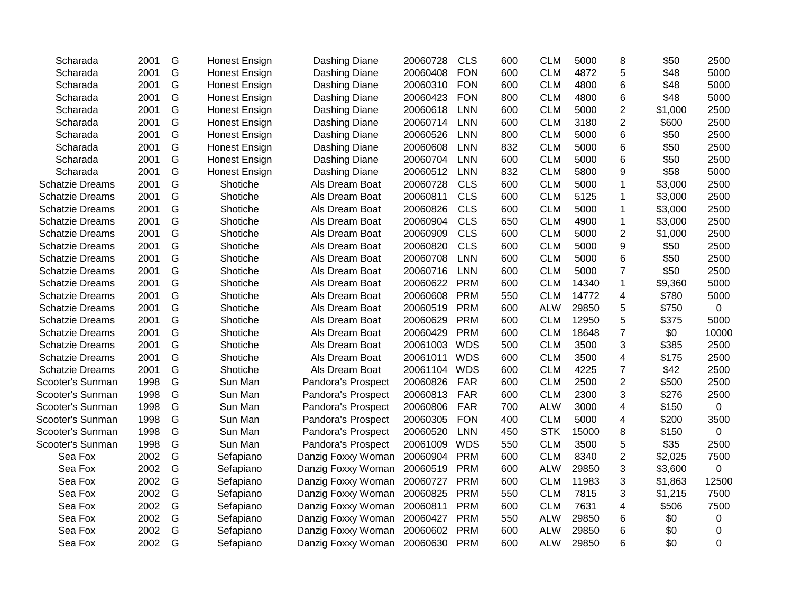| Scharada               | 2001 | G             | <b>Honest Ensign</b> | Dashing Diane      | 20060728 | <b>CLS</b> | 600 | <b>CLM</b> | 5000  | 8                       | \$50    | 2500        |
|------------------------|------|---------------|----------------------|--------------------|----------|------------|-----|------------|-------|-------------------------|---------|-------------|
| Scharada               | 2001 | G             | <b>Honest Ensign</b> | Dashing Diane      | 20060408 | <b>FON</b> | 600 | <b>CLM</b> | 4872  | 5                       | \$48    | 5000        |
| Scharada               | 2001 | G             | <b>Honest Ensign</b> | Dashing Diane      | 20060310 | <b>FON</b> | 600 | <b>CLM</b> | 4800  | 6                       | \$48    | 5000        |
| Scharada               | 2001 | G             | Honest Ensign        | Dashing Diane      | 20060423 | <b>FON</b> | 800 | <b>CLM</b> | 4800  | $\,6$                   | \$48    | 5000        |
| Scharada               | 2001 | G             | <b>Honest Ensign</b> | Dashing Diane      | 20060618 | <b>LNN</b> | 600 | <b>CLM</b> | 5000  | $\overline{2}$          | \$1,000 | 2500        |
| Scharada               | 2001 | G             | Honest Ensign        | Dashing Diane      | 20060714 | <b>LNN</b> | 600 | <b>CLM</b> | 3180  | $\overline{2}$          | \$600   | 2500        |
| Scharada               | 2001 | G             | <b>Honest Ensign</b> | Dashing Diane      | 20060526 | <b>LNN</b> | 800 | <b>CLM</b> | 5000  | $6\phantom{1}6$         | \$50    | 2500        |
| Scharada               | 2001 | G             | <b>Honest Ensign</b> | Dashing Diane      | 20060608 | <b>LNN</b> | 832 | <b>CLM</b> | 5000  | $6\phantom{1}6$         | \$50    | 2500        |
| Scharada               | 2001 | G             | <b>Honest Ensign</b> | Dashing Diane      | 20060704 | <b>LNN</b> | 600 | <b>CLM</b> | 5000  | $6\phantom{1}6$         | \$50    | 2500        |
| Scharada               | 2001 | G             | <b>Honest Ensign</b> | Dashing Diane      | 20060512 | <b>LNN</b> | 832 | <b>CLM</b> | 5800  | 9                       | \$58    | 5000        |
| <b>Schatzie Dreams</b> | 2001 | G             | Shotiche             | Als Dream Boat     | 20060728 | <b>CLS</b> | 600 | <b>CLM</b> | 5000  | $\mathbf 1$             | \$3,000 | 2500        |
| <b>Schatzie Dreams</b> | 2001 | G             | Shotiche             | Als Dream Boat     | 20060811 | <b>CLS</b> | 600 | <b>CLM</b> | 5125  | $\mathbf 1$             | \$3,000 | 2500        |
| <b>Schatzie Dreams</b> | 2001 | G             | Shotiche             | Als Dream Boat     | 20060826 | <b>CLS</b> | 600 | <b>CLM</b> | 5000  | $\mathbf 1$             | \$3,000 | 2500        |
| <b>Schatzie Dreams</b> | 2001 | G             | Shotiche             | Als Dream Boat     | 20060904 | <b>CLS</b> | 650 | <b>CLM</b> | 4900  | $\mathbf{1}$            | \$3,000 | 2500        |
| <b>Schatzie Dreams</b> | 2001 | G             | Shotiche             | Als Dream Boat     | 20060909 | <b>CLS</b> | 600 | <b>CLM</b> | 5000  | $\overline{2}$          | \$1,000 | 2500        |
| <b>Schatzie Dreams</b> | 2001 | G             | Shotiche             | Als Dream Boat     | 20060820 | <b>CLS</b> | 600 | <b>CLM</b> | 5000  | 9                       | \$50    | 2500        |
| <b>Schatzie Dreams</b> | 2001 | G             | Shotiche             | Als Dream Boat     | 20060708 | <b>LNN</b> | 600 | <b>CLM</b> | 5000  | $6\phantom{1}6$         | \$50    | 2500        |
| <b>Schatzie Dreams</b> | 2001 | G             | Shotiche             | Als Dream Boat     | 20060716 | <b>LNN</b> | 600 | <b>CLM</b> | 5000  | $\overline{7}$          | \$50    | 2500        |
| <b>Schatzie Dreams</b> | 2001 | G             | Shotiche             | Als Dream Boat     | 20060622 | <b>PRM</b> | 600 | <b>CLM</b> | 14340 | $\mathbf{1}$            | \$9,360 | 5000        |
| <b>Schatzie Dreams</b> | 2001 | G             | Shotiche             | Als Dream Boat     | 20060608 | <b>PRM</b> | 550 | <b>CLM</b> | 14772 | 4                       | \$780   | 5000        |
| <b>Schatzie Dreams</b> | 2001 | G             | Shotiche             | Als Dream Boat     | 20060519 | <b>PRM</b> | 600 | <b>ALW</b> | 29850 | 5                       | \$750   | 0           |
| <b>Schatzie Dreams</b> | 2001 | G             | Shotiche             | Als Dream Boat     | 20060629 | <b>PRM</b> | 600 | <b>CLM</b> | 12950 | 5                       | \$375   | 5000        |
| <b>Schatzie Dreams</b> | 2001 | G             | Shotiche             | Als Dream Boat     | 20060429 | <b>PRM</b> | 600 | <b>CLM</b> | 18648 | $\overline{7}$          | \$0     | 10000       |
| <b>Schatzie Dreams</b> | 2001 | G             | Shotiche             | Als Dream Boat     | 20061003 | <b>WDS</b> | 500 | <b>CLM</b> | 3500  | 3                       | \$385   | 2500        |
| <b>Schatzie Dreams</b> | 2001 | G             | Shotiche             | Als Dream Boat     | 20061011 | <b>WDS</b> | 600 | <b>CLM</b> | 3500  | $\overline{\mathbf{4}}$ | \$175   | 2500        |
| <b>Schatzie Dreams</b> | 2001 | G             | Shotiche             | Als Dream Boat     | 20061104 | <b>WDS</b> | 600 | <b>CLM</b> | 4225  | $\overline{7}$          | \$42    | 2500        |
| Scooter's Sunman       | 1998 | G             | Sun Man              | Pandora's Prospect | 20060826 | FAR        | 600 | <b>CLM</b> | 2500  | $\overline{2}$          | \$500   | 2500        |
| Scooter's Sunman       | 1998 | G             | Sun Man              | Pandora's Prospect | 20060813 | <b>FAR</b> | 600 | <b>CLM</b> | 2300  | 3                       | \$276   | 2500        |
| Scooter's Sunman       | 1998 | G             | Sun Man              | Pandora's Prospect | 20060806 | <b>FAR</b> | 700 | <b>ALW</b> | 3000  | 4                       | \$150   | 0           |
| Scooter's Sunman       | 1998 | G             | Sun Man              | Pandora's Prospect | 20060305 | <b>FON</b> | 400 | <b>CLM</b> | 5000  | 4                       | \$200   | 3500        |
| Scooter's Sunman       | 1998 | ${\mathsf G}$ | Sun Man              | Pandora's Prospect | 20060520 | LNN        | 450 | <b>STK</b> | 15000 | 8                       | \$150   | $\mathbf 0$ |
| Scooter's Sunman       | 1998 | G             | Sun Man              | Pandora's Prospect | 20061009 | <b>WDS</b> | 550 | <b>CLM</b> | 3500  | 5                       | \$35    | 2500        |
| Sea Fox                | 2002 | G             | Sefapiano            | Danzig Foxxy Woman | 20060904 | <b>PRM</b> | 600 | <b>CLM</b> | 8340  | $\overline{2}$          | \$2,025 | 7500        |
| Sea Fox                | 2002 | G             | Sefapiano            | Danzig Foxxy Woman | 20060519 | <b>PRM</b> | 600 | <b>ALW</b> | 29850 | 3                       | \$3,600 | 0           |
| Sea Fox                | 2002 | G             | Sefapiano            | Danzig Foxxy Woman | 20060727 | <b>PRM</b> | 600 | <b>CLM</b> | 11983 | 3                       | \$1,863 | 12500       |
| Sea Fox                | 2002 | G             | Sefapiano            | Danzig Foxxy Woman | 20060825 | <b>PRM</b> | 550 | <b>CLM</b> | 7815  | 3                       | \$1,215 | 7500        |
| Sea Fox                | 2002 | G             | Sefapiano            | Danzig Foxxy Woman | 20060811 | <b>PRM</b> | 600 | <b>CLM</b> | 7631  | 4                       | \$506   | 7500        |
| Sea Fox                | 2002 | G             | Sefapiano            | Danzig Foxxy Woman | 20060427 | <b>PRM</b> | 550 | <b>ALW</b> | 29850 | 6                       | \$0     | 0           |
| Sea Fox                | 2002 | G             | Sefapiano            | Danzig Foxxy Woman | 20060602 | <b>PRM</b> | 600 | <b>ALW</b> | 29850 | 6                       | \$0     | 0           |
| Sea Fox                | 2002 | G             | Sefapiano            | Danzig Foxxy Woman | 20060630 | <b>PRM</b> | 600 | <b>ALW</b> | 29850 | 6                       | \$0     | $\mathbf 0$ |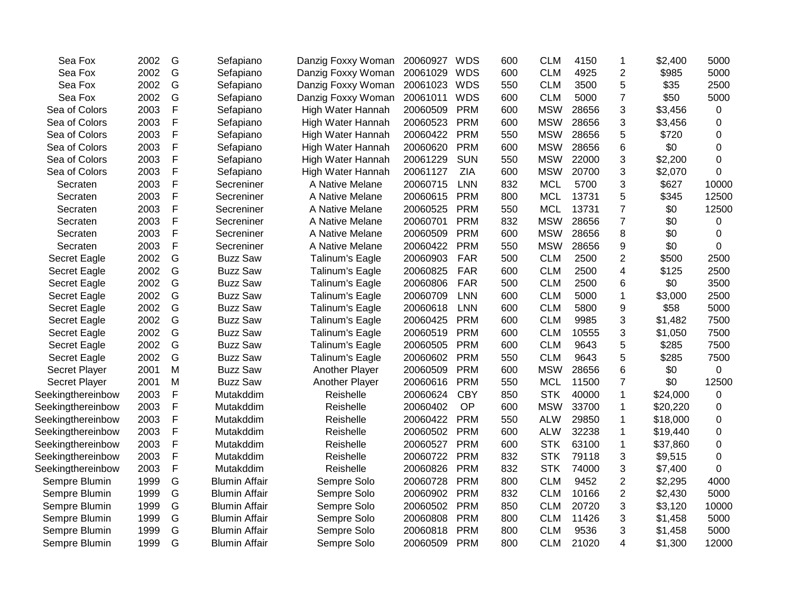| Sea Fox              | 2002 | G             | Sefapiano            | Danzig Foxxy Woman | 20060927 | <b>WDS</b> | 600 | <b>CLM</b> | 4150  | 1              | \$2,400  | 5000             |
|----------------------|------|---------------|----------------------|--------------------|----------|------------|-----|------------|-------|----------------|----------|------------------|
| Sea Fox              | 2002 | G             | Sefapiano            | Danzig Foxxy Woman | 20061029 | <b>WDS</b> | 600 | <b>CLM</b> | 4925  | $\overline{c}$ | \$985    | 5000             |
| Sea Fox              | 2002 | G             | Sefapiano            | Danzig Foxxy Woman | 20061023 | <b>WDS</b> | 550 | <b>CLM</b> | 3500  | 5              | \$35     | 2500             |
| Sea Fox              | 2002 | G             | Sefapiano            | Danzig Foxxy Woman | 20061011 | <b>WDS</b> | 600 | <b>CLM</b> | 5000  | $\overline{7}$ | \$50     | 5000             |
| Sea of Colors        | 2003 | F             | Sefapiano            | High Water Hannah  | 20060509 | <b>PRM</b> | 600 | <b>MSW</b> | 28656 | 3              | \$3,456  | $\boldsymbol{0}$ |
| Sea of Colors        | 2003 | F             | Sefapiano            | High Water Hannah  | 20060523 | <b>PRM</b> | 600 | <b>MSW</b> | 28656 | 3              | \$3,456  | $\mathbf 0$      |
| Sea of Colors        | 2003 | F             | Sefapiano            | High Water Hannah  | 20060422 | <b>PRM</b> | 550 | <b>MSW</b> | 28656 | 5              | \$720    | 0                |
| Sea of Colors        | 2003 | F             | Sefapiano            | High Water Hannah  | 20060620 | <b>PRM</b> | 600 | <b>MSW</b> | 28656 | 6              | \$0      | 0                |
| Sea of Colors        | 2003 | F             | Sefapiano            | High Water Hannah  | 20061229 | <b>SUN</b> | 550 | <b>MSW</b> | 22000 | 3              | \$2,200  | $\boldsymbol{0}$ |
| Sea of Colors        | 2003 | F             | Sefapiano            | High Water Hannah  | 20061127 | <b>ZIA</b> | 600 | <b>MSW</b> | 20700 | 3              | \$2,070  | $\Omega$         |
| Secraten             | 2003 | F             | Secreniner           | A Native Melane    | 20060715 | <b>LNN</b> | 832 | <b>MCL</b> | 5700  | 3              | \$627    | 10000            |
| Secraten             | 2003 | F             | Secreniner           | A Native Melane    | 20060615 | <b>PRM</b> | 800 | <b>MCL</b> | 13731 | 5              | \$345    | 12500            |
| Secraten             | 2003 | F             | Secreniner           | A Native Melane    | 20060525 | <b>PRM</b> | 550 | <b>MCL</b> | 13731 | $\overline{7}$ | \$0      | 12500            |
| Secraten             | 2003 | F             | Secreniner           | A Native Melane    | 20060701 | <b>PRM</b> | 832 | <b>MSW</b> | 28656 | $\overline{7}$ | \$0      | 0                |
| Secraten             | 2003 | F             | Secreniner           | A Native Melane    | 20060509 | <b>PRM</b> | 600 | <b>MSW</b> | 28656 | 8              | \$0      | 0                |
| Secraten             | 2003 | F             | Secreniner           | A Native Melane    | 20060422 | <b>PRM</b> | 550 | <b>MSW</b> | 28656 | 9              | \$0      | 0                |
| Secret Eagle         | 2002 | G             | <b>Buzz Saw</b>      | Talinum's Eagle    | 20060903 | <b>FAR</b> | 500 | <b>CLM</b> | 2500  | $\overline{c}$ | \$500    | 2500             |
| Secret Eagle         | 2002 | G             | <b>Buzz Saw</b>      | Talinum's Eagle    | 20060825 | <b>FAR</b> | 600 | <b>CLM</b> | 2500  | 4              | \$125    | 2500             |
| Secret Eagle         | 2002 | G             | <b>Buzz Saw</b>      | Talinum's Eagle    | 20060806 | <b>FAR</b> | 500 | <b>CLM</b> | 2500  | 6              | \$0      | 3500             |
| Secret Eagle         | 2002 | G             | <b>Buzz Saw</b>      | Talinum's Eagle    | 20060709 | <b>LNN</b> | 600 | <b>CLM</b> | 5000  | $\mathbf{1}$   | \$3,000  | 2500             |
| Secret Eagle         | 2002 | G             | <b>Buzz Saw</b>      | Talinum's Eagle    | 20060618 | <b>LNN</b> | 600 | <b>CLM</b> | 5800  | 9              | \$58     | 5000             |
| Secret Eagle         | 2002 | G             | <b>Buzz Saw</b>      | Talinum's Eagle    | 20060425 | <b>PRM</b> | 600 | <b>CLM</b> | 9985  | 3              | \$1,482  | 7500             |
| Secret Eagle         | 2002 | ${\mathsf G}$ | <b>Buzz Saw</b>      | Talinum's Eagle    | 20060519 | <b>PRM</b> | 600 | <b>CLM</b> | 10555 | 3              | \$1,050  | 7500             |
| Secret Eagle         | 2002 | G             | <b>Buzz Saw</b>      | Talinum's Eagle    | 20060505 | <b>PRM</b> | 600 | <b>CLM</b> | 9643  | 5              | \$285    | 7500             |
| Secret Eagle         | 2002 | G             | <b>Buzz Saw</b>      | Talinum's Eagle    | 20060602 | <b>PRM</b> | 550 | <b>CLM</b> | 9643  | 5              | \$285    | 7500             |
| <b>Secret Player</b> | 2001 | M             | <b>Buzz Saw</b>      | Another Player     | 20060509 | <b>PRM</b> | 600 | <b>MSW</b> | 28656 | 6              | \$0      | 0                |
| <b>Secret Player</b> | 2001 | M             | <b>Buzz Saw</b>      | Another Player     | 20060616 | <b>PRM</b> | 550 | <b>MCL</b> | 11500 | $\overline{7}$ | \$0      | 12500            |
| Seekingthereinbow    | 2003 | F             | Mutakddim            | Reishelle          | 20060624 | <b>CBY</b> | 850 | <b>STK</b> | 40000 | $\mathbf{1}$   | \$24,000 | 0                |
| Seekingthereinbow    | 2003 | F             | Mutakddim            | Reishelle          | 20060402 | OP         | 600 | <b>MSW</b> | 33700 | 1              | \$20,220 | $\mathbf 0$      |
| Seekingthereinbow    | 2003 | F             | Mutakddim            | Reishelle          | 20060422 | <b>PRM</b> | 550 | <b>ALW</b> | 29850 | 1              | \$18,000 | 0                |
| Seekingthereinbow    | 2003 | F             | Mutakddim            | Reishelle          | 20060502 | <b>PRM</b> | 600 | <b>ALW</b> | 32238 | 1              | \$19,440 | 0                |
| Seekingthereinbow    | 2003 | F             | Mutakddim            | Reishelle          | 20060527 | <b>PRM</b> | 600 | <b>STK</b> | 63100 | 1              | \$37,860 | $\boldsymbol{0}$ |
| Seekingthereinbow    | 2003 | F             | Mutakddim            | Reishelle          | 20060722 | <b>PRM</b> | 832 | <b>STK</b> | 79118 | 3              | \$9,515  | $\mathbf 0$      |
| Seekingthereinbow    | 2003 | F             | Mutakddim            | Reishelle          | 20060826 | <b>PRM</b> | 832 | <b>STK</b> | 74000 | 3              | \$7,400  | $\Omega$         |
| Sempre Blumin        | 1999 | G             | <b>Blumin Affair</b> | Sempre Solo        | 20060728 | <b>PRM</b> | 800 | <b>CLM</b> | 9452  | $\overline{2}$ | \$2,295  | 4000             |
| Sempre Blumin        | 1999 | G             | <b>Blumin Affair</b> | Sempre Solo        | 20060902 | <b>PRM</b> | 832 | <b>CLM</b> | 10166 | $\overline{2}$ | \$2,430  | 5000             |
| Sempre Blumin        | 1999 | G             | <b>Blumin Affair</b> | Sempre Solo        | 20060502 | <b>PRM</b> | 850 | <b>CLM</b> | 20720 | 3              | \$3,120  | 10000            |
| Sempre Blumin        | 1999 | G             | <b>Blumin Affair</b> | Sempre Solo        | 20060808 | <b>PRM</b> | 800 | <b>CLM</b> | 11426 | 3              | \$1,458  | 5000             |
| Sempre Blumin        | 1999 | G             | <b>Blumin Affair</b> | Sempre Solo        | 20060818 | <b>PRM</b> | 800 | <b>CLM</b> | 9536  | 3              | \$1,458  | 5000             |
| Sempre Blumin        | 1999 | G             | <b>Blumin Affair</b> | Sempre Solo        | 20060509 | <b>PRM</b> | 800 | <b>CLM</b> | 21020 | 4              | \$1,300  | 12000            |
|                      |      |               |                      |                    |          |            |     |            |       |                |          |                  |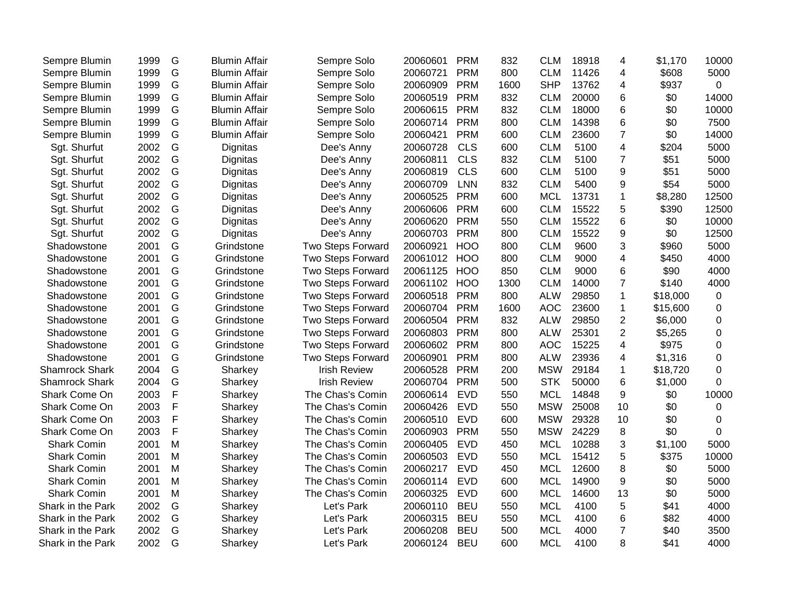| Sempre Blumin         | 1999 | G | <b>Blumin Affair</b> | Sempre Solo              | 20060601 | <b>PRM</b> | 832  | <b>CLM</b> | 18918 | 4              | \$1,170  | 10000            |
|-----------------------|------|---|----------------------|--------------------------|----------|------------|------|------------|-------|----------------|----------|------------------|
| Sempre Blumin         | 1999 | G | <b>Blumin Affair</b> | Sempre Solo              | 20060721 | <b>PRM</b> | 800  | <b>CLM</b> | 11426 | 4              | \$608    | 5000             |
| Sempre Blumin         | 1999 | G | <b>Blumin Affair</b> | Sempre Solo              | 20060909 | <b>PRM</b> | 1600 | <b>SHP</b> | 13762 | 4              | \$937    | $\mathbf 0$      |
| Sempre Blumin         | 1999 | G | <b>Blumin Affair</b> | Sempre Solo              | 20060519 | <b>PRM</b> | 832  | <b>CLM</b> | 20000 | 6              | \$0      | 14000            |
| Sempre Blumin         | 1999 | G | <b>Blumin Affair</b> | Sempre Solo              | 20060615 | <b>PRM</b> | 832  | <b>CLM</b> | 18000 | 6              | \$0      | 10000            |
| Sempre Blumin         | 1999 | G | <b>Blumin Affair</b> | Sempre Solo              | 20060714 | <b>PRM</b> | 800  | <b>CLM</b> | 14398 | 6              | \$0      | 7500             |
| Sempre Blumin         | 1999 | G | <b>Blumin Affair</b> | Sempre Solo              | 20060421 | <b>PRM</b> | 600  | <b>CLM</b> | 23600 | $\overline{7}$ | \$0      | 14000            |
| Sgt. Shurfut          | 2002 | G | Dignitas             | Dee's Anny               | 20060728 | <b>CLS</b> | 600  | <b>CLM</b> | 5100  | 4              | \$204    | 5000             |
| Sgt. Shurfut          | 2002 | G | Dignitas             | Dee's Anny               | 20060811 | <b>CLS</b> | 832  | <b>CLM</b> | 5100  | $\overline{7}$ | \$51     | 5000             |
| Sgt. Shurfut          | 2002 | G | Dignitas             | Dee's Anny               | 20060819 | <b>CLS</b> | 600  | <b>CLM</b> | 5100  | 9              | \$51     | 5000             |
| Sgt. Shurfut          | 2002 | G | Dignitas             | Dee's Anny               | 20060709 | <b>LNN</b> | 832  | <b>CLM</b> | 5400  | 9              | \$54     | 5000             |
| Sgt. Shurfut          | 2002 | G | Dignitas             | Dee's Anny               | 20060525 | <b>PRM</b> | 600  | <b>MCL</b> | 13731 | 1              | \$8,280  | 12500            |
| Sgt. Shurfut          | 2002 | G | Dignitas             | Dee's Anny               | 20060606 | <b>PRM</b> | 600  | <b>CLM</b> | 15522 | 5              | \$390    | 12500            |
| Sgt. Shurfut          | 2002 | G | Dignitas             | Dee's Anny               | 20060620 | <b>PRM</b> | 550  | <b>CLM</b> | 15522 | 6              | \$0      | 10000            |
| Sgt. Shurfut          | 2002 | G | Dignitas             | Dee's Anny               | 20060703 | <b>PRM</b> | 800  | <b>CLM</b> | 15522 | 9              | \$0      | 12500            |
| Shadowstone           | 2001 | G | Grindstone           | Two Steps Forward        | 20060921 | <b>HOO</b> | 800  | <b>CLM</b> | 9600  | 3              | \$960    | 5000             |
| Shadowstone           | 2001 | G | Grindstone           | <b>Two Steps Forward</b> | 20061012 | HOO        | 800  | <b>CLM</b> | 9000  | 4              | \$450    | 4000             |
| Shadowstone           | 2001 | G | Grindstone           | Two Steps Forward        | 20061125 | HOO        | 850  | <b>CLM</b> | 9000  | 6              | \$90     | 4000             |
| Shadowstone           | 2001 | G | Grindstone           | <b>Two Steps Forward</b> | 20061102 | <b>HOO</b> | 1300 | <b>CLM</b> | 14000 | $\overline{7}$ | \$140    | 4000             |
| Shadowstone           | 2001 | G | Grindstone           | <b>Two Steps Forward</b> | 20060518 | <b>PRM</b> | 800  | <b>ALW</b> | 29850 | 1              | \$18,000 | $\pmb{0}$        |
| Shadowstone           | 2001 | G | Grindstone           | Two Steps Forward        | 20060704 | <b>PRM</b> | 1600 | <b>AOC</b> | 23600 | 1              | \$15,600 | 0                |
| Shadowstone           | 2001 | G | Grindstone           | <b>Two Steps Forward</b> | 20060504 | <b>PRM</b> | 832  | <b>ALW</b> | 29850 | $\overline{2}$ | \$6,000  | 0                |
| Shadowstone           | 2001 | G | Grindstone           | <b>Two Steps Forward</b> | 20060803 | <b>PRM</b> | 800  | <b>ALW</b> | 25301 | $\overline{2}$ | \$5,265  | 0                |
| Shadowstone           | 2001 | G | Grindstone           | <b>Two Steps Forward</b> | 20060602 | <b>PRM</b> | 800  | <b>AOC</b> | 15225 | 4              | \$975    | $\boldsymbol{0}$ |
| Shadowstone           | 2001 | G | Grindstone           | <b>Two Steps Forward</b> | 20060901 | <b>PRM</b> | 800  | ALW        | 23936 | 4              | \$1,316  | $\mathbf 0$      |
| <b>Shamrock Shark</b> | 2004 | G | Sharkey              | <b>Irish Review</b>      | 20060528 | <b>PRM</b> | 200  | <b>MSW</b> | 29184 | 1              | \$18,720 | $\overline{0}$   |
| <b>Shamrock Shark</b> | 2004 | G | Sharkey              | <b>Irish Review</b>      | 20060704 | <b>PRM</b> | 500  | <b>STK</b> | 50000 | 6              | \$1,000  | $\Omega$         |
| Shark Come On         | 2003 | F | Sharkey              | The Chas's Comin         | 20060614 | <b>EVD</b> | 550  | <b>MCL</b> | 14848 | 9              | \$0      | 10000            |
| Shark Come On         | 2003 | F | Sharkey              | The Chas's Comin         | 20060426 | <b>EVD</b> | 550  | <b>MSW</b> | 25008 | 10             | \$0      | 0                |
| Shark Come On         | 2003 | F | Sharkey              | The Chas's Comin         | 20060510 | <b>EVD</b> | 600  | <b>MSW</b> | 29328 | 10             | \$0      | 0                |
| Shark Come On         | 2003 | F | Sharkey              | The Chas's Comin         | 20060903 | <b>PRM</b> | 550  | <b>MSW</b> | 24229 | 8              | \$0      | $\Omega$         |
| <b>Shark Comin</b>    | 2001 | M | Sharkey              | The Chas's Comin         | 20060405 | <b>EVD</b> | 450  | <b>MCL</b> | 10288 | 3              | \$1,100  | 5000             |
| <b>Shark Comin</b>    | 2001 | M | Sharkey              | The Chas's Comin         | 20060503 | <b>EVD</b> | 550  | <b>MCL</b> | 15412 | 5              | \$375    | 10000            |
| <b>Shark Comin</b>    | 2001 | M | Sharkey              | The Chas's Comin         | 20060217 | <b>EVD</b> | 450  | <b>MCL</b> | 12600 | 8              | \$0      | 5000             |
| Shark Comin           | 2001 | M | Sharkey              | The Chas's Comin         | 20060114 | <b>EVD</b> | 600  | <b>MCL</b> | 14900 | 9              | \$0      | 5000             |
| <b>Shark Comin</b>    | 2001 | M | Sharkey              | The Chas's Comin         | 20060325 | <b>EVD</b> | 600  | <b>MCL</b> | 14600 | 13             | \$0      | 5000             |
| Shark in the Park     | 2002 | G | Sharkey              | Let's Park               | 20060110 | <b>BEU</b> | 550  | <b>MCL</b> | 4100  | 5              | \$41     | 4000             |
| Shark in the Park     | 2002 | G | Sharkey              | Let's Park               | 20060315 | <b>BEU</b> | 550  | <b>MCL</b> | 4100  | 6              | \$82     | 4000             |
| Shark in the Park     | 2002 | G | Sharkey              | Let's Park               | 20060208 | <b>BEU</b> | 500  | <b>MCL</b> | 4000  | $\overline{7}$ | \$40     | 3500             |
| Shark in the Park     | 2002 | G | Sharkey              | Let's Park               | 20060124 | <b>BEU</b> | 600  | <b>MCL</b> | 4100  | 8              | \$41     | 4000             |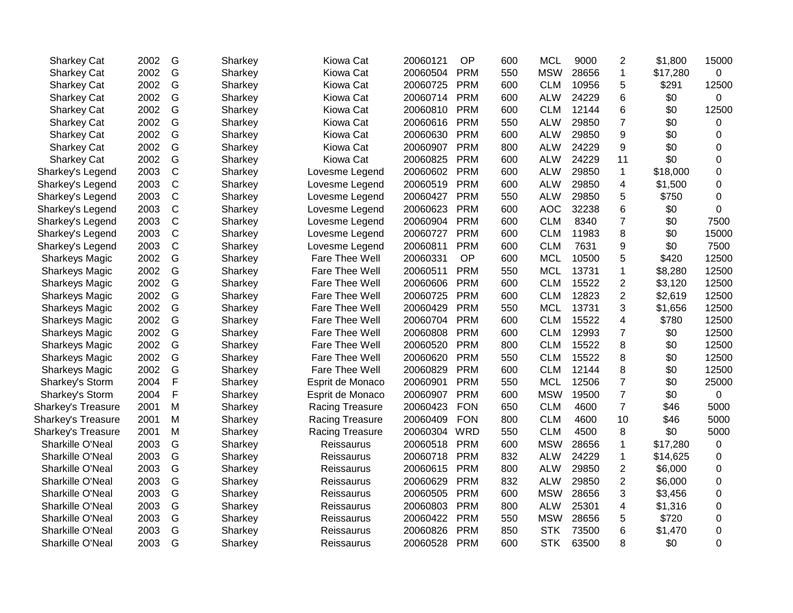| <b>Sharkey Cat</b>        | 2002 | G           | Sharkey | Kiowa Cat        | 20060121 | <b>OP</b>  | 600 | <b>MCL</b> | 9000  | $\overline{2}$          | \$1,800  | 15000       |
|---------------------------|------|-------------|---------|------------------|----------|------------|-----|------------|-------|-------------------------|----------|-------------|
| <b>Sharkey Cat</b>        | 2002 | G           | Sharkey | Kiowa Cat        | 20060504 | <b>PRM</b> | 550 | <b>MSW</b> | 28656 | 1                       | \$17,280 | $\mathbf 0$ |
| Sharkey Cat               | 2002 | G           | Sharkey | Kiowa Cat        | 20060725 | <b>PRM</b> | 600 | <b>CLM</b> | 10956 | 5                       | \$291    | 12500       |
| <b>Sharkey Cat</b>        | 2002 | G           | Sharkey | Kiowa Cat        | 20060714 | <b>PRM</b> | 600 | <b>ALW</b> | 24229 | 6                       | \$0      | 0           |
| <b>Sharkey Cat</b>        | 2002 | G           | Sharkey | Kiowa Cat        | 20060810 | <b>PRM</b> | 600 | <b>CLM</b> | 12144 | 6                       | \$0      | 12500       |
| <b>Sharkey Cat</b>        | 2002 | G           | Sharkey | Kiowa Cat        | 20060616 | <b>PRM</b> | 550 | <b>ALW</b> | 29850 | $\overline{7}$          | \$0      | 0           |
| <b>Sharkey Cat</b>        | 2002 | G           | Sharkey | Kiowa Cat        | 20060630 | <b>PRM</b> | 600 | <b>ALW</b> | 29850 | 9                       | \$0      | 0           |
| <b>Sharkey Cat</b>        | 2002 | G           | Sharkey | Kiowa Cat        | 20060907 | <b>PRM</b> | 800 | <b>ALW</b> | 24229 | 9                       | \$0      | 0           |
| <b>Sharkey Cat</b>        | 2002 | G           | Sharkey | Kiowa Cat        | 20060825 | <b>PRM</b> | 600 | <b>ALW</b> | 24229 | 11                      | \$0      | 0           |
| Sharkey's Legend          | 2003 | $\mathsf C$ | Sharkey | Lovesme Legend   | 20060602 | <b>PRM</b> | 600 | <b>ALW</b> | 29850 | $\mathbf{1}$            | \$18,000 | 0           |
| Sharkey's Legend          | 2003 | $\mathsf C$ | Sharkey | Lovesme Legend   | 20060519 | <b>PRM</b> | 600 | <b>ALW</b> | 29850 | 4                       | \$1,500  | 0           |
| Sharkey's Legend          | 2003 | $\mathsf C$ | Sharkey | Lovesme Legend   | 20060427 | <b>PRM</b> | 550 | <b>ALW</b> | 29850 | 5                       | \$750    | 0           |
| Sharkey's Legend          | 2003 | $\mathsf C$ | Sharkey | Lovesme Legend   | 20060623 | <b>PRM</b> | 600 | <b>AOC</b> | 32238 | 6                       | \$0      | 0           |
| Sharkey's Legend          | 2003 | $\mathsf C$ | Sharkey | Lovesme Legend   | 20060904 | <b>PRM</b> | 600 | <b>CLM</b> | 8340  | $\overline{7}$          | \$0      | 7500        |
| Sharkey's Legend          | 2003 | $\mathsf C$ | Sharkey | Lovesme Legend   | 20060727 | <b>PRM</b> | 600 | <b>CLM</b> | 11983 | 8                       | \$0      | 15000       |
| Sharkey's Legend          | 2003 | $\mathsf C$ | Sharkey | Lovesme Legend   | 20060811 | <b>PRM</b> | 600 | <b>CLM</b> | 7631  | 9                       | \$0      | 7500        |
| <b>Sharkeys Magic</b>     | 2002 | G           | Sharkey | Fare Thee Well   | 20060331 | OP         | 600 | <b>MCL</b> | 10500 | 5                       | \$420    | 12500       |
| <b>Sharkeys Magic</b>     | 2002 | G           | Sharkey | Fare Thee Well   | 20060511 | <b>PRM</b> | 550 | <b>MCL</b> | 13731 | 1                       | \$8,280  | 12500       |
| <b>Sharkeys Magic</b>     | 2002 | G           | Sharkey | Fare Thee Well   | 20060606 | <b>PRM</b> | 600 | <b>CLM</b> | 15522 | $\overline{2}$          | \$3,120  | 12500       |
| <b>Sharkeys Magic</b>     | 2002 | G           | Sharkey | Fare Thee Well   | 20060725 | <b>PRM</b> | 600 | <b>CLM</b> | 12823 | $\overline{2}$          | \$2,619  | 12500       |
| <b>Sharkeys Magic</b>     | 2002 | G           | Sharkey | Fare Thee Well   | 20060429 | <b>PRM</b> | 550 | <b>MCL</b> | 13731 | 3                       | \$1,656  | 12500       |
| <b>Sharkeys Magic</b>     | 2002 | G           | Sharkey | Fare Thee Well   | 20060704 | <b>PRM</b> | 600 | <b>CLM</b> | 15522 | $\overline{\mathbf{4}}$ | \$780    | 12500       |
| <b>Sharkeys Magic</b>     | 2002 | G           | Sharkey | Fare Thee Well   | 20060808 | <b>PRM</b> | 600 | <b>CLM</b> | 12993 | $\overline{7}$          | \$0      | 12500       |
| <b>Sharkeys Magic</b>     | 2002 | G           | Sharkey | Fare Thee Well   | 20060520 | <b>PRM</b> | 800 | <b>CLM</b> | 15522 | 8                       | \$0      | 12500       |
| <b>Sharkeys Magic</b>     | 2002 | G           | Sharkey | Fare Thee Well   | 20060620 | <b>PRM</b> | 550 | <b>CLM</b> | 15522 | 8                       | \$0      | 12500       |
| <b>Sharkeys Magic</b>     | 2002 | G           | Sharkey | Fare Thee Well   | 20060829 | <b>PRM</b> | 600 | <b>CLM</b> | 12144 | 8                       | \$0      | 12500       |
| Sharkey's Storm           | 2004 | F           | Sharkey | Esprit de Monaco | 20060901 | <b>PRM</b> | 550 | <b>MCL</b> | 12506 | $\overline{7}$          | \$0      | 25000       |
| Sharkey's Storm           | 2004 | F           | Sharkey | Esprit de Monaco | 20060907 | <b>PRM</b> | 600 | <b>MSW</b> | 19500 | 7                       | \$0      | 0           |
| <b>Sharkey's Treasure</b> | 2001 | M           | Sharkey | Racing Treasure  | 20060423 | <b>FON</b> | 650 | <b>CLM</b> | 4600  | $\overline{7}$          | \$46     | 5000        |
| Sharkey's Treasure        | 2001 | M           | Sharkey | Racing Treasure  | 20060409 | <b>FON</b> | 800 | <b>CLM</b> | 4600  | 10                      | \$46     | 5000        |
| <b>Sharkey's Treasure</b> | 2001 | M           | Sharkey | Racing Treasure  | 20060304 | <b>WRD</b> | 550 | <b>CLM</b> | 4500  | 8                       | \$0      | 5000        |
| Sharkille O'Neal          | 2003 | G           | Sharkey | Reissaurus       | 20060518 | <b>PRM</b> | 600 | <b>MSW</b> | 28656 | 1                       | \$17,280 | 0           |
| Sharkille O'Neal          | 2003 | G           | Sharkey | Reissaurus       | 20060718 | <b>PRM</b> | 832 | <b>ALW</b> | 24229 | $\mathbf{1}$            | \$14,625 | 0           |
| Sharkille O'Neal          | 2003 | G           | Sharkey | Reissaurus       | 20060615 | <b>PRM</b> | 800 | <b>ALW</b> | 29850 | $\overline{2}$          | \$6,000  | 0           |
| Sharkille O'Neal          | 2003 | G           | Sharkey | Reissaurus       | 20060629 | <b>PRM</b> | 832 | <b>ALW</b> | 29850 | $\overline{2}$          | \$6,000  | 0           |
| Sharkille O'Neal          | 2003 | G           | Sharkey | Reissaurus       | 20060505 | <b>PRM</b> | 600 | <b>MSW</b> | 28656 | 3                       | \$3,456  | 0           |
| Sharkille O'Neal          | 2003 | G           | Sharkey | Reissaurus       | 20060803 | <b>PRM</b> | 800 | <b>ALW</b> | 25301 | 4                       | \$1,316  | 0           |
| Sharkille O'Neal          | 2003 | G           | Sharkey | Reissaurus       | 20060422 | <b>PRM</b> | 550 | <b>MSW</b> | 28656 | 5                       | \$720    | 0           |
| Sharkille O'Neal          | 2003 | G           | Sharkey | Reissaurus       | 20060826 | <b>PRM</b> | 850 | <b>STK</b> | 73500 | 6                       | \$1,470  | 0           |
| Sharkille O'Neal          | 2003 | G           | Sharkey | Reissaurus       | 20060528 | <b>PRM</b> | 600 | <b>STK</b> | 63500 | 8                       | \$0      | 0           |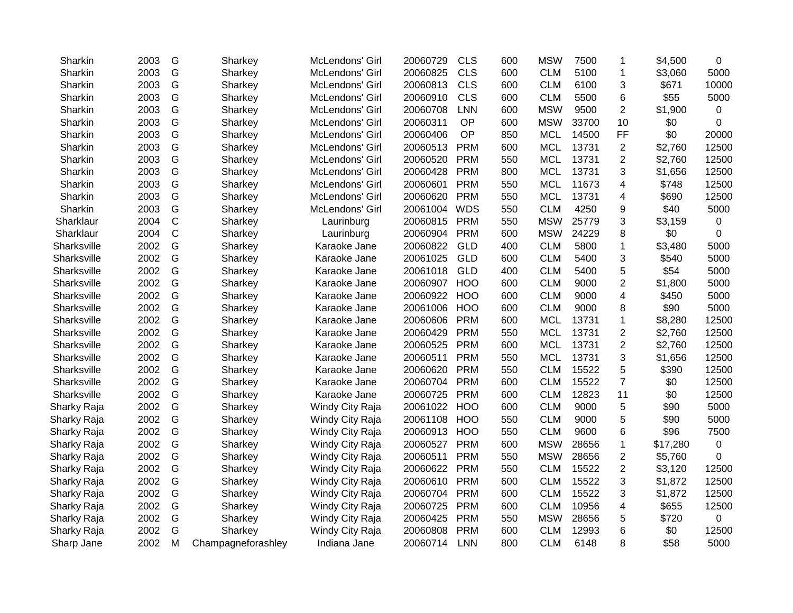| Sharkin     | 2003 | G            | Sharkey            | McLendons' Girl | 20060729     | <b>CLS</b> | 600 | <b>MSW</b> | 7500  | 1                       | \$4,500  | 0     |
|-------------|------|--------------|--------------------|-----------------|--------------|------------|-----|------------|-------|-------------------------|----------|-------|
| Sharkin     | 2003 | G            | Sharkey            | McLendons' Girl | 20060825     | <b>CLS</b> | 600 | <b>CLM</b> | 5100  | 1                       | \$3,060  | 5000  |
| Sharkin     | 2003 | G            | Sharkey            | McLendons' Girl | 20060813     | <b>CLS</b> | 600 | <b>CLM</b> | 6100  | 3                       | \$671    | 10000 |
| Sharkin     | 2003 | G            | Sharkey            | McLendons' Girl | 20060910     | <b>CLS</b> | 600 | <b>CLM</b> | 5500  | 6                       | \$55     | 5000  |
| Sharkin     | 2003 | G            | Sharkey            | McLendons' Girl | 20060708     | <b>LNN</b> | 600 | <b>MSW</b> | 9500  | 2                       | \$1,900  | 0     |
| Sharkin     | 2003 | G            | Sharkey            | McLendons' Girl | 20060311     | OP         | 600 | <b>MSW</b> | 33700 | 10                      | \$0      | 0     |
| Sharkin     | 2003 | G            | Sharkey            | McLendons' Girl | 20060406     | OP         | 850 | <b>MCL</b> | 14500 | FF                      | \$0      | 20000 |
| Sharkin     | 2003 | G            | Sharkey            | McLendons' Girl | 20060513     | <b>PRM</b> | 600 | <b>MCL</b> | 13731 | $\overline{2}$          | \$2,760  | 12500 |
| Sharkin     | 2003 | G            | Sharkey            | McLendons' Girl | 20060520     | <b>PRM</b> | 550 | <b>MCL</b> | 13731 | $\overline{\mathbf{c}}$ | \$2,760  | 12500 |
| Sharkin     | 2003 | G            | Sharkey            | McLendons' Girl | 20060428     | <b>PRM</b> | 800 | <b>MCL</b> | 13731 | 3                       | \$1,656  | 12500 |
| Sharkin     | 2003 | G            | Sharkey            | McLendons' Girl | 20060601     | <b>PRM</b> | 550 | <b>MCL</b> | 11673 | 4                       | \$748    | 12500 |
| Sharkin     | 2003 | G            | Sharkey            | McLendons' Girl | 20060620     | <b>PRM</b> | 550 | <b>MCL</b> | 13731 | 4                       | \$690    | 12500 |
| Sharkin     | 2003 | G            | Sharkey            | McLendons' Girl | 20061004     | <b>WDS</b> | 550 | <b>CLM</b> | 4250  | 9                       | \$40     | 5000  |
| Sharklaur   | 2004 | $\mathsf{C}$ | Sharkey            | Laurinburg      | 20060815     | <b>PRM</b> | 550 | <b>MSW</b> | 25779 | 3                       | \$3,159  | 0     |
| Sharklaur   | 2004 | $\mathsf{C}$ | Sharkey            | Laurinburg      | 20060904     | <b>PRM</b> | 600 | <b>MSW</b> | 24229 | 8                       | \$0      | 0     |
| Sharksville | 2002 | G            | Sharkey            | Karaoke Jane    | 20060822     | <b>GLD</b> | 400 | <b>CLM</b> | 5800  | $\mathbf 1$             | \$3,480  | 5000  |
| Sharksville | 2002 | G            | Sharkey            | Karaoke Jane    | 20061025     | <b>GLD</b> | 600 | <b>CLM</b> | 5400  | 3                       | \$540    | 5000  |
| Sharksville | 2002 | G            | Sharkey            | Karaoke Jane    | 20061018     | GLD        | 400 | <b>CLM</b> | 5400  | 5                       | \$54     | 5000  |
| Sharksville | 2002 | G            | Sharkey            | Karaoke Jane    | 20060907     | <b>HOO</b> | 600 | <b>CLM</b> | 9000  | 2                       | \$1,800  | 5000  |
| Sharksville | 2002 | G            | Sharkey            | Karaoke Jane    | 20060922 HOO |            | 600 | <b>CLM</b> | 9000  | 4                       | \$450    | 5000  |
| Sharksville | 2002 | G            | Sharkey            | Karaoke Jane    | 20061006     | <b>HOO</b> | 600 | <b>CLM</b> | 9000  | 8                       | \$90     | 5000  |
| Sharksville | 2002 | G            | Sharkey            | Karaoke Jane    | 20060606     | <b>PRM</b> | 600 | <b>MCL</b> | 13731 | 1                       | \$8,280  | 12500 |
| Sharksville | 2002 | G            | Sharkey            | Karaoke Jane    | 20060429     | <b>PRM</b> | 550 | <b>MCL</b> | 13731 | 2                       | \$2,760  | 12500 |
| Sharksville | 2002 | G            | Sharkey            | Karaoke Jane    | 20060525     | <b>PRM</b> | 600 | <b>MCL</b> | 13731 | $\boldsymbol{2}$        | \$2,760  | 12500 |
| Sharksville | 2002 | G            | Sharkey            | Karaoke Jane    | 20060511     | <b>PRM</b> | 550 | <b>MCL</b> | 13731 | 3                       | \$1,656  | 12500 |
| Sharksville | 2002 | G            | Sharkey            | Karaoke Jane    | 20060620     | <b>PRM</b> | 550 | <b>CLM</b> | 15522 | 5                       | \$390    | 12500 |
| Sharksville | 2002 | G            | Sharkey            | Karaoke Jane    | 20060704     | <b>PRM</b> | 600 | <b>CLM</b> | 15522 | $\overline{7}$          | \$0      | 12500 |
| Sharksville | 2002 | G            | Sharkey            | Karaoke Jane    | 20060725     | <b>PRM</b> | 600 | <b>CLM</b> | 12823 | 11                      | \$0      | 12500 |
| Sharky Raja | 2002 | G            | Sharkey            | Windy City Raja | 20061022     | <b>HOO</b> | 600 | <b>CLM</b> | 9000  | 5                       | \$90     | 5000  |
| Sharky Raja | 2002 | G            | Sharkey            | Windy City Raja | 20061108     | <b>HOO</b> | 550 | <b>CLM</b> | 9000  | 5                       | \$90     | 5000  |
| Sharky Raja | 2002 | G            | Sharkey            | Windy City Raja | 20060913     | <b>HOO</b> | 550 | <b>CLM</b> | 9600  | 6                       | \$96     | 7500  |
| Sharky Raja | 2002 | G            | Sharkey            | Windy City Raja | 20060527     | <b>PRM</b> | 600 | <b>MSW</b> | 28656 | $\mathbf{1}$            | \$17,280 | 0     |
| Sharky Raja | 2002 | G            | Sharkey            | Windy City Raja | 20060511     | <b>PRM</b> | 550 | <b>MSW</b> | 28656 | 2                       | \$5,760  | 0     |
| Sharky Raja | 2002 | G            | Sharkey            | Windy City Raja | 20060622     | <b>PRM</b> | 550 | <b>CLM</b> | 15522 | 2                       | \$3,120  | 12500 |
| Sharky Raja | 2002 | G            | Sharkey            | Windy City Raja | 20060610     | <b>PRM</b> | 600 | <b>CLM</b> | 15522 | 3                       | \$1,872  | 12500 |
| Sharky Raja | 2002 | G            | Sharkey            | Windy City Raja | 20060704     | <b>PRM</b> | 600 | <b>CLM</b> | 15522 | 3                       | \$1,872  | 12500 |
| Sharky Raja | 2002 | G            | Sharkey            | Windy City Raja | 20060725     | <b>PRM</b> | 600 | <b>CLM</b> | 10956 | 4                       | \$655    | 12500 |
| Sharky Raja | 2002 | G            | Sharkey            | Windy City Raja | 20060425     | <b>PRM</b> | 550 | <b>MSW</b> | 28656 | 5                       | \$720    | 0     |
| Sharky Raja | 2002 | G            | Sharkey            | Windy City Raja | 20060808     | <b>PRM</b> | 600 | <b>CLM</b> | 12993 | 6                       | \$0      | 12500 |
| Sharp Jane  | 2002 | M            | Champagneforashley | Indiana Jane    | 20060714     | <b>LNN</b> | 800 | <b>CLM</b> | 6148  | 8                       | \$58     | 5000  |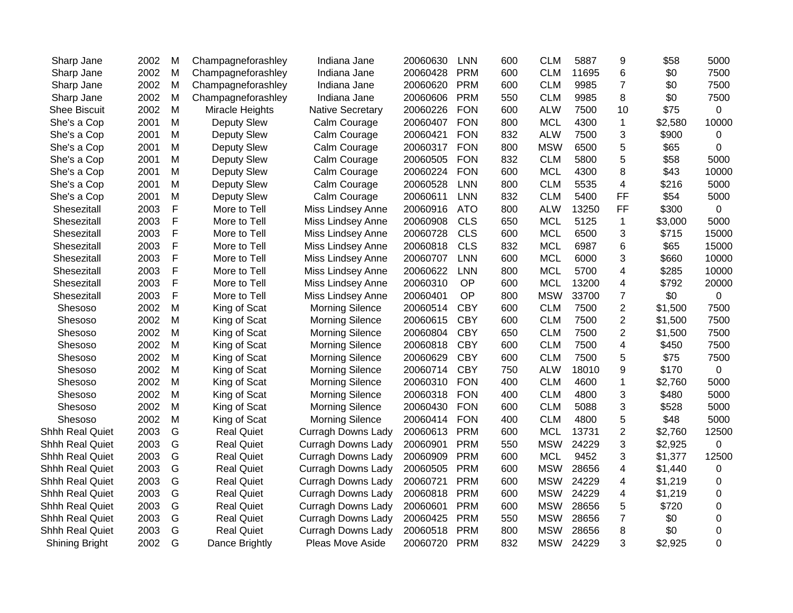| Sharp Jane             | 2002 | M | Champagneforashley | Indiana Jane              | 20060630 | <b>LNN</b> | 600 | <b>CLM</b> | 5887  | 9                       | \$58    | 5000           |
|------------------------|------|---|--------------------|---------------------------|----------|------------|-----|------------|-------|-------------------------|---------|----------------|
| Sharp Jane             | 2002 | M | Champagneforashley | Indiana Jane              | 20060428 | <b>PRM</b> | 600 | <b>CLM</b> | 11695 | 6                       | \$0     | 7500           |
| Sharp Jane             | 2002 | M | Champagneforashley | Indiana Jane              | 20060620 | <b>PRM</b> | 600 | <b>CLM</b> | 9985  | $\overline{7}$          | \$0     | 7500           |
| Sharp Jane             | 2002 | M | Champagneforashley | Indiana Jane              | 20060606 | <b>PRM</b> | 550 | <b>CLM</b> | 9985  | 8                       | \$0     | 7500           |
| <b>Shee Biscuit</b>    | 2002 | M | Miracle Heights    | <b>Native Secretary</b>   | 20060226 | <b>FON</b> | 600 | <b>ALW</b> | 7500  | 10                      | \$75    | 0              |
| She's a Cop            | 2001 | M | Deputy Slew        | Calm Courage              | 20060407 | <b>FON</b> | 800 | <b>MCL</b> | 4300  | $\mathbf 1$             | \$2,580 | 10000          |
| She's a Cop            | 2001 | M | Deputy Slew        | Calm Courage              | 20060421 | <b>FON</b> | 832 | <b>ALW</b> | 7500  | 3                       | \$900   | 0              |
| She's a Cop            | 2001 | M | Deputy Slew        | Calm Courage              | 20060317 | <b>FON</b> | 800 | <b>MSW</b> | 6500  | 5                       | \$65    | 0              |
| She's a Cop            | 2001 | M | Deputy Slew        | Calm Courage              | 20060505 | <b>FON</b> | 832 | <b>CLM</b> | 5800  | 5                       | \$58    | 5000           |
| She's a Cop            | 2001 | M | Deputy Slew        | Calm Courage              | 20060224 | <b>FON</b> | 600 | <b>MCL</b> | 4300  | 8                       | \$43    | 10000          |
| She's a Cop            | 2001 | M | Deputy Slew        | Calm Courage              | 20060528 | <b>LNN</b> | 800 | <b>CLM</b> | 5535  | $\overline{4}$          | \$216   | 5000           |
| She's a Cop            | 2001 | M | Deputy Slew        | Calm Courage              | 20060611 | <b>LNN</b> | 832 | <b>CLM</b> | 5400  | FF                      | \$54    | 5000           |
| Shesezitall            | 2003 | F | More to Tell       | Miss Lindsey Anne         | 20060916 | <b>ATO</b> | 800 | <b>ALW</b> | 13250 | FF                      | \$300   | 0              |
| Shesezitall            | 2003 | F | More to Tell       | Miss Lindsey Anne         | 20060908 | <b>CLS</b> | 650 | <b>MCL</b> | 5125  | $\mathbf 1$             | \$3,000 | 5000           |
| Shesezitall            | 2003 | F | More to Tell       | Miss Lindsey Anne         | 20060728 | <b>CLS</b> | 600 | <b>MCL</b> | 6500  | 3                       | \$715   | 15000          |
| Shesezitall            | 2003 | F | More to Tell       | Miss Lindsey Anne         | 20060818 | <b>CLS</b> | 832 | <b>MCL</b> | 6987  | 6                       | \$65    | 15000          |
| Shesezitall            | 2003 | F | More to Tell       | Miss Lindsey Anne         | 20060707 | <b>LNN</b> | 600 | <b>MCL</b> | 6000  | 3                       | \$660   | 10000          |
| Shesezitall            | 2003 | F | More to Tell       | Miss Lindsey Anne         | 20060622 | <b>LNN</b> | 800 | <b>MCL</b> | 5700  | 4                       | \$285   | 10000          |
| Shesezitall            | 2003 | F | More to Tell       | Miss Lindsey Anne         | 20060310 | <b>OP</b>  | 600 | <b>MCL</b> | 13200 | 4                       | \$792   | 20000          |
| Shesezitall            | 2003 | F | More to Tell       | Miss Lindsey Anne         | 20060401 | <b>OP</b>  | 800 | <b>MSW</b> | 33700 | $\overline{7}$          | \$0     | 0              |
| Shesoso                | 2002 | M | King of Scat       | <b>Morning Silence</b>    | 20060514 | <b>CBY</b> | 600 | <b>CLM</b> | 7500  | $\overline{2}$          | \$1,500 | 7500           |
| Shesoso                | 2002 | M | King of Scat       | <b>Morning Silence</b>    | 20060615 | <b>CBY</b> | 600 | <b>CLM</b> | 7500  | $\overline{2}$          | \$1,500 | 7500           |
| Shesoso                | 2002 | M | King of Scat       | <b>Morning Silence</b>    | 20060804 | <b>CBY</b> | 650 | <b>CLM</b> | 7500  | $\overline{2}$          | \$1,500 | 7500           |
| Shesoso                | 2002 | M | King of Scat       | <b>Morning Silence</b>    | 20060818 | <b>CBY</b> | 600 | <b>CLM</b> | 7500  | $\overline{\mathbf{4}}$ | \$450   | 7500           |
| Shesoso                | 2002 | M | King of Scat       | <b>Morning Silence</b>    | 20060629 | <b>CBY</b> | 600 | <b>CLM</b> | 7500  | 5                       | \$75    | 7500           |
| Shesoso                | 2002 | M | King of Scat       | <b>Morning Silence</b>    | 20060714 | <b>CBY</b> | 750 | <b>ALW</b> | 18010 | 9                       | \$170   | 0              |
| Shesoso                | 2002 | M | King of Scat       | <b>Morning Silence</b>    | 20060310 | <b>FON</b> | 400 | <b>CLM</b> | 4600  | $\mathbf 1$             | \$2,760 | 5000           |
| Shesoso                | 2002 | M | King of Scat       | <b>Morning Silence</b>    | 20060318 | <b>FON</b> | 400 | <b>CLM</b> | 4800  | 3                       | \$480   | 5000           |
| Shesoso                | 2002 | M | King of Scat       | <b>Morning Silence</b>    | 20060430 | <b>FON</b> | 600 | <b>CLM</b> | 5088  | 3                       | \$528   | 5000           |
| Shesoso                | 2002 | M | King of Scat       | <b>Morning Silence</b>    | 20060414 | <b>FON</b> | 400 | <b>CLM</b> | 4800  | 5                       | \$48    | 5000           |
| <b>Shhh Real Quiet</b> | 2003 | G | <b>Real Quiet</b>  | <b>Curragh Downs Lady</b> | 20060613 | <b>PRM</b> | 600 | <b>MCL</b> | 13731 | $\overline{2}$          | \$2,760 | 12500          |
| Shhh Real Quiet        | 2003 | G | <b>Real Quiet</b>  | <b>Curragh Downs Lady</b> | 20060901 | <b>PRM</b> | 550 | <b>MSW</b> | 24229 | 3                       | \$2,925 | $\overline{0}$ |
| <b>Shhh Real Quiet</b> | 2003 | G | <b>Real Quiet</b>  | <b>Curragh Downs Lady</b> | 20060909 | <b>PRM</b> | 600 | <b>MCL</b> | 9452  | 3                       | \$1,377 | 12500          |
| <b>Shhh Real Quiet</b> | 2003 | G | <b>Real Quiet</b>  | <b>Curragh Downs Lady</b> | 20060505 | <b>PRM</b> | 600 | <b>MSW</b> | 28656 | 4                       | \$1,440 | 0              |
| Shhh Real Quiet        | 2003 | G | <b>Real Quiet</b>  | <b>Curragh Downs Lady</b> | 20060721 | <b>PRM</b> | 600 | <b>MSW</b> | 24229 | 4                       | \$1,219 | 0              |
| <b>Shhh Real Quiet</b> | 2003 | G | <b>Real Quiet</b>  | <b>Curragh Downs Lady</b> | 20060818 | <b>PRM</b> | 600 | <b>MSW</b> | 24229 | 4                       | \$1,219 | 0              |
| Shhh Real Quiet        | 2003 | G | <b>Real Quiet</b>  | <b>Curragh Downs Lady</b> | 20060601 | <b>PRM</b> | 600 | <b>MSW</b> | 28656 | 5                       | \$720   | 0              |
| Shhh Real Quiet        | 2003 | G | <b>Real Quiet</b>  | <b>Curragh Downs Lady</b> | 20060425 | <b>PRM</b> | 550 | <b>MSW</b> | 28656 | 7                       | \$0     | 0              |
| <b>Shhh Real Quiet</b> | 2003 | G | <b>Real Quiet</b>  | <b>Curragh Downs Lady</b> | 20060518 | <b>PRM</b> | 800 | <b>MSW</b> | 28656 | 8                       | \$0     | 0              |
| Shining Bright         | 2002 | G | Dance Brightly     | Pleas Move Aside          | 20060720 | <b>PRM</b> | 832 | <b>MSW</b> | 24229 | 3                       | \$2,925 | 0              |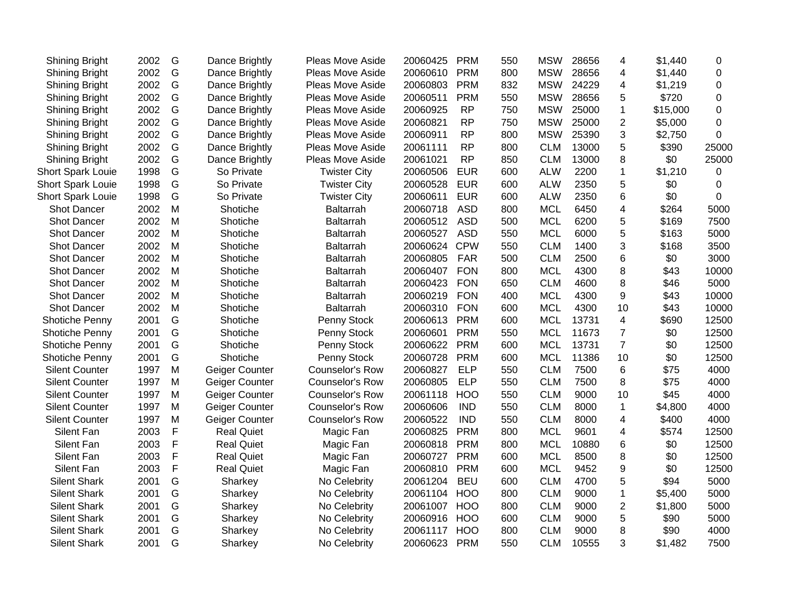| Shining Bright           | 2002 | G           | Dance Brightly    | Pleas Move Aside       | 20060425 | <b>PRM</b> | 550 | <b>MSW</b> | 28656 | 4              | \$1,440  | 0        |
|--------------------------|------|-------------|-------------------|------------------------|----------|------------|-----|------------|-------|----------------|----------|----------|
| Shining Bright           | 2002 | G           | Dance Brightly    | Pleas Move Aside       | 20060610 | <b>PRM</b> | 800 | <b>MSW</b> | 28656 | 4              | \$1,440  | 0        |
| <b>Shining Bright</b>    | 2002 | G           | Dance Brightly    | Pleas Move Aside       | 20060803 | <b>PRM</b> | 832 | <b>MSW</b> | 24229 | 4              | \$1,219  | 0        |
| Shining Bright           | 2002 | G           | Dance Brightly    | Pleas Move Aside       | 20060511 | <b>PRM</b> | 550 | <b>MSW</b> | 28656 | 5              | \$720    | $\Omega$ |
| <b>Shining Bright</b>    | 2002 | G           | Dance Brightly    | Pleas Move Aside       | 20060925 | <b>RP</b>  | 750 | <b>MSW</b> | 25000 | $\mathbf 1$    | \$15,000 | 0        |
| <b>Shining Bright</b>    | 2002 | G           | Dance Brightly    | Pleas Move Aside       | 20060821 | <b>RP</b>  | 750 | <b>MSW</b> | 25000 | $\mathbf{2}$   | \$5,000  | 0        |
| <b>Shining Bright</b>    | 2002 | G           | Dance Brightly    | Pleas Move Aside       | 20060911 | <b>RP</b>  | 800 | <b>MSW</b> | 25390 | 3              | \$2,750  | 0        |
| Shining Bright           | 2002 | G           | Dance Brightly    | Pleas Move Aside       | 20061111 | <b>RP</b>  | 800 | <b>CLM</b> | 13000 | 5              | \$390    | 25000    |
| Shining Bright           | 2002 | G           | Dance Brightly    | Pleas Move Aside       | 20061021 | <b>RP</b>  | 850 | <b>CLM</b> | 13000 | 8              | \$0      | 25000    |
| <b>Short Spark Louie</b> | 1998 | G           | So Private        | <b>Twister City</b>    | 20060506 | <b>EUR</b> | 600 | <b>ALW</b> | 2200  | $\mathbf{1}$   | \$1,210  | 0        |
| <b>Short Spark Louie</b> | 1998 | G           | So Private        | <b>Twister City</b>    | 20060528 | <b>EUR</b> | 600 | <b>ALW</b> | 2350  | 5              | \$0      | 0        |
| <b>Short Spark Louie</b> | 1998 | G           | So Private        | <b>Twister City</b>    | 20060611 | <b>EUR</b> | 600 | <b>ALW</b> | 2350  | 6              | \$0      | 0        |
| <b>Shot Dancer</b>       | 2002 | M           | Shotiche          | Baltarrah              | 20060718 | <b>ASD</b> | 800 | <b>MCL</b> | 6450  | 4              | \$264    | 5000     |
| <b>Shot Dancer</b>       | 2002 | M           | Shotiche          | Baltarrah              | 20060512 | <b>ASD</b> | 500 | <b>MCL</b> | 6200  | 5              | \$169    | 7500     |
| <b>Shot Dancer</b>       | 2002 | M           | Shotiche          | Baltarrah              | 20060527 | <b>ASD</b> | 550 | <b>MCL</b> | 6000  | 5              | \$163    | 5000     |
| <b>Shot Dancer</b>       | 2002 | M           | Shotiche          | Baltarrah              | 20060624 | <b>CPW</b> | 550 | <b>CLM</b> | 1400  | 3              | \$168    | 3500     |
| <b>Shot Dancer</b>       | 2002 | M           | Shotiche          | Baltarrah              | 20060805 | <b>FAR</b> | 500 | <b>CLM</b> | 2500  | 6              | \$0      | 3000     |
| <b>Shot Dancer</b>       | 2002 | M           | Shotiche          | Baltarrah              | 20060407 | <b>FON</b> | 800 | <b>MCL</b> | 4300  | 8              | \$43     | 10000    |
| <b>Shot Dancer</b>       | 2002 | M           | Shotiche          | Baltarrah              | 20060423 | <b>FON</b> | 650 | <b>CLM</b> | 4600  | 8              | \$46     | 5000     |
| <b>Shot Dancer</b>       | 2002 | M           | Shotiche          | Baltarrah              | 20060219 | <b>FON</b> | 400 | <b>MCL</b> | 4300  | 9              | \$43     | 10000    |
| <b>Shot Dancer</b>       | 2002 | M           | Shotiche          | <b>Baltarrah</b>       | 20060310 | <b>FON</b> | 600 | <b>MCL</b> | 4300  | 10             | \$43     | 10000    |
| Shotiche Penny           | 2001 | G           | Shotiche          | Penny Stock            | 20060613 | <b>PRM</b> | 600 | <b>MCL</b> | 13731 | 4              | \$690    | 12500    |
| Shotiche Penny           | 2001 | G           | Shotiche          | Penny Stock            | 20060601 | <b>PRM</b> | 550 | <b>MCL</b> | 11673 | $\overline{7}$ | \$0      | 12500    |
| Shotiche Penny           | 2001 | G           | Shotiche          | Penny Stock            | 20060622 | <b>PRM</b> | 600 | <b>MCL</b> | 13731 | $\overline{7}$ | \$0      | 12500    |
| Shotiche Penny           | 2001 | G           | Shotiche          | Penny Stock            | 20060728 | <b>PRM</b> | 600 | <b>MCL</b> | 11386 | 10             | \$0      | 12500    |
| <b>Silent Counter</b>    | 1997 | M           | Geiger Counter    | Counselor's Row        | 20060827 | <b>ELP</b> | 550 | <b>CLM</b> | 7500  | 6              | \$75     | 4000     |
| <b>Silent Counter</b>    | 1997 | M           | Geiger Counter    | Counselor's Row        | 20060805 | <b>ELP</b> | 550 | <b>CLM</b> | 7500  | 8              | \$75     | 4000     |
| <b>Silent Counter</b>    | 1997 | M           | Geiger Counter    | <b>Counselor's Row</b> | 20061118 | <b>HOO</b> | 550 | <b>CLM</b> | 9000  | 10             | \$45     | 4000     |
| <b>Silent Counter</b>    | 1997 | M           | Geiger Counter    | Counselor's Row        | 20060606 | <b>IND</b> | 550 | <b>CLM</b> | 8000  | $\mathbf{1}$   | \$4,800  | 4000     |
| <b>Silent Counter</b>    | 1997 | M           | Geiger Counter    | Counselor's Row        | 20060522 | <b>IND</b> | 550 | <b>CLM</b> | 8000  | 4              | \$400    | 4000     |
| Silent Fan               | 2003 | F           | <b>Real Quiet</b> | Magic Fan              | 20060825 | <b>PRM</b> | 800 | <b>MCL</b> | 9601  | 4              | \$574    | 12500    |
| Silent Fan               | 2003 | F           | <b>Real Quiet</b> | Magic Fan              | 20060818 | <b>PRM</b> | 800 | <b>MCL</b> | 10880 | 6              | \$0      | 12500    |
| Silent Fan               | 2003 | $\mathsf F$ | <b>Real Quiet</b> | Magic Fan              | 20060727 | <b>PRM</b> | 600 | <b>MCL</b> | 8500  | 8              | \$0      | 12500    |
| Silent Fan               | 2003 | $\mathsf F$ | <b>Real Quiet</b> | Magic Fan              | 20060810 | <b>PRM</b> | 600 | <b>MCL</b> | 9452  | 9              | \$0      | 12500    |
| <b>Silent Shark</b>      | 2001 | G           | Sharkey           | No Celebrity           | 20061204 | <b>BEU</b> | 600 | <b>CLM</b> | 4700  | 5              | \$94     | 5000     |
| <b>Silent Shark</b>      | 2001 | G           | Sharkey           | No Celebrity           | 20061104 | <b>HOO</b> | 800 | <b>CLM</b> | 9000  | 1              | \$5,400  | 5000     |
| <b>Silent Shark</b>      | 2001 | G           | Sharkey           | No Celebrity           | 20061007 | HOO        | 800 | <b>CLM</b> | 9000  | $\overline{2}$ | \$1,800  | 5000     |
| <b>Silent Shark</b>      | 2001 | G           | Sharkey           | No Celebrity           | 20060916 | <b>HOO</b> | 600 | <b>CLM</b> | 9000  | 5              | \$90     | 5000     |
| <b>Silent Shark</b>      | 2001 | G           | Sharkey           | No Celebrity           | 20061117 | <b>HOO</b> | 800 | <b>CLM</b> | 9000  | 8              | \$90     | 4000     |
| <b>Silent Shark</b>      | 2001 | G           | Sharkey           | No Celebrity           | 20060623 | <b>PRM</b> | 550 | <b>CLM</b> | 10555 | 3              | \$1,482  | 7500     |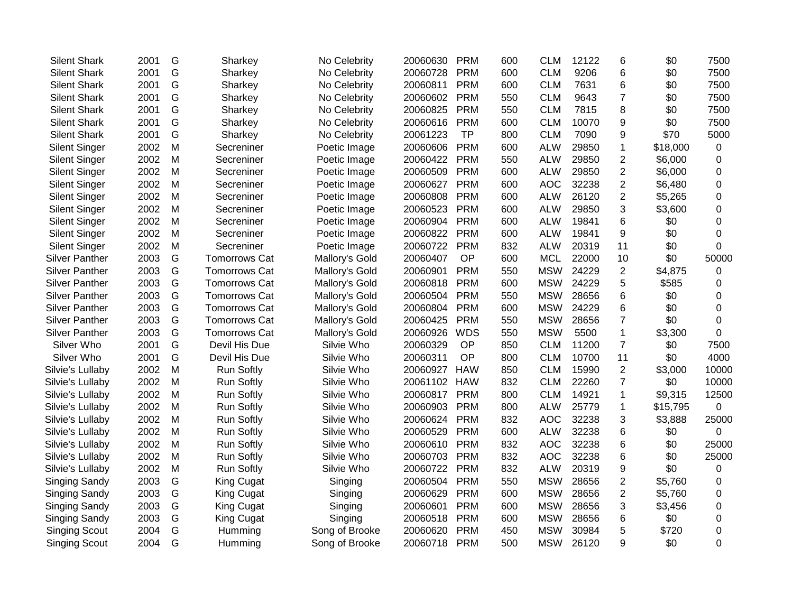| <b>Silent Shark</b>   | 2001 | G | Sharkey              | No Celebrity   | 20060630 | <b>PRM</b> | 600 | <b>CLM</b> | 12122 | 6                | \$0      | 7500        |
|-----------------------|------|---|----------------------|----------------|----------|------------|-----|------------|-------|------------------|----------|-------------|
| <b>Silent Shark</b>   | 2001 | G | Sharkey              | No Celebrity   | 20060728 | <b>PRM</b> | 600 | <b>CLM</b> | 9206  | 6                | \$0      | 7500        |
| <b>Silent Shark</b>   | 2001 | G | Sharkey              | No Celebrity   | 20060811 | <b>PRM</b> | 600 | <b>CLM</b> | 7631  | 6                | \$0      | 7500        |
| <b>Silent Shark</b>   | 2001 | G | Sharkey              | No Celebrity   | 20060602 | <b>PRM</b> | 550 | <b>CLM</b> | 9643  | $\overline{7}$   | \$0      | 7500        |
| <b>Silent Shark</b>   | 2001 | G | Sharkey              | No Celebrity   | 20060825 | <b>PRM</b> | 550 | <b>CLM</b> | 7815  | 8                | \$0      | 7500        |
| <b>Silent Shark</b>   | 2001 | G | Sharkey              | No Celebrity   | 20060616 | <b>PRM</b> | 600 | <b>CLM</b> | 10070 | 9                | \$0      | 7500        |
| <b>Silent Shark</b>   | 2001 | G | Sharkey              | No Celebrity   | 20061223 | <b>TP</b>  | 800 | <b>CLM</b> | 7090  | 9                | \$70     | 5000        |
| <b>Silent Singer</b>  | 2002 | M | Secreniner           | Poetic Image   | 20060606 | <b>PRM</b> | 600 | <b>ALW</b> | 29850 | $\mathbf 1$      | \$18,000 | 0           |
| <b>Silent Singer</b>  | 2002 | M | Secreniner           | Poetic Image   | 20060422 | <b>PRM</b> | 550 | <b>ALW</b> | 29850 | $\boldsymbol{2}$ | \$6,000  | 0           |
| <b>Silent Singer</b>  | 2002 | M | Secreniner           | Poetic Image   | 20060509 | <b>PRM</b> | 600 | <b>ALW</b> | 29850 | $\overline{2}$   | \$6,000  | 0           |
| <b>Silent Singer</b>  | 2002 | M | Secreniner           | Poetic Image   | 20060627 | <b>PRM</b> | 600 | <b>AOC</b> | 32238 | $\overline{2}$   | \$6,480  | 0           |
| <b>Silent Singer</b>  | 2002 | M | Secreniner           | Poetic Image   | 20060808 | <b>PRM</b> | 600 | <b>ALW</b> | 26120 | $\overline{2}$   | \$5,265  | 0           |
| <b>Silent Singer</b>  | 2002 | M | Secreniner           | Poetic Image   | 20060523 | <b>PRM</b> | 600 | <b>ALW</b> | 29850 | 3                | \$3,600  | $\mathbf 0$ |
| <b>Silent Singer</b>  | 2002 | M | Secreniner           | Poetic Image   | 20060904 | <b>PRM</b> | 600 | <b>ALW</b> | 19841 | 6                | \$0      | 0           |
| <b>Silent Singer</b>  | 2002 | M | Secreniner           | Poetic Image   | 20060822 | <b>PRM</b> | 600 | <b>ALW</b> | 19841 | 9                | \$0      | 0           |
| <b>Silent Singer</b>  | 2002 | M | Secreniner           | Poetic Image   | 20060722 | <b>PRM</b> | 832 | <b>ALW</b> | 20319 | 11               | \$0      | $\Omega$    |
| <b>Silver Panther</b> | 2003 | G | <b>Tomorrows Cat</b> | Mallory's Gold | 20060407 | OP         | 600 | <b>MCL</b> | 22000 | 10               | \$0      | 50000       |
| <b>Silver Panther</b> | 2003 | G | <b>Tomorrows Cat</b> | Mallory's Gold | 20060901 | <b>PRM</b> | 550 | <b>MSW</b> | 24229 | $\overline{2}$   | \$4,875  | 0           |
| <b>Silver Panther</b> | 2003 | G | <b>Tomorrows Cat</b> | Mallory's Gold | 20060818 | <b>PRM</b> | 600 | <b>MSW</b> | 24229 | 5                | \$585    | 0           |
| <b>Silver Panther</b> | 2003 | G | <b>Tomorrows Cat</b> | Mallory's Gold | 20060504 | <b>PRM</b> | 550 | <b>MSW</b> | 28656 | 6                | \$0      | 0           |
| <b>Silver Panther</b> | 2003 | G | <b>Tomorrows Cat</b> | Mallory's Gold | 20060804 | <b>PRM</b> | 600 | <b>MSW</b> | 24229 | 6                | \$0      | $\mathbf 0$ |
| <b>Silver Panther</b> | 2003 | G | <b>Tomorrows Cat</b> | Mallory's Gold | 20060425 | <b>PRM</b> | 550 | <b>MSW</b> | 28656 | $\overline{7}$   | \$0      | $\mathbf 0$ |
| <b>Silver Panther</b> | 2003 | G | <b>Tomorrows Cat</b> | Mallory's Gold | 20060926 | <b>WDS</b> | 550 | <b>MSW</b> | 5500  | $\mathbf{1}$     | \$3,300  | $\mathbf 0$ |
| Silver Who            | 2001 | G | Devil His Due        | Silvie Who     | 20060329 | OP         | 850 | <b>CLM</b> | 11200 | $\overline{7}$   | \$0      | 7500        |
| Silver Who            | 2001 | G | Devil His Due        | Silvie Who     | 20060311 | <b>OP</b>  | 800 | <b>CLM</b> | 10700 | 11               | \$0      | 4000        |
| Silvie's Lullaby      | 2002 | M | <b>Run Softly</b>    | Silvie Who     | 20060927 | <b>HAW</b> | 850 | <b>CLM</b> | 15990 | $\overline{2}$   | \$3,000  | 10000       |
| Silvie's Lullaby      | 2002 | M | <b>Run Softly</b>    | Silvie Who     | 20061102 | <b>HAW</b> | 832 | <b>CLM</b> | 22260 | $\overline{7}$   | \$0      | 10000       |
| Silvie's Lullaby      | 2002 | M | <b>Run Softly</b>    | Silvie Who     | 20060817 | <b>PRM</b> | 800 | <b>CLM</b> | 14921 | $\mathbf 1$      | \$9,315  | 12500       |
| Silvie's Lullaby      | 2002 | M | <b>Run Softly</b>    | Silvie Who     | 20060903 | <b>PRM</b> | 800 | <b>ALW</b> | 25779 | $\mathbf 1$      | \$15,795 | 0           |
| Silvie's Lullaby      | 2002 | M | <b>Run Softly</b>    | Silvie Who     | 20060624 | <b>PRM</b> | 832 | <b>AOC</b> | 32238 | 3                | \$3,888  | 25000       |
| Silvie's Lullaby      | 2002 | M | <b>Run Softly</b>    | Silvie Who     | 20060529 | <b>PRM</b> | 600 | <b>ALW</b> | 32238 | 6                | \$0      | $\mathbf 0$ |
| Silvie's Lullaby      | 2002 | M | <b>Run Softly</b>    | Silvie Who     | 20060610 | <b>PRM</b> | 832 | <b>AOC</b> | 32238 | 6                | \$0      | 25000       |
| Silvie's Lullaby      | 2002 | M | <b>Run Softly</b>    | Silvie Who     | 20060703 | <b>PRM</b> | 832 | <b>AOC</b> | 32238 | 6                | \$0      | 25000       |
| Silvie's Lullaby      | 2002 | M | <b>Run Softly</b>    | Silvie Who     | 20060722 | <b>PRM</b> | 832 | <b>ALW</b> | 20319 | 9                | \$0      | 0           |
| Singing Sandy         | 2003 | G | <b>King Cugat</b>    | Singing        | 20060504 | <b>PRM</b> | 550 | <b>MSW</b> | 28656 | $\overline{2}$   | \$5,760  | 0           |
| Singing Sandy         | 2003 | G | <b>King Cugat</b>    | Singing        | 20060629 | <b>PRM</b> | 600 | <b>MSW</b> | 28656 | $\overline{2}$   | \$5,760  | $\mathbf 0$ |
| Singing Sandy         | 2003 | G | <b>King Cugat</b>    | Singing        | 20060601 | <b>PRM</b> | 600 | <b>MSW</b> | 28656 | 3                | \$3,456  | 0           |
| Singing Sandy         | 2003 | G | <b>King Cugat</b>    | Singing        | 20060518 | <b>PRM</b> | 600 | <b>MSW</b> | 28656 | 6                | \$0      | 0           |
| <b>Singing Scout</b>  | 2004 | G | Humming              | Song of Brooke | 20060620 | <b>PRM</b> | 450 | <b>MSW</b> | 30984 | 5                | \$720    | 0           |
| <b>Singing Scout</b>  | 2004 | G | Humming              | Song of Brooke | 20060718 | <b>PRM</b> | 500 | <b>MSW</b> | 26120 | 9                | \$0      | 0           |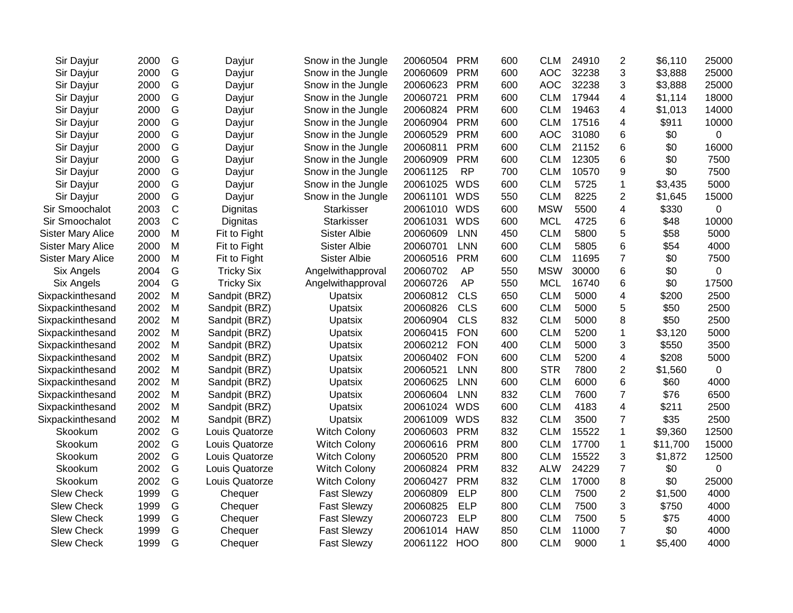| Sir Dayjur               | 2000 | G            | Dayjur            | Snow in the Jungle  | 20060504 | <b>PRM</b> | 600 | <b>CLM</b> | 24910 | $\overline{2}$   | \$6,110  | 25000       |
|--------------------------|------|--------------|-------------------|---------------------|----------|------------|-----|------------|-------|------------------|----------|-------------|
| Sir Dayjur               | 2000 | G            | Dayjur            | Snow in the Jungle  | 20060609 | <b>PRM</b> | 600 | <b>AOC</b> | 32238 | 3                | \$3,888  | 25000       |
| Sir Dayjur               | 2000 | G            | Dayjur            | Snow in the Jungle  | 20060623 | <b>PRM</b> | 600 | <b>AOC</b> | 32238 | 3                | \$3,888  | 25000       |
| Sir Dayjur               | 2000 | G            | Dayjur            | Snow in the Jungle  | 20060721 | <b>PRM</b> | 600 | <b>CLM</b> | 17944 | 4                | \$1,114  | 18000       |
| Sir Dayjur               | 2000 | G            | Dayjur            | Snow in the Jungle  | 20060824 | <b>PRM</b> | 600 | <b>CLM</b> | 19463 | 4                | \$1,013  | 14000       |
| Sir Dayjur               | 2000 | G            | Dayjur            | Snow in the Jungle  | 20060904 | <b>PRM</b> | 600 | <b>CLM</b> | 17516 | 4                | \$911    | 10000       |
| Sir Dayjur               | 2000 | G            | Dayjur            | Snow in the Jungle  | 20060529 | <b>PRM</b> | 600 | <b>AOC</b> | 31080 | 6                | \$0      | 0           |
| Sir Dayjur               | 2000 | G            | Dayjur            | Snow in the Jungle  | 20060811 | <b>PRM</b> | 600 | <b>CLM</b> | 21152 | $6\phantom{1}6$  | \$0      | 16000       |
| Sir Dayjur               | 2000 | G            | Dayjur            | Snow in the Jungle  | 20060909 | <b>PRM</b> | 600 | <b>CLM</b> | 12305 | 6                | \$0      | 7500        |
| Sir Dayjur               | 2000 | G            | Dayjur            | Snow in the Jungle  | 20061125 | <b>RP</b>  | 700 | <b>CLM</b> | 10570 | 9                | \$0      | 7500        |
| Sir Dayjur               | 2000 | G            | Dayjur            | Snow in the Jungle  | 20061025 | <b>WDS</b> | 600 | <b>CLM</b> | 5725  | 1                | \$3,435  | 5000        |
| Sir Dayjur               | 2000 | G            | Dayjur            | Snow in the Jungle  | 20061101 | <b>WDS</b> | 550 | <b>CLM</b> | 8225  | 2                | \$1,645  | 15000       |
| Sir Smoochalot           | 2003 | $\mathsf C$  | Dignitas          | <b>Starkisser</b>   | 20061010 | WDS        | 600 | <b>MSW</b> | 5500  | 4                | \$330    | 0           |
| Sir Smoochalot           | 2003 | $\mathsf{C}$ | Dignitas          | Starkisser          | 20061031 | <b>WDS</b> | 600 | <b>MCL</b> | 4725  | 6                | \$48     | 10000       |
| <b>Sister Mary Alice</b> | 2000 | M            | Fit to Fight      | Sister Albie        | 20060609 | <b>LNN</b> | 450 | <b>CLM</b> | 5800  | 5                | \$58     | 5000        |
| <b>Sister Mary Alice</b> | 2000 | M            | Fit to Fight      | <b>Sister Albie</b> | 20060701 | LNN        | 600 | <b>CLM</b> | 5805  | 6                | \$54     | 4000        |
| <b>Sister Mary Alice</b> | 2000 | M            | Fit to Fight      | <b>Sister Albie</b> | 20060516 | <b>PRM</b> | 600 | <b>CLM</b> | 11695 | $\boldsymbol{7}$ | \$0      | 7500        |
| Six Angels               | 2004 | G            | <b>Tricky Six</b> | Angelwithapproval   | 20060702 | <b>AP</b>  | 550 | <b>MSW</b> | 30000 | $6\phantom{1}6$  | \$0      | 0           |
| <b>Six Angels</b>        | 2004 | G            | <b>Tricky Six</b> | Angelwithapproval   | 20060726 | AP         | 550 | <b>MCL</b> | 16740 | 6                | \$0      | 17500       |
| Sixpackinthesand         | 2002 | M            | Sandpit (BRZ)     | Upatsix             | 20060812 | <b>CLS</b> | 650 | <b>CLM</b> | 5000  | 4                | \$200    | 2500        |
| Sixpackinthesand         | 2002 | M            | Sandpit (BRZ)     | Upatsix             | 20060826 | <b>CLS</b> | 600 | <b>CLM</b> | 5000  | 5                | \$50     | 2500        |
| Sixpackinthesand         | 2002 | M            | Sandpit (BRZ)     | Upatsix             | 20060904 | <b>CLS</b> | 832 | <b>CLM</b> | 5000  | 8                | \$50     | 2500        |
| Sixpackinthesand         | 2002 | M            | Sandpit (BRZ)     | Upatsix             | 20060415 | <b>FON</b> | 600 | <b>CLM</b> | 5200  | 1                | \$3,120  | 5000        |
| Sixpackinthesand         | 2002 | M            | Sandpit (BRZ)     | Upatsix             | 20060212 | <b>FON</b> | 400 | <b>CLM</b> | 5000  | 3                | \$550    | 3500        |
| Sixpackinthesand         | 2002 | M            | Sandpit (BRZ)     | Upatsix             | 20060402 | <b>FON</b> | 600 | <b>CLM</b> | 5200  | 4                | \$208    | 5000        |
| Sixpackinthesand         | 2002 | M            | Sandpit (BRZ)     | Upatsix             | 20060521 | <b>LNN</b> | 800 | <b>STR</b> | 7800  | 2                | \$1,560  | 0           |
| Sixpackinthesand         | 2002 | M            | Sandpit (BRZ)     | Upatsix             | 20060625 | <b>LNN</b> | 600 | <b>CLM</b> | 6000  | 6                | \$60     | 4000        |
| Sixpackinthesand         | 2002 | M            | Sandpit (BRZ)     | Upatsix             | 20060604 | LNN        | 832 | <b>CLM</b> | 7600  | $\overline{7}$   | \$76     | 6500        |
| Sixpackinthesand         | 2002 | M            | Sandpit (BRZ)     | Upatsix             | 20061024 | <b>WDS</b> | 600 | <b>CLM</b> | 4183  | 4                | \$211    | 2500        |
| Sixpackinthesand         | 2002 | M            | Sandpit (BRZ)     | Upatsix             | 20061009 | <b>WDS</b> | 832 | <b>CLM</b> | 3500  | $\overline{7}$   | \$35     | 2500        |
| Skookum                  | 2002 | G            | Louis Quatorze    | <b>Witch Colony</b> | 20060603 | <b>PRM</b> | 832 | <b>CLM</b> | 15522 | $\mathbf 1$      | \$9,360  | 12500       |
| Skookum                  | 2002 | G            | Louis Quatorze    | Witch Colony        | 20060616 | <b>PRM</b> | 800 | <b>CLM</b> | 17700 | $\mathbf 1$      | \$11,700 | 15000       |
| Skookum                  | 2002 | G            | Louis Quatorze    | <b>Witch Colony</b> | 20060520 | <b>PRM</b> | 800 | <b>CLM</b> | 15522 | 3                | \$1,872  | 12500       |
| Skookum                  | 2002 | G            | Louis Quatorze    | <b>Witch Colony</b> | 20060824 | <b>PRM</b> | 832 | <b>ALW</b> | 24229 | $\overline{7}$   | \$0      | $\mathbf 0$ |
| Skookum                  | 2002 | G            | Louis Quatorze    | <b>Witch Colony</b> | 20060427 | <b>PRM</b> | 832 | <b>CLM</b> | 17000 | 8                | \$0      | 25000       |
| <b>Slew Check</b>        | 1999 | G            | Chequer           | <b>Fast Slewzy</b>  | 20060809 | <b>ELP</b> | 800 | <b>CLM</b> | 7500  | $\overline{2}$   | \$1,500  | 4000        |
| <b>Slew Check</b>        | 1999 | G            | Chequer           | <b>Fast Slewzy</b>  | 20060825 | <b>ELP</b> | 800 | <b>CLM</b> | 7500  | 3                | \$750    | 4000        |
| <b>Slew Check</b>        | 1999 | G            | Chequer           | <b>Fast Slewzy</b>  | 20060723 | <b>ELP</b> | 800 | <b>CLM</b> | 7500  | 5                | \$75     | 4000        |
| <b>Slew Check</b>        | 1999 | G            | Chequer           | <b>Fast Slewzy</b>  | 20061014 | <b>HAW</b> | 850 | <b>CLM</b> | 11000 | $\overline{7}$   | \$0      | 4000        |
| <b>Slew Check</b>        | 1999 | G            | Chequer           | <b>Fast Slewzy</b>  | 20061122 | HOO        | 800 | <b>CLM</b> | 9000  | $\mathbf 1$      | \$5,400  | 4000        |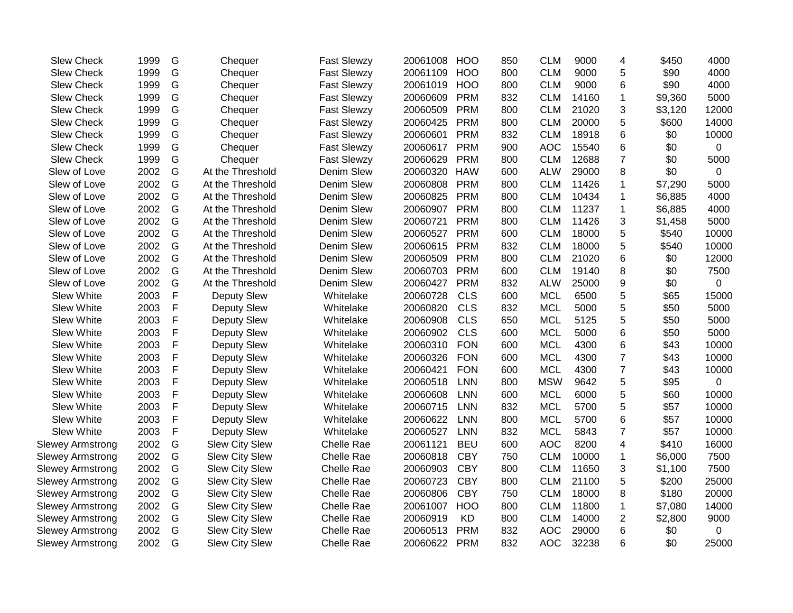| <b>Slew Check</b>       | 1999 | G | Chequer               | <b>Fast Slewzy</b> | 20061008 | <b>HOO</b> | 850 | <b>CLM</b> | 9000  | 4                | \$450   | 4000  |
|-------------------------|------|---|-----------------------|--------------------|----------|------------|-----|------------|-------|------------------|---------|-------|
| <b>Slew Check</b>       | 1999 | G | Chequer               | <b>Fast Slewzy</b> | 20061109 | <b>HOO</b> | 800 | <b>CLM</b> | 9000  | 5                | \$90    | 4000  |
| <b>Slew Check</b>       | 1999 | G | Chequer               | <b>Fast Slewzy</b> | 20061019 | <b>HOO</b> | 800 | <b>CLM</b> | 9000  | 6                | \$90    | 4000  |
| <b>Slew Check</b>       | 1999 | G | Chequer               | <b>Fast Slewzy</b> | 20060609 | <b>PRM</b> | 832 | <b>CLM</b> | 14160 | 1                | \$9,360 | 5000  |
| <b>Slew Check</b>       | 1999 | G | Chequer               | <b>Fast Slewzy</b> | 20060509 | <b>PRM</b> | 800 | <b>CLM</b> | 21020 | 3                | \$3,120 | 12000 |
| <b>Slew Check</b>       | 1999 | G | Chequer               | <b>Fast Slewzy</b> | 20060425 | <b>PRM</b> | 800 | <b>CLM</b> | 20000 | 5                | \$600   | 14000 |
| Slew Check              | 1999 | G | Chequer               | <b>Fast Slewzy</b> | 20060601 | <b>PRM</b> | 832 | <b>CLM</b> | 18918 | 6                | \$0     | 10000 |
| <b>Slew Check</b>       | 1999 | G | Chequer               | <b>Fast Slewzy</b> | 20060617 | <b>PRM</b> | 900 | <b>AOC</b> | 15540 | 6                | \$0     | 0     |
| <b>Slew Check</b>       | 1999 | G | Chequer               | <b>Fast Slewzy</b> | 20060629 | <b>PRM</b> | 800 | <b>CLM</b> | 12688 | $\overline{7}$   | \$0     | 5000  |
| Slew of Love            | 2002 | G | At the Threshold      | Denim Slew         | 20060320 | <b>HAW</b> | 600 | <b>ALW</b> | 29000 | 8                | \$0     | 0     |
| Slew of Love            | 2002 | G | At the Threshold      | Denim Slew         | 20060808 | <b>PRM</b> | 800 | <b>CLM</b> | 11426 | $\mathbf{1}$     | \$7,290 | 5000  |
| Slew of Love            | 2002 | G | At the Threshold      | Denim Slew         | 20060825 | <b>PRM</b> | 800 | <b>CLM</b> | 10434 | $\mathbf{1}$     | \$6,885 | 4000  |
| Slew of Love            | 2002 | G | At the Threshold      | Denim Slew         | 20060907 | <b>PRM</b> | 800 | <b>CLM</b> | 11237 | 1                | \$6,885 | 4000  |
| Slew of Love            | 2002 | G | At the Threshold      | Denim Slew         | 20060721 | <b>PRM</b> | 800 | <b>CLM</b> | 11426 | 3                | \$1,458 | 5000  |
| Slew of Love            | 2002 | G | At the Threshold      | Denim Slew         | 20060527 | <b>PRM</b> | 600 | <b>CLM</b> | 18000 | 5                | \$540   | 10000 |
| Slew of Love            | 2002 | G | At the Threshold      | Denim Slew         | 20060615 | <b>PRM</b> | 832 | <b>CLM</b> | 18000 | 5                | \$540   | 10000 |
| Slew of Love            | 2002 | G | At the Threshold      | Denim Slew         | 20060509 | <b>PRM</b> | 800 | <b>CLM</b> | 21020 | 6                | \$0     | 12000 |
| Slew of Love            | 2002 | G | At the Threshold      | Denim Slew         | 20060703 | <b>PRM</b> | 600 | <b>CLM</b> | 19140 | 8                | \$0     | 7500  |
| Slew of Love            | 2002 | G | At the Threshold      | Denim Slew         | 20060427 | <b>PRM</b> | 832 | <b>ALW</b> | 25000 | 9                | \$0     | 0     |
| Slew White              | 2003 | F | Deputy Slew           | Whitelake          | 20060728 | <b>CLS</b> | 600 | <b>MCL</b> | 6500  | 5                | \$65    | 15000 |
| <b>Slew White</b>       | 2003 | F | <b>Deputy Slew</b>    | Whitelake          | 20060820 | <b>CLS</b> | 832 | <b>MCL</b> | 5000  | 5                | \$50    | 5000  |
| <b>Slew White</b>       | 2003 | F | Deputy Slew           | Whitelake          | 20060908 | <b>CLS</b> | 650 | <b>MCL</b> | 5125  | 5                | \$50    | 5000  |
| <b>Slew White</b>       | 2003 | F | <b>Deputy Slew</b>    | Whitelake          | 20060902 | <b>CLS</b> | 600 | <b>MCL</b> | 5000  | 6                | \$50    | 5000  |
| <b>Slew White</b>       | 2003 | F | <b>Deputy Slew</b>    | Whitelake          | 20060310 | <b>FON</b> | 600 | <b>MCL</b> | 4300  | 6                | \$43    | 10000 |
| <b>Slew White</b>       | 2003 | F | <b>Deputy Slew</b>    | Whitelake          | 20060326 | <b>FON</b> | 600 | <b>MCL</b> | 4300  | $\boldsymbol{7}$ | \$43    | 10000 |
| <b>Slew White</b>       | 2003 | F | Deputy Slew           | Whitelake          | 20060421 | <b>FON</b> | 600 | <b>MCL</b> | 4300  | $\overline{7}$   | \$43    | 10000 |
| Slew White              | 2003 | F | <b>Deputy Slew</b>    | Whitelake          | 20060518 | <b>LNN</b> | 800 | <b>MSW</b> | 9642  | 5                | \$95    | 0     |
| <b>Slew White</b>       | 2003 | F | Deputy Slew           | Whitelake          | 20060608 | <b>LNN</b> | 600 | <b>MCL</b> | 6000  | 5                | \$60    | 10000 |
| Slew White              | 2003 | F | <b>Deputy Slew</b>    | Whitelake          | 20060715 | <b>LNN</b> | 832 | <b>MCL</b> | 5700  | 5                | \$57    | 10000 |
| <b>Slew White</b>       | 2003 | F | <b>Deputy Slew</b>    | Whitelake          | 20060622 | <b>LNN</b> | 800 | <b>MCL</b> | 5700  | 6                | \$57    | 10000 |
| <b>Slew White</b>       | 2003 | F | <b>Deputy Slew</b>    | Whitelake          | 20060527 | <b>LNN</b> | 832 | <b>MCL</b> | 5843  | $\overline{7}$   | \$57    | 10000 |
| <b>Slewey Armstrong</b> | 2002 | G | <b>Slew City Slew</b> | Chelle Rae         | 20061121 | <b>BEU</b> | 600 | <b>AOC</b> | 8200  | 4                | \$410   | 16000 |
| <b>Slewey Armstrong</b> | 2002 | G | <b>Slew City Slew</b> | Chelle Rae         | 20060818 | <b>CBY</b> | 750 | <b>CLM</b> | 10000 | 1                | \$6,000 | 7500  |
| <b>Slewey Armstrong</b> | 2002 | G | <b>Slew City Slew</b> | Chelle Rae         | 20060903 | <b>CBY</b> | 800 | <b>CLM</b> | 11650 | 3                | \$1,100 | 7500  |
| <b>Slewey Armstrong</b> | 2002 | G | Slew City Slew        | Chelle Rae         | 20060723 | <b>CBY</b> | 800 | <b>CLM</b> | 21100 | 5                | \$200   | 25000 |
| Slewey Armstrong        | 2002 | G | Slew City Slew        | Chelle Rae         | 20060806 | <b>CBY</b> | 750 | <b>CLM</b> | 18000 | 8                | \$180   | 20000 |
| Slewey Armstrong        | 2002 | G | Slew City Slew        | Chelle Rae         | 20061007 | <b>HOO</b> | 800 | <b>CLM</b> | 11800 | 1                | \$7,080 | 14000 |
| <b>Slewey Armstrong</b> | 2002 | G | Slew City Slew        | Chelle Rae         | 20060919 | <b>KD</b>  | 800 | <b>CLM</b> | 14000 | $\overline{2}$   | \$2,800 | 9000  |
| <b>Slewey Armstrong</b> | 2002 | G | <b>Slew City Slew</b> | Chelle Rae         | 20060513 | <b>PRM</b> | 832 | <b>AOC</b> | 29000 | 6                | \$0     | 0     |
| <b>Slewey Armstrong</b> | 2002 | G | <b>Slew City Slew</b> | Chelle Rae         | 20060622 | <b>PRM</b> | 832 | <b>AOC</b> | 32238 | 6                | \$0     | 25000 |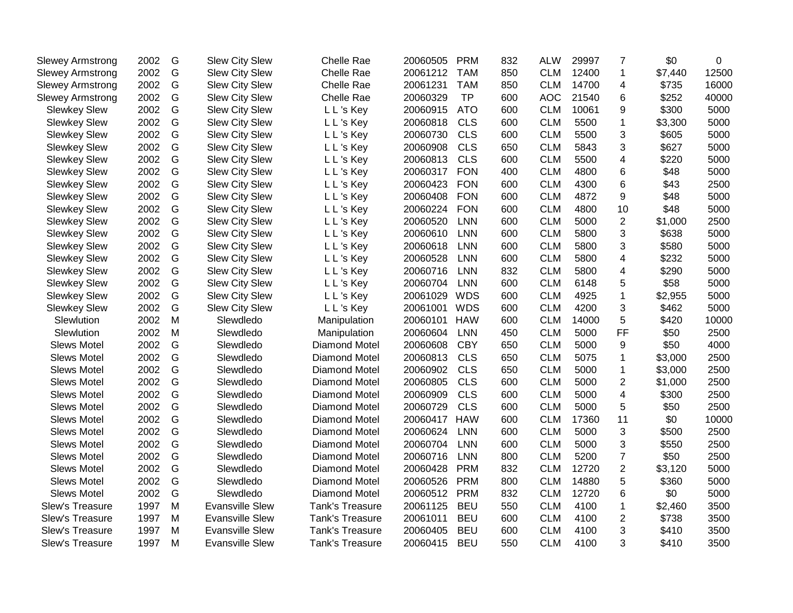| <b>Slewey Armstrong</b> | 2002 | G             | <b>Slew City Slew</b>  | Chelle Rae           | 20060505 | <b>PRM</b> | 832 | <b>ALW</b> | 29997 | $\overline{7}$ | \$0     | 0     |
|-------------------------|------|---------------|------------------------|----------------------|----------|------------|-----|------------|-------|----------------|---------|-------|
| <b>Slewey Armstrong</b> | 2002 | G             | <b>Slew City Slew</b>  | Chelle Rae           | 20061212 | <b>TAM</b> | 850 | <b>CLM</b> | 12400 | $\mathbf{1}$   | \$7,440 | 12500 |
| <b>Slewey Armstrong</b> | 2002 | G             | <b>Slew City Slew</b>  | Chelle Rae           | 20061231 | <b>TAM</b> | 850 | <b>CLM</b> | 14700 | 4              | \$735   | 16000 |
| <b>Slewey Armstrong</b> | 2002 | G             | <b>Slew City Slew</b>  | Chelle Rae           | 20060329 | <b>TP</b>  | 600 | <b>AOC</b> | 21540 | 6              | \$252   | 40000 |
| <b>Slewkey Slew</b>     | 2002 | ${\mathsf G}$ | <b>Slew City Slew</b>  | L L's Key            | 20060915 | <b>ATO</b> | 600 | <b>CLM</b> | 10061 | 9              | \$300   | 5000  |
| <b>Slewkey Slew</b>     | 2002 | G             | <b>Slew City Slew</b>  | L L's Key            | 20060818 | <b>CLS</b> | 600 | <b>CLM</b> | 5500  | $\mathbf{1}$   | \$3,300 | 5000  |
| <b>Slewkey Slew</b>     | 2002 | ${\mathsf G}$ | <b>Slew City Slew</b>  | L L's Key            | 20060730 | <b>CLS</b> | 600 | <b>CLM</b> | 5500  | 3              | \$605   | 5000  |
| <b>Slewkey Slew</b>     | 2002 | G             | <b>Slew City Slew</b>  | L L's Key            | 20060908 | <b>CLS</b> | 650 | <b>CLM</b> | 5843  | 3              | \$627   | 5000  |
| <b>Slewkey Slew</b>     | 2002 | ${\mathsf G}$ | <b>Slew City Slew</b>  | L L 's Key           | 20060813 | <b>CLS</b> | 600 | <b>CLM</b> | 5500  | 4              | \$220   | 5000  |
| <b>Slewkey Slew</b>     | 2002 | G             | <b>Slew City Slew</b>  | L L 's Key           | 20060317 | <b>FON</b> | 400 | <b>CLM</b> | 4800  | 6              | \$48    | 5000  |
| <b>Slewkey Slew</b>     | 2002 | G             | <b>Slew City Slew</b>  | L L 's Key           | 20060423 | <b>FON</b> | 600 | <b>CLM</b> | 4300  | 6              | \$43    | 2500  |
| <b>Slewkey Slew</b>     | 2002 | G             | <b>Slew City Slew</b>  | L L's Key            | 20060408 | <b>FON</b> | 600 | <b>CLM</b> | 4872  | 9              | \$48    | 5000  |
| <b>Slewkey Slew</b>     | 2002 | G             | <b>Slew City Slew</b>  | L L's Key            | 20060224 | <b>FON</b> | 600 | <b>CLM</b> | 4800  | 10             | \$48    | 5000  |
| <b>Slewkey Slew</b>     | 2002 | G             | Slew City Slew         | L L's Key            | 20060520 | <b>LNN</b> | 600 | <b>CLM</b> | 5000  | $\overline{2}$ | \$1,000 | 2500  |
| <b>Slewkey Slew</b>     | 2002 | ${\mathsf G}$ | <b>Slew City Slew</b>  | L L's Key            | 20060610 | <b>LNN</b> | 600 | <b>CLM</b> | 5800  | 3              | \$638   | 5000  |
| <b>Slewkey Slew</b>     | 2002 | G             | <b>Slew City Slew</b>  | L L's Key            | 20060618 | <b>LNN</b> | 600 | <b>CLM</b> | 5800  | 3              | \$580   | 5000  |
| <b>Slewkey Slew</b>     | 2002 | ${\mathsf G}$ | <b>Slew City Slew</b>  | L L's Key            | 20060528 | <b>LNN</b> | 600 | <b>CLM</b> | 5800  | 4              | \$232   | 5000  |
| <b>Slewkey Slew</b>     | 2002 | G             | <b>Slew City Slew</b>  | L L 's Key           | 20060716 | <b>LNN</b> | 832 | <b>CLM</b> | 5800  | 4              | \$290   | 5000  |
| <b>Slewkey Slew</b>     | 2002 | G             | Slew City Slew         | L L's Key            | 20060704 | <b>LNN</b> | 600 | <b>CLM</b> | 6148  | 5              | \$58    | 5000  |
| <b>Slewkey Slew</b>     | 2002 | G             | <b>Slew City Slew</b>  | L L's Key            | 20061029 | <b>WDS</b> | 600 | <b>CLM</b> | 4925  | $\mathbf{1}$   | \$2,955 | 5000  |
| <b>Slewkey Slew</b>     | 2002 | G             | <b>Slew City Slew</b>  | L L's Key            | 20061001 | <b>WDS</b> | 600 | <b>CLM</b> | 4200  | 3              | \$462   | 5000  |
| Slewlution              | 2002 | M             | Slewdledo              | Manipulation         | 20060101 | <b>HAW</b> | 600 | <b>CLM</b> | 14000 | 5              | \$420   | 10000 |
| Slewlution              | 2002 | M             | Slewdledo              | Manipulation         | 20060604 | <b>LNN</b> | 450 | <b>CLM</b> | 5000  | FF             | \$50    | 2500  |
| <b>Slews Motel</b>      | 2002 | G             | Slewdledo              | <b>Diamond Motel</b> | 20060608 | <b>CBY</b> | 650 | <b>CLM</b> | 5000  | 9              | \$50    | 4000  |
| <b>Slews Motel</b>      | 2002 | G             | Slewdledo              | Diamond Motel        | 20060813 | <b>CLS</b> | 650 | <b>CLM</b> | 5075  | $\mathbf{1}$   | \$3,000 | 2500  |
| <b>Slews Motel</b>      | 2002 | G             | Slewdledo              | Diamond Motel        | 20060902 | <b>CLS</b> | 650 | <b>CLM</b> | 5000  | 1              | \$3,000 | 2500  |
| <b>Slews Motel</b>      | 2002 | G             | Slewdledo              | <b>Diamond Motel</b> | 20060805 | <b>CLS</b> | 600 | <b>CLM</b> | 5000  | $\overline{2}$ | \$1,000 | 2500  |
| <b>Slews Motel</b>      | 2002 | G             | Slewdledo              | <b>Diamond Motel</b> | 20060909 | <b>CLS</b> | 600 | <b>CLM</b> | 5000  | 4              | \$300   | 2500  |
| <b>Slews Motel</b>      | 2002 | G             | Slewdledo              | <b>Diamond Motel</b> | 20060729 | <b>CLS</b> | 600 | <b>CLM</b> | 5000  | 5              | \$50    | 2500  |
| <b>Slews Motel</b>      | 2002 | G             | Slewdledo              | <b>Diamond Motel</b> | 20060417 | <b>HAW</b> | 600 | <b>CLM</b> | 17360 | 11             | \$0     | 10000 |
| <b>Slews Motel</b>      | 2002 | G             | Slewdledo              | <b>Diamond Motel</b> | 20060624 | <b>LNN</b> | 600 | <b>CLM</b> | 5000  | 3              | \$500   | 2500  |
| <b>Slews Motel</b>      | 2002 | G             | Slewdledo              | <b>Diamond Motel</b> | 20060704 | <b>LNN</b> | 600 | <b>CLM</b> | 5000  | 3              | \$550   | 2500  |
| <b>Slews Motel</b>      | 2002 | G             | Slewdledo              | <b>Diamond Motel</b> | 20060716 | <b>LNN</b> | 800 | <b>CLM</b> | 5200  | $\overline{7}$ | \$50    | 2500  |
| <b>Slews Motel</b>      | 2002 | G             | Slewdledo              | <b>Diamond Motel</b> | 20060428 | <b>PRM</b> | 832 | <b>CLM</b> | 12720 | $\overline{2}$ | \$3,120 | 5000  |
| <b>Slews Motel</b>      | 2002 | G             | Slewdledo              | <b>Diamond Motel</b> | 20060526 | <b>PRM</b> | 800 | <b>CLM</b> | 14880 | 5              | \$360   | 5000  |
| <b>Slews Motel</b>      | 2002 | G             | Slewdledo              | <b>Diamond Motel</b> | 20060512 | <b>PRM</b> | 832 | <b>CLM</b> | 12720 | 6              | \$0     | 5000  |
| Slew's Treasure         | 1997 | M             | <b>Evansville Slew</b> | Tank's Treasure      | 20061125 | <b>BEU</b> | 550 | <b>CLM</b> | 4100  | $\mathbf{1}$   | \$2,460 | 3500  |
| Slew's Treasure         | 1997 | M             | <b>Evansville Slew</b> | Tank's Treasure      | 20061011 | <b>BEU</b> | 600 | <b>CLM</b> | 4100  | $\overline{c}$ | \$738   | 3500  |
| Slew's Treasure         | 1997 | M             | <b>Evansville Slew</b> | Tank's Treasure      | 20060405 | <b>BEU</b> | 600 | <b>CLM</b> | 4100  | 3              | \$410   | 3500  |
| Slew's Treasure         | 1997 | M             | <b>Evansville Slew</b> | Tank's Treasure      | 20060415 | <b>BEU</b> | 550 | <b>CLM</b> | 4100  | 3              | \$410   | 3500  |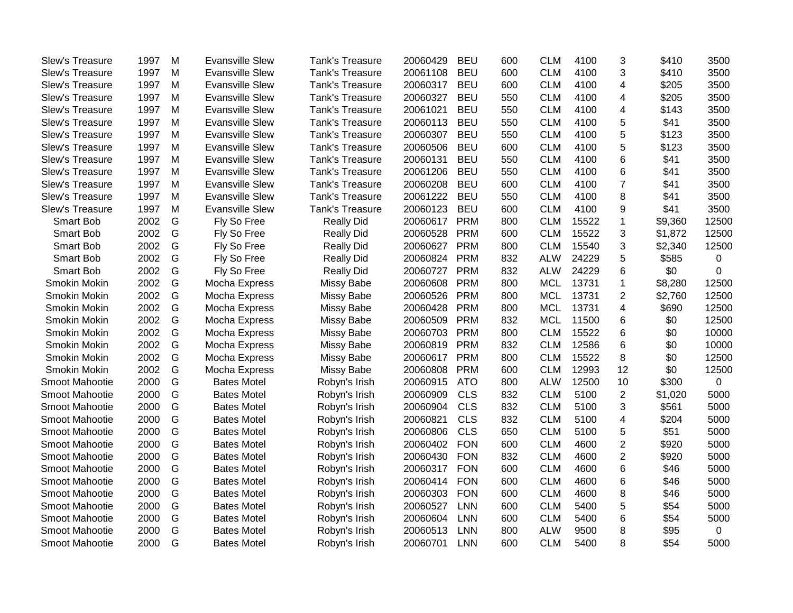| <b>Slew's Treasure</b> | 1997 | M | <b>Evansville Slew</b> | <b>Tank's Treasure</b> | 20060429 | <b>BEU</b> | 600 | <b>CLM</b> | 4100  | 3              | \$410   | 3500        |
|------------------------|------|---|------------------------|------------------------|----------|------------|-----|------------|-------|----------------|---------|-------------|
| Slew's Treasure        | 1997 | M | <b>Evansville Slew</b> | Tank's Treasure        | 20061108 | <b>BEU</b> | 600 | <b>CLM</b> | 4100  | 3              | \$410   | 3500        |
| Slew's Treasure        | 1997 | M | <b>Evansville Slew</b> | <b>Tank's Treasure</b> | 20060317 | <b>BEU</b> | 600 | <b>CLM</b> | 4100  | 4              | \$205   | 3500        |
| Slew's Treasure        | 1997 | M | <b>Evansville Slew</b> | <b>Tank's Treasure</b> | 20060327 | <b>BEU</b> | 550 | <b>CLM</b> | 4100  | 4              | \$205   | 3500        |
| Slew's Treasure        | 1997 | M | <b>Evansville Slew</b> | <b>Tank's Treasure</b> | 20061021 | <b>BEU</b> | 550 | <b>CLM</b> | 4100  | 4              | \$143   | 3500        |
| Slew's Treasure        | 1997 | M | <b>Evansville Slew</b> | <b>Tank's Treasure</b> | 20060113 | <b>BEU</b> | 550 | <b>CLM</b> | 4100  | 5              | \$41    | 3500        |
| Slew's Treasure        | 1997 | M | <b>Evansville Slew</b> | <b>Tank's Treasure</b> | 20060307 | <b>BEU</b> | 550 | <b>CLM</b> | 4100  | 5              | \$123   | 3500        |
| Slew's Treasure        | 1997 | M | <b>Evansville Slew</b> | <b>Tank's Treasure</b> | 20060506 | <b>BEU</b> | 600 | <b>CLM</b> | 4100  | 5              | \$123   | 3500        |
| Slew's Treasure        | 1997 | M | <b>Evansville Slew</b> | Tank's Treasure        | 20060131 | <b>BEU</b> | 550 | <b>CLM</b> | 4100  | 6              | \$41    | 3500        |
| Slew's Treasure        | 1997 | M | <b>Evansville Slew</b> | Tank's Treasure        | 20061206 | <b>BEU</b> | 550 | <b>CLM</b> | 4100  | 6              | \$41    | 3500        |
| Slew's Treasure        | 1997 | M | <b>Evansville Slew</b> | Tank's Treasure        | 20060208 | <b>BEU</b> | 600 | <b>CLM</b> | 4100  | $\overline{7}$ | \$41    | 3500        |
| Slew's Treasure        | 1997 | M | <b>Evansville Slew</b> | Tank's Treasure        | 20061222 | <b>BEU</b> | 550 | <b>CLM</b> | 4100  | 8              | \$41    | 3500        |
| Slew's Treasure        | 1997 | M | <b>Evansville Slew</b> | Tank's Treasure        | 20060123 | <b>BEU</b> | 600 | <b>CLM</b> | 4100  | 9              | \$41    | 3500        |
| <b>Smart Bob</b>       | 2002 | G | Fly So Free            | <b>Really Did</b>      | 20060617 | <b>PRM</b> | 800 | <b>CLM</b> | 15522 | $\mathbf{1}$   | \$9,360 | 12500       |
| Smart Bob              | 2002 | G | Fly So Free            | <b>Really Did</b>      | 20060528 | <b>PRM</b> | 600 | <b>CLM</b> | 15522 | 3              | \$1,872 | 12500       |
| Smart Bob              | 2002 | G | Fly So Free            | <b>Really Did</b>      | 20060627 | <b>PRM</b> | 800 | <b>CLM</b> | 15540 | 3              | \$2,340 | 12500       |
| Smart Bob              | 2002 | G | Fly So Free            | <b>Really Did</b>      | 20060824 | <b>PRM</b> | 832 | <b>ALW</b> | 24229 | 5              | \$585   | $\mathbf 0$ |
| <b>Smart Bob</b>       | 2002 | G | Fly So Free            | <b>Really Did</b>      | 20060727 | <b>PRM</b> | 832 | <b>ALW</b> | 24229 | 6              | \$0     | $\Omega$    |
| Smokin Mokin           | 2002 | G | Mocha Express          | Missy Babe             | 20060608 | <b>PRM</b> | 800 | <b>MCL</b> | 13731 | $\mathbf{1}$   | \$8,280 | 12500       |
| Smokin Mokin           | 2002 | G | Mocha Express          | <b>Missy Babe</b>      | 20060526 | <b>PRM</b> | 800 | <b>MCL</b> | 13731 | $\overline{2}$ | \$2,760 | 12500       |
| Smokin Mokin           | 2002 | G | Mocha Express          | <b>Missy Babe</b>      | 20060428 | <b>PRM</b> | 800 | <b>MCL</b> | 13731 | 4              | \$690   | 12500       |
| Smokin Mokin           | 2002 | G | Mocha Express          | <b>Missy Babe</b>      | 20060509 | <b>PRM</b> | 832 | <b>MCL</b> | 11500 | 6              | \$0     | 12500       |
| Smokin Mokin           | 2002 | G | Mocha Express          | Missy Babe             | 20060703 | <b>PRM</b> | 800 | <b>CLM</b> | 15522 | 6              | \$0     | 10000       |
| Smokin Mokin           | 2002 | G | Mocha Express          | Missy Babe             | 20060819 | <b>PRM</b> | 832 | <b>CLM</b> | 12586 | 6              | \$0     | 10000       |
| Smokin Mokin           | 2002 | G | Mocha Express          | Missy Babe             | 20060617 | <b>PRM</b> | 800 | <b>CLM</b> | 15522 | 8              | \$0     | 12500       |
| Smokin Mokin           | 2002 | G | Mocha Express          | <b>Missy Babe</b>      | 20060808 | <b>PRM</b> | 600 | <b>CLM</b> | 12993 | 12             | \$0     | 12500       |
| Smoot Mahootie         | 2000 | G | <b>Bates Motel</b>     | Robyn's Irish          | 20060915 | <b>ATO</b> | 800 | <b>ALW</b> | 12500 | 10             | \$300   | 0           |
| Smoot Mahootie         | 2000 | G | <b>Bates Motel</b>     | Robyn's Irish          | 20060909 | <b>CLS</b> | 832 | <b>CLM</b> | 5100  | $\overline{2}$ | \$1,020 | 5000        |
| Smoot Mahootie         | 2000 | G | <b>Bates Motel</b>     | Robyn's Irish          | 20060904 | <b>CLS</b> | 832 | <b>CLM</b> | 5100  | 3              | \$561   | 5000        |
| Smoot Mahootie         | 2000 | G | <b>Bates Motel</b>     | Robyn's Irish          | 20060821 | <b>CLS</b> | 832 | <b>CLM</b> | 5100  | 4              | \$204   | 5000        |
| Smoot Mahootie         | 2000 | G | <b>Bates Motel</b>     | Robyn's Irish          | 20060806 | <b>CLS</b> | 650 | <b>CLM</b> | 5100  | 5              | \$51    | 5000        |
| Smoot Mahootie         | 2000 | G | <b>Bates Motel</b>     | Robyn's Irish          | 20060402 | <b>FON</b> | 600 | <b>CLM</b> | 4600  | $\overline{2}$ | \$920   | 5000        |
| Smoot Mahootie         | 2000 | G | <b>Bates Motel</b>     | Robyn's Irish          | 20060430 | <b>FON</b> | 832 | <b>CLM</b> | 4600  | $\overline{2}$ | \$920   | 5000        |
| Smoot Mahootie         | 2000 | G | <b>Bates Motel</b>     | Robyn's Irish          | 20060317 | <b>FON</b> | 600 | <b>CLM</b> | 4600  | 6              | \$46    | 5000        |
| Smoot Mahootie         | 2000 | G | <b>Bates Motel</b>     | Robyn's Irish          | 20060414 | <b>FON</b> | 600 | <b>CLM</b> | 4600  | 6              | \$46    | 5000        |
| Smoot Mahootie         | 2000 | G | <b>Bates Motel</b>     | Robyn's Irish          | 20060303 | <b>FON</b> | 600 | <b>CLM</b> | 4600  | 8              | \$46    | 5000        |
| Smoot Mahootie         | 2000 | G | <b>Bates Motel</b>     | Robyn's Irish          | 20060527 | <b>LNN</b> | 600 | <b>CLM</b> | 5400  | 5              | \$54    | 5000        |
| Smoot Mahootie         | 2000 | G | <b>Bates Motel</b>     | Robyn's Irish          | 20060604 | <b>LNN</b> | 600 | <b>CLM</b> | 5400  | 6              | \$54    | 5000        |
| Smoot Mahootie         | 2000 | G | <b>Bates Motel</b>     | Robyn's Irish          | 20060513 | <b>LNN</b> | 800 | <b>ALW</b> | 9500  | 8              | \$95    | 0           |
| Smoot Mahootie         | 2000 | G | <b>Bates Motel</b>     | Robyn's Irish          | 20060701 | <b>LNN</b> | 600 | <b>CLM</b> | 5400  | 8              | \$54    | 5000        |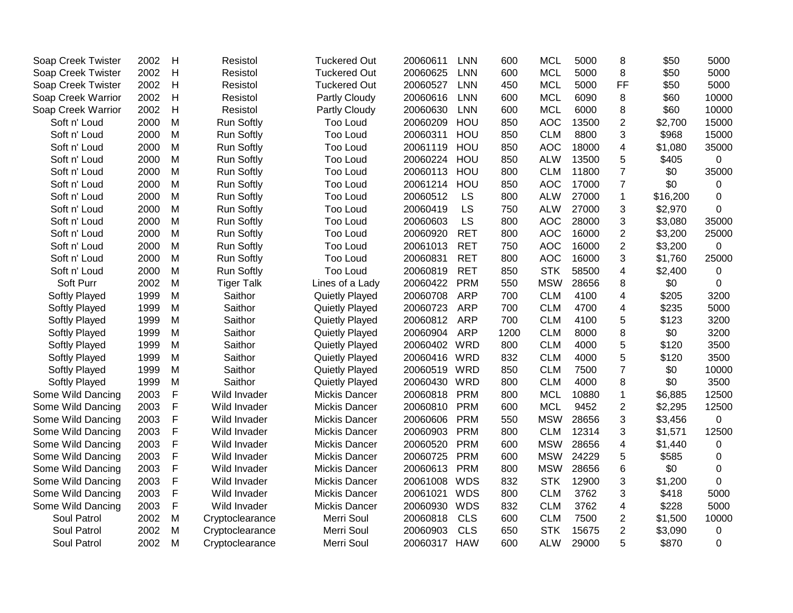| Soap Creek Twister | 2002 | H | Resistol          | <b>Tuckered Out</b>  | 20060611     | <b>LNN</b> | 600  | <b>MCL</b> | 5000  | 8              | \$50     | 5000     |
|--------------------|------|---|-------------------|----------------------|--------------|------------|------|------------|-------|----------------|----------|----------|
| Soap Creek Twister | 2002 | H | Resistol          | <b>Tuckered Out</b>  | 20060625     | <b>LNN</b> | 600  | <b>MCL</b> | 5000  | 8              | \$50     | 5000     |
| Soap Creek Twister | 2002 | H | Resistol          | <b>Tuckered Out</b>  | 20060527     | <b>LNN</b> | 450  | <b>MCL</b> | 5000  | <b>FF</b>      | \$50     | 5000     |
| Soap Creek Warrior | 2002 | H | Resistol          | Partly Cloudy        | 20060616     | <b>LNN</b> | 600  | <b>MCL</b> | 6090  | 8              | \$60     | 10000    |
| Soap Creek Warrior | 2002 | H | Resistol          | Partly Cloudy        | 20060630     | <b>LNN</b> | 600  | <b>MCL</b> | 6000  | 8              | \$60     | 10000    |
| Soft n' Loud       | 2000 | M | <b>Run Softly</b> | <b>Too Loud</b>      | 20060209     | HOU        | 850  | <b>AOC</b> | 13500 | $\overline{2}$ | \$2,700  | 15000    |
| Soft n' Loud       | 2000 | M | <b>Run Softly</b> | Too Loud             | 20060311     | HOU        | 850  | <b>CLM</b> | 8800  | 3              | \$968    | 15000    |
| Soft n' Loud       | 2000 | M | <b>Run Softly</b> | Too Loud             | 20061119     | HOU        | 850  | <b>AOC</b> | 18000 | 4              | \$1,080  | 35000    |
| Soft n' Loud       | 2000 | M | <b>Run Softly</b> | <b>Too Loud</b>      | 20060224     | HOU        | 850  | <b>ALW</b> | 13500 | 5              | \$405    | 0        |
| Soft n' Loud       | 2000 | M | Run Softly        | <b>Too Loud</b>      | 20060113     | HOU        | 800  | <b>CLM</b> | 11800 | $\overline{7}$ | \$0      | 35000    |
| Soft n' Loud       | 2000 | M | <b>Run Softly</b> | <b>Too Loud</b>      | 20061214     | HOU        | 850  | <b>AOC</b> | 17000 | $\overline{7}$ | \$0      | 0        |
| Soft n' Loud       | 2000 | M | <b>Run Softly</b> | <b>Too Loud</b>      | 20060512     | LS         | 800  | <b>ALW</b> | 27000 | $\mathbf{1}$   | \$16,200 | 0        |
| Soft n' Loud       | 2000 | M | <b>Run Softly</b> | <b>Too Loud</b>      | 20060419     | LS         | 750  | <b>ALW</b> | 27000 | 3              | \$2,970  | 0        |
| Soft n' Loud       | 2000 | M | <b>Run Softly</b> | <b>Too Loud</b>      | 20060603     | LS         | 800  | <b>AOC</b> | 28000 | 3              | \$3,080  | 35000    |
| Soft n' Loud       | 2000 | M | <b>Run Softly</b> | <b>Too Loud</b>      | 20060920     | <b>RET</b> | 800  | <b>AOC</b> | 16000 | $\overline{2}$ | \$3,200  | 25000    |
| Soft n' Loud       | 2000 | M | <b>Run Softly</b> | Too Loud             | 20061013     | <b>RET</b> | 750  | <b>AOC</b> | 16000 | $\overline{c}$ | \$3,200  | 0        |
| Soft n' Loud       | 2000 | M | Run Softly        | Too Loud             | 20060831     | <b>RET</b> | 800  | <b>AOC</b> | 16000 | 3              | \$1,760  | 25000    |
| Soft n' Loud       | 2000 | M | <b>Run Softly</b> | Too Loud             | 20060819     | <b>RET</b> | 850  | <b>STK</b> | 58500 | 4              | \$2,400  | 0        |
| Soft Purr          | 2002 | M | <b>Tiger Talk</b> | Lines of a Lady      | 20060422     | <b>PRM</b> | 550  | <b>MSW</b> | 28656 | 8              | \$0      | 0        |
| Softly Played      | 1999 | M | Saithor           | Quietly Played       | 20060708     | <b>ARP</b> | 700  | <b>CLM</b> | 4100  | 4              | \$205    | 3200     |
| Softly Played      | 1999 | M | Saithor           | Quietly Played       | 20060723     | <b>ARP</b> | 700  | <b>CLM</b> | 4700  | 4              | \$235    | 5000     |
| Softly Played      | 1999 | M | Saithor           | Quietly Played       | 20060812     | <b>ARP</b> | 700  | <b>CLM</b> | 4100  | 5              | \$123    | 3200     |
| Softly Played      | 1999 | M | Saithor           | Quietly Played       | 20060904     | <b>ARP</b> | 1200 | <b>CLM</b> | 8000  | 8              | \$0      | 3200     |
| Softly Played      | 1999 | M | Saithor           | Quietly Played       | 20060402 WRD |            | 800  | <b>CLM</b> | 4000  | 5              | \$120    | 3500     |
| Softly Played      | 1999 | M | Saithor           | Quietly Played       | 20060416 WRD |            | 832  | <b>CLM</b> | 4000  | 5              | \$120    | 3500     |
| Softly Played      | 1999 | M | Saithor           | Quietly Played       | 20060519 WRD |            | 850  | <b>CLM</b> | 7500  | $\overline{7}$ | \$0      | 10000    |
| Softly Played      | 1999 | M | Saithor           | Quietly Played       | 20060430 WRD |            | 800  | <b>CLM</b> | 4000  | 8              | \$0      | 3500     |
| Some Wild Dancing  | 2003 | F | Wild Invader      | <b>Mickis Dancer</b> | 20060818     | <b>PRM</b> | 800  | <b>MCL</b> | 10880 | $\mathbf{1}$   | \$6,885  | 12500    |
| Some Wild Dancing  | 2003 | F | Wild Invader      | <b>Mickis Dancer</b> | 20060810     | <b>PRM</b> | 600  | <b>MCL</b> | 9452  | $\overline{2}$ | \$2,295  | 12500    |
| Some Wild Dancing  | 2003 | F | Wild Invader      | <b>Mickis Dancer</b> | 20060606     | <b>PRM</b> | 550  | <b>MSW</b> | 28656 | 3              | \$3,456  | 0        |
| Some Wild Dancing  | 2003 | F | Wild Invader      | <b>Mickis Dancer</b> | 20060903     | <b>PRM</b> | 800  | <b>CLM</b> | 12314 | 3              | \$1,571  | 12500    |
| Some Wild Dancing  | 2003 | F | Wild Invader      | <b>Mickis Dancer</b> | 20060520     | <b>PRM</b> | 600  | <b>MSW</b> | 28656 | 4              | \$1,440  | 0        |
| Some Wild Dancing  | 2003 | F | Wild Invader      | <b>Mickis Dancer</b> | 20060725     | <b>PRM</b> | 600  | <b>MSW</b> | 24229 | 5              | \$585    | 0        |
| Some Wild Dancing  | 2003 | F | Wild Invader      | <b>Mickis Dancer</b> | 20060613     | <b>PRM</b> | 800  | <b>MSW</b> | 28656 | 6              | \$0      | 0        |
| Some Wild Dancing  | 2003 | F | Wild Invader      | <b>Mickis Dancer</b> | 20061008 WDS |            | 832  | <b>STK</b> | 12900 | 3              | \$1,200  | 0        |
| Some Wild Dancing  | 2003 | F | Wild Invader      | <b>Mickis Dancer</b> | 20061021     | <b>WDS</b> | 800  | <b>CLM</b> | 3762  | 3              | \$418    | 5000     |
| Some Wild Dancing  | 2003 | F | Wild Invader      | <b>Mickis Dancer</b> | 20060930     | <b>WDS</b> | 832  | <b>CLM</b> | 3762  | 4              | \$228    | 5000     |
| Soul Patrol        | 2002 | M | Cryptoclearance   | Merri Soul           | 20060818     | <b>CLS</b> | 600  | <b>CLM</b> | 7500  | $\overline{2}$ | \$1,500  | 10000    |
| Soul Patrol        | 2002 | M | Cryptoclearance   | Merri Soul           | 20060903     | <b>CLS</b> | 650  | <b>STK</b> | 15675 | $\overline{c}$ | \$3,090  | 0        |
| Soul Patrol        | 2002 | M | Cryptoclearance   | Merri Soul           | 20060317 HAW |            | 600  | <b>ALW</b> | 29000 | 5              | \$870    | $\Omega$ |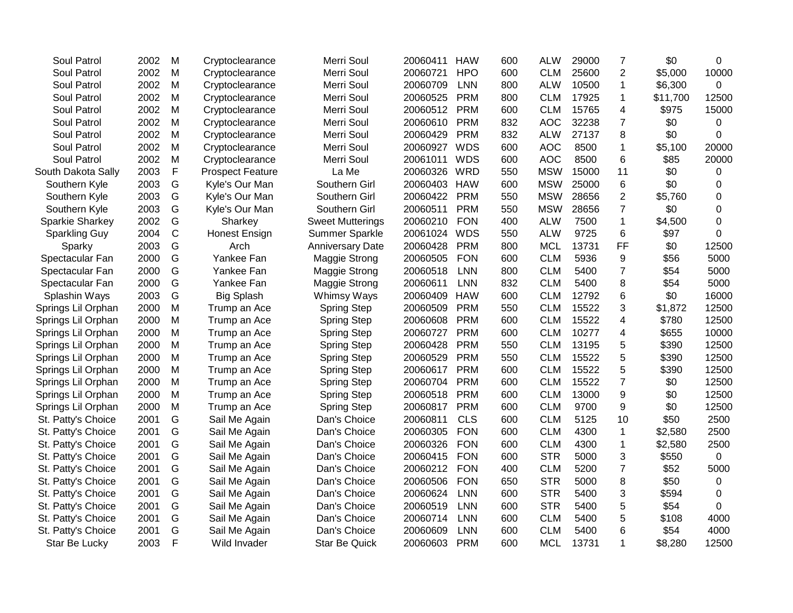| <b>Soul Patrol</b> | 2002 | M           | Cryptoclearance         | Merri Soul              | 20060411 | <b>HAW</b> | 600 | <b>ALW</b> | 29000 | 7              | \$0      | 0           |
|--------------------|------|-------------|-------------------------|-------------------------|----------|------------|-----|------------|-------|----------------|----------|-------------|
| Soul Patrol        | 2002 | M           | Cryptoclearance         | Merri Soul              | 20060721 | <b>HPO</b> | 600 | <b>CLM</b> | 25600 | $\overline{2}$ | \$5,000  | 10000       |
| Soul Patrol        | 2002 | M           | Cryptoclearance         | Merri Soul              | 20060709 | <b>LNN</b> | 800 | <b>ALW</b> | 10500 | $\mathbf{1}$   | \$6,300  | $\Omega$    |
| Soul Patrol        | 2002 | M           | Cryptoclearance         | Merri Soul              | 20060525 | <b>PRM</b> | 800 | <b>CLM</b> | 17925 | $\mathbf 1$    | \$11,700 | 12500       |
| Soul Patrol        | 2002 | M           | Cryptoclearance         | Merri Soul              | 20060512 | <b>PRM</b> | 600 | <b>CLM</b> | 15765 | 4              | \$975    | 15000       |
| Soul Patrol        | 2002 | M           | Cryptoclearance         | Merri Soul              | 20060610 | <b>PRM</b> | 832 | <b>AOC</b> | 32238 | $\overline{7}$ | \$0      | 0           |
| Soul Patrol        | 2002 | M           | Cryptoclearance         | Merri Soul              | 20060429 | <b>PRM</b> | 832 | <b>ALW</b> | 27137 | 8              | \$0      | 0           |
| Soul Patrol        | 2002 | M           | Cryptoclearance         | Merri Soul              | 20060927 | <b>WDS</b> | 600 | <b>AOC</b> | 8500  | $\mathbf{1}$   | \$5,100  | 20000       |
| Soul Patrol        | 2002 | M           | Cryptoclearance         | Merri Soul              | 20061011 | <b>WDS</b> | 600 | <b>AOC</b> | 8500  | 6              | \$85     | 20000       |
| South Dakota Sally | 2003 | F           | <b>Prospect Feature</b> | La Me                   | 20060326 | <b>WRD</b> | 550 | <b>MSW</b> | 15000 | 11             | \$0      | 0           |
| Southern Kyle      | 2003 | G           | Kyle's Our Man          | Southern Girl           | 20060403 | <b>HAW</b> | 600 | <b>MSW</b> | 25000 | 6              | \$0      | 0           |
| Southern Kyle      | 2003 | G           | Kyle's Our Man          | Southern Girl           | 20060422 | <b>PRM</b> | 550 | <b>MSW</b> | 28656 | $\overline{2}$ | \$5,760  | 0           |
| Southern Kyle      | 2003 | G           | Kyle's Our Man          | Southern Girl           | 20060511 | <b>PRM</b> | 550 | <b>MSW</b> | 28656 | $\overline{7}$ | \$0      | 0           |
| Sparkie Sharkey    | 2002 | G           | Sharkey                 | <b>Sweet Mutterings</b> | 20060210 | <b>FON</b> | 400 | <b>ALW</b> | 7500  | $\mathbf{1}$   | \$4,500  | 0           |
| Sparkling Guy      | 2004 | $\mathsf C$ | Honest Ensign           | Summer Sparkle          | 20061024 | <b>WDS</b> | 550 | <b>ALW</b> | 9725  | 6              | \$97     | $\Omega$    |
| Sparky             | 2003 | G           | Arch                    | <b>Anniversary Date</b> | 20060428 | <b>PRM</b> | 800 | <b>MCL</b> | 13731 | <b>FF</b>      | \$0      | 12500       |
| Spectacular Fan    | 2000 | G           | Yankee Fan              | Maggie Strong           | 20060505 | <b>FON</b> | 600 | <b>CLM</b> | 5936  | 9              | \$56     | 5000        |
| Spectacular Fan    | 2000 | G           | Yankee Fan              | <b>Maggie Strong</b>    | 20060518 | <b>LNN</b> | 800 | <b>CLM</b> | 5400  | $\overline{7}$ | \$54     | 5000        |
| Spectacular Fan    | 2000 | G           | Yankee Fan              | Maggie Strong           | 20060611 | <b>LNN</b> | 832 | <b>CLM</b> | 5400  | 8              | \$54     | 5000        |
| Splashin Ways      | 2003 | G           | <b>Big Splash</b>       | Whimsy Ways             | 20060409 | <b>HAW</b> | 600 | <b>CLM</b> | 12792 | 6              | \$0      | 16000       |
| Springs Lil Orphan | 2000 | M           | Trump an Ace            | <b>Spring Step</b>      | 20060509 | <b>PRM</b> | 550 | <b>CLM</b> | 15522 | 3              | \$1,872  | 12500       |
| Springs Lil Orphan | 2000 | M           | Trump an Ace            | Spring Step             | 20060608 | <b>PRM</b> | 600 | <b>CLM</b> | 15522 | 4              | \$780    | 12500       |
| Springs Lil Orphan | 2000 | M           | Trump an Ace            | <b>Spring Step</b>      | 20060727 | <b>PRM</b> | 600 | <b>CLM</b> | 10277 | 4              | \$655    | 10000       |
| Springs Lil Orphan | 2000 | M           | Trump an Ace            | Spring Step             | 20060428 | <b>PRM</b> | 550 | <b>CLM</b> | 13195 | 5              | \$390    | 12500       |
| Springs Lil Orphan | 2000 | M           | Trump an Ace            | <b>Spring Step</b>      | 20060529 | <b>PRM</b> | 550 | <b>CLM</b> | 15522 | 5              | \$390    | 12500       |
| Springs Lil Orphan | 2000 | M           | Trump an Ace            | <b>Spring Step</b>      | 20060617 | <b>PRM</b> | 600 | <b>CLM</b> | 15522 | 5              | \$390    | 12500       |
| Springs Lil Orphan | 2000 | M           | Trump an Ace            | Spring Step             | 20060704 | <b>PRM</b> | 600 | <b>CLM</b> | 15522 | $\overline{7}$ | \$0      | 12500       |
| Springs Lil Orphan | 2000 | M           | Trump an Ace            | Spring Step             | 20060518 | <b>PRM</b> | 600 | <b>CLM</b> | 13000 | 9              | \$0      | 12500       |
| Springs Lil Orphan | 2000 | M           | Trump an Ace            | <b>Spring Step</b>      | 20060817 | <b>PRM</b> | 600 | <b>CLM</b> | 9700  | 9              | \$0      | 12500       |
| St. Patty's Choice | 2001 | G           | Sail Me Again           | Dan's Choice            | 20060811 | <b>CLS</b> | 600 | <b>CLM</b> | 5125  | 10             | \$50     | 2500        |
| St. Patty's Choice | 2001 | G           | Sail Me Again           | Dan's Choice            | 20060305 | <b>FON</b> | 600 | <b>CLM</b> | 4300  | $\mathbf 1$    | \$2,580  | 2500        |
| St. Patty's Choice | 2001 | G           | Sail Me Again           | Dan's Choice            | 20060326 | <b>FON</b> | 600 | <b>CLM</b> | 4300  | $\mathbf{1}$   | \$2,580  | 2500        |
| St. Patty's Choice | 2001 | G           | Sail Me Again           | Dan's Choice            | 20060415 | <b>FON</b> | 600 | <b>STR</b> | 5000  | 3              | \$550    | $\mathbf 0$ |
| St. Patty's Choice | 2001 | G           | Sail Me Again           | Dan's Choice            | 20060212 | <b>FON</b> | 400 | <b>CLM</b> | 5200  | $\overline{7}$ | \$52     | 5000        |
| St. Patty's Choice | 2001 | G           | Sail Me Again           | Dan's Choice            | 20060506 | <b>FON</b> | 650 | <b>STR</b> | 5000  | 8              | \$50     | 0           |
| St. Patty's Choice | 2001 | G           | Sail Me Again           | Dan's Choice            | 20060624 | <b>LNN</b> | 600 | <b>STR</b> | 5400  | 3              | \$594    | 0           |
| St. Patty's Choice | 2001 | G           | Sail Me Again           | Dan's Choice            | 20060519 | <b>LNN</b> | 600 | <b>STR</b> | 5400  | 5              | \$54     | 0           |
| St. Patty's Choice | 2001 | G           | Sail Me Again           | Dan's Choice            | 20060714 | <b>LNN</b> | 600 | <b>CLM</b> | 5400  | 5              | \$108    | 4000        |
| St. Patty's Choice | 2001 | G           | Sail Me Again           | Dan's Choice            | 20060609 | <b>LNN</b> | 600 | <b>CLM</b> | 5400  | 6              | \$54     | 4000        |
| Star Be Lucky      | 2003 | F           | Wild Invader            | <b>Star Be Quick</b>    | 20060603 | <b>PRM</b> | 600 | <b>MCL</b> | 13731 | $\mathbf{1}$   | \$8,280  | 12500       |
|                    |      |             |                         |                         |          |            |     |            |       |                |          |             |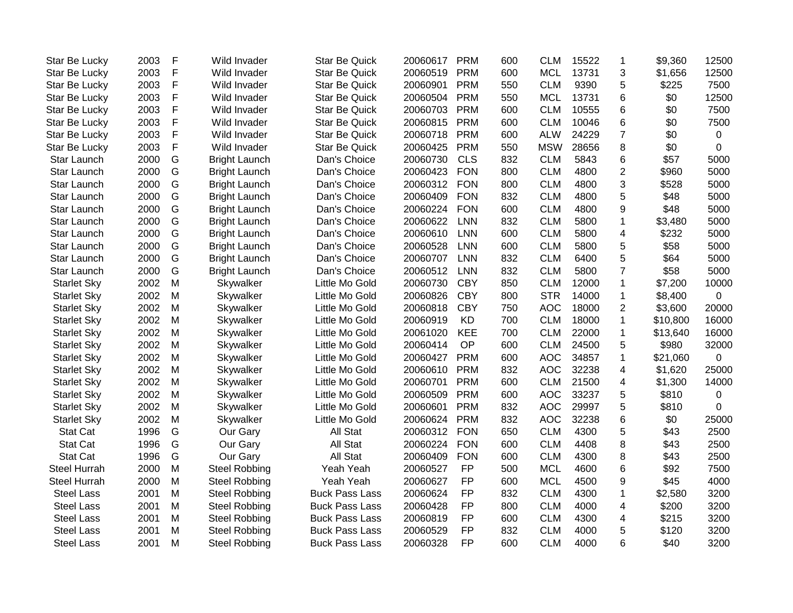| <b>Star Be Lucky</b> | 2003 | $\mathsf F$ | Wild Invader         | <b>Star Be Quick</b>  | 20060617 | <b>PRM</b> | 600 | <b>CLM</b> | 15522 | $\overline{1}$           | \$9,360  | 12500       |
|----------------------|------|-------------|----------------------|-----------------------|----------|------------|-----|------------|-------|--------------------------|----------|-------------|
| Star Be Lucky        | 2003 | F           | Wild Invader         | <b>Star Be Quick</b>  | 20060519 | <b>PRM</b> | 600 | <b>MCL</b> | 13731 | 3                        | \$1,656  | 12500       |
| Star Be Lucky        | 2003 | F           | Wild Invader         | <b>Star Be Quick</b>  | 20060901 | <b>PRM</b> | 550 | <b>CLM</b> | 9390  | 5                        | \$225    | 7500        |
| Star Be Lucky        | 2003 | F           | Wild Invader         | <b>Star Be Quick</b>  | 20060504 | <b>PRM</b> | 550 | <b>MCL</b> | 13731 | 6                        | \$0      | 12500       |
| Star Be Lucky        | 2003 | F           | Wild Invader         | <b>Star Be Quick</b>  | 20060703 | <b>PRM</b> | 600 | <b>CLM</b> | 10555 | $6\phantom{1}6$          | \$0      | 7500        |
| Star Be Lucky        | 2003 | F           | Wild Invader         | <b>Star Be Quick</b>  | 20060815 | <b>PRM</b> | 600 | <b>CLM</b> | 10046 | 6                        | \$0      | 7500        |
| Star Be Lucky        | 2003 | F           | Wild Invader         | Star Be Quick         | 20060718 | <b>PRM</b> | 600 | <b>ALW</b> | 24229 | $\overline{7}$           | \$0      | $\mathbf 0$ |
| Star Be Lucky        | 2003 | F           | Wild Invader         | <b>Star Be Quick</b>  | 20060425 | <b>PRM</b> | 550 | <b>MSW</b> | 28656 | 8                        | \$0      | $\mathbf 0$ |
| Star Launch          | 2000 | G           | <b>Bright Launch</b> | Dan's Choice          | 20060730 | <b>CLS</b> | 832 | <b>CLM</b> | 5843  | $6\phantom{1}6$          | \$57     | 5000        |
| Star Launch          | 2000 | G           | <b>Bright Launch</b> | Dan's Choice          | 20060423 | <b>FON</b> | 800 | <b>CLM</b> | 4800  | $\overline{2}$           | \$960    | 5000        |
| Star Launch          | 2000 | G           | <b>Bright Launch</b> | Dan's Choice          | 20060312 | <b>FON</b> | 800 | <b>CLM</b> | 4800  | 3                        | \$528    | 5000        |
| Star Launch          | 2000 | G           | <b>Bright Launch</b> | Dan's Choice          | 20060409 | <b>FON</b> | 832 | <b>CLM</b> | 4800  | 5                        | \$48     | 5000        |
| Star Launch          | 2000 | G           | <b>Bright Launch</b> | Dan's Choice          | 20060224 | <b>FON</b> | 600 | <b>CLM</b> | 4800  | 9                        | \$48     | 5000        |
| Star Launch          | 2000 | G           | <b>Bright Launch</b> | Dan's Choice          | 20060622 | <b>LNN</b> | 832 | <b>CLM</b> | 5800  | $\mathbf 1$              | \$3,480  | 5000        |
| Star Launch          | 2000 | G           | <b>Bright Launch</b> | Dan's Choice          | 20060610 | <b>LNN</b> | 600 | <b>CLM</b> | 5800  | $\overline{\mathbf{4}}$  | \$232    | 5000        |
| Star Launch          | 2000 | G           | <b>Bright Launch</b> | Dan's Choice          | 20060528 | <b>LNN</b> | 600 | <b>CLM</b> | 5800  | 5                        | \$58     | 5000        |
| Star Launch          | 2000 | G           | <b>Bright Launch</b> | Dan's Choice          | 20060707 | <b>LNN</b> | 832 | <b>CLM</b> | 6400  | 5                        | \$64     | 5000        |
| Star Launch          | 2000 | G           | <b>Bright Launch</b> | Dan's Choice          | 20060512 | <b>LNN</b> | 832 | <b>CLM</b> | 5800  | $\overline{7}$           | \$58     | 5000        |
| <b>Starlet Sky</b>   | 2002 | M           | Skywalker            | Little Mo Gold        | 20060730 | <b>CBY</b> | 850 | <b>CLM</b> | 12000 | $\mathbf{1}$             | \$7,200  | 10000       |
| <b>Starlet Sky</b>   | 2002 | M           | Skywalker            | Little Mo Gold        | 20060826 | <b>CBY</b> | 800 | <b>STR</b> | 14000 | $\mathbf{1}$             | \$8,400  | 0           |
| <b>Starlet Sky</b>   | 2002 | M           | Skywalker            | Little Mo Gold        | 20060818 | <b>CBY</b> | 750 | <b>AOC</b> | 18000 | $\overline{2}$           | \$3,600  | 20000       |
| <b>Starlet Sky</b>   | 2002 | M           | Skywalker            | Little Mo Gold        | 20060919 | <b>KD</b>  | 700 | <b>CLM</b> | 18000 | $\mathbf{1}$             | \$10,800 | 16000       |
| <b>Starlet Sky</b>   | 2002 | M           | Skywalker            | Little Mo Gold        | 20061020 | <b>KEE</b> | 700 | <b>CLM</b> | 22000 | $\mathbf{1}$             | \$13,640 | 16000       |
| <b>Starlet Sky</b>   | 2002 | M           | Skywalker            | Little Mo Gold        | 20060414 | OP         | 600 | <b>CLM</b> | 24500 | 5                        | \$980    | 32000       |
| <b>Starlet Sky</b>   | 2002 | M           | Skywalker            | Little Mo Gold        | 20060427 | <b>PRM</b> | 600 | <b>AOC</b> | 34857 | $\mathbf 1$              | \$21,060 | 0           |
| <b>Starlet Sky</b>   | 2002 | M           | Skywalker            | Little Mo Gold        | 20060610 | <b>PRM</b> | 832 | <b>AOC</b> | 32238 | 4                        | \$1,620  | 25000       |
| <b>Starlet Sky</b>   | 2002 | M           | Skywalker            | Little Mo Gold        | 20060701 | <b>PRM</b> | 600 | <b>CLM</b> | 21500 | 4                        | \$1,300  | 14000       |
| <b>Starlet Sky</b>   | 2002 | M           | Skywalker            | Little Mo Gold        | 20060509 | <b>PRM</b> | 600 | <b>AOC</b> | 33237 | 5                        | \$810    | 0           |
| <b>Starlet Sky</b>   | 2002 | M           | Skywalker            | Little Mo Gold        | 20060601 | <b>PRM</b> | 832 | <b>AOC</b> | 29997 | 5                        | \$810    | $\mathbf 0$ |
| <b>Starlet Sky</b>   | 2002 | M           | Skywalker            | Little Mo Gold        | 20060624 | <b>PRM</b> | 832 | <b>AOC</b> | 32238 | $6\phantom{1}6$          | \$0      | 25000       |
| Stat Cat             | 1996 | G           | Our Gary             | All Stat              | 20060312 | <b>FON</b> | 650 | <b>CLM</b> | 4300  | 5                        | \$43     | 2500        |
| <b>Stat Cat</b>      | 1996 | G           | Our Gary             | All Stat              | 20060224 | <b>FON</b> | 600 | <b>CLM</b> | 4408  | 8                        | \$43     | 2500        |
| <b>Stat Cat</b>      | 1996 | G           | Our Gary             | All Stat              | 20060409 | <b>FON</b> | 600 | <b>CLM</b> | 4300  | 8                        | \$43     | 2500        |
| <b>Steel Hurrah</b>  | 2000 | M           | <b>Steel Robbing</b> | Yeah Yeah             | 20060527 | <b>FP</b>  | 500 | <b>MCL</b> | 4600  | $6\phantom{1}6$          | \$92     | 7500        |
| <b>Steel Hurrah</b>  | 2000 | M           | <b>Steel Robbing</b> | Yeah Yeah             | 20060627 | <b>FP</b>  | 600 | <b>MCL</b> | 4500  | 9                        | \$45     | 4000        |
| <b>Steel Lass</b>    | 2001 | M           | <b>Steel Robbing</b> | <b>Buck Pass Lass</b> | 20060624 | <b>FP</b>  | 832 | <b>CLM</b> | 4300  | $\mathbf{1}$             | \$2,580  | 3200        |
| <b>Steel Lass</b>    | 2001 | M           | <b>Steel Robbing</b> | <b>Buck Pass Lass</b> | 20060428 | <b>FP</b>  | 800 | <b>CLM</b> | 4000  | 4                        | \$200    | 3200        |
| <b>Steel Lass</b>    | 2001 | M           | <b>Steel Robbing</b> | <b>Buck Pass Lass</b> | 20060819 | <b>FP</b>  | 600 | <b>CLM</b> | 4300  | $\overline{\mathcal{A}}$ | \$215    | 3200        |
| <b>Steel Lass</b>    | 2001 | M           | <b>Steel Robbing</b> | <b>Buck Pass Lass</b> | 20060529 | <b>FP</b>  | 832 | <b>CLM</b> | 4000  | 5                        | \$120    | 3200        |
| <b>Steel Lass</b>    | 2001 | M           | <b>Steel Robbing</b> | <b>Buck Pass Lass</b> | 20060328 | <b>FP</b>  | 600 | <b>CLM</b> | 4000  | 6                        | \$40     | 3200        |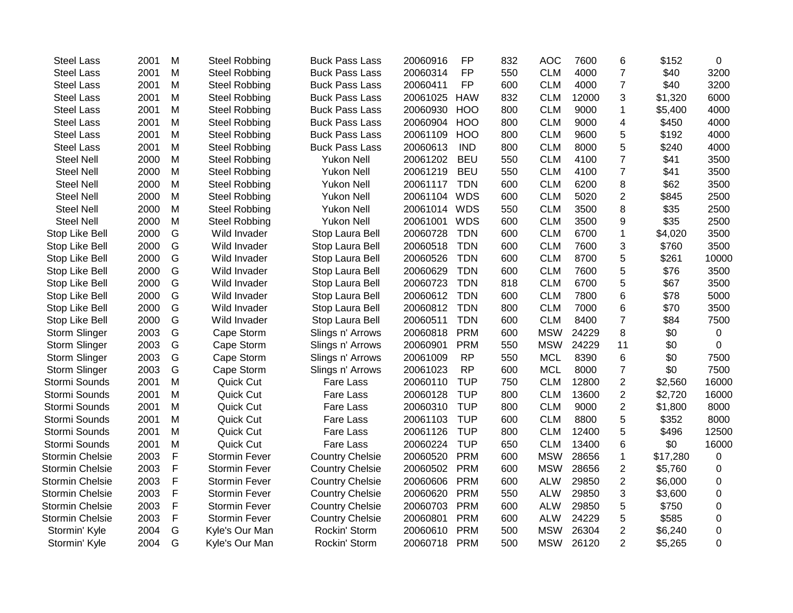| <b>Steel Lass</b>      | 2001 | M            | <b>Steel Robbing</b> | <b>Buck Pass Lass</b>  | 20060916     | <b>FP</b>  | 832 | <b>AOC</b> | 7600  | 6              | \$152    | $\mathbf 0$ |
|------------------------|------|--------------|----------------------|------------------------|--------------|------------|-----|------------|-------|----------------|----------|-------------|
| <b>Steel Lass</b>      | 2001 | M            | <b>Steel Robbing</b> | <b>Buck Pass Lass</b>  | 20060314     | <b>FP</b>  | 550 | <b>CLM</b> | 4000  | $\overline{7}$ | \$40     | 3200        |
| <b>Steel Lass</b>      | 2001 | M            | <b>Steel Robbing</b> | <b>Buck Pass Lass</b>  | 20060411     | <b>FP</b>  | 600 | <b>CLM</b> | 4000  | $\overline{7}$ | \$40     | 3200        |
| <b>Steel Lass</b>      | 2001 | M            | <b>Steel Robbing</b> | <b>Buck Pass Lass</b>  | 20061025     | <b>HAW</b> | 832 | <b>CLM</b> | 12000 | 3              | \$1,320  | 6000        |
| <b>Steel Lass</b>      | 2001 | M            | <b>Steel Robbing</b> | <b>Buck Pass Lass</b>  | 20060930     | <b>HOO</b> | 800 | <b>CLM</b> | 9000  | 1              | \$5,400  | 4000        |
| Steel Lass             | 2001 | M            | <b>Steel Robbing</b> | <b>Buck Pass Lass</b>  | 20060904     | <b>HOO</b> | 800 | <b>CLM</b> | 9000  | 4              | \$450    | 4000        |
| <b>Steel Lass</b>      | 2001 | M            | <b>Steel Robbing</b> | <b>Buck Pass Lass</b>  | 20061109     | <b>HOO</b> | 800 | <b>CLM</b> | 9600  | 5              | \$192    | 4000        |
| <b>Steel Lass</b>      | 2001 | M            | <b>Steel Robbing</b> | <b>Buck Pass Lass</b>  | 20060613     | <b>IND</b> | 800 | <b>CLM</b> | 8000  | 5              | \$240    | 4000        |
| <b>Steel Nell</b>      | 2000 | M            | <b>Steel Robbing</b> | <b>Yukon Nell</b>      | 20061202     | <b>BEU</b> | 550 | <b>CLM</b> | 4100  | $\overline{7}$ | \$41     | 3500        |
| <b>Steel Nell</b>      | 2000 | M            | <b>Steel Robbing</b> | <b>Yukon Nell</b>      | 20061219     | <b>BEU</b> | 550 | <b>CLM</b> | 4100  | $\overline{7}$ | \$41     | 3500        |
| <b>Steel Nell</b>      | 2000 | M            | <b>Steel Robbing</b> | <b>Yukon Nell</b>      | 20061117     | <b>TDN</b> | 600 | <b>CLM</b> | 6200  | 8              | \$62     | 3500        |
| <b>Steel Nell</b>      | 2000 | M            | <b>Steel Robbing</b> | <b>Yukon Nell</b>      | 20061104     | <b>WDS</b> | 600 | <b>CLM</b> | 5020  | $\overline{2}$ | \$845    | 2500        |
| <b>Steel Nell</b>      | 2000 | M            | <b>Steel Robbing</b> | <b>Yukon Nell</b>      | 20061014 WDS |            | 550 | <b>CLM</b> | 3500  | 8              | \$35     | 2500        |
| Steel Nell             | 2000 | M            | <b>Steel Robbing</b> | <b>Yukon Nell</b>      | 20061001     | <b>WDS</b> | 600 | <b>CLM</b> | 3500  | 9              | \$35     | 2500        |
| Stop Like Bell         | 2000 | G            | Wild Invader         | Stop Laura Bell        | 20060728     | <b>TDN</b> | 600 | <b>CLM</b> | 6700  | $\mathbf 1$    | \$4,020  | 3500        |
| Stop Like Bell         | 2000 | G            | Wild Invader         | Stop Laura Bell        | 20060518     | <b>TDN</b> | 600 | <b>CLM</b> | 7600  | 3              | \$760    | 3500        |
| Stop Like Bell         | 2000 | G            | Wild Invader         | Stop Laura Bell        | 20060526     | <b>TDN</b> | 600 | <b>CLM</b> | 8700  | 5              | \$261    | 10000       |
| Stop Like Bell         | 2000 | G            | Wild Invader         | Stop Laura Bell        | 20060629     | <b>TDN</b> | 600 | <b>CLM</b> | 7600  | 5              | \$76     | 3500        |
| Stop Like Bell         | 2000 | G            | Wild Invader         | Stop Laura Bell        | 20060723     | <b>TDN</b> | 818 | <b>CLM</b> | 6700  | 5              | \$67     | 3500        |
| Stop Like Bell         | 2000 | G            | Wild Invader         | Stop Laura Bell        | 20060612     | <b>TDN</b> | 600 | <b>CLM</b> | 7800  | 6              | \$78     | 5000        |
| Stop Like Bell         | 2000 | G            | Wild Invader         | Stop Laura Bell        | 20060812     | <b>TDN</b> | 800 | <b>CLM</b> | 7000  | 6              | \$70     | 3500        |
| Stop Like Bell         | 2000 | G            | Wild Invader         | Stop Laura Bell        | 20060511     | <b>TDN</b> | 600 | <b>CLM</b> | 8400  | $\overline{7}$ | \$84     | 7500        |
| Storm Slinger          | 2003 | G            | Cape Storm           | Slings n' Arrows       | 20060818     | <b>PRM</b> | 600 | <b>MSW</b> | 24229 | 8              | \$0      | $\mathbf 0$ |
| Storm Slinger          | 2003 | G            | Cape Storm           | Slings n' Arrows       | 20060901     | <b>PRM</b> | 550 | <b>MSW</b> | 24229 | 11             | \$0      | $\mathbf 0$ |
| Storm Slinger          | 2003 | G            | Cape Storm           | Slings n' Arrows       | 20061009     | <b>RP</b>  | 550 | <b>MCL</b> | 8390  | 6              | \$0      | 7500        |
| Storm Slinger          | 2003 | G            | Cape Storm           | Slings n' Arrows       | 20061023     | <b>RP</b>  | 600 | <b>MCL</b> | 8000  | $\overline{7}$ | \$0      | 7500        |
| Stormi Sounds          | 2001 | M            | Quick Cut            | <b>Fare Lass</b>       | 20060110     | <b>TUP</b> | 750 | <b>CLM</b> | 12800 | 2              | \$2,560  | 16000       |
| Stormi Sounds          | 2001 | M            | Quick Cut            | Fare Lass              | 20060128     | <b>TUP</b> | 800 | <b>CLM</b> | 13600 | 2              | \$2,720  | 16000       |
| Stormi Sounds          | 2001 | M            | Quick Cut            | Fare Lass              | 20060310     | <b>TUP</b> | 800 | <b>CLM</b> | 9000  | $\overline{2}$ | \$1,800  | 8000        |
| Stormi Sounds          | 2001 | M            | Quick Cut            | Fare Lass              | 20061103     | <b>TUP</b> | 600 | <b>CLM</b> | 8800  | 5              | \$352    | 8000        |
| Stormi Sounds          | 2001 | M            | Quick Cut            | Fare Lass              | 20061126     | <b>TUP</b> | 800 | <b>CLM</b> | 12400 | 5              | \$496    | 12500       |
| Stormi Sounds          | 2001 | M            | Quick Cut            | <b>Fare Lass</b>       | 20060224     | <b>TUP</b> | 650 | <b>CLM</b> | 13400 | 6              | \$0      | 16000       |
| <b>Stormin Chelsie</b> | 2003 | $\mathsf{F}$ | Stormin Fever        | <b>Country Chelsie</b> | 20060520     | <b>PRM</b> | 600 | <b>MSW</b> | 28656 | 1              | \$17,280 | $\pmb{0}$   |
| <b>Stormin Chelsie</b> | 2003 | F            | Stormin Fever        | <b>Country Chelsie</b> | 20060502     | <b>PRM</b> | 600 | <b>MSW</b> | 28656 | 2              | \$5,760  | $\pmb{0}$   |
| <b>Stormin Chelsie</b> | 2003 | F            | <b>Stormin Fever</b> | <b>Country Chelsie</b> | 20060606     | <b>PRM</b> | 600 | <b>ALW</b> | 29850 | $\overline{2}$ | \$6,000  | 0           |
| <b>Stormin Chelsie</b> | 2003 | F            | <b>Stormin Fever</b> | <b>Country Chelsie</b> | 20060620     | <b>PRM</b> | 550 | <b>ALW</b> | 29850 | 3              | \$3,600  | $\mathbf 0$ |
| <b>Stormin Chelsie</b> | 2003 | F            | Stormin Fever        | <b>Country Chelsie</b> | 20060703     | <b>PRM</b> | 600 | <b>ALW</b> | 29850 | 5              | \$750    | $\pmb{0}$   |
| <b>Stormin Chelsie</b> | 2003 | F            | Stormin Fever        | <b>Country Chelsie</b> | 20060801     | <b>PRM</b> | 600 | <b>ALW</b> | 24229 | 5              | \$585    | 0           |
| Stormin' Kyle          | 2004 | G            | Kyle's Our Man       | Rockin' Storm          | 20060610     | <b>PRM</b> | 500 | <b>MSW</b> | 26304 | 2              | \$6,240  | 0           |
| Stormin' Kyle          | 2004 | G            | Kyle's Our Man       | Rockin' Storm          | 20060718     | <b>PRM</b> | 500 | <b>MSW</b> | 26120 | $\overline{2}$ | \$5,265  | $\Omega$    |
|                        |      |              |                      |                        |              |            |     |            |       |                |          |             |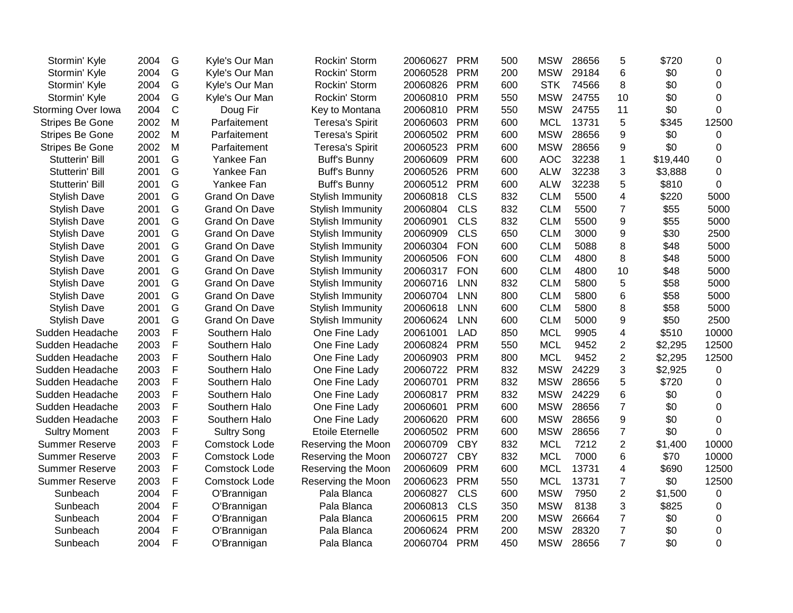| Stormin' Kyle<br>Stormin' Kyle<br>Stormin' Kyle<br>Storming Over Iowa<br><b>Stripes Be Gone</b> | 2004<br>2004<br>2004<br>2004<br>2002<br>2002<br>2002<br>2001<br>2001 | G<br>G<br>G<br>$\mathsf C$<br>M<br>M<br>M<br>G | Kyle's Our Man<br>Kyle's Our Man<br>Kyle's Our Man<br>Doug Fir<br>Parfaitement<br>Parfaitement<br>Parfaitement | Rockin' Storm<br>Rockin' Storm<br>Rockin' Storm<br>Key to Montana<br><b>Teresa's Spirit</b><br><b>Teresa's Spirit</b> | 20060528<br>20060826<br>20060810<br>20060810<br>20060603 | <b>PRM</b><br>PRM<br><b>PRM</b><br><b>PRM</b> | 200<br>600<br>550<br>550 | <b>MSW</b><br><b>STK</b><br><b>MSW</b><br><b>MSW</b> | 29184<br>74566<br>24755<br>24755 | 6<br>8<br>10            | \$0<br>\$0<br>\$0 | 0<br>$\Omega$<br>$\overline{0}$ |
|-------------------------------------------------------------------------------------------------|----------------------------------------------------------------------|------------------------------------------------|----------------------------------------------------------------------------------------------------------------|-----------------------------------------------------------------------------------------------------------------------|----------------------------------------------------------|-----------------------------------------------|--------------------------|------------------------------------------------------|----------------------------------|-------------------------|-------------------|---------------------------------|
|                                                                                                 |                                                                      |                                                |                                                                                                                |                                                                                                                       |                                                          |                                               |                          |                                                      |                                  |                         |                   |                                 |
|                                                                                                 |                                                                      |                                                |                                                                                                                |                                                                                                                       |                                                          |                                               |                          |                                                      |                                  |                         |                   |                                 |
|                                                                                                 |                                                                      |                                                |                                                                                                                |                                                                                                                       |                                                          |                                               |                          |                                                      |                                  |                         |                   |                                 |
|                                                                                                 |                                                                      |                                                |                                                                                                                |                                                                                                                       |                                                          |                                               |                          |                                                      |                                  | 11                      | \$0               | $\mathbf 0$                     |
|                                                                                                 |                                                                      |                                                |                                                                                                                |                                                                                                                       |                                                          | <b>PRM</b>                                    | 600                      | <b>MCL</b>                                           | 13731                            | 5                       | \$345             | 12500                           |
| Stripes Be Gone                                                                                 |                                                                      |                                                |                                                                                                                |                                                                                                                       | 20060502                                                 | <b>PRM</b>                                    | 600                      | <b>MSW</b>                                           | 28656                            | 9                       | \$0               | 0                               |
| <b>Stripes Be Gone</b>                                                                          |                                                                      |                                                |                                                                                                                | <b>Teresa's Spirit</b>                                                                                                | 20060523                                                 | <b>PRM</b>                                    | 600                      | <b>MSW</b>                                           | 28656                            | 9                       | \$0               | 0                               |
| Stutterin' Bill                                                                                 |                                                                      |                                                | Yankee Fan                                                                                                     | <b>Buff's Bunny</b>                                                                                                   | 20060609                                                 | <b>PRM</b>                                    | 600                      | <b>AOC</b>                                           | 32238                            | $\mathbf 1$             | \$19,440          | $\Omega$                        |
| Stutterin' Bill                                                                                 |                                                                      | G                                              | Yankee Fan                                                                                                     | <b>Buff's Bunny</b>                                                                                                   | 20060526                                                 | <b>PRM</b>                                    | 600                      | <b>ALW</b>                                           | 32238                            | 3                       | \$3,888           | 0                               |
| Stutterin' Bill                                                                                 | 2001                                                                 | G                                              | Yankee Fan                                                                                                     | <b>Buff's Bunny</b>                                                                                                   | 20060512                                                 | <b>PRM</b>                                    | 600                      | <b>ALW</b>                                           | 32238                            | 5                       | \$810             | 0                               |
| <b>Stylish Dave</b>                                                                             | 2001                                                                 | G                                              | <b>Grand On Dave</b>                                                                                           | Stylish Immunity                                                                                                      | 20060818                                                 | <b>CLS</b>                                    | 832                      | <b>CLM</b>                                           | 5500                             | 4                       | \$220             | 5000                            |
| <b>Stylish Dave</b>                                                                             | 2001                                                                 | G                                              | <b>Grand On Dave</b>                                                                                           | Stylish Immunity                                                                                                      | 20060804                                                 | <b>CLS</b>                                    | 832                      | <b>CLM</b>                                           | 5500                             | $\overline{7}$          | \$55              | 5000                            |
| <b>Stylish Dave</b>                                                                             | 2001                                                                 | G                                              | <b>Grand On Dave</b>                                                                                           | Stylish Immunity                                                                                                      | 20060901                                                 | <b>CLS</b>                                    | 832                      | <b>CLM</b>                                           | 5500                             | 9                       | \$55              | 5000                            |
| <b>Stylish Dave</b>                                                                             | 2001                                                                 | G                                              | <b>Grand On Dave</b>                                                                                           | Stylish Immunity                                                                                                      | 20060909                                                 | <b>CLS</b>                                    | 650                      | <b>CLM</b>                                           | 3000                             | 9                       | \$30              | 2500                            |
| <b>Stylish Dave</b>                                                                             | 2001                                                                 | G                                              | <b>Grand On Dave</b>                                                                                           | <b>Stylish Immunity</b>                                                                                               | 20060304                                                 | <b>FON</b>                                    | 600                      | <b>CLM</b>                                           | 5088                             | 8                       | \$48              | 5000                            |
| <b>Stylish Dave</b>                                                                             | 2001                                                                 | G                                              | <b>Grand On Dave</b>                                                                                           | <b>Stylish Immunity</b>                                                                                               | 20060506                                                 | <b>FON</b>                                    | 600                      | <b>CLM</b>                                           | 4800                             | 8                       | \$48              | 5000                            |
| <b>Stylish Dave</b>                                                                             | 2001                                                                 | G                                              | <b>Grand On Dave</b>                                                                                           | <b>Stylish Immunity</b>                                                                                               | 20060317                                                 | <b>FON</b>                                    | 600                      | <b>CLM</b>                                           | 4800                             | 10                      | \$48              | 5000                            |
| <b>Stylish Dave</b>                                                                             | 2001                                                                 | G                                              | <b>Grand On Dave</b>                                                                                           | Stylish Immunity                                                                                                      | 20060716                                                 | <b>LNN</b>                                    | 832                      | <b>CLM</b>                                           | 5800                             | 5                       | \$58              | 5000                            |
| <b>Stylish Dave</b>                                                                             | 2001                                                                 | G                                              | <b>Grand On Dave</b>                                                                                           | <b>Stylish Immunity</b>                                                                                               | 20060704                                                 | <b>LNN</b>                                    | 800                      | <b>CLM</b>                                           | 5800                             | 6                       | \$58              | 5000                            |
| <b>Stylish Dave</b>                                                                             | 2001                                                                 | G                                              | <b>Grand On Dave</b>                                                                                           | <b>Stylish Immunity</b>                                                                                               | 20060618                                                 | <b>LNN</b>                                    | 600                      | <b>CLM</b>                                           | 5800                             | 8                       | \$58              | 5000                            |
| <b>Stylish Dave</b>                                                                             | 2001                                                                 | G                                              | <b>Grand On Dave</b>                                                                                           | Stylish Immunity                                                                                                      | 20060624                                                 | <b>LNN</b>                                    | 600                      | <b>CLM</b>                                           | 5000                             | 9                       | \$50              | 2500                            |
| Sudden Headache                                                                                 | 2003                                                                 | $\mathsf{F}$                                   | Southern Halo                                                                                                  | One Fine Lady                                                                                                         | 20061001                                                 | <b>LAD</b>                                    | 850                      | <b>MCL</b>                                           | 9905                             | $\overline{\mathbf{4}}$ | \$510             | 10000                           |
| Sudden Headache                                                                                 | 2003                                                                 | $\mathsf F$                                    | Southern Halo                                                                                                  | One Fine Lady                                                                                                         | 20060824                                                 | <b>PRM</b>                                    | 550                      | <b>MCL</b>                                           | 9452                             | $\overline{c}$          | \$2,295           | 12500                           |
| Sudden Headache                                                                                 | 2003                                                                 | F                                              | Southern Halo                                                                                                  | One Fine Lady                                                                                                         | 20060903                                                 | <b>PRM</b>                                    | 800                      | <b>MCL</b>                                           | 9452                             | $\overline{2}$          | \$2,295           | 12500                           |
| Sudden Headache                                                                                 | 2003                                                                 | F                                              | Southern Halo                                                                                                  | One Fine Lady                                                                                                         | 20060722                                                 | <b>PRM</b>                                    | 832                      | <b>MSW</b>                                           | 24229                            | 3                       | \$2,925           | 0                               |
| Sudden Headache                                                                                 | 2003                                                                 | $\mathsf{F}$                                   | Southern Halo                                                                                                  | One Fine Lady                                                                                                         | 20060701                                                 | <b>PRM</b>                                    | 832                      | <b>MSW</b>                                           | 28656                            | 5                       | \$720             | 0                               |
| Sudden Headache                                                                                 | 2003                                                                 | F                                              | Southern Halo                                                                                                  | One Fine Lady                                                                                                         | 20060817                                                 | <b>PRM</b>                                    | 832                      | <b>MSW</b>                                           | 24229                            | 6                       | \$0               | 0                               |
| Sudden Headache                                                                                 | 2003                                                                 | F                                              | Southern Halo                                                                                                  | One Fine Lady                                                                                                         | 20060601                                                 | <b>PRM</b>                                    | 600                      | <b>MSW</b>                                           | 28656                            | $\overline{7}$          | \$0               | $\Omega$                        |
| Sudden Headache                                                                                 | 2003                                                                 | $\mathsf F$                                    | Southern Halo                                                                                                  | One Fine Lady                                                                                                         | 20060620                                                 | <b>PRM</b>                                    | 600                      | <b>MSW</b>                                           | 28656                            | 9                       | \$0               | 0                               |
| <b>Sultry Moment</b>                                                                            | 2003                                                                 | $\mathsf F$                                    | <b>Sultry Song</b>                                                                                             | <b>Etoile Eternelle</b>                                                                                               | 20060502                                                 | <b>PRM</b>                                    | 600                      | <b>MSW</b>                                           | 28656                            | $\overline{7}$          | \$0               | $\mathbf 0$                     |
| <b>Summer Reserve</b>                                                                           | 2003                                                                 | $\mathsf F$                                    | <b>Comstock Lode</b>                                                                                           | Reserving the Moon                                                                                                    | 20060709                                                 | <b>CBY</b>                                    | 832                      | <b>MCL</b>                                           | 7212                             | $\overline{2}$          | \$1,400           | 10000                           |
| <b>Summer Reserve</b>                                                                           | 2003                                                                 | F                                              | <b>Comstock Lode</b>                                                                                           | Reserving the Moon                                                                                                    | 20060727                                                 | <b>CBY</b>                                    | 832                      | <b>MCL</b>                                           | 7000                             | 6                       | \$70              | 10000                           |
| <b>Summer Reserve</b>                                                                           | 2003                                                                 | F                                              | <b>Comstock Lode</b>                                                                                           | Reserving the Moon                                                                                                    | 20060609                                                 | <b>PRM</b>                                    | 600                      | <b>MCL</b>                                           | 13731                            | 4                       | \$690             | 12500                           |
| <b>Summer Reserve</b>                                                                           | 2003                                                                 | F                                              | <b>Comstock Lode</b>                                                                                           | Reserving the Moon                                                                                                    | 20060623                                                 | <b>PRM</b>                                    | 550                      | <b>MCL</b>                                           | 13731                            | $\overline{7}$          | \$0               | 12500                           |
| Sunbeach                                                                                        | 2004                                                                 | F                                              | O'Brannigan                                                                                                    | Pala Blanca                                                                                                           | 20060827                                                 | <b>CLS</b>                                    | 600                      | <b>MSW</b>                                           | 7950                             | $\overline{2}$          | \$1,500           | $\mathbf 0$                     |
| Sunbeach                                                                                        | 2004                                                                 | F                                              | O'Brannigan                                                                                                    | Pala Blanca                                                                                                           | 20060813                                                 | <b>CLS</b>                                    | 350                      | <b>MSW</b>                                           | 8138                             | 3                       | \$825             | 0                               |
| Sunbeach                                                                                        | 2004                                                                 | F                                              | O'Brannigan                                                                                                    | Pala Blanca                                                                                                           | 20060615                                                 | <b>PRM</b>                                    | 200                      | <b>MSW</b>                                           | 26664                            | $\overline{7}$          | \$0               | 0                               |
| Sunbeach                                                                                        | 2004                                                                 | F                                              | O'Brannigan                                                                                                    | Pala Blanca                                                                                                           | 20060624                                                 | <b>PRM</b>                                    | 200                      | <b>MSW</b>                                           | 28320                            | $\overline{7}$          | \$0               | 0                               |
| Sunbeach                                                                                        | 2004                                                                 | F                                              | O'Brannigan                                                                                                    | Pala Blanca                                                                                                           | 20060704                                                 | <b>PRM</b>                                    | 450                      | <b>MSW</b>                                           | 28656                            | $\overline{7}$          | \$0               | $\Omega$                        |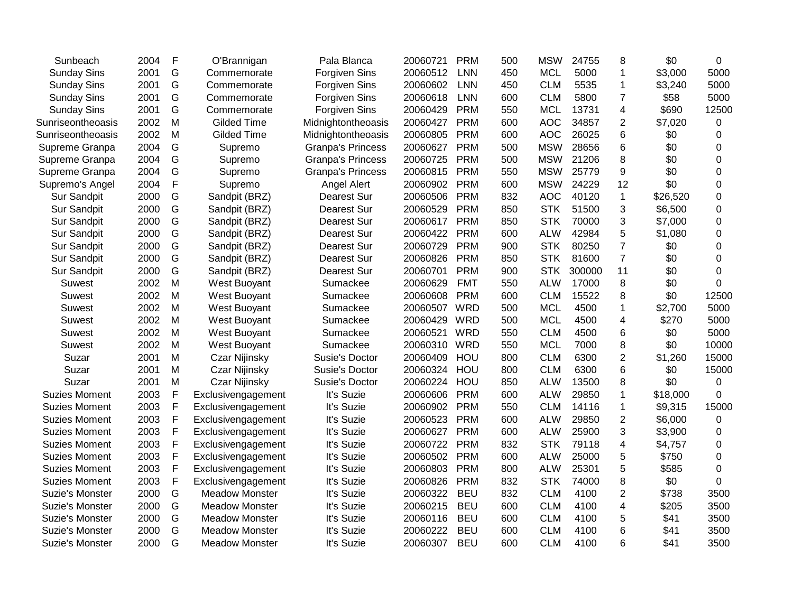| Sunbeach             | 2004 | F | O'Brannigan           | Pala Blanca              | 20060721 | <b>PRM</b> | 500 | <b>MSW</b> | 24755  | 8              | \$0      | 0              |
|----------------------|------|---|-----------------------|--------------------------|----------|------------|-----|------------|--------|----------------|----------|----------------|
| <b>Sunday Sins</b>   | 2001 | G | Commemorate           | <b>Forgiven Sins</b>     | 20060512 | <b>LNN</b> | 450 | <b>MCL</b> | 5000   | $\mathbf{1}$   | \$3,000  | 5000           |
| <b>Sunday Sins</b>   | 2001 | G | Commemorate           | <b>Forgiven Sins</b>     | 20060602 | <b>LNN</b> | 450 | <b>CLM</b> | 5535   | $\mathbf 1$    | \$3,240  | 5000           |
| <b>Sunday Sins</b>   | 2001 | G | Commemorate           | <b>Forgiven Sins</b>     | 20060618 | <b>LNN</b> | 600 | <b>CLM</b> | 5800   | $\overline{7}$ | \$58     | 5000           |
| <b>Sunday Sins</b>   | 2001 | G | Commemorate           | Forgiven Sins            | 20060429 | <b>PRM</b> | 550 | <b>MCL</b> | 13731  | $\overline{4}$ | \$690    | 12500          |
| Sunriseontheoasis    | 2002 | M | <b>Gilded Time</b>    | Midnightontheoasis       | 20060427 | <b>PRM</b> | 600 | <b>AOC</b> | 34857  | $\overline{2}$ | \$7,020  | 0              |
| Sunriseontheoasis    | 2002 | M | <b>Gilded Time</b>    | Midnightontheoasis       | 20060805 | <b>PRM</b> | 600 | <b>AOC</b> | 26025  | 6              | \$0      | 0              |
| Supreme Granpa       | 2004 | G | Supremo               | <b>Granpa's Princess</b> | 20060627 | <b>PRM</b> | 500 | <b>MSW</b> | 28656  | 6              | \$0      | 0              |
| Supreme Granpa       | 2004 | G | Supremo               | <b>Granpa's Princess</b> | 20060725 | <b>PRM</b> | 500 | <b>MSW</b> | 21206  | 8              | \$0      | $\Omega$       |
| Supreme Granpa       | 2004 | G | Supremo               | <b>Granpa's Princess</b> | 20060815 | <b>PRM</b> | 550 | <b>MSW</b> | 25779  | 9              | \$0      | 0              |
| Supremo's Angel      | 2004 | F | Supremo               | Angel Alert              | 20060902 | <b>PRM</b> | 600 | <b>MSW</b> | 24229  | 12             | \$0      | $\Omega$       |
| <b>Sur Sandpit</b>   | 2000 | G | Sandpit (BRZ)         | Dearest Sur              | 20060506 | <b>PRM</b> | 832 | <b>AOC</b> | 40120  | $\mathbf{1}$   | \$26,520 | 0              |
| <b>Sur Sandpit</b>   | 2000 | G | Sandpit (BRZ)         | Dearest Sur              | 20060529 | <b>PRM</b> | 850 | <b>STK</b> | 51500  | 3              | \$6,500  | 0              |
| Sur Sandpit          | 2000 | G | Sandpit (BRZ)         | Dearest Sur              | 20060617 | <b>PRM</b> | 850 | <b>STK</b> | 70000  | 3              | \$7,000  | 0              |
| Sur Sandpit          | 2000 | G | Sandpit (BRZ)         | Dearest Sur              | 20060422 | <b>PRM</b> | 600 | <b>ALW</b> | 42984  | 5              | \$1,080  | 0              |
| Sur Sandpit          | 2000 | G | Sandpit (BRZ)         | Dearest Sur              | 20060729 | <b>PRM</b> | 900 | <b>STK</b> | 80250  | $\overline{7}$ | \$0      | 0              |
| Sur Sandpit          | 2000 | G | Sandpit (BRZ)         | <b>Dearest Sur</b>       | 20060826 | <b>PRM</b> | 850 | <b>STK</b> | 81600  | $\overline{7}$ | \$0      | $\Omega$       |
| Sur Sandpit          | 2000 | G | Sandpit (BRZ)         | Dearest Sur              | 20060701 | <b>PRM</b> | 900 | <b>STK</b> | 300000 | 11             | \$0      | $\mathbf 0$    |
| <b>Suwest</b>        | 2002 | M | West Buoyant          | Sumackee                 | 20060629 | <b>FMT</b> | 550 | <b>ALW</b> | 17000  | 8              | \$0      | $\overline{0}$ |
| Suwest               | 2002 | M | West Buoyant          | Sumackee                 | 20060608 | <b>PRM</b> | 600 | <b>CLM</b> | 15522  | 8              | \$0      | 12500          |
| Suwest               | 2002 | M | West Buoyant          | Sumackee                 | 20060507 | <b>WRD</b> | 500 | <b>MCL</b> | 4500   | $\mathbf{1}$   | \$2,700  | 5000           |
| Suwest               | 2002 | M | West Buoyant          | Sumackee                 | 20060429 | <b>WRD</b> | 500 | <b>MCL</b> | 4500   | $\overline{4}$ | \$270    | 5000           |
| Suwest               | 2002 | M | West Buoyant          | Sumackee                 | 20060521 | <b>WRD</b> | 550 | <b>CLM</b> | 4500   | 6              | \$0      | 5000           |
| Suwest               | 2002 | M | West Buoyant          | Sumackee                 | 20060310 | WRD        | 550 | <b>MCL</b> | 7000   | 8              | \$0      | 10000          |
| Suzar                | 2001 | M | Czar Nijinsky         | Susie's Doctor           | 20060409 | HOU        | 800 | <b>CLM</b> | 6300   | $\overline{2}$ | \$1,260  | 15000          |
| Suzar                | 2001 | M | Czar Nijinsky         | Susie's Doctor           | 20060324 | HOU        | 800 | <b>CLM</b> | 6300   | 6              | \$0      | 15000          |
| Suzar                | 2001 | M | Czar Nijinsky         | Susie's Doctor           | 20060224 | HOU        | 850 | <b>ALW</b> | 13500  | 8              | \$0      | 0              |
| <b>Suzies Moment</b> | 2003 | F | Exclusivengagement    | It's Suzie               | 20060606 | <b>PRM</b> | 600 | <b>ALW</b> | 29850  | 1              | \$18,000 | 0              |
| <b>Suzies Moment</b> | 2003 | F | Exclusivengagement    | It's Suzie               | 20060902 | <b>PRM</b> | 550 | <b>CLM</b> | 14116  | $\mathbf 1$    | \$9,315  | 15000          |
| <b>Suzies Moment</b> | 2003 | F | Exclusivengagement    | It's Suzie               | 20060523 | <b>PRM</b> | 600 | <b>ALW</b> | 29850  | $\overline{2}$ | \$6,000  | 0              |
| <b>Suzies Moment</b> | 2003 | F | Exclusivengagement    | It's Suzie               | 20060627 | <b>PRM</b> | 600 | <b>ALW</b> | 25900  | 3              | \$3,900  | 0              |
| <b>Suzies Moment</b> | 2003 | F | Exclusivengagement    | It's Suzie               | 20060722 | <b>PRM</b> | 832 | <b>STK</b> | 79118  | 4              | \$4,757  | 0              |
| <b>Suzies Moment</b> | 2003 | F | Exclusivengagement    | It's Suzie               | 20060502 | <b>PRM</b> | 600 | <b>ALW</b> | 25000  | 5              | \$750    | 0              |
| <b>Suzies Moment</b> | 2003 | F | Exclusivengagement    | It's Suzie               | 20060803 | <b>PRM</b> | 800 | <b>ALW</b> | 25301  | 5              | \$585    | $\mathbf 0$    |
| <b>Suzies Moment</b> | 2003 | F | Exclusivengagement    | It's Suzie               | 20060826 | <b>PRM</b> | 832 | <b>STK</b> | 74000  | 8              | \$0      | $\overline{0}$ |
| Suzie's Monster      | 2000 | G | <b>Meadow Monster</b> | It's Suzie               | 20060322 | <b>BEU</b> | 832 | <b>CLM</b> | 4100   | $\overline{2}$ | \$738    | 3500           |
| Suzie's Monster      | 2000 | G | <b>Meadow Monster</b> | It's Suzie               | 20060215 | <b>BEU</b> | 600 | <b>CLM</b> | 4100   | $\overline{4}$ | \$205    | 3500           |
| Suzie's Monster      | 2000 | G | <b>Meadow Monster</b> | It's Suzie               | 20060116 | <b>BEU</b> | 600 | <b>CLM</b> | 4100   | 5              | \$41     | 3500           |
| Suzie's Monster      | 2000 | G | <b>Meadow Monster</b> | It's Suzie               | 20060222 | <b>BEU</b> | 600 | <b>CLM</b> | 4100   | 6              | \$41     | 3500           |
| Suzie's Monster      | 2000 | G | Meadow Monster        | It's Suzie               | 20060307 | <b>BEU</b> | 600 | <b>CLM</b> | 4100   | 6              | \$41     | 3500           |
|                      |      |   |                       |                          |          |            |     |            |        |                |          |                |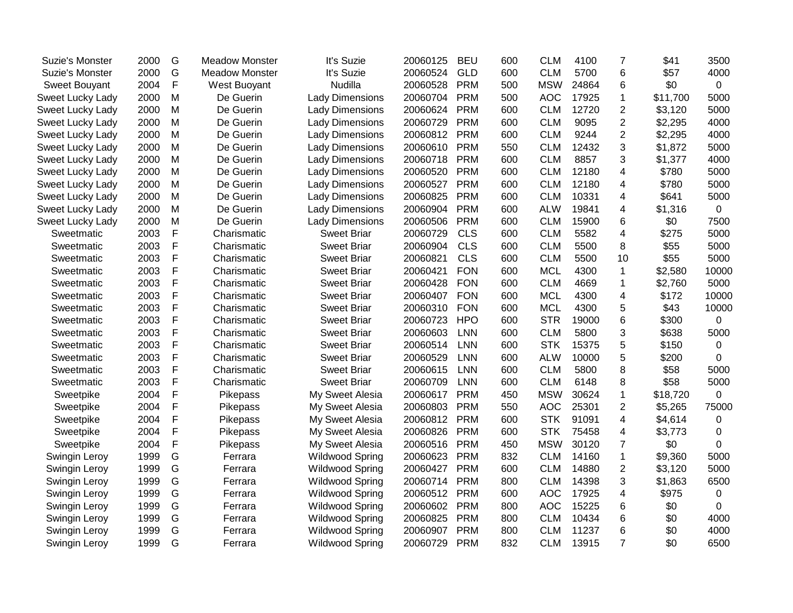| Suzie's Monster  | 2000 | G | <b>Meadow Monster</b> | It's Suzie             | 20060125 | <b>BEU</b> | 600 | <b>CLM</b> | 4100  | $\overline{7}$          | \$41     | 3500        |
|------------------|------|---|-----------------------|------------------------|----------|------------|-----|------------|-------|-------------------------|----------|-------------|
| Suzie's Monster  | 2000 | G | <b>Meadow Monster</b> | It's Suzie             | 20060524 | <b>GLD</b> | 600 | <b>CLM</b> | 5700  | 6                       | \$57     | 4000        |
| Sweet Bouyant    | 2004 | F | West Buoyant          | Nudilla                | 20060528 | <b>PRM</b> | 500 | <b>MSW</b> | 24864 | 6                       | \$0      | $\mathbf 0$ |
| Sweet Lucky Lady | 2000 | M | De Guerin             | <b>Lady Dimensions</b> | 20060704 | <b>PRM</b> | 500 | <b>AOC</b> | 17925 | $\mathbf{1}$            | \$11,700 | 5000        |
| Sweet Lucky Lady | 2000 | M | De Guerin             | <b>Lady Dimensions</b> | 20060624 | <b>PRM</b> | 600 | <b>CLM</b> | 12720 | $\overline{2}$          | \$3,120  | 5000        |
| Sweet Lucky Lady | 2000 | M | De Guerin             | <b>Lady Dimensions</b> | 20060729 | <b>PRM</b> | 600 | <b>CLM</b> | 9095  | $\overline{c}$          | \$2,295  | 4000        |
| Sweet Lucky Lady | 2000 | M | De Guerin             | <b>Lady Dimensions</b> | 20060812 | <b>PRM</b> | 600 | <b>CLM</b> | 9244  | $\overline{c}$          | \$2,295  | 4000        |
| Sweet Lucky Lady | 2000 | M | De Guerin             | <b>Lady Dimensions</b> | 20060610 | <b>PRM</b> | 550 | <b>CLM</b> | 12432 | 3                       | \$1,872  | 5000        |
| Sweet Lucky Lady | 2000 | M | De Guerin             | <b>Lady Dimensions</b> | 20060718 | <b>PRM</b> | 600 | <b>CLM</b> | 8857  | 3                       | \$1,377  | 4000        |
| Sweet Lucky Lady | 2000 | M | De Guerin             | <b>Lady Dimensions</b> | 20060520 | <b>PRM</b> | 600 | <b>CLM</b> | 12180 | 4                       | \$780    | 5000        |
| Sweet Lucky Lady | 2000 | M | De Guerin             | <b>Lady Dimensions</b> | 20060527 | <b>PRM</b> | 600 | <b>CLM</b> | 12180 | 4                       | \$780    | 5000        |
| Sweet Lucky Lady | 2000 | M | De Guerin             | <b>Lady Dimensions</b> | 20060825 | <b>PRM</b> | 600 | <b>CLM</b> | 10331 | 4                       | \$641    | 5000        |
| Sweet Lucky Lady | 2000 | M | De Guerin             | <b>Lady Dimensions</b> | 20060904 | <b>PRM</b> | 600 | <b>ALW</b> | 19841 | 4                       | \$1,316  | 0           |
| Sweet Lucky Lady | 2000 | M | De Guerin             | <b>Lady Dimensions</b> | 20060506 | <b>PRM</b> | 600 | <b>CLM</b> | 15900 | 6                       | \$0      | 7500        |
| Sweetmatic       | 2003 | F | Charismatic           | <b>Sweet Briar</b>     | 20060729 | <b>CLS</b> | 600 | <b>CLM</b> | 5582  | $\overline{\mathbf{4}}$ | \$275    | 5000        |
| Sweetmatic       | 2003 | F | Charismatic           | <b>Sweet Briar</b>     | 20060904 | <b>CLS</b> | 600 | <b>CLM</b> | 5500  | 8                       | \$55     | 5000        |
| Sweetmatic       | 2003 | F | Charismatic           | <b>Sweet Briar</b>     | 20060821 | <b>CLS</b> | 600 | <b>CLM</b> | 5500  | 10                      | \$55     | 5000        |
| Sweetmatic       | 2003 | F | Charismatic           | <b>Sweet Briar</b>     | 20060421 | <b>FON</b> | 600 | <b>MCL</b> | 4300  | $\mathbf{1}$            | \$2,580  | 10000       |
| Sweetmatic       | 2003 | F | Charismatic           | <b>Sweet Briar</b>     | 20060428 | <b>FON</b> | 600 | <b>CLM</b> | 4669  | 1                       | \$2,760  | 5000        |
| Sweetmatic       | 2003 | F | Charismatic           | <b>Sweet Briar</b>     | 20060407 | <b>FON</b> | 600 | <b>MCL</b> | 4300  | 4                       | \$172    | 10000       |
| Sweetmatic       | 2003 | F | Charismatic           | <b>Sweet Briar</b>     | 20060310 | <b>FON</b> | 600 | <b>MCL</b> | 4300  | 5                       | \$43     | 10000       |
| Sweetmatic       | 2003 | F | Charismatic           | <b>Sweet Briar</b>     | 20060723 | <b>HPO</b> | 600 | <b>STR</b> | 19000 | 6                       | \$300    | 0           |
| Sweetmatic       | 2003 | F | Charismatic           | <b>Sweet Briar</b>     | 20060603 | <b>LNN</b> | 600 | <b>CLM</b> | 5800  | 3                       | \$638    | 5000        |
| Sweetmatic       | 2003 | F | Charismatic           | <b>Sweet Briar</b>     | 20060514 | <b>LNN</b> | 600 | <b>STK</b> | 15375 | 5                       | \$150    | 0           |
| Sweetmatic       | 2003 | F | Charismatic           | <b>Sweet Briar</b>     | 20060529 | <b>LNN</b> | 600 | <b>ALW</b> | 10000 | 5                       | \$200    | 0           |
| Sweetmatic       | 2003 | F | Charismatic           | <b>Sweet Briar</b>     | 20060615 | <b>LNN</b> | 600 | <b>CLM</b> | 5800  | 8                       | \$58     | 5000        |
| Sweetmatic       | 2003 | F | Charismatic           | <b>Sweet Briar</b>     | 20060709 | <b>LNN</b> | 600 | <b>CLM</b> | 6148  | 8                       | \$58     | 5000        |
| Sweetpike        | 2004 | F | Pikepass              | My Sweet Alesia        | 20060617 | <b>PRM</b> | 450 | <b>MSW</b> | 30624 | $\mathbf 1$             | \$18,720 | 0           |
| Sweetpike        | 2004 | F | Pikepass              | My Sweet Alesia        | 20060803 | <b>PRM</b> | 550 | <b>AOC</b> | 25301 | $\overline{2}$          | \$5,265  | 75000       |
| Sweetpike        | 2004 | F | Pikepass              | My Sweet Alesia        | 20060812 | <b>PRM</b> | 600 | <b>STK</b> | 91091 | 4                       | \$4,614  | 0           |
| Sweetpike        | 2004 | F | Pikepass              | My Sweet Alesia        | 20060826 | <b>PRM</b> | 600 | <b>STK</b> | 75458 | 4                       | \$3,773  | 0           |
| Sweetpike        | 2004 | F | Pikepass              | My Sweet Alesia        | 20060516 | <b>PRM</b> | 450 | <b>MSW</b> | 30120 | $\overline{7}$          | \$0      | 0           |
| Swingin Leroy    | 1999 | G | Ferrara               | <b>Wildwood Spring</b> | 20060623 | <b>PRM</b> | 832 | <b>CLM</b> | 14160 | $\mathbf{1}$            | \$9,360  | 5000        |
| Swingin Leroy    | 1999 | G | Ferrara               | <b>Wildwood Spring</b> | 20060427 | <b>PRM</b> | 600 | <b>CLM</b> | 14880 | $\overline{2}$          | \$3,120  | 5000        |
| Swingin Leroy    | 1999 | G | Ferrara               | Wildwood Spring        | 20060714 | <b>PRM</b> | 800 | <b>CLM</b> | 14398 | 3                       | \$1,863  | 6500        |
| Swingin Leroy    | 1999 | G | Ferrara               | <b>Wildwood Spring</b> | 20060512 | <b>PRM</b> | 600 | <b>AOC</b> | 17925 | $\overline{\mathbf{4}}$ | \$975    | 0           |
| Swingin Leroy    | 1999 | G | Ferrara               | <b>Wildwood Spring</b> | 20060602 | <b>PRM</b> | 800 | <b>AOC</b> | 15225 | 6                       | \$0      | 0           |
| Swingin Leroy    | 1999 | G | Ferrara               | <b>Wildwood Spring</b> | 20060825 | <b>PRM</b> | 800 | <b>CLM</b> | 10434 | 6                       | \$0      | 4000        |
| Swingin Leroy    | 1999 | G | Ferrara               | <b>Wildwood Spring</b> | 20060907 | <b>PRM</b> | 800 | <b>CLM</b> | 11237 | 6                       | \$0      | 4000        |
| Swingin Leroy    | 1999 | G | Ferrara               | <b>Wildwood Spring</b> | 20060729 | <b>PRM</b> | 832 | <b>CLM</b> | 13915 | $\overline{7}$          | \$0      | 6500        |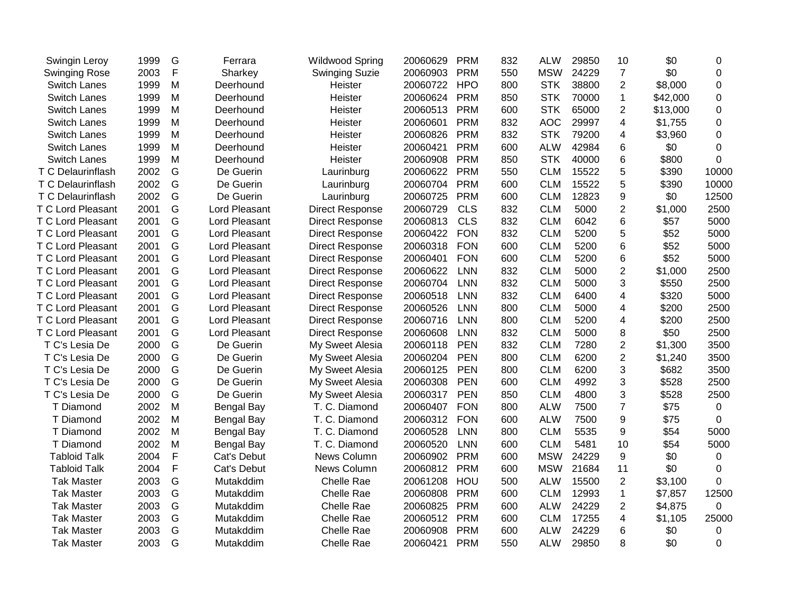| Swingin Leroy            | 1999 | G            | Ferrara           | <b>Wildwood Spring</b> | 20060629 | <b>PRM</b> | 832 | <b>ALW</b> | 29850 | 10             | \$0      | 0           |
|--------------------------|------|--------------|-------------------|------------------------|----------|------------|-----|------------|-------|----------------|----------|-------------|
| <b>Swinging Rose</b>     | 2003 | $\mathsf F$  | Sharkey           | <b>Swinging Suzie</b>  | 20060903 | <b>PRM</b> | 550 | <b>MSW</b> | 24229 | $\overline{7}$ | \$0      | 0           |
| Switch Lanes             | 1999 | M            | Deerhound         | Heister                | 20060722 | <b>HPO</b> | 800 | <b>STK</b> | 38800 | $\overline{2}$ | \$8,000  | $\mathbf 0$ |
| <b>Switch Lanes</b>      | 1999 | M            | Deerhound         | Heister                | 20060624 | <b>PRM</b> | 850 | <b>STK</b> | 70000 | $\mathbf 1$    | \$42,000 | $\mathbf 0$ |
| <b>Switch Lanes</b>      | 1999 | M            | Deerhound         | Heister                | 20060513 | <b>PRM</b> | 600 | <b>STK</b> | 65000 | $\overline{2}$ | \$13,000 | 0           |
| <b>Switch Lanes</b>      | 1999 | M            | Deerhound         | Heister                | 20060601 | <b>PRM</b> | 832 | <b>AOC</b> | 29997 | 4              | \$1,755  | 0           |
| Switch Lanes             | 1999 | M            | Deerhound         | Heister                | 20060826 | <b>PRM</b> | 832 | <b>STK</b> | 79200 | 4              | \$3,960  | 0           |
| <b>Switch Lanes</b>      | 1999 | M            | Deerhound         | Heister                | 20060421 | <b>PRM</b> | 600 | <b>ALW</b> | 42984 | 6              | \$0      | 0           |
| <b>Switch Lanes</b>      | 1999 | M            | Deerhound         | Heister                | 20060908 | <b>PRM</b> | 850 | <b>STK</b> | 40000 | 6              | \$800    | 0           |
| T C Delaurinflash        | 2002 | G            | De Guerin         | Laurinburg             | 20060622 | <b>PRM</b> | 550 | <b>CLM</b> | 15522 | 5              | \$390    | 10000       |
| T C Delaurinflash        | 2002 | G            | De Guerin         | Laurinburg             | 20060704 | <b>PRM</b> | 600 | <b>CLM</b> | 15522 | 5              | \$390    | 10000       |
| T C Delaurinflash        | 2002 | G            | De Guerin         | Laurinburg             | 20060725 | <b>PRM</b> | 600 | <b>CLM</b> | 12823 | 9              | \$0      | 12500       |
| T C Lord Pleasant        | 2001 | G            | Lord Pleasant     | <b>Direct Response</b> | 20060729 | <b>CLS</b> | 832 | <b>CLM</b> | 5000  | $\overline{2}$ | \$1,000  | 2500        |
| <b>T C Lord Pleasant</b> | 2001 | G            | Lord Pleasant     | <b>Direct Response</b> | 20060813 | <b>CLS</b> | 832 | <b>CLM</b> | 6042  | 6              | \$57     | 5000        |
| T C Lord Pleasant        | 2001 | G            | Lord Pleasant     | <b>Direct Response</b> | 20060422 | <b>FON</b> | 832 | <b>CLM</b> | 5200  | 5              | \$52     | 5000        |
| T C Lord Pleasant        | 2001 | G            | Lord Pleasant     | <b>Direct Response</b> | 20060318 | <b>FON</b> | 600 | <b>CLM</b> | 5200  | 6              | \$52     | 5000        |
| T C Lord Pleasant        | 2001 | G            | Lord Pleasant     | <b>Direct Response</b> | 20060401 | <b>FON</b> | 600 | <b>CLM</b> | 5200  | 6              | \$52     | 5000        |
| T C Lord Pleasant        | 2001 | G            | Lord Pleasant     | <b>Direct Response</b> | 20060622 | <b>LNN</b> | 832 | <b>CLM</b> | 5000  | $\overline{2}$ | \$1,000  | 2500        |
| T C Lord Pleasant        | 2001 | G            | Lord Pleasant     | <b>Direct Response</b> | 20060704 | <b>LNN</b> | 832 | <b>CLM</b> | 5000  | 3              | \$550    | 2500        |
| T C Lord Pleasant        | 2001 | G            | Lord Pleasant     | <b>Direct Response</b> | 20060518 | <b>LNN</b> | 832 | <b>CLM</b> | 6400  | 4              | \$320    | 5000        |
| T C Lord Pleasant        | 2001 | G            | Lord Pleasant     | <b>Direct Response</b> | 20060526 | <b>LNN</b> | 800 | <b>CLM</b> | 5000  | 4              | \$200    | 2500        |
| T C Lord Pleasant        | 2001 | G            | Lord Pleasant     | <b>Direct Response</b> | 20060716 | <b>LNN</b> | 800 | <b>CLM</b> | 5200  | 4              | \$200    | 2500        |
| T C Lord Pleasant        | 2001 | G            | Lord Pleasant     | <b>Direct Response</b> | 20060608 | <b>LNN</b> | 832 | <b>CLM</b> | 5000  | 8              | \$50     | 2500        |
| T C's Lesia De           | 2000 | G            | De Guerin         | My Sweet Alesia        | 20060118 | <b>PEN</b> | 832 | <b>CLM</b> | 7280  | $\overline{2}$ | \$1,300  | 3500        |
| T C's Lesia De           | 2000 | G            | De Guerin         | My Sweet Alesia        | 20060204 | <b>PEN</b> | 800 | <b>CLM</b> | 6200  | $\overline{2}$ | \$1,240  | 3500        |
| T C's Lesia De           | 2000 | G            | De Guerin         | My Sweet Alesia        | 20060125 | <b>PEN</b> | 800 | <b>CLM</b> | 6200  | 3              | \$682    | 3500        |
| T C's Lesia De           | 2000 | G            | De Guerin         | My Sweet Alesia        | 20060308 | <b>PEN</b> | 600 | <b>CLM</b> | 4992  | 3              | \$528    | 2500        |
| T C's Lesia De           | 2000 | G            | De Guerin         | My Sweet Alesia        | 20060317 | <b>PEN</b> | 850 | <b>CLM</b> | 4800  | 3              | \$528    | 2500        |
| T Diamond                | 2002 | M            | <b>Bengal Bay</b> | T. C. Diamond          | 20060407 | <b>FON</b> | 800 | <b>ALW</b> | 7500  | $\overline{7}$ | \$75     | 0           |
| T Diamond                | 2002 | M            | <b>Bengal Bay</b> | T. C. Diamond          | 20060312 | <b>FON</b> | 600 | <b>ALW</b> | 7500  | 9              | \$75     | 0           |
| T Diamond                | 2002 | M            | <b>Bengal Bay</b> | T. C. Diamond          | 20060528 | <b>LNN</b> | 800 | <b>CLM</b> | 5535  | 9              | \$54     | 5000        |
| T Diamond                | 2002 | M            | Bengal Bay        | T. C. Diamond          | 20060520 | <b>LNN</b> | 600 | <b>CLM</b> | 5481  | 10             | \$54     | 5000        |
| <b>Tabloid Talk</b>      | 2004 | F            | Cat's Debut       | News Column            | 20060902 | <b>PRM</b> | 600 | <b>MSW</b> | 24229 | 9              | \$0      | $\mathbf 0$ |
| <b>Tabloid Talk</b>      | 2004 | $\mathsf{F}$ | Cat's Debut       | News Column            | 20060812 | <b>PRM</b> | 600 | <b>MSW</b> | 21684 | 11             | \$0      | $\mathbf 0$ |
| <b>Tak Master</b>        | 2003 | G            | Mutakddim         | Chelle Rae             | 20061208 | HOU        | 500 | <b>ALW</b> | 15500 | $\overline{2}$ | \$3,100  | $\Omega$    |
| <b>Tak Master</b>        | 2003 | G            | Mutakddim         | Chelle Rae             | 20060808 | <b>PRM</b> | 600 | <b>CLM</b> | 12993 | 1              | \$7,857  | 12500       |
| <b>Tak Master</b>        | 2003 | G            | Mutakddim         | Chelle Rae             | 20060825 | <b>PRM</b> | 600 | <b>ALW</b> | 24229 | 2              | \$4,875  | $\mathbf 0$ |
| <b>Tak Master</b>        | 2003 | G            | Mutakddim         | Chelle Rae             | 20060512 | <b>PRM</b> | 600 | <b>CLM</b> | 17255 | 4              | \$1,105  | 25000       |
| <b>Tak Master</b>        | 2003 | G            | Mutakddim         | Chelle Rae             | 20060908 | <b>PRM</b> | 600 | <b>ALW</b> | 24229 | 6              | \$0      | 0           |
| <b>Tak Master</b>        | 2003 | G            | Mutakddim         | Chelle Rae             | 20060421 | <b>PRM</b> | 550 | <b>ALW</b> | 29850 | 8              | \$0      | 0           |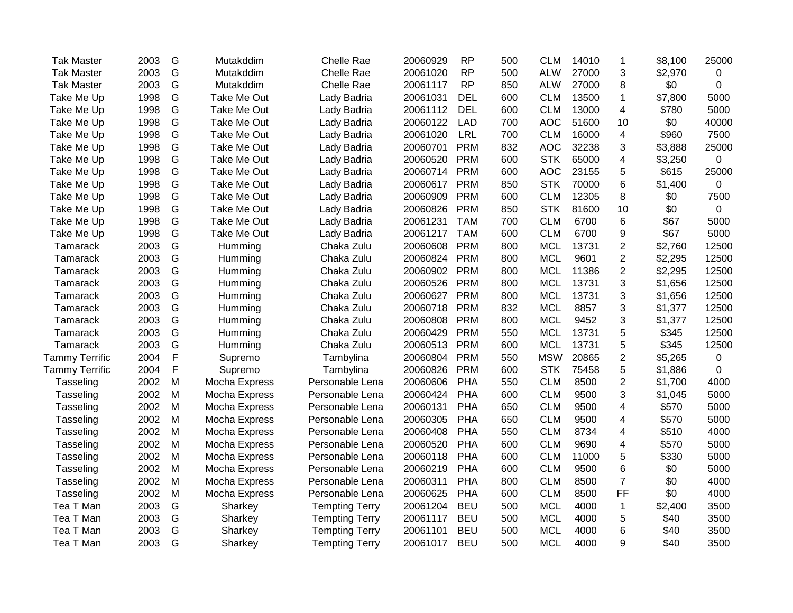| <b>Tak Master</b> | 2003 | G           | Mutakddim     | <b>Chelle Rae</b>     | 20060929 | <b>RP</b>  | 500 | <b>CLM</b> | 14010 | 1              | \$8,100 | 25000 |
|-------------------|------|-------------|---------------|-----------------------|----------|------------|-----|------------|-------|----------------|---------|-------|
| <b>Tak Master</b> | 2003 | G           | Mutakddim     | <b>Chelle Rae</b>     | 20061020 | <b>RP</b>  | 500 | <b>ALW</b> | 27000 | 3              | \$2,970 | 0     |
| <b>Tak Master</b> | 2003 | G           | Mutakddim     | Chelle Rae            | 20061117 | <b>RP</b>  | 850 | <b>ALW</b> | 27000 | 8              | \$0     | 0     |
| Take Me Up        | 1998 | G           | Take Me Out   | Lady Badria           | 20061031 | <b>DEL</b> | 600 | <b>CLM</b> | 13500 | 1              | \$7,800 | 5000  |
| Take Me Up        | 1998 | G           | Take Me Out   | Lady Badria           | 20061112 | <b>DEL</b> | 600 | <b>CLM</b> | 13000 | 4              | \$780   | 5000  |
| Take Me Up        | 1998 | G           | Take Me Out   | Lady Badria           | 20060122 | <b>LAD</b> | 700 | <b>AOC</b> | 51600 | 10             | \$0     | 40000 |
| Take Me Up        | 1998 | G           | Take Me Out   | Lady Badria           | 20061020 | <b>LRL</b> | 700 | <b>CLM</b> | 16000 | 4              | \$960   | 7500  |
| Take Me Up        | 1998 | G           | Take Me Out   | Lady Badria           | 20060701 | <b>PRM</b> | 832 | <b>AOC</b> | 32238 | 3              | \$3,888 | 25000 |
| Take Me Up        | 1998 | G           | Take Me Out   | Lady Badria           | 20060520 | <b>PRM</b> | 600 | <b>STK</b> | 65000 | 4              | \$3,250 | 0     |
| Take Me Up        | 1998 | G           | Take Me Out   | Lady Badria           | 20060714 | <b>PRM</b> | 600 | <b>AOC</b> | 23155 | 5              | \$615   | 25000 |
| Take Me Up        | 1998 | G           | Take Me Out   | Lady Badria           | 20060617 | <b>PRM</b> | 850 | <b>STK</b> | 70000 | 6              | \$1,400 | 0     |
| Take Me Up        | 1998 | G           | Take Me Out   | Lady Badria           | 20060909 | <b>PRM</b> | 600 | <b>CLM</b> | 12305 | 8              | \$0     | 7500  |
| Take Me Up        | 1998 | G           | Take Me Out   | Lady Badria           | 20060826 | <b>PRM</b> | 850 | <b>STK</b> | 81600 | 10             | \$0     | 0     |
| Take Me Up        | 1998 | G           | Take Me Out   | Lady Badria           | 20061231 | <b>TAM</b> | 700 | <b>CLM</b> | 6700  | 6              | \$67    | 5000  |
| Take Me Up        | 1998 | G           | Take Me Out   | Lady Badria           | 20061217 | <b>TAM</b> | 600 | <b>CLM</b> | 6700  | 9              | \$67    | 5000  |
| Tamarack          | 2003 | G           | Humming       | Chaka Zulu            | 20060608 | <b>PRM</b> | 800 | <b>MCL</b> | 13731 | $\overline{c}$ | \$2,760 | 12500 |
| Tamarack          | 2003 | G           | Humming       | Chaka Zulu            | 20060824 | <b>PRM</b> | 800 | <b>MCL</b> | 9601  | $\overline{2}$ | \$2,295 | 12500 |
| Tamarack          | 2003 | G           | Humming       | Chaka Zulu            | 20060902 | <b>PRM</b> | 800 | <b>MCL</b> | 11386 | $\overline{2}$ | \$2,295 | 12500 |
| Tamarack          | 2003 | G           | Humming       | Chaka Zulu            | 20060526 | <b>PRM</b> | 800 | <b>MCL</b> | 13731 | 3              | \$1,656 | 12500 |
| Tamarack          | 2003 | G           | Humming       | Chaka Zulu            | 20060627 | <b>PRM</b> | 800 | <b>MCL</b> | 13731 | 3              | \$1,656 | 12500 |
| <b>Tamarack</b>   | 2003 | G           | Humming       | Chaka Zulu            | 20060718 | <b>PRM</b> | 832 | <b>MCL</b> | 8857  | 3              | \$1,377 | 12500 |
| Tamarack          | 2003 | G           | Humming       | Chaka Zulu            | 20060808 | <b>PRM</b> | 800 | <b>MCL</b> | 9452  | 3              | \$1,377 | 12500 |
| Tamarack          | 2003 | G           | Humming       | Chaka Zulu            | 20060429 | <b>PRM</b> | 550 | <b>MCL</b> | 13731 | 5              | \$345   | 12500 |
| Tamarack          | 2003 | G           | Humming       | Chaka Zulu            | 20060513 | <b>PRM</b> | 600 | <b>MCL</b> | 13731 | 5              | \$345   | 12500 |
| Tammy Terrific    | 2004 | F           | Supremo       | Tambylina             | 20060804 | <b>PRM</b> | 550 | <b>MSW</b> | 20865 | $\overline{c}$ | \$5,265 | 0     |
| Tammy Terrific    | 2004 | $\mathsf F$ | Supremo       | Tambylina             | 20060826 | <b>PRM</b> | 600 | <b>STK</b> | 75458 | 5              | \$1,886 | 0     |
| Tasseling         | 2002 | M           | Mocha Express | Personable Lena       | 20060606 | PHA        | 550 | <b>CLM</b> | 8500  | $\overline{c}$ | \$1,700 | 4000  |
| Tasseling         | 2002 | M           | Mocha Express | Personable Lena       | 20060424 | PHA        | 600 | <b>CLM</b> | 9500  | 3              | \$1,045 | 5000  |
| Tasseling         | 2002 | M           | Mocha Express | Personable Lena       | 20060131 | PHA        | 650 | <b>CLM</b> | 9500  | 4              | \$570   | 5000  |
| Tasseling         | 2002 | M           | Mocha Express | Personable Lena       | 20060305 | PHA        | 650 | <b>CLM</b> | 9500  | 4              | \$570   | 5000  |
| Tasseling         | 2002 | M           | Mocha Express | Personable Lena       | 20060408 | PHA        | 550 | <b>CLM</b> | 8734  | 4              | \$510   | 4000  |
| Tasseling         | 2002 | M           | Mocha Express | Personable Lena       | 20060520 | PHA        | 600 | <b>CLM</b> | 9690  | 4              | \$570   | 5000  |
| Tasseling         | 2002 | M           | Mocha Express | Personable Lena       | 20060118 | PHA        | 600 | <b>CLM</b> | 11000 | 5              | \$330   | 5000  |
| Tasseling         | 2002 | M           | Mocha Express | Personable Lena       | 20060219 | PHA        | 600 | <b>CLM</b> | 9500  | 6              | \$0     | 5000  |
| Tasseling         | 2002 | M           | Mocha Express | Personable Lena       | 20060311 | PHA        | 800 | <b>CLM</b> | 8500  | $\overline{7}$ | \$0     | 4000  |
| Tasseling         | 2002 | M           | Mocha Express | Personable Lena       | 20060625 | PHA        | 600 | <b>CLM</b> | 8500  | FF             | \$0     | 4000  |
| Tea T Man         | 2003 | G           | Sharkey       | <b>Tempting Terry</b> | 20061204 | <b>BEU</b> | 500 | <b>MCL</b> | 4000  | $\mathbf{1}$   | \$2,400 | 3500  |
| Tea T Man         | 2003 | G           | Sharkey       | <b>Tempting Terry</b> | 20061117 | <b>BEU</b> | 500 | <b>MCL</b> | 4000  | 5              | \$40    | 3500  |
| Tea T Man         | 2003 | G           | Sharkey       | <b>Tempting Terry</b> | 20061101 | <b>BEU</b> | 500 | <b>MCL</b> | 4000  | 6              | \$40    | 3500  |
| Tea T Man         | 2003 | G           | Sharkey       | <b>Tempting Terry</b> | 20061017 | <b>BEU</b> | 500 | <b>MCL</b> | 4000  | 9              | \$40    | 3500  |
|                   |      |             |               |                       |          |            |     |            |       |                |         |       |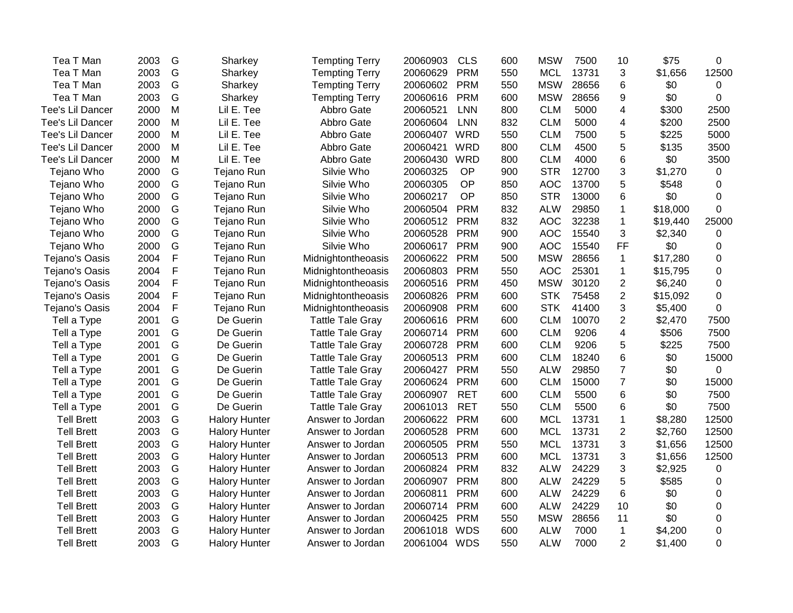| Tea T Man         | 2003 | G           | Sharkey              | <b>Tempting Terry</b>   | 20060903     | <b>CLS</b> | 600 | <b>MSW</b> | 7500  | 10                      | \$75     | 0     |
|-------------------|------|-------------|----------------------|-------------------------|--------------|------------|-----|------------|-------|-------------------------|----------|-------|
| Tea T Man         | 2003 | G           | Sharkey              | <b>Tempting Terry</b>   | 20060629     | <b>PRM</b> | 550 | <b>MCL</b> | 13731 | 3                       | \$1,656  | 12500 |
| Tea T Man         | 2003 | G           | Sharkey              | <b>Tempting Terry</b>   | 20060602     | <b>PRM</b> | 550 | <b>MSW</b> | 28656 | 6                       | \$0      | 0     |
| Tea T Man         | 2003 | G           | Sharkey              | <b>Tempting Terry</b>   | 20060616     | <b>PRM</b> | 600 | <b>MSW</b> | 28656 | 9                       | \$0      | 0     |
| Tee's Lil Dancer  | 2000 | M           | Lil E. Tee           | Abbro Gate              | 20060521     | <b>LNN</b> | 800 | <b>CLM</b> | 5000  | 4                       | \$300    | 2500  |
| Tee's Lil Dancer  | 2000 | M           | Lil E. Tee           | Abbro Gate              | 20060604     | <b>LNN</b> | 832 | <b>CLM</b> | 5000  | 4                       | \$200    | 2500  |
| Tee's Lil Dancer  | 2000 | M           | Lil E. Tee           | Abbro Gate              | 20060407     | <b>WRD</b> | 550 | <b>CLM</b> | 7500  | 5                       | \$225    | 5000  |
| Tee's Lil Dancer  | 2000 | M           | Lil E. Tee           | Abbro Gate              | 20060421     | <b>WRD</b> | 800 | <b>CLM</b> | 4500  | 5                       | \$135    | 3500  |
| Tee's Lil Dancer  | 2000 | M           | Lil E. Tee           | Abbro Gate              | 20060430     | <b>WRD</b> | 800 | <b>CLM</b> | 4000  | 6                       | \$0      | 3500  |
| Tejano Who        | 2000 | G           | Tejano Run           | Silvie Who              | 20060325     | OP         | 900 | <b>STR</b> | 12700 | 3                       | \$1,270  | 0     |
| Tejano Who        | 2000 | G           | Tejano Run           | Silvie Who              | 20060305     | OP         | 850 | <b>AOC</b> | 13700 | 5                       | \$548    | 0     |
| Tejano Who        | 2000 | G           | Tejano Run           | Silvie Who              | 20060217     | OP         | 850 | <b>STR</b> | 13000 | 6                       | \$0      | 0     |
| Tejano Who        | 2000 | G           | Tejano Run           | Silvie Who              | 20060504     | <b>PRM</b> | 832 | <b>ALW</b> | 29850 | $\mathbf 1$             | \$18,000 | 0     |
| Tejano Who        | 2000 | G           | Tejano Run           | Silvie Who              | 20060512     | <b>PRM</b> | 832 | <b>AOC</b> | 32238 | $\mathbf{1}$            | \$19,440 | 25000 |
| Tejano Who        | 2000 | G           | Tejano Run           | Silvie Who              | 20060528     | <b>PRM</b> | 900 | <b>AOC</b> | 15540 | 3                       | \$2,340  | 0     |
| Tejano Who        | 2000 | G           | Tejano Run           | Silvie Who              | 20060617     | <b>PRM</b> | 900 | <b>AOC</b> | 15540 | <b>FF</b>               | \$0      | 0     |
| Tejano's Oasis    | 2004 | $\mathsf F$ | Tejano Run           | Midnightontheoasis      | 20060622     | <b>PRM</b> | 500 | <b>MSW</b> | 28656 | $\mathbf{1}$            | \$17,280 | 0     |
| Tejano's Oasis    | 2004 | $\mathsf F$ | Tejano Run           | Midnightontheoasis      | 20060803     | <b>PRM</b> | 550 | <b>AOC</b> | 25301 | $\mathbf{1}$            | \$15,795 | 0     |
| Tejano's Oasis    | 2004 | $\mathsf F$ | Tejano Run           | Midnightontheoasis      | 20060516     | <b>PRM</b> | 450 | <b>MSW</b> | 30120 | $\overline{2}$          | \$6,240  | 0     |
| Tejano's Oasis    | 2004 | F           | Tejano Run           | Midnightontheoasis      | 20060826     | <b>PRM</b> | 600 | <b>STK</b> | 75458 | $\overline{2}$          | \$15,092 | 0     |
| Tejano's Oasis    | 2004 | $\mathsf F$ | Tejano Run           | Midnightontheoasis      | 20060908     | <b>PRM</b> | 600 | <b>STK</b> | 41400 | 3                       | \$5,400  | 0     |
| Tell a Type       | 2001 | G           | De Guerin            | <b>Tattle Tale Gray</b> | 20060616     | <b>PRM</b> | 600 | <b>CLM</b> | 10070 | $\mathbf{2}$            | \$2,470  | 7500  |
| Tell a Type       | 2001 | G           | De Guerin            | <b>Tattle Tale Gray</b> | 20060714     | <b>PRM</b> | 600 | <b>CLM</b> | 9206  | $\overline{\mathbf{4}}$ | \$506    | 7500  |
| Tell a Type       | 2001 | G           | De Guerin            | <b>Tattle Tale Gray</b> | 20060728     | <b>PRM</b> | 600 | <b>CLM</b> | 9206  | 5                       | \$225    | 7500  |
| Tell a Type       | 2001 | G           | De Guerin            | <b>Tattle Tale Gray</b> | 20060513     | <b>PRM</b> | 600 | <b>CLM</b> | 18240 | 6                       | \$0      | 15000 |
| Tell a Type       | 2001 | G           | De Guerin            | <b>Tattle Tale Gray</b> | 20060427     | <b>PRM</b> | 550 | <b>ALW</b> | 29850 | $\overline{7}$          | \$0      | 0     |
| Tell a Type       | 2001 | G           | De Guerin            | <b>Tattle Tale Gray</b> | 20060624     | <b>PRM</b> | 600 | <b>CLM</b> | 15000 | $\overline{7}$          | \$0      | 15000 |
| Tell a Type       | 2001 | G           | De Guerin            | <b>Tattle Tale Gray</b> | 20060907     | <b>RET</b> | 600 | <b>CLM</b> | 5500  | 6                       | \$0      | 7500  |
| Tell a Type       | 2001 | G           | De Guerin            | <b>Tattle Tale Gray</b> | 20061013     | <b>RET</b> | 550 | <b>CLM</b> | 5500  | 6                       | \$0      | 7500  |
| <b>Tell Brett</b> | 2003 | G           | <b>Halory Hunter</b> | Answer to Jordan        | 20060622     | <b>PRM</b> | 600 | <b>MCL</b> | 13731 | $\mathbf{1}$            | \$8,280  | 12500 |
| <b>Tell Brett</b> | 2003 | G           | <b>Halory Hunter</b> | Answer to Jordan        | 20060528     | <b>PRM</b> | 600 | <b>MCL</b> | 13731 | $\overline{2}$          | \$2,760  | 12500 |
| <b>Tell Brett</b> | 2003 | G           | <b>Halory Hunter</b> | Answer to Jordan        | 20060505     | <b>PRM</b> | 550 | <b>MCL</b> | 13731 | 3                       | \$1,656  | 12500 |
| <b>Tell Brett</b> | 2003 | G           | <b>Halory Hunter</b> | Answer to Jordan        | 20060513     | <b>PRM</b> | 600 | <b>MCL</b> | 13731 | 3                       | \$1,656  | 12500 |
| <b>Tell Brett</b> | 2003 | G           | <b>Halory Hunter</b> | Answer to Jordan        | 20060824     | <b>PRM</b> | 832 | <b>ALW</b> | 24229 | 3                       | \$2,925  | 0     |
| <b>Tell Brett</b> | 2003 | G           | <b>Halory Hunter</b> | Answer to Jordan        | 20060907     | <b>PRM</b> | 800 | <b>ALW</b> | 24229 | 5                       | \$585    | 0     |
| <b>Tell Brett</b> | 2003 | G           | <b>Halory Hunter</b> | Answer to Jordan        | 20060811     | <b>PRM</b> | 600 | <b>ALW</b> | 24229 | $6\phantom{1}6$         | \$0      | 0     |
| <b>Tell Brett</b> | 2003 | G           | <b>Halory Hunter</b> | Answer to Jordan        | 20060714     | <b>PRM</b> | 600 | <b>ALW</b> | 24229 | 10                      | \$0      | 0     |
| <b>Tell Brett</b> | 2003 | G           | <b>Halory Hunter</b> | Answer to Jordan        | 20060425     | <b>PRM</b> | 550 | <b>MSW</b> | 28656 | 11                      | \$0      | 0     |
| <b>Tell Brett</b> | 2003 | G           | <b>Halory Hunter</b> | Answer to Jordan        | 20061018     | <b>WDS</b> | 600 | <b>ALW</b> | 7000  | $\mathbf{1}$            | \$4,200  | 0     |
| <b>Tell Brett</b> | 2003 | G           | <b>Halory Hunter</b> | Answer to Jordan        | 20061004 WDS |            | 550 | <b>ALW</b> | 7000  | $\overline{2}$          | \$1,400  | 0     |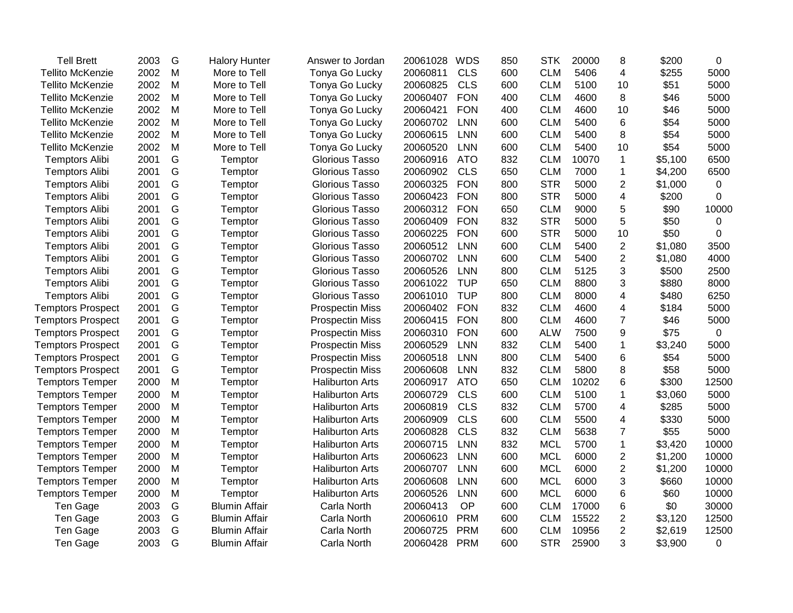| <b>Tell Brett</b>        | 2003 | G | <b>Halory Hunter</b> | Answer to Jordan       | 20061028 | <b>WDS</b> | 850 | <b>STK</b> | 20000 | 8              | \$200   | 0           |
|--------------------------|------|---|----------------------|------------------------|----------|------------|-----|------------|-------|----------------|---------|-------------|
| <b>Tellito McKenzie</b>  | 2002 | M | More to Tell         | Tonya Go Lucky         | 20060811 | <b>CLS</b> | 600 | <b>CLM</b> | 5406  | 4              | \$255   | 5000        |
| <b>Tellito McKenzie</b>  | 2002 | M | More to Tell         | Tonya Go Lucky         | 20060825 | <b>CLS</b> | 600 | <b>CLM</b> | 5100  | 10             | \$51    | 5000        |
| <b>Tellito McKenzie</b>  | 2002 | M | More to Tell         | Tonya Go Lucky         | 20060407 | <b>FON</b> | 400 | <b>CLM</b> | 4600  | 8              | \$46    | 5000        |
| <b>Tellito McKenzie</b>  | 2002 | M | More to Tell         | Tonya Go Lucky         | 20060421 | <b>FON</b> | 400 | <b>CLM</b> | 4600  | 10             | \$46    | 5000        |
| <b>Tellito McKenzie</b>  | 2002 | M | More to Tell         | Tonya Go Lucky         | 20060702 | <b>LNN</b> | 600 | <b>CLM</b> | 5400  | 6              | \$54    | 5000        |
| <b>Tellito McKenzie</b>  | 2002 | M | More to Tell         | Tonya Go Lucky         | 20060615 | <b>LNN</b> | 600 | <b>CLM</b> | 5400  | 8              | \$54    | 5000        |
| <b>Tellito McKenzie</b>  | 2002 | M | More to Tell         | Tonya Go Lucky         | 20060520 | <b>LNN</b> | 600 | <b>CLM</b> | 5400  | 10             | \$54    | 5000        |
| <b>Temptors Alibi</b>    | 2001 | G | Temptor              | <b>Glorious Tasso</b>  | 20060916 | <b>ATO</b> | 832 | <b>CLM</b> | 10070 | $\mathbf{1}$   | \$5,100 | 6500        |
| <b>Temptors Alibi</b>    | 2001 | G | Temptor              | <b>Glorious Tasso</b>  | 20060902 | <b>CLS</b> | 650 | <b>CLM</b> | 7000  | $\mathbf{1}$   | \$4,200 | 6500        |
| <b>Temptors Alibi</b>    | 2001 | G | Temptor              | Glorious Tasso         | 20060325 | <b>FON</b> | 800 | <b>STR</b> | 5000  | $\overline{2}$ | \$1,000 | $\mathbf 0$ |
| <b>Temptors Alibi</b>    | 2001 | G | Temptor              | Glorious Tasso         | 20060423 | <b>FON</b> | 800 | <b>STR</b> | 5000  | 4              | \$200   | 0           |
| <b>Temptors Alibi</b>    | 2001 | G | Temptor              | <b>Glorious Tasso</b>  | 20060312 | <b>FON</b> | 650 | <b>CLM</b> | 9000  | 5              | \$90    | 10000       |
| <b>Temptors Alibi</b>    | 2001 | G | Temptor              | <b>Glorious Tasso</b>  | 20060409 | <b>FON</b> | 832 | <b>STR</b> | 5000  | 5              | \$50    | 0           |
| <b>Temptors Alibi</b>    | 2001 | G | Temptor              | <b>Glorious Tasso</b>  | 20060225 | <b>FON</b> | 600 | <b>STR</b> | 5000  | 10             | \$50    | 0           |
| <b>Temptors Alibi</b>    | 2001 | G | Temptor              | <b>Glorious Tasso</b>  | 20060512 | <b>LNN</b> | 600 | <b>CLM</b> | 5400  | $\overline{2}$ | \$1,080 | 3500        |
| <b>Temptors Alibi</b>    | 2001 | G | Temptor              | <b>Glorious Tasso</b>  | 20060702 | <b>LNN</b> | 600 | <b>CLM</b> | 5400  | $\overline{c}$ | \$1,080 | 4000        |
| <b>Temptors Alibi</b>    | 2001 | G | Temptor              | <b>Glorious Tasso</b>  | 20060526 | <b>LNN</b> | 800 | <b>CLM</b> | 5125  | 3              | \$500   | 2500        |
| <b>Temptors Alibi</b>    | 2001 | G | Temptor              | <b>Glorious Tasso</b>  | 20061022 | <b>TUP</b> | 650 | <b>CLM</b> | 8800  | 3              | \$880   | 8000        |
| <b>Temptors Alibi</b>    | 2001 | G | Temptor              | <b>Glorious Tasso</b>  | 20061010 | <b>TUP</b> | 800 | <b>CLM</b> | 8000  | 4              | \$480   | 6250        |
| <b>Temptors Prospect</b> | 2001 | G | Temptor              | <b>Prospectin Miss</b> | 20060402 | <b>FON</b> | 832 | <b>CLM</b> | 4600  | 4              | \$184   | 5000        |
| <b>Temptors Prospect</b> | 2001 | G | Temptor              | <b>Prospectin Miss</b> | 20060415 | <b>FON</b> | 800 | <b>CLM</b> | 4600  | $\overline{7}$ | \$46    | 5000        |
| <b>Temptors Prospect</b> | 2001 | G | Temptor              | <b>Prospectin Miss</b> | 20060310 | <b>FON</b> | 600 | <b>ALW</b> | 7500  | 9              | \$75    | $\mathbf 0$ |
| <b>Temptors Prospect</b> | 2001 | G | Temptor              | <b>Prospectin Miss</b> | 20060529 | <b>LNN</b> | 832 | <b>CLM</b> | 5400  | $\mathbf{1}$   | \$3,240 | 5000        |
| <b>Temptors Prospect</b> | 2001 | G | Temptor              | <b>Prospectin Miss</b> | 20060518 | <b>LNN</b> | 800 | <b>CLM</b> | 5400  | 6              | \$54    | 5000        |
| <b>Temptors Prospect</b> | 2001 | G | Temptor              | <b>Prospectin Miss</b> | 20060608 | <b>LNN</b> | 832 | <b>CLM</b> | 5800  | 8              | \$58    | 5000        |
| <b>Temptors Temper</b>   | 2000 | M | Temptor              | <b>Haliburton Arts</b> | 20060917 | <b>ATO</b> | 650 | <b>CLM</b> | 10202 | 6              | \$300   | 12500       |
| <b>Temptors Temper</b>   | 2000 | M | Temptor              | <b>Haliburton Arts</b> | 20060729 | <b>CLS</b> | 600 | <b>CLM</b> | 5100  | 1              | \$3,060 | 5000        |
| <b>Temptors Temper</b>   | 2000 | M | Temptor              | <b>Haliburton Arts</b> | 20060819 | <b>CLS</b> | 832 | <b>CLM</b> | 5700  | 4              | \$285   | 5000        |
| <b>Temptors Temper</b>   | 2000 | M | Temptor              | <b>Haliburton Arts</b> | 20060909 | <b>CLS</b> | 600 | <b>CLM</b> | 5500  | 4              | \$330   | 5000        |
| <b>Temptors Temper</b>   | 2000 | M | Temptor              | <b>Haliburton Arts</b> | 20060828 | <b>CLS</b> | 832 | <b>CLM</b> | 5638  | $\overline{7}$ | \$55    | 5000        |
| <b>Temptors Temper</b>   | 2000 | M | Temptor              | <b>Haliburton Arts</b> | 20060715 | <b>LNN</b> | 832 | <b>MCL</b> | 5700  | $\mathbf{1}$   | \$3,420 | 10000       |
| <b>Temptors Temper</b>   | 2000 | M | Temptor              | <b>Haliburton Arts</b> | 20060623 | <b>LNN</b> | 600 | <b>MCL</b> | 6000  | $\overline{c}$ | \$1,200 | 10000       |
| <b>Temptors Temper</b>   | 2000 | M | Temptor              | <b>Haliburton Arts</b> | 20060707 | <b>LNN</b> | 600 | <b>MCL</b> | 6000  | $\overline{2}$ | \$1,200 | 10000       |
| <b>Temptors Temper</b>   | 2000 | M | Temptor              | <b>Haliburton Arts</b> | 20060608 | <b>LNN</b> | 600 | <b>MCL</b> | 6000  | 3              | \$660   | 10000       |
| <b>Temptors Temper</b>   | 2000 | M | Temptor              | <b>Haliburton Arts</b> | 20060526 | <b>LNN</b> | 600 | <b>MCL</b> | 6000  | 6              | \$60    | 10000       |
| Ten Gage                 | 2003 | G | <b>Blumin Affair</b> | Carla North            | 20060413 | OP         | 600 | <b>CLM</b> | 17000 | 6              | \$0     | 30000       |
| Ten Gage                 | 2003 | G | <b>Blumin Affair</b> | Carla North            | 20060610 | <b>PRM</b> | 600 | <b>CLM</b> | 15522 | $\overline{c}$ | \$3,120 | 12500       |
| Ten Gage                 | 2003 | G | <b>Blumin Affair</b> | Carla North            | 20060725 | <b>PRM</b> | 600 | <b>CLM</b> | 10956 | $\overline{2}$ | \$2,619 | 12500       |
| Ten Gage                 | 2003 | G | <b>Blumin Affair</b> | Carla North            | 20060428 | <b>PRM</b> | 600 | <b>STR</b> | 25900 | 3              | \$3,900 | 0           |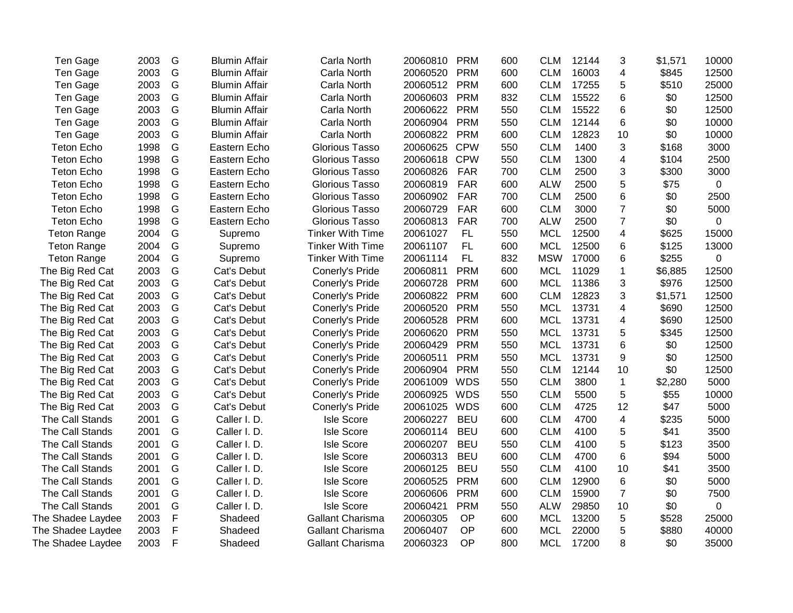| Ten Gage           | 2003 | G             | <b>Blumin Affair</b> | Carla North             | 20060810     | <b>PRM</b> | 600 | <b>CLM</b> | 12144 | 3                       | \$1,571 | 10000       |
|--------------------|------|---------------|----------------------|-------------------------|--------------|------------|-----|------------|-------|-------------------------|---------|-------------|
| Ten Gage           | 2003 | G             | <b>Blumin Affair</b> | Carla North             | 20060520     | <b>PRM</b> | 600 | <b>CLM</b> | 16003 | 4                       | \$845   | 12500       |
| Ten Gage           | 2003 | G             | <b>Blumin Affair</b> | Carla North             | 20060512     | <b>PRM</b> | 600 | <b>CLM</b> | 17255 | 5                       | \$510   | 25000       |
| Ten Gage           | 2003 | G             | <b>Blumin Affair</b> | Carla North             | 20060603     | <b>PRM</b> | 832 | <b>CLM</b> | 15522 | 6                       | \$0     | 12500       |
| Ten Gage           | 2003 | G             | <b>Blumin Affair</b> | Carla North             | 20060622 PRM |            | 550 | <b>CLM</b> | 15522 | 6                       | \$0     | 12500       |
| Ten Gage           | 2003 | G             | <b>Blumin Affair</b> | Carla North             | 20060904     | <b>PRM</b> | 550 | <b>CLM</b> | 12144 | 6                       | \$0     | 10000       |
| Ten Gage           | 2003 | ${\mathsf G}$ | <b>Blumin Affair</b> | Carla North             | 20060822     | <b>PRM</b> | 600 | <b>CLM</b> | 12823 | 10                      | \$0     | 10000       |
| <b>Teton Echo</b>  | 1998 | G             | Eastern Echo         | <b>Glorious Tasso</b>   | 20060625     | <b>CPW</b> | 550 | <b>CLM</b> | 1400  | 3                       | \$168   | 3000        |
| <b>Teton Echo</b>  | 1998 | G             | Eastern Echo         | <b>Glorious Tasso</b>   | 20060618     | <b>CPW</b> | 550 | <b>CLM</b> | 1300  | 4                       | \$104   | 2500        |
| <b>Teton Echo</b>  | 1998 | G             | Eastern Echo         | <b>Glorious Tasso</b>   | 20060826     | <b>FAR</b> | 700 | <b>CLM</b> | 2500  | 3                       | \$300   | 3000        |
| <b>Teton Echo</b>  | 1998 | G             | Eastern Echo         | <b>Glorious Tasso</b>   | 20060819     | <b>FAR</b> | 600 | <b>ALW</b> | 2500  | 5                       | \$75    | 0           |
| <b>Teton Echo</b>  | 1998 | G             | Eastern Echo         | Glorious Tasso          | 20060902     | <b>FAR</b> | 700 | <b>CLM</b> | 2500  | 6                       | \$0     | 2500        |
| <b>Teton Echo</b>  | 1998 | G             | Eastern Echo         | <b>Glorious Tasso</b>   | 20060729     | <b>FAR</b> | 600 | <b>CLM</b> | 3000  | $\overline{7}$          | \$0     | 5000        |
| <b>Teton Echo</b>  | 1998 | G             | Eastern Echo         | <b>Glorious Tasso</b>   | 20060813     | <b>FAR</b> | 700 | <b>ALW</b> | 2500  | $\overline{7}$          | \$0     | 0           |
| <b>Teton Range</b> | 2004 | G             | Supremo              | <b>Tinker With Time</b> | 20061027     | FL         | 550 | <b>MCL</b> | 12500 | $\overline{\mathbf{4}}$ | \$625   | 15000       |
| <b>Teton Range</b> | 2004 | G             | Supremo              | <b>Tinker With Time</b> | 20061107     | <b>FL</b>  | 600 | <b>MCL</b> | 12500 | 6                       | \$125   | 13000       |
| <b>Teton Range</b> | 2004 | ${\mathsf G}$ | Supremo              | <b>Tinker With Time</b> | 20061114     | <b>FL</b>  | 832 | <b>MSW</b> | 17000 | 6                       | \$255   | $\mathbf 0$ |
| The Big Red Cat    | 2003 | G             | Cat's Debut          | Conerly's Pride         | 20060811     | <b>PRM</b> | 600 | <b>MCL</b> | 11029 | $\mathbf{1}$            | \$6,885 | 12500       |
| The Big Red Cat    | 2003 | G             | Cat's Debut          | Conerly's Pride         | 20060728     | <b>PRM</b> | 600 | <b>MCL</b> | 11386 | 3                       | \$976   | 12500       |
| The Big Red Cat    | 2003 | G             | Cat's Debut          | Conerly's Pride         | 20060822     | <b>PRM</b> | 600 | <b>CLM</b> | 12823 | 3                       | \$1,571 | 12500       |
| The Big Red Cat    | 2003 | ${\mathsf G}$ | Cat's Debut          | Conerly's Pride         | 20060520     | <b>PRM</b> | 550 | <b>MCL</b> | 13731 | 4                       | \$690   | 12500       |
| The Big Red Cat    | 2003 | G             | Cat's Debut          | Conerly's Pride         | 20060528     | <b>PRM</b> | 600 | <b>MCL</b> | 13731 | 4                       | \$690   | 12500       |
| The Big Red Cat    | 2003 | ${\mathsf G}$ | Cat's Debut          | Conerly's Pride         | 20060620     | <b>PRM</b> | 550 | <b>MCL</b> | 13731 | 5                       | \$345   | 12500       |
| The Big Red Cat    | 2003 | ${\mathsf G}$ | Cat's Debut          | Conerly's Pride         | 20060429     | <b>PRM</b> | 550 | <b>MCL</b> | 13731 | 6                       | \$0     | 12500       |
| The Big Red Cat    | 2003 | G             | Cat's Debut          | Conerly's Pride         | 20060511     | <b>PRM</b> | 550 | <b>MCL</b> | 13731 | 9                       | \$0     | 12500       |
| The Big Red Cat    | 2003 | G             | Cat's Debut          | Conerly's Pride         | 20060904     | <b>PRM</b> | 550 | <b>CLM</b> | 12144 | 10                      | \$0     | 12500       |
| The Big Red Cat    | 2003 | G             | Cat's Debut          | Conerly's Pride         | 20061009     | WDS        | 550 | <b>CLM</b> | 3800  | $\mathbf{1}$            | \$2,280 | 5000        |
| The Big Red Cat    | 2003 | G             | Cat's Debut          | Conerly's Pride         | 20060925 WDS |            | 550 | <b>CLM</b> | 5500  | 5                       | \$55    | 10000       |
| The Big Red Cat    | 2003 | G             | Cat's Debut          | Conerly's Pride         | 20061025     | WDS        | 600 | <b>CLM</b> | 4725  | 12                      | \$47    | 5000        |
| The Call Stands    | 2001 | G             | Caller I. D.         | <b>Isle Score</b>       | 20060227     | <b>BEU</b> | 600 | <b>CLM</b> | 4700  | $\overline{\mathbf{4}}$ | \$235   | 5000        |
| The Call Stands    | 2001 | G             | Caller I. D.         | <b>Isle Score</b>       | 20060114     | <b>BEU</b> | 600 | <b>CLM</b> | 4100  | 5                       | \$41    | 3500        |
| The Call Stands    | 2001 | G             | Caller I.D.          | <b>Isle Score</b>       | 20060207     | <b>BEU</b> | 550 | <b>CLM</b> | 4100  | 5                       | \$123   | 3500        |
| The Call Stands    | 2001 | G             | Caller I. D.         | <b>Isle Score</b>       | 20060313     | <b>BEU</b> | 600 | <b>CLM</b> | 4700  | 6                       | \$94    | 5000        |
| The Call Stands    | 2001 | G             | Caller I. D.         | <b>Isle Score</b>       | 20060125     | <b>BEU</b> | 550 | <b>CLM</b> | 4100  | 10                      | \$41    | 3500        |
| The Call Stands    | 2001 | G             | Caller I. D.         | <b>Isle Score</b>       | 20060525     | <b>PRM</b> | 600 | <b>CLM</b> | 12900 | 6                       | \$0     | 5000        |
| The Call Stands    | 2001 | G             | Caller I. D.         | <b>Isle Score</b>       | 20060606     | <b>PRM</b> | 600 | <b>CLM</b> | 15900 | $\overline{7}$          | \$0     | 7500        |
| The Call Stands    | 2001 | G             | Caller I. D.         | <b>Isle Score</b>       | 20060421     | <b>PRM</b> | 550 | <b>ALW</b> | 29850 | 10                      | \$0     | 0           |
| The Shadee Laydee  | 2003 | F             | Shadeed              | Gallant Charisma        | 20060305     | OP         | 600 | <b>MCL</b> | 13200 | 5                       | \$528   | 25000       |
| The Shadee Laydee  | 2003 | F             | Shadeed              | <b>Gallant Charisma</b> | 20060407     | OP         | 600 | <b>MCL</b> | 22000 | 5                       | \$880   | 40000       |
| The Shadee Laydee  | 2003 | $\mathsf{F}$  | Shadeed              | <b>Gallant Charisma</b> | 20060323     | OP         | 800 | <b>MCL</b> | 17200 | 8                       | \$0     | 35000       |
|                    |      |               |                      |                         |              |            |     |            |       |                         |         |             |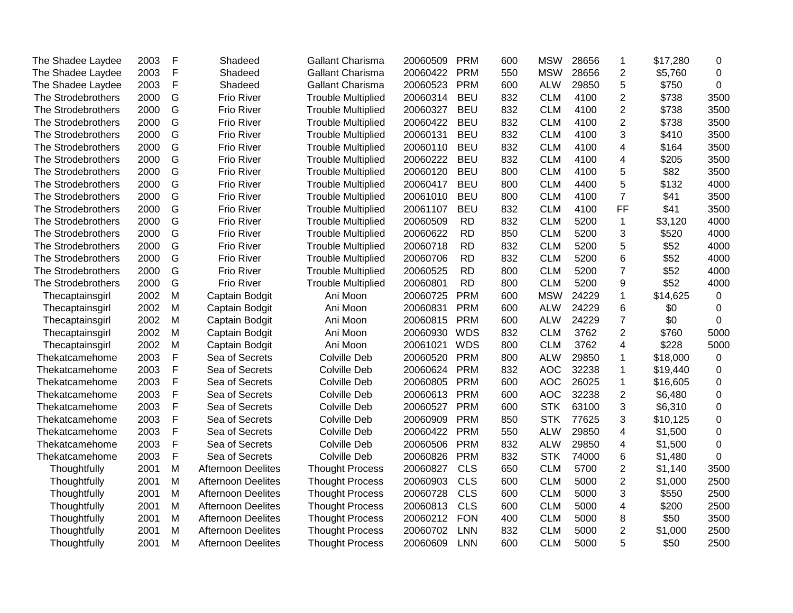| The Shadee Laydee  | 2003 | F            | Shadeed                   | Gallant Charisma          | 20060509 | <b>PRM</b> | 600 | <b>MSW</b> | 28656 | 1                       | \$17,280 | 0           |
|--------------------|------|--------------|---------------------------|---------------------------|----------|------------|-----|------------|-------|-------------------------|----------|-------------|
| The Shadee Laydee  | 2003 | F            | Shadeed                   | Gallant Charisma          | 20060422 | <b>PRM</b> | 550 | <b>MSW</b> | 28656 | $\overline{2}$          | \$5,760  | $\mathbf 0$ |
| The Shadee Laydee  | 2003 | F            | Shadeed                   | Gallant Charisma          | 20060523 | <b>PRM</b> | 600 | <b>ALW</b> | 29850 | 5                       | \$750    | 0           |
| The Strodebrothers | 2000 | G            | <b>Frio River</b>         | <b>Trouble Multiplied</b> | 20060314 | <b>BEU</b> | 832 | <b>CLM</b> | 4100  | $\overline{2}$          | \$738    | 3500        |
| The Strodebrothers | 2000 | G            | Frio River                | <b>Trouble Multiplied</b> | 20060327 | <b>BEU</b> | 832 | <b>CLM</b> | 4100  | $\overline{2}$          | \$738    | 3500        |
| The Strodebrothers | 2000 | G            | Frio River                | <b>Trouble Multiplied</b> | 20060422 | <b>BEU</b> | 832 | <b>CLM</b> | 4100  | $\overline{2}$          | \$738    | 3500        |
| The Strodebrothers | 2000 | G            | Frio River                | <b>Trouble Multiplied</b> | 20060131 | <b>BEU</b> | 832 | <b>CLM</b> | 4100  | 3                       | \$410    | 3500        |
| The Strodebrothers | 2000 | G            | Frio River                | <b>Trouble Multiplied</b> | 20060110 | <b>BEU</b> | 832 | <b>CLM</b> | 4100  | $\overline{\mathbf{4}}$ | \$164    | 3500        |
| The Strodebrothers | 2000 | G            | Frio River                | <b>Trouble Multiplied</b> | 20060222 | <b>BEU</b> | 832 | <b>CLM</b> | 4100  | 4                       | \$205    | 3500        |
| The Strodebrothers | 2000 | G            | Frio River                | <b>Trouble Multiplied</b> | 20060120 | <b>BEU</b> | 800 | <b>CLM</b> | 4100  | 5                       | \$82     | 3500        |
| The Strodebrothers | 2000 | G            | Frio River                | <b>Trouble Multiplied</b> | 20060417 | <b>BEU</b> | 800 | <b>CLM</b> | 4400  | 5                       | \$132    | 4000        |
| The Strodebrothers | 2000 | G            | <b>Frio River</b>         | <b>Trouble Multiplied</b> | 20061010 | <b>BEU</b> | 800 | <b>CLM</b> | 4100  | $\overline{7}$          | \$41     | 3500        |
| The Strodebrothers | 2000 | G            | Frio River                | <b>Trouble Multiplied</b> | 20061107 | <b>BEU</b> | 832 | <b>CLM</b> | 4100  | FF                      | \$41     | 3500        |
| The Strodebrothers | 2000 | G            | Frio River                | <b>Trouble Multiplied</b> | 20060509 | <b>RD</b>  | 832 | <b>CLM</b> | 5200  | $\mathbf 1$             | \$3,120  | 4000        |
| The Strodebrothers | 2000 | G            | Frio River                | <b>Trouble Multiplied</b> | 20060622 | <b>RD</b>  | 850 | <b>CLM</b> | 5200  | 3                       | \$520    | 4000        |
| The Strodebrothers | 2000 | G            | Frio River                | <b>Trouble Multiplied</b> | 20060718 | <b>RD</b>  | 832 | <b>CLM</b> | 5200  | 5                       | \$52     | 4000        |
| The Strodebrothers | 2000 | G            | <b>Frio River</b>         | <b>Trouble Multiplied</b> | 20060706 | <b>RD</b>  | 832 | <b>CLM</b> | 5200  | 6                       | \$52     | 4000        |
| The Strodebrothers | 2000 | G            | <b>Frio River</b>         | <b>Trouble Multiplied</b> | 20060525 | <b>RD</b>  | 800 | <b>CLM</b> | 5200  | $\overline{7}$          | \$52     | 4000        |
| The Strodebrothers | 2000 | G            | Frio River                | <b>Trouble Multiplied</b> | 20060801 | <b>RD</b>  | 800 | <b>CLM</b> | 5200  | 9                       | \$52     | 4000        |
| Thecaptainsgirl    | 2002 | M            | Captain Bodgit            | Ani Moon                  | 20060725 | <b>PRM</b> | 600 | <b>MSW</b> | 24229 | 1                       | \$14,625 | 0           |
| Thecaptainsgirl    | 2002 | M            | Captain Bodgit            | Ani Moon                  | 20060831 | <b>PRM</b> | 600 | <b>ALW</b> | 24229 | 6                       | \$0      | $\Omega$    |
| Thecaptainsgirl    | 2002 | M            | Captain Bodgit            | Ani Moon                  | 20060815 | <b>PRM</b> | 600 | <b>ALW</b> | 24229 | $\overline{7}$          | \$0      | 0           |
| Thecaptainsgirl    | 2002 | M            | Captain Bodgit            | Ani Moon                  | 20060930 | <b>WDS</b> | 832 | <b>CLM</b> | 3762  | $\overline{2}$          | \$760    | 5000        |
| Thecaptainsgirl    | 2002 | M            | Captain Bodgit            | Ani Moon                  | 20061021 | <b>WDS</b> | 800 | <b>CLM</b> | 3762  | 4                       | \$228    | 5000        |
| Thekatcamehome     | 2003 | $\mathsf{F}$ | Sea of Secrets            | Colville Deb              | 20060520 | <b>PRM</b> | 800 | <b>ALW</b> | 29850 | $\mathbf{1}$            | \$18,000 | 0           |
| Thekatcamehome     | 2003 | F            | Sea of Secrets            | Colville Deb              | 20060624 | <b>PRM</b> | 832 | <b>AOC</b> | 32238 | 1                       | \$19,440 | 0           |
| Thekatcamehome     | 2003 | F            | Sea of Secrets            | Colville Deb              | 20060805 | <b>PRM</b> | 600 | <b>AOC</b> | 26025 | $\mathbf{1}$            | \$16,605 | 0           |
| Thekatcamehome     | 2003 | F            | Sea of Secrets            | Colville Deb              | 20060613 | <b>PRM</b> | 600 | <b>AOC</b> | 32238 | $\overline{2}$          | \$6,480  | $\mathbf 0$ |
| Thekatcamehome     | 2003 | F            | Sea of Secrets            | Colville Deb              | 20060527 | <b>PRM</b> | 600 | <b>STK</b> | 63100 | 3                       | \$6,310  | $\mathbf 0$ |
| Thekatcamehome     | 2003 | F            | Sea of Secrets            | Colville Deb              | 20060909 | <b>PRM</b> | 850 | <b>STK</b> | 77625 | 3                       | \$10,125 | $\mathbf 0$ |
| Thekatcamehome     | 2003 | F            | Sea of Secrets            | Colville Deb              | 20060422 | <b>PRM</b> | 550 | <b>ALW</b> | 29850 | 4                       | \$1,500  | 0           |
| Thekatcamehome     | 2003 | F            | Sea of Secrets            | <b>Colville Deb</b>       | 20060506 | <b>PRM</b> | 832 | <b>ALW</b> | 29850 | 4                       | \$1,500  | 0           |
| Thekatcamehome     | 2003 | F            | Sea of Secrets            | <b>Colville Deb</b>       | 20060826 | <b>PRM</b> | 832 | <b>STK</b> | 74000 | 6                       | \$1,480  | $\Omega$    |
| Thoughtfully       | 2001 | M            | <b>Afternoon Deelites</b> | <b>Thought Process</b>    | 20060827 | <b>CLS</b> | 650 | <b>CLM</b> | 5700  | $\overline{2}$          | \$1,140  | 3500        |
| Thoughtfully       | 2001 | M            | <b>Afternoon Deelites</b> | <b>Thought Process</b>    | 20060903 | <b>CLS</b> | 600 | <b>CLM</b> | 5000  | $\overline{2}$          | \$1,000  | 2500        |
| Thoughtfully       | 2001 | M            | <b>Afternoon Deelites</b> | <b>Thought Process</b>    | 20060728 | <b>CLS</b> | 600 | <b>CLM</b> | 5000  | 3                       | \$550    | 2500        |
| Thoughtfully       | 2001 | M            | <b>Afternoon Deelites</b> | <b>Thought Process</b>    | 20060813 | <b>CLS</b> | 600 | <b>CLM</b> | 5000  | 4                       | \$200    | 2500        |
| Thoughtfully       | 2001 | M            | <b>Afternoon Deelites</b> | <b>Thought Process</b>    | 20060212 | <b>FON</b> | 400 | <b>CLM</b> | 5000  | 8                       | \$50     | 3500        |
| Thoughtfully       | 2001 | M            | <b>Afternoon Deelites</b> | <b>Thought Process</b>    | 20060702 | <b>LNN</b> | 832 | <b>CLM</b> | 5000  | $\overline{2}$          | \$1,000  | 2500        |
| Thoughtfully       | 2001 | M            | Afternoon Deelites        | <b>Thought Process</b>    | 20060609 | <b>LNN</b> | 600 | <b>CLM</b> | 5000  | 5                       | \$50     | 2500        |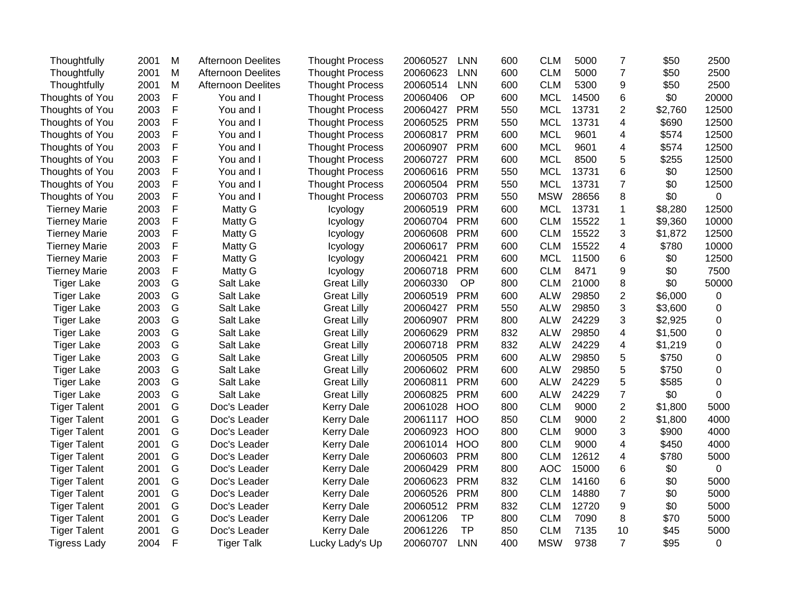| Thoughtfully         | 2001 | M            | <b>Afternoon Deelites</b> | <b>Thought Process</b> | 20060527 | <b>LNN</b> | 600 | <b>CLM</b> | 5000  | $\overline{7}$          | \$50    | 2500        |
|----------------------|------|--------------|---------------------------|------------------------|----------|------------|-----|------------|-------|-------------------------|---------|-------------|
| Thoughtfully         | 2001 | M            | <b>Afternoon Deelites</b> | <b>Thought Process</b> | 20060623 | <b>LNN</b> | 600 | <b>CLM</b> | 5000  | $\overline{7}$          | \$50    | 2500        |
| Thoughtfully         | 2001 | M            | <b>Afternoon Deelites</b> | <b>Thought Process</b> | 20060514 | <b>LNN</b> | 600 | <b>CLM</b> | 5300  | 9                       | \$50    | 2500        |
| Thoughts of You      | 2003 | F            | You and I                 | <b>Thought Process</b> | 20060406 | OP         | 600 | <b>MCL</b> | 14500 | 6                       | \$0     | 20000       |
| Thoughts of You      | 2003 | F            | You and I                 | <b>Thought Process</b> | 20060427 | <b>PRM</b> | 550 | <b>MCL</b> | 13731 | $\overline{2}$          | \$2,760 | 12500       |
| Thoughts of You      | 2003 | F            | You and I                 | <b>Thought Process</b> | 20060525 | <b>PRM</b> | 550 | <b>MCL</b> | 13731 | 4                       | \$690   | 12500       |
| Thoughts of You      | 2003 | F            | You and I                 | <b>Thought Process</b> | 20060817 | <b>PRM</b> | 600 | <b>MCL</b> | 9601  | 4                       | \$574   | 12500       |
| Thoughts of You      | 2003 | F            | You and I                 | <b>Thought Process</b> | 20060907 | <b>PRM</b> | 600 | <b>MCL</b> | 9601  | 4                       | \$574   | 12500       |
| Thoughts of You      | 2003 | F            | You and I                 | <b>Thought Process</b> | 20060727 | <b>PRM</b> | 600 | <b>MCL</b> | 8500  | 5                       | \$255   | 12500       |
| Thoughts of You      | 2003 | F            | You and I                 | <b>Thought Process</b> | 20060616 | <b>PRM</b> | 550 | <b>MCL</b> | 13731 | 6                       | \$0     | 12500       |
| Thoughts of You      | 2003 | F            | You and I                 | <b>Thought Process</b> | 20060504 | <b>PRM</b> | 550 | <b>MCL</b> | 13731 | $\overline{7}$          | \$0     | 12500       |
| Thoughts of You      | 2003 | F            | You and I                 | <b>Thought Process</b> | 20060703 | <b>PRM</b> | 550 | <b>MSW</b> | 28656 | 8                       | \$0     | 0           |
| <b>Tierney Marie</b> | 2003 | F            | Matty G                   | Icyology               | 20060519 | <b>PRM</b> | 600 | <b>MCL</b> | 13731 | 1                       | \$8,280 | 12500       |
| <b>Tierney Marie</b> | 2003 | F            | Matty G                   | Icyology               | 20060704 | <b>PRM</b> | 600 | <b>CLM</b> | 15522 | 1                       | \$9,360 | 10000       |
| <b>Tierney Marie</b> | 2003 | F            | Matty G                   | Icyology               | 20060608 | <b>PRM</b> | 600 | <b>CLM</b> | 15522 | 3                       | \$1,872 | 12500       |
| <b>Tierney Marie</b> | 2003 | F            | Matty G                   | Icyology               | 20060617 | <b>PRM</b> | 600 | <b>CLM</b> | 15522 | $\overline{\mathbf{4}}$ | \$780   | 10000       |
| <b>Tierney Marie</b> | 2003 | F            | Matty G                   | Icyology               | 20060421 | <b>PRM</b> | 600 | <b>MCL</b> | 11500 | 6                       | \$0     | 12500       |
| <b>Tierney Marie</b> | 2003 | F            | Matty G                   | Icyology               | 20060718 | <b>PRM</b> | 600 | <b>CLM</b> | 8471  | 9                       | \$0     | 7500        |
| <b>Tiger Lake</b>    | 2003 | G            | Salt Lake                 | <b>Great Lilly</b>     | 20060330 | OP         | 800 | <b>CLM</b> | 21000 | 8                       | \$0     | 50000       |
| <b>Tiger Lake</b>    | 2003 | G            | Salt Lake                 | <b>Great Lilly</b>     | 20060519 | <b>PRM</b> | 600 | <b>ALW</b> | 29850 | $\overline{2}$          | \$6,000 | 0           |
| Tiger Lake           | 2003 | G            | Salt Lake                 | <b>Great Lilly</b>     | 20060427 | <b>PRM</b> | 550 | <b>ALW</b> | 29850 | 3                       | \$3,600 | 0           |
| <b>Tiger Lake</b>    | 2003 | G            | Salt Lake                 | <b>Great Lilly</b>     | 20060907 | <b>PRM</b> | 800 | <b>ALW</b> | 24229 | 3                       | \$2,925 | 0           |
| <b>Tiger Lake</b>    | 2003 | G            | Salt Lake                 | <b>Great Lilly</b>     | 20060629 | <b>PRM</b> | 832 | <b>ALW</b> | 29850 | 4                       | \$1,500 | 0           |
| <b>Tiger Lake</b>    | 2003 | G            | Salt Lake                 | <b>Great Lilly</b>     | 20060718 | <b>PRM</b> | 832 | <b>ALW</b> | 24229 | 4                       | \$1,219 | 0           |
| <b>Tiger Lake</b>    | 2003 | G            | Salt Lake                 | <b>Great Lilly</b>     | 20060505 | <b>PRM</b> | 600 | <b>ALW</b> | 29850 | 5                       | \$750   | 0           |
| <b>Tiger Lake</b>    | 2003 | G            | Salt Lake                 | <b>Great Lilly</b>     | 20060602 | <b>PRM</b> | 600 | <b>ALW</b> | 29850 | 5                       | \$750   | 0           |
| <b>Tiger Lake</b>    | 2003 | G            | Salt Lake                 | <b>Great Lilly</b>     | 20060811 | <b>PRM</b> | 600 | <b>ALW</b> | 24229 | 5                       | \$585   | 0           |
| <b>Tiger Lake</b>    | 2003 | G            | Salt Lake                 | <b>Great Lilly</b>     | 20060825 | <b>PRM</b> | 600 | <b>ALW</b> | 24229 | $\overline{7}$          | \$0     | 0           |
| <b>Tiger Talent</b>  | 2001 | G            | Doc's Leader              | <b>Kerry Dale</b>      | 20061028 | <b>HOO</b> | 800 | <b>CLM</b> | 9000  | $\overline{2}$          | \$1,800 | 5000        |
| <b>Tiger Talent</b>  | 2001 | G            | Doc's Leader              | <b>Kerry Dale</b>      | 20061117 | <b>HOO</b> | 850 | <b>CLM</b> | 9000  | $\overline{2}$          | \$1,800 | 4000        |
| <b>Tiger Talent</b>  | 2001 | G            | Doc's Leader              | <b>Kerry Dale</b>      | 20060923 | <b>HOO</b> | 800 | <b>CLM</b> | 9000  | 3                       | \$900   | 4000        |
| <b>Tiger Talent</b>  | 2001 | G            | Doc's Leader              | <b>Kerry Dale</b>      | 20061014 | <b>HOO</b> | 800 | <b>CLM</b> | 9000  | 4                       | \$450   | 4000        |
| <b>Tiger Talent</b>  | 2001 | G            | Doc's Leader              | <b>Kerry Dale</b>      | 20060603 | <b>PRM</b> | 800 | <b>CLM</b> | 12612 | $\overline{\mathbf{4}}$ | \$780   | 5000        |
| <b>Tiger Talent</b>  | 2001 | G            | Doc's Leader              | <b>Kerry Dale</b>      | 20060429 | <b>PRM</b> | 800 | <b>AOC</b> | 15000 | 6                       | \$0     | $\mathbf 0$ |
| <b>Tiger Talent</b>  | 2001 | G            | Doc's Leader              | <b>Kerry Dale</b>      | 20060623 | <b>PRM</b> | 832 | <b>CLM</b> | 14160 | 6                       | \$0     | 5000        |
| <b>Tiger Talent</b>  | 2001 | G            | Doc's Leader              | <b>Kerry Dale</b>      | 20060526 | <b>PRM</b> | 800 | <b>CLM</b> | 14880 | $\overline{7}$          | \$0     | 5000        |
| <b>Tiger Talent</b>  | 2001 | G            | Doc's Leader              | <b>Kerry Dale</b>      | 20060512 | <b>PRM</b> | 832 | <b>CLM</b> | 12720 | 9                       | \$0     | 5000        |
| <b>Tiger Talent</b>  | 2001 | G            | Doc's Leader              | <b>Kerry Dale</b>      | 20061206 | <b>TP</b>  | 800 | <b>CLM</b> | 7090  | 8                       | \$70    | 5000        |
| <b>Tiger Talent</b>  | 2001 | G            | Doc's Leader              | <b>Kerry Dale</b>      | 20061226 | <b>TP</b>  | 850 | <b>CLM</b> | 7135  | 10                      | \$45    | 5000        |
| <b>Tigress Lady</b>  | 2004 | $\mathsf{F}$ | <b>Tiger Talk</b>         | Lucky Lady's Up        | 20060707 | LNN        | 400 | <b>MSW</b> | 9738  | $\overline{7}$          | \$95    | 0           |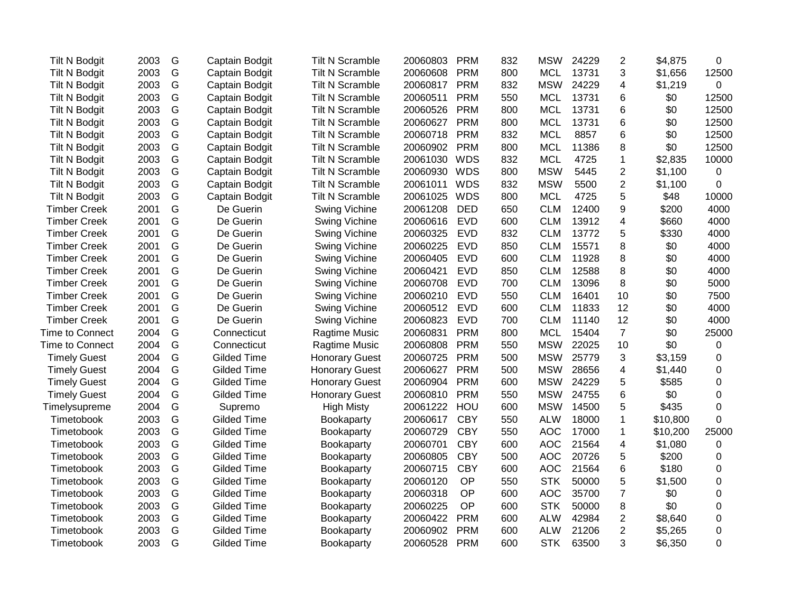| Tilt N Bodgit          | 2003 | G | Captain Bodgit     | <b>Tilt N Scramble</b> | 20060803 | <b>PRM</b> | 832 | <b>MSW</b> | 24229 | $\overline{2}$ | \$4,875  | 0        |
|------------------------|------|---|--------------------|------------------------|----------|------------|-----|------------|-------|----------------|----------|----------|
| <b>Tilt N Bodgit</b>   | 2003 | G | Captain Bodgit     | <b>Tilt N Scramble</b> | 20060608 | <b>PRM</b> | 800 | <b>MCL</b> | 13731 | 3              | \$1,656  | 12500    |
| Tilt N Bodgit          | 2003 | G | Captain Bodgit     | <b>Tilt N Scramble</b> | 20060817 | <b>PRM</b> | 832 | <b>MSW</b> | 24229 | 4              | \$1,219  | 0        |
| Tilt N Bodgit          | 2003 | G | Captain Bodgit     | <b>Tilt N Scramble</b> | 20060511 | <b>PRM</b> | 550 | <b>MCL</b> | 13731 | 6              | \$0      | 12500    |
| <b>Tilt N Bodgit</b>   | 2003 | G | Captain Bodgit     | <b>Tilt N Scramble</b> | 20060526 | <b>PRM</b> | 800 | <b>MCL</b> | 13731 | 6              | \$0      | 12500    |
| Tilt N Bodgit          | 2003 | G | Captain Bodgit     | <b>Tilt N Scramble</b> | 20060627 | <b>PRM</b> | 800 | <b>MCL</b> | 13731 | 6              | \$0      | 12500    |
| Tilt N Bodgit          | 2003 | G | Captain Bodgit     | <b>Tilt N Scramble</b> | 20060718 | <b>PRM</b> | 832 | <b>MCL</b> | 8857  | 6              | \$0      | 12500    |
| <b>Tilt N Bodgit</b>   | 2003 | G | Captain Bodgit     | <b>Tilt N Scramble</b> | 20060902 | PRM        | 800 | <b>MCL</b> | 11386 | 8              | \$0      | 12500    |
| <b>Tilt N Bodgit</b>   | 2003 | G | Captain Bodgit     | <b>Tilt N Scramble</b> | 20061030 | <b>WDS</b> | 832 | <b>MCL</b> | 4725  | $\mathbf{1}$   | \$2,835  | 10000    |
| <b>Tilt N Bodgit</b>   | 2003 | G | Captain Bodgit     | <b>Tilt N Scramble</b> | 20060930 | <b>WDS</b> | 800 | <b>MSW</b> | 5445  | $\overline{2}$ | \$1,100  | 0        |
| Tilt N Bodgit          | 2003 | G | Captain Bodgit     | <b>Tilt N Scramble</b> | 20061011 | <b>WDS</b> | 832 | <b>MSW</b> | 5500  | $\overline{2}$ | \$1,100  | $\Omega$ |
| Tilt N Bodgit          | 2003 | G | Captain Bodgit     | <b>Tilt N Scramble</b> | 20061025 | <b>WDS</b> | 800 | <b>MCL</b> | 4725  | 5              | \$48     | 10000    |
| <b>Timber Creek</b>    | 2001 | G | De Guerin          | Swing Vichine          | 20061208 | <b>DED</b> | 650 | <b>CLM</b> | 12400 | 9              | \$200    | 4000     |
| <b>Timber Creek</b>    | 2001 | G | De Guerin          | Swing Vichine          | 20060616 | <b>EVD</b> | 600 | <b>CLM</b> | 13912 | 4              | \$660    | 4000     |
| <b>Timber Creek</b>    | 2001 | G | De Guerin          | Swing Vichine          | 20060325 | <b>EVD</b> | 832 | <b>CLM</b> | 13772 | 5              | \$330    | 4000     |
| <b>Timber Creek</b>    | 2001 | G | De Guerin          | Swing Vichine          | 20060225 | <b>EVD</b> | 850 | <b>CLM</b> | 15571 | 8              | \$0      | 4000     |
| <b>Timber Creek</b>    | 2001 | G | De Guerin          | <b>Swing Vichine</b>   | 20060405 | <b>EVD</b> | 600 | <b>CLM</b> | 11928 | 8              | \$0      | 4000     |
| <b>Timber Creek</b>    | 2001 | G | De Guerin          | Swing Vichine          | 20060421 | <b>EVD</b> | 850 | <b>CLM</b> | 12588 | 8              | \$0      | 4000     |
| <b>Timber Creek</b>    | 2001 | G | De Guerin          | Swing Vichine          | 20060708 | <b>EVD</b> | 700 | <b>CLM</b> | 13096 | 8              | \$0      | 5000     |
| <b>Timber Creek</b>    | 2001 | G | De Guerin          | Swing Vichine          | 20060210 | <b>EVD</b> | 550 | <b>CLM</b> | 16401 | 10             | \$0      | 7500     |
| <b>Timber Creek</b>    | 2001 | G | De Guerin          | Swing Vichine          | 20060512 | <b>EVD</b> | 600 | <b>CLM</b> | 11833 | 12             | \$0      | 4000     |
| <b>Timber Creek</b>    | 2001 | G | De Guerin          | Swing Vichine          | 20060823 | <b>EVD</b> | 700 | <b>CLM</b> | 11140 | 12             | \$0      | 4000     |
| Time to Connect        | 2004 | G | Connecticut        | Ragtime Music          | 20060831 | <b>PRM</b> | 800 | <b>MCL</b> | 15404 | $\overline{7}$ | \$0      | 25000    |
| <b>Time to Connect</b> | 2004 | G | Connecticut        | Ragtime Music          | 20060808 | <b>PRM</b> | 550 | <b>MSW</b> | 22025 | 10             | \$0      | 0        |
| <b>Timely Guest</b>    | 2004 | G | <b>Gilded Time</b> | <b>Honorary Guest</b>  | 20060725 | <b>PRM</b> | 500 | <b>MSW</b> | 25779 | 3              | \$3,159  | 0        |
| <b>Timely Guest</b>    | 2004 | G | <b>Gilded Time</b> | <b>Honorary Guest</b>  | 20060627 | <b>PRM</b> | 500 | <b>MSW</b> | 28656 | 4              | \$1,440  | 0        |
| <b>Timely Guest</b>    | 2004 | G | <b>Gilded Time</b> | <b>Honorary Guest</b>  | 20060904 | <b>PRM</b> | 600 | <b>MSW</b> | 24229 | 5              | \$585    | 0        |
| <b>Timely Guest</b>    | 2004 | G | <b>Gilded Time</b> | <b>Honorary Guest</b>  | 20060810 | <b>PRM</b> | 550 | <b>MSW</b> | 24755 | 6              | \$0      | 0        |
| Timelysupreme          | 2004 | G | Supremo            | <b>High Misty</b>      | 20061222 | HOU        | 600 | <b>MSW</b> | 14500 | 5              | \$435    | 0        |
| Timetobook             | 2003 | G | <b>Gilded Time</b> | Bookaparty             | 20060617 | <b>CBY</b> | 550 | <b>ALW</b> | 18000 | $\mathbf 1$    | \$10,800 | 0        |
| Timetobook             | 2003 | G | <b>Gilded Time</b> | Bookaparty             | 20060729 | <b>CBY</b> | 550 | <b>AOC</b> | 17000 | $\mathbf{1}$   | \$10,200 | 25000    |
| Timetobook             | 2003 | G | <b>Gilded Time</b> | Bookaparty             | 20060701 | <b>CBY</b> | 600 | <b>AOC</b> | 21564 | 4              | \$1,080  | 0        |
| Timetobook             | 2003 | G | <b>Gilded Time</b> | Bookaparty             | 20060805 | <b>CBY</b> | 500 | <b>AOC</b> | 20726 | 5              | \$200    | 0        |
| Timetobook             | 2003 | G | <b>Gilded Time</b> | Bookaparty             | 20060715 | <b>CBY</b> | 600 | <b>AOC</b> | 21564 | 6              | \$180    | 0        |
| Timetobook             | 2003 | G | <b>Gilded Time</b> | <b>Bookaparty</b>      | 20060120 | OP         | 550 | <b>STK</b> | 50000 | 5              | \$1,500  | 0        |
| Timetobook             | 2003 | G | <b>Gilded Time</b> | <b>Bookaparty</b>      | 20060318 | OP         | 600 | <b>AOC</b> | 35700 | $\overline{7}$ | \$0      | 0        |
| Timetobook             | 2003 | G | <b>Gilded Time</b> | Bookaparty             | 20060225 | OP         | 600 | <b>STK</b> | 50000 | 8              | \$0      | 0        |
| Timetobook             | 2003 | G | <b>Gilded Time</b> | Bookaparty             | 20060422 | <b>PRM</b> | 600 | <b>ALW</b> | 42984 | $\overline{c}$ | \$8,640  | 0        |
| Timetobook             | 2003 | G | Gilded Time        | Bookaparty             | 20060902 | <b>PRM</b> | 600 | <b>ALW</b> | 21206 | $\overline{2}$ | \$5,265  | 0        |
| Timetobook             | 2003 | G | <b>Gilded Time</b> | Bookaparty             | 20060528 | <b>PRM</b> | 600 | <b>STK</b> | 63500 | 3              | \$6,350  | 0        |
|                        |      |   |                    |                        |          |            |     |            |       |                |          |          |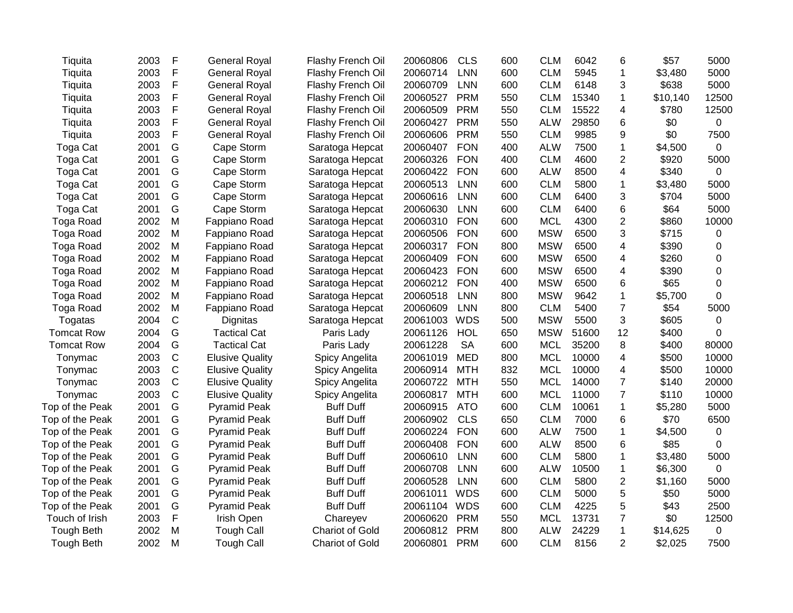| Tiquita           | 2003 | F            | <b>General Royal</b>   | Flashy French Oil      | 20060806 | <b>CLS</b> | 600 | <b>CLM</b> | 6042  | 6                       | \$57     | 5000        |
|-------------------|------|--------------|------------------------|------------------------|----------|------------|-----|------------|-------|-------------------------|----------|-------------|
| Tiquita           | 2003 | $\mathsf{F}$ | <b>General Royal</b>   | Flashy French Oil      | 20060714 | <b>LNN</b> | 600 | <b>CLM</b> | 5945  | $\mathbf{1}$            | \$3,480  | 5000        |
| Tiquita           | 2003 | F            | <b>General Royal</b>   | Flashy French Oil      | 20060709 | <b>LNN</b> | 600 | <b>CLM</b> | 6148  | 3                       | \$638    | 5000        |
| Tiquita           | 2003 | F            | <b>General Royal</b>   | Flashy French Oil      | 20060527 | <b>PRM</b> | 550 | <b>CLM</b> | 15340 | $\mathbf{1}$            | \$10,140 | 12500       |
| Tiquita           | 2003 | F            | <b>General Royal</b>   | Flashy French Oil      | 20060509 | <b>PRM</b> | 550 | <b>CLM</b> | 15522 | 4                       | \$780    | 12500       |
| Tiquita           | 2003 | F            | <b>General Royal</b>   | Flashy French Oil      | 20060427 | <b>PRM</b> | 550 | <b>ALW</b> | 29850 | 6                       | \$0      | 0           |
| Tiquita           | 2003 | F            | <b>General Royal</b>   | Flashy French Oil      | 20060606 | <b>PRM</b> | 550 | <b>CLM</b> | 9985  | 9                       | \$0      | 7500        |
| Toga Cat          | 2001 | G            | Cape Storm             | Saratoga Hepcat        | 20060407 | <b>FON</b> | 400 | <b>ALW</b> | 7500  | $\mathbf 1$             | \$4,500  | $\mathbf 0$ |
| Toga Cat          | 2001 | G            | Cape Storm             | Saratoga Hepcat        | 20060326 | <b>FON</b> | 400 | <b>CLM</b> | 4600  | $\overline{2}$          | \$920    | 5000        |
| Toga Cat          | 2001 | G            | Cape Storm             | Saratoga Hepcat        | 20060422 | <b>FON</b> | 600 | <b>ALW</b> | 8500  | 4                       | \$340    | $\mathbf 0$ |
| Toga Cat          | 2001 | G            | Cape Storm             | Saratoga Hepcat        | 20060513 | <b>LNN</b> | 600 | <b>CLM</b> | 5800  | $\mathbf 1$             | \$3,480  | 5000        |
| Toga Cat          | 2001 | G            | Cape Storm             | Saratoga Hepcat        | 20060616 | <b>LNN</b> | 600 | <b>CLM</b> | 6400  | 3                       | \$704    | 5000        |
| Toga Cat          | 2001 | G            | Cape Storm             | Saratoga Hepcat        | 20060630 | <b>LNN</b> | 600 | <b>CLM</b> | 6400  | 6                       | \$64     | 5000        |
| Toga Road         | 2002 | M            | Fappiano Road          | Saratoga Hepcat        | 20060310 | <b>FON</b> | 600 | <b>MCL</b> | 4300  | $\overline{\mathbf{c}}$ | \$860    | 10000       |
| Toga Road         | 2002 | M            | Fappiano Road          | Saratoga Hepcat        | 20060506 | <b>FON</b> | 600 | <b>MSW</b> | 6500  | 3                       | \$715    | 0           |
| Toga Road         | 2002 | M            | Fappiano Road          | Saratoga Hepcat        | 20060317 | <b>FON</b> | 800 | <b>MSW</b> | 6500  | 4                       | \$390    | 0           |
| Toga Road         | 2002 | M            | Fappiano Road          | Saratoga Hepcat        | 20060409 | <b>FON</b> | 600 | <b>MSW</b> | 6500  | 4                       | \$260    | 0           |
| Toga Road         | 2002 | M            | Fappiano Road          | Saratoga Hepcat        | 20060423 | <b>FON</b> | 600 | <b>MSW</b> | 6500  | 4                       | \$390    | 0           |
| Toga Road         | 2002 | M            | Fappiano Road          | Saratoga Hepcat        | 20060212 | <b>FON</b> | 400 | <b>MSW</b> | 6500  | 6                       | \$65     | 0           |
| Toga Road         | 2002 | M            | Fappiano Road          | Saratoga Hepcat        | 20060518 | <b>LNN</b> | 800 | <b>MSW</b> | 9642  | 1                       | \$5,700  | 0           |
| Toga Road         | 2002 | M            | Fappiano Road          | Saratoga Hepcat        | 20060609 | <b>LNN</b> | 800 | <b>CLM</b> | 5400  | 7                       | \$54     | 5000        |
| Togatas           | 2004 | $\mathsf{C}$ | Dignitas               | Saratoga Hepcat        | 20061003 | <b>WDS</b> | 500 | <b>MSW</b> | 5500  | 3                       | \$605    | 0           |
| <b>Tomcat Row</b> | 2004 | G            | <b>Tactical Cat</b>    | Paris Lady             | 20061126 | <b>HOL</b> | 650 | <b>MSW</b> | 51600 | 12                      | \$400    | 0           |
| <b>Tomcat Row</b> | 2004 | G            | <b>Tactical Cat</b>    | Paris Lady             | 20061228 | <b>SA</b>  | 600 | <b>MCL</b> | 35200 | 8                       | \$400    | 80000       |
| Tonymac           | 2003 | $\mathsf{C}$ | <b>Elusive Quality</b> | Spicy Angelita         | 20061019 | <b>MED</b> | 800 | <b>MCL</b> | 10000 | 4                       | \$500    | 10000       |
| Tonymac           | 2003 | $\mathsf{C}$ | <b>Elusive Quality</b> | Spicy Angelita         | 20060914 | <b>MTH</b> | 832 | <b>MCL</b> | 10000 | 4                       | \$500    | 10000       |
| Tonymac           | 2003 | $\mathsf{C}$ | <b>Elusive Quality</b> | Spicy Angelita         | 20060722 | <b>MTH</b> | 550 | <b>MCL</b> | 14000 | $\overline{7}$          | \$140    | 20000       |
| Tonymac           | 2003 | $\mathsf{C}$ | <b>Elusive Quality</b> | Spicy Angelita         | 20060817 | <b>MTH</b> | 600 | <b>MCL</b> | 11000 | $\overline{7}$          | \$110    | 10000       |
| Top of the Peak   | 2001 | G            | <b>Pyramid Peak</b>    | <b>Buff Duff</b>       | 20060915 | <b>ATO</b> | 600 | <b>CLM</b> | 10061 | $\mathbf 1$             | \$5,280  | 5000        |
| Top of the Peak   | 2001 | G            | <b>Pyramid Peak</b>    | <b>Buff Duff</b>       | 20060902 | <b>CLS</b> | 650 | <b>CLM</b> | 7000  | 6                       | \$70     | 6500        |
| Top of the Peak   | 2001 | G            | <b>Pyramid Peak</b>    | <b>Buff Duff</b>       | 20060224 | <b>FON</b> | 600 | <b>ALW</b> | 7500  | $\mathbf 1$             | \$4,500  | $\mathbf 0$ |
| Top of the Peak   | 2001 | G            | <b>Pyramid Peak</b>    | <b>Buff Duff</b>       | 20060408 | <b>FON</b> | 600 | <b>ALW</b> | 8500  | 6                       | \$85     | $\mathbf 0$ |
| Top of the Peak   | 2001 | G            | <b>Pyramid Peak</b>    | <b>Buff Duff</b>       | 20060610 | <b>LNN</b> | 600 | <b>CLM</b> | 5800  | $\mathbf{1}$            | \$3,480  | 5000        |
| Top of the Peak   | 2001 | G            | <b>Pyramid Peak</b>    | <b>Buff Duff</b>       | 20060708 | <b>LNN</b> | 600 | <b>ALW</b> | 10500 | $\mathbf{1}$            | \$6,300  | $\mathbf 0$ |
| Top of the Peak   | 2001 | G            | <b>Pyramid Peak</b>    | <b>Buff Duff</b>       | 20060528 | <b>LNN</b> | 600 | <b>CLM</b> | 5800  | $\mathbf 2$             | \$1,160  | 5000        |
| Top of the Peak   | 2001 | G            | <b>Pyramid Peak</b>    | <b>Buff Duff</b>       | 20061011 | <b>WDS</b> | 600 | <b>CLM</b> | 5000  | 5                       | \$50     | 5000        |
| Top of the Peak   | 2001 | G            | <b>Pyramid Peak</b>    | <b>Buff Duff</b>       | 20061104 | <b>WDS</b> | 600 | <b>CLM</b> | 4225  | 5                       | \$43     | 2500        |
| Touch of Irish    | 2003 | F            | Irish Open             | Chareyev               | 20060620 | <b>PRM</b> | 550 | <b>MCL</b> | 13731 | $\overline{7}$          | \$0      | 12500       |
| Tough Beth        | 2002 | M            | <b>Tough Call</b>      | Chariot of Gold        | 20060812 | <b>PRM</b> | 800 | <b>ALW</b> | 24229 | $\mathbf 1$             | \$14,625 | $\mathbf 0$ |
| <b>Tough Beth</b> | 2002 | M            | <b>Tough Call</b>      | <b>Chariot of Gold</b> | 20060801 | <b>PRM</b> | 600 | <b>CLM</b> | 8156  | $\overline{2}$          | \$2,025  | 7500        |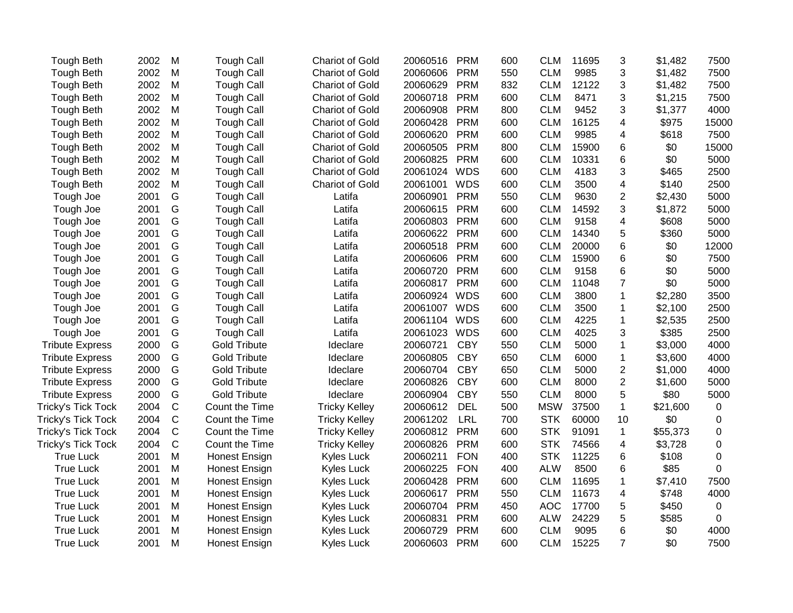| <b>Tough Beth</b>      | 2002 | M           | <b>Tough Call</b>    | <b>Chariot of Gold</b> | 20060516     | <b>PRM</b> | 600 | <b>CLM</b> | 11695 | 3              | \$1,482  | 7500     |
|------------------------|------|-------------|----------------------|------------------------|--------------|------------|-----|------------|-------|----------------|----------|----------|
| <b>Tough Beth</b>      | 2002 | M           | <b>Tough Call</b>    | <b>Chariot of Gold</b> | 20060606     | <b>PRM</b> | 550 | <b>CLM</b> | 9985  | 3              | \$1,482  | 7500     |
| Tough Beth             | 2002 | M           | <b>Tough Call</b>    | <b>Chariot of Gold</b> | 20060629     | <b>PRM</b> | 832 | <b>CLM</b> | 12122 | 3              | \$1,482  | 7500     |
| <b>Tough Beth</b>      | 2002 | M           | <b>Tough Call</b>    | <b>Chariot of Gold</b> | 20060718     | <b>PRM</b> | 600 | <b>CLM</b> | 8471  | 3              | \$1,215  | 7500     |
| <b>Tough Beth</b>      | 2002 | M           | <b>Tough Call</b>    | <b>Chariot of Gold</b> | 20060908     | <b>PRM</b> | 800 | <b>CLM</b> | 9452  | 3              | \$1,377  | 4000     |
| <b>Tough Beth</b>      | 2002 | M           | <b>Tough Call</b>    | <b>Chariot of Gold</b> | 20060428     | <b>PRM</b> | 600 | <b>CLM</b> | 16125 | $\overline{4}$ | \$975    | 15000    |
| <b>Tough Beth</b>      | 2002 | M           | <b>Tough Call</b>    | <b>Chariot of Gold</b> | 20060620     | <b>PRM</b> | 600 | <b>CLM</b> | 9985  | $\overline{4}$ | \$618    | 7500     |
| <b>Tough Beth</b>      | 2002 | M           | <b>Tough Call</b>    | <b>Chariot of Gold</b> | 20060505     | <b>PRM</b> | 800 | <b>CLM</b> | 15900 | 6              | \$0      | 15000    |
| <b>Tough Beth</b>      | 2002 | M           | <b>Tough Call</b>    | <b>Chariot of Gold</b> | 20060825     | <b>PRM</b> | 600 | <b>CLM</b> | 10331 | $\,6$          | \$0      | 5000     |
| <b>Tough Beth</b>      | 2002 | M           | <b>Tough Call</b>    | <b>Chariot of Gold</b> | 20061024     | <b>WDS</b> | 600 | <b>CLM</b> | 4183  | 3              | \$465    | 2500     |
| <b>Tough Beth</b>      | 2002 | M           | <b>Tough Call</b>    | <b>Chariot of Gold</b> | 20061001     | <b>WDS</b> | 600 | <b>CLM</b> | 3500  | $\overline{4}$ | \$140    | 2500     |
| Tough Joe              | 2001 | G           | <b>Tough Call</b>    | Latifa                 | 20060901     | <b>PRM</b> | 550 | <b>CLM</b> | 9630  | $\overline{2}$ | \$2,430  | 5000     |
| Tough Joe              | 2001 | G           | <b>Tough Call</b>    | Latifa                 | 20060615     | <b>PRM</b> | 600 | <b>CLM</b> | 14592 | 3              | \$1,872  | 5000     |
| Tough Joe              | 2001 | G           | <b>Tough Call</b>    | Latifa                 | 20060803     | <b>PRM</b> | 600 | <b>CLM</b> | 9158  | 4              | \$608    | 5000     |
| Tough Joe              | 2001 | G           | <b>Tough Call</b>    | Latifa                 | 20060622     | <b>PRM</b> | 600 | <b>CLM</b> | 14340 | 5              | \$360    | 5000     |
| Tough Joe              | 2001 | G           | <b>Tough Call</b>    | Latifa                 | 20060518     | <b>PRM</b> | 600 | <b>CLM</b> | 20000 | $\,6$          | \$0      | 12000    |
| Tough Joe              | 2001 | G           | <b>Tough Call</b>    | Latifa                 | 20060606     | <b>PRM</b> | 600 | <b>CLM</b> | 15900 | $\,6$          | \$0      | 7500     |
| Tough Joe              | 2001 | G           | <b>Tough Call</b>    | Latifa                 | 20060720     | <b>PRM</b> | 600 | <b>CLM</b> | 9158  | $\,6$          | \$0      | 5000     |
| Tough Joe              | 2001 | G           | <b>Tough Call</b>    | Latifa                 | 20060817     | <b>PRM</b> | 600 | <b>CLM</b> | 11048 | $\overline{7}$ | \$0      | 5000     |
| Tough Joe              | 2001 | G           | <b>Tough Call</b>    | Latifa                 | 20060924 WDS |            | 600 | <b>CLM</b> | 3800  | $\mathbf{1}$   | \$2,280  | 3500     |
| Tough Joe              | 2001 | G           | <b>Tough Call</b>    | Latifa                 | 20061007 WDS |            | 600 | <b>CLM</b> | 3500  | 1              | \$2,100  | 2500     |
| Tough Joe              | 2001 | G           | <b>Tough Call</b>    | Latifa                 | 20061104     | <b>WDS</b> | 600 | <b>CLM</b> | 4225  | $\mathbf{1}$   | \$2,535  | 2500     |
| Tough Joe              | 2001 | G           | <b>Tough Call</b>    | Latifa                 | 20061023     | <b>WDS</b> | 600 | <b>CLM</b> | 4025  | 3              | \$385    | 2500     |
| <b>Tribute Express</b> | 2000 | G           | <b>Gold Tribute</b>  | Ideclare               | 20060721     | <b>CBY</b> | 550 | <b>CLM</b> | 5000  | $\mathbf{1}$   | \$3,000  | 4000     |
| <b>Tribute Express</b> | 2000 | G           | <b>Gold Tribute</b>  | Ideclare               | 20060805     | <b>CBY</b> | 650 | <b>CLM</b> | 6000  | $\mathbf 1$    | \$3,600  | 4000     |
| <b>Tribute Express</b> | 2000 | G           | <b>Gold Tribute</b>  | Ideclare               | 20060704     | <b>CBY</b> | 650 | <b>CLM</b> | 5000  | $\overline{2}$ | \$1,000  | 4000     |
| <b>Tribute Express</b> | 2000 | G           | <b>Gold Tribute</b>  | Ideclare               | 20060826     | <b>CBY</b> | 600 | <b>CLM</b> | 8000  | $\overline{2}$ | \$1,600  | 5000     |
| <b>Tribute Express</b> | 2000 | G           | <b>Gold Tribute</b>  | Ideclare               | 20060904     | <b>CBY</b> | 550 | <b>CLM</b> | 8000  | 5              | \$80     | 5000     |
| Tricky's Tick Tock     | 2004 | $\mathsf C$ | Count the Time       | <b>Tricky Kelley</b>   | 20060612     | <b>DEL</b> | 500 | <b>MSW</b> | 37500 | $\mathbf{1}$   | \$21,600 | 0        |
| Tricky's Tick Tock     | 2004 | $\mathsf C$ | Count the Time       | <b>Tricky Kelley</b>   | 20061202     | <b>LRL</b> | 700 | <b>STK</b> | 60000 | 10             | \$0      | 0        |
| Tricky's Tick Tock     | 2004 | $\mathsf C$ | Count the Time       | <b>Tricky Kelley</b>   | 20060812     | <b>PRM</b> | 600 | <b>STK</b> | 91091 | $\mathbf{1}$   | \$55,373 | 0        |
| Tricky's Tick Tock     | 2004 | $\mathsf C$ | Count the Time       | <b>Tricky Kelley</b>   | 20060826     | <b>PRM</b> | 600 | <b>STK</b> | 74566 | 4              | \$3,728  | 0        |
| <b>True Luck</b>       | 2001 | M           | Honest Ensign        | Kyles Luck             | 20060211     | <b>FON</b> | 400 | <b>STK</b> | 11225 | 6              | \$108    | 0        |
| <b>True Luck</b>       | 2001 | M           | <b>Honest Ensign</b> | Kyles Luck             | 20060225     | <b>FON</b> | 400 | <b>ALW</b> | 8500  | 6              | \$85     | $\Omega$ |
| <b>True Luck</b>       | 2001 | M           | <b>Honest Ensign</b> | Kyles Luck             | 20060428     | <b>PRM</b> | 600 | <b>CLM</b> | 11695 | $\mathbf{1}$   | \$7,410  | 7500     |
| <b>True Luck</b>       | 2001 | M           | Honest Ensign        | <b>Kyles Luck</b>      | 20060617     | <b>PRM</b> | 550 | <b>CLM</b> | 11673 | 4              | \$748    | 4000     |
| <b>True Luck</b>       | 2001 | M           | Honest Ensign        | <b>Kyles Luck</b>      | 20060704     | <b>PRM</b> | 450 | <b>AOC</b> | 17700 | 5              | \$450    | 0        |
| <b>True Luck</b>       | 2001 | M           | <b>Honest Ensign</b> | <b>Kyles Luck</b>      | 20060831     | <b>PRM</b> | 600 | <b>ALW</b> | 24229 | 5              | \$585    | 0        |
| <b>True Luck</b>       | 2001 | M           | Honest Ensign        | <b>Kyles Luck</b>      | 20060729     | <b>PRM</b> | 600 | <b>CLM</b> | 9095  | $\,6$          | \$0      | 4000     |
| <b>True Luck</b>       | 2001 | M           | Honest Ensign        | Kyles Luck             | 20060603     | <b>PRM</b> | 600 | <b>CLM</b> | 15225 | $\overline{7}$ | \$0      | 7500     |
|                        |      |             |                      |                        |              |            |     |            |       |                |          |          |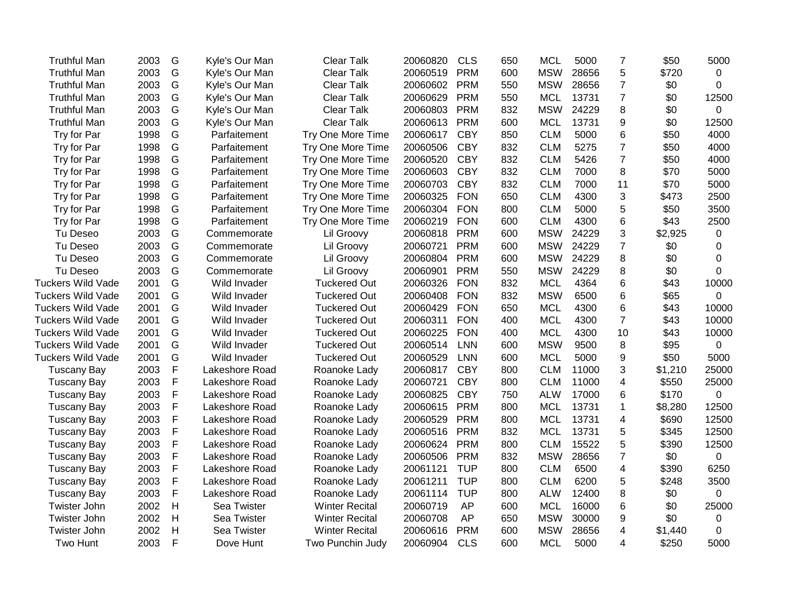| <b>Truthful Man</b>      | 2003 | G                         | Kyle's Our Man | <b>Clear Talk</b>     | 20060820 | <b>CLS</b> | 650 | <b>MCL</b> | 5000  | 7              | \$50    | 5000        |
|--------------------------|------|---------------------------|----------------|-----------------------|----------|------------|-----|------------|-------|----------------|---------|-------------|
| <b>Truthful Man</b>      | 2003 | G                         | Kyle's Our Man | Clear Talk            | 20060519 | <b>PRM</b> | 600 | <b>MSW</b> | 28656 | 5              | \$720   | 0           |
| <b>Truthful Man</b>      | 2003 | G                         | Kyle's Our Man | <b>Clear Talk</b>     | 20060602 | <b>PRM</b> | 550 | <b>MSW</b> | 28656 | $\overline{7}$ | \$0     | $\Omega$    |
| <b>Truthful Man</b>      | 2003 | G                         | Kyle's Our Man | <b>Clear Talk</b>     | 20060629 | <b>PRM</b> | 550 | <b>MCL</b> | 13731 | $\overline{7}$ | \$0     | 12500       |
| <b>Truthful Man</b>      | 2003 | G                         | Kyle's Our Man | <b>Clear Talk</b>     | 20060803 | <b>PRM</b> | 832 | <b>MSW</b> | 24229 | 8              | \$0     | 0           |
| <b>Truthful Man</b>      | 2003 | G                         | Kyle's Our Man | <b>Clear Talk</b>     | 20060613 | <b>PRM</b> | 600 | <b>MCL</b> | 13731 | 9              | \$0     | 12500       |
| Try for Par              | 1998 | G                         | Parfaitement   | Try One More Time     | 20060617 | <b>CBY</b> | 850 | <b>CLM</b> | 5000  | 6              | \$50    | 4000        |
| Try for Par              | 1998 | G                         | Parfaitement   | Try One More Time     | 20060506 | <b>CBY</b> | 832 | <b>CLM</b> | 5275  | $\overline{7}$ | \$50    | 4000        |
| Try for Par              | 1998 | G                         | Parfaitement   | Try One More Time     | 20060520 | <b>CBY</b> | 832 | <b>CLM</b> | 5426  | $\overline{7}$ | \$50    | 4000        |
| Try for Par              | 1998 | G                         | Parfaitement   | Try One More Time     | 20060603 | <b>CBY</b> | 832 | <b>CLM</b> | 7000  | 8              | \$70    | 5000        |
| Try for Par              | 1998 | G                         | Parfaitement   | Try One More Time     | 20060703 | <b>CBY</b> | 832 | <b>CLM</b> | 7000  | 11             | \$70    | 5000        |
| Try for Par              | 1998 | G                         | Parfaitement   | Try One More Time     | 20060325 | <b>FON</b> | 650 | <b>CLM</b> | 4300  | 3              | \$473   | 2500        |
| Try for Par              | 1998 | G                         | Parfaitement   | Try One More Time     | 20060304 | <b>FON</b> | 800 | <b>CLM</b> | 5000  | 5              | \$50    | 3500        |
| Try for Par              | 1998 | G                         | Parfaitement   | Try One More Time     | 20060219 | <b>FON</b> | 600 | <b>CLM</b> | 4300  | 6              | \$43    | 2500        |
| Tu Deseo                 | 2003 | G                         | Commemorate    | Lil Groovy            | 20060818 | <b>PRM</b> | 600 | <b>MSW</b> | 24229 | 3              | \$2,925 | $\mathbf 0$ |
| Tu Deseo                 | 2003 | G                         | Commemorate    | Lil Groovy            | 20060721 | <b>PRM</b> | 600 | <b>MSW</b> | 24229 | $\overline{7}$ | \$0     | 0           |
| Tu Deseo                 | 2003 | G                         | Commemorate    | Lil Groovy            | 20060804 | <b>PRM</b> | 600 | <b>MSW</b> | 24229 | 8              | \$0     | 0           |
| Tu Deseo                 | 2003 | G                         | Commemorate    | Lil Groovy            | 20060901 | <b>PRM</b> | 550 | <b>MSW</b> | 24229 | 8              | \$0     | $\mathbf 0$ |
| <b>Tuckers Wild Vade</b> | 2001 | G                         | Wild Invader   | <b>Tuckered Out</b>   | 20060326 | <b>FON</b> | 832 | <b>MCL</b> | 4364  | 6              | \$43    | 10000       |
| <b>Tuckers Wild Vade</b> | 2001 | G                         | Wild Invader   | <b>Tuckered Out</b>   | 20060408 | <b>FON</b> | 832 | <b>MSW</b> | 6500  | 6              | \$65    | $\mathbf 0$ |
| Tuckers Wild Vade        | 2001 | G                         | Wild Invader   | <b>Tuckered Out</b>   | 20060429 | <b>FON</b> | 650 | <b>MCL</b> | 4300  | 6              | \$43    | 10000       |
| <b>Tuckers Wild Vade</b> | 2001 | ${\mathsf G}$             | Wild Invader   | <b>Tuckered Out</b>   | 20060311 | <b>FON</b> | 400 | <b>MCL</b> | 4300  | $\overline{7}$ | \$43    | 10000       |
| <b>Tuckers Wild Vade</b> | 2001 | G                         | Wild Invader   | <b>Tuckered Out</b>   | 20060225 | <b>FON</b> | 400 | <b>MCL</b> | 4300  | 10             | \$43    | 10000       |
| <b>Tuckers Wild Vade</b> | 2001 | G                         | Wild Invader   | <b>Tuckered Out</b>   | 20060514 | <b>LNN</b> | 600 | <b>MSW</b> | 9500  | 8              | \$95    | $\mathbf 0$ |
| <b>Tuckers Wild Vade</b> | 2001 | G                         | Wild Invader   | <b>Tuckered Out</b>   | 20060529 | <b>LNN</b> | 600 | <b>MCL</b> | 5000  | 9              | \$50    | 5000        |
| <b>Tuscany Bay</b>       | 2003 | F                         | Lakeshore Road | Roanoke Lady          | 20060817 | <b>CBY</b> | 800 | <b>CLM</b> | 11000 | 3              | \$1,210 | 25000       |
| <b>Tuscany Bay</b>       | 2003 | F                         | Lakeshore Road | Roanoke Lady          | 20060721 | <b>CBY</b> | 800 | <b>CLM</b> | 11000 | 4              | \$550   | 25000       |
| <b>Tuscany Bay</b>       | 2003 | F                         | Lakeshore Road | Roanoke Lady          | 20060825 | <b>CBY</b> | 750 | <b>ALW</b> | 17000 | 6              | \$170   | 0           |
| <b>Tuscany Bay</b>       | 2003 | F                         | Lakeshore Road | Roanoke Lady          | 20060615 | <b>PRM</b> | 800 | <b>MCL</b> | 13731 | $\mathbf{1}$   | \$8,280 | 12500       |
| <b>Tuscany Bay</b>       | 2003 | F                         | Lakeshore Road | Roanoke Lady          | 20060529 | <b>PRM</b> | 800 | <b>MCL</b> | 13731 | 4              | \$690   | 12500       |
| <b>Tuscany Bay</b>       | 2003 | F                         | Lakeshore Road | Roanoke Lady          | 20060516 | <b>PRM</b> | 832 | <b>MCL</b> | 13731 | 5              | \$345   | 12500       |
| <b>Tuscany Bay</b>       | 2003 | F                         | Lakeshore Road | Roanoke Lady          | 20060624 | <b>PRM</b> | 800 | <b>CLM</b> | 15522 | 5              | \$390   | 12500       |
| <b>Tuscany Bay</b>       | 2003 | F                         | Lakeshore Road | Roanoke Lady          | 20060506 | <b>PRM</b> | 832 | <b>MSW</b> | 28656 | $\overline{7}$ | \$0     | $\mathbf 0$ |
| <b>Tuscany Bay</b>       | 2003 | F                         | Lakeshore Road | Roanoke Lady          | 20061121 | <b>TUP</b> | 800 | <b>CLM</b> | 6500  | 4              | \$390   | 6250        |
| <b>Tuscany Bay</b>       | 2003 | F                         | Lakeshore Road | Roanoke Lady          | 20061211 | <b>TUP</b> | 800 | <b>CLM</b> | 6200  | 5              | \$248   | 3500        |
| <b>Tuscany Bay</b>       | 2003 | F                         | Lakeshore Road | Roanoke Lady          | 20061114 | <b>TUP</b> | 800 | <b>ALW</b> | 12400 | 8              | \$0     | 0           |
| Twister John             | 2002 | $\boldsymbol{\mathsf{H}}$ | Sea Twister    | <b>Winter Recital</b> | 20060719 | AP         | 600 | <b>MCL</b> | 16000 | 6              | \$0     | 25000       |
| Twister John             | 2002 | $\boldsymbol{\mathsf{H}}$ | Sea Twister    | <b>Winter Recital</b> | 20060708 | AP         | 650 | <b>MSW</b> | 30000 | 9              | \$0     | 0           |
| Twister John             | 2002 | H                         | Sea Twister    | <b>Winter Recital</b> | 20060616 | <b>PRM</b> | 600 | <b>MSW</b> | 28656 | 4              | \$1,440 | 0           |
| Two Hunt                 | 2003 | F                         | Dove Hunt      | Two Punchin Judy      | 20060904 | <b>CLS</b> | 600 | <b>MCL</b> | 5000  | 4              | \$250   | 5000        |
|                          |      |                           |                |                       |          |            |     |            |       |                |         |             |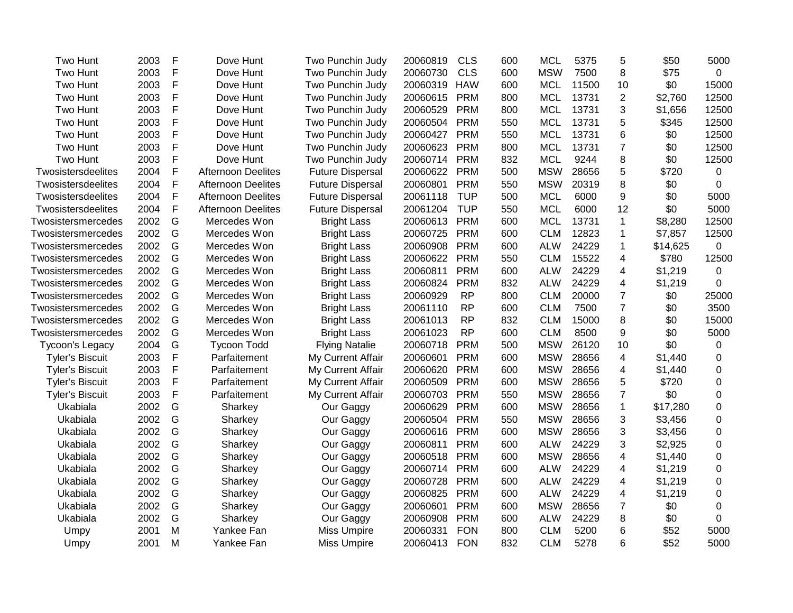| Two Hunt               | 2003 | F           | Dove Hunt                 | Two Punchin Judy        | 20060819 | <b>CLS</b> | 600 | <b>MCL</b> | 5375  | 5              | \$50     | 5000             |
|------------------------|------|-------------|---------------------------|-------------------------|----------|------------|-----|------------|-------|----------------|----------|------------------|
| Two Hunt               | 2003 | F           | Dove Hunt                 | Two Punchin Judy        | 20060730 | <b>CLS</b> | 600 | <b>MSW</b> | 7500  | 8              | \$75     | $\overline{0}$   |
| Two Hunt               | 2003 | F           | Dove Hunt                 | Two Punchin Judy        | 20060319 | <b>HAW</b> | 600 | <b>MCL</b> | 11500 | 10             | \$0      | 15000            |
| Two Hunt               | 2003 | F           | Dove Hunt                 | Two Punchin Judy        | 20060615 | <b>PRM</b> | 800 | <b>MCL</b> | 13731 | $\overline{2}$ | \$2,760  | 12500            |
| Two Hunt               | 2003 | F           | Dove Hunt                 | Two Punchin Judy        | 20060529 | <b>PRM</b> | 800 | <b>MCL</b> | 13731 | $\sqrt{3}$     | \$1,656  | 12500            |
| Two Hunt               | 2003 | F           | Dove Hunt                 | Two Punchin Judy        | 20060504 | <b>PRM</b> | 550 | <b>MCL</b> | 13731 | 5              | \$345    | 12500            |
| Two Hunt               | 2003 | $\mathsf F$ | Dove Hunt                 | Two Punchin Judy        | 20060427 | <b>PRM</b> | 550 | <b>MCL</b> | 13731 | 6              | \$0      | 12500            |
| Two Hunt               | 2003 | F           | Dove Hunt                 | Two Punchin Judy        | 20060623 | <b>PRM</b> | 800 | <b>MCL</b> | 13731 | $\overline{7}$ | \$0      | 12500            |
| Two Hunt               | 2003 | F           | Dove Hunt                 | Two Punchin Judy        | 20060714 | <b>PRM</b> | 832 | <b>MCL</b> | 9244  | 8              | \$0      | 12500            |
| Twosistersdeelites     | 2004 | F           | <b>Afternoon Deelites</b> | <b>Future Dispersal</b> | 20060622 | <b>PRM</b> | 500 | <b>MSW</b> | 28656 | $\sqrt{5}$     | \$720    | 0                |
| Twosistersdeelites     | 2004 | F           | <b>Afternoon Deelites</b> | <b>Future Dispersal</b> | 20060801 | <b>PRM</b> | 550 | <b>MSW</b> | 20319 | 8              | \$0      | 0                |
| Twosistersdeelites     | 2004 | F           | <b>Afternoon Deelites</b> | <b>Future Dispersal</b> | 20061118 | <b>TUP</b> | 500 | <b>MCL</b> | 6000  | 9              | \$0      | 5000             |
| Twosistersdeelites     | 2004 | F           | <b>Afternoon Deelites</b> | <b>Future Dispersal</b> | 20061204 | <b>TUP</b> | 550 | <b>MCL</b> | 6000  | 12             | \$0      | 5000             |
| Twosistersmercedes     | 2002 | G           | Mercedes Won              | <b>Bright Lass</b>      | 20060613 | PRM        | 600 | <b>MCL</b> | 13731 | $\mathbf{1}$   | \$8,280  | 12500            |
| Twosistersmercedes     | 2002 | G           | Mercedes Won              | <b>Bright Lass</b>      | 20060725 | <b>PRM</b> | 600 | <b>CLM</b> | 12823 | 1              | \$7,857  | 12500            |
| Twosistersmercedes     | 2002 | G           | Mercedes Won              | <b>Bright Lass</b>      | 20060908 | <b>PRM</b> | 600 | <b>ALW</b> | 24229 | $\mathbf{1}$   | \$14,625 | $\mathbf 0$      |
| Twosistersmercedes     | 2002 | G           | Mercedes Won              | <b>Bright Lass</b>      | 20060622 | <b>PRM</b> | 550 | <b>CLM</b> | 15522 | $\overline{4}$ | \$780    | 12500            |
| Twosistersmercedes     | 2002 | G           | Mercedes Won              | <b>Bright Lass</b>      | 20060811 | <b>PRM</b> | 600 | <b>ALW</b> | 24229 | 4              | \$1,219  | $\mathbf 0$      |
| Twosistersmercedes     | 2002 | G           | Mercedes Won              | <b>Bright Lass</b>      | 20060824 | <b>PRM</b> | 832 | <b>ALW</b> | 24229 | $\overline{4}$ | \$1,219  | $\mathbf 0$      |
| Twosistersmercedes     | 2002 | G           | Mercedes Won              | <b>Bright Lass</b>      | 20060929 | <b>RP</b>  | 800 | <b>CLM</b> | 20000 | $\overline{7}$ | \$0      | 25000            |
| Twosistersmercedes     | 2002 | G           | Mercedes Won              | <b>Bright Lass</b>      | 20061110 | <b>RP</b>  | 600 | <b>CLM</b> | 7500  | $\overline{7}$ | \$0      | 3500             |
| Twosistersmercedes     | 2002 | G           | Mercedes Won              | <b>Bright Lass</b>      | 20061013 | <b>RP</b>  | 832 | <b>CLM</b> | 15000 | 8              | \$0      | 15000            |
| Twosistersmercedes     | 2002 | G           | Mercedes Won              | <b>Bright Lass</b>      | 20061023 | <b>RP</b>  | 600 | <b>CLM</b> | 8500  | 9              | \$0      | 5000             |
| Tycoon's Legacy        | 2004 | G           | <b>Tycoon Todd</b>        | <b>Flying Natalie</b>   | 20060718 | <b>PRM</b> | 500 | <b>MSW</b> | 26120 | 10             | \$0      | 0                |
| <b>Tyler's Biscuit</b> | 2003 | F           | Parfaitement              | My Current Affair       | 20060601 | <b>PRM</b> | 600 | <b>MSW</b> | 28656 | 4              | \$1,440  | 0                |
| <b>Tyler's Biscuit</b> | 2003 | F           | Parfaitement              | My Current Affair       | 20060620 | <b>PRM</b> | 600 | <b>MSW</b> | 28656 | 4              | \$1,440  | 0                |
| <b>Tyler's Biscuit</b> | 2003 | F           | Parfaitement              | My Current Affair       | 20060509 | <b>PRM</b> | 600 | <b>MSW</b> | 28656 | 5              | \$720    | 0                |
| <b>Tyler's Biscuit</b> | 2003 | F           | Parfaitement              | My Current Affair       | 20060703 | <b>PRM</b> | 550 | <b>MSW</b> | 28656 | $\overline{7}$ | \$0      | 0                |
| Ukabiala               | 2002 | G           | Sharkey                   | Our Gaggy               | 20060629 | <b>PRM</b> | 600 | <b>MSW</b> | 28656 | $\mathbf{1}$   | \$17,280 | 0                |
| Ukabiala               | 2002 | G           | Sharkey                   | Our Gaggy               | 20060504 | <b>PRM</b> | 550 | <b>MSW</b> | 28656 | 3              | \$3,456  | $\mathbf 0$      |
| Ukabiala               | 2002 | G           | Sharkey                   | Our Gaggy               | 20060616 | <b>PRM</b> | 600 | <b>MSW</b> | 28656 | 3              | \$3,456  | $\boldsymbol{0}$ |
| Ukabiala               | 2002 | G           | Sharkey                   | Our Gaggy               | 20060811 | <b>PRM</b> | 600 | <b>ALW</b> | 24229 | 3              | \$2,925  | $\boldsymbol{0}$ |
| Ukabiala               | 2002 | G           | Sharkey                   | Our Gaggy               | 20060518 | <b>PRM</b> | 600 | <b>MSW</b> | 28656 | $\overline{4}$ | \$1,440  | $\mathbf 0$      |
| Ukabiala               | 2002 | G           | Sharkey                   | Our Gaggy               | 20060714 | <b>PRM</b> | 600 | <b>ALW</b> | 24229 | 4              | \$1,219  | $\mathbf 0$      |
| Ukabiala               | 2002 | G           | Sharkey                   | Our Gaggy               | 20060728 | <b>PRM</b> | 600 | <b>ALW</b> | 24229 | 4              | \$1,219  | $\overline{0}$   |
| Ukabiala               | 2002 | G           | Sharkey                   | Our Gaggy               | 20060825 | <b>PRM</b> | 600 | <b>ALW</b> | 24229 | 4              | \$1,219  | $\Omega$         |
| Ukabiala               | 2002 | G           | Sharkey                   | Our Gaggy               | 20060601 | <b>PRM</b> | 600 | <b>MSW</b> | 28656 | $\overline{7}$ | \$0      | $\Omega$         |
| Ukabiala               | 2002 | G           | Sharkey                   | Our Gaggy               | 20060908 | <b>PRM</b> | 600 | <b>ALW</b> | 24229 | 8              | \$0      | 0                |
| Umpy                   | 2001 | M           | Yankee Fan                | Miss Umpire             | 20060331 | <b>FON</b> | 800 | <b>CLM</b> | 5200  | 6              | \$52     | 5000             |
| Umpy                   | 2001 | M           | Yankee Fan                | <b>Miss Umpire</b>      | 20060413 | <b>FON</b> | 832 | <b>CLM</b> | 5278  | 6              | \$52     | 5000             |
|                        |      |             |                           |                         |          |            |     |            |       |                |          |                  |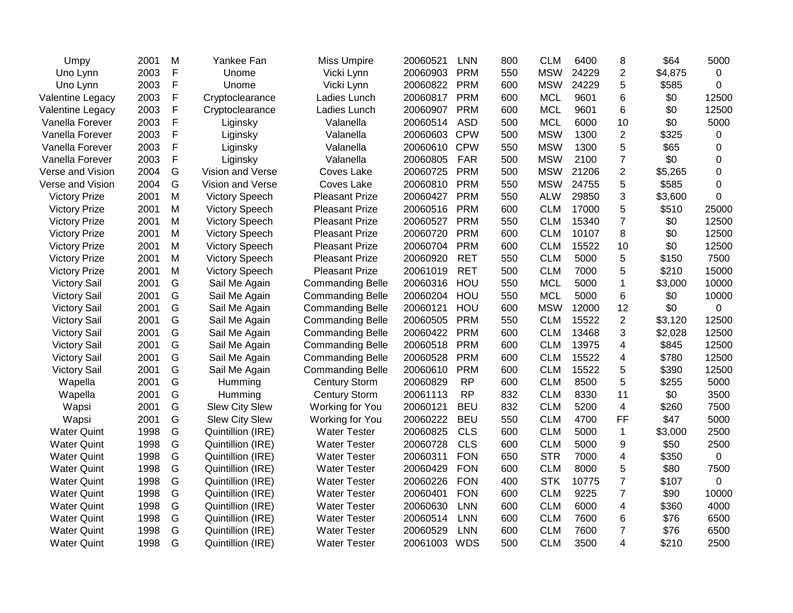| Umpy                 | 2001 | M | Yankee Fan            | <b>Miss Umpire</b>      | 20060521 | <b>LNN</b> | 800 | <b>CLM</b> | 6400  | 8              | \$64    | 5000        |
|----------------------|------|---|-----------------------|-------------------------|----------|------------|-----|------------|-------|----------------|---------|-------------|
| Uno Lynn             | 2003 | F | Unome                 | Vicki Lynn              | 20060903 | <b>PRM</b> | 550 | <b>MSW</b> | 24229 | $\overline{2}$ | \$4,875 | $\Omega$    |
| Uno Lynn             | 2003 | F | Unome                 | Vicki Lynn              | 20060822 | <b>PRM</b> | 600 | <b>MSW</b> | 24229 | 5              | \$585   | $\Omega$    |
| Valentine Legacy     | 2003 | F | Cryptoclearance       | Ladies Lunch            | 20060817 | <b>PRM</b> | 600 | <b>MCL</b> | 9601  | 6              | \$0     | 12500       |
| Valentine Legacy     | 2003 | F | Cryptoclearance       | Ladies Lunch            | 20060907 | <b>PRM</b> | 600 | <b>MCL</b> | 9601  | 6              | \$0     | 12500       |
| Vanella Forever      | 2003 | F | Liginsky              | Valanella               | 20060514 | <b>ASD</b> | 500 | <b>MCL</b> | 6000  | 10             | \$0     | 5000        |
| Vanella Forever      | 2003 | F | Liginsky              | Valanella               | 20060603 | <b>CPW</b> | 500 | <b>MSW</b> | 1300  | $\overline{c}$ | \$325   | $\mathbf 0$ |
| Vanella Forever      | 2003 | F | Liginsky              | Valanella               | 20060610 | <b>CPW</b> | 550 | <b>MSW</b> | 1300  | 5              | \$65    | 0           |
| Vanella Forever      | 2003 | F | Liginsky              | Valanella               | 20060805 | <b>FAR</b> | 500 | <b>MSW</b> | 2100  | $\overline{7}$ | \$0     | 0           |
| Verse and Vision     | 2004 | G | Vision and Verse      | Coves Lake              | 20060725 | <b>PRM</b> | 500 | <b>MSW</b> | 21206 | $\overline{2}$ | \$5,265 | 0           |
| Verse and Vision     | 2004 | G | Vision and Verse      | Coves Lake              | 20060810 | <b>PRM</b> | 550 | <b>MSW</b> | 24755 | 5              | \$585   | $\Omega$    |
| <b>Victory Prize</b> | 2001 | M | <b>Victory Speech</b> | <b>Pleasant Prize</b>   | 20060427 | <b>PRM</b> | 550 | <b>ALW</b> | 29850 | 3              | \$3,600 | $\mathbf 0$ |
| <b>Victory Prize</b> | 2001 | M | <b>Victory Speech</b> | <b>Pleasant Prize</b>   | 20060516 | <b>PRM</b> | 600 | <b>CLM</b> | 17000 | 5              | \$510   | 25000       |
| <b>Victory Prize</b> | 2001 | M | <b>Victory Speech</b> | <b>Pleasant Prize</b>   | 20060527 | <b>PRM</b> | 550 | <b>CLM</b> | 15340 | $\overline{7}$ | \$0     | 12500       |
| <b>Victory Prize</b> | 2001 | M | <b>Victory Speech</b> | <b>Pleasant Prize</b>   | 20060720 | <b>PRM</b> | 600 | <b>CLM</b> | 10107 | 8              | \$0     | 12500       |
| <b>Victory Prize</b> | 2001 | M | <b>Victory Speech</b> | <b>Pleasant Prize</b>   | 20060704 | <b>PRM</b> | 600 | <b>CLM</b> | 15522 | 10             | \$0     | 12500       |
| <b>Victory Prize</b> | 2001 | M | <b>Victory Speech</b> | <b>Pleasant Prize</b>   | 20060920 | <b>RET</b> | 550 | <b>CLM</b> | 5000  | 5              | \$150   | 7500        |
| <b>Victory Prize</b> | 2001 | M | <b>Victory Speech</b> | <b>Pleasant Prize</b>   | 20061019 | <b>RET</b> | 500 | <b>CLM</b> | 7000  | 5              | \$210   | 15000       |
| <b>Victory Sail</b>  | 2001 | G | Sail Me Again         | <b>Commanding Belle</b> | 20060316 | HOU        | 550 | <b>MCL</b> | 5000  | 1              | \$3,000 | 10000       |
| <b>Victory Sail</b>  | 2001 | G | Sail Me Again         | <b>Commanding Belle</b> | 20060204 | HOU        | 550 | <b>MCL</b> | 5000  | 6              | \$0     | 10000       |
| <b>Victory Sail</b>  | 2001 | G | Sail Me Again         | <b>Commanding Belle</b> | 20060121 | HOU        | 600 | <b>MSW</b> | 12000 | 12             | \$0     | 0           |
| <b>Victory Sail</b>  | 2001 | G | Sail Me Again         | <b>Commanding Belle</b> | 20060505 | <b>PRM</b> | 550 | <b>CLM</b> | 15522 | $\overline{2}$ | \$3,120 | 12500       |
| <b>Victory Sail</b>  | 2001 | G | Sail Me Again         | <b>Commanding Belle</b> | 20060422 | <b>PRM</b> | 600 | <b>CLM</b> | 13468 | 3              | \$2,028 | 12500       |
| <b>Victory Sail</b>  | 2001 | G | Sail Me Again         | <b>Commanding Belle</b> | 20060518 | <b>PRM</b> | 600 | <b>CLM</b> | 13975 | 4              | \$845   | 12500       |
| <b>Victory Sail</b>  | 2001 | G | Sail Me Again         | <b>Commanding Belle</b> | 20060528 | <b>PRM</b> | 600 | <b>CLM</b> | 15522 | 4              | \$780   | 12500       |
| <b>Victory Sail</b>  | 2001 | G | Sail Me Again         | <b>Commanding Belle</b> | 20060610 | <b>PRM</b> | 600 | <b>CLM</b> | 15522 | 5              | \$390   | 12500       |
| Wapella              | 2001 | G | Humming               | <b>Century Storm</b>    | 20060829 | <b>RP</b>  | 600 | <b>CLM</b> | 8500  | 5              | \$255   | 5000        |
| Wapella              | 2001 | G | Humming               | <b>Century Storm</b>    | 20061113 | <b>RP</b>  | 832 | <b>CLM</b> | 8330  | 11             | \$0     | 3500        |
| Wapsi                | 2001 | G | <b>Slew City Slew</b> | Working for You         | 20060121 | <b>BEU</b> | 832 | <b>CLM</b> | 5200  | $\overline{4}$ | \$260   | 7500        |
| Wapsi                | 2001 | G | Slew City Slew        | Working for You         | 20060222 | <b>BEU</b> | 550 | <b>CLM</b> | 4700  | FF             | \$47    | 5000        |
| <b>Water Quint</b>   | 1998 | G | Quintillion (IRE)     | <b>Water Tester</b>     | 20060825 | <b>CLS</b> | 600 | <b>CLM</b> | 5000  | $\mathbf{1}$   | \$3,000 | 2500        |
| <b>Water Quint</b>   | 1998 | G | Quintillion (IRE)     | <b>Water Tester</b>     | 20060728 | <b>CLS</b> | 600 | <b>CLM</b> | 5000  | 9              | \$50    | 2500        |
| <b>Water Quint</b>   | 1998 | G | Quintillion (IRE)     | <b>Water Tester</b>     | 20060311 | <b>FON</b> | 650 | <b>STR</b> | 7000  | 4              | \$350   | $\mathbf 0$ |
| <b>Water Quint</b>   | 1998 | G | Quintillion (IRE)     | <b>Water Tester</b>     | 20060429 | <b>FON</b> | 600 | <b>CLM</b> | 8000  | 5              | \$80    | 7500        |
| <b>Water Quint</b>   | 1998 | G | Quintillion (IRE)     | <b>Water Tester</b>     | 20060226 | <b>FON</b> | 400 | <b>STK</b> | 10775 | 7              | \$107   | 0           |
| <b>Water Quint</b>   | 1998 | G | Quintillion (IRE)     | <b>Water Tester</b>     | 20060401 | <b>FON</b> | 600 | <b>CLM</b> | 9225  | $\overline{7}$ | \$90    | 10000       |
| <b>Water Quint</b>   | 1998 | G | Quintillion (IRE)     | <b>Water Tester</b>     | 20060630 | <b>LNN</b> | 600 | <b>CLM</b> | 6000  | $\overline{4}$ | \$360   | 4000        |
| <b>Water Quint</b>   | 1998 | G | Quintillion (IRE)     | <b>Water Tester</b>     | 20060514 | <b>LNN</b> | 600 | <b>CLM</b> | 7600  | 6              | \$76    | 6500        |
| <b>Water Quint</b>   | 1998 | G | Quintillion (IRE)     | <b>Water Tester</b>     | 20060529 | <b>LNN</b> | 600 | <b>CLM</b> | 7600  | $\overline{7}$ | \$76    | 6500        |
| <b>Water Quint</b>   | 1998 | G | Quintillion (IRE)     | <b>Water Tester</b>     | 20061003 | <b>WDS</b> | 500 | <b>CLM</b> | 3500  | 4              | \$210   | 2500        |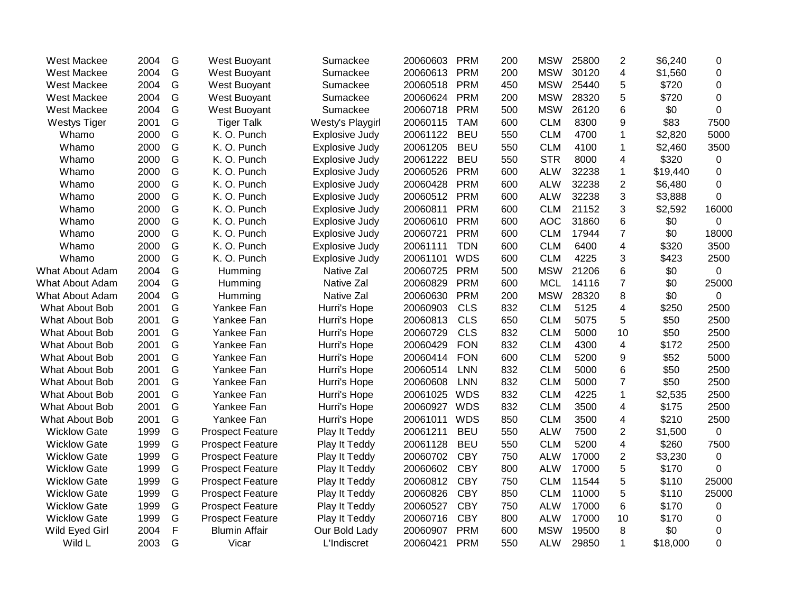| West Mackee           | 2004 | G           | West Buoyant            | Sumackee              | 20060603 | <b>PRM</b> | 200 | <b>MSW</b> | 25800 | $\overline{2}$          | \$6,240  | 0              |
|-----------------------|------|-------------|-------------------------|-----------------------|----------|------------|-----|------------|-------|-------------------------|----------|----------------|
| West Mackee           | 2004 | G           | West Buoyant            | Sumackee              | 20060613 | <b>PRM</b> | 200 | <b>MSW</b> | 30120 | 4                       | \$1,560  | $\mathbf 0$    |
| West Mackee           | 2004 | G           | West Buoyant            | Sumackee              | 20060518 | <b>PRM</b> | 450 | <b>MSW</b> | 25440 | 5                       | \$720    | $\overline{0}$ |
| West Mackee           | 2004 | G           | West Buoyant            | Sumackee              | 20060624 | <b>PRM</b> | 200 | <b>MSW</b> | 28320 | 5                       | \$720    | $\overline{0}$ |
| West Mackee           | 2004 | G           | West Buoyant            | Sumackee              | 20060718 | <b>PRM</b> | 500 | <b>MSW</b> | 26120 | 6                       | \$0      | 0              |
| <b>Westys Tiger</b>   | 2001 | G           | <b>Tiger Talk</b>       | Westy's Playgirl      | 20060115 | <b>TAM</b> | 600 | <b>CLM</b> | 8300  | 9                       | \$83     | 7500           |
| Whamo                 | 2000 | G           | K. O. Punch             | <b>Explosive Judy</b> | 20061122 | <b>BEU</b> | 550 | <b>CLM</b> | 4700  | $\mathbf 1$             | \$2,820  | 5000           |
| Whamo                 | 2000 | G           | K. O. Punch             | <b>Explosive Judy</b> | 20061205 | <b>BEU</b> | 550 | <b>CLM</b> | 4100  | 1                       | \$2,460  | 3500           |
| Whamo                 | 2000 | G           | K. O. Punch             | Explosive Judy        | 20061222 | <b>BEU</b> | 550 | <b>STR</b> | 8000  | 4                       | \$320    | 0              |
| Whamo                 | 2000 | G           | K. O. Punch             | <b>Explosive Judy</b> | 20060526 | <b>PRM</b> | 600 | <b>ALW</b> | 32238 | 1                       | \$19,440 | $\Omega$       |
| Whamo                 | 2000 | G           | K. O. Punch             | Explosive Judy        | 20060428 | <b>PRM</b> | 600 | <b>ALW</b> | 32238 | $\overline{c}$          | \$6,480  | $\Omega$       |
| Whamo                 | 2000 | G           | K. O. Punch             | Explosive Judy        | 20060512 | <b>PRM</b> | 600 | <b>ALW</b> | 32238 | 3                       | \$3,888  | $\Omega$       |
| Whamo                 | 2000 | G           | K. O. Punch             | Explosive Judy        | 20060811 | <b>PRM</b> | 600 | <b>CLM</b> | 21152 | 3                       | \$2,592  | 16000          |
| Whamo                 | 2000 | G           | K. O. Punch             | Explosive Judy        | 20060610 | <b>PRM</b> | 600 | <b>AOC</b> | 31860 | 6                       | \$0      | 0              |
| Whamo                 | 2000 | G           | K. O. Punch             | Explosive Judy        | 20060721 | <b>PRM</b> | 600 | <b>CLM</b> | 17944 | $\overline{7}$          | \$0      | 18000          |
| Whamo                 | 2000 | G           | K. O. Punch             | Explosive Judy        | 20061111 | <b>TDN</b> | 600 | <b>CLM</b> | 6400  | $\overline{\mathbf{4}}$ | \$320    | 3500           |
| Whamo                 | 2000 | G           | K. O. Punch             | Explosive Judy        | 20061101 | <b>WDS</b> | 600 | <b>CLM</b> | 4225  | 3                       | \$423    | 2500           |
| What About Adam       | 2004 | G           | Humming                 | Native Zal            | 20060725 | <b>PRM</b> | 500 | <b>MSW</b> | 21206 | 6                       | \$0      | $\overline{0}$ |
| What About Adam       | 2004 | G           | Humming                 | Native Zal            | 20060829 | <b>PRM</b> | 600 | <b>MCL</b> | 14116 | $\overline{7}$          | \$0      | 25000          |
| What About Adam       | 2004 | G           | Humming                 | Native Zal            | 20060630 | <b>PRM</b> | 200 | <b>MSW</b> | 28320 | 8                       | \$0      | 0              |
| What About Bob        | 2001 | G           | Yankee Fan              | Hurri's Hope          | 20060903 | <b>CLS</b> | 832 | <b>CLM</b> | 5125  | 4                       | \$250    | 2500           |
| What About Bob        | 2001 | G           | Yankee Fan              | Hurri's Hope          | 20060813 | <b>CLS</b> | 650 | <b>CLM</b> | 5075  | 5                       | \$50     | 2500           |
| What About Bob        | 2001 | G           | Yankee Fan              | Hurri's Hope          | 20060729 | <b>CLS</b> | 832 | <b>CLM</b> | 5000  | 10                      | \$50     | 2500           |
| What About Bob        | 2001 | G           | Yankee Fan              | Hurri's Hope          | 20060429 | <b>FON</b> | 832 | <b>CLM</b> | 4300  | $\overline{\mathbf{4}}$ | \$172    | 2500           |
| What About Bob        | 2001 | G           | Yankee Fan              | Hurri's Hope          | 20060414 | <b>FON</b> | 600 | <b>CLM</b> | 5200  | 9                       | \$52     | 5000           |
| What About Bob        | 2001 | G           | Yankee Fan              | Hurri's Hope          | 20060514 | <b>LNN</b> | 832 | <b>CLM</b> | 5000  | 6                       | \$50     | 2500           |
| What About Bob        | 2001 | G           | Yankee Fan              | Hurri's Hope          | 20060608 | <b>LNN</b> | 832 | <b>CLM</b> | 5000  | $\overline{7}$          | \$50     | 2500           |
| What About Bob        | 2001 | G           | Yankee Fan              | Hurri's Hope          | 20061025 | <b>WDS</b> | 832 | <b>CLM</b> | 4225  | $\mathbf{1}$            | \$2,535  | 2500           |
| <b>What About Bob</b> | 2001 | G           | Yankee Fan              | Hurri's Hope          | 20060927 | <b>WDS</b> | 832 | <b>CLM</b> | 3500  | 4                       | \$175    | 2500           |
| What About Bob        | 2001 | G           | Yankee Fan              | Hurri's Hope          | 20061011 | <b>WDS</b> | 850 | <b>CLM</b> | 3500  | 4                       | \$210    | 2500           |
| <b>Wicklow Gate</b>   | 1999 | G           | <b>Prospect Feature</b> | Play It Teddy         | 20061211 | <b>BEU</b> | 550 | <b>ALW</b> | 7500  | 2                       | \$1,500  | $\mathbf 0$    |
| <b>Wicklow Gate</b>   | 1999 | G           | <b>Prospect Feature</b> | Play It Teddy         | 20061128 | <b>BEU</b> | 550 | <b>CLM</b> | 5200  | $\overline{\mathbf{4}}$ | \$260    | 7500           |
| <b>Wicklow Gate</b>   | 1999 | G           | <b>Prospect Feature</b> | Play It Teddy         | 20060702 | <b>CBY</b> | 750 | <b>ALW</b> | 17000 | $\overline{c}$          | \$3,230  | $\mathbf 0$    |
| <b>Wicklow Gate</b>   | 1999 | G           | <b>Prospect Feature</b> | Play It Teddy         | 20060602 | <b>CBY</b> | 800 | <b>ALW</b> | 17000 | 5                       | \$170    | $\Omega$       |
| <b>Wicklow Gate</b>   | 1999 | G           | <b>Prospect Feature</b> | Play It Teddy         | 20060812 | <b>CBY</b> | 750 | <b>CLM</b> | 11544 | 5                       | \$110    | 25000          |
| <b>Wicklow Gate</b>   | 1999 | G           | <b>Prospect Feature</b> | Play It Teddy         | 20060826 | <b>CBY</b> | 850 | <b>CLM</b> | 11000 | 5                       | \$110    | 25000          |
| <b>Wicklow Gate</b>   | 1999 | G           | <b>Prospect Feature</b> | Play It Teddy         | 20060527 | <b>CBY</b> | 750 | <b>ALW</b> | 17000 | 6                       | \$170    | 0              |
| <b>Wicklow Gate</b>   | 1999 | G           | <b>Prospect Feature</b> | Play It Teddy         | 20060716 | <b>CBY</b> | 800 | <b>ALW</b> | 17000 | 10                      | \$170    | 0              |
| Wild Eyed Girl        | 2004 | $\mathsf F$ | <b>Blumin Affair</b>    | Our Bold Lady         | 20060907 | <b>PRM</b> | 600 | <b>MSW</b> | 19500 | 8                       | \$0      | 0              |
| Wild L                | 2003 | G           | Vicar                   | L'Indiscret           | 20060421 | <b>PRM</b> | 550 | <b>ALW</b> | 29850 | $\mathbf{1}$            | \$18,000 | 0              |
|                       |      |             |                         |                       |          |            |     |            |       |                         |          |                |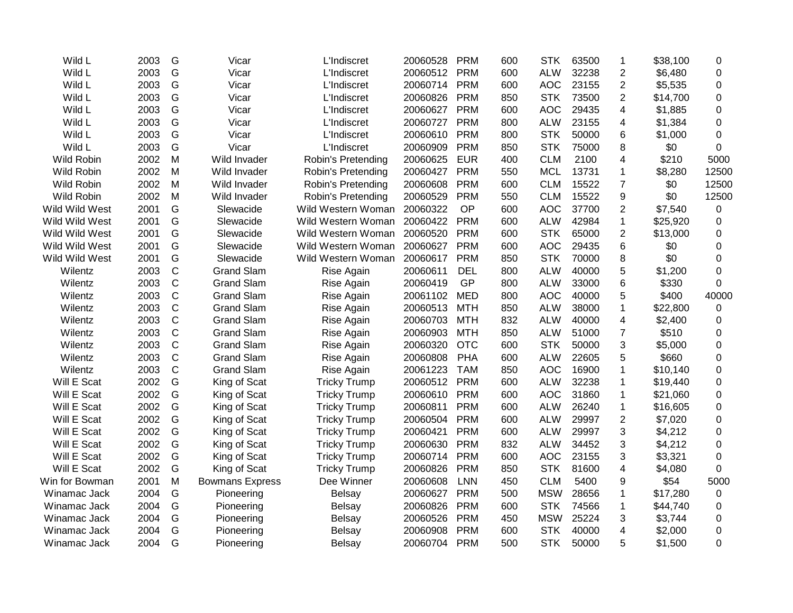| Wild L         | 2003 | G            | Vicar                  | L'Indiscret         | 20060528 | <b>PRM</b> | 600 | <b>STK</b> | 63500 | 1                       | \$38,100 | 0        |
|----------------|------|--------------|------------------------|---------------------|----------|------------|-----|------------|-------|-------------------------|----------|----------|
| Wild L         | 2003 | G            | Vicar                  | L'Indiscret         | 20060512 | <b>PRM</b> | 600 | <b>ALW</b> | 32238 | $\overline{c}$          | \$6,480  | 0        |
| Wild L         | 2003 | G            | Vicar                  | L'Indiscret         | 20060714 | <b>PRM</b> | 600 | <b>AOC</b> | 23155 | $\overline{2}$          | \$5,535  | 0        |
| Wild L         | 2003 | G            | Vicar                  | L'Indiscret         | 20060826 | <b>PRM</b> | 850 | <b>STK</b> | 73500 | $\overline{2}$          | \$14,700 | 0        |
| Wild L         | 2003 | G            | Vicar                  | <b>L'Indiscret</b>  | 20060627 | <b>PRM</b> | 600 | <b>AOC</b> | 29435 | $\overline{\mathbf{4}}$ | \$1,885  | 0        |
| Wild L         | 2003 | G            | Vicar                  | <b>L'Indiscret</b>  | 20060727 | <b>PRM</b> | 800 | <b>ALW</b> | 23155 | 4                       | \$1,384  | 0        |
| Wild L         | 2003 | G            | Vicar                  | L'Indiscret         | 20060610 | <b>PRM</b> | 800 | <b>STK</b> | 50000 | 6                       | \$1,000  | 0        |
| Wild L         | 2003 | G            | Vicar                  | L'Indiscret         | 20060909 | <b>PRM</b> | 850 | <b>STK</b> | 75000 | 8                       | \$0      | 0        |
| Wild Robin     | 2002 | M            | Wild Invader           | Robin's Pretending  | 20060625 | <b>EUR</b> | 400 | <b>CLM</b> | 2100  | 4                       | \$210    | 5000     |
| Wild Robin     | 2002 | M            | Wild Invader           | Robin's Pretending  | 20060427 | <b>PRM</b> | 550 | <b>MCL</b> | 13731 | $\mathbf{1}$            | \$8,280  | 12500    |
| Wild Robin     | 2002 | M            | Wild Invader           | Robin's Pretending  | 20060608 | <b>PRM</b> | 600 | <b>CLM</b> | 15522 | $\overline{7}$          | \$0      | 12500    |
| Wild Robin     | 2002 | M            | Wild Invader           | Robin's Pretending  | 20060529 | <b>PRM</b> | 550 | <b>CLM</b> | 15522 | 9                       | \$0      | 12500    |
| Wild Wild West | 2001 | G            | Slewacide              | Wild Western Woman  | 20060322 | OP         | 600 | <b>AOC</b> | 37700 | $\overline{c}$          | \$7,540  | 0        |
| Wild Wild West | 2001 | G            | Slewacide              | Wild Western Woman  | 20060422 | <b>PRM</b> | 600 | <b>ALW</b> | 42984 | $\mathbf{1}$            | \$25,920 | 0        |
| Wild Wild West | 2001 | G            | Slewacide              | Wild Western Woman  | 20060520 | <b>PRM</b> | 600 | <b>STK</b> | 65000 | $\overline{2}$          | \$13,000 | 0        |
| Wild Wild West | 2001 | G            | Slewacide              | Wild Western Woman  | 20060627 | <b>PRM</b> | 600 | <b>AOC</b> | 29435 | $6\phantom{1}6$         | \$0      | 0        |
| Wild Wild West | 2001 | G            | Slewacide              | Wild Western Woman  | 20060617 | <b>PRM</b> | 850 | <b>STK</b> | 70000 | 8                       | \$0      | 0        |
| Wilentz        | 2003 | $\mathsf C$  | <b>Grand Slam</b>      | Rise Again          | 20060611 | <b>DEL</b> | 800 | <b>ALW</b> | 40000 | 5                       | \$1,200  | 0        |
| Wilentz        | 2003 | $\mathsf C$  | <b>Grand Slam</b>      | Rise Again          | 20060419 | GP         | 800 | <b>ALW</b> | 33000 | 6                       | \$330    | 0        |
| Wilentz        | 2003 | $\mathsf C$  | <b>Grand Slam</b>      | Rise Again          | 20061102 | <b>MED</b> | 800 | <b>AOC</b> | 40000 | 5                       | \$400    | 40000    |
| Wilentz        | 2003 | C            | <b>Grand Slam</b>      | Rise Again          | 20060513 | MTH        | 850 | <b>ALW</b> | 38000 | 1                       | \$22,800 | 0        |
| Wilentz        | 2003 | C            | <b>Grand Slam</b>      | Rise Again          | 20060703 | <b>MTH</b> | 832 | <b>ALW</b> | 40000 | 4                       | \$2,400  | 0        |
| Wilentz        | 2003 | C            | <b>Grand Slam</b>      | Rise Again          | 20060903 | <b>MTH</b> | 850 | <b>ALW</b> | 51000 | $\overline{7}$          | \$510    | 0        |
| Wilentz        | 2003 | C            | <b>Grand Slam</b>      | Rise Again          | 20060320 | <b>OTC</b> | 600 | <b>STK</b> | 50000 | 3                       | \$5,000  | 0        |
| Wilentz        | 2003 | $\mathsf C$  | <b>Grand Slam</b>      | Rise Again          | 20060808 | <b>PHA</b> | 600 | <b>ALW</b> | 22605 | 5                       | \$660    | 0        |
| Wilentz        | 2003 | $\mathsf{C}$ | <b>Grand Slam</b>      | Rise Again          | 20061223 | <b>TAM</b> | 850 | <b>AOC</b> | 16900 | $\mathbf{1}$            | \$10,140 | 0        |
| Will E Scat    | 2002 | G            | King of Scat           | <b>Tricky Trump</b> | 20060512 | <b>PRM</b> | 600 | <b>ALW</b> | 32238 | $\mathbf 1$             | \$19,440 | 0        |
| Will E Scat    | 2002 | G            | King of Scat           | <b>Tricky Trump</b> | 20060610 | <b>PRM</b> | 600 | <b>AOC</b> | 31860 | 1                       | \$21,060 | 0        |
| Will E Scat    | 2002 | G            | King of Scat           | <b>Tricky Trump</b> | 20060811 | <b>PRM</b> | 600 | <b>ALW</b> | 26240 | 1                       | \$16,605 | 0        |
| Will E Scat    | 2002 | G            | King of Scat           | <b>Tricky Trump</b> | 20060504 | <b>PRM</b> | 600 | <b>ALW</b> | 29997 | $\overline{2}$          | \$7,020  | 0        |
| Will E Scat    | 2002 | G            | King of Scat           | <b>Tricky Trump</b> | 20060421 | <b>PRM</b> | 600 | <b>ALW</b> | 29997 | 3                       | \$4,212  | 0        |
| Will E Scat    | 2002 | G            | King of Scat           | <b>Tricky Trump</b> | 20060630 | <b>PRM</b> | 832 | <b>ALW</b> | 34452 | 3                       | \$4,212  | 0        |
| Will E Scat    | 2002 | G            | King of Scat           | <b>Tricky Trump</b> | 20060714 | <b>PRM</b> | 600 | <b>AOC</b> | 23155 | 3                       | \$3,321  | 0        |
| Will E Scat    | 2002 | G            | King of Scat           | <b>Tricky Trump</b> | 20060826 | <b>PRM</b> | 850 | <b>STK</b> | 81600 | 4                       | \$4,080  | $\Omega$ |
| Win for Bowman | 2001 | M            | <b>Bowmans Express</b> | Dee Winner          | 20060608 | <b>LNN</b> | 450 | <b>CLM</b> | 5400  | 9                       | \$54     | 5000     |
| Winamac Jack   | 2004 | G            | Pioneering             | <b>Belsay</b>       | 20060627 | <b>PRM</b> | 500 | <b>MSW</b> | 28656 | 1                       | \$17,280 | 0        |
| Winamac Jack   | 2004 | G            | Pioneering             | <b>Belsay</b>       | 20060826 | <b>PRM</b> | 600 | <b>STK</b> | 74566 | 1                       | \$44,740 | 0        |
| Winamac Jack   | 2004 | G            | Pioneering             | <b>Belsay</b>       | 20060526 | <b>PRM</b> | 450 | <b>MSW</b> | 25224 | 3                       | \$3,744  | 0        |
| Winamac Jack   | 2004 | G            | Pioneering             | <b>Belsay</b>       | 20060908 | <b>PRM</b> | 600 | <b>STK</b> | 40000 | 4                       | \$2,000  | 0        |
| Winamac Jack   | 2004 | G            | Pioneering             | <b>Belsay</b>       | 20060704 | <b>PRM</b> | 500 | <b>STK</b> | 50000 | 5                       | \$1,500  | 0        |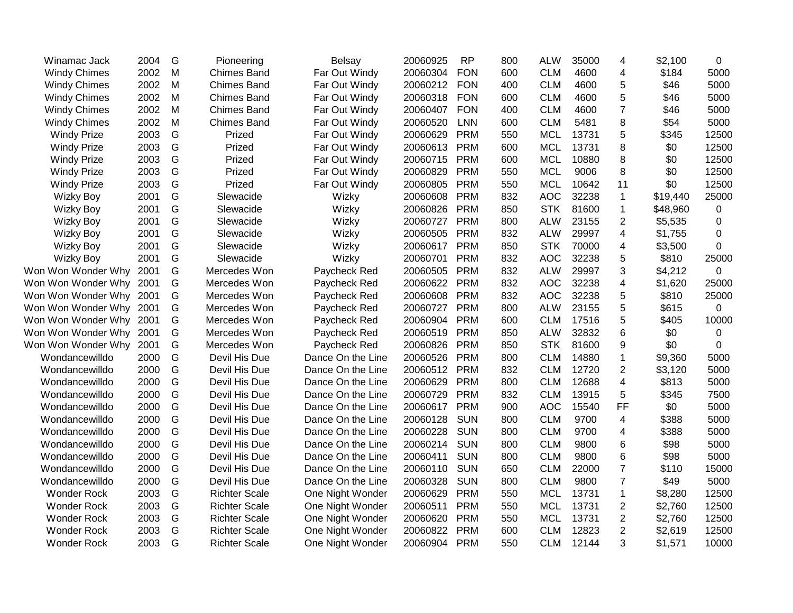| Winamac Jack            | 2004 | G | Pioneering           | <b>Belsay</b>     | 20060925 | <b>RP</b>  | 800 | <b>ALW</b> | 35000 | 4              | \$2,100  | 0           |
|-------------------------|------|---|----------------------|-------------------|----------|------------|-----|------------|-------|----------------|----------|-------------|
| <b>Windy Chimes</b>     | 2002 | M | <b>Chimes Band</b>   | Far Out Windy     | 20060304 | <b>FON</b> | 600 | <b>CLM</b> | 4600  | 4              | \$184    | 5000        |
| <b>Windy Chimes</b>     | 2002 | M | <b>Chimes Band</b>   | Far Out Windy     | 20060212 | <b>FON</b> | 400 | <b>CLM</b> | 4600  | 5              | \$46     | 5000        |
| <b>Windy Chimes</b>     | 2002 | M | <b>Chimes Band</b>   | Far Out Windy     | 20060318 | <b>FON</b> | 600 | <b>CLM</b> | 4600  | 5              | \$46     | 5000        |
| <b>Windy Chimes</b>     | 2002 | M | <b>Chimes Band</b>   | Far Out Windy     | 20060407 | <b>FON</b> | 400 | <b>CLM</b> | 4600  | 7              | \$46     | 5000        |
| <b>Windy Chimes</b>     | 2002 | M | <b>Chimes Band</b>   | Far Out Windy     | 20060520 | <b>LNN</b> | 600 | <b>CLM</b> | 5481  | 8              | \$54     | 5000        |
| <b>Windy Prize</b>      | 2003 | G | Prized               | Far Out Windy     | 20060629 | <b>PRM</b> | 550 | <b>MCL</b> | 13731 | 5              | \$345    | 12500       |
| <b>Windy Prize</b>      | 2003 | G | Prized               | Far Out Windy     | 20060613 | <b>PRM</b> | 600 | <b>MCL</b> | 13731 | 8              | \$0      | 12500       |
| <b>Windy Prize</b>      | 2003 | G | Prized               | Far Out Windy     | 20060715 | <b>PRM</b> | 600 | <b>MCL</b> | 10880 | 8              | \$0      | 12500       |
| <b>Windy Prize</b>      | 2003 | G | Prized               | Far Out Windy     | 20060829 | <b>PRM</b> | 550 | <b>MCL</b> | 9006  | 8              | \$0      | 12500       |
| <b>Windy Prize</b>      | 2003 | G | Prized               | Far Out Windy     | 20060805 | <b>PRM</b> | 550 | <b>MCL</b> | 10642 | 11             | \$0      | 12500       |
| <b>Wizky Boy</b>        | 2001 | G | Slewacide            | Wizky             | 20060608 | <b>PRM</b> | 832 | <b>AOC</b> | 32238 | $\mathbf 1$    | \$19,440 | 25000       |
| <b>Wizky Boy</b>        | 2001 | G | Slewacide            | Wizky             | 20060826 | <b>PRM</b> | 850 | <b>STK</b> | 81600 | 1              | \$48,960 | $\mathbf 0$ |
| <b>Wizky Boy</b>        | 2001 | G | Slewacide            | Wizky             | 20060727 | <b>PRM</b> | 800 | <b>ALW</b> | 23155 | $\overline{2}$ | \$5,535  | 0           |
| <b>Wizky Boy</b>        | 2001 | G | Slewacide            | Wizky             | 20060505 | <b>PRM</b> | 832 | <b>ALW</b> | 29997 | 4              | \$1,755  | 0           |
| <b>Wizky Boy</b>        | 2001 | G | Slewacide            | Wizky             | 20060617 | <b>PRM</b> | 850 | <b>STK</b> | 70000 | 4              | \$3,500  | 0           |
| <b>Wizky Boy</b>        | 2001 | G | Slewacide            | Wizky             | 20060701 | <b>PRM</b> | 832 | <b>AOC</b> | 32238 | 5              | \$810    | 25000       |
| Won Won Wonder Why      | 2001 | G | Mercedes Won         | Paycheck Red      | 20060505 | <b>PRM</b> | 832 | <b>ALW</b> | 29997 | 3              | \$4,212  | $\mathbf 0$ |
| Won Won Wonder Why      | 2001 | G | Mercedes Won         | Paycheck Red      | 20060622 | <b>PRM</b> | 832 | <b>AOC</b> | 32238 | 4              | \$1,620  | 25000       |
| Won Won Wonder Why 2001 |      | G | Mercedes Won         | Paycheck Red      | 20060608 | <b>PRM</b> | 832 | <b>AOC</b> | 32238 | 5              | \$810    | 25000       |
| Won Won Wonder Why 2001 |      | G | Mercedes Won         | Paycheck Red      | 20060727 | <b>PRM</b> | 800 | <b>ALW</b> | 23155 | 5              | \$615    | $\mathbf 0$ |
| Won Won Wonder Why      | 2001 | G | Mercedes Won         | Paycheck Red      | 20060904 | <b>PRM</b> | 600 | <b>CLM</b> | 17516 | 5              | \$405    | 10000       |
| Won Won Wonder Why      | 2001 | G | Mercedes Won         | Paycheck Red      | 20060519 | <b>PRM</b> | 850 | <b>ALW</b> | 32832 | 6              | \$0      | $\mathbf 0$ |
| Won Won Wonder Why      | 2001 | G | Mercedes Won         | Paycheck Red      | 20060826 | <b>PRM</b> | 850 | <b>STK</b> | 81600 | 9              | \$0      | $\mathbf 0$ |
| Wondancewilldo          | 2000 | G | Devil His Due        | Dance On the Line | 20060526 | <b>PRM</b> | 800 | <b>CLM</b> | 14880 | $\mathbf{1}$   | \$9,360  | 5000        |
| Wondancewilldo          | 2000 | G | Devil His Due        | Dance On the Line | 20060512 | <b>PRM</b> | 832 | <b>CLM</b> | 12720 | $\overline{2}$ | \$3,120  | 5000        |
| Wondancewilldo          | 2000 | G | Devil His Due        | Dance On the Line | 20060629 | <b>PRM</b> | 800 | <b>CLM</b> | 12688 | 4              | \$813    | 5000        |
| Wondancewilldo          | 2000 | G | Devil His Due        | Dance On the Line | 20060729 | <b>PRM</b> | 832 | <b>CLM</b> | 13915 | 5              | \$345    | 7500        |
| Wondancewilldo          | 2000 | G | Devil His Due        | Dance On the Line | 20060617 | <b>PRM</b> | 900 | <b>AOC</b> | 15540 | <b>FF</b>      | \$0      | 5000        |
| Wondancewilldo          | 2000 | G | Devil His Due        | Dance On the Line | 20060128 | <b>SUN</b> | 800 | <b>CLM</b> | 9700  | $\overline{4}$ | \$388    | 5000        |
| Wondancewilldo          | 2000 | G | Devil His Due        | Dance On the Line | 20060228 | <b>SUN</b> | 800 | <b>CLM</b> | 9700  | 4              | \$388    | 5000        |
| Wondancewilldo          | 2000 | G | Devil His Due        | Dance On the Line | 20060214 | <b>SUN</b> | 800 | <b>CLM</b> | 9800  | 6              | \$98     | 5000        |
| Wondancewilldo          | 2000 | G | Devil His Due        | Dance On the Line | 20060411 | <b>SUN</b> | 800 | <b>CLM</b> | 9800  | 6              | \$98     | 5000        |
| Wondancewilldo          | 2000 | G | Devil His Due        | Dance On the Line | 20060110 | <b>SUN</b> | 650 | <b>CLM</b> | 22000 | $\overline{7}$ | \$110    | 15000       |
| Wondancewilldo          | 2000 | G | Devil His Due        | Dance On the Line | 20060328 | <b>SUN</b> | 800 | <b>CLM</b> | 9800  | $\overline{7}$ | \$49     | 5000        |
| <b>Wonder Rock</b>      | 2003 | G | <b>Richter Scale</b> | One Night Wonder  | 20060629 | <b>PRM</b> | 550 | <b>MCL</b> | 13731 | 1              | \$8,280  | 12500       |
| <b>Wonder Rock</b>      | 2003 | G | <b>Richter Scale</b> | One Night Wonder  | 20060511 | <b>PRM</b> | 550 | <b>MCL</b> | 13731 | $\overline{2}$ | \$2,760  | 12500       |
| <b>Wonder Rock</b>      | 2003 | G | <b>Richter Scale</b> | One Night Wonder  | 20060620 | <b>PRM</b> | 550 | <b>MCL</b> | 13731 | $\overline{c}$ | \$2,760  | 12500       |
| <b>Wonder Rock</b>      | 2003 | G | <b>Richter Scale</b> | One Night Wonder  | 20060822 | <b>PRM</b> | 600 | <b>CLM</b> | 12823 | $\overline{c}$ | \$2,619  | 12500       |
| <b>Wonder Rock</b>      | 2003 | G | <b>Richter Scale</b> | One Night Wonder  | 20060904 | <b>PRM</b> | 550 | <b>CLM</b> | 12144 | 3              | \$1,571  | 10000       |
|                         |      |   |                      |                   |          |            |     |            |       |                |          |             |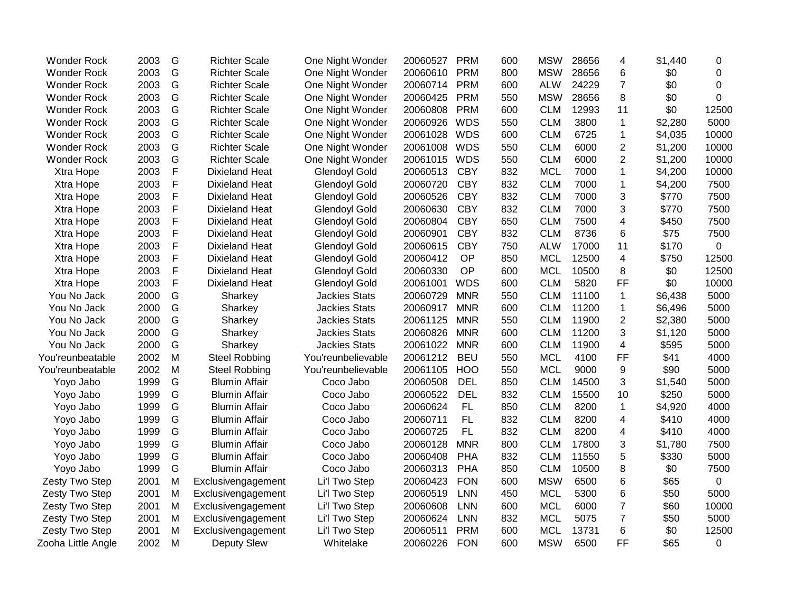| <b>Wonder Rock</b> | 2003 | G           | <b>Richter Scale</b>  | One Night Wonder     | 20060527     | <b>PRM</b> | 600 | <b>MSW</b> | 28656 | 4                        | \$1,440 | 0           |
|--------------------|------|-------------|-----------------------|----------------------|--------------|------------|-----|------------|-------|--------------------------|---------|-------------|
| <b>Wonder Rock</b> | 2003 | G           | <b>Richter Scale</b>  | One Night Wonder     | 20060610     | PRM        | 800 | <b>MSW</b> | 28656 | 6                        | \$0     | 0           |
| <b>Wonder Rock</b> | 2003 | G           | <b>Richter Scale</b>  | One Night Wonder     | 20060714     | <b>PRM</b> | 600 | <b>ALW</b> | 24229 | $\overline{7}$           | \$0     | $\mathbf 0$ |
| <b>Wonder Rock</b> | 2003 | G           | <b>Richter Scale</b>  | One Night Wonder     | 20060425     | PRM        | 550 | <b>MSW</b> | 28656 | 8                        | \$0     | $\mathbf 0$ |
| <b>Wonder Rock</b> | 2003 | G           | <b>Richter Scale</b>  | One Night Wonder     | 20060808     | <b>PRM</b> | 600 | <b>CLM</b> | 12993 | 11                       | \$0     | 12500       |
| <b>Wonder Rock</b> | 2003 | G           | <b>Richter Scale</b>  | One Night Wonder     | 20060926 WDS |            | 550 | <b>CLM</b> | 3800  | 1                        | \$2,280 | 5000        |
| <b>Wonder Rock</b> | 2003 | G           | <b>Richter Scale</b>  | One Night Wonder     | 20061028     | <b>WDS</b> | 600 | <b>CLM</b> | 6725  | 1                        | \$4,035 | 10000       |
| <b>Wonder Rock</b> | 2003 | G           | <b>Richter Scale</b>  | One Night Wonder     | 20061008     | <b>WDS</b> | 550 | <b>CLM</b> | 6000  | $\overline{2}$           | \$1,200 | 10000       |
| <b>Wonder Rock</b> | 2003 | G           | <b>Richter Scale</b>  | One Night Wonder     | 20061015     | <b>WDS</b> | 550 | <b>CLM</b> | 6000  | $\overline{c}$           | \$1,200 | 10000       |
| Xtra Hope          | 2003 | F           | <b>Dixieland Heat</b> | <b>Glendoyl Gold</b> | 20060513     | <b>CBY</b> | 832 | <b>MCL</b> | 7000  | $\mathbf{1}$             | \$4,200 | 10000       |
| Xtra Hope          | 2003 | F           | <b>Dixieland Heat</b> | <b>Glendoyl Gold</b> | 20060720     | <b>CBY</b> | 832 | <b>CLM</b> | 7000  | $\mathbf{1}$             | \$4,200 | 7500        |
| Xtra Hope          | 2003 | F           | <b>Dixieland Heat</b> | <b>Glendoyl Gold</b> | 20060526     | <b>CBY</b> | 832 | <b>CLM</b> | 7000  | 3                        | \$770   | 7500        |
| Xtra Hope          | 2003 | F           | <b>Dixieland Heat</b> | <b>Glendoyl Gold</b> | 20060630     | <b>CBY</b> | 832 | <b>CLM</b> | 7000  | 3                        | \$770   | 7500        |
| Xtra Hope          | 2003 | F           | Dixieland Heat        | <b>Glendoyl Gold</b> | 20060804     | <b>CBY</b> | 650 | <b>CLM</b> | 7500  | $\overline{4}$           | \$450   | 7500        |
| Xtra Hope          | 2003 | F           | Dixieland Heat        | <b>Glendoyl Gold</b> | 20060901     | <b>CBY</b> | 832 | <b>CLM</b> | 8736  | 6                        | \$75    | 7500        |
| Xtra Hope          | 2003 | F           | <b>Dixieland Heat</b> | <b>Glendoyl Gold</b> | 20060615     | <b>CBY</b> | 750 | <b>ALW</b> | 17000 | 11                       | \$170   | $\mathbf 0$ |
| Xtra Hope          | 2003 | F           | <b>Dixieland Heat</b> | <b>Glendoyl Gold</b> | 20060412     | OP         | 850 | <b>MCL</b> | 12500 | 4                        | \$750   | 12500       |
| Xtra Hope          | 2003 | $\mathsf F$ | <b>Dixieland Heat</b> | <b>Glendoyl Gold</b> | 20060330     | OP         | 600 | <b>MCL</b> | 10500 | 8                        | \$0     | 12500       |
| Xtra Hope          | 2003 | $\mathsf F$ | <b>Dixieland Heat</b> | <b>Glendoyl Gold</b> | 20061001     | <b>WDS</b> | 600 | <b>CLM</b> | 5820  | FF                       | \$0     | 10000       |
| You No Jack        | 2000 | G           | Sharkey               | <b>Jackies Stats</b> | 20060729     | <b>MNR</b> | 550 | <b>CLM</b> | 11100 | $\mathbf{1}$             | \$6,438 | 5000        |
| You No Jack        | 2000 | G           | Sharkey               | <b>Jackies Stats</b> | 20060917     | <b>MNR</b> | 600 | <b>CLM</b> | 11200 | 1                        | \$6,496 | 5000        |
| You No Jack        | 2000 | G           | Sharkey               | <b>Jackies Stats</b> | 20061125     | <b>MNR</b> | 550 | <b>CLM</b> | 11900 | $\overline{\mathbf{c}}$  | \$2,380 | 5000        |
| You No Jack        | 2000 | G           | Sharkey               | <b>Jackies Stats</b> | 20060826     | <b>MNR</b> | 600 | <b>CLM</b> | 11200 | 3                        | \$1,120 | 5000        |
| You No Jack        | 2000 | G           | Sharkey               | <b>Jackies Stats</b> | 20061022     | <b>MNR</b> | 600 | <b>CLM</b> | 11900 | $\overline{\mathcal{A}}$ | \$595   | 5000        |
| You'reunbeatable   | 2002 | M           | <b>Steel Robbing</b>  | You'reunbelievable   | 20061212     | <b>BEU</b> | 550 | <b>MCL</b> | 4100  | FF                       | \$41    | 4000        |
| You'reunbeatable   | 2002 | M           | <b>Steel Robbing</b>  | You'reunbelievable   | 20061105     | <b>HOO</b> | 550 | <b>MCL</b> | 9000  | 9                        | \$90    | 5000        |
| Yoyo Jabo          | 1999 | G           | <b>Blumin Affair</b>  | Coco Jabo            | 20060508     | <b>DEL</b> | 850 | <b>CLM</b> | 14500 | 3                        | \$1,540 | 5000        |
| Yoyo Jabo          | 1999 | G           | <b>Blumin Affair</b>  | Coco Jabo            | 20060522     | <b>DEL</b> | 832 | <b>CLM</b> | 15500 | 10                       | \$250   | 5000        |
| Yoyo Jabo          | 1999 | G           | <b>Blumin Affair</b>  | Coco Jabo            | 20060624     | <b>FL</b>  | 850 | <b>CLM</b> | 8200  | 1                        | \$4,920 | 4000        |
| Yoyo Jabo          | 1999 | G           | <b>Blumin Affair</b>  | Coco Jabo            | 20060711     | <b>FL</b>  | 832 | <b>CLM</b> | 8200  | 4                        | \$410   | 4000        |
| Yoyo Jabo          | 1999 | G           | <b>Blumin Affair</b>  | Coco Jabo            | 20060725     | <b>FL</b>  | 832 | <b>CLM</b> | 8200  | $\overline{\mathbf{4}}$  | \$410   | 4000        |
| Yoyo Jabo          | 1999 | G           | <b>Blumin Affair</b>  | Coco Jabo            | 20060128     | <b>MNR</b> | 800 | <b>CLM</b> | 17800 | 3                        | \$1,780 | 7500        |
| Yoyo Jabo          | 1999 | G           | <b>Blumin Affair</b>  | Coco Jabo            | 20060408     | <b>PHA</b> | 832 | <b>CLM</b> | 11550 | 5                        | \$330   | 5000        |
| Yoyo Jabo          | 1999 | G           | <b>Blumin Affair</b>  | Coco Jabo            | 20060313     | <b>PHA</b> | 850 | <b>CLM</b> | 10500 | 8                        | \$0     | 7500        |
| Zesty Two Step     | 2001 | M           | Exclusivengagement    | Li'l Two Step        | 20060423     | <b>FON</b> | 600 | <b>MSW</b> | 6500  | 6                        | \$65    | 0           |
| Zesty Two Step     | 2001 | M           | Exclusivengagement    | Li'l Two Step        | 20060519     | <b>LNN</b> | 450 | <b>MCL</b> | 5300  | 6                        | \$50    | 5000        |
| Zesty Two Step     | 2001 | M           | Exclusivengagement    | Li'l Two Step        | 20060608     | <b>LNN</b> | 600 | <b>MCL</b> | 6000  | $\overline{7}$           | \$60    | 10000       |
| Zesty Two Step     | 2001 | M           | Exclusivengagement    | Li'l Two Step        | 20060624     | <b>LNN</b> | 832 | <b>MCL</b> | 5075  | $\overline{7}$           | \$50    | 5000        |
| Zesty Two Step     | 2001 | M           | Exclusivengagement    | Li'l Two Step        | 20060511     | <b>PRM</b> | 600 | <b>MCL</b> | 13731 | 6                        | \$0     | 12500       |
| Zooha Little Angle | 2002 | M           | <b>Deputy Slew</b>    | Whitelake            | 20060226     | <b>FON</b> | 600 | <b>MSW</b> | 6500  | <b>FF</b>                | \$65    | 0           |